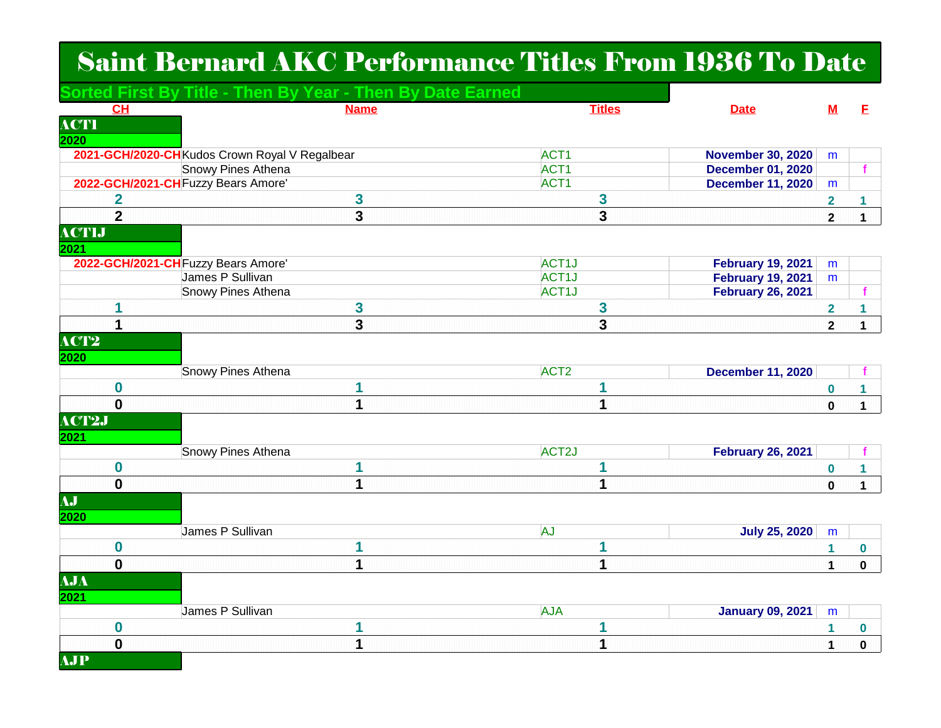## Saint Bernard AKC Performance Titles From 1936 To Date

|                         | Sorted First By Title - Then By Year - Then By Date Earned |                    |                         |                          |                         |              |
|-------------------------|------------------------------------------------------------|--------------------|-------------------------|--------------------------|-------------------------|--------------|
| CH                      | <b>Name</b>                                                |                    | <b>Titles</b>           | <b>Date</b>              | <u>M</u>                | E.           |
| <b>ACTI</b>             |                                                            |                    |                         |                          |                         |              |
| 2020                    |                                                            |                    |                         |                          |                         |              |
|                         | 2021-GCH/2020-CH Kudos Crown Royal V Regalbear             | ACT <sub>1</sub>   |                         | <b>November 30, 2020</b> | m                       |              |
|                         | Snowy Pines Athena                                         | ACT1               |                         | <b>December 01, 2020</b> |                         |              |
|                         | 2022-GCH/2021-CH Fuzzy Bears Amore'                        | ACT <sub>1</sub>   |                         | <b>December 11, 2020</b> | m                       |              |
| $\overline{\mathbf{2}}$ | 3                                                          |                    | 3                       |                          | 2                       | 1            |
| $\overline{2}$          | $\overline{\mathbf{3}}$                                    |                    | $\overline{\mathbf{3}}$ |                          | $\mathbf{2}$            | 1            |
| <b>ACTIJ</b>            |                                                            |                    |                         |                          |                         |              |
| 2021                    |                                                            |                    |                         |                          |                         |              |
|                         | 2022-GCH/2021-CH Fuzzy Bears Amore'                        | ACT <sub>1</sub> J |                         | <b>February 19, 2021</b> | m                       |              |
|                         | James P Sullivan                                           | ACT1J              |                         | <b>February 19, 2021</b> | m                       |              |
|                         | Snowy Pines Athena                                         | ACT <sub>1</sub> J |                         | <b>February 26, 2021</b> |                         |              |
| 1                       | 3                                                          |                    | 3                       |                          | $\overline{\mathbf{2}}$ | 1            |
|                         | 3                                                          |                    | 3                       |                          | $\mathbf{2}$            | $\mathbf{1}$ |
| ACT2                    |                                                            |                    |                         |                          |                         |              |
| 2020                    |                                                            |                    |                         |                          |                         |              |
|                         | Snowy Pines Athena                                         | ACT <sub>2</sub>   |                         | <b>December 11, 2020</b> |                         |              |
| $\bf{0}$                |                                                            |                    | 1                       |                          | $\bf{0}$                | 1            |
| $\mathbf 0$             | 1                                                          |                    | 1                       |                          | $\mathbf 0$             | $\mathbf{1}$ |
| <b>ACT2J</b>            |                                                            |                    |                         |                          |                         |              |
| 2021                    |                                                            |                    |                         |                          |                         |              |
|                         | Snowy Pines Athena                                         | ACT <sub>2</sub> J |                         | <b>February 26, 2021</b> |                         |              |
| 0                       |                                                            |                    | 1                       |                          | $\bf{0}$                | $\mathbf{1}$ |
| $\mathbf 0$             | $\overline{\mathbf{1}}$                                    |                    | 1                       |                          | $\mathbf{0}$            | $\mathbf 1$  |
| AJ                      |                                                            |                    |                         |                          |                         |              |
|                         |                                                            |                    |                         |                          |                         |              |
| 2020                    | James P Sullivan                                           | <b>AJ</b>          |                         |                          |                         |              |
|                         |                                                            |                    |                         | <b>July 25, 2020</b>     | m                       |              |
| $\bf{0}$                | 1                                                          |                    | 1                       |                          | 1                       | 0            |
| $\mathbf 0$             | $\mathbf 1$                                                |                    | 1                       |                          | 1                       | $\mathbf 0$  |
| <b>AJA</b>              |                                                            |                    |                         |                          |                         |              |
| 2021                    |                                                            |                    |                         |                          |                         |              |
|                         | James P Sullivan                                           | <b>AJA</b>         |                         | <b>January 09, 2021</b>  | m                       |              |
| $\bf{0}$                | 1                                                          |                    | 1                       |                          | 1                       | 0            |
| $\overline{\mathbf{0}}$ | 1                                                          |                    | $\overline{\mathbf{1}}$ |                          | 1                       | $\mathbf 0$  |
| <b>AJP</b>              |                                                            |                    |                         |                          |                         |              |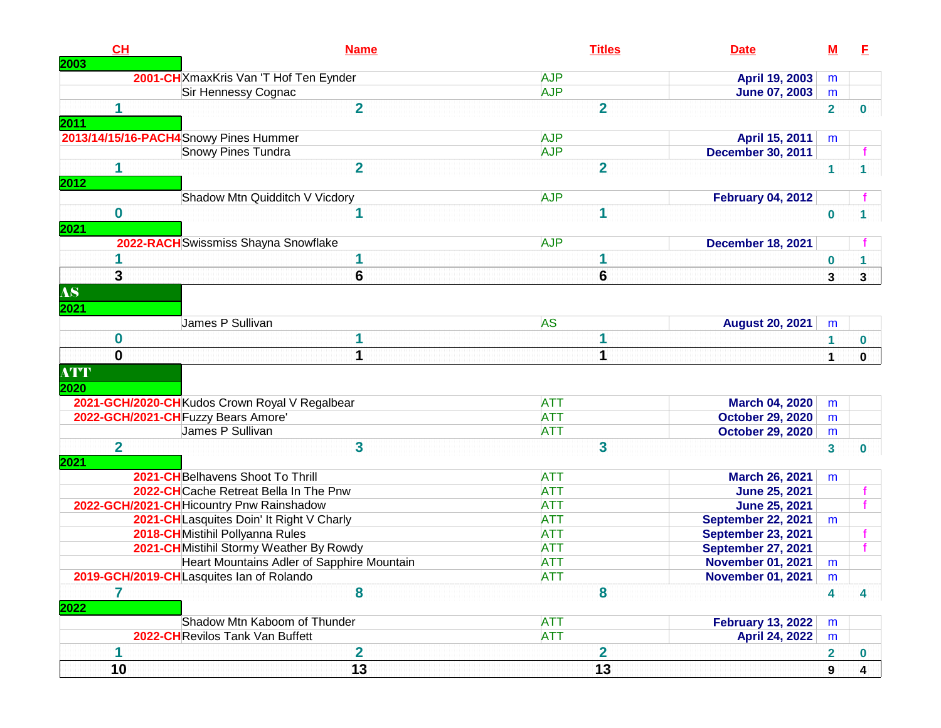| CH             | <b>Name</b>                                                                           | <b>Titles</b>            | <b>Date</b>                                      | <u>M</u>       | Е           |
|----------------|---------------------------------------------------------------------------------------|--------------------------|--------------------------------------------------|----------------|-------------|
| 2003           | 2001-CH XmaxKris Van 'T Hof Ten Eynder                                                | <b>AJP</b>               | April 19, 2003                                   | m              |             |
|                | Sir Hennessy Cognac                                                                   | <b>AJP</b>               | June 07, 2003                                    | m              |             |
| 1              | $\overline{2}$                                                                        | $\overline{2}$           |                                                  | $\overline{2}$ | 0           |
| 2011           |                                                                                       |                          |                                                  |                |             |
|                | 2013/14/15/16-PACH4Snowy Pines Hummer                                                 | <b>AJP</b>               | April 15, 2011                                   | m              |             |
|                | Snowy Pines Tundra                                                                    | <b>AJP</b>               | <b>December 30, 2011</b>                         |                |             |
| 1              | $\overline{2}$                                                                        | $\overline{2}$           |                                                  | 1              |             |
| 2012           |                                                                                       |                          |                                                  |                |             |
|                | Shadow Mtn Quidditch V Vicdory                                                        | <b>AJP</b>               | <b>February 04, 2012</b>                         |                |             |
| $\bf{0}$       | 1                                                                                     | 1                        |                                                  | $\bf{0}$       |             |
| 2021           |                                                                                       |                          |                                                  |                |             |
|                | 2022-RACH Swissmiss Shayna Snowflake                                                  | <b>AJP</b>               | <b>December 18, 2021</b>                         |                |             |
|                | 1                                                                                     | 1                        |                                                  | 0              |             |
| 3              | 6                                                                                     | $6\phantom{1}6$          |                                                  | 3              | 3           |
| AS             |                                                                                       |                          |                                                  |                |             |
| 2021           |                                                                                       |                          |                                                  |                |             |
|                | James P Sullivan                                                                      | <b>AS</b>                | <b>August 20, 2021</b>                           | m              |             |
| 0              | 1                                                                                     |                          |                                                  |                |             |
| 0              | 1                                                                                     | 1                        |                                                  | 1              | $\bf{0}$    |
|                |                                                                                       |                          |                                                  | 1              | $\mathbf 0$ |
| <b>ATT</b>     |                                                                                       |                          |                                                  |                |             |
| 2020           |                                                                                       |                          |                                                  |                |             |
|                | 2021-GCH/2020-CH Kudos Crown Royal V Regalbear<br>2022-GCH/2021-CH Fuzzy Bears Amore' | <b>ATT</b><br><b>ATT</b> | <b>March 04, 2020</b><br><b>October 29, 2020</b> | m              |             |
|                | James P Sullivan                                                                      | <b>ATT</b>               | <b>October 29, 2020</b>                          | m<br>m         |             |
| $\overline{2}$ | 3                                                                                     | 3                        |                                                  |                |             |
| 2021           |                                                                                       |                          |                                                  | 3              | 0           |
|                | 2021-CH Belhavens Shoot To Thrill                                                     | <b>ATT</b>               | <b>March 26, 2021</b>                            | m              |             |
|                | 2022-CHCache Retreat Bella In The Pnw                                                 | <b>ATT</b>               | <b>June 25, 2021</b>                             |                |             |
|                | 2022-GCH/2021-CH Hicountry Pnw Rainshadow                                             | <b>ATT</b>               | <b>June 25, 2021</b>                             |                |             |
|                | 2021-CHLasquites Doin' It Right V Charly                                              | <b>ATT</b>               | <b>September 22, 2021</b>                        | m              |             |
|                | 2018-CH Mistihil Pollyanna Rules                                                      | <b>ATT</b>               | <b>September 23, 2021</b>                        |                |             |
|                | 2021-CH Mistihil Stormy Weather By Rowdy                                              | <b>ATT</b>               | <b>September 27, 2021</b>                        |                |             |
|                | Heart Mountains Adler of Sapphire Mountain                                            | <b>ATT</b>               | <b>November 01, 2021</b>                         | m              |             |
|                | 2019-GCH/2019-CHLasquites Ian of Rolando                                              | <b>ATT</b>               | <b>November 01, 2021</b>                         | m              |             |
| 7<br>2022      | 8                                                                                     | 8                        |                                                  | 4              | 4           |
|                | Shadow Mtn Kaboom of Thunder                                                          | <b>ATT</b>               | <b>February 13, 2022</b>                         | m              |             |
|                | 2022-CHRevilos Tank Van Buffett                                                       | <b>ATT</b>               | April 24, 2022                                   | m              |             |
| 1              | $\overline{\mathbf{2}}$                                                               | $\overline{\mathbf{2}}$  |                                                  | 2              | $\mathbf 0$ |
| 10             | $\overline{13}$                                                                       | $\overline{13}$          |                                                  | 9              |             |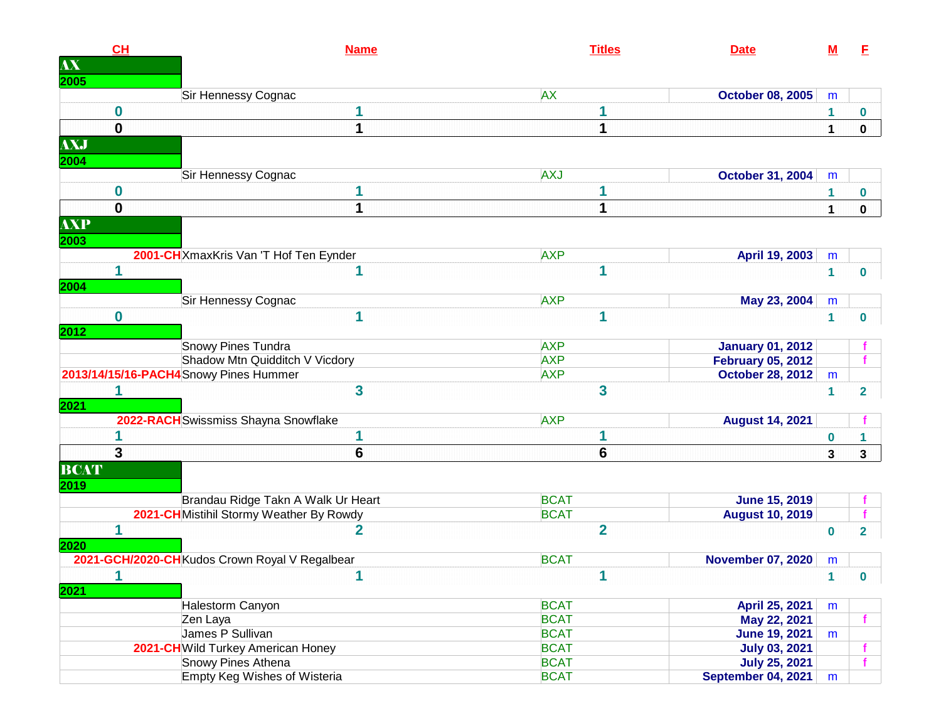| <b>AX</b><br>2005<br><b>AX</b><br>Sir Hennessy Cognac<br><b>October 08, 2005</b><br>m<br>0<br>1<br>0<br>0<br>1<br>1<br>$\mathbf 0$<br><b>AXJ</b><br>2004<br><b>AXJ</b><br>Sir Hennessy Cognac<br><b>October 31, 2004</b><br>m<br>0<br>1<br>0<br>$\mathbf 0$<br>1<br>1<br>$\mathbf 0$<br>1<br><b>AXP</b><br>2003<br>2001-CH XmaxKris Van 'T Hof Ten Eynder<br><b>AXP</b><br>April 19, 2003<br>m<br>1<br>1<br>1<br>$\mathbf{1}$<br>$\bf{0}$<br>2004<br>Sir Hennessy Cognac<br><b>AXP</b><br>May 23, 2004<br>m<br>0<br>1<br>1<br>1<br>$\bf{0}$<br>2012<br><b>Snowy Pines Tundra</b><br><b>AXP</b><br><b>January 01, 2012</b><br><b>AXP</b><br>Shadow Mtn Quidditch V Vicdory<br><b>February 05, 2012</b><br>2013/14/15/16-PACH4Snowy Pines Hummer<br><b>AXP</b><br><b>October 28, 2012</b><br>${\sf m}$<br>$\overline{\mathbf{3}}$<br>3<br>$\mathbf{1}$<br>$\mathbf{2}$<br>2021 | CL | <b>Name</b> | <b>Titles</b> | <b>Date</b> | <u>M</u> | E |
|------------------------------------------------------------------------------------------------------------------------------------------------------------------------------------------------------------------------------------------------------------------------------------------------------------------------------------------------------------------------------------------------------------------------------------------------------------------------------------------------------------------------------------------------------------------------------------------------------------------------------------------------------------------------------------------------------------------------------------------------------------------------------------------------------------------------------------------------------------------------------|----|-------------|---------------|-------------|----------|---|
|                                                                                                                                                                                                                                                                                                                                                                                                                                                                                                                                                                                                                                                                                                                                                                                                                                                                              |    |             |               |             |          |   |
|                                                                                                                                                                                                                                                                                                                                                                                                                                                                                                                                                                                                                                                                                                                                                                                                                                                                              |    |             |               |             |          |   |
|                                                                                                                                                                                                                                                                                                                                                                                                                                                                                                                                                                                                                                                                                                                                                                                                                                                                              |    |             |               |             |          |   |
|                                                                                                                                                                                                                                                                                                                                                                                                                                                                                                                                                                                                                                                                                                                                                                                                                                                                              |    |             |               |             |          |   |
|                                                                                                                                                                                                                                                                                                                                                                                                                                                                                                                                                                                                                                                                                                                                                                                                                                                                              |    |             |               |             |          |   |
|                                                                                                                                                                                                                                                                                                                                                                                                                                                                                                                                                                                                                                                                                                                                                                                                                                                                              |    |             |               |             |          |   |
|                                                                                                                                                                                                                                                                                                                                                                                                                                                                                                                                                                                                                                                                                                                                                                                                                                                                              |    |             |               |             |          |   |
|                                                                                                                                                                                                                                                                                                                                                                                                                                                                                                                                                                                                                                                                                                                                                                                                                                                                              |    |             |               |             |          |   |
|                                                                                                                                                                                                                                                                                                                                                                                                                                                                                                                                                                                                                                                                                                                                                                                                                                                                              |    |             |               |             |          |   |
|                                                                                                                                                                                                                                                                                                                                                                                                                                                                                                                                                                                                                                                                                                                                                                                                                                                                              |    |             |               |             |          |   |
|                                                                                                                                                                                                                                                                                                                                                                                                                                                                                                                                                                                                                                                                                                                                                                                                                                                                              |    |             |               |             |          |   |
|                                                                                                                                                                                                                                                                                                                                                                                                                                                                                                                                                                                                                                                                                                                                                                                                                                                                              |    |             |               |             |          |   |
|                                                                                                                                                                                                                                                                                                                                                                                                                                                                                                                                                                                                                                                                                                                                                                                                                                                                              |    |             |               |             |          |   |
|                                                                                                                                                                                                                                                                                                                                                                                                                                                                                                                                                                                                                                                                                                                                                                                                                                                                              |    |             |               |             |          |   |
|                                                                                                                                                                                                                                                                                                                                                                                                                                                                                                                                                                                                                                                                                                                                                                                                                                                                              |    |             |               |             |          |   |
|                                                                                                                                                                                                                                                                                                                                                                                                                                                                                                                                                                                                                                                                                                                                                                                                                                                                              |    |             |               |             |          |   |
|                                                                                                                                                                                                                                                                                                                                                                                                                                                                                                                                                                                                                                                                                                                                                                                                                                                                              |    |             |               |             |          |   |
|                                                                                                                                                                                                                                                                                                                                                                                                                                                                                                                                                                                                                                                                                                                                                                                                                                                                              |    |             |               |             |          |   |
|                                                                                                                                                                                                                                                                                                                                                                                                                                                                                                                                                                                                                                                                                                                                                                                                                                                                              |    |             |               |             |          |   |
|                                                                                                                                                                                                                                                                                                                                                                                                                                                                                                                                                                                                                                                                                                                                                                                                                                                                              |    |             |               |             |          |   |
|                                                                                                                                                                                                                                                                                                                                                                                                                                                                                                                                                                                                                                                                                                                                                                                                                                                                              |    |             |               |             |          |   |
|                                                                                                                                                                                                                                                                                                                                                                                                                                                                                                                                                                                                                                                                                                                                                                                                                                                                              |    |             |               |             |          |   |
|                                                                                                                                                                                                                                                                                                                                                                                                                                                                                                                                                                                                                                                                                                                                                                                                                                                                              |    |             |               |             |          |   |
| 2022-RACH Swissmiss Shayna Snowflake<br><b>AXP</b><br><b>August 14, 2021</b>                                                                                                                                                                                                                                                                                                                                                                                                                                                                                                                                                                                                                                                                                                                                                                                                 |    |             |               |             |          |   |
| $\bf{0}$<br>1                                                                                                                                                                                                                                                                                                                                                                                                                                                                                                                                                                                                                                                                                                                                                                                                                                                                |    |             |               |             |          |   |
| 3<br>6<br>6<br>3<br>3                                                                                                                                                                                                                                                                                                                                                                                                                                                                                                                                                                                                                                                                                                                                                                                                                                                        |    |             |               |             |          |   |
| <b>BCAT</b>                                                                                                                                                                                                                                                                                                                                                                                                                                                                                                                                                                                                                                                                                                                                                                                                                                                                  |    |             |               |             |          |   |
| 2019                                                                                                                                                                                                                                                                                                                                                                                                                                                                                                                                                                                                                                                                                                                                                                                                                                                                         |    |             |               |             |          |   |
| <b>BCAT</b><br>Brandau Ridge Takn A Walk Ur Heart<br><b>June 15, 2019</b>                                                                                                                                                                                                                                                                                                                                                                                                                                                                                                                                                                                                                                                                                                                                                                                                    |    |             |               |             |          |   |
| 2021-CH Mistihil Stormy Weather By Rowdy<br><b>BCAT</b><br><b>August 10, 2019</b>                                                                                                                                                                                                                                                                                                                                                                                                                                                                                                                                                                                                                                                                                                                                                                                            |    |             |               |             |          |   |
| $\overline{2}$<br>2<br>$\bf{0}$<br>$\overline{2}$                                                                                                                                                                                                                                                                                                                                                                                                                                                                                                                                                                                                                                                                                                                                                                                                                            |    |             |               |             |          |   |
| 2020                                                                                                                                                                                                                                                                                                                                                                                                                                                                                                                                                                                                                                                                                                                                                                                                                                                                         |    |             |               |             |          |   |
| 2021-GCH/2020-CHKudos Crown Royal V Regalbear<br><b>BCAT</b><br><b>November 07, 2020</b><br>m                                                                                                                                                                                                                                                                                                                                                                                                                                                                                                                                                                                                                                                                                                                                                                                |    |             |               |             |          |   |
| 1<br>1<br>-1.<br>$\bf{0}$                                                                                                                                                                                                                                                                                                                                                                                                                                                                                                                                                                                                                                                                                                                                                                                                                                                    |    |             |               |             |          |   |
| 2021                                                                                                                                                                                                                                                                                                                                                                                                                                                                                                                                                                                                                                                                                                                                                                                                                                                                         |    |             |               |             |          |   |
| <b>BCAT</b><br>Halestorm Canyon<br>April 25, 2021<br>m                                                                                                                                                                                                                                                                                                                                                                                                                                                                                                                                                                                                                                                                                                                                                                                                                       |    |             |               |             |          |   |
| <b>BCAT</b><br>Zen Laya<br>May 22, 2021                                                                                                                                                                                                                                                                                                                                                                                                                                                                                                                                                                                                                                                                                                                                                                                                                                      |    |             |               |             |          |   |
| James P Sullivan<br><b>BCAT</b><br><b>June 19, 2021</b><br>m                                                                                                                                                                                                                                                                                                                                                                                                                                                                                                                                                                                                                                                                                                                                                                                                                 |    |             |               |             |          |   |
| <b>BCAT</b><br>2021-CH Wild Turkey American Honey<br><b>July 03, 2021</b>                                                                                                                                                                                                                                                                                                                                                                                                                                                                                                                                                                                                                                                                                                                                                                                                    |    |             |               |             |          |   |
| Snowy Pines Athena<br><b>BCAT</b><br><b>July 25, 2021</b>                                                                                                                                                                                                                                                                                                                                                                                                                                                                                                                                                                                                                                                                                                                                                                                                                    |    |             |               |             |          |   |
| <b>Empty Keg Wishes of Wisteria</b><br><b>BCAT</b><br>September 04, 2021<br>m                                                                                                                                                                                                                                                                                                                                                                                                                                                                                                                                                                                                                                                                                                                                                                                                |    |             |               |             |          |   |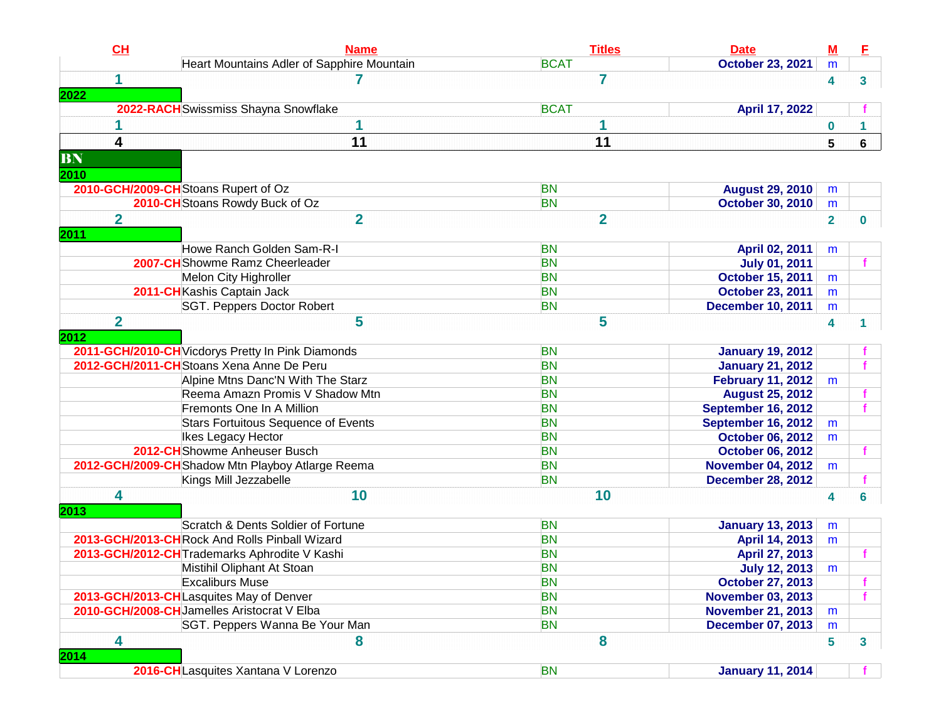| CH                      | <b>Name</b>                                       | <b>Titles</b>  | <b>Date</b>               | <u>M</u>       | E |
|-------------------------|---------------------------------------------------|----------------|---------------------------|----------------|---|
|                         | Heart Mountains Adler of Sapphire Mountain        | <b>BCAT</b>    | <b>October 23, 2021</b>   | m              |   |
| 1                       |                                                   | 7              |                           | 4              | 3 |
| 2022                    |                                                   |                |                           |                |   |
|                         | 2022-RACH Swissmiss Shayna Snowflake              | <b>BCAT</b>    | April 17, 2022            |                |   |
|                         | 1                                                 | 1              |                           | 0              |   |
| 4                       | 11                                                | 11             |                           | 5              | 6 |
| BN                      |                                                   |                |                           |                |   |
| 2010                    |                                                   |                |                           |                |   |
|                         | 2010-GCH/2009-CH Stoans Rupert of Oz              | <b>BN</b>      | <b>August 29, 2010</b>    | m              |   |
|                         | 2010-CH Stoans Rowdy Buck of Oz                   | <b>BN</b>      | <b>October 30, 2010</b>   | m              |   |
| $\overline{2}$          | $\overline{2}$                                    | $\overline{2}$ |                           | $\overline{2}$ | 0 |
| 2011                    |                                                   |                |                           |                |   |
|                         | Howe Ranch Golden Sam-R-I                         | <b>BN</b>      | April 02, 2011            | m              |   |
|                         | 2007-CH Showme Ramz Cheerleader                   | <b>BN</b>      | <b>July 01, 2011</b>      |                |   |
|                         | Melon City Highroller                             | <b>BN</b>      | <b>October 15, 2011</b>   | m              |   |
|                         | 2011-CHKashis Captain Jack                        | <b>BN</b>      | <b>October 23, 2011</b>   | m              |   |
|                         | SGT. Peppers Doctor Robert                        | <b>BN</b>      | <b>December 10, 2011</b>  | m              |   |
| $\overline{\mathbf{2}}$ | 5                                                 | 5              |                           | 4              | 1 |
| 2012                    |                                                   |                |                           |                |   |
|                         | 2011-GCH/2010-CH Vicdorys Pretty In Pink Diamonds | <b>BN</b>      | <b>January 19, 2012</b>   |                |   |
|                         | 2012-GCH/2011-CH Stoans Xena Anne De Peru         | <b>BN</b>      | <b>January 21, 2012</b>   |                |   |
|                         | Alpine Mtns Danc'N With The Starz                 | <b>BN</b>      | <b>February 11, 2012</b>  | m              |   |
|                         | Reema Amazn Promis V Shadow Mtn                   | <b>BN</b>      | <b>August 25, 2012</b>    |                |   |
|                         | Fremonts One In A Million                         | <b>BN</b>      | <b>September 16, 2012</b> |                | f |
|                         | <b>Stars Fortuitous Sequence of Events</b>        | <b>BN</b>      | <b>September 16, 2012</b> | m              |   |
|                         | Ikes Legacy Hector                                | <b>BN</b>      | <b>October 06, 2012</b>   | m              |   |
|                         | 2012-CHShowme Anheuser Busch                      | <b>BN</b>      | <b>October 06, 2012</b>   |                | f |
|                         | 2012-GCH/2009-CH Shadow Mtn Playboy Atlarge Reema | <b>BN</b>      | <b>November 04, 2012</b>  | m              |   |
|                         | Kings Mill Jezzabelle                             | <b>BN</b>      | <b>December 28, 2012</b>  |                |   |
| 4                       | 10                                                | 10             |                           | 4              | 6 |
| 2013                    |                                                   |                |                           |                |   |
|                         | Scratch & Dents Soldier of Fortune                | <b>BN</b>      | <b>January 13, 2013</b>   | m              |   |
|                         | 2013-GCH/2013-CHRock And Rolls Pinball Wizard     | <b>BN</b>      | April 14, 2013            | m              |   |
|                         | 2013-GCH/2012-CH Trademarks Aphrodite V Kashi     | <b>BN</b>      | April 27, 2013            |                |   |
|                         | Mistihil Oliphant At Stoan                        | <b>BN</b>      | <b>July 12, 2013</b>      | m              |   |
|                         | <b>Excaliburs Muse</b>                            | <b>BN</b>      | <b>October 27, 2013</b>   |                |   |
|                         | 2013-GCH/2013-CHLasquites May of Denver           | <b>BN</b>      | <b>November 03, 2013</b>  |                |   |
|                         | 2010-GCH/2008-CH Jamelles Aristocrat V Elba       | <b>BN</b>      | <b>November 21, 2013</b>  | m              |   |
|                         | SGT. Peppers Wanna Be Your Man                    | <b>BN</b>      | <b>December 07, 2013</b>  | m              |   |
| 4                       | 8                                                 | 8              |                           | 5              | 3 |
| 2014                    |                                                   |                |                           |                |   |
|                         | 2016-CH Lasquites Xantana V Lorenzo               | <b>BN</b>      | <b>January 11, 2014</b>   |                |   |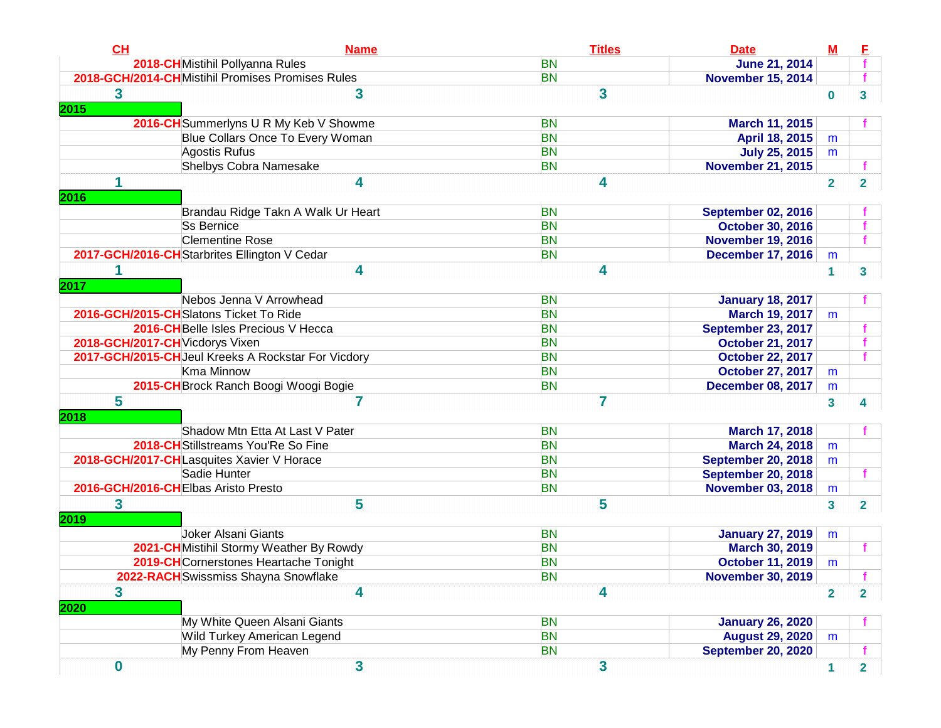| 2018-CH Mistihil Pollyanna Rules<br><b>BN</b><br><b>June 21, 2014</b><br>2018-GCH/2014-CHMistihil Promises Promises Rules<br><b>BN</b><br><b>November 15, 2014</b><br>3<br>3<br>3<br>$\bf{0}$<br>3<br>2016-CH Summerlyns U R My Keb V Showme<br><b>BN</b><br>March 11, 2015<br>Blue Collars Once To Every Woman<br><b>BN</b><br>April 18, 2015<br>m<br>Agostis Rufus<br><b>BN</b><br><b>July 25, 2015</b><br>m<br>Shelbys Cobra Namesake<br><b>BN</b><br><b>November 21, 2015</b><br>4<br>4<br>$\overline{2}$<br>$\overline{2}$<br>2016<br>Brandau Ridge Takn A Walk Ur Heart<br><b>BN</b><br><b>September 02, 2016</b><br><b>BN</b><br><b>Ss Bernice</b><br><b>October 30, 2016</b><br><b>Clementine Rose</b><br><b>BN</b><br><b>November 19, 2016</b><br>2017-GCH/2016-CH Starbrites Ellington V Cedar<br><b>BN</b><br><b>December 17, 2016</b><br>m<br>4<br>4<br>1<br>3<br>2017<br>Nebos Jenna V Arrowhead<br><b>BN</b><br><b>January 18, 2017</b><br>2016-GCH/2015-CHSlatons Ticket To Ride<br><b>BN</b><br><b>March 19, 2017</b><br>m<br>2016-CH Belle Isles Precious V Hecca<br><b>BN</b><br><b>September 23, 2017</b><br>2018-GCH/2017-CH Vicdorys Vixen<br><b>BN</b><br><b>October 21, 2017</b><br>2017-GCH/2015-CHJeul Kreeks A Rockstar For Vicdory<br><b>BN</b><br><b>October 22, 2017</b><br>Kma Minnow<br><b>BN</b><br><b>October 27, 2017</b><br>m<br>2015-CH Brock Ranch Boogi Woogi Bogie<br><b>BN</b><br><b>December 08, 2017</b><br>m<br>5<br>7<br>7<br>$\mathbf{3}$<br>4<br>2018<br>Shadow Mtn Etta At Last V Pater<br><b>BN</b><br>March 17, 2018<br>2018-CH Stillstreams You'Re So Fine<br><b>BN</b><br><b>March 24, 2018</b><br>m<br>2018-GCH/2017-CHLasquites Xavier V Horace<br><b>BN</b><br><b>September 20, 2018</b><br>m<br>Sadie Hunter<br><b>BN</b><br><b>September 20, 2018</b><br>2016-GCH/2016-CHElbas Aristo Presto<br><b>BN</b><br><b>November 03, 2018</b><br>m<br>5<br>5<br>3<br>3<br>2<br>2019<br>Joker Alsani Giants<br><b>BN</b><br><b>January 27, 2019</b><br>m<br>2021-CH Mistihil Stormy Weather By Rowdy<br><b>BN</b><br><b>March 30, 2019</b><br>2019-CHCornerstones Heartache Tonight<br><b>BN</b><br><b>October 11, 2019</b><br>m<br><b>BN</b><br><b>November 30, 2019</b><br>2022-RACH Swissmiss Shayna Snowflake<br>3<br>4<br>4<br>$\overline{2}$<br>$\overline{\mathbf{2}}$<br>2020<br>My White Queen Alsani Giants<br><b>BN</b><br><b>January 26, 2020</b><br>Wild Turkey American Legend<br><b>BN</b><br><b>August 29, 2020</b><br>m<br>My Penny From Heaven<br><b>September 20, 2020</b><br><b>BN</b><br>$\overline{\mathbf{3}}$<br>3<br>$\boldsymbol{0}$<br>1<br>$\overline{\mathbf{2}}$ | CL   | <b>Name</b> | <b>Titles</b> | <b>Date</b> | ${\bf M}$ |  |
|-----------------------------------------------------------------------------------------------------------------------------------------------------------------------------------------------------------------------------------------------------------------------------------------------------------------------------------------------------------------------------------------------------------------------------------------------------------------------------------------------------------------------------------------------------------------------------------------------------------------------------------------------------------------------------------------------------------------------------------------------------------------------------------------------------------------------------------------------------------------------------------------------------------------------------------------------------------------------------------------------------------------------------------------------------------------------------------------------------------------------------------------------------------------------------------------------------------------------------------------------------------------------------------------------------------------------------------------------------------------------------------------------------------------------------------------------------------------------------------------------------------------------------------------------------------------------------------------------------------------------------------------------------------------------------------------------------------------------------------------------------------------------------------------------------------------------------------------------------------------------------------------------------------------------------------------------------------------------------------------------------------------------------------------------------------------------------------------------------------------------------------------------------------------------------------------------------------------------------------------------------------------------------------------------------------------------------------------------------------------------------------------------------------------------------------------------------------------------------------------------------------------------------------------------------------------------------------------------------------------------------------------------|------|-------------|---------------|-------------|-----------|--|
|                                                                                                                                                                                                                                                                                                                                                                                                                                                                                                                                                                                                                                                                                                                                                                                                                                                                                                                                                                                                                                                                                                                                                                                                                                                                                                                                                                                                                                                                                                                                                                                                                                                                                                                                                                                                                                                                                                                                                                                                                                                                                                                                                                                                                                                                                                                                                                                                                                                                                                                                                                                                                                               |      |             |               |             |           |  |
|                                                                                                                                                                                                                                                                                                                                                                                                                                                                                                                                                                                                                                                                                                                                                                                                                                                                                                                                                                                                                                                                                                                                                                                                                                                                                                                                                                                                                                                                                                                                                                                                                                                                                                                                                                                                                                                                                                                                                                                                                                                                                                                                                                                                                                                                                                                                                                                                                                                                                                                                                                                                                                               |      |             |               |             |           |  |
|                                                                                                                                                                                                                                                                                                                                                                                                                                                                                                                                                                                                                                                                                                                                                                                                                                                                                                                                                                                                                                                                                                                                                                                                                                                                                                                                                                                                                                                                                                                                                                                                                                                                                                                                                                                                                                                                                                                                                                                                                                                                                                                                                                                                                                                                                                                                                                                                                                                                                                                                                                                                                                               |      |             |               |             |           |  |
|                                                                                                                                                                                                                                                                                                                                                                                                                                                                                                                                                                                                                                                                                                                                                                                                                                                                                                                                                                                                                                                                                                                                                                                                                                                                                                                                                                                                                                                                                                                                                                                                                                                                                                                                                                                                                                                                                                                                                                                                                                                                                                                                                                                                                                                                                                                                                                                                                                                                                                                                                                                                                                               | 2015 |             |               |             |           |  |
|                                                                                                                                                                                                                                                                                                                                                                                                                                                                                                                                                                                                                                                                                                                                                                                                                                                                                                                                                                                                                                                                                                                                                                                                                                                                                                                                                                                                                                                                                                                                                                                                                                                                                                                                                                                                                                                                                                                                                                                                                                                                                                                                                                                                                                                                                                                                                                                                                                                                                                                                                                                                                                               |      |             |               |             |           |  |
|                                                                                                                                                                                                                                                                                                                                                                                                                                                                                                                                                                                                                                                                                                                                                                                                                                                                                                                                                                                                                                                                                                                                                                                                                                                                                                                                                                                                                                                                                                                                                                                                                                                                                                                                                                                                                                                                                                                                                                                                                                                                                                                                                                                                                                                                                                                                                                                                                                                                                                                                                                                                                                               |      |             |               |             |           |  |
|                                                                                                                                                                                                                                                                                                                                                                                                                                                                                                                                                                                                                                                                                                                                                                                                                                                                                                                                                                                                                                                                                                                                                                                                                                                                                                                                                                                                                                                                                                                                                                                                                                                                                                                                                                                                                                                                                                                                                                                                                                                                                                                                                                                                                                                                                                                                                                                                                                                                                                                                                                                                                                               |      |             |               |             |           |  |
|                                                                                                                                                                                                                                                                                                                                                                                                                                                                                                                                                                                                                                                                                                                                                                                                                                                                                                                                                                                                                                                                                                                                                                                                                                                                                                                                                                                                                                                                                                                                                                                                                                                                                                                                                                                                                                                                                                                                                                                                                                                                                                                                                                                                                                                                                                                                                                                                                                                                                                                                                                                                                                               |      |             |               |             |           |  |
|                                                                                                                                                                                                                                                                                                                                                                                                                                                                                                                                                                                                                                                                                                                                                                                                                                                                                                                                                                                                                                                                                                                                                                                                                                                                                                                                                                                                                                                                                                                                                                                                                                                                                                                                                                                                                                                                                                                                                                                                                                                                                                                                                                                                                                                                                                                                                                                                                                                                                                                                                                                                                                               |      |             |               |             |           |  |
|                                                                                                                                                                                                                                                                                                                                                                                                                                                                                                                                                                                                                                                                                                                                                                                                                                                                                                                                                                                                                                                                                                                                                                                                                                                                                                                                                                                                                                                                                                                                                                                                                                                                                                                                                                                                                                                                                                                                                                                                                                                                                                                                                                                                                                                                                                                                                                                                                                                                                                                                                                                                                                               |      |             |               |             |           |  |
|                                                                                                                                                                                                                                                                                                                                                                                                                                                                                                                                                                                                                                                                                                                                                                                                                                                                                                                                                                                                                                                                                                                                                                                                                                                                                                                                                                                                                                                                                                                                                                                                                                                                                                                                                                                                                                                                                                                                                                                                                                                                                                                                                                                                                                                                                                                                                                                                                                                                                                                                                                                                                                               |      |             |               |             |           |  |
|                                                                                                                                                                                                                                                                                                                                                                                                                                                                                                                                                                                                                                                                                                                                                                                                                                                                                                                                                                                                                                                                                                                                                                                                                                                                                                                                                                                                                                                                                                                                                                                                                                                                                                                                                                                                                                                                                                                                                                                                                                                                                                                                                                                                                                                                                                                                                                                                                                                                                                                                                                                                                                               |      |             |               |             |           |  |
|                                                                                                                                                                                                                                                                                                                                                                                                                                                                                                                                                                                                                                                                                                                                                                                                                                                                                                                                                                                                                                                                                                                                                                                                                                                                                                                                                                                                                                                                                                                                                                                                                                                                                                                                                                                                                                                                                                                                                                                                                                                                                                                                                                                                                                                                                                                                                                                                                                                                                                                                                                                                                                               |      |             |               |             |           |  |
|                                                                                                                                                                                                                                                                                                                                                                                                                                                                                                                                                                                                                                                                                                                                                                                                                                                                                                                                                                                                                                                                                                                                                                                                                                                                                                                                                                                                                                                                                                                                                                                                                                                                                                                                                                                                                                                                                                                                                                                                                                                                                                                                                                                                                                                                                                                                                                                                                                                                                                                                                                                                                                               |      |             |               |             |           |  |
|                                                                                                                                                                                                                                                                                                                                                                                                                                                                                                                                                                                                                                                                                                                                                                                                                                                                                                                                                                                                                                                                                                                                                                                                                                                                                                                                                                                                                                                                                                                                                                                                                                                                                                                                                                                                                                                                                                                                                                                                                                                                                                                                                                                                                                                                                                                                                                                                                                                                                                                                                                                                                                               |      |             |               |             |           |  |
|                                                                                                                                                                                                                                                                                                                                                                                                                                                                                                                                                                                                                                                                                                                                                                                                                                                                                                                                                                                                                                                                                                                                                                                                                                                                                                                                                                                                                                                                                                                                                                                                                                                                                                                                                                                                                                                                                                                                                                                                                                                                                                                                                                                                                                                                                                                                                                                                                                                                                                                                                                                                                                               |      |             |               |             |           |  |
|                                                                                                                                                                                                                                                                                                                                                                                                                                                                                                                                                                                                                                                                                                                                                                                                                                                                                                                                                                                                                                                                                                                                                                                                                                                                                                                                                                                                                                                                                                                                                                                                                                                                                                                                                                                                                                                                                                                                                                                                                                                                                                                                                                                                                                                                                                                                                                                                                                                                                                                                                                                                                                               |      |             |               |             |           |  |
|                                                                                                                                                                                                                                                                                                                                                                                                                                                                                                                                                                                                                                                                                                                                                                                                                                                                                                                                                                                                                                                                                                                                                                                                                                                                                                                                                                                                                                                                                                                                                                                                                                                                                                                                                                                                                                                                                                                                                                                                                                                                                                                                                                                                                                                                                                                                                                                                                                                                                                                                                                                                                                               |      |             |               |             |           |  |
|                                                                                                                                                                                                                                                                                                                                                                                                                                                                                                                                                                                                                                                                                                                                                                                                                                                                                                                                                                                                                                                                                                                                                                                                                                                                                                                                                                                                                                                                                                                                                                                                                                                                                                                                                                                                                                                                                                                                                                                                                                                                                                                                                                                                                                                                                                                                                                                                                                                                                                                                                                                                                                               |      |             |               |             |           |  |
|                                                                                                                                                                                                                                                                                                                                                                                                                                                                                                                                                                                                                                                                                                                                                                                                                                                                                                                                                                                                                                                                                                                                                                                                                                                                                                                                                                                                                                                                                                                                                                                                                                                                                                                                                                                                                                                                                                                                                                                                                                                                                                                                                                                                                                                                                                                                                                                                                                                                                                                                                                                                                                               |      |             |               |             |           |  |
|                                                                                                                                                                                                                                                                                                                                                                                                                                                                                                                                                                                                                                                                                                                                                                                                                                                                                                                                                                                                                                                                                                                                                                                                                                                                                                                                                                                                                                                                                                                                                                                                                                                                                                                                                                                                                                                                                                                                                                                                                                                                                                                                                                                                                                                                                                                                                                                                                                                                                                                                                                                                                                               |      |             |               |             |           |  |
|                                                                                                                                                                                                                                                                                                                                                                                                                                                                                                                                                                                                                                                                                                                                                                                                                                                                                                                                                                                                                                                                                                                                                                                                                                                                                                                                                                                                                                                                                                                                                                                                                                                                                                                                                                                                                                                                                                                                                                                                                                                                                                                                                                                                                                                                                                                                                                                                                                                                                                                                                                                                                                               |      |             |               |             |           |  |
|                                                                                                                                                                                                                                                                                                                                                                                                                                                                                                                                                                                                                                                                                                                                                                                                                                                                                                                                                                                                                                                                                                                                                                                                                                                                                                                                                                                                                                                                                                                                                                                                                                                                                                                                                                                                                                                                                                                                                                                                                                                                                                                                                                                                                                                                                                                                                                                                                                                                                                                                                                                                                                               |      |             |               |             |           |  |
|                                                                                                                                                                                                                                                                                                                                                                                                                                                                                                                                                                                                                                                                                                                                                                                                                                                                                                                                                                                                                                                                                                                                                                                                                                                                                                                                                                                                                                                                                                                                                                                                                                                                                                                                                                                                                                                                                                                                                                                                                                                                                                                                                                                                                                                                                                                                                                                                                                                                                                                                                                                                                                               |      |             |               |             |           |  |
|                                                                                                                                                                                                                                                                                                                                                                                                                                                                                                                                                                                                                                                                                                                                                                                                                                                                                                                                                                                                                                                                                                                                                                                                                                                                                                                                                                                                                                                                                                                                                                                                                                                                                                                                                                                                                                                                                                                                                                                                                                                                                                                                                                                                                                                                                                                                                                                                                                                                                                                                                                                                                                               |      |             |               |             |           |  |
|                                                                                                                                                                                                                                                                                                                                                                                                                                                                                                                                                                                                                                                                                                                                                                                                                                                                                                                                                                                                                                                                                                                                                                                                                                                                                                                                                                                                                                                                                                                                                                                                                                                                                                                                                                                                                                                                                                                                                                                                                                                                                                                                                                                                                                                                                                                                                                                                                                                                                                                                                                                                                                               |      |             |               |             |           |  |
|                                                                                                                                                                                                                                                                                                                                                                                                                                                                                                                                                                                                                                                                                                                                                                                                                                                                                                                                                                                                                                                                                                                                                                                                                                                                                                                                                                                                                                                                                                                                                                                                                                                                                                                                                                                                                                                                                                                                                                                                                                                                                                                                                                                                                                                                                                                                                                                                                                                                                                                                                                                                                                               |      |             |               |             |           |  |
|                                                                                                                                                                                                                                                                                                                                                                                                                                                                                                                                                                                                                                                                                                                                                                                                                                                                                                                                                                                                                                                                                                                                                                                                                                                                                                                                                                                                                                                                                                                                                                                                                                                                                                                                                                                                                                                                                                                                                                                                                                                                                                                                                                                                                                                                                                                                                                                                                                                                                                                                                                                                                                               |      |             |               |             |           |  |
|                                                                                                                                                                                                                                                                                                                                                                                                                                                                                                                                                                                                                                                                                                                                                                                                                                                                                                                                                                                                                                                                                                                                                                                                                                                                                                                                                                                                                                                                                                                                                                                                                                                                                                                                                                                                                                                                                                                                                                                                                                                                                                                                                                                                                                                                                                                                                                                                                                                                                                                                                                                                                                               |      |             |               |             |           |  |
|                                                                                                                                                                                                                                                                                                                                                                                                                                                                                                                                                                                                                                                                                                                                                                                                                                                                                                                                                                                                                                                                                                                                                                                                                                                                                                                                                                                                                                                                                                                                                                                                                                                                                                                                                                                                                                                                                                                                                                                                                                                                                                                                                                                                                                                                                                                                                                                                                                                                                                                                                                                                                                               |      |             |               |             |           |  |
|                                                                                                                                                                                                                                                                                                                                                                                                                                                                                                                                                                                                                                                                                                                                                                                                                                                                                                                                                                                                                                                                                                                                                                                                                                                                                                                                                                                                                                                                                                                                                                                                                                                                                                                                                                                                                                                                                                                                                                                                                                                                                                                                                                                                                                                                                                                                                                                                                                                                                                                                                                                                                                               |      |             |               |             |           |  |
|                                                                                                                                                                                                                                                                                                                                                                                                                                                                                                                                                                                                                                                                                                                                                                                                                                                                                                                                                                                                                                                                                                                                                                                                                                                                                                                                                                                                                                                                                                                                                                                                                                                                                                                                                                                                                                                                                                                                                                                                                                                                                                                                                                                                                                                                                                                                                                                                                                                                                                                                                                                                                                               |      |             |               |             |           |  |
|                                                                                                                                                                                                                                                                                                                                                                                                                                                                                                                                                                                                                                                                                                                                                                                                                                                                                                                                                                                                                                                                                                                                                                                                                                                                                                                                                                                                                                                                                                                                                                                                                                                                                                                                                                                                                                                                                                                                                                                                                                                                                                                                                                                                                                                                                                                                                                                                                                                                                                                                                                                                                                               |      |             |               |             |           |  |
|                                                                                                                                                                                                                                                                                                                                                                                                                                                                                                                                                                                                                                                                                                                                                                                                                                                                                                                                                                                                                                                                                                                                                                                                                                                                                                                                                                                                                                                                                                                                                                                                                                                                                                                                                                                                                                                                                                                                                                                                                                                                                                                                                                                                                                                                                                                                                                                                                                                                                                                                                                                                                                               |      |             |               |             |           |  |
|                                                                                                                                                                                                                                                                                                                                                                                                                                                                                                                                                                                                                                                                                                                                                                                                                                                                                                                                                                                                                                                                                                                                                                                                                                                                                                                                                                                                                                                                                                                                                                                                                                                                                                                                                                                                                                                                                                                                                                                                                                                                                                                                                                                                                                                                                                                                                                                                                                                                                                                                                                                                                                               |      |             |               |             |           |  |
|                                                                                                                                                                                                                                                                                                                                                                                                                                                                                                                                                                                                                                                                                                                                                                                                                                                                                                                                                                                                                                                                                                                                                                                                                                                                                                                                                                                                                                                                                                                                                                                                                                                                                                                                                                                                                                                                                                                                                                                                                                                                                                                                                                                                                                                                                                                                                                                                                                                                                                                                                                                                                                               |      |             |               |             |           |  |
|                                                                                                                                                                                                                                                                                                                                                                                                                                                                                                                                                                                                                                                                                                                                                                                                                                                                                                                                                                                                                                                                                                                                                                                                                                                                                                                                                                                                                                                                                                                                                                                                                                                                                                                                                                                                                                                                                                                                                                                                                                                                                                                                                                                                                                                                                                                                                                                                                                                                                                                                                                                                                                               |      |             |               |             |           |  |
|                                                                                                                                                                                                                                                                                                                                                                                                                                                                                                                                                                                                                                                                                                                                                                                                                                                                                                                                                                                                                                                                                                                                                                                                                                                                                                                                                                                                                                                                                                                                                                                                                                                                                                                                                                                                                                                                                                                                                                                                                                                                                                                                                                                                                                                                                                                                                                                                                                                                                                                                                                                                                                               |      |             |               |             |           |  |
|                                                                                                                                                                                                                                                                                                                                                                                                                                                                                                                                                                                                                                                                                                                                                                                                                                                                                                                                                                                                                                                                                                                                                                                                                                                                                                                                                                                                                                                                                                                                                                                                                                                                                                                                                                                                                                                                                                                                                                                                                                                                                                                                                                                                                                                                                                                                                                                                                                                                                                                                                                                                                                               |      |             |               |             |           |  |
|                                                                                                                                                                                                                                                                                                                                                                                                                                                                                                                                                                                                                                                                                                                                                                                                                                                                                                                                                                                                                                                                                                                                                                                                                                                                                                                                                                                                                                                                                                                                                                                                                                                                                                                                                                                                                                                                                                                                                                                                                                                                                                                                                                                                                                                                                                                                                                                                                                                                                                                                                                                                                                               |      |             |               |             |           |  |
|                                                                                                                                                                                                                                                                                                                                                                                                                                                                                                                                                                                                                                                                                                                                                                                                                                                                                                                                                                                                                                                                                                                                                                                                                                                                                                                                                                                                                                                                                                                                                                                                                                                                                                                                                                                                                                                                                                                                                                                                                                                                                                                                                                                                                                                                                                                                                                                                                                                                                                                                                                                                                                               |      |             |               |             |           |  |
|                                                                                                                                                                                                                                                                                                                                                                                                                                                                                                                                                                                                                                                                                                                                                                                                                                                                                                                                                                                                                                                                                                                                                                                                                                                                                                                                                                                                                                                                                                                                                                                                                                                                                                                                                                                                                                                                                                                                                                                                                                                                                                                                                                                                                                                                                                                                                                                                                                                                                                                                                                                                                                               |      |             |               |             |           |  |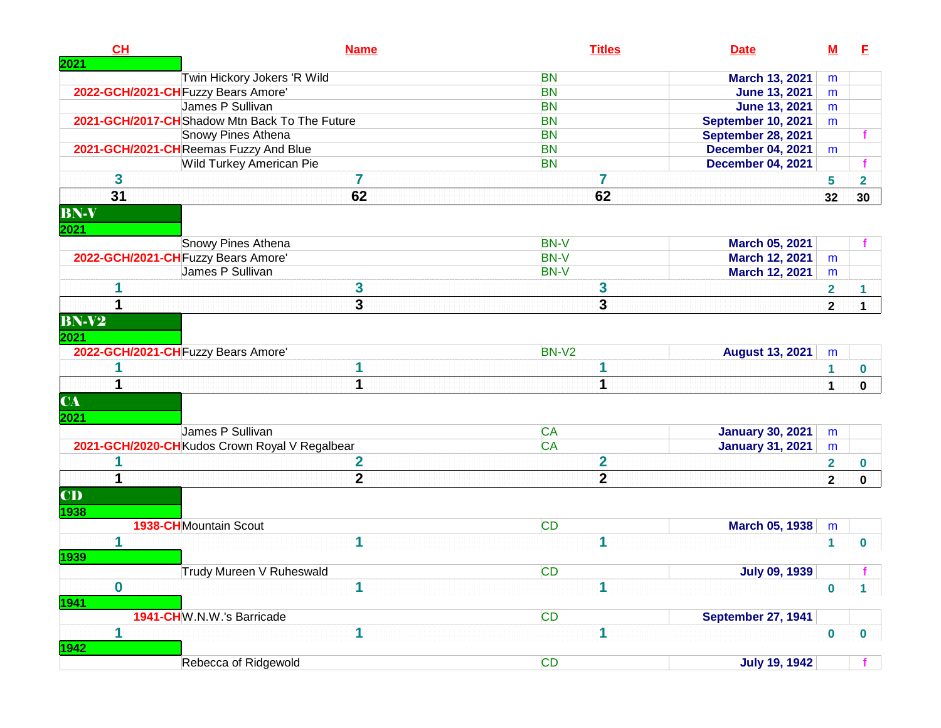| CH           | <b>Name</b>                                    | <b>Titles</b>           | <b>Date</b>               | $\underline{\mathsf{M}}$ | E                       |
|--------------|------------------------------------------------|-------------------------|---------------------------|--------------------------|-------------------------|
| <b>2021</b>  |                                                |                         |                           |                          |                         |
|              | Twin Hickory Jokers 'R Wild                    | <b>BN</b>               | March 13, 2021            | m                        |                         |
|              | 2022-GCH/2021-CH Fuzzy Bears Amore'            | <b>BN</b>               | <b>June 13, 2021</b>      | m                        |                         |
|              | James P Sullivan                               | <b>BN</b>               | <b>June 13, 2021</b>      | m                        |                         |
|              | 2021-GCH/2017-CH Shadow Mtn Back To The Future | <b>BN</b>               | <b>September 10, 2021</b> | m                        |                         |
|              | Snowy Pines Athena                             | <b>BN</b>               | September 28, 2021        |                          |                         |
|              | 2021-GCH/2021-CHReemas Fuzzy And Blue          | <b>BN</b>               | <b>December 04, 2021</b>  | m                        |                         |
|              | Wild Turkey American Pie                       | <b>BN</b>               | <b>December 04, 2021</b>  |                          |                         |
| 3            | 7                                              | 7                       |                           | 5                        | $\overline{\mathbf{2}}$ |
| 31           | 62                                             | 62                      |                           | 32                       | 30                      |
| <b>BN-V</b>  |                                                |                         |                           |                          |                         |
| 2021         |                                                |                         |                           |                          |                         |
|              | Snowy Pines Athena                             | <b>BN-V</b>             | March 05, 2021            |                          |                         |
|              | 2022-GCH/2021-CH Fuzzy Bears Amore'            | <b>BN-V</b>             | March 12, 2021            | m                        |                         |
|              | James P Sullivan                               | <b>BN-V</b>             | March 12, 2021            | m                        |                         |
| 1            | 3                                              | 3                       |                           | $\overline{\mathbf{2}}$  |                         |
| 1            | 3                                              | 3                       |                           | $\mathbf{2}$             | 1                       |
| <b>BN-V2</b> |                                                |                         |                           |                          |                         |
| 2021         |                                                |                         |                           |                          |                         |
|              | 2022-GCH/2021-CH Fuzzy Bears Amore'            | BN-V2                   | <b>August 13, 2021</b>    | m                        |                         |
|              | 1                                              | 1                       |                           | 1                        | 0                       |
| 1            | 1                                              | 1                       |                           | 1                        | $\mathbf 0$             |
| <b>CA</b>    |                                                |                         |                           |                          |                         |
| 2021         |                                                |                         |                           |                          |                         |
|              | James P Sullivan                               | <b>CA</b>               | <b>January 30, 2021</b>   | m                        |                         |
|              | 2021-GCH/2020-CH Kudos Crown Royal V Regalbear | <b>CA</b>               | <b>January 31, 2021</b>   | m                        |                         |
|              | $\mathbf 2$                                    | $\overline{\mathbf{2}}$ |                           | $\overline{\mathbf{2}}$  | 0                       |
| 1            | $\mathbf{2}$                                   | $\mathbf{2}$            |                           | $\mathbf{2}$             | $\mathbf 0$             |
| CD           |                                                |                         |                           |                          |                         |
| 1938         |                                                |                         |                           |                          |                         |
|              | <b>1938-CH</b> Mountain Scout                  | <b>CD</b>               | <b>March 05, 1938</b>     | m                        |                         |
| 1            | 1                                              | 1                       |                           | $\blacktriangleleft$     | $\mathbf 0$             |
| 1939         |                                                |                         |                           |                          |                         |
|              | Trudy Mureen V Ruheswald                       | <b>CD</b>               | <b>July 09, 1939</b>      |                          |                         |
| $\mathbf 0$  | 1                                              | 1                       |                           |                          |                         |
| 1941         |                                                |                         |                           | $\bf{0}$                 | 1                       |
|              | 1941-CHW.N.W.'s Barricade                      | <b>CD</b>               | <b>September 27, 1941</b> |                          |                         |
| 1            | 1                                              | 1                       |                           |                          |                         |
| 1942         |                                                |                         |                           | $\bf{0}$                 | 0                       |
|              | Rebecca of Ridgewold                           | <b>CD</b>               | <b>July 19, 1942</b>      |                          |                         |
|              |                                                |                         |                           |                          |                         |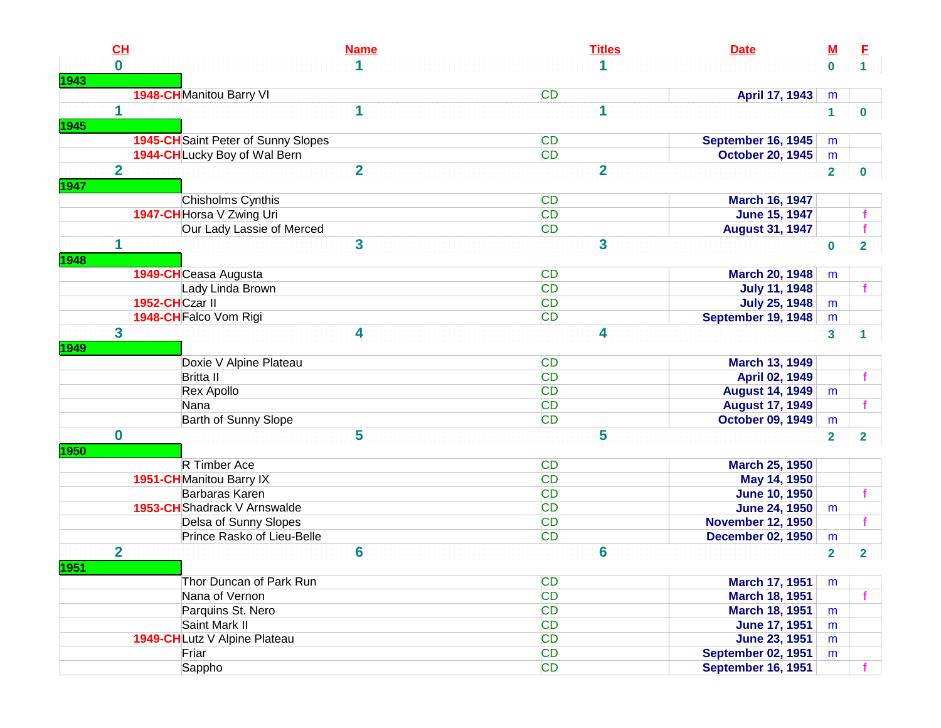|             | CL                      | <b>Name</b>                                | <b>Titles</b><br><b>Date</b>           | <u>M</u>       | E                       |
|-------------|-------------------------|--------------------------------------------|----------------------------------------|----------------|-------------------------|
|             | $\bf{0}$                |                                            |                                        | $\bf{0}$       | 1 <sup>1</sup>          |
| 1943        |                         |                                            |                                        |                |                         |
|             |                         | 1948-CHManitou Barry VI                    | <b>CD</b><br>April 17, 1943            | m              |                         |
|             | $\mathbf 1$             | 1                                          | 1                                      | $\mathbf{1}$   | $\mathbf 0$             |
| 1945        |                         |                                            |                                        |                |                         |
|             |                         | <b>1945-CH</b> Saint Peter of Sunny Slopes | <b>CD</b><br>September 16, 1945        | m              |                         |
|             |                         | 1944-CHLucky Boy of Wal Bern               | <b>CD</b><br><b>October 20, 1945</b>   | m              |                         |
|             | $\overline{\mathbf{2}}$ | $\overline{2}$                             | $\overline{2}$                         | $\overline{2}$ | 0                       |
| 1947        |                         |                                            |                                        |                |                         |
|             |                         | Chisholms Cynthis                          | <b>CD</b><br><b>March 16, 1947</b>     |                |                         |
|             |                         | 1947-CH Horsa V Zwing Uri                  | <b>CD</b><br><b>June 15, 1947</b>      |                |                         |
|             |                         | Our Lady Lassie of Merced                  | <b>CD</b><br><b>August 31, 1947</b>    |                |                         |
|             | 1                       | 3                                          | 3                                      | $\mathbf 0$    | $\overline{2}$          |
| <b>1948</b> |                         |                                            |                                        |                |                         |
|             |                         | 1949-CHCeasa Augusta                       | <b>CD</b><br><b>March 20, 1948</b>     | m              |                         |
|             |                         | Lady Linda Brown                           | <b>CD</b><br><b>July 11, 1948</b>      |                |                         |
|             | 1952-CHCzar II          |                                            | <b>CD</b><br><b>July 25, 1948</b>      | m              |                         |
|             |                         | 1948-CH Falco Vom Rigi                     | <b>CD</b><br>September 19, 1948        | m              |                         |
|             | 3                       | 4                                          | 4                                      | 3              | 1.                      |
| 1949        |                         |                                            |                                        |                |                         |
|             |                         | Doxie V Alpine Plateau                     | <b>CD</b><br><b>March 13, 1949</b>     |                |                         |
|             |                         | <b>Britta II</b>                           | <b>CD</b><br>April 02, 1949            |                |                         |
|             |                         | Rex Apollo                                 | <b>CD</b><br><b>August 14, 1949</b>    | m              |                         |
|             |                         | Nana                                       | <b>CD</b><br><b>August 17, 1949</b>    |                |                         |
|             |                         | Barth of Sunny Slope                       | <b>CD</b><br><b>October 09, 1949</b>   | m              |                         |
|             | $\mathbf 0$             | 5                                          | 5                                      | $\overline{2}$ | $\overline{2}$          |
| 1950        |                         |                                            |                                        |                |                         |
|             |                         | R Timber Ace                               | <b>CD</b><br><b>March 25, 1950</b>     |                |                         |
|             |                         | 1951-CHManitou Barry IX                    | <b>CD</b><br>May 14, 1950              |                |                         |
|             |                         | <b>Barbaras Karen</b>                      | <b>CD</b><br><b>June 10, 1950</b>      |                |                         |
|             |                         | 1953-CH Shadrack V Arnswalde               | <b>CD</b><br><b>June 24, 1950</b>      | m              |                         |
|             |                         | Delsa of Sunny Slopes                      | <b>CD</b><br><b>November 12, 1950</b>  |                |                         |
|             |                         | Prince Rasko of Lieu-Belle                 | <b>CD</b><br><b>December 02, 1950</b>  | m              |                         |
|             | $\overline{2}$          | 6                                          | 6                                      | $\overline{2}$ | $\overline{\mathbf{2}}$ |
| <b>1951</b> |                         |                                            |                                        |                |                         |
|             |                         | Thor Duncan of Park Run                    | <b>CD</b><br><b>March 17, 1951</b>     | m              |                         |
|             |                         | Nana of Vernon                             | <b>CD</b><br><b>March 18, 1951</b>     |                |                         |
|             |                         | Parquins St. Nero                          | <b>CD</b><br><b>March 18, 1951</b>     | m              |                         |
|             |                         | Saint Mark II                              | <b>CD</b><br><b>June 17, 1951</b>      | m              |                         |
|             |                         | 1949-CHLutz V Alpine Plateau               | <b>CD</b><br>June 23, 1951             | m              |                         |
|             |                         | Friar                                      | <b>CD</b><br><b>September 02, 1951</b> | m              |                         |
|             |                         | Sappho                                     | <b>CD</b><br>September 16, 1951        |                |                         |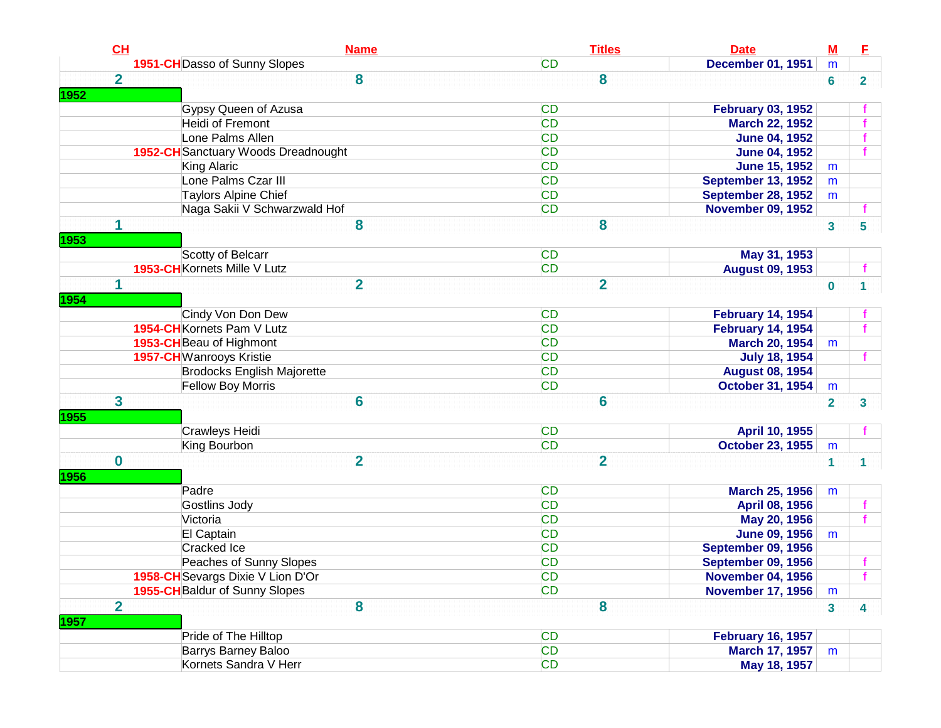|      | CH             | <b>Name</b>                         | <b>Titles</b>  | <b>Date</b>               | ${\bf M}$      | Е              |
|------|----------------|-------------------------------------|----------------|---------------------------|----------------|----------------|
|      |                | 1951-CH Dasso of Sunny Slopes       | <b>CD</b>      | <b>December 01, 1951</b>  | m              |                |
|      | $\overline{2}$ | 8                                   | 8              |                           | $6\phantom{1}$ | $\overline{2}$ |
| 1952 |                |                                     |                |                           |                |                |
|      |                | Gypsy Queen of Azusa                | <b>CD</b>      | <b>February 03, 1952</b>  |                |                |
|      |                | Heidi of Fremont                    | <b>CD</b>      | <b>March 22, 1952</b>     |                |                |
|      |                | Lone Palms Allen                    | <b>CD</b>      | <b>June 04, 1952</b>      |                |                |
|      |                | 1952-CH Sanctuary Woods Dreadnought | <b>CD</b>      | <b>June 04, 1952</b>      |                |                |
|      |                | King Alaric                         | <b>CD</b>      | <b>June 15, 1952</b>      | m              |                |
|      |                | Lone Palms Czar III                 | <b>CD</b>      | <b>September 13, 1952</b> | m              |                |
|      |                | <b>Taylors Alpine Chief</b>         | <b>CD</b>      | <b>September 28, 1952</b> | m              |                |
|      |                | Naga Sakii V Schwarzwald Hof        | <b>CD</b>      | <b>November 09, 1952</b>  |                |                |
|      | 1              | 8                                   | 8              |                           | $\mathbf{3}$   | 5              |
| 1953 |                |                                     |                |                           |                |                |
|      |                | Scotty of Belcarr                   | <b>CD</b>      | May 31, 1953              |                |                |
|      |                | 1953-CH Kornets Mille V Lutz        | <b>CD</b>      | <b>August 09, 1953</b>    |                |                |
|      | 1              | $\overline{2}$                      | $\overline{2}$ |                           | $\bf{0}$       | 1              |
| 1954 |                |                                     |                |                           |                |                |
|      |                | Cindy Von Don Dew                   | <b>CD</b>      | <b>February 14, 1954</b>  |                |                |
|      |                | 1954-CH Kornets Pam V Lutz          | <b>CD</b>      | <b>February 14, 1954</b>  |                |                |
|      |                | 1953-CH Beau of Highmont            | <b>CD</b>      | <b>March 20, 1954</b>     | m              |                |
|      |                | <b>1957-CH</b> Wanrooys Kristie     | <b>CD</b>      | <b>July 18, 1954</b>      |                |                |
|      |                | <b>Brodocks English Majorette</b>   | <b>CD</b>      | <b>August 08, 1954</b>    |                |                |
|      |                | Fellow Boy Morris                   | <b>CD</b>      | <b>October 31, 1954</b>   | m              |                |
|      | 3              | 6                                   | 6              |                           | $\overline{2}$ | 3              |
| 1955 |                |                                     |                |                           |                |                |
|      |                | Crawleys Heidi                      | <b>CD</b>      | April 10, 1955            |                |                |
|      |                | King Bourbon                        | <b>CD</b>      | <b>October 23, 1955</b>   | m              |                |
|      | $\bf{0}$       | $\overline{2}$                      | $\overline{2}$ |                           | 1              |                |
| 1956 |                |                                     |                |                           |                |                |
|      |                | Padre                               | <b>CD</b>      | <b>March 25, 1956</b>     | m              |                |
|      |                | Gostlins Jody                       | <b>CD</b>      | April 08, 1956            |                |                |
|      |                | Victoria                            | <b>CD</b>      | May 20, 1956              |                |                |
|      |                | El Captain                          | <b>CD</b>      | <b>June 09, 1956</b>      | m              |                |
|      |                | <b>Cracked Ice</b>                  | <b>CD</b>      | September 09, 1956        |                |                |
|      |                | Peaches of Sunny Slopes             | <b>CD</b>      | <b>September 09, 1956</b> |                |                |
|      |                | 1958-CH Sevargs Dixie V Lion D'Or   | CD             | <b>November 04, 1956</b>  |                |                |
|      |                | 1955-CH Baldur of Sunny Slopes      | <b>CD</b>      | <b>November 17, 1956</b>  | m              |                |
|      | $\overline{2}$ | 8                                   | 8              |                           | $\mathbf{3}$   | 4              |
| 1957 |                |                                     |                |                           |                |                |
|      |                | Pride of The Hilltop                | <b>CD</b>      | <b>February 16, 1957</b>  |                |                |
|      |                | Barrys Barney Baloo                 | <b>CD</b>      | <b>March 17, 1957</b>     | m              |                |
|      |                | Kornets Sandra V Herr               | <b>CD</b>      | May 18, 1957              |                |                |
|      |                |                                     |                |                           |                |                |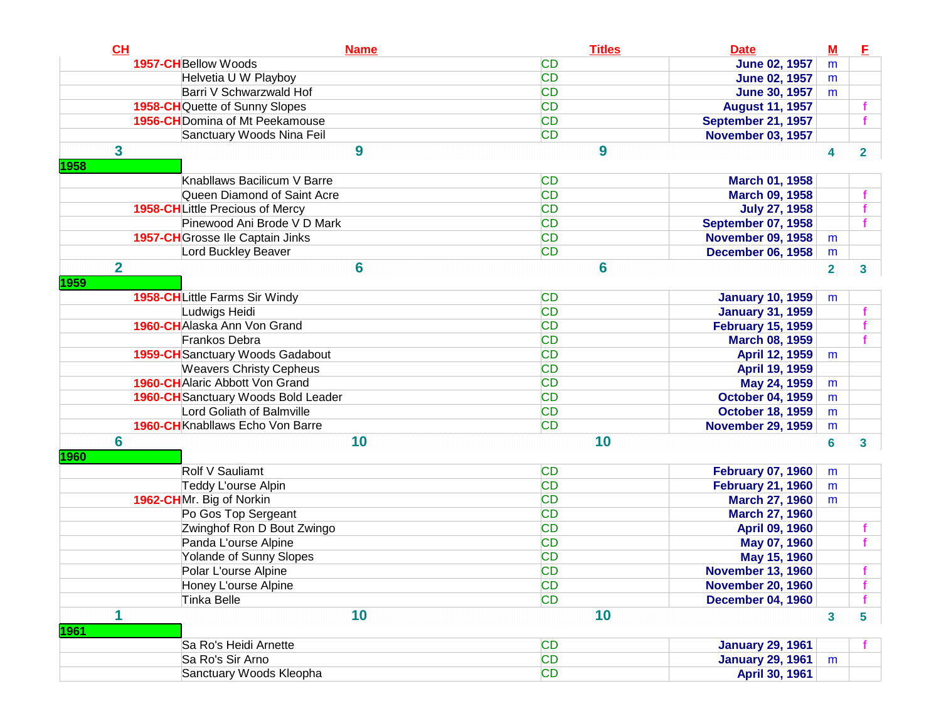| CL             | <b>Name</b>                             | <b>Titles</b> | <b>Date</b>               | $\underline{\mathbf{M}}$ | E              |
|----------------|-----------------------------------------|---------------|---------------------------|--------------------------|----------------|
|                | 1957-CH Bellow Woods                    | <b>CD</b>     | <b>June 02, 1957</b>      | m                        |                |
|                | Helvetia U W Playboy                    | <b>CD</b>     | <b>June 02, 1957</b>      | m                        |                |
|                | Barri V Schwarzwald Hof                 | <b>CD</b>     | <b>June 30, 1957</b>      | m                        |                |
|                | 1958-CH Quette of Sunny Slopes          | <b>CD</b>     | <b>August 11, 1957</b>    |                          |                |
|                | 1956-CH Domina of Mt Peekamouse         | <b>CD</b>     | September 21, 1957        |                          |                |
|                | Sanctuary Woods Nina Feil               | <b>CD</b>     | <b>November 03, 1957</b>  |                          |                |
| 3              | 9                                       | 9             |                           | 4                        | $\overline{2}$ |
| 1958           |                                         |               |                           |                          |                |
|                | Knabllaws Bacilicum V Barre             | <b>CD</b>     | March 01, 1958            |                          |                |
|                | Queen Diamond of Saint Acre             | <b>CD</b>     | <b>March 09, 1958</b>     |                          |                |
|                | <b>1958-CHLittle Precious of Mercy</b>  | <b>CD</b>     | <b>July 27, 1958</b>      |                          |                |
|                | Pinewood Ani Brode V D Mark             | <b>CD</b>     | <b>September 07, 1958</b> |                          |                |
|                | 1957-CH Grosse Ile Captain Jinks        | <b>CD</b>     | <b>November 09, 1958</b>  | m                        |                |
|                | Lord Buckley Beaver                     | <b>CD</b>     | <b>December 06, 1958</b>  | m                        |                |
| $\overline{2}$ | 6                                       | 6             |                           | $\overline{\mathbf{2}}$  | 3              |
| 1959           |                                         |               |                           |                          |                |
|                | 1958-CHLittle Farms Sir Windy           | <b>CD</b>     | <b>January 10, 1959</b>   | m                        |                |
|                | Ludwigs Heidi                           | <b>CD</b>     | <b>January 31, 1959</b>   |                          |                |
|                | 1960-CH Alaska Ann Von Grand            | <b>CD</b>     | <b>February 15, 1959</b>  |                          |                |
|                | <b>Frankos Debra</b>                    | <b>CD</b>     | <b>March 08, 1959</b>     |                          |                |
|                | 1959-CH Sanctuary Woods Gadabout        | CD            | April 12, 1959            | m                        |                |
|                | <b>Weavers Christy Cepheus</b>          | CD            | April 19, 1959            |                          |                |
|                | <b>1960-CH</b> Alaric Abbott Von Grand  | CD            | May 24, 1959              | m                        |                |
|                | 1960-CH Sanctuary Woods Bold Leader     | CD            | <b>October 04, 1959</b>   | m                        |                |
|                | Lord Goliath of Balmville               | <b>CD</b>     | <b>October 18, 1959</b>   | m                        |                |
|                | <b>1960-CH</b> Knabllaws Echo Von Barre | <b>CD</b>     | <b>November 29, 1959</b>  | ${\sf m}$                |                |
| $6\phantom{a}$ | 10                                      | 10            |                           | 6                        | 3              |
| 1960           |                                         |               |                           |                          |                |
|                | Rolf V Sauliamt                         | <b>CD</b>     | <b>February 07, 1960</b>  | m                        |                |
|                | Teddy L'ourse Alpin                     | <b>CD</b>     | <b>February 21, 1960</b>  | m                        |                |
|                | 1962-CHMr. Big of Norkin                | <b>CD</b>     | <b>March 27, 1960</b>     | m                        |                |
|                | Po Gos Top Sergeant                     | <b>CD</b>     | <b>March 27, 1960</b>     |                          |                |
|                | Zwinghof Ron D Bout Zwingo              | <b>CD</b>     | April 09, 1960            |                          |                |
|                | Panda L'ourse Alpine                    | <b>CD</b>     | May 07, 1960              |                          |                |
|                | Yolande of Sunny Slopes                 | <b>CD</b>     | May 15, 1960              |                          |                |
|                | Polar L'ourse Alpine                    | <b>CD</b>     | <b>November 13, 1960</b>  |                          |                |
|                | Honey L'ourse Alpine                    | <b>CD</b>     | <b>November 20, 1960</b>  |                          |                |
|                | Tinka Belle                             | <b>CD</b>     | <b>December 04, 1960</b>  |                          |                |
| 1<br>1961      | 10                                      | 10            |                           | $\overline{\mathbf{3}}$  | 5              |
|                | Sa Ro's Heidi Arnette                   | CD            | <b>January 29, 1961</b>   |                          |                |
|                | Sa Ro's Sir Arno                        | <b>CD</b>     | <b>January 29, 1961</b>   | m                        |                |
|                | Sanctuary Woods Kleopha                 | <b>CD</b>     | April 30, 1961            |                          |                |
|                |                                         |               |                           |                          |                |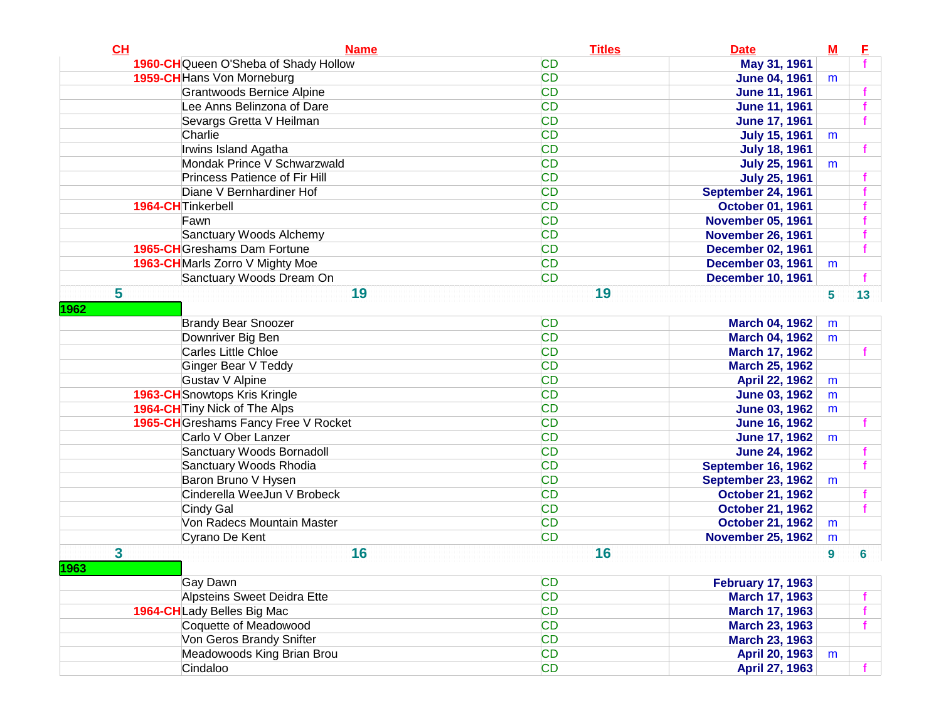| CH          | <b>Name</b>                          | <b>Titles</b> | <b>Date</b>               | M | Е               |
|-------------|--------------------------------------|---------------|---------------------------|---|-----------------|
|             | 1960-CHQueen O'Sheba of Shady Hollow | <b>CD</b>     | May 31, 1961              |   |                 |
|             | 1959-CH Hans Von Morneburg           | <b>CD</b>     | <b>June 04, 1961</b>      | m |                 |
|             | <b>Grantwoods Bernice Alpine</b>     | <b>CD</b>     | <b>June 11, 1961</b>      |   |                 |
|             | Lee Anns Belinzona of Dare           | <b>CD</b>     | <b>June 11, 1961</b>      |   |                 |
|             | Sevargs Gretta V Heilman             | <b>CD</b>     | <b>June 17, 1961</b>      |   |                 |
|             | Charlie                              | <b>CD</b>     | <b>July 15, 1961</b>      | m |                 |
|             | Irwins Island Agatha                 | <b>CD</b>     | <b>July 18, 1961</b>      |   |                 |
|             | Mondak Prince V Schwarzwald          | <b>CD</b>     | <b>July 25, 1961</b>      | m |                 |
|             | Princess Patience of Fir Hill        | <b>CD</b>     | <b>July 25, 1961</b>      |   |                 |
|             | Diane V Bernhardiner Hof             | <b>CD</b>     | September 24, 1961        |   |                 |
|             | 1964-CH Tinkerbell                   | <b>CD</b>     | <b>October 01, 1961</b>   |   |                 |
|             | Fawn                                 | <b>CD</b>     | <b>November 05, 1961</b>  |   |                 |
|             | Sanctuary Woods Alchemy              | <b>CD</b>     | <b>November 26, 1961</b>  |   |                 |
|             | 1965-CHGreshams Dam Fortune          | <b>CD</b>     | <b>December 02, 1961</b>  |   |                 |
|             | 1963-CH Marls Zorro V Mighty Moe     | <b>CD</b>     | <b>December 03, 1961</b>  | m |                 |
|             | Sanctuary Woods Dream On             | <b>CD</b>     | <b>December 10, 1961</b>  |   |                 |
| 5           | 19                                   | 19            |                           | 5 | 13 <sup>°</sup> |
| 1962        |                                      |               |                           |   |                 |
|             | <b>Brandy Bear Snoozer</b>           | <b>CD</b>     | <b>March 04, 1962</b>     | m |                 |
|             | Downriver Big Ben                    | <b>CD</b>     | <b>March 04, 1962</b>     | m |                 |
|             | Carles Little Chloe                  | <b>CD</b>     | March 17, 1962            |   | f               |
|             | Ginger Bear V Teddy                  | <b>CD</b>     | <b>March 25, 1962</b>     |   |                 |
|             | Gustav V Alpine                      | <b>CD</b>     | April 22, 1962            | m |                 |
|             | 1963-CH Snowtops Kris Kringle        | <b>CD</b>     | <b>June 03, 1962</b>      | m |                 |
|             | 1964-CH Tiny Nick of The Alps        | <b>CD</b>     | <b>June 03, 1962</b>      | m |                 |
|             | 1965-CH Greshams Fancy Free V Rocket | <b>CD</b>     | <b>June 16, 1962</b>      |   |                 |
|             | Carlo V Ober Lanzer                  | <b>CD</b>     | <b>June 17, 1962</b>      | m |                 |
|             | Sanctuary Woods Bornadoll            | <b>CD</b>     | <b>June 24, 1962</b>      |   |                 |
|             | Sanctuary Woods Rhodia               | <b>CD</b>     | September 16, 1962        |   |                 |
|             | Baron Bruno V Hysen                  | <b>CD</b>     | <b>September 23, 1962</b> | m |                 |
|             | Cinderella WeeJun V Brobeck          | <b>CD</b>     | <b>October 21, 1962</b>   |   |                 |
|             | Cindy Gal                            | <b>CD</b>     | <b>October 21, 1962</b>   |   | f.              |
|             | Von Radecs Mountain Master           | <b>CD</b>     | <b>October 21, 1962</b>   | m |                 |
|             | Cyrano De Kent                       | <b>CD</b>     | <b>November 25, 1962</b>  | m |                 |
| 3           | 16                                   | 16            |                           | 9 | 6               |
| <b>1963</b> |                                      |               |                           |   |                 |
|             | Gay Dawn                             | <b>CD</b>     | <b>February 17, 1963</b>  |   |                 |
|             | Alpsteins Sweet Deidra Ette          | <b>CD</b>     | <b>March 17, 1963</b>     |   | f.              |
|             | 1964-CHLady Belles Big Mac           | <b>CD</b>     | <b>March 17, 1963</b>     |   | $\mathbf{f}$    |
|             | Coquette of Meadowood                | <b>CD</b>     | <b>March 23, 1963</b>     |   | f               |
|             | Von Geros Brandy Snifter             | <b>CD</b>     | <b>March 23, 1963</b>     |   |                 |
|             | Meadowoods King Brian Brou           | <b>CD</b>     | April 20, 1963            | m |                 |
|             | Cindaloo                             | <b>CD</b>     | <b>April 27, 1963</b>     |   | f.              |
|             |                                      |               |                           |   |                 |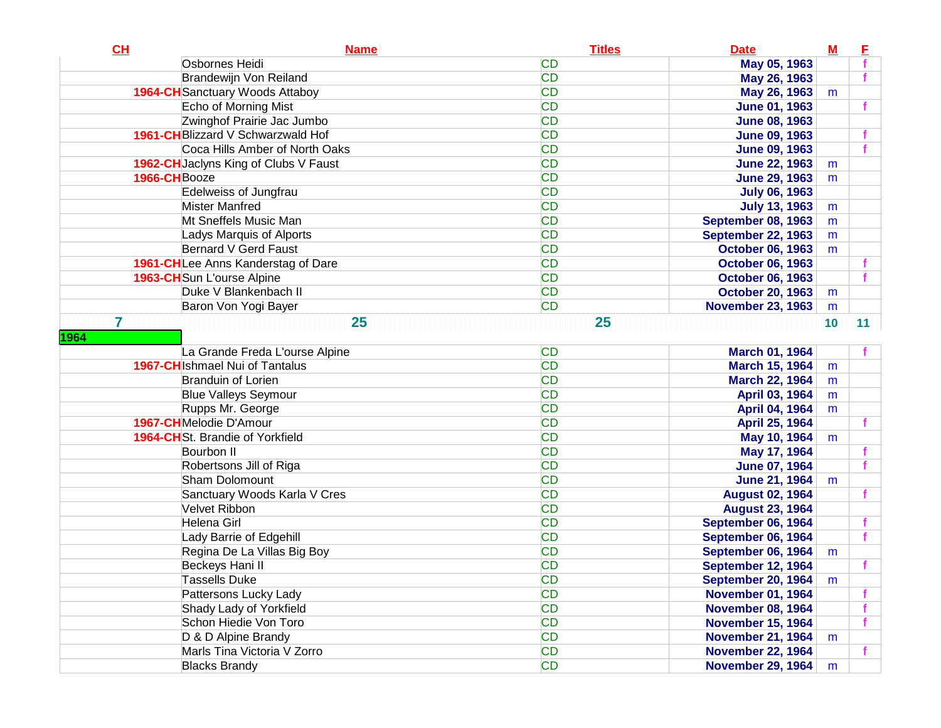| CH             | <b>Name</b>                            | <b>Titles</b> | <b>Date</b>               | M  | E               |
|----------------|----------------------------------------|---------------|---------------------------|----|-----------------|
|                | Osbornes Heidi                         | <b>CD</b>     | May 05, 1963              |    |                 |
|                | <b>Brandewijn Von Reiland</b>          | <b>CD</b>     | May 26, 1963              |    |                 |
|                | <b>1964-CH</b> Sanctuary Woods Attaboy | <b>CD</b>     | May 26, 1963              | m  |                 |
|                | Echo of Morning Mist                   | <b>CD</b>     | <b>June 01, 1963</b>      |    |                 |
|                | Zwinghof Prairie Jac Jumbo             | <b>CD</b>     | <b>June 08, 1963</b>      |    |                 |
|                | 1961-CHBlizzard V Schwarzwald Hof      | <b>CD</b>     | <b>June 09, 1963</b>      |    |                 |
|                | Coca Hills Amber of North Oaks         | <b>CD</b>     | <b>June 09, 1963</b>      |    |                 |
|                | 1962-CH Jaclyns King of Clubs V Faust  | <b>CD</b>     | <b>June 22, 1963</b>      | m  |                 |
| 1966-CHBooze   |                                        | <b>CD</b>     | <b>June 29, 1963</b>      | m  |                 |
|                | Edelweiss of Jungfrau                  | <b>CD</b>     | <b>July 06, 1963</b>      |    |                 |
|                | <b>Mister Manfred</b>                  | <b>CD</b>     | <b>July 13, 1963</b>      | m  |                 |
|                | Mt Sneffels Music Man                  | <b>CD</b>     | <b>September 08, 1963</b> | m  |                 |
|                | Ladys Marquis of Alports               | <b>CD</b>     | <b>September 22, 1963</b> | m  |                 |
|                | Bernard V Gerd Faust                   | <b>CD</b>     | <b>October 06, 1963</b>   | m  |                 |
|                | 1961-CHLee Anns Kanderstag of Dare     | <b>CD</b>     | <b>October 06, 1963</b>   |    |                 |
|                | 1963-CH Sun L'ourse Alpine             | <b>CD</b>     | <b>October 06, 1963</b>   |    |                 |
|                | Duke V Blankenbach II                  | <b>CD</b>     | <b>October 20, 1963</b>   | m  |                 |
|                | Baron Von Yogi Bayer                   | <b>CD</b>     | <b>November 23, 1963</b>  | m  |                 |
| $\overline{7}$ | 25                                     | 25            |                           | 10 | 11 <sup>1</sup> |
| 1964           |                                        |               |                           |    |                 |
|                | La Grande Freda L'ourse Alpine         | <b>CD</b>     | March 01, 1964            |    |                 |
|                | 1967-CH Ishmael Nui of Tantalus        | <b>CD</b>     | March 15, 1964            | m  |                 |
|                | Branduin of Lorien                     | <b>CD</b>     | <b>March 22, 1964</b>     | m  |                 |
|                | <b>Blue Valleys Seymour</b>            | <b>CD</b>     | April 03, 1964            | m  |                 |
|                | Rupps Mr. George                       | <b>CD</b>     | April 04, 1964            | m  |                 |
|                | 1967-CHMelodie D'Amour                 | <b>CD</b>     | April 25, 1964            |    |                 |
|                | 1964-CHSt. Brandie of Yorkfield        | <b>CD</b>     | May 10, 1964              | m  |                 |
|                | Bourbon II                             | <b>CD</b>     | May 17, 1964              |    |                 |
|                | Robertsons Jill of Riga                | <b>CD</b>     | <b>June 07, 1964</b>      |    |                 |
|                | Sham Dolomount                         | <b>CD</b>     | <b>June 21, 1964</b>      | m  |                 |
|                | Sanctuary Woods Karla V Cres           | <b>CD</b>     | <b>August 02, 1964</b>    |    |                 |
|                | Velvet Ribbon                          | <b>CD</b>     | <b>August 23, 1964</b>    |    |                 |
|                | Helena Girl                            | <b>CD</b>     | September 06, 1964        |    |                 |
|                | Lady Barrie of Edgehill                | <b>CD</b>     | September 06, 1964        |    |                 |
|                | Regina De La Villas Big Boy            | <b>CD</b>     | September 06, 1964        | m  |                 |
|                | Beckeys Hani II                        | <b>CD</b>     | September 12, 1964        |    |                 |
|                | <b>Tassells Duke</b>                   | <b>CD</b>     | <b>September 20, 1964</b> | m  |                 |
|                | Pattersons Lucky Lady                  | <b>CD</b>     | <b>November 01, 1964</b>  |    |                 |
|                | Shady Lady of Yorkfield                | <b>CD</b>     | <b>November 08, 1964</b>  |    |                 |
|                | Schon Hiedie Von Toro                  | <b>CD</b>     | <b>November 15, 1964</b>  |    |                 |
|                | D & D Alpine Brandy                    | <b>CD</b>     | <b>November 21, 1964</b>  | m  |                 |
|                | Marls Tina Victoria V Zorro            | CD            | <b>November 22, 1964</b>  |    |                 |
|                | <b>Blacks Brandy</b>                   | CD            | <b>November 29, 1964</b>  | m  |                 |
|                |                                        |               |                           |    |                 |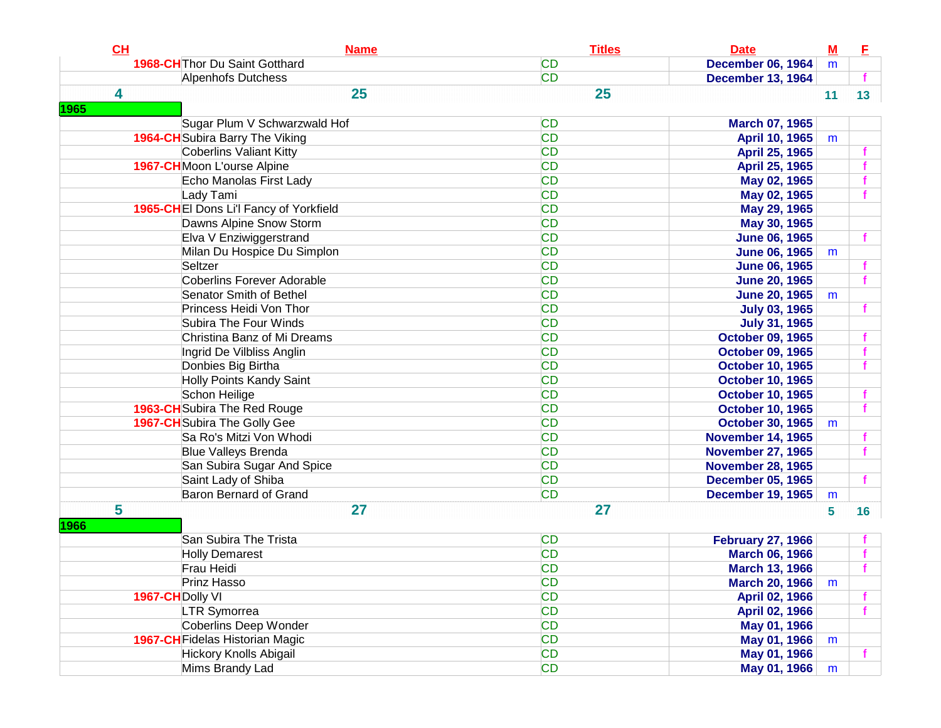| CH               | <b>Name</b>                            | <b>Titles</b> | <b>Date</b>              | $\underline{\mathbf{M}}$ | Е               |
|------------------|----------------------------------------|---------------|--------------------------|--------------------------|-----------------|
|                  | 1968-CH Thor Du Saint Gotthard         | <b>CD</b>     | <b>December 06, 1964</b> | m                        |                 |
|                  | Alpenhofs Dutchess                     | <b>CD</b>     | <b>December 13, 1964</b> |                          |                 |
| 4                | 25                                     | 25            |                          | 11                       | 13 <sup>7</sup> |
| 1965             |                                        |               |                          |                          |                 |
|                  | Sugar Plum V Schwarzwald Hof           | <b>CD</b>     | <b>March 07, 1965</b>    |                          |                 |
|                  | <b>1964-CH</b> Subira Barry The Viking | <b>CD</b>     | April 10, 1965           | m                        |                 |
|                  | <b>Coberlins Valiant Kitty</b>         | <b>CD</b>     | April 25, 1965           |                          |                 |
|                  | 1967-CHMoon L'ourse Alpine             | <b>CD</b>     | April 25, 1965           |                          |                 |
|                  | Echo Manolas First Lady                | <b>CD</b>     | May 02, 1965             |                          |                 |
|                  | Lady Tami                              | <b>CD</b>     | May 02, 1965             |                          |                 |
|                  | 1965-CHEI Dons Li'l Fancy of Yorkfield | <b>CD</b>     | May 29, 1965             |                          |                 |
|                  | Dawns Alpine Snow Storm                | <b>CD</b>     | May 30, 1965             |                          |                 |
|                  | Elva V Enziwiggerstrand                | <b>CD</b>     | <b>June 06, 1965</b>     |                          |                 |
|                  | Milan Du Hospice Du Simplon            | <b>CD</b>     | <b>June 06, 1965</b>     | m                        |                 |
|                  | Seltzer                                | <b>CD</b>     | <b>June 06, 1965</b>     |                          |                 |
|                  | <b>Coberlins Forever Adorable</b>      | <b>CD</b>     | <b>June 20, 1965</b>     |                          |                 |
|                  | Senator Smith of Bethel                | <b>CD</b>     | <b>June 20, 1965</b>     | m                        |                 |
|                  | Princess Heidi Von Thor                | <b>CD</b>     | <b>July 03, 1965</b>     |                          |                 |
|                  | Subira The Four Winds                  | <b>CD</b>     | <b>July 31, 1965</b>     |                          |                 |
|                  | Christina Banz of Mi Dreams            | <b>CD</b>     | <b>October 09, 1965</b>  |                          |                 |
|                  | Ingrid De Vilbliss Anglin              | <b>CD</b>     | <b>October 09, 1965</b>  |                          |                 |
|                  | Donbies Big Birtha                     | <b>CD</b>     | <b>October 10, 1965</b>  |                          |                 |
|                  | <b>Holly Points Kandy Saint</b>        | <b>CD</b>     | <b>October 10, 1965</b>  |                          |                 |
|                  | Schon Heilige                          | <b>CD</b>     | <b>October 10, 1965</b>  |                          |                 |
|                  | 1963-CH Subira The Red Rouge           | <b>CD</b>     | <b>October 10, 1965</b>  |                          |                 |
|                  | 1967-CH Subira The Golly Gee           | <b>CD</b>     | <b>October 30, 1965</b>  | m                        |                 |
|                  | Sa Ro's Mitzi Von Whodi                | <b>CD</b>     | <b>November 14, 1965</b> |                          |                 |
|                  | <b>Blue Valleys Brenda</b>             | <b>CD</b>     | <b>November 27, 1965</b> |                          |                 |
|                  | San Subira Sugar And Spice             | <b>CD</b>     | <b>November 28, 1965</b> |                          |                 |
|                  | Saint Lady of Shiba                    | <b>CD</b>     | <b>December 05, 1965</b> |                          |                 |
|                  | <b>Baron Bernard of Grand</b>          | <b>CD</b>     | <b>December 19, 1965</b> | m                        |                 |
| 5                | 27                                     | 27            |                          | 5                        | 16              |
| <b>1966</b>      |                                        |               |                          |                          |                 |
|                  | San Subira The Trista                  | <b>CD</b>     | <b>February 27, 1966</b> |                          |                 |
|                  | <b>Holly Demarest</b>                  | <b>CD</b>     | <b>March 06, 1966</b>    |                          |                 |
|                  | Frau Heidi                             | <b>CD</b>     | <b>March 13, 1966</b>    |                          |                 |
|                  | Prinz Hasso                            | <b>CD</b>     | <b>March 20, 1966</b>    | m                        |                 |
| 1967-CH Dolly VI |                                        | <b>CD</b>     | April 02, 1966           |                          |                 |
|                  | <b>LTR Symorrea</b>                    | <b>CD</b>     | April 02, 1966           |                          | f               |
|                  | <b>Coberlins Deep Wonder</b>           | <b>CD</b>     | May 01, 1966             |                          |                 |
|                  | <b>1967-CH</b> Fidelas Historian Magic | <b>CD</b>     | May 01, 1966             | m                        |                 |
|                  | <b>Hickory Knolls Abigail</b>          | CD            | May 01, 1966             |                          | f               |
|                  | Mims Brandy Lad                        | <b>CD</b>     | May 01, 1966             | m                        |                 |
|                  |                                        |               |                          |                          |                 |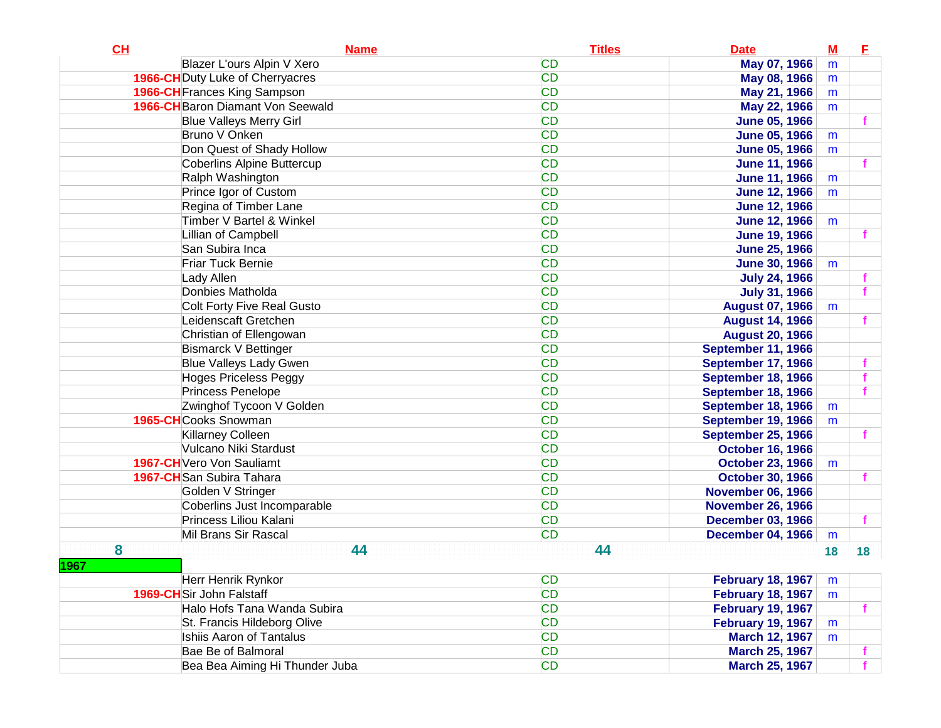| CL   | <b>Name</b>                             | <b>Titles</b> | <b>Date</b>               | $M$ | E  |
|------|-----------------------------------------|---------------|---------------------------|-----|----|
|      | Blazer L'ours Alpin V Xero              | <b>CD</b>     | May 07, 1966              | m   |    |
|      | <b>1966-CH</b> Duty Luke of Cherryacres | <b>CD</b>     | May 08, 1966              | m   |    |
|      | <b>1966-CH</b> Frances King Sampson     | <b>CD</b>     | May 21, 1966              | m   |    |
|      | 1966-CH Baron Diamant Von Seewald       | <b>CD</b>     | May 22, 1966              | m   |    |
|      | <b>Blue Valleys Merry Girl</b>          | <b>CD</b>     | <b>June 05, 1966</b>      |     |    |
|      | Bruno V Onken                           | <b>CD</b>     | <b>June 05, 1966</b>      | m   |    |
|      | Don Quest of Shady Hollow               | <b>CD</b>     | <b>June 05, 1966</b>      | m   |    |
|      | Coberlins Alpine Buttercup              | <b>CD</b>     | <b>June 11, 1966</b>      |     |    |
|      | Ralph Washington                        | <b>CD</b>     | <b>June 11, 1966</b>      | m   |    |
|      | Prince Igor of Custom                   | <b>CD</b>     | <b>June 12, 1966</b>      | m   |    |
|      | Regina of Timber Lane                   | <b>CD</b>     | <b>June 12, 1966</b>      |     |    |
|      | Timber V Bartel & Winkel                | <b>CD</b>     | <b>June 12, 1966</b>      | m   |    |
|      | Lillian of Campbell                     | <b>CD</b>     | <b>June 19, 1966</b>      |     |    |
|      | San Subira Inca                         | <b>CD</b>     | <b>June 25, 1966</b>      |     |    |
|      | Friar Tuck Bernie                       | <b>CD</b>     | <b>June 30, 1966</b>      | m   |    |
|      | Lady Allen                              | <b>CD</b>     | <b>July 24, 1966</b>      |     |    |
|      | Donbies Matholda                        | <b>CD</b>     | <b>July 31, 1966</b>      |     |    |
|      | Colt Forty Five Real Gusto              | <b>CD</b>     | <b>August 07, 1966</b>    | m   |    |
|      | Leidenscaft Gretchen                    | <b>CD</b>     | <b>August 14, 1966</b>    |     |    |
|      | Christian of Ellengowan                 | <b>CD</b>     | <b>August 20, 1966</b>    |     |    |
|      | <b>Bismarck V Bettinger</b>             | <b>CD</b>     | September 11, 1966        |     |    |
|      | <b>Blue Valleys Lady Gwen</b>           | <b>CD</b>     | September 17, 1966        |     | f  |
|      | <b>Hoges Priceless Peggy</b>            | <b>CD</b>     | September 18, 1966        |     |    |
|      | Princess Penelope                       | <b>CD</b>     | September 18, 1966        |     |    |
|      | Zwinghof Tycoon V Golden                | <b>CD</b>     | <b>September 18, 1966</b> | m   |    |
|      | 1965-CHCooks Snowman                    | <b>CD</b>     | September 19, 1966        | m   |    |
|      | <b>Killarney Colleen</b>                | <b>CD</b>     | <b>September 25, 1966</b> |     |    |
|      | Vulcano Niki Stardust                   | <b>CD</b>     | <b>October 16, 1966</b>   |     |    |
|      | 1967-CH Vero Von Sauliamt               | <b>CD</b>     | <b>October 23, 1966</b>   | m   |    |
|      | 1967-CH San Subira Tahara               | <b>CD</b>     | <b>October 30, 1966</b>   |     |    |
|      | Golden V Stringer                       | <b>CD</b>     | <b>November 06, 1966</b>  |     |    |
|      | Coberlins Just Incomparable             | <b>CD</b>     | <b>November 26, 1966</b>  |     |    |
|      | Princess Liliou Kalani                  | <b>CD</b>     | <b>December 03, 1966</b>  |     | f  |
|      | Mil Brans Sir Rascal                    | <b>CD</b>     | <b>December 04, 1966</b>  | m   |    |
| 8    | 44                                      | 44            |                           | 18  | 18 |
| 1967 |                                         |               |                           |     |    |
|      | Herr Henrik Rynkor                      | <b>CD</b>     | <b>February 18, 1967</b>  | m   |    |
|      | 1969-CHSir John Falstaff                | <b>CD</b>     | <b>February 18, 1967</b>  | m   |    |
|      | Halo Hofs Tana Wanda Subira             | <b>CD</b>     | <b>February 19, 1967</b>  |     |    |
|      | St. Francis Hildeborg Olive             | <b>CD</b>     | <b>February 19, 1967</b>  | m   |    |
|      | <b>Ishiis Aaron of Tantalus</b>         | <b>CD</b>     | March 12, 1967            | m   |    |
|      | Bae Be of Balmoral                      | <b>CD</b>     | <b>March 25, 1967</b>     |     |    |
|      | Bea Bea Aiming Hi Thunder Juba          | <b>CD</b>     | <b>March 25, 1967</b>     |     |    |
|      |                                         |               |                           |     |    |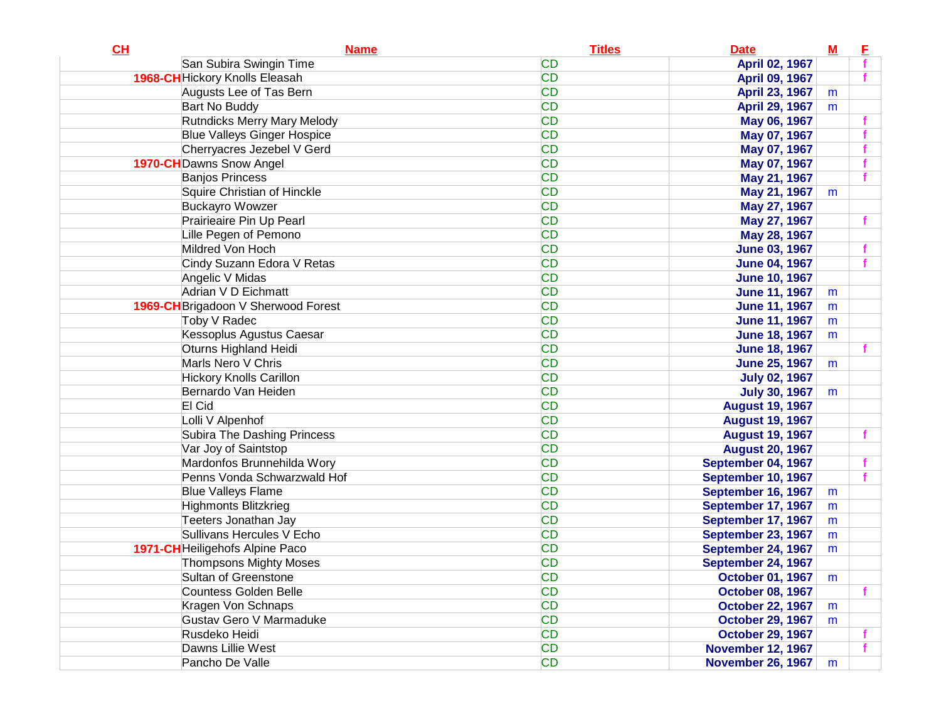| CL                                    | <b>Name</b> | <b>Titles</b> | <b>Date</b>              | $\underline{\mathbf{M}}$ | E |
|---------------------------------------|-------------|---------------|--------------------------|--------------------------|---|
| San Subira Swingin Time               |             | <b>CD</b>     | April 02, 1967           |                          |   |
| <b>1968-CH</b> Hickory Knolls Eleasah |             | <b>CD</b>     | <b>April 09, 1967</b>    |                          |   |
| Augusts Lee of Tas Bern               |             | <b>CD</b>     | April 23, 1967           | m                        |   |
| Bart No Buddy                         |             | <b>CD</b>     | <b>April 29, 1967</b>    | m                        |   |
| <b>Rutndicks Merry Mary Melody</b>    |             | <b>CD</b>     | May 06, 1967             |                          |   |
| <b>Blue Valleys Ginger Hospice</b>    |             | <b>CD</b>     | May 07, 1967             |                          |   |
| Cherryacres Jezebel V Gerd            |             | <b>CD</b>     | May 07, 1967             |                          |   |
| <b>1970-CH</b> Dawns Snow Angel       |             | <b>CD</b>     | May 07, 1967             |                          |   |
| <b>Banjos Princess</b>                |             | <b>CD</b>     | May 21, 1967             |                          |   |
| Squire Christian of Hinckle           |             | <b>CD</b>     | May 21, 1967             | m                        |   |
| <b>Buckayro Wowzer</b>                |             | <b>CD</b>     | May 27, 1967             |                          |   |
| Prairieaire Pin Up Pearl              |             | <b>CD</b>     | May 27, 1967             |                          |   |
| Lille Pegen of Pemono                 |             | <b>CD</b>     | May 28, 1967             |                          |   |
| Mildred Von Hoch                      |             | <b>CD</b>     | <b>June 03, 1967</b>     |                          |   |
| Cindy Suzann Edora V Retas            |             | <b>CD</b>     | <b>June 04, 1967</b>     |                          |   |
| Angelic V Midas                       |             | <b>CD</b>     | <b>June 10, 1967</b>     |                          |   |
| Adrian V D Eichmatt                   |             | <b>CD</b>     | <b>June 11, 1967</b>     | m                        |   |
| 1969-CH Brigadoon V Sherwood Forest   |             | <b>CD</b>     | <b>June 11, 1967</b>     | m                        |   |
| Toby V Radec                          |             | <b>CD</b>     | <b>June 11, 1967</b>     | m                        |   |
| Kessoplus Agustus Caesar              |             | <b>CD</b>     | <b>June 18, 1967</b>     | m                        |   |
| Oturns Highland Heidi                 |             | <b>CD</b>     | <b>June 18, 1967</b>     |                          |   |
| Marls Nero V Chris                    |             | <b>CD</b>     | <b>June 25, 1967</b>     | m                        |   |
| <b>Hickory Knolls Carillon</b>        |             | <b>CD</b>     | <b>July 02, 1967</b>     |                          |   |
| Bernardo Van Heiden                   |             | <b>CD</b>     | <b>July 30, 1967</b>     | m                        |   |
| El Cid                                |             | <b>CD</b>     | <b>August 19, 1967</b>   |                          |   |
| Lolli V Alpenhof                      |             | <b>CD</b>     | <b>August 19, 1967</b>   |                          |   |
| Subira The Dashing Princess           |             | <b>CD</b>     | <b>August 19, 1967</b>   |                          |   |
| Var Joy of Saintstop                  |             | <b>CD</b>     | <b>August 20, 1967</b>   |                          |   |
| Mardonfos Brunnehilda Wory            |             | <b>CD</b>     | September 04, 1967       |                          |   |
| Penns Vonda Schwarzwald Hof           |             | <b>CD</b>     | September 10, 1967       |                          |   |
| <b>Blue Valleys Flame</b>             |             | <b>CD</b>     | September 16, 1967       | m                        |   |
| Highmonts Blitzkrieg                  |             | <b>CD</b>     | September 17, 1967       | m                        |   |
| Teeters Jonathan Jay                  |             | <b>CD</b>     | September 17, 1967       | m                        |   |
| Sullivans Hercules V Echo             |             | <b>CD</b>     | September 23, 1967       | m                        |   |
| 1971-CH Heiligehofs Alpine Paco       |             | <b>CD</b>     | September 24, 1967       | m                        |   |
| <b>Thompsons Mighty Moses</b>         |             | <b>CD</b>     | September 24, 1967       |                          |   |
| Sultan of Greenstone                  |             | <b>CD</b>     | <b>October 01, 1967</b>  | m                        |   |
| Countess Golden Belle                 |             | <b>CD</b>     | <b>October 08, 1967</b>  |                          |   |
| Kragen Von Schnaps                    |             | <b>CD</b>     | <b>October 22, 1967</b>  | m                        |   |
| <b>Gustav Gero V Marmaduke</b>        |             | <b>CD</b>     | <b>October 29, 1967</b>  | m                        |   |
| Rusdeko Heidi                         |             | <b>CD</b>     | <b>October 29, 1967</b>  |                          |   |
| Dawns Lillie West                     |             | <b>CD</b>     | <b>November 12, 1967</b> |                          |   |
| Pancho De Valle                       |             | <b>CD</b>     | <b>November 26, 1967</b> | m                        |   |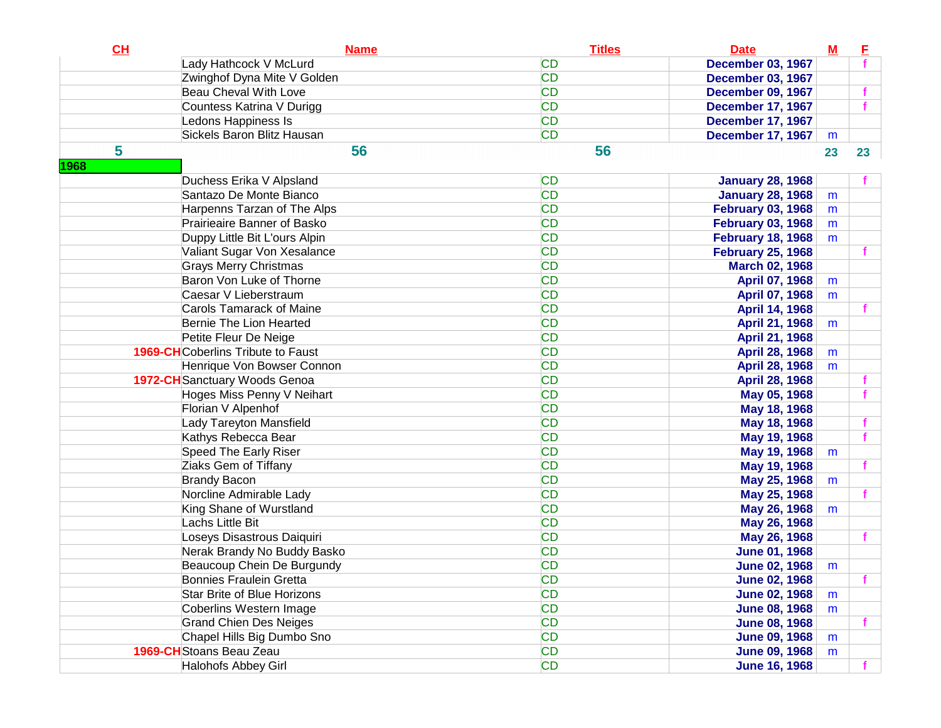| CL   | <b>Name</b>                               | <b>Titles</b> | <b>Date</b>              | $\underline{\mathbf{M}}$ | E  |
|------|-------------------------------------------|---------------|--------------------------|--------------------------|----|
|      | Lady Hathcock V McLurd                    | <b>CD</b>     | <b>December 03, 1967</b> |                          |    |
|      | Zwinghof Dyna Mite V Golden               | <b>CD</b>     | <b>December 03, 1967</b> |                          |    |
|      | <b>Beau Cheval With Love</b>              | <b>CD</b>     | <b>December 09, 1967</b> |                          |    |
|      | Countess Katrina V Durigg                 | <b>CD</b>     | <b>December 17, 1967</b> |                          |    |
|      | Ledons Happiness Is                       | <b>CD</b>     | <b>December 17, 1967</b> |                          |    |
|      | Sickels Baron Blitz Hausan                | <b>CD</b>     | <b>December 17, 1967</b> | m                        |    |
| 5    | 56                                        | 56            |                          | 23                       | 23 |
| 1968 |                                           |               |                          |                          |    |
|      | Duchess Erika V Alpsland                  | <b>CD</b>     | <b>January 28, 1968</b>  |                          |    |
|      | Santazo De Monte Bianco                   | <b>CD</b>     | <b>January 28, 1968</b>  | m                        |    |
|      | Harpenns Tarzan of The Alps               | <b>CD</b>     | <b>February 03, 1968</b> | m                        |    |
|      | Prairieaire Banner of Basko               | <b>CD</b>     | <b>February 03, 1968</b> | m                        |    |
|      | Duppy Little Bit L'ours Alpin             | <b>CD</b>     | <b>February 18, 1968</b> | m                        |    |
|      | Valiant Sugar Von Xesalance               | <b>CD</b>     | <b>February 25, 1968</b> |                          |    |
|      | <b>Grays Merry Christmas</b>              | <b>CD</b>     | <b>March 02, 1968</b>    |                          |    |
|      | Baron Von Luke of Thorne                  | <b>CD</b>     | April 07, 1968           | m                        |    |
|      | Caesar V Lieberstraum                     | <b>CD</b>     | April 07, 1968           | m                        |    |
|      | <b>Carols Tamarack of Maine</b>           | <b>CD</b>     | April 14, 1968           |                          |    |
|      | Bernie The Lion Hearted                   | <b>CD</b>     | April 21, 1968           | m                        |    |
|      | Petite Fleur De Neige                     | <b>CD</b>     | April 21, 1968           |                          |    |
|      | <b>1969-CH</b> Coberlins Tribute to Faust | <b>CD</b>     | April 28, 1968           | m                        |    |
|      | Henrique Von Bowser Connon                | <b>CD</b>     | April 28, 1968           | m                        |    |
|      | 1972-CH Sanctuary Woods Genoa             | <b>CD</b>     | <b>April 28, 1968</b>    |                          |    |
|      | Hoges Miss Penny V Neihart                | <b>CD</b>     | May 05, 1968             |                          | f  |
|      | Florian V Alpenhof                        | <b>CD</b>     | May 18, 1968             |                          |    |
|      | Lady Tareyton Mansfield                   | <b>CD</b>     | May 18, 1968             |                          | f  |
|      | Kathys Rebecca Bear                       | <b>CD</b>     | May 19, 1968             |                          | f  |
|      | <b>Speed The Early Riser</b>              | <b>CD</b>     | May 19, 1968             | m                        |    |
|      | Ziaks Gem of Tiffany                      | <b>CD</b>     | May 19, 1968             |                          | f  |
|      | <b>Brandy Bacon</b>                       | <b>CD</b>     | May 25, 1968             | m                        |    |
|      | Norcline Admirable Lady                   | <b>CD</b>     | May 25, 1968             |                          | f  |
|      | King Shane of Wurstland                   | <b>CD</b>     | May 26, 1968             | m                        |    |
|      | Lachs Little Bit                          | <b>CD</b>     | May 26, 1968             |                          |    |
|      | Loseys Disastrous Daiquiri                | <b>CD</b>     | May 26, 1968             |                          | f  |
|      | Nerak Brandy No Buddy Basko               | <b>CD</b>     | <b>June 01, 1968</b>     |                          |    |
|      | Beaucoup Chein De Burgundy                | <b>CD</b>     | <b>June 02, 1968</b>     | m                        |    |
|      | <b>Bonnies Fraulein Gretta</b>            | <b>CD</b>     | <b>June 02, 1968</b>     |                          |    |
|      | <b>Star Brite of Blue Horizons</b>        | <b>CD</b>     | <b>June 02, 1968</b>     | m                        |    |
|      | Coberlins Western Image                   | <b>CD</b>     | <b>June 08, 1968</b>     | m                        |    |
|      | <b>Grand Chien Des Neiges</b>             | <b>CD</b>     | <b>June 08, 1968</b>     |                          | f  |
|      | Chapel Hills Big Dumbo Sno                | <b>CD</b>     | <b>June 09, 1968</b>     | m                        |    |
|      | 1969-CH Stoans Beau Zeau                  | <b>CD</b>     | <b>June 09, 1968</b>     | m                        |    |
|      | <b>Halohofs Abbey Girl</b>                | <b>CD</b>     | <b>June 16, 1968</b>     |                          |    |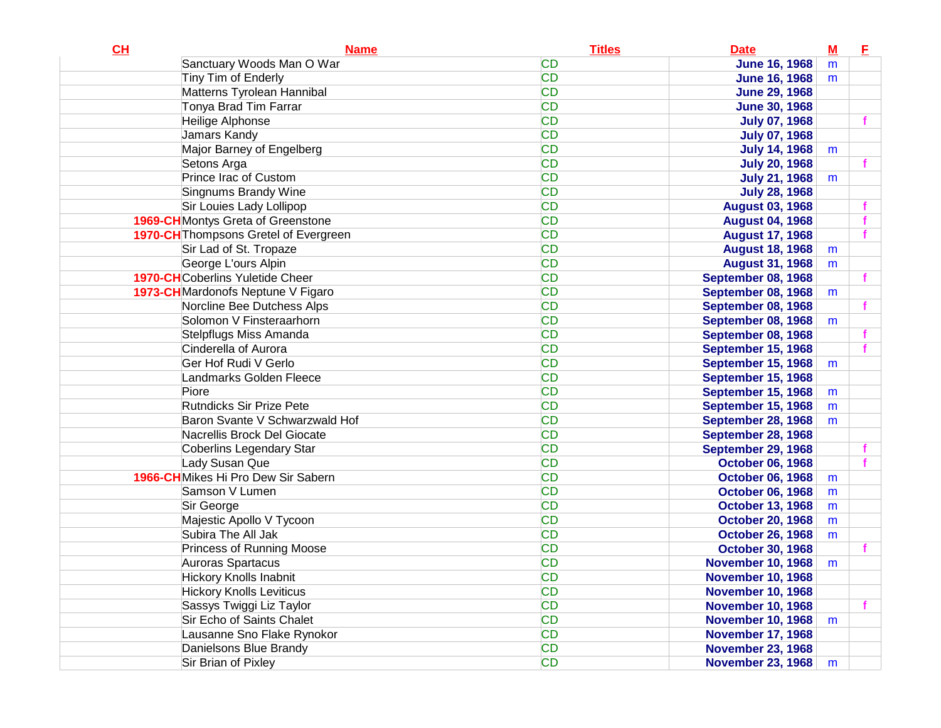| CL | <b>Name</b>                             | <b>Titles</b> | <b>Date</b>               | $M$ | E. |
|----|-----------------------------------------|---------------|---------------------------|-----|----|
|    | Sanctuary Woods Man O War               | <b>CD</b>     | <b>June 16, 1968</b>      | m   |    |
|    | Tiny Tim of Enderly                     | <b>CD</b>     | <b>June 16, 1968</b>      | m   |    |
|    | Matterns Tyrolean Hannibal              | <b>CD</b>     | <b>June 29, 1968</b>      |     |    |
|    | Tonya Brad Tim Farrar                   | <b>CD</b>     | <b>June 30, 1968</b>      |     |    |
|    | Heilige Alphonse                        | <b>CD</b>     | <b>July 07, 1968</b>      |     | f  |
|    | Jamars Kandy                            | <b>CD</b>     | <b>July 07, 1968</b>      |     |    |
|    | Major Barney of Engelberg               | <b>CD</b>     | <b>July 14, 1968</b>      | m   |    |
|    | Setons Arga                             | <b>CD</b>     | <b>July 20, 1968</b>      |     |    |
|    | Prince Irac of Custom                   | <b>CD</b>     | <b>July 21, 1968</b>      | m   |    |
|    | Singnums Brandy Wine                    | <b>CD</b>     | <b>July 28, 1968</b>      |     |    |
|    | Sir Louies Lady Lollipop                | <b>CD</b>     | <b>August 03, 1968</b>    |     |    |
|    | 1969-CHMontys Greta of Greenstone       | <b>CD</b>     | <b>August 04, 1968</b>    |     |    |
|    | 1970-CH Thompsons Gretel of Evergreen   | <b>CD</b>     | <b>August 17, 1968</b>    |     |    |
|    | Sir Lad of St. Tropaze                  | <b>CD</b>     | <b>August 18, 1968</b>    | m   |    |
|    | George L'ours Alpin                     | <b>CD</b>     | <b>August 31, 1968</b>    | m   |    |
|    | <b>1970-CH</b> Coberlins Yuletide Cheer | <b>CD</b>     | <b>September 08, 1968</b> |     |    |
|    | 1973-CHMardonofs Neptune V Figaro       | <b>CD</b>     | September 08, 1968        | m   |    |
|    | Norcline Bee Dutchess Alps              | <b>CD</b>     | <b>September 08, 1968</b> |     |    |
|    | Solomon V Finsteraarhorn                | <b>CD</b>     | September 08, 1968        | m   |    |
|    | <b>Stelpflugs Miss Amanda</b>           | <b>CD</b>     | <b>September 08, 1968</b> |     |    |
|    | Cinderella of Aurora                    | <b>CD</b>     | <b>September 15, 1968</b> |     |    |
|    | Ger Hof Rudi V Gerlo                    | <b>CD</b>     | <b>September 15, 1968</b> | m   |    |
|    | Landmarks Golden Fleece                 | <b>CD</b>     | <b>September 15, 1968</b> |     |    |
|    | Piore                                   | <b>CD</b>     | <b>September 15, 1968</b> | m   |    |
|    | Rutndicks Sir Prize Pete                | <b>CD</b>     | <b>September 15, 1968</b> | m   |    |
|    | Baron Svante V Schwarzwald Hof          | <b>CD</b>     | <b>September 28, 1968</b> | m   |    |
|    | Nacrellis Brock Del Giocate             | <b>CD</b>     | <b>September 28, 1968</b> |     |    |
|    | <b>Coberlins Legendary Star</b>         | <b>CD</b>     | <b>September 29, 1968</b> |     |    |
|    | Lady Susan Que                          | <b>CD</b>     | <b>October 06, 1968</b>   |     |    |
|    | 1966-CHMikes Hi Pro Dew Sir Sabern      | <b>CD</b>     | <b>October 06, 1968</b>   | m   |    |
|    | Samson V Lumen                          | <b>CD</b>     | <b>October 06, 1968</b>   | m   |    |
|    | Sir George                              | <b>CD</b>     | <b>October 13, 1968</b>   | m   |    |
|    | Majestic Apollo V Tycoon                | <b>CD</b>     | <b>October 20, 1968</b>   | m   |    |
|    | Subira The All Jak                      | <b>CD</b>     | <b>October 26, 1968</b>   | m   |    |
|    | <b>Princess of Running Moose</b>        | <b>CD</b>     | <b>October 30, 1968</b>   |     |    |
|    | Auroras Spartacus                       | <b>CD</b>     | <b>November 10, 1968</b>  | m   |    |
|    | <b>Hickory Knolls Inabnit</b>           | CD            | <b>November 10, 1968</b>  |     |    |
|    | <b>Hickory Knolls Leviticus</b>         | <b>CD</b>     | <b>November 10, 1968</b>  |     |    |
|    | Sassys Twiggi Liz Taylor                | <b>CD</b>     | <b>November 10, 1968</b>  |     | f. |
|    | Sir Echo of Saints Chalet               | <b>CD</b>     | <b>November 10, 1968</b>  | m   |    |
|    | Lausanne Sno Flake Rynokor              | CD            | <b>November 17, 1968</b>  |     |    |
|    | Danielsons Blue Brandy                  | <b>CD</b>     | <b>November 23, 1968</b>  |     |    |
|    | Sir Brian of Pixley                     | <b>CD</b>     | <b>November 23, 1968</b>  | m   |    |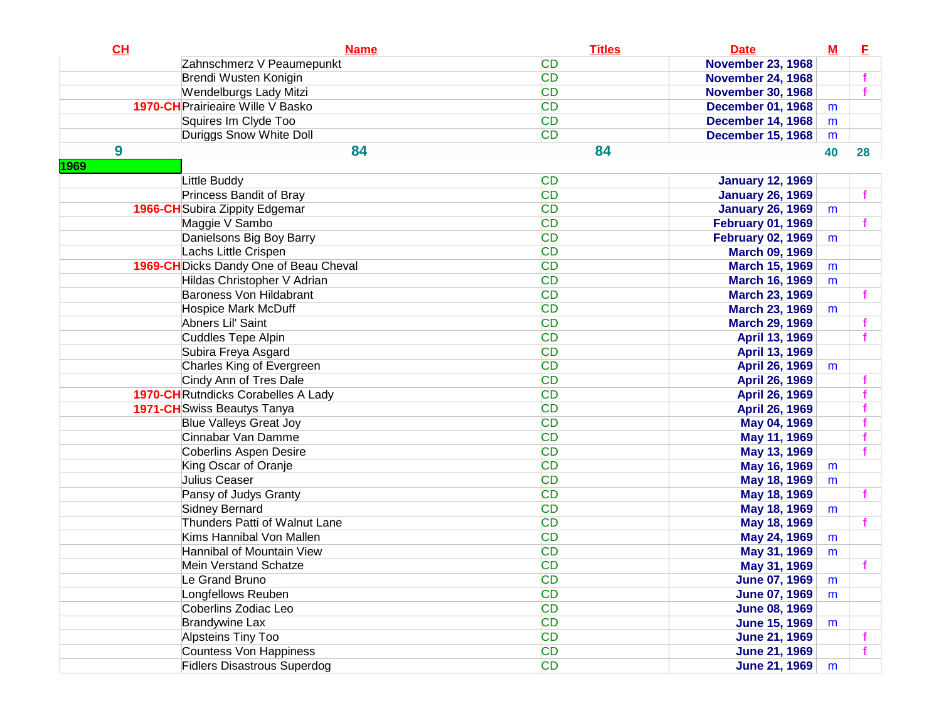| Zahnschmerz V Peaumepunkt<br><b>CD</b><br><b>November 23, 1968</b><br><b>CD</b><br>Brendi Wusten Konigin<br><b>November 24, 1968</b><br>f<br><b>CD</b><br>Wendelburgs Lady Mitzi<br><b>November 30, 1968</b><br>f<br><b>CD</b><br>1970-CH Prairieaire Wille V Basko<br><b>December 01, 1968</b><br>m<br><b>CD</b><br>Squires Im Clyde Too<br><b>December 14, 1968</b><br>m<br><b>CD</b><br>Duriggs Snow White Doll<br><b>December 15, 1968</b><br>m<br>84<br>9<br>84<br>40<br>28<br>1969<br><b>CD</b><br>Little Buddy<br><b>January 12, 1969</b><br>Princess Bandit of Bray<br><b>CD</b><br><b>January 26, 1969</b><br><b>CD</b><br><b>1966-CH</b> Subira Zippity Edgemar<br><b>January 26, 1969</b><br>m<br><b>CD</b><br>Maggie V Sambo<br><b>February 01, 1969</b><br>Danielsons Big Boy Barry<br><b>CD</b><br><b>February 02, 1969</b><br>m<br>Lachs Little Crispen<br><b>CD</b><br><b>March 09, 1969</b><br>1969-CH Dicks Dandy One of Beau Cheval<br><b>CD</b><br><b>March 15, 1969</b><br>m<br><b>CD</b><br>Hildas Christopher V Adrian<br><b>March 16, 1969</b><br>m<br>Baroness Von Hildabrant<br><b>CD</b><br><b>March 23, 1969</b><br><b>CD</b><br><b>Hospice Mark McDuff</b><br><b>March 23, 1969</b><br>m<br><b>CD</b><br>Abners Lil' Saint<br><b>March 29, 1969</b><br><b>CD</b><br>Cuddles Tepe Alpin<br>April 13, 1969<br><b>CD</b><br>Subira Freya Asgard<br>April 13, 1969<br><b>CD</b><br>Charles King of Evergreen<br>April 26, 1969<br>m<br>Cindy Ann of Tres Dale<br><b>CD</b><br>April 26, 1969<br><b>1970-CH</b> Rutndicks Corabelles A Lady<br><b>CD</b><br>April 26, 1969<br><b>CD</b><br><b>1971-CH</b> Swiss Beautys Tanya<br>April 26, 1969<br><b>Blue Valleys Great Joy</b><br><b>CD</b><br>May 04, 1969<br>Cinnabar Van Damme<br><b>CD</b><br>May 11, 1969<br>Coberlins Aspen Desire<br><b>CD</b><br>May 13, 1969<br>King Oscar of Oranje<br><b>CD</b><br>May 16, 1969<br>m<br>Julius Ceaser<br><b>CD</b><br>May 18, 1969<br>m<br>Pansy of Judys Granty<br><b>CD</b><br>May 18, 1969<br><b>CD</b><br>Sidney Bernard<br>May 18, 1969<br>m<br>Thunders Patti of Walnut Lane<br><b>CD</b><br>May 18, 1969<br>Kims Hannibal Von Mallen<br><b>CD</b><br>May 24, 1969<br>m<br><b>CD</b><br>Hannibal of Mountain View<br>May 31, 1969<br>m<br><b>CD</b><br>Mein Verstand Schatze<br>May 31, 1969<br>Le Grand Bruno<br>CD<br><b>June 07, 1969</b><br>m<br><b>CD</b><br>Longfellows Reuben<br><b>June 07, 1969</b><br>m<br><b>CD</b><br>Coberlins Zodiac Leo<br><b>June 08, 1969</b><br><b>Brandywine Lax</b><br><b>CD</b><br><b>June 15, 1969</b><br>m<br>Alpsteins Tiny Too<br><b>CD</b><br><b>June 21, 1969</b><br>Countess Von Happiness<br><b>CD</b><br><b>June 21, 1969</b> | CL | <b>Name</b>                        | <b>Titles</b> | <b>Date</b>   | $M$ | E |
|--------------------------------------------------------------------------------------------------------------------------------------------------------------------------------------------------------------------------------------------------------------------------------------------------------------------------------------------------------------------------------------------------------------------------------------------------------------------------------------------------------------------------------------------------------------------------------------------------------------------------------------------------------------------------------------------------------------------------------------------------------------------------------------------------------------------------------------------------------------------------------------------------------------------------------------------------------------------------------------------------------------------------------------------------------------------------------------------------------------------------------------------------------------------------------------------------------------------------------------------------------------------------------------------------------------------------------------------------------------------------------------------------------------------------------------------------------------------------------------------------------------------------------------------------------------------------------------------------------------------------------------------------------------------------------------------------------------------------------------------------------------------------------------------------------------------------------------------------------------------------------------------------------------------------------------------------------------------------------------------------------------------------------------------------------------------------------------------------------------------------------------------------------------------------------------------------------------------------------------------------------------------------------------------------------------------------------------------------------------------------------------------------------------------------------------------------------------------------------------------------------------------------------------------------------------------------------------------------------------------------------------------------------------------------------------------------------|----|------------------------------------|---------------|---------------|-----|---|
|                                                                                                                                                                                                                                                                                                                                                                                                                                                                                                                                                                                                                                                                                                                                                                                                                                                                                                                                                                                                                                                                                                                                                                                                                                                                                                                                                                                                                                                                                                                                                                                                                                                                                                                                                                                                                                                                                                                                                                                                                                                                                                                                                                                                                                                                                                                                                                                                                                                                                                                                                                                                                                                                                                        |    |                                    |               |               |     |   |
|                                                                                                                                                                                                                                                                                                                                                                                                                                                                                                                                                                                                                                                                                                                                                                                                                                                                                                                                                                                                                                                                                                                                                                                                                                                                                                                                                                                                                                                                                                                                                                                                                                                                                                                                                                                                                                                                                                                                                                                                                                                                                                                                                                                                                                                                                                                                                                                                                                                                                                                                                                                                                                                                                                        |    |                                    |               |               |     |   |
|                                                                                                                                                                                                                                                                                                                                                                                                                                                                                                                                                                                                                                                                                                                                                                                                                                                                                                                                                                                                                                                                                                                                                                                                                                                                                                                                                                                                                                                                                                                                                                                                                                                                                                                                                                                                                                                                                                                                                                                                                                                                                                                                                                                                                                                                                                                                                                                                                                                                                                                                                                                                                                                                                                        |    |                                    |               |               |     |   |
|                                                                                                                                                                                                                                                                                                                                                                                                                                                                                                                                                                                                                                                                                                                                                                                                                                                                                                                                                                                                                                                                                                                                                                                                                                                                                                                                                                                                                                                                                                                                                                                                                                                                                                                                                                                                                                                                                                                                                                                                                                                                                                                                                                                                                                                                                                                                                                                                                                                                                                                                                                                                                                                                                                        |    |                                    |               |               |     |   |
|                                                                                                                                                                                                                                                                                                                                                                                                                                                                                                                                                                                                                                                                                                                                                                                                                                                                                                                                                                                                                                                                                                                                                                                                                                                                                                                                                                                                                                                                                                                                                                                                                                                                                                                                                                                                                                                                                                                                                                                                                                                                                                                                                                                                                                                                                                                                                                                                                                                                                                                                                                                                                                                                                                        |    |                                    |               |               |     |   |
|                                                                                                                                                                                                                                                                                                                                                                                                                                                                                                                                                                                                                                                                                                                                                                                                                                                                                                                                                                                                                                                                                                                                                                                                                                                                                                                                                                                                                                                                                                                                                                                                                                                                                                                                                                                                                                                                                                                                                                                                                                                                                                                                                                                                                                                                                                                                                                                                                                                                                                                                                                                                                                                                                                        |    |                                    |               |               |     |   |
|                                                                                                                                                                                                                                                                                                                                                                                                                                                                                                                                                                                                                                                                                                                                                                                                                                                                                                                                                                                                                                                                                                                                                                                                                                                                                                                                                                                                                                                                                                                                                                                                                                                                                                                                                                                                                                                                                                                                                                                                                                                                                                                                                                                                                                                                                                                                                                                                                                                                                                                                                                                                                                                                                                        |    |                                    |               |               |     |   |
|                                                                                                                                                                                                                                                                                                                                                                                                                                                                                                                                                                                                                                                                                                                                                                                                                                                                                                                                                                                                                                                                                                                                                                                                                                                                                                                                                                                                                                                                                                                                                                                                                                                                                                                                                                                                                                                                                                                                                                                                                                                                                                                                                                                                                                                                                                                                                                                                                                                                                                                                                                                                                                                                                                        |    |                                    |               |               |     |   |
|                                                                                                                                                                                                                                                                                                                                                                                                                                                                                                                                                                                                                                                                                                                                                                                                                                                                                                                                                                                                                                                                                                                                                                                                                                                                                                                                                                                                                                                                                                                                                                                                                                                                                                                                                                                                                                                                                                                                                                                                                                                                                                                                                                                                                                                                                                                                                                                                                                                                                                                                                                                                                                                                                                        |    |                                    |               |               |     |   |
|                                                                                                                                                                                                                                                                                                                                                                                                                                                                                                                                                                                                                                                                                                                                                                                                                                                                                                                                                                                                                                                                                                                                                                                                                                                                                                                                                                                                                                                                                                                                                                                                                                                                                                                                                                                                                                                                                                                                                                                                                                                                                                                                                                                                                                                                                                                                                                                                                                                                                                                                                                                                                                                                                                        |    |                                    |               |               |     |   |
|                                                                                                                                                                                                                                                                                                                                                                                                                                                                                                                                                                                                                                                                                                                                                                                                                                                                                                                                                                                                                                                                                                                                                                                                                                                                                                                                                                                                                                                                                                                                                                                                                                                                                                                                                                                                                                                                                                                                                                                                                                                                                                                                                                                                                                                                                                                                                                                                                                                                                                                                                                                                                                                                                                        |    |                                    |               |               |     |   |
|                                                                                                                                                                                                                                                                                                                                                                                                                                                                                                                                                                                                                                                                                                                                                                                                                                                                                                                                                                                                                                                                                                                                                                                                                                                                                                                                                                                                                                                                                                                                                                                                                                                                                                                                                                                                                                                                                                                                                                                                                                                                                                                                                                                                                                                                                                                                                                                                                                                                                                                                                                                                                                                                                                        |    |                                    |               |               |     |   |
|                                                                                                                                                                                                                                                                                                                                                                                                                                                                                                                                                                                                                                                                                                                                                                                                                                                                                                                                                                                                                                                                                                                                                                                                                                                                                                                                                                                                                                                                                                                                                                                                                                                                                                                                                                                                                                                                                                                                                                                                                                                                                                                                                                                                                                                                                                                                                                                                                                                                                                                                                                                                                                                                                                        |    |                                    |               |               |     |   |
|                                                                                                                                                                                                                                                                                                                                                                                                                                                                                                                                                                                                                                                                                                                                                                                                                                                                                                                                                                                                                                                                                                                                                                                                                                                                                                                                                                                                                                                                                                                                                                                                                                                                                                                                                                                                                                                                                                                                                                                                                                                                                                                                                                                                                                                                                                                                                                                                                                                                                                                                                                                                                                                                                                        |    |                                    |               |               |     |   |
|                                                                                                                                                                                                                                                                                                                                                                                                                                                                                                                                                                                                                                                                                                                                                                                                                                                                                                                                                                                                                                                                                                                                                                                                                                                                                                                                                                                                                                                                                                                                                                                                                                                                                                                                                                                                                                                                                                                                                                                                                                                                                                                                                                                                                                                                                                                                                                                                                                                                                                                                                                                                                                                                                                        |    |                                    |               |               |     |   |
|                                                                                                                                                                                                                                                                                                                                                                                                                                                                                                                                                                                                                                                                                                                                                                                                                                                                                                                                                                                                                                                                                                                                                                                                                                                                                                                                                                                                                                                                                                                                                                                                                                                                                                                                                                                                                                                                                                                                                                                                                                                                                                                                                                                                                                                                                                                                                                                                                                                                                                                                                                                                                                                                                                        |    |                                    |               |               |     |   |
|                                                                                                                                                                                                                                                                                                                                                                                                                                                                                                                                                                                                                                                                                                                                                                                                                                                                                                                                                                                                                                                                                                                                                                                                                                                                                                                                                                                                                                                                                                                                                                                                                                                                                                                                                                                                                                                                                                                                                                                                                                                                                                                                                                                                                                                                                                                                                                                                                                                                                                                                                                                                                                                                                                        |    |                                    |               |               |     |   |
|                                                                                                                                                                                                                                                                                                                                                                                                                                                                                                                                                                                                                                                                                                                                                                                                                                                                                                                                                                                                                                                                                                                                                                                                                                                                                                                                                                                                                                                                                                                                                                                                                                                                                                                                                                                                                                                                                                                                                                                                                                                                                                                                                                                                                                                                                                                                                                                                                                                                                                                                                                                                                                                                                                        |    |                                    |               |               |     |   |
|                                                                                                                                                                                                                                                                                                                                                                                                                                                                                                                                                                                                                                                                                                                                                                                                                                                                                                                                                                                                                                                                                                                                                                                                                                                                                                                                                                                                                                                                                                                                                                                                                                                                                                                                                                                                                                                                                                                                                                                                                                                                                                                                                                                                                                                                                                                                                                                                                                                                                                                                                                                                                                                                                                        |    |                                    |               |               |     |   |
|                                                                                                                                                                                                                                                                                                                                                                                                                                                                                                                                                                                                                                                                                                                                                                                                                                                                                                                                                                                                                                                                                                                                                                                                                                                                                                                                                                                                                                                                                                                                                                                                                                                                                                                                                                                                                                                                                                                                                                                                                                                                                                                                                                                                                                                                                                                                                                                                                                                                                                                                                                                                                                                                                                        |    |                                    |               |               |     |   |
|                                                                                                                                                                                                                                                                                                                                                                                                                                                                                                                                                                                                                                                                                                                                                                                                                                                                                                                                                                                                                                                                                                                                                                                                                                                                                                                                                                                                                                                                                                                                                                                                                                                                                                                                                                                                                                                                                                                                                                                                                                                                                                                                                                                                                                                                                                                                                                                                                                                                                                                                                                                                                                                                                                        |    |                                    |               |               |     |   |
|                                                                                                                                                                                                                                                                                                                                                                                                                                                                                                                                                                                                                                                                                                                                                                                                                                                                                                                                                                                                                                                                                                                                                                                                                                                                                                                                                                                                                                                                                                                                                                                                                                                                                                                                                                                                                                                                                                                                                                                                                                                                                                                                                                                                                                                                                                                                                                                                                                                                                                                                                                                                                                                                                                        |    |                                    |               |               |     |   |
|                                                                                                                                                                                                                                                                                                                                                                                                                                                                                                                                                                                                                                                                                                                                                                                                                                                                                                                                                                                                                                                                                                                                                                                                                                                                                                                                                                                                                                                                                                                                                                                                                                                                                                                                                                                                                                                                                                                                                                                                                                                                                                                                                                                                                                                                                                                                                                                                                                                                                                                                                                                                                                                                                                        |    |                                    |               |               |     |   |
|                                                                                                                                                                                                                                                                                                                                                                                                                                                                                                                                                                                                                                                                                                                                                                                                                                                                                                                                                                                                                                                                                                                                                                                                                                                                                                                                                                                                                                                                                                                                                                                                                                                                                                                                                                                                                                                                                                                                                                                                                                                                                                                                                                                                                                                                                                                                                                                                                                                                                                                                                                                                                                                                                                        |    |                                    |               |               |     |   |
|                                                                                                                                                                                                                                                                                                                                                                                                                                                                                                                                                                                                                                                                                                                                                                                                                                                                                                                                                                                                                                                                                                                                                                                                                                                                                                                                                                                                                                                                                                                                                                                                                                                                                                                                                                                                                                                                                                                                                                                                                                                                                                                                                                                                                                                                                                                                                                                                                                                                                                                                                                                                                                                                                                        |    |                                    |               |               |     |   |
|                                                                                                                                                                                                                                                                                                                                                                                                                                                                                                                                                                                                                                                                                                                                                                                                                                                                                                                                                                                                                                                                                                                                                                                                                                                                                                                                                                                                                                                                                                                                                                                                                                                                                                                                                                                                                                                                                                                                                                                                                                                                                                                                                                                                                                                                                                                                                                                                                                                                                                                                                                                                                                                                                                        |    |                                    |               |               |     |   |
|                                                                                                                                                                                                                                                                                                                                                                                                                                                                                                                                                                                                                                                                                                                                                                                                                                                                                                                                                                                                                                                                                                                                                                                                                                                                                                                                                                                                                                                                                                                                                                                                                                                                                                                                                                                                                                                                                                                                                                                                                                                                                                                                                                                                                                                                                                                                                                                                                                                                                                                                                                                                                                                                                                        |    |                                    |               |               |     |   |
|                                                                                                                                                                                                                                                                                                                                                                                                                                                                                                                                                                                                                                                                                                                                                                                                                                                                                                                                                                                                                                                                                                                                                                                                                                                                                                                                                                                                                                                                                                                                                                                                                                                                                                                                                                                                                                                                                                                                                                                                                                                                                                                                                                                                                                                                                                                                                                                                                                                                                                                                                                                                                                                                                                        |    |                                    |               |               |     |   |
|                                                                                                                                                                                                                                                                                                                                                                                                                                                                                                                                                                                                                                                                                                                                                                                                                                                                                                                                                                                                                                                                                                                                                                                                                                                                                                                                                                                                                                                                                                                                                                                                                                                                                                                                                                                                                                                                                                                                                                                                                                                                                                                                                                                                                                                                                                                                                                                                                                                                                                                                                                                                                                                                                                        |    |                                    |               |               |     |   |
|                                                                                                                                                                                                                                                                                                                                                                                                                                                                                                                                                                                                                                                                                                                                                                                                                                                                                                                                                                                                                                                                                                                                                                                                                                                                                                                                                                                                                                                                                                                                                                                                                                                                                                                                                                                                                                                                                                                                                                                                                                                                                                                                                                                                                                                                                                                                                                                                                                                                                                                                                                                                                                                                                                        |    |                                    |               |               |     |   |
|                                                                                                                                                                                                                                                                                                                                                                                                                                                                                                                                                                                                                                                                                                                                                                                                                                                                                                                                                                                                                                                                                                                                                                                                                                                                                                                                                                                                                                                                                                                                                                                                                                                                                                                                                                                                                                                                                                                                                                                                                                                                                                                                                                                                                                                                                                                                                                                                                                                                                                                                                                                                                                                                                                        |    |                                    |               |               |     |   |
|                                                                                                                                                                                                                                                                                                                                                                                                                                                                                                                                                                                                                                                                                                                                                                                                                                                                                                                                                                                                                                                                                                                                                                                                                                                                                                                                                                                                                                                                                                                                                                                                                                                                                                                                                                                                                                                                                                                                                                                                                                                                                                                                                                                                                                                                                                                                                                                                                                                                                                                                                                                                                                                                                                        |    |                                    |               |               |     |   |
|                                                                                                                                                                                                                                                                                                                                                                                                                                                                                                                                                                                                                                                                                                                                                                                                                                                                                                                                                                                                                                                                                                                                                                                                                                                                                                                                                                                                                                                                                                                                                                                                                                                                                                                                                                                                                                                                                                                                                                                                                                                                                                                                                                                                                                                                                                                                                                                                                                                                                                                                                                                                                                                                                                        |    |                                    |               |               |     |   |
|                                                                                                                                                                                                                                                                                                                                                                                                                                                                                                                                                                                                                                                                                                                                                                                                                                                                                                                                                                                                                                                                                                                                                                                                                                                                                                                                                                                                                                                                                                                                                                                                                                                                                                                                                                                                                                                                                                                                                                                                                                                                                                                                                                                                                                                                                                                                                                                                                                                                                                                                                                                                                                                                                                        |    |                                    |               |               |     |   |
|                                                                                                                                                                                                                                                                                                                                                                                                                                                                                                                                                                                                                                                                                                                                                                                                                                                                                                                                                                                                                                                                                                                                                                                                                                                                                                                                                                                                                                                                                                                                                                                                                                                                                                                                                                                                                                                                                                                                                                                                                                                                                                                                                                                                                                                                                                                                                                                                                                                                                                                                                                                                                                                                                                        |    |                                    |               |               |     |   |
|                                                                                                                                                                                                                                                                                                                                                                                                                                                                                                                                                                                                                                                                                                                                                                                                                                                                                                                                                                                                                                                                                                                                                                                                                                                                                                                                                                                                                                                                                                                                                                                                                                                                                                                                                                                                                                                                                                                                                                                                                                                                                                                                                                                                                                                                                                                                                                                                                                                                                                                                                                                                                                                                                                        |    |                                    |               |               |     |   |
|                                                                                                                                                                                                                                                                                                                                                                                                                                                                                                                                                                                                                                                                                                                                                                                                                                                                                                                                                                                                                                                                                                                                                                                                                                                                                                                                                                                                                                                                                                                                                                                                                                                                                                                                                                                                                                                                                                                                                                                                                                                                                                                                                                                                                                                                                                                                                                                                                                                                                                                                                                                                                                                                                                        |    |                                    |               |               |     |   |
|                                                                                                                                                                                                                                                                                                                                                                                                                                                                                                                                                                                                                                                                                                                                                                                                                                                                                                                                                                                                                                                                                                                                                                                                                                                                                                                                                                                                                                                                                                                                                                                                                                                                                                                                                                                                                                                                                                                                                                                                                                                                                                                                                                                                                                                                                                                                                                                                                                                                                                                                                                                                                                                                                                        |    |                                    |               |               |     |   |
|                                                                                                                                                                                                                                                                                                                                                                                                                                                                                                                                                                                                                                                                                                                                                                                                                                                                                                                                                                                                                                                                                                                                                                                                                                                                                                                                                                                                                                                                                                                                                                                                                                                                                                                                                                                                                                                                                                                                                                                                                                                                                                                                                                                                                                                                                                                                                                                                                                                                                                                                                                                                                                                                                                        |    |                                    |               |               |     |   |
|                                                                                                                                                                                                                                                                                                                                                                                                                                                                                                                                                                                                                                                                                                                                                                                                                                                                                                                                                                                                                                                                                                                                                                                                                                                                                                                                                                                                                                                                                                                                                                                                                                                                                                                                                                                                                                                                                                                                                                                                                                                                                                                                                                                                                                                                                                                                                                                                                                                                                                                                                                                                                                                                                                        |    |                                    |               |               |     |   |
|                                                                                                                                                                                                                                                                                                                                                                                                                                                                                                                                                                                                                                                                                                                                                                                                                                                                                                                                                                                                                                                                                                                                                                                                                                                                                                                                                                                                                                                                                                                                                                                                                                                                                                                                                                                                                                                                                                                                                                                                                                                                                                                                                                                                                                                                                                                                                                                                                                                                                                                                                                                                                                                                                                        |    |                                    |               |               |     |   |
|                                                                                                                                                                                                                                                                                                                                                                                                                                                                                                                                                                                                                                                                                                                                                                                                                                                                                                                                                                                                                                                                                                                                                                                                                                                                                                                                                                                                                                                                                                                                                                                                                                                                                                                                                                                                                                                                                                                                                                                                                                                                                                                                                                                                                                                                                                                                                                                                                                                                                                                                                                                                                                                                                                        |    |                                    |               |               |     |   |
|                                                                                                                                                                                                                                                                                                                                                                                                                                                                                                                                                                                                                                                                                                                                                                                                                                                                                                                                                                                                                                                                                                                                                                                                                                                                                                                                                                                                                                                                                                                                                                                                                                                                                                                                                                                                                                                                                                                                                                                                                                                                                                                                                                                                                                                                                                                                                                                                                                                                                                                                                                                                                                                                                                        |    | <b>Fidlers Disastrous Superdog</b> | <b>CD</b>     | June 21, 1969 | m   |   |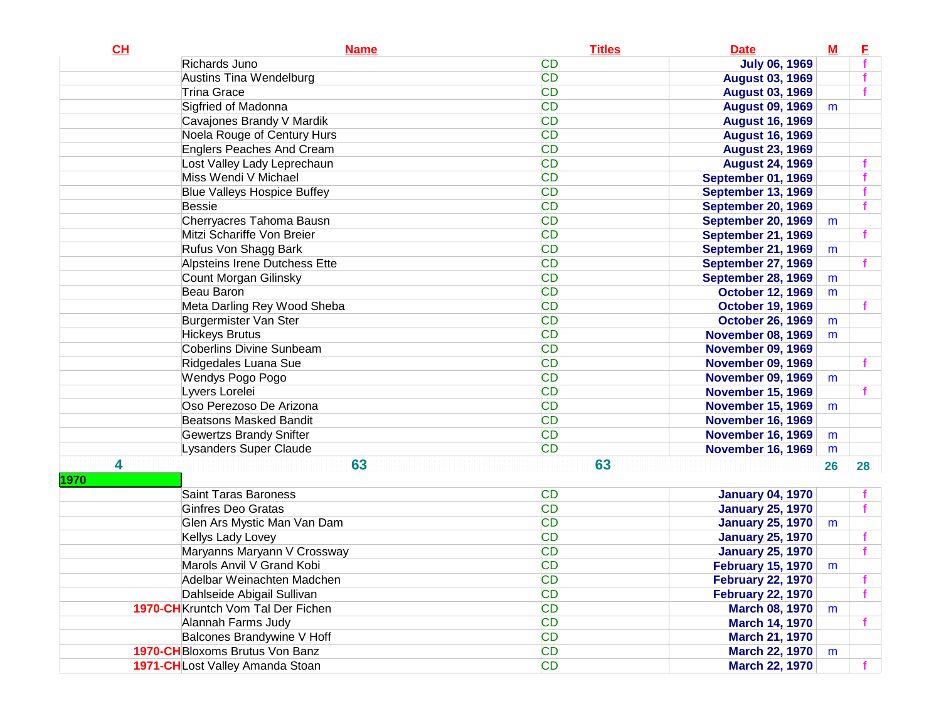| CL   | <b>Name</b>                               | <b>Titles</b> | <b>Date</b>               | $\underline{\mathbf{M}}$ | E  |
|------|-------------------------------------------|---------------|---------------------------|--------------------------|----|
|      | Richards Juno                             | <b>CD</b>     | <b>July 06, 1969</b>      |                          |    |
|      | Austins Tina Wendelburg                   | <b>CD</b>     | <b>August 03, 1969</b>    |                          |    |
|      | <b>Trina Grace</b>                        | <b>CD</b>     | <b>August 03, 1969</b>    |                          |    |
|      | Sigfried of Madonna                       | <b>CD</b>     | <b>August 09, 1969</b>    | m                        |    |
|      | Cavajones Brandy V Mardik                 | <b>CD</b>     | <b>August 16, 1969</b>    |                          |    |
|      | Noela Rouge of Century Hurs               | <b>CD</b>     | <b>August 16, 1969</b>    |                          |    |
|      | <b>Englers Peaches And Cream</b>          | <b>CD</b>     | <b>August 23, 1969</b>    |                          |    |
|      | Lost Valley Lady Leprechaun               | <b>CD</b>     | <b>August 24, 1969</b>    |                          |    |
|      | Miss Wendi V Michael                      | <b>CD</b>     | <b>September 01, 1969</b> |                          |    |
|      | <b>Blue Valleys Hospice Buffey</b>        | <b>CD</b>     | <b>September 13, 1969</b> |                          |    |
|      | <b>Bessie</b>                             | <b>CD</b>     | <b>September 20, 1969</b> |                          |    |
|      | Cherryacres Tahoma Bausn                  | <b>CD</b>     | <b>September 20, 1969</b> | m                        |    |
|      | Mitzi Schariffe Von Breier                | <b>CD</b>     | <b>September 21, 1969</b> |                          |    |
|      | Rufus Von Shagg Bark                      | <b>CD</b>     | <b>September 21, 1969</b> | m                        |    |
|      | Alpsteins Irene Dutchess Ette             | <b>CD</b>     | <b>September 27, 1969</b> |                          |    |
|      | Count Morgan Gilinsky                     | <b>CD</b>     | <b>September 28, 1969</b> | m                        |    |
|      | Beau Baron                                | <b>CD</b>     | <b>October 12, 1969</b>   | m                        |    |
|      | Meta Darling Rey Wood Sheba               | <b>CD</b>     | <b>October 19, 1969</b>   |                          |    |
|      | Burgermister Van Ster                     | <b>CD</b>     | <b>October 26, 1969</b>   | m                        |    |
|      | <b>Hickeys Brutus</b>                     | <b>CD</b>     | <b>November 08, 1969</b>  | m                        |    |
|      | <b>Coberlins Divine Sunbeam</b>           | <b>CD</b>     | <b>November 09, 1969</b>  |                          |    |
|      | Ridgedales Luana Sue                      | <b>CD</b>     | <b>November 09, 1969</b>  |                          |    |
|      | Wendys Pogo Pogo                          | <b>CD</b>     | <b>November 09, 1969</b>  | m                        |    |
|      | Lyvers Lorelei                            | <b>CD</b>     | <b>November 15, 1969</b>  |                          |    |
|      | Oso Perezoso De Arizona                   | <b>CD</b>     | <b>November 15, 1969</b>  | m                        |    |
|      | <b>Beatsons Masked Bandit</b>             | <b>CD</b>     | <b>November 16, 1969</b>  |                          |    |
|      | <b>Gewertzs Brandy Snifter</b>            | <b>CD</b>     | <b>November 16, 1969</b>  | m                        |    |
|      | Lysanders Super Claude                    | <b>CD</b>     | <b>November 16, 1969</b>  | m                        |    |
| 4    | 63                                        | 63            |                           | 26                       | 28 |
| 1970 |                                           |               |                           |                          |    |
|      | <b>Saint Taras Baroness</b>               | <b>CD</b>     | <b>January 04, 1970</b>   |                          |    |
|      | <b>Ginfres Deo Gratas</b>                 | <b>CD</b>     | <b>January 25, 1970</b>   |                          |    |
|      | Glen Ars Mystic Man Van Dam               | <b>CD</b>     | <b>January 25, 1970</b>   | m                        |    |
|      | Kellys Lady Lovey                         | <b>CD</b>     | <b>January 25, 1970</b>   |                          |    |
|      | Maryanns Maryann V Crossway               | <b>CD</b>     | <b>January 25, 1970</b>   |                          |    |
|      | Marols Anvil V Grand Kobi                 | <b>CD</b>     | <b>February 15, 1970</b>  | m                        |    |
|      | Adelbar Weinachten Madchen                | CD            | <b>February 22, 1970</b>  |                          |    |
|      | Dahlseide Abigail Sullivan                | <b>CD</b>     | <b>February 22, 1970</b>  |                          |    |
|      | <b>1970-CH</b> Kruntch Vom Tal Der Fichen | <b>CD</b>     | <b>March 08, 1970</b>     | m                        |    |
|      | Alannah Farms Judy                        | <b>CD</b>     | <b>March 14, 1970</b>     |                          |    |
|      | Balcones Brandywine V Hoff                | <b>CD</b>     | <b>March 21, 1970</b>     |                          |    |
|      | <b>1970-CH</b> Bloxoms Brutus Von Banz    | <b>CD</b>     | <b>March 22, 1970</b>     | m                        |    |
|      | 1971-CHLost Valley Amanda Stoan           | <b>CD</b>     | <b>March 22, 1970</b>     |                          |    |
|      |                                           |               |                           |                          |    |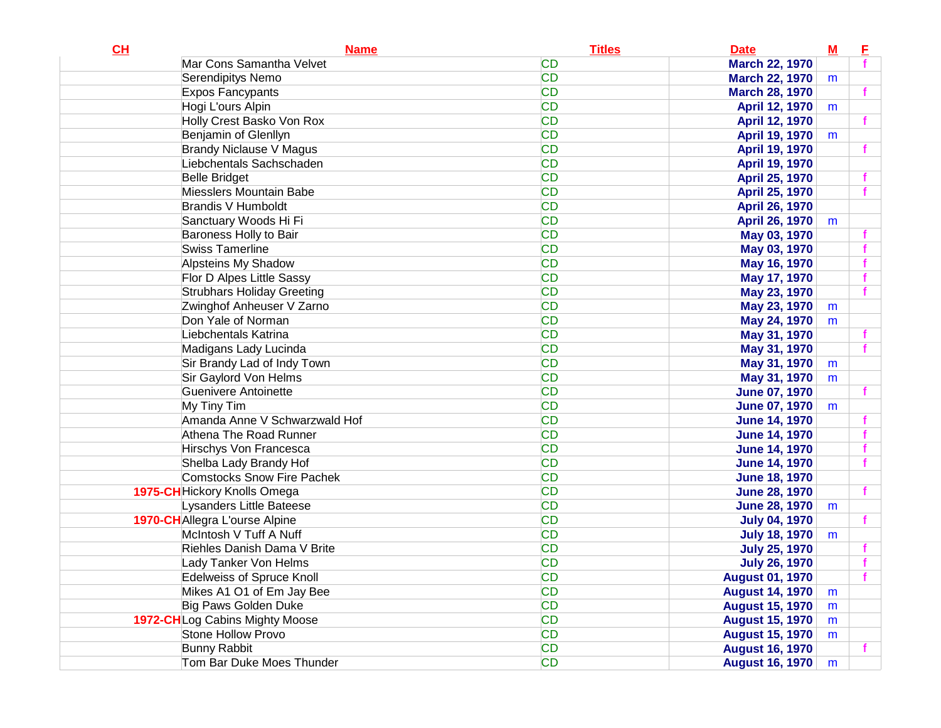| CL | <b>Name</b>                       | <b>Titles</b> | <b>Date</b>            | ${\bf M}$ | E |
|----|-----------------------------------|---------------|------------------------|-----------|---|
|    | Mar Cons Samantha Velvet          | <b>CD</b>     | <b>March 22, 1970</b>  |           |   |
|    | Serendipitys Nemo                 | <b>CD</b>     | <b>March 22, 1970</b>  | m         |   |
|    | <b>Expos Fancypants</b>           | <b>CD</b>     | <b>March 28, 1970</b>  |           |   |
|    | Hogi L'ours Alpin                 | <b>CD</b>     | April 12, 1970         | m         |   |
|    | Holly Crest Basko Von Rox         | <b>CD</b>     | April 12, 1970         |           |   |
|    | Benjamin of Glenllyn              | <b>CD</b>     | April 19, 1970         | m         |   |
|    | <b>Brandy Niclause V Magus</b>    | <b>CD</b>     | April 19, 1970         |           |   |
|    | Liebchentals Sachschaden          | <b>CD</b>     | April 19, 1970         |           |   |
|    | <b>Belle Bridget</b>              | <b>CD</b>     | April 25, 1970         |           |   |
|    | Miesslers Mountain Babe           | <b>CD</b>     | April 25, 1970         |           |   |
|    | <b>Brandis V Humboldt</b>         | <b>CD</b>     | April 26, 1970         |           |   |
|    | Sanctuary Woods Hi Fi             | <b>CD</b>     | April 26, 1970         | m         |   |
|    | Baroness Holly to Bair            | <b>CD</b>     | May 03, 1970           |           |   |
|    | <b>Swiss Tamerline</b>            | <b>CD</b>     | May 03, 1970           |           |   |
|    | Alpsteins My Shadow               | <b>CD</b>     | May 16, 1970           |           |   |
|    | <b>Flor D Alpes Little Sassy</b>  | <b>CD</b>     | May 17, 1970           |           |   |
|    | <b>Strubhars Holiday Greeting</b> | <b>CD</b>     | May 23, 1970           |           |   |
|    | Zwinghof Anheuser V Zarno         | <b>CD</b>     | May 23, 1970           | m         |   |
|    | Don Yale of Norman                | <b>CD</b>     | May 24, 1970           | m         |   |
|    | Liebchentals Katrina              | <b>CD</b>     | May 31, 1970           |           |   |
|    | Madigans Lady Lucinda             | <b>CD</b>     | May 31, 1970           |           |   |
|    | Sir Brandy Lad of Indy Town       | <b>CD</b>     | May 31, 1970           | m         |   |
|    | Sir Gaylord Von Helms             | <b>CD</b>     | May 31, 1970           | m         |   |
|    | Guenivere Antoinette              | <b>CD</b>     | <b>June 07, 1970</b>   |           |   |
|    | My Tiny Tim                       | <b>CD</b>     | <b>June 07, 1970</b>   | m         |   |
|    | Amanda Anne V Schwarzwald Hof     | <b>CD</b>     | <b>June 14, 1970</b>   |           |   |
|    | Athena The Road Runner            | <b>CD</b>     | <b>June 14, 1970</b>   |           |   |
|    | Hirschys Von Francesca            | <b>CD</b>     | <b>June 14, 1970</b>   |           |   |
|    | Shelba Lady Brandy Hof            | <b>CD</b>     | <b>June 14, 1970</b>   |           |   |
|    | <b>Comstocks Snow Fire Pachek</b> | <b>CD</b>     | <b>June 18, 1970</b>   |           |   |
|    | 1975-CH Hickory Knolls Omega      | <b>CD</b>     | <b>June 28, 1970</b>   |           |   |
|    | Lysanders Little Bateese          | <b>CD</b>     | <b>June 28, 1970</b>   | m         |   |
|    | 1970-CH Allegra L'ourse Alpine    | <b>CD</b>     | <b>July 04, 1970</b>   |           |   |
|    | McIntosh V Tuff A Nuff            | <b>CD</b>     | <b>July 18, 1970</b>   | m         |   |
|    | Riehles Danish Dama V Brite       | <b>CD</b>     | <b>July 25, 1970</b>   |           |   |
|    | Lady Tanker Von Helms             | <b>CD</b>     | <b>July 26, 1970</b>   |           |   |
|    | <b>Edelweiss of Spruce Knoll</b>  | <b>CD</b>     | <b>August 01, 1970</b> |           |   |
|    | Mikes A1 O1 of Em Jay Bee         | <b>CD</b>     | <b>August 14, 1970</b> | m         |   |
|    | Big Paws Golden Duke              | <b>CD</b>     | <b>August 15, 1970</b> | m         |   |
|    | 1972-CHLog Cabins Mighty Moose    | <b>CD</b>     | <b>August 15, 1970</b> | m         |   |
|    | <b>Stone Hollow Provo</b>         | <b>CD</b>     | <b>August 15, 1970</b> | m         |   |
|    | Bunny Rabbit                      | <b>CD</b>     | <b>August 16, 1970</b> |           |   |
|    | Tom Bar Duke Moes Thunder         | <b>CD</b>     | <b>August 16, 1970</b> | m         |   |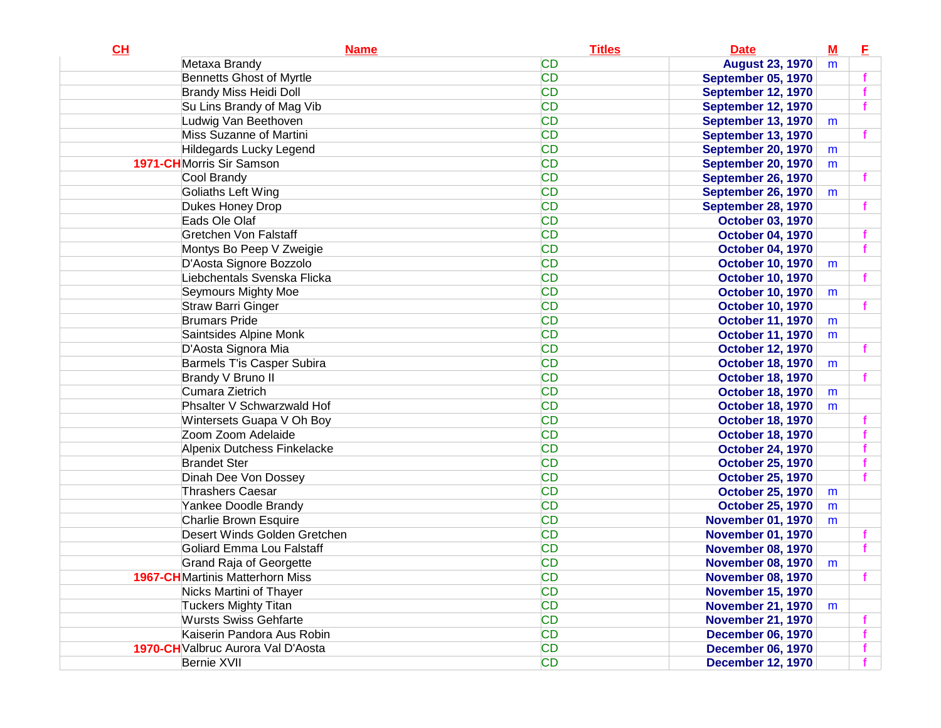| CL | <b>Name</b>                             | <b>Titles</b> | <b>Date</b>               | $\underline{\mathsf{M}}$ | E. |
|----|-----------------------------------------|---------------|---------------------------|--------------------------|----|
|    | Metaxa Brandy                           | <b>CD</b>     | <b>August 23, 1970</b>    | m                        |    |
|    | <b>Bennetts Ghost of Myrtle</b>         | <b>CD</b>     | <b>September 05, 1970</b> |                          |    |
|    | <b>Brandy Miss Heidi Doll</b>           | <b>CD</b>     | <b>September 12, 1970</b> |                          |    |
|    | Su Lins Brandy of Mag Vib               | <b>CD</b>     | <b>September 12, 1970</b> |                          |    |
|    | Ludwig Van Beethoven                    | <b>CD</b>     | <b>September 13, 1970</b> | m                        |    |
|    | Miss Suzanne of Martini                 | <b>CD</b>     | <b>September 13, 1970</b> |                          |    |
|    | Hildegards Lucky Legend                 | <b>CD</b>     | <b>September 20, 1970</b> | m                        |    |
|    | <b>1971-CH</b> Morris Sir Samson        | <b>CD</b>     | <b>September 20, 1970</b> | m                        |    |
|    | Cool Brandy                             | <b>CD</b>     | <b>September 26, 1970</b> |                          |    |
|    | Goliaths Left Wing                      | <b>CD</b>     | <b>September 26, 1970</b> | m                        |    |
|    | Dukes Honey Drop                        | <b>CD</b>     | <b>September 28, 1970</b> |                          |    |
|    | Eads Ole Olaf                           | <b>CD</b>     | <b>October 03, 1970</b>   |                          |    |
|    | <b>Gretchen Von Falstaff</b>            | <b>CD</b>     | <b>October 04, 1970</b>   |                          |    |
|    | Montys Bo Peep V Zweigie                | <b>CD</b>     | <b>October 04, 1970</b>   |                          |    |
|    | D'Aosta Signore Bozzolo                 | <b>CD</b>     | <b>October 10, 1970</b>   | m                        |    |
|    | Liebchentals Svenska Flicka             | <b>CD</b>     | <b>October 10, 1970</b>   |                          |    |
|    | Seymours Mighty Moe                     | <b>CD</b>     | <b>October 10, 1970</b>   | m                        |    |
|    | <b>Straw Barri Ginger</b>               | <b>CD</b>     | <b>October 10, 1970</b>   |                          |    |
|    | <b>Brumars Pride</b>                    | <b>CD</b>     | <b>October 11, 1970</b>   | m                        |    |
|    | Saintsides Alpine Monk                  | <b>CD</b>     | <b>October 11, 1970</b>   | m                        |    |
|    | D'Aosta Signora Mia                     | <b>CD</b>     | <b>October 12, 1970</b>   |                          |    |
|    | <b>Barmels T'is Casper Subira</b>       | <b>CD</b>     | <b>October 18, 1970</b>   | m                        |    |
|    | Brandy V Bruno II                       | <b>CD</b>     | <b>October 18, 1970</b>   |                          |    |
|    | Cumara Zietrich                         | <b>CD</b>     | <b>October 18, 1970</b>   | m                        |    |
|    | Phsalter V Schwarzwald Hof              | <b>CD</b>     | <b>October 18, 1970</b>   | m                        |    |
|    | Wintersets Guapa V Oh Boy               | <b>CD</b>     | <b>October 18, 1970</b>   |                          |    |
|    | Zoom Zoom Adelaide                      | <b>CD</b>     | <b>October 18, 1970</b>   |                          |    |
|    | Alpenix Dutchess Finkelacke             | <b>CD</b>     | <b>October 24, 1970</b>   |                          |    |
|    | <b>Brandet Ster</b>                     | <b>CD</b>     | <b>October 25, 1970</b>   |                          |    |
|    | Dinah Dee Von Dossey                    | <b>CD</b>     | <b>October 25, 1970</b>   |                          |    |
|    | <b>Thrashers Caesar</b>                 | <b>CD</b>     | <b>October 25, 1970</b>   | m                        |    |
|    | Yankee Doodle Brandy                    | <b>CD</b>     | <b>October 25, 1970</b>   | m                        |    |
|    | Charlie Brown Esquire                   | <b>CD</b>     | <b>November 01, 1970</b>  | m                        |    |
|    | Desert Winds Golden Gretchen            | <b>CD</b>     | <b>November 01, 1970</b>  |                          |    |
|    | Goliard Emma Lou Falstaff               | <b>CD</b>     | <b>November 08, 1970</b>  |                          |    |
|    | <b>Grand Raja of Georgette</b>          | <b>CD</b>     | <b>November 08, 1970</b>  | m                        |    |
|    | <b>1967-CH</b> Martinis Matterhorn Miss | CD            | <b>November 08, 1970</b>  |                          |    |
|    | Nicks Martini of Thayer                 | <b>CD</b>     | <b>November 15, 1970</b>  |                          |    |
|    | <b>Tuckers Mighty Titan</b>             | <b>CD</b>     | <b>November 21, 1970</b>  | m                        |    |
|    | <b>Wursts Swiss Gehfarte</b>            | <b>CD</b>     | <b>November 21, 1970</b>  |                          |    |
|    | Kaiserin Pandora Aus Robin              | <b>CD</b>     | <b>December 06, 1970</b>  |                          |    |
|    | 1970-CH Valbruc Aurora Val D'Aosta      | <b>CD</b>     | <b>December 06, 1970</b>  |                          |    |
|    | Bernie XVII                             | <b>CD</b>     | <b>December 12, 1970</b>  |                          |    |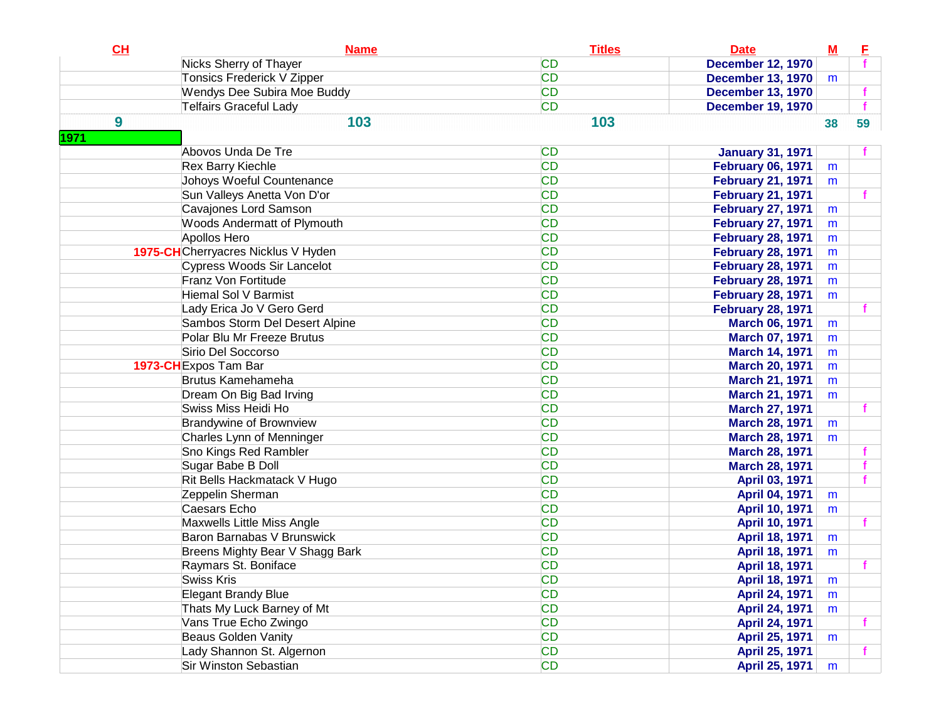| CL   | <b>Name</b>                        | <b>Titles</b> | <b>Date</b>              | ${\bf M}$ | E  |
|------|------------------------------------|---------------|--------------------------|-----------|----|
|      | Nicks Sherry of Thayer             | <b>CD</b>     | <b>December 12, 1970</b> |           |    |
|      | Tonsics Frederick V Zipper         | <b>CD</b>     | <b>December 13, 1970</b> | m         |    |
|      | Wendys Dee Subira Moe Buddy        | <b>CD</b>     | <b>December 13, 1970</b> |           |    |
|      | <b>Telfairs Graceful Lady</b>      | <b>CD</b>     | <b>December 19, 1970</b> |           |    |
| 9    | 103                                | 103           |                          | 38        | 59 |
| 1971 |                                    |               |                          |           |    |
|      | Abovos Unda De Tre                 | <b>CD</b>     | <b>January 31, 1971</b>  |           |    |
|      | <b>Rex Barry Kiechle</b>           | <b>CD</b>     | <b>February 06, 1971</b> | m         |    |
|      | Johoys Woeful Countenance          | <b>CD</b>     | <b>February 21, 1971</b> | m         |    |
|      | Sun Valleys Anetta Von D'or        | <b>CD</b>     | <b>February 21, 1971</b> |           |    |
|      | Cavajones Lord Samson              | <b>CD</b>     | <b>February 27, 1971</b> | m         |    |
|      | <b>Woods Andermatt of Plymouth</b> | <b>CD</b>     | <b>February 27, 1971</b> | m         |    |
|      | Apollos Hero                       | <b>CD</b>     | <b>February 28, 1971</b> | m         |    |
|      | 1975-CHCherryacres Nicklus V Hyden | <b>CD</b>     | <b>February 28, 1971</b> | m         |    |
|      | Cypress Woods Sir Lancelot         | <b>CD</b>     | <b>February 28, 1971</b> | m         |    |
|      | Franz Von Fortitude                | <b>CD</b>     | <b>February 28, 1971</b> | m         |    |
|      | Hiemal Sol V Barmist               | <b>CD</b>     | <b>February 28, 1971</b> | m         |    |
|      | Lady Erica Jo V Gero Gerd          | <b>CD</b>     | <b>February 28, 1971</b> |           |    |
|      | Sambos Storm Del Desert Alpine     | <b>CD</b>     | <b>March 06, 1971</b>    | m         |    |
|      | Polar Blu Mr Freeze Brutus         | <b>CD</b>     | <b>March 07, 1971</b>    | m         |    |
|      | Sirio Del Soccorso                 | <b>CD</b>     | <b>March 14, 1971</b>    | m         |    |
|      | 1973-CH Expos Tam Bar              | <b>CD</b>     | <b>March 20, 1971</b>    | m         |    |
|      | <b>Brutus Kamehameha</b>           | <b>CD</b>     | <b>March 21, 1971</b>    | m         |    |
|      | Dream On Big Bad Irving            | <b>CD</b>     | <b>March 21, 1971</b>    | m         |    |
|      | Swiss Miss Heidi Ho                | <b>CD</b>     | <b>March 27, 1971</b>    |           |    |
|      | <b>Brandywine of Brownview</b>     | <b>CD</b>     | <b>March 28, 1971</b>    | m         |    |
|      | Charles Lynn of Menninger          | <b>CD</b>     | <b>March 28, 1971</b>    | m         |    |
|      | Sno Kings Red Rambler              | <b>CD</b>     | <b>March 28, 1971</b>    |           |    |
|      | Sugar Babe B Doll                  | <b>CD</b>     | <b>March 28, 1971</b>    |           | f  |
|      | Rit Bells Hackmatack V Hugo        | <b>CD</b>     | April 03, 1971           |           | f  |
|      | Zeppelin Sherman                   | <b>CD</b>     | <b>April 04, 1971</b>    | m         |    |
|      | Caesars Echo                       | <b>CD</b>     | <b>April 10, 1971</b>    | m         |    |
|      | Maxwells Little Miss Angle         | <b>CD</b>     | <b>April 10, 1971</b>    |           | f  |
|      | Baron Barnabas V Brunswick         | <b>CD</b>     | April 18, 1971           | m         |    |
|      | Breens Mighty Bear V Shagg Bark    | <b>CD</b>     | April 18, 1971           | m         |    |
|      | Raymars St. Boniface               | <b>CD</b>     | April 18, 1971           |           |    |
|      | <b>Swiss Kris</b>                  | <b>CD</b>     | <b>April 18, 1971</b>    | m         |    |
|      | Elegant Brandy Blue                | <b>CD</b>     | April 24, 1971           | m         |    |
|      | Thats My Luck Barney of Mt         | <b>CD</b>     | April 24, 1971           | m         |    |
|      | Vans True Echo Zwingo              | <b>CD</b>     | April 24, 1971           |           | f  |
|      | <b>Beaus Golden Vanity</b>         | <b>CD</b>     | April 25, 1971           | m         |    |
|      | Lady Shannon St. Algernon          | <b>CD</b>     | April 25, 1971           |           | f  |
|      | Sir Winston Sebastian              | <b>CD</b>     | April 25, 1971           | m         |    |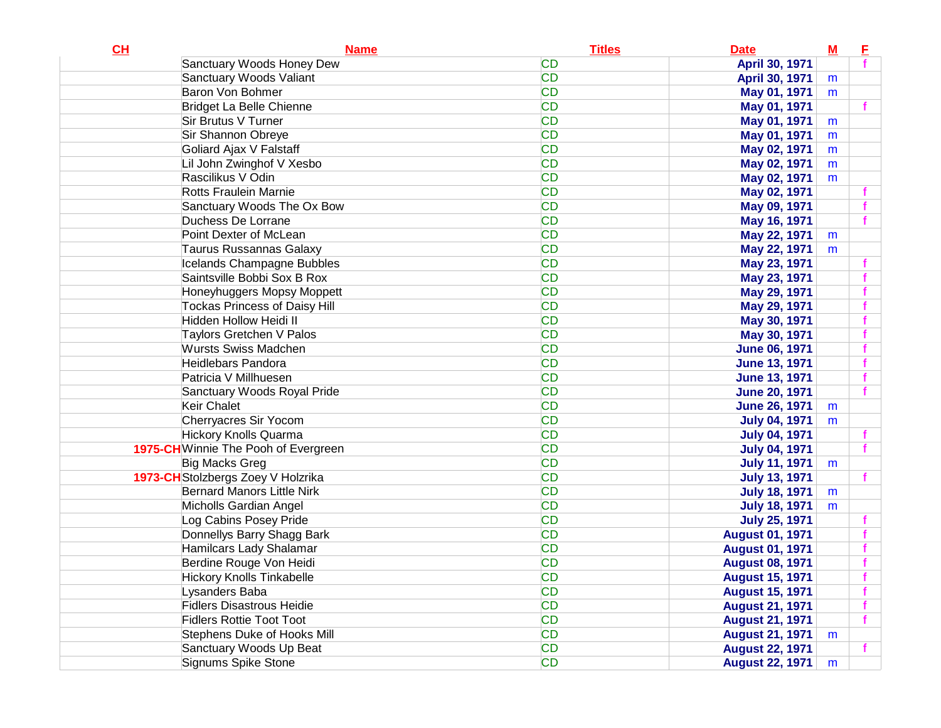| April 30, 1971<br><b>CD</b><br>Sanctuary Woods Valiant<br>April 30, 1971<br>m<br><b>CD</b><br>Baron Von Bohmer<br>May 01, 1971<br>m<br><b>CD</b><br>Bridget La Belle Chienne<br>May 01, 1971<br><b>CD</b><br>Sir Brutus V Turner<br>May 01, 1971<br>m<br><b>CD</b><br>Sir Shannon Obreye<br>May 01, 1971<br>m<br><b>CD</b><br>Goliard Ajax V Falstaff<br>May 02, 1971<br>m<br><b>CD</b><br>Lil John Zwinghof V Xesbo<br>May 02, 1971<br>m<br>Rascilikus V Odin<br><b>CD</b><br>May 02, 1971<br>m<br><b>CD</b><br>Rotts Fraulein Marnie<br>May 02, 1971<br><b>CD</b><br>Sanctuary Woods The Ox Bow<br>May 09, 1971<br><b>CD</b><br>Duchess De Lorrane<br>May 16, 1971<br><b>CD</b><br>Point Dexter of McLean<br>May 22, 1971<br>m<br><b>CD</b><br>Taurus Russannas Galaxy<br>May 22, 1971<br>m<br><b>CD</b><br>Icelands Champagne Bubbles<br>May 23, 1971<br>Saintsville Bobbi Sox B Rox<br><b>CD</b><br>May 23, 1971<br><b>CD</b><br>Honeyhuggers Mopsy Moppett<br>May 29, 1971<br><b>CD</b><br><b>Tockas Princess of Daisy Hill</b><br>May 29, 1971<br>Hidden Hollow Heidi II<br><b>CD</b><br>May 30, 1971<br><b>CD</b><br>Taylors Gretchen V Palos<br>May 30, 1971<br><b>CD</b><br><b>Wursts Swiss Madchen</b><br><b>June 06, 1971</b><br><b>CD</b><br>Heidlebars Pandora<br><b>June 13, 1971</b><br><b>CD</b><br>Patricia V Millhuesen<br><b>June 13, 1971</b><br><b>CD</b><br>Sanctuary Woods Royal Pride<br><b>June 20, 1971</b><br><b>CD</b><br>Keir Chalet<br><b>June 26, 1971</b><br>m<br><b>CD</b><br>Cherryacres Sir Yocom<br><b>July 04, 1971</b><br>m<br><b>CD</b><br><b>Hickory Knolls Quarma</b><br><b>July 04, 1971</b><br><b>CD</b><br>1975-CH Winnie The Pooh of Evergreen<br><b>July 04, 1971</b><br><b>CD</b><br>Big Macks Greg<br><b>July 11, 1971</b><br>m<br><b>CD</b><br>1973-CH Stolzbergs Zoey V Holzrika<br><b>July 13, 1971</b><br><b>CD</b><br><b>Bernard Manors Little Nirk</b><br><b>July 18, 1971</b><br>m<br><b>CD</b><br>Micholls Gardian Angel<br><b>July 18, 1971</b><br>m<br><b>CD</b><br>Log Cabins Posey Pride<br><b>July 25, 1971</b><br><b>CD</b><br>Donnellys Barry Shagg Bark<br><b>August 01, 1971</b><br><b>CD</b><br>Hamilcars Lady Shalamar<br><b>August 01, 1971</b><br><b>CD</b><br>Berdine Rouge Von Heidi<br><b>August 08, 1971</b><br><b>CD</b><br><b>Hickory Knolls Tinkabelle</b><br><b>August 15, 1971</b><br><b>CD</b><br>Lysanders Baba<br><b>August 15, 1971</b><br><b>CD</b><br><b>Fidlers Disastrous Heidie</b><br><b>August 21, 1971</b><br><b>CD</b><br><b>Fidlers Rottie Toot Toot</b><br><b>August 21, 1971</b><br><b>CD</b><br>Stephens Duke of Hooks Mill<br><b>August 21, 1971</b><br>m<br><b>CD</b><br>Sanctuary Woods Up Beat<br><b>August 22, 1971</b> | CH | <b>Name</b>                | <b>Titles</b> | <b>Date</b>            | ${\bf M}$ | E |
|-----------------------------------------------------------------------------------------------------------------------------------------------------------------------------------------------------------------------------------------------------------------------------------------------------------------------------------------------------------------------------------------------------------------------------------------------------------------------------------------------------------------------------------------------------------------------------------------------------------------------------------------------------------------------------------------------------------------------------------------------------------------------------------------------------------------------------------------------------------------------------------------------------------------------------------------------------------------------------------------------------------------------------------------------------------------------------------------------------------------------------------------------------------------------------------------------------------------------------------------------------------------------------------------------------------------------------------------------------------------------------------------------------------------------------------------------------------------------------------------------------------------------------------------------------------------------------------------------------------------------------------------------------------------------------------------------------------------------------------------------------------------------------------------------------------------------------------------------------------------------------------------------------------------------------------------------------------------------------------------------------------------------------------------------------------------------------------------------------------------------------------------------------------------------------------------------------------------------------------------------------------------------------------------------------------------------------------------------------------------------------------------------------------------------------------------------------------------------------------------------------------------------------------------------------------------------------------------------------------------------------------------------------------------------------------------------------------------------------|----|----------------------------|---------------|------------------------|-----------|---|
|                                                                                                                                                                                                                                                                                                                                                                                                                                                                                                                                                                                                                                                                                                                                                                                                                                                                                                                                                                                                                                                                                                                                                                                                                                                                                                                                                                                                                                                                                                                                                                                                                                                                                                                                                                                                                                                                                                                                                                                                                                                                                                                                                                                                                                                                                                                                                                                                                                                                                                                                                                                                                                                                                                                             |    | Sanctuary Woods Honey Dew  | <b>CD</b>     |                        |           |   |
|                                                                                                                                                                                                                                                                                                                                                                                                                                                                                                                                                                                                                                                                                                                                                                                                                                                                                                                                                                                                                                                                                                                                                                                                                                                                                                                                                                                                                                                                                                                                                                                                                                                                                                                                                                                                                                                                                                                                                                                                                                                                                                                                                                                                                                                                                                                                                                                                                                                                                                                                                                                                                                                                                                                             |    |                            |               |                        |           |   |
|                                                                                                                                                                                                                                                                                                                                                                                                                                                                                                                                                                                                                                                                                                                                                                                                                                                                                                                                                                                                                                                                                                                                                                                                                                                                                                                                                                                                                                                                                                                                                                                                                                                                                                                                                                                                                                                                                                                                                                                                                                                                                                                                                                                                                                                                                                                                                                                                                                                                                                                                                                                                                                                                                                                             |    |                            |               |                        |           |   |
|                                                                                                                                                                                                                                                                                                                                                                                                                                                                                                                                                                                                                                                                                                                                                                                                                                                                                                                                                                                                                                                                                                                                                                                                                                                                                                                                                                                                                                                                                                                                                                                                                                                                                                                                                                                                                                                                                                                                                                                                                                                                                                                                                                                                                                                                                                                                                                                                                                                                                                                                                                                                                                                                                                                             |    |                            |               |                        |           |   |
|                                                                                                                                                                                                                                                                                                                                                                                                                                                                                                                                                                                                                                                                                                                                                                                                                                                                                                                                                                                                                                                                                                                                                                                                                                                                                                                                                                                                                                                                                                                                                                                                                                                                                                                                                                                                                                                                                                                                                                                                                                                                                                                                                                                                                                                                                                                                                                                                                                                                                                                                                                                                                                                                                                                             |    |                            |               |                        |           |   |
|                                                                                                                                                                                                                                                                                                                                                                                                                                                                                                                                                                                                                                                                                                                                                                                                                                                                                                                                                                                                                                                                                                                                                                                                                                                                                                                                                                                                                                                                                                                                                                                                                                                                                                                                                                                                                                                                                                                                                                                                                                                                                                                                                                                                                                                                                                                                                                                                                                                                                                                                                                                                                                                                                                                             |    |                            |               |                        |           |   |
|                                                                                                                                                                                                                                                                                                                                                                                                                                                                                                                                                                                                                                                                                                                                                                                                                                                                                                                                                                                                                                                                                                                                                                                                                                                                                                                                                                                                                                                                                                                                                                                                                                                                                                                                                                                                                                                                                                                                                                                                                                                                                                                                                                                                                                                                                                                                                                                                                                                                                                                                                                                                                                                                                                                             |    |                            |               |                        |           |   |
|                                                                                                                                                                                                                                                                                                                                                                                                                                                                                                                                                                                                                                                                                                                                                                                                                                                                                                                                                                                                                                                                                                                                                                                                                                                                                                                                                                                                                                                                                                                                                                                                                                                                                                                                                                                                                                                                                                                                                                                                                                                                                                                                                                                                                                                                                                                                                                                                                                                                                                                                                                                                                                                                                                                             |    |                            |               |                        |           |   |
|                                                                                                                                                                                                                                                                                                                                                                                                                                                                                                                                                                                                                                                                                                                                                                                                                                                                                                                                                                                                                                                                                                                                                                                                                                                                                                                                                                                                                                                                                                                                                                                                                                                                                                                                                                                                                                                                                                                                                                                                                                                                                                                                                                                                                                                                                                                                                                                                                                                                                                                                                                                                                                                                                                                             |    |                            |               |                        |           |   |
|                                                                                                                                                                                                                                                                                                                                                                                                                                                                                                                                                                                                                                                                                                                                                                                                                                                                                                                                                                                                                                                                                                                                                                                                                                                                                                                                                                                                                                                                                                                                                                                                                                                                                                                                                                                                                                                                                                                                                                                                                                                                                                                                                                                                                                                                                                                                                                                                                                                                                                                                                                                                                                                                                                                             |    |                            |               |                        |           |   |
|                                                                                                                                                                                                                                                                                                                                                                                                                                                                                                                                                                                                                                                                                                                                                                                                                                                                                                                                                                                                                                                                                                                                                                                                                                                                                                                                                                                                                                                                                                                                                                                                                                                                                                                                                                                                                                                                                                                                                                                                                                                                                                                                                                                                                                                                                                                                                                                                                                                                                                                                                                                                                                                                                                                             |    |                            |               |                        |           |   |
|                                                                                                                                                                                                                                                                                                                                                                                                                                                                                                                                                                                                                                                                                                                                                                                                                                                                                                                                                                                                                                                                                                                                                                                                                                                                                                                                                                                                                                                                                                                                                                                                                                                                                                                                                                                                                                                                                                                                                                                                                                                                                                                                                                                                                                                                                                                                                                                                                                                                                                                                                                                                                                                                                                                             |    |                            |               |                        |           |   |
|                                                                                                                                                                                                                                                                                                                                                                                                                                                                                                                                                                                                                                                                                                                                                                                                                                                                                                                                                                                                                                                                                                                                                                                                                                                                                                                                                                                                                                                                                                                                                                                                                                                                                                                                                                                                                                                                                                                                                                                                                                                                                                                                                                                                                                                                                                                                                                                                                                                                                                                                                                                                                                                                                                                             |    |                            |               |                        |           |   |
|                                                                                                                                                                                                                                                                                                                                                                                                                                                                                                                                                                                                                                                                                                                                                                                                                                                                                                                                                                                                                                                                                                                                                                                                                                                                                                                                                                                                                                                                                                                                                                                                                                                                                                                                                                                                                                                                                                                                                                                                                                                                                                                                                                                                                                                                                                                                                                                                                                                                                                                                                                                                                                                                                                                             |    |                            |               |                        |           |   |
|                                                                                                                                                                                                                                                                                                                                                                                                                                                                                                                                                                                                                                                                                                                                                                                                                                                                                                                                                                                                                                                                                                                                                                                                                                                                                                                                                                                                                                                                                                                                                                                                                                                                                                                                                                                                                                                                                                                                                                                                                                                                                                                                                                                                                                                                                                                                                                                                                                                                                                                                                                                                                                                                                                                             |    |                            |               |                        |           |   |
|                                                                                                                                                                                                                                                                                                                                                                                                                                                                                                                                                                                                                                                                                                                                                                                                                                                                                                                                                                                                                                                                                                                                                                                                                                                                                                                                                                                                                                                                                                                                                                                                                                                                                                                                                                                                                                                                                                                                                                                                                                                                                                                                                                                                                                                                                                                                                                                                                                                                                                                                                                                                                                                                                                                             |    |                            |               |                        |           |   |
|                                                                                                                                                                                                                                                                                                                                                                                                                                                                                                                                                                                                                                                                                                                                                                                                                                                                                                                                                                                                                                                                                                                                                                                                                                                                                                                                                                                                                                                                                                                                                                                                                                                                                                                                                                                                                                                                                                                                                                                                                                                                                                                                                                                                                                                                                                                                                                                                                                                                                                                                                                                                                                                                                                                             |    |                            |               |                        |           |   |
|                                                                                                                                                                                                                                                                                                                                                                                                                                                                                                                                                                                                                                                                                                                                                                                                                                                                                                                                                                                                                                                                                                                                                                                                                                                                                                                                                                                                                                                                                                                                                                                                                                                                                                                                                                                                                                                                                                                                                                                                                                                                                                                                                                                                                                                                                                                                                                                                                                                                                                                                                                                                                                                                                                                             |    |                            |               |                        |           |   |
|                                                                                                                                                                                                                                                                                                                                                                                                                                                                                                                                                                                                                                                                                                                                                                                                                                                                                                                                                                                                                                                                                                                                                                                                                                                                                                                                                                                                                                                                                                                                                                                                                                                                                                                                                                                                                                                                                                                                                                                                                                                                                                                                                                                                                                                                                                                                                                                                                                                                                                                                                                                                                                                                                                                             |    |                            |               |                        |           |   |
|                                                                                                                                                                                                                                                                                                                                                                                                                                                                                                                                                                                                                                                                                                                                                                                                                                                                                                                                                                                                                                                                                                                                                                                                                                                                                                                                                                                                                                                                                                                                                                                                                                                                                                                                                                                                                                                                                                                                                                                                                                                                                                                                                                                                                                                                                                                                                                                                                                                                                                                                                                                                                                                                                                                             |    |                            |               |                        |           |   |
|                                                                                                                                                                                                                                                                                                                                                                                                                                                                                                                                                                                                                                                                                                                                                                                                                                                                                                                                                                                                                                                                                                                                                                                                                                                                                                                                                                                                                                                                                                                                                                                                                                                                                                                                                                                                                                                                                                                                                                                                                                                                                                                                                                                                                                                                                                                                                                                                                                                                                                                                                                                                                                                                                                                             |    |                            |               |                        |           |   |
|                                                                                                                                                                                                                                                                                                                                                                                                                                                                                                                                                                                                                                                                                                                                                                                                                                                                                                                                                                                                                                                                                                                                                                                                                                                                                                                                                                                                                                                                                                                                                                                                                                                                                                                                                                                                                                                                                                                                                                                                                                                                                                                                                                                                                                                                                                                                                                                                                                                                                                                                                                                                                                                                                                                             |    |                            |               |                        |           |   |
|                                                                                                                                                                                                                                                                                                                                                                                                                                                                                                                                                                                                                                                                                                                                                                                                                                                                                                                                                                                                                                                                                                                                                                                                                                                                                                                                                                                                                                                                                                                                                                                                                                                                                                                                                                                                                                                                                                                                                                                                                                                                                                                                                                                                                                                                                                                                                                                                                                                                                                                                                                                                                                                                                                                             |    |                            |               |                        |           |   |
|                                                                                                                                                                                                                                                                                                                                                                                                                                                                                                                                                                                                                                                                                                                                                                                                                                                                                                                                                                                                                                                                                                                                                                                                                                                                                                                                                                                                                                                                                                                                                                                                                                                                                                                                                                                                                                                                                                                                                                                                                                                                                                                                                                                                                                                                                                                                                                                                                                                                                                                                                                                                                                                                                                                             |    |                            |               |                        |           |   |
|                                                                                                                                                                                                                                                                                                                                                                                                                                                                                                                                                                                                                                                                                                                                                                                                                                                                                                                                                                                                                                                                                                                                                                                                                                                                                                                                                                                                                                                                                                                                                                                                                                                                                                                                                                                                                                                                                                                                                                                                                                                                                                                                                                                                                                                                                                                                                                                                                                                                                                                                                                                                                                                                                                                             |    |                            |               |                        |           |   |
|                                                                                                                                                                                                                                                                                                                                                                                                                                                                                                                                                                                                                                                                                                                                                                                                                                                                                                                                                                                                                                                                                                                                                                                                                                                                                                                                                                                                                                                                                                                                                                                                                                                                                                                                                                                                                                                                                                                                                                                                                                                                                                                                                                                                                                                                                                                                                                                                                                                                                                                                                                                                                                                                                                                             |    |                            |               |                        |           |   |
|                                                                                                                                                                                                                                                                                                                                                                                                                                                                                                                                                                                                                                                                                                                                                                                                                                                                                                                                                                                                                                                                                                                                                                                                                                                                                                                                                                                                                                                                                                                                                                                                                                                                                                                                                                                                                                                                                                                                                                                                                                                                                                                                                                                                                                                                                                                                                                                                                                                                                                                                                                                                                                                                                                                             |    |                            |               |                        |           |   |
|                                                                                                                                                                                                                                                                                                                                                                                                                                                                                                                                                                                                                                                                                                                                                                                                                                                                                                                                                                                                                                                                                                                                                                                                                                                                                                                                                                                                                                                                                                                                                                                                                                                                                                                                                                                                                                                                                                                                                                                                                                                                                                                                                                                                                                                                                                                                                                                                                                                                                                                                                                                                                                                                                                                             |    |                            |               |                        |           |   |
|                                                                                                                                                                                                                                                                                                                                                                                                                                                                                                                                                                                                                                                                                                                                                                                                                                                                                                                                                                                                                                                                                                                                                                                                                                                                                                                                                                                                                                                                                                                                                                                                                                                                                                                                                                                                                                                                                                                                                                                                                                                                                                                                                                                                                                                                                                                                                                                                                                                                                                                                                                                                                                                                                                                             |    |                            |               |                        |           |   |
|                                                                                                                                                                                                                                                                                                                                                                                                                                                                                                                                                                                                                                                                                                                                                                                                                                                                                                                                                                                                                                                                                                                                                                                                                                                                                                                                                                                                                                                                                                                                                                                                                                                                                                                                                                                                                                                                                                                                                                                                                                                                                                                                                                                                                                                                                                                                                                                                                                                                                                                                                                                                                                                                                                                             |    |                            |               |                        |           |   |
|                                                                                                                                                                                                                                                                                                                                                                                                                                                                                                                                                                                                                                                                                                                                                                                                                                                                                                                                                                                                                                                                                                                                                                                                                                                                                                                                                                                                                                                                                                                                                                                                                                                                                                                                                                                                                                                                                                                                                                                                                                                                                                                                                                                                                                                                                                                                                                                                                                                                                                                                                                                                                                                                                                                             |    |                            |               |                        |           |   |
|                                                                                                                                                                                                                                                                                                                                                                                                                                                                                                                                                                                                                                                                                                                                                                                                                                                                                                                                                                                                                                                                                                                                                                                                                                                                                                                                                                                                                                                                                                                                                                                                                                                                                                                                                                                                                                                                                                                                                                                                                                                                                                                                                                                                                                                                                                                                                                                                                                                                                                                                                                                                                                                                                                                             |    |                            |               |                        |           |   |
|                                                                                                                                                                                                                                                                                                                                                                                                                                                                                                                                                                                                                                                                                                                                                                                                                                                                                                                                                                                                                                                                                                                                                                                                                                                                                                                                                                                                                                                                                                                                                                                                                                                                                                                                                                                                                                                                                                                                                                                                                                                                                                                                                                                                                                                                                                                                                                                                                                                                                                                                                                                                                                                                                                                             |    |                            |               |                        |           |   |
|                                                                                                                                                                                                                                                                                                                                                                                                                                                                                                                                                                                                                                                                                                                                                                                                                                                                                                                                                                                                                                                                                                                                                                                                                                                                                                                                                                                                                                                                                                                                                                                                                                                                                                                                                                                                                                                                                                                                                                                                                                                                                                                                                                                                                                                                                                                                                                                                                                                                                                                                                                                                                                                                                                                             |    |                            |               |                        |           |   |
|                                                                                                                                                                                                                                                                                                                                                                                                                                                                                                                                                                                                                                                                                                                                                                                                                                                                                                                                                                                                                                                                                                                                                                                                                                                                                                                                                                                                                                                                                                                                                                                                                                                                                                                                                                                                                                                                                                                                                                                                                                                                                                                                                                                                                                                                                                                                                                                                                                                                                                                                                                                                                                                                                                                             |    |                            |               |                        |           |   |
|                                                                                                                                                                                                                                                                                                                                                                                                                                                                                                                                                                                                                                                                                                                                                                                                                                                                                                                                                                                                                                                                                                                                                                                                                                                                                                                                                                                                                                                                                                                                                                                                                                                                                                                                                                                                                                                                                                                                                                                                                                                                                                                                                                                                                                                                                                                                                                                                                                                                                                                                                                                                                                                                                                                             |    |                            |               |                        |           |   |
|                                                                                                                                                                                                                                                                                                                                                                                                                                                                                                                                                                                                                                                                                                                                                                                                                                                                                                                                                                                                                                                                                                                                                                                                                                                                                                                                                                                                                                                                                                                                                                                                                                                                                                                                                                                                                                                                                                                                                                                                                                                                                                                                                                                                                                                                                                                                                                                                                                                                                                                                                                                                                                                                                                                             |    |                            |               |                        |           |   |
|                                                                                                                                                                                                                                                                                                                                                                                                                                                                                                                                                                                                                                                                                                                                                                                                                                                                                                                                                                                                                                                                                                                                                                                                                                                                                                                                                                                                                                                                                                                                                                                                                                                                                                                                                                                                                                                                                                                                                                                                                                                                                                                                                                                                                                                                                                                                                                                                                                                                                                                                                                                                                                                                                                                             |    |                            |               |                        |           |   |
|                                                                                                                                                                                                                                                                                                                                                                                                                                                                                                                                                                                                                                                                                                                                                                                                                                                                                                                                                                                                                                                                                                                                                                                                                                                                                                                                                                                                                                                                                                                                                                                                                                                                                                                                                                                                                                                                                                                                                                                                                                                                                                                                                                                                                                                                                                                                                                                                                                                                                                                                                                                                                                                                                                                             |    |                            |               |                        |           |   |
|                                                                                                                                                                                                                                                                                                                                                                                                                                                                                                                                                                                                                                                                                                                                                                                                                                                                                                                                                                                                                                                                                                                                                                                                                                                                                                                                                                                                                                                                                                                                                                                                                                                                                                                                                                                                                                                                                                                                                                                                                                                                                                                                                                                                                                                                                                                                                                                                                                                                                                                                                                                                                                                                                                                             |    |                            |               |                        |           |   |
|                                                                                                                                                                                                                                                                                                                                                                                                                                                                                                                                                                                                                                                                                                                                                                                                                                                                                                                                                                                                                                                                                                                                                                                                                                                                                                                                                                                                                                                                                                                                                                                                                                                                                                                                                                                                                                                                                                                                                                                                                                                                                                                                                                                                                                                                                                                                                                                                                                                                                                                                                                                                                                                                                                                             |    |                            |               |                        |           |   |
|                                                                                                                                                                                                                                                                                                                                                                                                                                                                                                                                                                                                                                                                                                                                                                                                                                                                                                                                                                                                                                                                                                                                                                                                                                                                                                                                                                                                                                                                                                                                                                                                                                                                                                                                                                                                                                                                                                                                                                                                                                                                                                                                                                                                                                                                                                                                                                                                                                                                                                                                                                                                                                                                                                                             |    |                            |               |                        |           |   |
|                                                                                                                                                                                                                                                                                                                                                                                                                                                                                                                                                                                                                                                                                                                                                                                                                                                                                                                                                                                                                                                                                                                                                                                                                                                                                                                                                                                                                                                                                                                                                                                                                                                                                                                                                                                                                                                                                                                                                                                                                                                                                                                                                                                                                                                                                                                                                                                                                                                                                                                                                                                                                                                                                                                             |    | <b>Signums Spike Stone</b> | <b>CD</b>     | <b>August 22, 1971</b> | m         |   |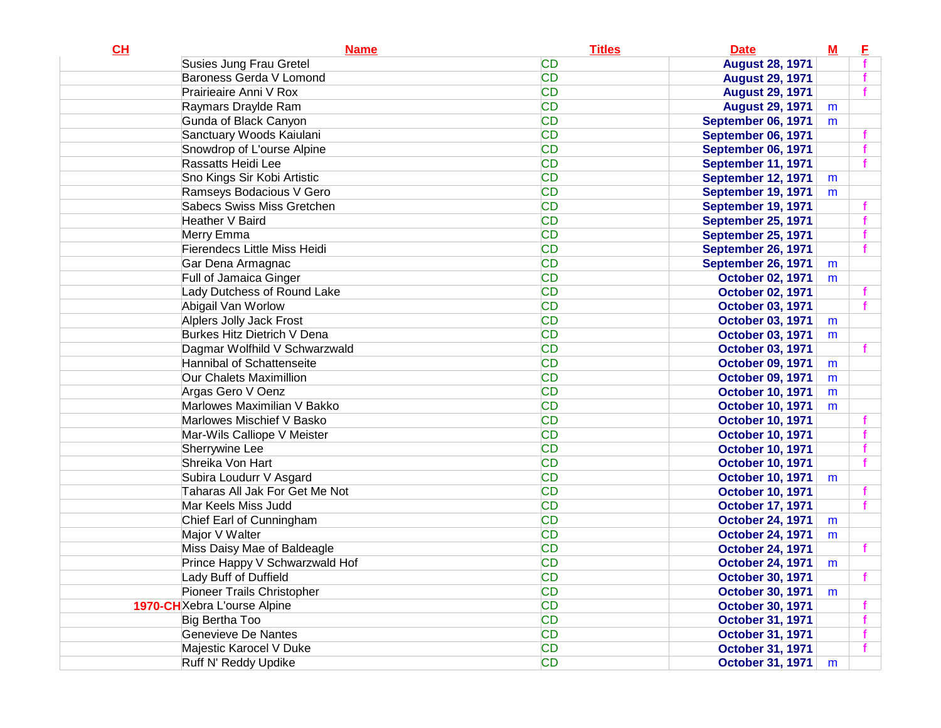| <b>CD</b><br>Susies Jung Frau Gretel<br><b>August 28, 1971</b><br><b>CD</b><br>Baroness Gerda V Lomond<br><b>August 29, 1971</b><br><b>CD</b><br>Prairieaire Anni V Rox<br><b>August 29, 1971</b><br><b>CD</b><br>Raymars Draylde Ram<br><b>August 29, 1971</b><br>m<br><b>CD</b><br>Gunda of Black Canyon<br>September 06, 1971<br>m<br><b>CD</b><br>Sanctuary Woods Kaiulani<br>September 06, 1971<br><b>CD</b><br>Snowdrop of L'ourse Alpine<br><b>September 06, 1971</b><br><b>CD</b><br>Rassatts Heidi Lee<br>September 11, 1971<br><b>CD</b><br>Sno Kings Sir Kobi Artistic<br><b>September 12, 1971</b><br>m<br><b>CD</b><br>Ramseys Bodacious V Gero<br>September 19, 1971<br>m<br><b>CD</b><br><b>Sabecs Swiss Miss Gretchen</b><br>September 19, 1971<br><b>CD</b><br>Heather V Baird<br><b>September 25, 1971</b><br><b>CD</b><br>Merry Emma<br><b>September 25, 1971</b><br><b>CD</b><br><b>Fierendecs Little Miss Heidi</b><br><b>September 26, 1971</b><br><b>CD</b><br>Gar Dena Armagnac<br>September 26, 1971<br>m<br><b>CD</b><br>Full of Jamaica Ginger<br><b>October 02, 1971</b><br>m<br><b>CD</b><br>Lady Dutchess of Round Lake<br>October 02, 1971<br><b>CD</b><br>Abigail Van Worlow<br><b>October 03, 1971</b><br><b>CD</b><br>Alplers Jolly Jack Frost<br><b>October 03, 1971</b><br>m<br><b>CD</b><br>Burkes Hitz Dietrich V Dena |
|--------------------------------------------------------------------------------------------------------------------------------------------------------------------------------------------------------------------------------------------------------------------------------------------------------------------------------------------------------------------------------------------------------------------------------------------------------------------------------------------------------------------------------------------------------------------------------------------------------------------------------------------------------------------------------------------------------------------------------------------------------------------------------------------------------------------------------------------------------------------------------------------------------------------------------------------------------------------------------------------------------------------------------------------------------------------------------------------------------------------------------------------------------------------------------------------------------------------------------------------------------------------------------------------------------------------------------------------------------------|
|                                                                                                                                                                                                                                                                                                                                                                                                                                                                                                                                                                                                                                                                                                                                                                                                                                                                                                                                                                                                                                                                                                                                                                                                                                                                                                                                                              |
|                                                                                                                                                                                                                                                                                                                                                                                                                                                                                                                                                                                                                                                                                                                                                                                                                                                                                                                                                                                                                                                                                                                                                                                                                                                                                                                                                              |
|                                                                                                                                                                                                                                                                                                                                                                                                                                                                                                                                                                                                                                                                                                                                                                                                                                                                                                                                                                                                                                                                                                                                                                                                                                                                                                                                                              |
|                                                                                                                                                                                                                                                                                                                                                                                                                                                                                                                                                                                                                                                                                                                                                                                                                                                                                                                                                                                                                                                                                                                                                                                                                                                                                                                                                              |
|                                                                                                                                                                                                                                                                                                                                                                                                                                                                                                                                                                                                                                                                                                                                                                                                                                                                                                                                                                                                                                                                                                                                                                                                                                                                                                                                                              |
|                                                                                                                                                                                                                                                                                                                                                                                                                                                                                                                                                                                                                                                                                                                                                                                                                                                                                                                                                                                                                                                                                                                                                                                                                                                                                                                                                              |
|                                                                                                                                                                                                                                                                                                                                                                                                                                                                                                                                                                                                                                                                                                                                                                                                                                                                                                                                                                                                                                                                                                                                                                                                                                                                                                                                                              |
|                                                                                                                                                                                                                                                                                                                                                                                                                                                                                                                                                                                                                                                                                                                                                                                                                                                                                                                                                                                                                                                                                                                                                                                                                                                                                                                                                              |
|                                                                                                                                                                                                                                                                                                                                                                                                                                                                                                                                                                                                                                                                                                                                                                                                                                                                                                                                                                                                                                                                                                                                                                                                                                                                                                                                                              |
|                                                                                                                                                                                                                                                                                                                                                                                                                                                                                                                                                                                                                                                                                                                                                                                                                                                                                                                                                                                                                                                                                                                                                                                                                                                                                                                                                              |
|                                                                                                                                                                                                                                                                                                                                                                                                                                                                                                                                                                                                                                                                                                                                                                                                                                                                                                                                                                                                                                                                                                                                                                                                                                                                                                                                                              |
|                                                                                                                                                                                                                                                                                                                                                                                                                                                                                                                                                                                                                                                                                                                                                                                                                                                                                                                                                                                                                                                                                                                                                                                                                                                                                                                                                              |
|                                                                                                                                                                                                                                                                                                                                                                                                                                                                                                                                                                                                                                                                                                                                                                                                                                                                                                                                                                                                                                                                                                                                                                                                                                                                                                                                                              |
|                                                                                                                                                                                                                                                                                                                                                                                                                                                                                                                                                                                                                                                                                                                                                                                                                                                                                                                                                                                                                                                                                                                                                                                                                                                                                                                                                              |
|                                                                                                                                                                                                                                                                                                                                                                                                                                                                                                                                                                                                                                                                                                                                                                                                                                                                                                                                                                                                                                                                                                                                                                                                                                                                                                                                                              |
|                                                                                                                                                                                                                                                                                                                                                                                                                                                                                                                                                                                                                                                                                                                                                                                                                                                                                                                                                                                                                                                                                                                                                                                                                                                                                                                                                              |
|                                                                                                                                                                                                                                                                                                                                                                                                                                                                                                                                                                                                                                                                                                                                                                                                                                                                                                                                                                                                                                                                                                                                                                                                                                                                                                                                                              |
|                                                                                                                                                                                                                                                                                                                                                                                                                                                                                                                                                                                                                                                                                                                                                                                                                                                                                                                                                                                                                                                                                                                                                                                                                                                                                                                                                              |
|                                                                                                                                                                                                                                                                                                                                                                                                                                                                                                                                                                                                                                                                                                                                                                                                                                                                                                                                                                                                                                                                                                                                                                                                                                                                                                                                                              |
| October 03, 1971<br>m                                                                                                                                                                                                                                                                                                                                                                                                                                                                                                                                                                                                                                                                                                                                                                                                                                                                                                                                                                                                                                                                                                                                                                                                                                                                                                                                        |
| <b>CD</b><br>Dagmar Wolfhild V Schwarzwald<br><b>October 03, 1971</b>                                                                                                                                                                                                                                                                                                                                                                                                                                                                                                                                                                                                                                                                                                                                                                                                                                                                                                                                                                                                                                                                                                                                                                                                                                                                                        |
| <b>CD</b><br>Hannibal of Schattenseite<br><b>October 09, 1971</b><br>m                                                                                                                                                                                                                                                                                                                                                                                                                                                                                                                                                                                                                                                                                                                                                                                                                                                                                                                                                                                                                                                                                                                                                                                                                                                                                       |
| <b>CD</b><br>Our Chalets Maximillion<br><b>October 09, 1971</b><br>m                                                                                                                                                                                                                                                                                                                                                                                                                                                                                                                                                                                                                                                                                                                                                                                                                                                                                                                                                                                                                                                                                                                                                                                                                                                                                         |
| <b>CD</b><br>Argas Gero V Oenz<br><b>October 10, 1971</b><br>m                                                                                                                                                                                                                                                                                                                                                                                                                                                                                                                                                                                                                                                                                                                                                                                                                                                                                                                                                                                                                                                                                                                                                                                                                                                                                               |
| <b>CD</b><br>Marlowes Maximilian V Bakko<br><b>October 10, 1971</b><br>m                                                                                                                                                                                                                                                                                                                                                                                                                                                                                                                                                                                                                                                                                                                                                                                                                                                                                                                                                                                                                                                                                                                                                                                                                                                                                     |
| <b>CD</b><br>Marlowes Mischief V Basko<br><b>October 10, 1971</b>                                                                                                                                                                                                                                                                                                                                                                                                                                                                                                                                                                                                                                                                                                                                                                                                                                                                                                                                                                                                                                                                                                                                                                                                                                                                                            |
| <b>CD</b><br>Mar-Wils Calliope V Meister<br><b>October 10, 1971</b>                                                                                                                                                                                                                                                                                                                                                                                                                                                                                                                                                                                                                                                                                                                                                                                                                                                                                                                                                                                                                                                                                                                                                                                                                                                                                          |
| <b>CD</b><br>Sherrywine Lee<br><b>October 10, 1971</b>                                                                                                                                                                                                                                                                                                                                                                                                                                                                                                                                                                                                                                                                                                                                                                                                                                                                                                                                                                                                                                                                                                                                                                                                                                                                                                       |
| <b>CD</b><br>Shreika Von Hart<br><b>October 10, 1971</b>                                                                                                                                                                                                                                                                                                                                                                                                                                                                                                                                                                                                                                                                                                                                                                                                                                                                                                                                                                                                                                                                                                                                                                                                                                                                                                     |
| <b>CD</b><br>Subira Loudurr V Asgard<br><b>October 10, 1971</b><br>m                                                                                                                                                                                                                                                                                                                                                                                                                                                                                                                                                                                                                                                                                                                                                                                                                                                                                                                                                                                                                                                                                                                                                                                                                                                                                         |
| <b>CD</b><br>Taharas All Jak For Get Me Not<br><b>October 10, 1971</b>                                                                                                                                                                                                                                                                                                                                                                                                                                                                                                                                                                                                                                                                                                                                                                                                                                                                                                                                                                                                                                                                                                                                                                                                                                                                                       |
| <b>CD</b><br>Mar Keels Miss Judd<br><b>October 17, 1971</b>                                                                                                                                                                                                                                                                                                                                                                                                                                                                                                                                                                                                                                                                                                                                                                                                                                                                                                                                                                                                                                                                                                                                                                                                                                                                                                  |
| <b>CD</b><br>Chief Earl of Cunningham<br><b>October 24, 1971</b><br>m                                                                                                                                                                                                                                                                                                                                                                                                                                                                                                                                                                                                                                                                                                                                                                                                                                                                                                                                                                                                                                                                                                                                                                                                                                                                                        |
| <b>CD</b><br>Major V Walter<br><b>October 24, 1971</b><br>m                                                                                                                                                                                                                                                                                                                                                                                                                                                                                                                                                                                                                                                                                                                                                                                                                                                                                                                                                                                                                                                                                                                                                                                                                                                                                                  |
| <b>CD</b><br>Miss Daisy Mae of Baldeagle<br><b>October 24, 1971</b>                                                                                                                                                                                                                                                                                                                                                                                                                                                                                                                                                                                                                                                                                                                                                                                                                                                                                                                                                                                                                                                                                                                                                                                                                                                                                          |
| <b>CD</b><br>Prince Happy V Schwarzwald Hof<br><b>October 24, 1971</b><br>m                                                                                                                                                                                                                                                                                                                                                                                                                                                                                                                                                                                                                                                                                                                                                                                                                                                                                                                                                                                                                                                                                                                                                                                                                                                                                  |
| Lady Buff of Duffield<br>CD<br>October 30, 1971                                                                                                                                                                                                                                                                                                                                                                                                                                                                                                                                                                                                                                                                                                                                                                                                                                                                                                                                                                                                                                                                                                                                                                                                                                                                                                              |
| <b>CD</b><br>Pioneer Trails Christopher<br><b>October 30, 1971</b><br>m                                                                                                                                                                                                                                                                                                                                                                                                                                                                                                                                                                                                                                                                                                                                                                                                                                                                                                                                                                                                                                                                                                                                                                                                                                                                                      |
| <b>CD</b><br>1970-CH Xebra L'ourse Alpine<br><b>October 30, 1971</b>                                                                                                                                                                                                                                                                                                                                                                                                                                                                                                                                                                                                                                                                                                                                                                                                                                                                                                                                                                                                                                                                                                                                                                                                                                                                                         |
| <b>CD</b><br>Big Bertha Too<br><b>October 31, 1971</b>                                                                                                                                                                                                                                                                                                                                                                                                                                                                                                                                                                                                                                                                                                                                                                                                                                                                                                                                                                                                                                                                                                                                                                                                                                                                                                       |
| <b>CD</b><br>Genevieve De Nantes<br><b>October 31, 1971</b>                                                                                                                                                                                                                                                                                                                                                                                                                                                                                                                                                                                                                                                                                                                                                                                                                                                                                                                                                                                                                                                                                                                                                                                                                                                                                                  |
| <b>CD</b><br>Majestic Karocel V Duke<br><b>October 31, 1971</b>                                                                                                                                                                                                                                                                                                                                                                                                                                                                                                                                                                                                                                                                                                                                                                                                                                                                                                                                                                                                                                                                                                                                                                                                                                                                                              |
| <b>CD</b><br>Ruff N' Reddy Updike<br><b>October 31, 1971</b><br>m                                                                                                                                                                                                                                                                                                                                                                                                                                                                                                                                                                                                                                                                                                                                                                                                                                                                                                                                                                                                                                                                                                                                                                                                                                                                                            |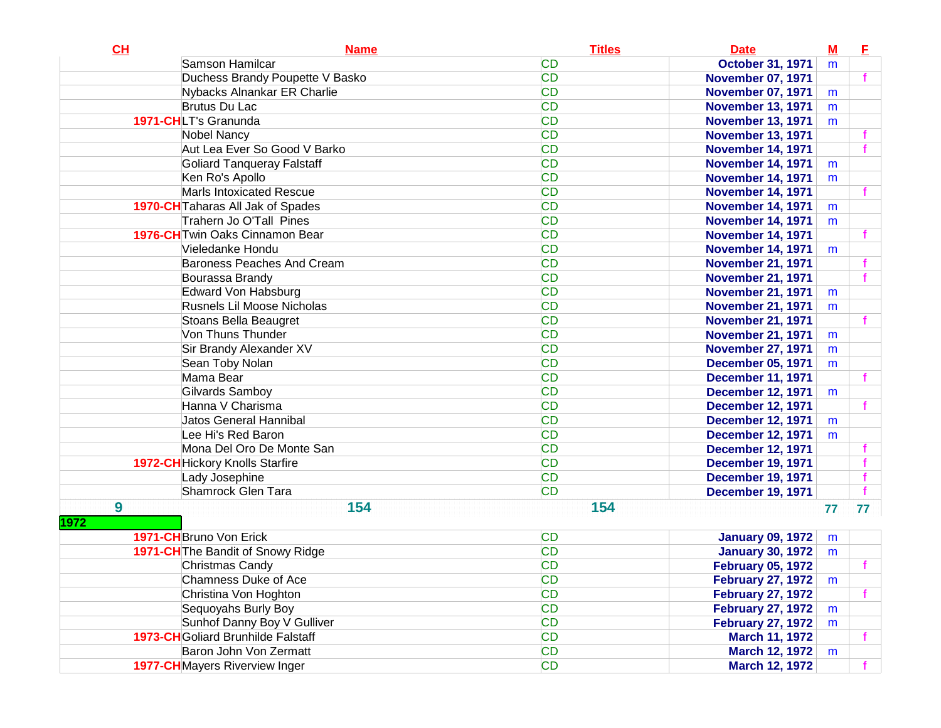| CH               | <b>Name</b>                               | <b>Titles</b> | <b>Date</b>              | $\underline{\mathbf{M}}$ | E            |
|------------------|-------------------------------------------|---------------|--------------------------|--------------------------|--------------|
|                  | Samson Hamilcar                           | <b>CD</b>     | <b>October 31, 1971</b>  | m                        |              |
|                  | Duchess Brandy Poupette V Basko           | <b>CD</b>     | <b>November 07, 1971</b> |                          | $\mathbf{f}$ |
|                  | Nybacks Alnankar ER Charlie               | <b>CD</b>     | <b>November 07, 1971</b> | m                        |              |
|                  | <b>Brutus Du Lac</b>                      | <b>CD</b>     | <b>November 13, 1971</b> | m                        |              |
|                  | 1971-CHLT's Granunda                      | <b>CD</b>     | <b>November 13, 1971</b> | m                        |              |
|                  | <b>Nobel Nancy</b>                        | <b>CD</b>     | <b>November 13, 1971</b> |                          |              |
|                  | Aut Lea Ever So Good V Barko              | <b>CD</b>     | <b>November 14, 1971</b> |                          |              |
|                  | <b>Goliard Tanqueray Falstaff</b>         | <b>CD</b>     | <b>November 14, 1971</b> | m                        |              |
|                  | Ken Ro's Apollo                           | <b>CD</b>     | <b>November 14, 1971</b> | m                        |              |
|                  | <b>Marls Intoxicated Rescue</b>           | <b>CD</b>     | <b>November 14, 1971</b> |                          |              |
|                  | <b>1970-CH</b> Taharas All Jak of Spades  | <b>CD</b>     | <b>November 14, 1971</b> | m                        |              |
|                  | Trahern Jo O'Tall Pines                   | <b>CD</b>     | <b>November 14, 1971</b> | m                        |              |
|                  | 1976-CH Twin Oaks Cinnamon Bear           | <b>CD</b>     | <b>November 14, 1971</b> |                          |              |
|                  | Vieledanke Hondu                          | <b>CD</b>     | <b>November 14, 1971</b> | m                        |              |
|                  | Baroness Peaches And Cream                | <b>CD</b>     | <b>November 21, 1971</b> |                          |              |
|                  | Bourassa Brandy                           | <b>CD</b>     | <b>November 21, 1971</b> |                          |              |
|                  | Edward Von Habsburg                       | <b>CD</b>     | <b>November 21, 1971</b> | m                        |              |
|                  | Rusnels Lil Moose Nicholas                | <b>CD</b>     | <b>November 21, 1971</b> | m                        |              |
|                  | Stoans Bella Beaugret                     | <b>CD</b>     | <b>November 21, 1971</b> |                          |              |
|                  | Von Thuns Thunder                         | <b>CD</b>     | <b>November 21, 1971</b> | m                        |              |
|                  | Sir Brandy Alexander XV                   | <b>CD</b>     | <b>November 27, 1971</b> | m                        |              |
|                  | Sean Toby Nolan                           | <b>CD</b>     | <b>December 05, 1971</b> | m                        |              |
|                  | Mama Bear                                 | <b>CD</b>     | <b>December 11, 1971</b> |                          | f.           |
|                  | Gilvards Samboy                           | <b>CD</b>     | <b>December 12, 1971</b> | m                        |              |
|                  | Hanna V Charisma                          | <b>CD</b>     | <b>December 12, 1971</b> |                          |              |
|                  | Jatos General Hannibal                    | <b>CD</b>     | <b>December 12, 1971</b> | m                        |              |
|                  | Lee Hi's Red Baron                        | <b>CD</b>     | <b>December 12, 1971</b> | m                        |              |
|                  | Mona Del Oro De Monte San                 | <b>CD</b>     | <b>December 12, 1971</b> |                          |              |
|                  | <b>1972-CH</b> Hickory Knolls Starfire    | <b>CD</b>     | <b>December 19, 1971</b> |                          |              |
|                  | Lady Josephine                            | <b>CD</b>     | <b>December 19, 1971</b> |                          |              |
|                  | Shamrock Glen Tara                        | <b>CD</b>     | <b>December 19, 1971</b> |                          |              |
| $\boldsymbol{9}$ | 154                                       | 154           |                          | 77                       | 77           |
| 1972             |                                           |               |                          |                          |              |
|                  | 1971-CH Bruno Von Erick                   | <b>CD</b>     | <b>January 09, 1972</b>  | m                        |              |
|                  | 1971-CH The Bandit of Snowy Ridge         | <b>CD</b>     | <b>January 30, 1972</b>  | m                        |              |
|                  | Christmas Candy                           | <b>CD</b>     | <b>February 05, 1972</b> |                          |              |
|                  | Chamness Duke of Ace                      | <b>CD</b>     | <b>February 27, 1972</b> | m                        |              |
|                  | Christina Von Hoghton                     | <b>CD</b>     | <b>February 27, 1972</b> |                          |              |
|                  | Sequoyahs Burly Boy                       | <b>CD</b>     | <b>February 27, 1972</b> | m                        |              |
|                  | Sunhof Danny Boy V Gulliver               | <b>CD</b>     | <b>February 27, 1972</b> | m                        |              |
|                  | <b>1973-CH</b> Goliard Brunhilde Falstaff | <b>CD</b>     | <b>March 11, 1972</b>    |                          |              |
|                  | Baron John Von Zermatt                    | <b>CD</b>     | <b>March 12, 1972</b>    | m                        |              |
|                  | <b>1977-CH</b> Mayers Riverview Inger     | <b>CD</b>     | <b>March 12, 1972</b>    |                          |              |
|                  |                                           |               |                          |                          |              |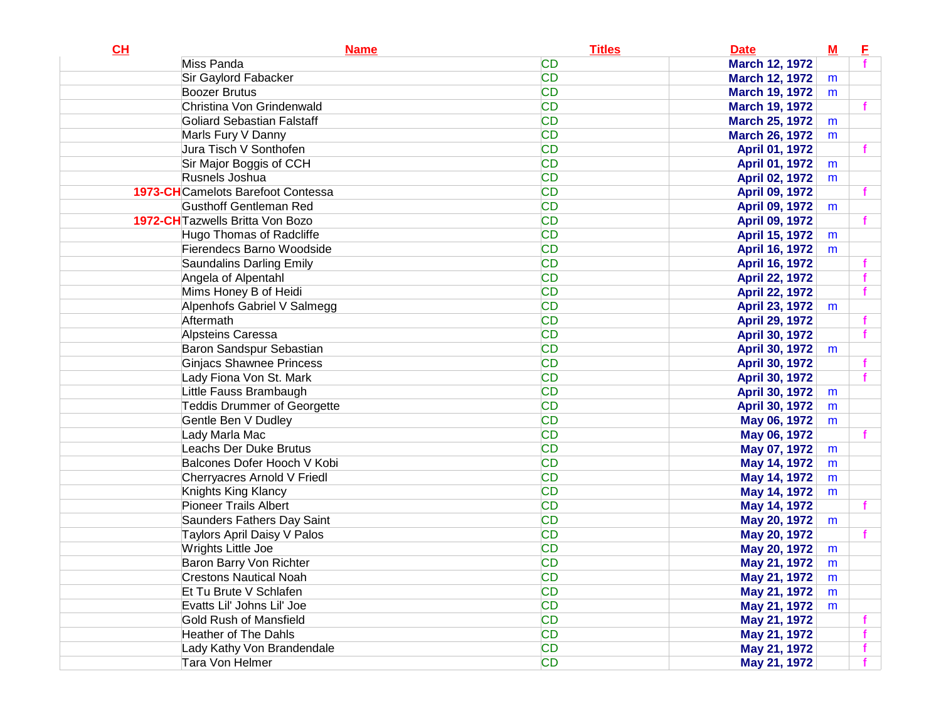| CL | <b>Name</b>                             | <b>Titles</b> | <b>Date</b>           | ${\bf M}$ | E |
|----|-----------------------------------------|---------------|-----------------------|-----------|---|
|    | Miss Panda                              | <b>CD</b>     | <b>March 12, 1972</b> |           |   |
|    | Sir Gaylord Fabacker                    | <b>CD</b>     | <b>March 12, 1972</b> | m         |   |
|    | <b>Boozer Brutus</b>                    | <b>CD</b>     | <b>March 19, 1972</b> | m         |   |
|    | Christina Von Grindenwald               | <b>CD</b>     | <b>March 19, 1972</b> |           |   |
|    | <b>Goliard Sebastian Falstaff</b>       | <b>CD</b>     | <b>March 25, 1972</b> | m         |   |
|    | Marls Fury V Danny                      | <b>CD</b>     | <b>March 26, 1972</b> | m         |   |
|    | Jura Tisch V Sonthofen                  | <b>CD</b>     | April 01, 1972        |           |   |
|    | Sir Major Boggis of CCH                 | <b>CD</b>     | April 01, 1972        | m         |   |
|    | Rusnels Joshua                          | <b>CD</b>     | April 02, 1972        | m         |   |
|    | 1973-CHCamelots Barefoot Contessa       | <b>CD</b>     | <b>April 09, 1972</b> |           |   |
|    | <b>Gusthoff Gentleman Red</b>           | <b>CD</b>     | April 09, 1972        | m         |   |
|    | <b>1972-CH</b> Tazwells Britta Von Bozo | <b>CD</b>     | <b>April 09, 1972</b> |           |   |
|    | Hugo Thomas of Radcliffe                | <b>CD</b>     | April 15, 1972        | m         |   |
|    | Fierendecs Barno Woodside               | <b>CD</b>     | April 16, 1972        | m         |   |
|    | Saundalins Darling Emily                | <b>CD</b>     | April 16, 1972        |           |   |
|    | Angela of Alpentahl                     | <b>CD</b>     | <b>April 22, 1972</b> |           |   |
|    | Mims Honey B of Heidi                   | <b>CD</b>     | <b>April 22, 1972</b> |           |   |
|    | Alpenhofs Gabriel V Salmegg             | <b>CD</b>     | April 23, 1972        | m         |   |
|    | Aftermath                               | <b>CD</b>     | <b>April 29, 1972</b> |           |   |
|    | Alpsteins Caressa                       | <b>CD</b>     | April 30, 1972        |           |   |
|    | Baron Sandspur Sebastian                | <b>CD</b>     | April 30, 1972        | m         |   |
|    | <b>Ginjacs Shawnee Princess</b>         | <b>CD</b>     | April 30, 1972        |           |   |
|    | Lady Fiona Von St. Mark                 | <b>CD</b>     | April 30, 1972        |           |   |
|    | Little Fauss Brambaugh                  | <b>CD</b>     | April 30, 1972        | m         |   |
|    | <b>Teddis Drummer of Georgette</b>      | <b>CD</b>     | April 30, 1972        | m         |   |
|    | Gentle Ben V Dudley                     | <b>CD</b>     | May 06, 1972          | m         |   |
|    | Lady Marla Mac                          | <b>CD</b>     | May 06, 1972          |           |   |
|    | <b>Leachs Der Duke Brutus</b>           | <b>CD</b>     | May 07, 1972          | m         |   |
|    | Balcones Dofer Hooch V Kobi             | <b>CD</b>     | May 14, 1972          | m         |   |
|    | Cherryacres Arnold V Friedl             | <b>CD</b>     | May 14, 1972          | m         |   |
|    | Knights King Klancy                     | <b>CD</b>     | May 14, 1972          | m         |   |
|    | <b>Pioneer Trails Albert</b>            | <b>CD</b>     | May 14, 1972          |           |   |
|    | Saunders Fathers Day Saint              | <b>CD</b>     | May 20, 1972          | m         |   |
|    | Taylors April Daisy V Palos             | <b>CD</b>     | May 20, 1972          |           |   |
|    | Wrights Little Joe                      | <b>CD</b>     | May 20, 1972          | m         |   |
|    | Baron Barry Von Richter                 | <b>CD</b>     | May 21, 1972          | m         |   |
|    | <b>Crestons Nautical Noah</b>           | CD            | May 21, 1972          | m         |   |
|    | Et Tu Brute V Schlafen                  | <b>CD</b>     | May 21, 1972          | m         |   |
|    | Evatts Lil' Johns Lil' Joe              | <b>CD</b>     | May 21, 1972          | m         |   |
|    | Gold Rush of Mansfield                  | <b>CD</b>     | May 21, 1972          |           |   |
|    | <b>Heather of The Dahls</b>             | <b>CD</b>     | May 21, 1972          |           |   |
|    | Lady Kathy Von Brandendale              | <b>CD</b>     | May 21, 1972          |           |   |
|    | Tara Von Helmer                         | <b>CD</b>     | May 21, 1972          |           |   |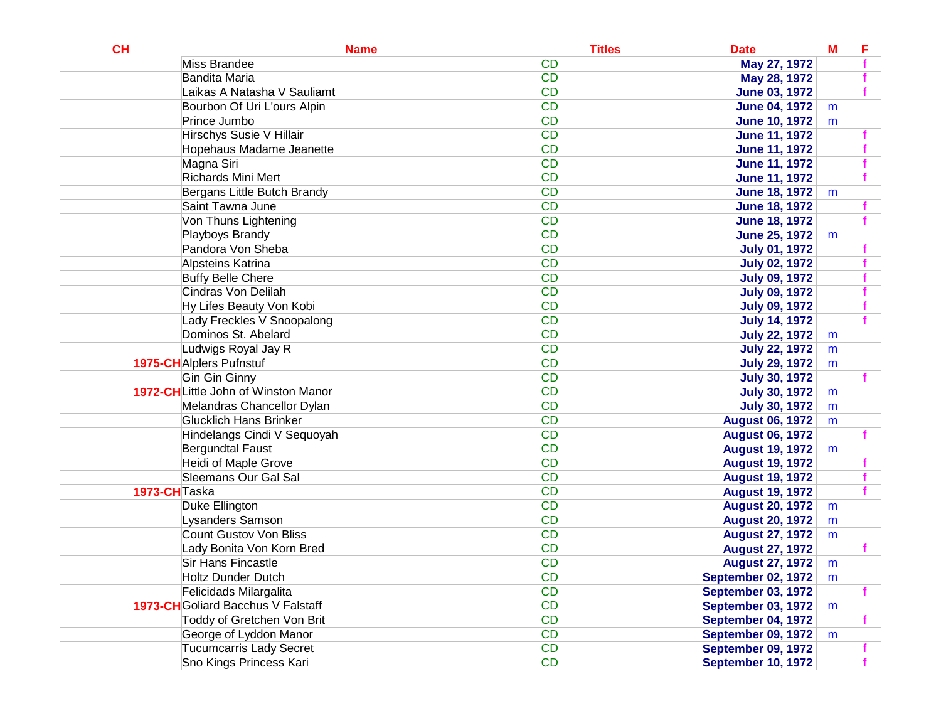| CL           | <b>Name</b>                         | <b>Titles</b> | <b>Date</b>               | ${\bf M}$ | E |
|--------------|-------------------------------------|---------------|---------------------------|-----------|---|
|              | Miss Brandee                        | <b>CD</b>     | May 27, 1972              |           |   |
|              | Bandita Maria                       | <b>CD</b>     | May 28, 1972              |           |   |
|              | Laikas A Natasha V Sauliamt         | <b>CD</b>     | <b>June 03, 1972</b>      |           |   |
|              | Bourbon Of Uri L'ours Alpin         | <b>CD</b>     | <b>June 04, 1972</b>      | m         |   |
|              | Prince Jumbo                        | <b>CD</b>     | <b>June 10, 1972</b>      | m         |   |
|              | Hirschys Susie V Hillair            | <b>CD</b>     | <b>June 11, 1972</b>      |           |   |
|              | Hopehaus Madame Jeanette            | <b>CD</b>     | <b>June 11, 1972</b>      |           |   |
|              | Magna Siri                          | <b>CD</b>     | <b>June 11, 1972</b>      |           |   |
|              | Richards Mini Mert                  | <b>CD</b>     | <b>June 11, 1972</b>      |           |   |
|              | Bergans Little Butch Brandy         | <b>CD</b>     | <b>June 18, 1972</b>      | m         |   |
|              | Saint Tawna June                    | <b>CD</b>     | <b>June 18, 1972</b>      |           |   |
|              | Von Thuns Lightening                | <b>CD</b>     | <b>June 18, 1972</b>      |           |   |
|              | Playboys Brandy                     | <b>CD</b>     | <b>June 25, 1972</b>      | m         |   |
|              | Pandora Von Sheba                   | <b>CD</b>     | <b>July 01, 1972</b>      |           |   |
|              | Alpsteins Katrina                   | <b>CD</b>     | <b>July 02, 1972</b>      |           |   |
|              | <b>Buffy Belle Chere</b>            | <b>CD</b>     | <b>July 09, 1972</b>      |           |   |
|              | Cindras Von Delilah                 | <b>CD</b>     | <b>July 09, 1972</b>      |           |   |
|              | Hy Lifes Beauty Von Kobi            | <b>CD</b>     | <b>July 09, 1972</b>      |           |   |
|              | Lady Freckles V Snoopalong          | <b>CD</b>     | <b>July 14, 1972</b>      |           |   |
|              | Dominos St. Abelard                 | <b>CD</b>     | <b>July 22, 1972</b>      | m         |   |
|              | Ludwigs Royal Jay R                 | <b>CD</b>     | <b>July 22, 1972</b>      | m         |   |
|              | <b>1975-CH</b> Alplers Pufnstuf     | <b>CD</b>     | <b>July 29, 1972</b>      | m         |   |
|              | Gin Gin Ginny                       | <b>CD</b>     | <b>July 30, 1972</b>      |           |   |
|              | 1972-CHLittle John of Winston Manor | <b>CD</b>     | <b>July 30, 1972</b>      | m         |   |
|              | Melandras Chancellor Dylan          | <b>CD</b>     | <b>July 30, 1972</b>      | m         |   |
|              | <b>Glucklich Hans Brinker</b>       | <b>CD</b>     | <b>August 06, 1972</b>    | m         |   |
|              | Hindelangs Cindi V Sequoyah         | <b>CD</b>     | <b>August 06, 1972</b>    |           |   |
|              | Bergundtal Faust                    | <b>CD</b>     | <b>August 19, 1972</b>    | m         |   |
|              | Heidi of Maple Grove                | <b>CD</b>     | <b>August 19, 1972</b>    |           |   |
|              | <b>Sleemans Our Gal Sal</b>         | <b>CD</b>     | <b>August 19, 1972</b>    |           |   |
| 1973-CHTaska |                                     | <b>CD</b>     | <b>August 19, 1972</b>    |           |   |
|              | Duke Ellington                      | <b>CD</b>     | <b>August 20, 1972</b>    | m         |   |
|              | Lysanders Samson                    | <b>CD</b>     | <b>August 20, 1972</b>    | m         |   |
|              | Count Gustov Von Bliss              | <b>CD</b>     | <b>August 27, 1972</b>    | m         |   |
|              | Lady Bonita Von Korn Bred           | <b>CD</b>     | <b>August 27, 1972</b>    |           |   |
|              | Sir Hans Fincastle                  | <b>CD</b>     | <b>August 27, 1972</b>    | m         |   |
|              | <b>Holtz Dunder Dutch</b>           | <b>CD</b>     | <b>September 02, 1972</b> | m         |   |
|              | Felicidads Milargalita              | <b>CD</b>     | <b>September 03, 1972</b> |           | f |
|              | 1973-CH Goliard Bacchus V Falstaff  | <b>CD</b>     | <b>September 03, 1972</b> | m         |   |
|              | Toddy of Gretchen Von Brit          | <b>CD</b>     | September 04, 1972        |           | f |
|              | George of Lyddon Manor              | <b>CD</b>     | <b>September 09, 1972</b> | m         |   |
|              | <b>Tucumcarris Lady Secret</b>      | <b>CD</b>     | September 09, 1972        |           |   |
|              | Sno Kings Princess Kari             | <b>CD</b>     | <b>September 10, 1972</b> |           |   |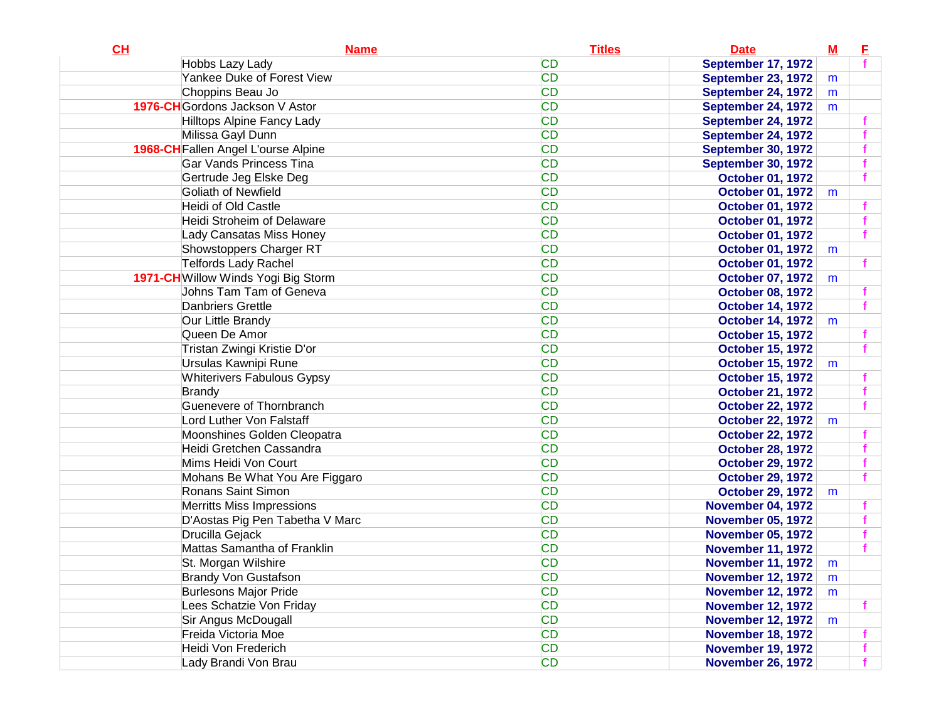| Hobbs Lazy Lady<br>September 17, 1972<br><b>CD</b><br>Yankee Duke of Forest View<br><b>September 23, 1972</b><br>m<br><b>CD</b><br>Choppins Beau Jo<br>September 24, 1972<br>m<br>1976-CH Gordons Jackson V Astor<br><b>CD</b><br><b>September 24, 1972</b><br>m<br><b>CD</b><br>Hilltops Alpine Fancy Lady<br>September 24, 1972<br><b>CD</b><br>Milissa Gayl Dunn<br>September 24, 1972<br><b>CD</b><br>1968-CH Fallen Angel L'ourse Alpine<br><b>September 30, 1972</b><br><b>CD</b><br><b>Gar Vands Princess Tina</b><br><b>September 30, 1972</b><br><b>CD</b><br>Gertrude Jeg Elske Deg<br><b>October 01, 1972</b><br><b>CD</b><br>Goliath of Newfield<br><b>October 01, 1972</b><br>m<br><b>CD</b><br>Heidi of Old Castle<br><b>October 01, 1972</b><br><b>CD</b><br>Heidi Stroheim of Delaware<br><b>October 01, 1972</b><br><b>CD</b><br>Lady Cansatas Miss Honey<br><b>October 01, 1972</b><br><b>CD</b><br>Showstoppers Charger RT<br><b>October 01, 1972</b><br>m<br><b>Telfords Lady Rachel</b><br><b>CD</b><br><b>October 01, 1972</b><br><b>CD</b><br>1971-CH Willow Winds Yogi Big Storm<br><b>October 07, 1972</b><br>m<br><b>CD</b><br>Johns Tam Tam of Geneva<br><b>October 08, 1972</b><br><b>CD</b><br><b>Danbriers Grettle</b><br><b>October 14, 1972</b><br><b>CD</b><br>Our Little Brandy<br><b>October 14, 1972</b><br>m<br><b>CD</b><br>Queen De Amor<br><b>October 15, 1972</b><br><b>CD</b><br>Tristan Zwingi Kristie D'or<br><b>October 15, 1972</b><br><b>CD</b><br>Ursulas Kawnipi Rune<br><b>October 15, 1972</b><br>m<br><b>CD</b><br><b>Whiterivers Fabulous Gypsy</b><br><b>October 15, 1972</b><br><b>CD</b><br><b>Brandy</b><br><b>October 21, 1972</b><br>Guenevere of Thornbranch<br><b>CD</b><br><b>October 22, 1972</b><br><b>CD</b><br>Lord Luther Von Falstaff<br><b>October 22, 1972</b><br>m<br><b>CD</b><br>Moonshines Golden Cleopatra<br><b>October 22, 1972</b><br><b>CD</b><br>Heidi Gretchen Cassandra<br><b>October 28, 1972</b><br><b>CD</b><br>Mims Heidi Von Court<br><b>October 29, 1972</b><br><b>CD</b><br>Mohans Be What You Are Figgaro<br><b>October 29, 1972</b><br><b>CD</b><br>Ronans Saint Simon<br><b>October 29, 1972</b><br>m<br><b>CD</b><br><b>Merritts Miss Impressions</b><br><b>November 04, 1972</b><br><b>CD</b><br>D'Aostas Pig Pen Tabetha V Marc<br><b>November 05, 1972</b><br><b>CD</b><br>Drucilla Gejack<br><b>November 05, 1972</b><br>Mattas Samantha of Franklin<br><b>CD</b><br><b>November 11, 1972</b><br><b>CD</b><br>St. Morgan Wilshire<br><b>November 11, 1972</b><br>m<br><b>CD</b><br><b>Brandy Von Gustafson</b><br><b>November 12, 1972</b><br>m<br><b>CD</b><br><b>Burlesons Major Pride</b><br><b>November 12, 1972</b><br>m<br><b>CD</b><br>Lees Schatzie Von Friday<br><b>November 12, 1972</b><br><b>CD</b><br>Sir Angus McDougall<br><b>November 12, 1972</b><br>m<br><b>CD</b><br>Freida Victoria Moe<br><b>November 18, 1972</b><br><b>CD</b><br>Heidi Von Frederich<br><b>November 19, 1972</b><br><b>CD</b> | CL | <b>Name</b>          | <b>Titles</b> | <b>Date</b>              | $\underline{\mathsf{M}}$ | E |
|-----------------------------------------------------------------------------------------------------------------------------------------------------------------------------------------------------------------------------------------------------------------------------------------------------------------------------------------------------------------------------------------------------------------------------------------------------------------------------------------------------------------------------------------------------------------------------------------------------------------------------------------------------------------------------------------------------------------------------------------------------------------------------------------------------------------------------------------------------------------------------------------------------------------------------------------------------------------------------------------------------------------------------------------------------------------------------------------------------------------------------------------------------------------------------------------------------------------------------------------------------------------------------------------------------------------------------------------------------------------------------------------------------------------------------------------------------------------------------------------------------------------------------------------------------------------------------------------------------------------------------------------------------------------------------------------------------------------------------------------------------------------------------------------------------------------------------------------------------------------------------------------------------------------------------------------------------------------------------------------------------------------------------------------------------------------------------------------------------------------------------------------------------------------------------------------------------------------------------------------------------------------------------------------------------------------------------------------------------------------------------------------------------------------------------------------------------------------------------------------------------------------------------------------------------------------------------------------------------------------------------------------------------------------------------------------------------------------------------------------------------------------------------------------------------------------------------------------------------------------------------------------------------------------------------------------------------------------------------------------------------------------------|----|----------------------|---------------|--------------------------|--------------------------|---|
|                                                                                                                                                                                                                                                                                                                                                                                                                                                                                                                                                                                                                                                                                                                                                                                                                                                                                                                                                                                                                                                                                                                                                                                                                                                                                                                                                                                                                                                                                                                                                                                                                                                                                                                                                                                                                                                                                                                                                                                                                                                                                                                                                                                                                                                                                                                                                                                                                                                                                                                                                                                                                                                                                                                                                                                                                                                                                                                                                                                                                       |    |                      | <b>CD</b>     |                          |                          |   |
|                                                                                                                                                                                                                                                                                                                                                                                                                                                                                                                                                                                                                                                                                                                                                                                                                                                                                                                                                                                                                                                                                                                                                                                                                                                                                                                                                                                                                                                                                                                                                                                                                                                                                                                                                                                                                                                                                                                                                                                                                                                                                                                                                                                                                                                                                                                                                                                                                                                                                                                                                                                                                                                                                                                                                                                                                                                                                                                                                                                                                       |    |                      |               |                          |                          |   |
|                                                                                                                                                                                                                                                                                                                                                                                                                                                                                                                                                                                                                                                                                                                                                                                                                                                                                                                                                                                                                                                                                                                                                                                                                                                                                                                                                                                                                                                                                                                                                                                                                                                                                                                                                                                                                                                                                                                                                                                                                                                                                                                                                                                                                                                                                                                                                                                                                                                                                                                                                                                                                                                                                                                                                                                                                                                                                                                                                                                                                       |    |                      |               |                          |                          |   |
|                                                                                                                                                                                                                                                                                                                                                                                                                                                                                                                                                                                                                                                                                                                                                                                                                                                                                                                                                                                                                                                                                                                                                                                                                                                                                                                                                                                                                                                                                                                                                                                                                                                                                                                                                                                                                                                                                                                                                                                                                                                                                                                                                                                                                                                                                                                                                                                                                                                                                                                                                                                                                                                                                                                                                                                                                                                                                                                                                                                                                       |    |                      |               |                          |                          |   |
|                                                                                                                                                                                                                                                                                                                                                                                                                                                                                                                                                                                                                                                                                                                                                                                                                                                                                                                                                                                                                                                                                                                                                                                                                                                                                                                                                                                                                                                                                                                                                                                                                                                                                                                                                                                                                                                                                                                                                                                                                                                                                                                                                                                                                                                                                                                                                                                                                                                                                                                                                                                                                                                                                                                                                                                                                                                                                                                                                                                                                       |    |                      |               |                          |                          |   |
|                                                                                                                                                                                                                                                                                                                                                                                                                                                                                                                                                                                                                                                                                                                                                                                                                                                                                                                                                                                                                                                                                                                                                                                                                                                                                                                                                                                                                                                                                                                                                                                                                                                                                                                                                                                                                                                                                                                                                                                                                                                                                                                                                                                                                                                                                                                                                                                                                                                                                                                                                                                                                                                                                                                                                                                                                                                                                                                                                                                                                       |    |                      |               |                          |                          |   |
|                                                                                                                                                                                                                                                                                                                                                                                                                                                                                                                                                                                                                                                                                                                                                                                                                                                                                                                                                                                                                                                                                                                                                                                                                                                                                                                                                                                                                                                                                                                                                                                                                                                                                                                                                                                                                                                                                                                                                                                                                                                                                                                                                                                                                                                                                                                                                                                                                                                                                                                                                                                                                                                                                                                                                                                                                                                                                                                                                                                                                       |    |                      |               |                          |                          |   |
|                                                                                                                                                                                                                                                                                                                                                                                                                                                                                                                                                                                                                                                                                                                                                                                                                                                                                                                                                                                                                                                                                                                                                                                                                                                                                                                                                                                                                                                                                                                                                                                                                                                                                                                                                                                                                                                                                                                                                                                                                                                                                                                                                                                                                                                                                                                                                                                                                                                                                                                                                                                                                                                                                                                                                                                                                                                                                                                                                                                                                       |    |                      |               |                          |                          |   |
|                                                                                                                                                                                                                                                                                                                                                                                                                                                                                                                                                                                                                                                                                                                                                                                                                                                                                                                                                                                                                                                                                                                                                                                                                                                                                                                                                                                                                                                                                                                                                                                                                                                                                                                                                                                                                                                                                                                                                                                                                                                                                                                                                                                                                                                                                                                                                                                                                                                                                                                                                                                                                                                                                                                                                                                                                                                                                                                                                                                                                       |    |                      |               |                          |                          |   |
|                                                                                                                                                                                                                                                                                                                                                                                                                                                                                                                                                                                                                                                                                                                                                                                                                                                                                                                                                                                                                                                                                                                                                                                                                                                                                                                                                                                                                                                                                                                                                                                                                                                                                                                                                                                                                                                                                                                                                                                                                                                                                                                                                                                                                                                                                                                                                                                                                                                                                                                                                                                                                                                                                                                                                                                                                                                                                                                                                                                                                       |    |                      |               |                          |                          |   |
|                                                                                                                                                                                                                                                                                                                                                                                                                                                                                                                                                                                                                                                                                                                                                                                                                                                                                                                                                                                                                                                                                                                                                                                                                                                                                                                                                                                                                                                                                                                                                                                                                                                                                                                                                                                                                                                                                                                                                                                                                                                                                                                                                                                                                                                                                                                                                                                                                                                                                                                                                                                                                                                                                                                                                                                                                                                                                                                                                                                                                       |    |                      |               |                          |                          |   |
|                                                                                                                                                                                                                                                                                                                                                                                                                                                                                                                                                                                                                                                                                                                                                                                                                                                                                                                                                                                                                                                                                                                                                                                                                                                                                                                                                                                                                                                                                                                                                                                                                                                                                                                                                                                                                                                                                                                                                                                                                                                                                                                                                                                                                                                                                                                                                                                                                                                                                                                                                                                                                                                                                                                                                                                                                                                                                                                                                                                                                       |    |                      |               |                          |                          |   |
|                                                                                                                                                                                                                                                                                                                                                                                                                                                                                                                                                                                                                                                                                                                                                                                                                                                                                                                                                                                                                                                                                                                                                                                                                                                                                                                                                                                                                                                                                                                                                                                                                                                                                                                                                                                                                                                                                                                                                                                                                                                                                                                                                                                                                                                                                                                                                                                                                                                                                                                                                                                                                                                                                                                                                                                                                                                                                                                                                                                                                       |    |                      |               |                          |                          |   |
|                                                                                                                                                                                                                                                                                                                                                                                                                                                                                                                                                                                                                                                                                                                                                                                                                                                                                                                                                                                                                                                                                                                                                                                                                                                                                                                                                                                                                                                                                                                                                                                                                                                                                                                                                                                                                                                                                                                                                                                                                                                                                                                                                                                                                                                                                                                                                                                                                                                                                                                                                                                                                                                                                                                                                                                                                                                                                                                                                                                                                       |    |                      |               |                          |                          |   |
|                                                                                                                                                                                                                                                                                                                                                                                                                                                                                                                                                                                                                                                                                                                                                                                                                                                                                                                                                                                                                                                                                                                                                                                                                                                                                                                                                                                                                                                                                                                                                                                                                                                                                                                                                                                                                                                                                                                                                                                                                                                                                                                                                                                                                                                                                                                                                                                                                                                                                                                                                                                                                                                                                                                                                                                                                                                                                                                                                                                                                       |    |                      |               |                          |                          |   |
|                                                                                                                                                                                                                                                                                                                                                                                                                                                                                                                                                                                                                                                                                                                                                                                                                                                                                                                                                                                                                                                                                                                                                                                                                                                                                                                                                                                                                                                                                                                                                                                                                                                                                                                                                                                                                                                                                                                                                                                                                                                                                                                                                                                                                                                                                                                                                                                                                                                                                                                                                                                                                                                                                                                                                                                                                                                                                                                                                                                                                       |    |                      |               |                          |                          |   |
|                                                                                                                                                                                                                                                                                                                                                                                                                                                                                                                                                                                                                                                                                                                                                                                                                                                                                                                                                                                                                                                                                                                                                                                                                                                                                                                                                                                                                                                                                                                                                                                                                                                                                                                                                                                                                                                                                                                                                                                                                                                                                                                                                                                                                                                                                                                                                                                                                                                                                                                                                                                                                                                                                                                                                                                                                                                                                                                                                                                                                       |    |                      |               |                          |                          |   |
|                                                                                                                                                                                                                                                                                                                                                                                                                                                                                                                                                                                                                                                                                                                                                                                                                                                                                                                                                                                                                                                                                                                                                                                                                                                                                                                                                                                                                                                                                                                                                                                                                                                                                                                                                                                                                                                                                                                                                                                                                                                                                                                                                                                                                                                                                                                                                                                                                                                                                                                                                                                                                                                                                                                                                                                                                                                                                                                                                                                                                       |    |                      |               |                          |                          |   |
|                                                                                                                                                                                                                                                                                                                                                                                                                                                                                                                                                                                                                                                                                                                                                                                                                                                                                                                                                                                                                                                                                                                                                                                                                                                                                                                                                                                                                                                                                                                                                                                                                                                                                                                                                                                                                                                                                                                                                                                                                                                                                                                                                                                                                                                                                                                                                                                                                                                                                                                                                                                                                                                                                                                                                                                                                                                                                                                                                                                                                       |    |                      |               |                          |                          |   |
|                                                                                                                                                                                                                                                                                                                                                                                                                                                                                                                                                                                                                                                                                                                                                                                                                                                                                                                                                                                                                                                                                                                                                                                                                                                                                                                                                                                                                                                                                                                                                                                                                                                                                                                                                                                                                                                                                                                                                                                                                                                                                                                                                                                                                                                                                                                                                                                                                                                                                                                                                                                                                                                                                                                                                                                                                                                                                                                                                                                                                       |    |                      |               |                          |                          |   |
|                                                                                                                                                                                                                                                                                                                                                                                                                                                                                                                                                                                                                                                                                                                                                                                                                                                                                                                                                                                                                                                                                                                                                                                                                                                                                                                                                                                                                                                                                                                                                                                                                                                                                                                                                                                                                                                                                                                                                                                                                                                                                                                                                                                                                                                                                                                                                                                                                                                                                                                                                                                                                                                                                                                                                                                                                                                                                                                                                                                                                       |    |                      |               |                          |                          |   |
|                                                                                                                                                                                                                                                                                                                                                                                                                                                                                                                                                                                                                                                                                                                                                                                                                                                                                                                                                                                                                                                                                                                                                                                                                                                                                                                                                                                                                                                                                                                                                                                                                                                                                                                                                                                                                                                                                                                                                                                                                                                                                                                                                                                                                                                                                                                                                                                                                                                                                                                                                                                                                                                                                                                                                                                                                                                                                                                                                                                                                       |    |                      |               |                          |                          |   |
|                                                                                                                                                                                                                                                                                                                                                                                                                                                                                                                                                                                                                                                                                                                                                                                                                                                                                                                                                                                                                                                                                                                                                                                                                                                                                                                                                                                                                                                                                                                                                                                                                                                                                                                                                                                                                                                                                                                                                                                                                                                                                                                                                                                                                                                                                                                                                                                                                                                                                                                                                                                                                                                                                                                                                                                                                                                                                                                                                                                                                       |    |                      |               |                          |                          |   |
|                                                                                                                                                                                                                                                                                                                                                                                                                                                                                                                                                                                                                                                                                                                                                                                                                                                                                                                                                                                                                                                                                                                                                                                                                                                                                                                                                                                                                                                                                                                                                                                                                                                                                                                                                                                                                                                                                                                                                                                                                                                                                                                                                                                                                                                                                                                                                                                                                                                                                                                                                                                                                                                                                                                                                                                                                                                                                                                                                                                                                       |    |                      |               |                          |                          |   |
|                                                                                                                                                                                                                                                                                                                                                                                                                                                                                                                                                                                                                                                                                                                                                                                                                                                                                                                                                                                                                                                                                                                                                                                                                                                                                                                                                                                                                                                                                                                                                                                                                                                                                                                                                                                                                                                                                                                                                                                                                                                                                                                                                                                                                                                                                                                                                                                                                                                                                                                                                                                                                                                                                                                                                                                                                                                                                                                                                                                                                       |    |                      |               |                          |                          |   |
|                                                                                                                                                                                                                                                                                                                                                                                                                                                                                                                                                                                                                                                                                                                                                                                                                                                                                                                                                                                                                                                                                                                                                                                                                                                                                                                                                                                                                                                                                                                                                                                                                                                                                                                                                                                                                                                                                                                                                                                                                                                                                                                                                                                                                                                                                                                                                                                                                                                                                                                                                                                                                                                                                                                                                                                                                                                                                                                                                                                                                       |    |                      |               |                          |                          |   |
|                                                                                                                                                                                                                                                                                                                                                                                                                                                                                                                                                                                                                                                                                                                                                                                                                                                                                                                                                                                                                                                                                                                                                                                                                                                                                                                                                                                                                                                                                                                                                                                                                                                                                                                                                                                                                                                                                                                                                                                                                                                                                                                                                                                                                                                                                                                                                                                                                                                                                                                                                                                                                                                                                                                                                                                                                                                                                                                                                                                                                       |    |                      |               |                          |                          |   |
|                                                                                                                                                                                                                                                                                                                                                                                                                                                                                                                                                                                                                                                                                                                                                                                                                                                                                                                                                                                                                                                                                                                                                                                                                                                                                                                                                                                                                                                                                                                                                                                                                                                                                                                                                                                                                                                                                                                                                                                                                                                                                                                                                                                                                                                                                                                                                                                                                                                                                                                                                                                                                                                                                                                                                                                                                                                                                                                                                                                                                       |    |                      |               |                          |                          |   |
|                                                                                                                                                                                                                                                                                                                                                                                                                                                                                                                                                                                                                                                                                                                                                                                                                                                                                                                                                                                                                                                                                                                                                                                                                                                                                                                                                                                                                                                                                                                                                                                                                                                                                                                                                                                                                                                                                                                                                                                                                                                                                                                                                                                                                                                                                                                                                                                                                                                                                                                                                                                                                                                                                                                                                                                                                                                                                                                                                                                                                       |    |                      |               |                          |                          |   |
|                                                                                                                                                                                                                                                                                                                                                                                                                                                                                                                                                                                                                                                                                                                                                                                                                                                                                                                                                                                                                                                                                                                                                                                                                                                                                                                                                                                                                                                                                                                                                                                                                                                                                                                                                                                                                                                                                                                                                                                                                                                                                                                                                                                                                                                                                                                                                                                                                                                                                                                                                                                                                                                                                                                                                                                                                                                                                                                                                                                                                       |    |                      |               |                          |                          |   |
|                                                                                                                                                                                                                                                                                                                                                                                                                                                                                                                                                                                                                                                                                                                                                                                                                                                                                                                                                                                                                                                                                                                                                                                                                                                                                                                                                                                                                                                                                                                                                                                                                                                                                                                                                                                                                                                                                                                                                                                                                                                                                                                                                                                                                                                                                                                                                                                                                                                                                                                                                                                                                                                                                                                                                                                                                                                                                                                                                                                                                       |    |                      |               |                          |                          |   |
|                                                                                                                                                                                                                                                                                                                                                                                                                                                                                                                                                                                                                                                                                                                                                                                                                                                                                                                                                                                                                                                                                                                                                                                                                                                                                                                                                                                                                                                                                                                                                                                                                                                                                                                                                                                                                                                                                                                                                                                                                                                                                                                                                                                                                                                                                                                                                                                                                                                                                                                                                                                                                                                                                                                                                                                                                                                                                                                                                                                                                       |    |                      |               |                          |                          |   |
|                                                                                                                                                                                                                                                                                                                                                                                                                                                                                                                                                                                                                                                                                                                                                                                                                                                                                                                                                                                                                                                                                                                                                                                                                                                                                                                                                                                                                                                                                                                                                                                                                                                                                                                                                                                                                                                                                                                                                                                                                                                                                                                                                                                                                                                                                                                                                                                                                                                                                                                                                                                                                                                                                                                                                                                                                                                                                                                                                                                                                       |    |                      |               |                          |                          |   |
|                                                                                                                                                                                                                                                                                                                                                                                                                                                                                                                                                                                                                                                                                                                                                                                                                                                                                                                                                                                                                                                                                                                                                                                                                                                                                                                                                                                                                                                                                                                                                                                                                                                                                                                                                                                                                                                                                                                                                                                                                                                                                                                                                                                                                                                                                                                                                                                                                                                                                                                                                                                                                                                                                                                                                                                                                                                                                                                                                                                                                       |    |                      |               |                          |                          |   |
|                                                                                                                                                                                                                                                                                                                                                                                                                                                                                                                                                                                                                                                                                                                                                                                                                                                                                                                                                                                                                                                                                                                                                                                                                                                                                                                                                                                                                                                                                                                                                                                                                                                                                                                                                                                                                                                                                                                                                                                                                                                                                                                                                                                                                                                                                                                                                                                                                                                                                                                                                                                                                                                                                                                                                                                                                                                                                                                                                                                                                       |    |                      |               |                          |                          |   |
|                                                                                                                                                                                                                                                                                                                                                                                                                                                                                                                                                                                                                                                                                                                                                                                                                                                                                                                                                                                                                                                                                                                                                                                                                                                                                                                                                                                                                                                                                                                                                                                                                                                                                                                                                                                                                                                                                                                                                                                                                                                                                                                                                                                                                                                                                                                                                                                                                                                                                                                                                                                                                                                                                                                                                                                                                                                                                                                                                                                                                       |    |                      |               |                          |                          |   |
|                                                                                                                                                                                                                                                                                                                                                                                                                                                                                                                                                                                                                                                                                                                                                                                                                                                                                                                                                                                                                                                                                                                                                                                                                                                                                                                                                                                                                                                                                                                                                                                                                                                                                                                                                                                                                                                                                                                                                                                                                                                                                                                                                                                                                                                                                                                                                                                                                                                                                                                                                                                                                                                                                                                                                                                                                                                                                                                                                                                                                       |    |                      |               |                          |                          |   |
|                                                                                                                                                                                                                                                                                                                                                                                                                                                                                                                                                                                                                                                                                                                                                                                                                                                                                                                                                                                                                                                                                                                                                                                                                                                                                                                                                                                                                                                                                                                                                                                                                                                                                                                                                                                                                                                                                                                                                                                                                                                                                                                                                                                                                                                                                                                                                                                                                                                                                                                                                                                                                                                                                                                                                                                                                                                                                                                                                                                                                       |    |                      |               |                          |                          |   |
|                                                                                                                                                                                                                                                                                                                                                                                                                                                                                                                                                                                                                                                                                                                                                                                                                                                                                                                                                                                                                                                                                                                                                                                                                                                                                                                                                                                                                                                                                                                                                                                                                                                                                                                                                                                                                                                                                                                                                                                                                                                                                                                                                                                                                                                                                                                                                                                                                                                                                                                                                                                                                                                                                                                                                                                                                                                                                                                                                                                                                       |    |                      |               |                          |                          |   |
|                                                                                                                                                                                                                                                                                                                                                                                                                                                                                                                                                                                                                                                                                                                                                                                                                                                                                                                                                                                                                                                                                                                                                                                                                                                                                                                                                                                                                                                                                                                                                                                                                                                                                                                                                                                                                                                                                                                                                                                                                                                                                                                                                                                                                                                                                                                                                                                                                                                                                                                                                                                                                                                                                                                                                                                                                                                                                                                                                                                                                       |    |                      |               |                          |                          |   |
|                                                                                                                                                                                                                                                                                                                                                                                                                                                                                                                                                                                                                                                                                                                                                                                                                                                                                                                                                                                                                                                                                                                                                                                                                                                                                                                                                                                                                                                                                                                                                                                                                                                                                                                                                                                                                                                                                                                                                                                                                                                                                                                                                                                                                                                                                                                                                                                                                                                                                                                                                                                                                                                                                                                                                                                                                                                                                                                                                                                                                       |    |                      |               |                          |                          |   |
|                                                                                                                                                                                                                                                                                                                                                                                                                                                                                                                                                                                                                                                                                                                                                                                                                                                                                                                                                                                                                                                                                                                                                                                                                                                                                                                                                                                                                                                                                                                                                                                                                                                                                                                                                                                                                                                                                                                                                                                                                                                                                                                                                                                                                                                                                                                                                                                                                                                                                                                                                                                                                                                                                                                                                                                                                                                                                                                                                                                                                       |    |                      |               |                          |                          |   |
|                                                                                                                                                                                                                                                                                                                                                                                                                                                                                                                                                                                                                                                                                                                                                                                                                                                                                                                                                                                                                                                                                                                                                                                                                                                                                                                                                                                                                                                                                                                                                                                                                                                                                                                                                                                                                                                                                                                                                                                                                                                                                                                                                                                                                                                                                                                                                                                                                                                                                                                                                                                                                                                                                                                                                                                                                                                                                                                                                                                                                       |    | Lady Brandi Von Brau |               | <b>November 26, 1972</b> |                          |   |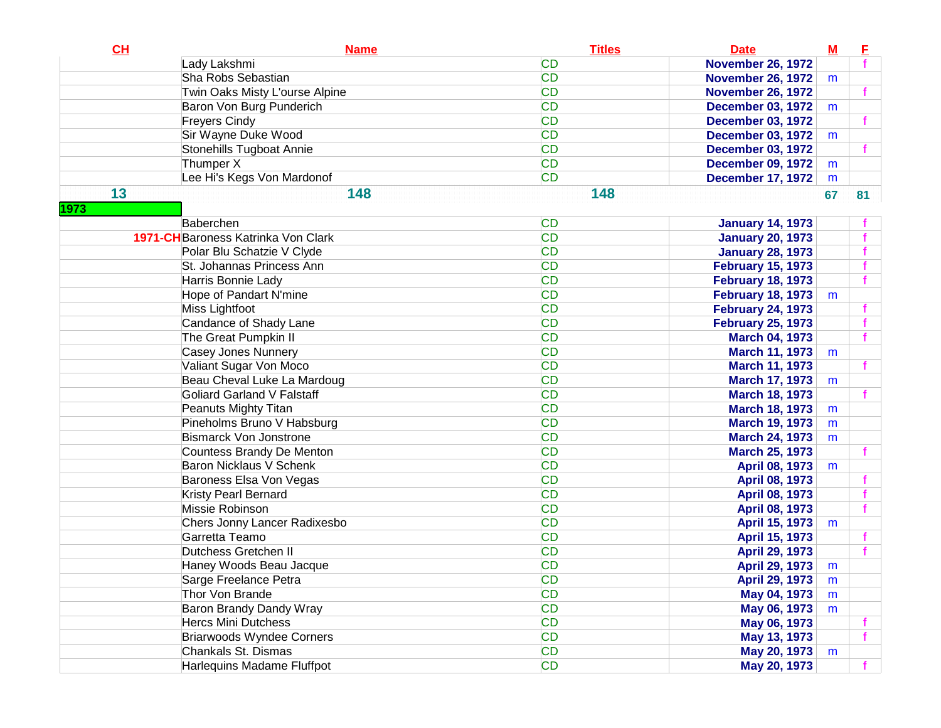| CL         | <b>Name</b>                         | <b>Titles</b> | <b>Date</b>              | $\underline{\mathbf{M}}$ | E  |
|------------|-------------------------------------|---------------|--------------------------|--------------------------|----|
|            | Lady Lakshmi                        | <b>CD</b>     | <b>November 26, 1972</b> |                          |    |
|            | Sha Robs Sebastian                  | <b>CD</b>     | <b>November 26, 1972</b> | m                        |    |
|            | Twin Oaks Misty L'ourse Alpine      | <b>CD</b>     | <b>November 26, 1972</b> |                          |    |
|            | Baron Von Burg Punderich            | <b>CD</b>     | <b>December 03, 1972</b> | m                        |    |
|            | <b>Freyers Cindy</b>                | <b>CD</b>     | <b>December 03, 1972</b> |                          |    |
|            | Sir Wayne Duke Wood                 | <b>CD</b>     | <b>December 03, 1972</b> | m                        |    |
|            | Stonehills Tugboat Annie            | <b>CD</b>     | <b>December 03, 1972</b> |                          |    |
|            | Thumper X                           | <b>CD</b>     | <b>December 09, 1972</b> | m                        |    |
|            | Lee Hi's Kegs Von Mardonof          | <b>CD</b>     | <b>December 17, 1972</b> | m                        |    |
| 13<br>1973 | 148                                 | 148           |                          | 67                       | 81 |
|            | Baberchen                           | <b>CD</b>     | <b>January 14, 1973</b>  |                          |    |
|            | 1971-CH Baroness Katrinka Von Clark | <b>CD</b>     | <b>January 20, 1973</b>  |                          |    |
|            | Polar Blu Schatzie V Clyde          | <b>CD</b>     | <b>January 28, 1973</b>  |                          |    |
|            | St. Johannas Princess Ann           | <b>CD</b>     | <b>February 15, 1973</b> |                          |    |
|            | Harris Bonnie Lady                  | <b>CD</b>     | <b>February 18, 1973</b> |                          |    |
|            | Hope of Pandart N'mine              | <b>CD</b>     | <b>February 18, 1973</b> | m                        |    |
|            | Miss Lightfoot                      | <b>CD</b>     | <b>February 24, 1973</b> |                          |    |
|            | Candance of Shady Lane              | <b>CD</b>     | <b>February 25, 1973</b> |                          |    |
|            | The Great Pumpkin II                | <b>CD</b>     | <b>March 04, 1973</b>    |                          |    |
|            | Casey Jones Nunnery                 | <b>CD</b>     | <b>March 11, 1973</b>    | m                        |    |
|            | Valiant Sugar Von Moco              | <b>CD</b>     | <b>March 11, 1973</b>    |                          |    |
|            | Beau Cheval Luke La Mardoug         | <b>CD</b>     | <b>March 17, 1973</b>    | m                        |    |
|            | <b>Goliard Garland V Falstaff</b>   | <b>CD</b>     | <b>March 18, 1973</b>    |                          |    |
|            | Peanuts Mighty Titan                | <b>CD</b>     | <b>March 18, 1973</b>    | m                        |    |
|            | Pineholms Bruno V Habsburg          | <b>CD</b>     | <b>March 19, 1973</b>    | m                        |    |
|            | <b>Bismarck Von Jonstrone</b>       | <b>CD</b>     | <b>March 24, 1973</b>    | m                        |    |
|            | Countess Brandy De Menton           | <b>CD</b>     | <b>March 25, 1973</b>    |                          |    |
|            | Baron Nicklaus V Schenk             | <b>CD</b>     | April 08, 1973           | m                        |    |
|            | Baroness Elsa Von Vegas             | <b>CD</b>     | April 08, 1973           |                          |    |
|            | Kristy Pearl Bernard                | <b>CD</b>     | April 08, 1973           |                          |    |
|            | Missie Robinson                     | <b>CD</b>     | April 08, 1973           |                          |    |
|            | Chers Jonny Lancer Radixesbo        | <b>CD</b>     | April 15, 1973           | m                        |    |
|            | Garretta Teamo                      | <b>CD</b>     | April 15, 1973           |                          |    |
|            | Dutchess Gretchen II                | <b>CD</b>     | April 29, 1973           |                          |    |
|            | Haney Woods Beau Jacque             | <b>CD</b>     | April 29, 1973           | m                        |    |
|            | Sarge Freelance Petra               | CD            | April 29, 1973           | m                        |    |
|            | Thor Von Brande                     | <b>CD</b>     | May 04, 1973             | m                        |    |
|            | Baron Brandy Dandy Wray             | <b>CD</b>     | May 06, 1973             | m                        |    |
|            | <b>Hercs Mini Dutchess</b>          | <b>CD</b>     | May 06, 1973             |                          |    |
|            | <b>Briarwoods Wyndee Corners</b>    | <b>CD</b>     | May 13, 1973             |                          |    |
|            | Chankals St. Dismas                 | <b>CD</b>     | May 20, 1973             | m                        |    |
|            | Harlequins Madame Fluffpot          | <b>CD</b>     | May 20, 1973             |                          |    |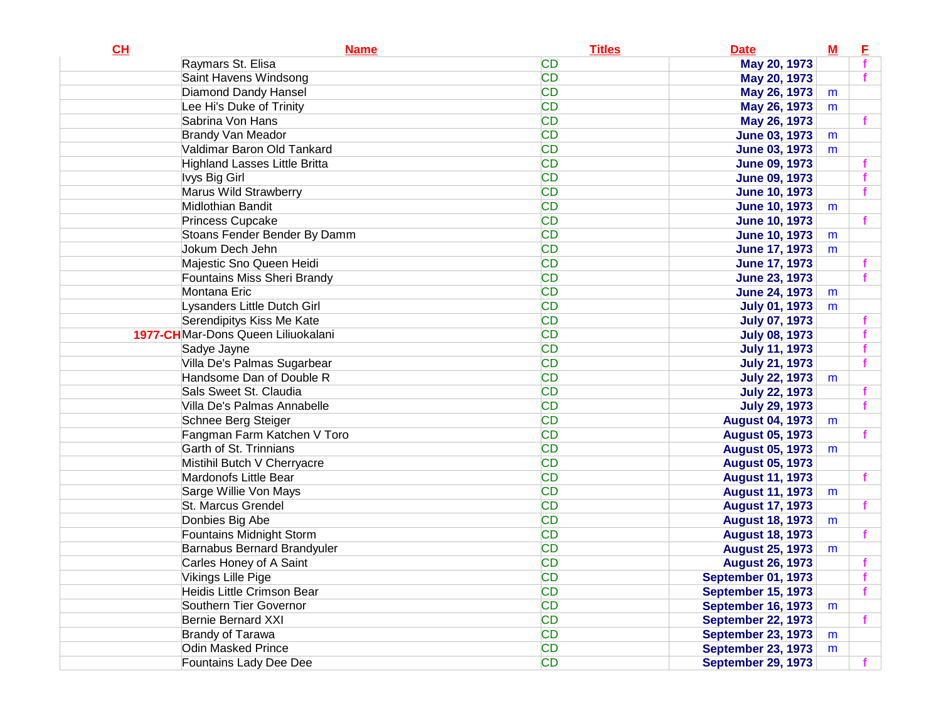| CL | <b>Name</b>                          | <b>Titles</b> | <b>Date</b>               | ${\bf M}$ | E |
|----|--------------------------------------|---------------|---------------------------|-----------|---|
|    | Raymars St. Elisa                    | <b>CD</b>     | May 20, 1973              |           |   |
|    | Saint Havens Windsong                | <b>CD</b>     | May 20, 1973              |           |   |
|    | <b>Diamond Dandy Hansel</b>          | <b>CD</b>     | May 26, 1973              | m         |   |
|    | Lee Hi's Duke of Trinity             | <b>CD</b>     | May 26, 1973              | m         |   |
|    | Sabrina Von Hans                     | <b>CD</b>     | May 26, 1973              |           |   |
|    | <b>Brandy Van Meador</b>             | <b>CD</b>     | <b>June 03, 1973</b>      | m         |   |
|    | Valdimar Baron Old Tankard           | <b>CD</b>     | <b>June 03, 1973</b>      | m         |   |
|    | <b>Highland Lasses Little Britta</b> | <b>CD</b>     | <b>June 09, 1973</b>      |           |   |
|    | Ivys Big Girl                        | <b>CD</b>     | <b>June 09, 1973</b>      |           |   |
|    | Marus Wild Strawberry                | <b>CD</b>     | <b>June 10, 1973</b>      |           |   |
|    | Midlothian Bandit                    | <b>CD</b>     | <b>June 10, 1973</b>      | m         |   |
|    | Princess Cupcake                     | <b>CD</b>     | <b>June 10, 1973</b>      |           |   |
|    | Stoans Fender Bender By Damm         | <b>CD</b>     | <b>June 10, 1973</b>      | m         |   |
|    | Jokum Dech Jehn                      | <b>CD</b>     | <b>June 17, 1973</b>      | m         |   |
|    | Majestic Sno Queen Heidi             | <b>CD</b>     | <b>June 17, 1973</b>      |           |   |
|    | <b>Fountains Miss Sheri Brandy</b>   | <b>CD</b>     | <b>June 23, 1973</b>      |           |   |
|    | Montana Eric                         | <b>CD</b>     | <b>June 24, 1973</b>      | m         |   |
|    | Lysanders Little Dutch Girl          | <b>CD</b>     | <b>July 01, 1973</b>      | m         |   |
|    | Serendipitys Kiss Me Kate            | <b>CD</b>     | <b>July 07, 1973</b>      |           |   |
|    | 1977-CHMar-Dons Queen Liliuokalani   | <b>CD</b>     | <b>July 08, 1973</b>      |           |   |
|    | Sadye Jayne                          | <b>CD</b>     | <b>July 11, 1973</b>      |           |   |
|    | Villa De's Palmas Sugarbear          | <b>CD</b>     | <b>July 21, 1973</b>      |           |   |
|    | Handsome Dan of Double R             | <b>CD</b>     | <b>July 22, 1973</b>      | m         |   |
|    | Sals Sweet St. Claudia               | <b>CD</b>     | <b>July 22, 1973</b>      |           |   |
|    | Villa De's Palmas Annabelle          | <b>CD</b>     | <b>July 29, 1973</b>      |           |   |
|    | Schnee Berg Steiger                  | <b>CD</b>     | <b>August 04, 1973</b>    | m         |   |
|    | Fangman Farm Katchen V Toro          | <b>CD</b>     | <b>August 05, 1973</b>    |           |   |
|    | Garth of St. Trinnians               | <b>CD</b>     | <b>August 05, 1973</b>    | m         |   |
|    | Mistihil Butch V Cherryacre          | <b>CD</b>     | <b>August 05, 1973</b>    |           |   |
|    | Mardonofs Little Bear                | <b>CD</b>     | <b>August 11, 1973</b>    |           |   |
|    | Sarge Willie Von Mays                | <b>CD</b>     | <b>August 11, 1973</b>    | m         |   |
|    | St. Marcus Grendel                   | <b>CD</b>     | <b>August 17, 1973</b>    |           |   |
|    | Donbies Big Abe                      | <b>CD</b>     | <b>August 18, 1973</b>    | m         |   |
|    | Fountains Midnight Storm             | <b>CD</b>     | <b>August 18, 1973</b>    |           |   |
|    | <b>Barnabus Bernard Brandyuler</b>   | <b>CD</b>     | <b>August 25, 1973</b>    | m         |   |
|    | Carles Honey of A Saint              | <b>CD</b>     | <b>August 26, 1973</b>    |           |   |
|    | Vikings Lille Pige                   | CD            | <b>September 01, 1973</b> |           |   |
|    | Heidis Little Crimson Bear           | <b>CD</b>     | <b>September 15, 1973</b> |           | f |
|    | Southern Tier Governor               | <b>CD</b>     | <b>September 16, 1973</b> | m         |   |
|    | Bernie Bernard XXI                   | <b>CD</b>     | <b>September 22, 1973</b> |           |   |
|    | Brandy of Tarawa                     | <b>CD</b>     | <b>September 23, 1973</b> | m         |   |
|    | Odin Masked Prince                   | <b>CD</b>     | <b>September 23, 1973</b> | m         |   |
|    | Fountains Lady Dee Dee               | <b>CD</b>     | <b>September 29, 1973</b> |           |   |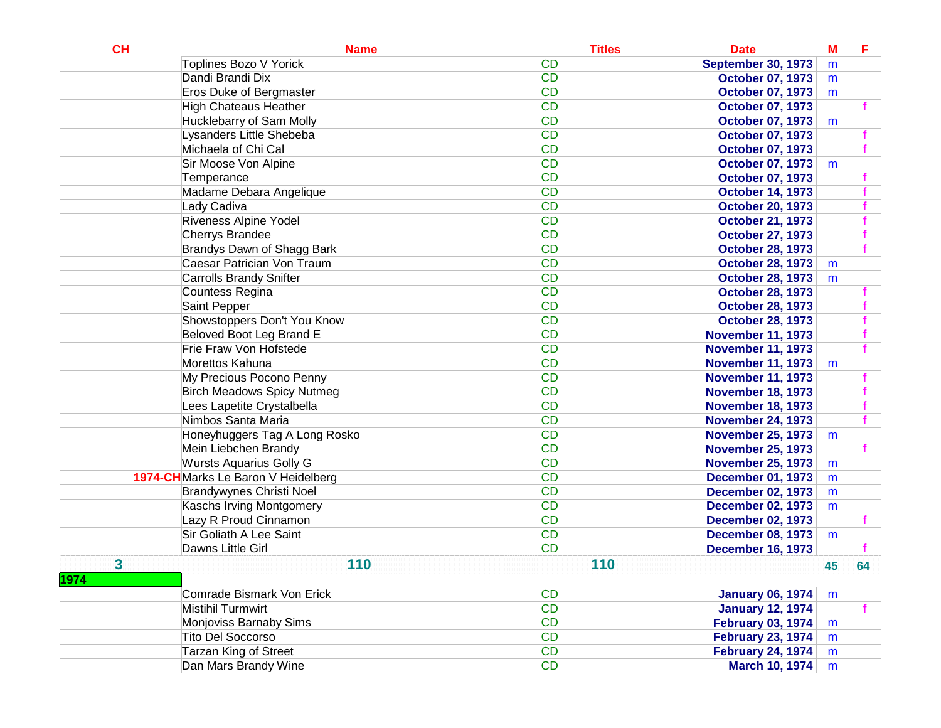| CL   | <b>Name</b>                        | <b>Titles</b> | <b>Date</b>               | $\underline{\mathbf{M}}$ | E. |
|------|------------------------------------|---------------|---------------------------|--------------------------|----|
|      | Toplines Bozo V Yorick             | <b>CD</b>     | <b>September 30, 1973</b> | m                        |    |
|      | Dandi Brandi Dix                   | <b>CD</b>     | <b>October 07, 1973</b>   | m                        |    |
|      | <b>Eros Duke of Bergmaster</b>     | <b>CD</b>     | <b>October 07, 1973</b>   | m                        |    |
|      | <b>High Chateaus Heather</b>       | <b>CD</b>     | <b>October 07, 1973</b>   |                          |    |
|      | Hucklebarry of Sam Molly           | <b>CD</b>     | <b>October 07, 1973</b>   | m                        |    |
|      | Lysanders Little Shebeba           | <b>CD</b>     | <b>October 07, 1973</b>   |                          |    |
|      | Michaela of Chi Cal                | <b>CD</b>     | <b>October 07, 1973</b>   |                          |    |
|      | Sir Moose Von Alpine               | <b>CD</b>     | <b>October 07, 1973</b>   | m                        |    |
|      | Temperance                         | <b>CD</b>     | <b>October 07, 1973</b>   |                          |    |
|      | Madame Debara Angelique            | <b>CD</b>     | <b>October 14, 1973</b>   |                          |    |
|      | Lady Cadiva                        | <b>CD</b>     | <b>October 20, 1973</b>   |                          |    |
|      | <b>Riveness Alpine Yodel</b>       | <b>CD</b>     | <b>October 21, 1973</b>   |                          |    |
|      | <b>Cherrys Brandee</b>             | <b>CD</b>     | <b>October 27, 1973</b>   |                          |    |
|      | Brandys Dawn of Shagg Bark         | <b>CD</b>     | <b>October 28, 1973</b>   |                          |    |
|      | Caesar Patrician Von Traum         | <b>CD</b>     | <b>October 28, 1973</b>   | m                        |    |
|      | <b>Carrolls Brandy Snifter</b>     | <b>CD</b>     | <b>October 28, 1973</b>   | m                        |    |
|      | Countess Regina                    | <b>CD</b>     | <b>October 28, 1973</b>   |                          |    |
|      | Saint Pepper                       | <b>CD</b>     | <b>October 28, 1973</b>   |                          |    |
|      | Showstoppers Don't You Know        | <b>CD</b>     | <b>October 28, 1973</b>   |                          |    |
|      | <b>Beloved Boot Leg Brand E</b>    | <b>CD</b>     | <b>November 11, 1973</b>  |                          |    |
|      | Frie Fraw Von Hofstede             | <b>CD</b>     | <b>November 11, 1973</b>  |                          |    |
|      | Morettos Kahuna                    | <b>CD</b>     | <b>November 11, 1973</b>  | m                        |    |
|      | My Precious Pocono Penny           | <b>CD</b>     | <b>November 11, 1973</b>  |                          |    |
|      | <b>Birch Meadows Spicy Nutmeg</b>  | <b>CD</b>     | <b>November 18, 1973</b>  |                          |    |
|      | Lees Lapetite Crystalbella         | <b>CD</b>     | <b>November 18, 1973</b>  |                          |    |
|      | Nimbos Santa Maria                 | <b>CD</b>     | <b>November 24, 1973</b>  |                          |    |
|      | Honeyhuggers Tag A Long Rosko      | <b>CD</b>     | <b>November 25, 1973</b>  | m                        |    |
|      | Mein Liebchen Brandy               | <b>CD</b>     | <b>November 25, 1973</b>  |                          |    |
|      | <b>Wursts Aquarius Golly G</b>     | <b>CD</b>     | <b>November 25, 1973</b>  | m                        |    |
|      | 1974-CHMarks Le Baron V Heidelberg | <b>CD</b>     | <b>December 01, 1973</b>  | m                        |    |
|      | <b>Brandywynes Christi Noel</b>    | <b>CD</b>     | <b>December 02, 1973</b>  | m                        |    |
|      | Kaschs Irving Montgomery           | <b>CD</b>     | <b>December 02, 1973</b>  | m                        |    |
|      | Lazy R Proud Cinnamon              | <b>CD</b>     | <b>December 02, 1973</b>  |                          |    |
|      | Sir Goliath A Lee Saint            | <b>CD</b>     | <b>December 08, 1973</b>  | m                        |    |
|      | Dawns Little Girl                  | <b>CD</b>     | <b>December 16, 1973</b>  |                          |    |
| 3    | 110                                | 110           |                           | 45                       | 64 |
| 1974 |                                    |               |                           |                          |    |
|      | Comrade Bismark Von Erick          | <b>CD</b>     | <b>January 06, 1974</b>   | m                        |    |
|      | Mistihil Turmwirt                  | <b>CD</b>     | <b>January 12, 1974</b>   |                          |    |
|      | Monjoviss Barnaby Sims             | <b>CD</b>     | <b>February 03, 1974</b>  | m                        |    |
|      | <b>Tito Del Soccorso</b>           | <b>CD</b>     | <b>February 23, 1974</b>  | m                        |    |
|      | <b>Tarzan King of Street</b>       | <b>CD</b>     | <b>February 24, 1974</b>  | m                        |    |
|      | Dan Mars Brandy Wine               | <b>CD</b>     | March 10, 1974            | m                        |    |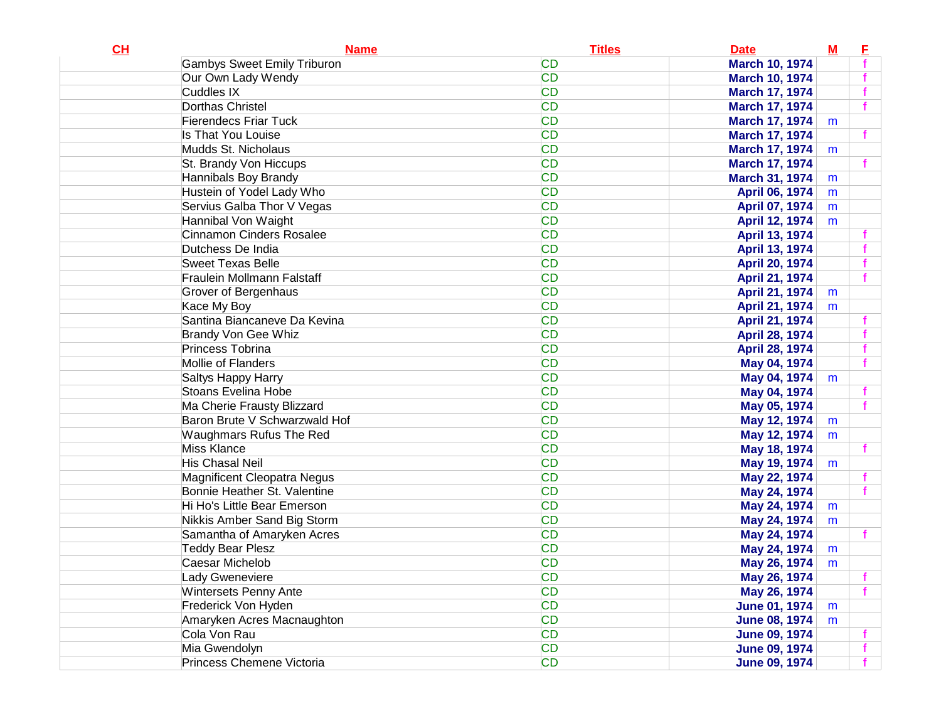| CL | <b>Name</b>                        | <b>Titles</b> | <b>Date</b>           | ${\bf M}$ | E |
|----|------------------------------------|---------------|-----------------------|-----------|---|
|    | <b>Gambys Sweet Emily Triburon</b> | <b>CD</b>     | <b>March 10, 1974</b> |           |   |
|    | Our Own Lady Wendy                 | <b>CD</b>     | <b>March 10, 1974</b> |           |   |
|    | Cuddles IX                         | <b>CD</b>     | <b>March 17, 1974</b> |           |   |
|    | Dorthas Christel                   | <b>CD</b>     | <b>March 17, 1974</b> |           |   |
|    | <b>Fierendecs Friar Tuck</b>       | <b>CD</b>     | March 17, 1974        | m         |   |
|    | Is That You Louise                 | <b>CD</b>     | <b>March 17, 1974</b> |           |   |
|    | Mudds St. Nicholaus                | <b>CD</b>     | March 17, 1974        | m         |   |
|    | St. Brandy Von Hiccups             | <b>CD</b>     | <b>March 17, 1974</b> |           |   |
|    | Hannibals Boy Brandy               | <b>CD</b>     | March 31, 1974        | m         |   |
|    | Hustein of Yodel Lady Who          | <b>CD</b>     | April 06, 1974        | m         |   |
|    | Servius Galba Thor V Vegas         | <b>CD</b>     | April 07, 1974        | m         |   |
|    | Hannibal Von Waight                | <b>CD</b>     | April 12, 1974        | m         |   |
|    | <b>Cinnamon Cinders Rosalee</b>    | <b>CD</b>     | April 13, 1974        |           |   |
|    | Dutchess De India                  | <b>CD</b>     | April 13, 1974        |           |   |
|    | <b>Sweet Texas Belle</b>           | <b>CD</b>     | April 20, 1974        |           |   |
|    | Fraulein Mollmann Falstaff         | <b>CD</b>     | April 21, 1974        |           |   |
|    | Grover of Bergenhaus               | <b>CD</b>     | April 21, 1974        | m         |   |
|    | Kace My Boy                        | <b>CD</b>     | April 21, 1974        | m         |   |
|    | Santina Biancaneve Da Kevina       | <b>CD</b>     | April 21, 1974        |           |   |
|    | <b>Brandy Von Gee Whiz</b>         | <b>CD</b>     | April 28, 1974        |           |   |
|    | Princess Tobrina                   | <b>CD</b>     | April 28, 1974        |           |   |
|    | Mollie of Flanders                 | <b>CD</b>     | May 04, 1974          |           |   |
|    | Saltys Happy Harry                 | <b>CD</b>     | May 04, 1974          | m         |   |
|    | Stoans Evelina Hobe                | <b>CD</b>     | May 04, 1974          |           |   |
|    | Ma Cherie Frausty Blizzard         | <b>CD</b>     | May 05, 1974          |           |   |
|    | Baron Brute V Schwarzwald Hof      | <b>CD</b>     | May 12, 1974          | m         |   |
|    | Waughmars Rufus The Red            | <b>CD</b>     | May 12, 1974          | m         |   |
|    | <b>Miss Klance</b>                 | <b>CD</b>     | May 18, 1974          |           |   |
|    | His Chasal Neil                    | <b>CD</b>     | May 19, 1974          | m         |   |
|    | <b>Magnificent Cleopatra Negus</b> | <b>CD</b>     | May 22, 1974          |           |   |
|    | Bonnie Heather St. Valentine       | <b>CD</b>     | May 24, 1974          |           |   |
|    | Hi Ho's Little Bear Emerson        | <b>CD</b>     | May 24, 1974          | m         |   |
|    | Nikkis Amber Sand Big Storm        | <b>CD</b>     | May 24, 1974          | m         |   |
|    | Samantha of Amaryken Acres         | <b>CD</b>     | May 24, 1974          |           |   |
|    | <b>Teddy Bear Plesz</b>            | <b>CD</b>     | May 24, 1974          | m         |   |
|    | Caesar Michelob                    | <b>CD</b>     | May 26, 1974          | m         |   |
|    | Lady Gweneviere                    | <b>CD</b>     | May 26, 1974          |           |   |
|    | <b>Wintersets Penny Ante</b>       | <b>CD</b>     | May 26, 1974          |           |   |
|    | Frederick Von Hyden                | <b>CD</b>     | <b>June 01, 1974</b>  | m         |   |
|    | Amaryken Acres Macnaughton         | <b>CD</b>     | <b>June 08, 1974</b>  | m         |   |
|    | Cola Von Rau                       | <b>CD</b>     | <b>June 09, 1974</b>  |           |   |
|    | Mia Gwendolyn                      | <b>CD</b>     | <b>June 09, 1974</b>  |           |   |
|    | Princess Chemene Victoria          | <b>CD</b>     | <b>June 09, 1974</b>  |           |   |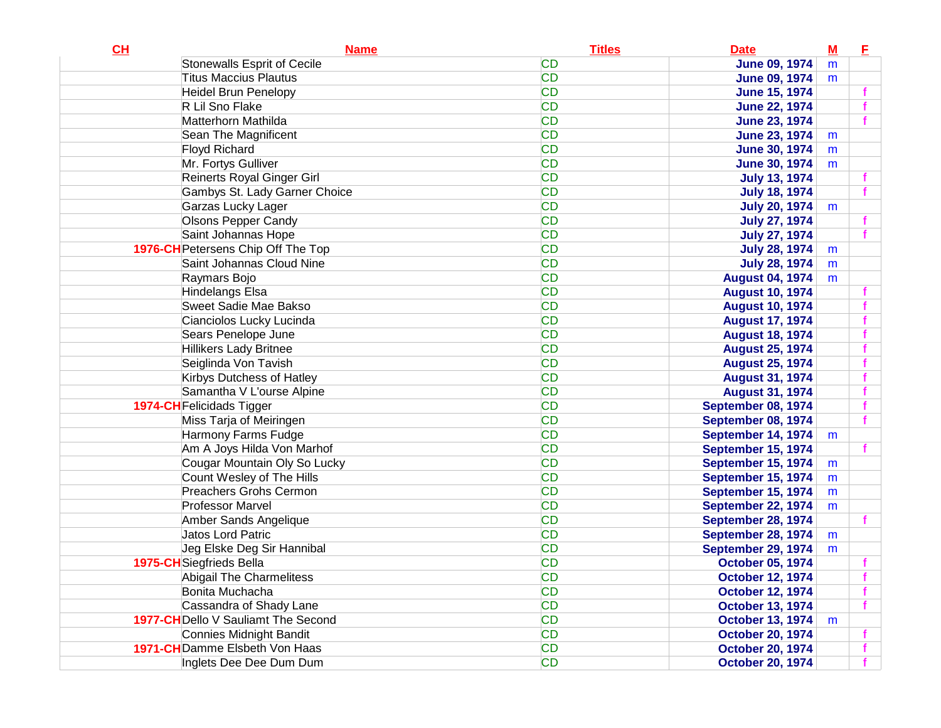| CL | <b>Name</b>                         | <b>Titles</b> | <b>Date</b>             | $\underline{\mathbf{M}}$ | E |
|----|-------------------------------------|---------------|-------------------------|--------------------------|---|
|    | <b>Stonewalls Esprit of Cecile</b>  | <b>CD</b>     | <b>June 09, 1974</b>    | m                        |   |
|    | <b>Titus Maccius Plautus</b>        | <b>CD</b>     | <b>June 09, 1974</b>    | m                        |   |
|    | <b>Heidel Brun Penelopy</b>         | <b>CD</b>     | <b>June 15, 1974</b>    |                          |   |
|    | R Lil Sno Flake                     | <b>CD</b>     | <b>June 22, 1974</b>    |                          |   |
|    | Matterhorn Mathilda                 | <b>CD</b>     | <b>June 23, 1974</b>    |                          |   |
|    | Sean The Magnificent                | <b>CD</b>     | <b>June 23, 1974</b>    | m                        |   |
|    | <b>Floyd Richard</b>                | <b>CD</b>     | <b>June 30, 1974</b>    | m                        |   |
|    | Mr. Fortys Gulliver                 | <b>CD</b>     | <b>June 30, 1974</b>    | m                        |   |
|    | Reinerts Royal Ginger Girl          | <b>CD</b>     | <b>July 13, 1974</b>    |                          |   |
|    | Gambys St. Lady Garner Choice       | <b>CD</b>     | <b>July 18, 1974</b>    |                          |   |
|    | Garzas Lucky Lager                  | <b>CD</b>     | <b>July 20, 1974</b>    | m                        |   |
|    | <b>Olsons Pepper Candy</b>          | <b>CD</b>     | <b>July 27, 1974</b>    |                          |   |
|    | Saint Johannas Hope                 | <b>CD</b>     | <b>July 27, 1974</b>    |                          |   |
|    | 1976-CH Petersens Chip Off The Top  | <b>CD</b>     | <b>July 28, 1974</b>    | m                        |   |
|    | Saint Johannas Cloud Nine           | <b>CD</b>     | <b>July 28, 1974</b>    | m                        |   |
|    | Raymars Bojo                        | <b>CD</b>     | <b>August 04, 1974</b>  | m                        |   |
|    | Hindelangs Elsa                     | <b>CD</b>     | <b>August 10, 1974</b>  |                          |   |
|    | Sweet Sadie Mae Bakso               | <b>CD</b>     | <b>August 10, 1974</b>  |                          |   |
|    | Cianciolos Lucky Lucinda            | <b>CD</b>     | <b>August 17, 1974</b>  |                          |   |
|    | Sears Penelope June                 | <b>CD</b>     | <b>August 18, 1974</b>  |                          |   |
|    | <b>Hillikers Lady Britnee</b>       | <b>CD</b>     | <b>August 25, 1974</b>  |                          |   |
|    | Seiglinda Von Tavish                | <b>CD</b>     | <b>August 25, 1974</b>  |                          |   |
|    | Kirbys Dutchess of Hatley           | <b>CD</b>     | <b>August 31, 1974</b>  |                          |   |
|    | Samantha V L'ourse Alpine           | <b>CD</b>     | <b>August 31, 1974</b>  |                          |   |
|    | <b>1974-CH</b> Felicidads Tigger    | <b>CD</b>     | September 08, 1974      |                          |   |
|    | Miss Tarja of Meiringen             | <b>CD</b>     | September 08, 1974      |                          |   |
|    | Harmony Farms Fudge                 | <b>CD</b>     | September 14, 1974      | m                        |   |
|    | Am A Joys Hilda Von Marhof          | <b>CD</b>     | September 15, 1974      |                          |   |
|    | Cougar Mountain Oly So Lucky        | <b>CD</b>     | September 15, 1974      | m                        |   |
|    | Count Wesley of The Hills           | <b>CD</b>     | September 15, 1974      | m                        |   |
|    | <b>Preachers Grohs Cermon</b>       | <b>CD</b>     | September 15, 1974      | m                        |   |
|    | <b>Professor Marvel</b>             | <b>CD</b>     | September 22, 1974      | m                        |   |
|    | Amber Sands Angelique               | <b>CD</b>     | September 28, 1974      |                          |   |
|    | <b>Jatos Lord Patric</b>            | <b>CD</b>     | September 28, 1974      | m                        |   |
|    | Jeg Elske Deg Sir Hannibal          | <b>CD</b>     | September 29, 1974      | m                        |   |
|    | 1975-CH Siegfrieds Bella            | <b>CD</b>     | <b>October 05, 1974</b> |                          |   |
|    | Abigail The Charmelitess            | CD            | <b>October 12, 1974</b> |                          |   |
|    | Bonita Muchacha                     | <b>CD</b>     | <b>October 12, 1974</b> |                          |   |
|    | Cassandra of Shady Lane             | <b>CD</b>     | <b>October 13, 1974</b> |                          |   |
|    | 1977-CH Dello V Sauliamt The Second | <b>CD</b>     | <b>October 13, 1974</b> | m                        |   |
|    | Connies Midnight Bandit             | <b>CD</b>     | <b>October 20, 1974</b> |                          |   |
|    | 1971-CH Damme Elsbeth Von Haas      | <b>CD</b>     | <b>October 20, 1974</b> |                          |   |
|    | Inglets Dee Dee Dum Dum             | <b>CD</b>     | <b>October 20, 1974</b> |                          |   |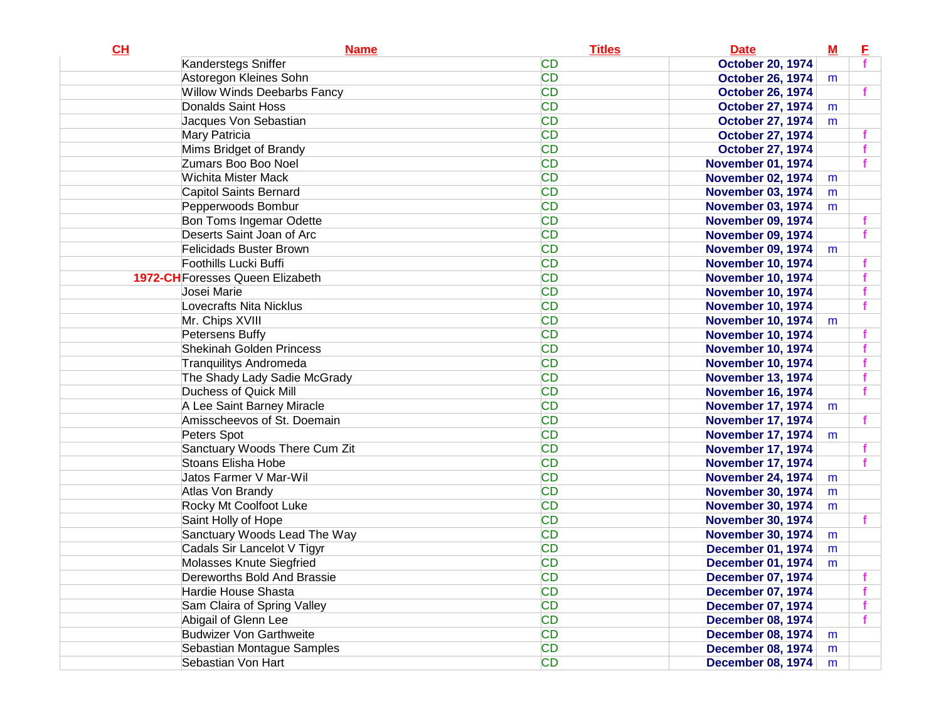| <b>CD</b><br>Kanderstegs Sniffer<br><b>October 20, 1974</b><br>Astoregon Kleines Sohn<br><b>CD</b><br><b>October 26, 1974</b><br>m<br><b>CD</b><br><b>Willow Winds Deebarbs Fancy</b><br><b>October 26, 1974</b><br><b>CD</b><br>Donalds Saint Hoss<br><b>October 27, 1974</b><br>m<br><b>CD</b><br>Jacques Von Sebastian<br><b>October 27, 1974</b><br>m |  |
|-----------------------------------------------------------------------------------------------------------------------------------------------------------------------------------------------------------------------------------------------------------------------------------------------------------------------------------------------------------|--|
|                                                                                                                                                                                                                                                                                                                                                           |  |
|                                                                                                                                                                                                                                                                                                                                                           |  |
|                                                                                                                                                                                                                                                                                                                                                           |  |
|                                                                                                                                                                                                                                                                                                                                                           |  |
|                                                                                                                                                                                                                                                                                                                                                           |  |
| <b>CD</b><br>Mary Patricia<br><b>October 27, 1974</b>                                                                                                                                                                                                                                                                                                     |  |
| <b>CD</b><br>Mims Bridget of Brandy<br><b>October 27, 1974</b>                                                                                                                                                                                                                                                                                            |  |
| Zumars Boo Boo Noel<br><b>CD</b><br><b>November 01, 1974</b>                                                                                                                                                                                                                                                                                              |  |
| <b>CD</b><br>Wichita Mister Mack<br><b>November 02, 1974</b><br>m                                                                                                                                                                                                                                                                                         |  |
| <b>CD</b><br>Capitol Saints Bernard<br><b>November 03, 1974</b><br>m                                                                                                                                                                                                                                                                                      |  |
| <b>CD</b><br>Pepperwoods Bombur<br><b>November 03, 1974</b><br>m                                                                                                                                                                                                                                                                                          |  |
| <b>CD</b><br>Bon Toms Ingemar Odette<br><b>November 09, 1974</b>                                                                                                                                                                                                                                                                                          |  |
| Deserts Saint Joan of Arc<br><b>CD</b><br><b>November 09, 1974</b>                                                                                                                                                                                                                                                                                        |  |
| <b>CD</b><br><b>Felicidads Buster Brown</b><br><b>November 09, 1974</b><br>m                                                                                                                                                                                                                                                                              |  |
| <b>CD</b><br>Foothills Lucki Buffi<br><b>November 10, 1974</b>                                                                                                                                                                                                                                                                                            |  |
| <b>CD</b><br><b>1972-CH</b> Foresses Queen Elizabeth<br><b>November 10, 1974</b>                                                                                                                                                                                                                                                                          |  |
| <b>CD</b><br>Josei Marie<br><b>November 10, 1974</b>                                                                                                                                                                                                                                                                                                      |  |
| Lovecrafts Nita Nicklus<br><b>CD</b><br><b>November 10, 1974</b>                                                                                                                                                                                                                                                                                          |  |
| <b>CD</b><br>Mr. Chips XVIII<br><b>November 10, 1974</b><br>m                                                                                                                                                                                                                                                                                             |  |
| <b>CD</b><br>Petersens Buffy<br><b>November 10, 1974</b>                                                                                                                                                                                                                                                                                                  |  |
| <b>CD</b><br><b>Shekinah Golden Princess</b><br><b>November 10, 1974</b>                                                                                                                                                                                                                                                                                  |  |
| <b>CD</b><br><b>Tranquilitys Andromeda</b><br><b>November 10, 1974</b>                                                                                                                                                                                                                                                                                    |  |
| <b>CD</b><br>The Shady Lady Sadie McGrady<br><b>November 13, 1974</b>                                                                                                                                                                                                                                                                                     |  |
| <b>CD</b><br>Duchess of Quick Mill<br><b>November 16, 1974</b>                                                                                                                                                                                                                                                                                            |  |
| <b>CD</b><br>A Lee Saint Barney Miracle<br><b>November 17, 1974</b><br>m                                                                                                                                                                                                                                                                                  |  |
| <b>CD</b><br>Amisscheevos of St. Doemain<br><b>November 17, 1974</b>                                                                                                                                                                                                                                                                                      |  |
| <b>CD</b><br>Peters Spot<br><b>November 17, 1974</b><br>m                                                                                                                                                                                                                                                                                                 |  |
| <b>CD</b><br>Sanctuary Woods There Cum Zit<br><b>November 17, 1974</b>                                                                                                                                                                                                                                                                                    |  |
| <b>CD</b><br>Stoans Elisha Hobe<br><b>November 17, 1974</b>                                                                                                                                                                                                                                                                                               |  |
| <b>CD</b><br>Jatos Farmer V Mar-Wil<br><b>November 24, 1974</b><br>m                                                                                                                                                                                                                                                                                      |  |
| <b>CD</b><br>Atlas Von Brandy<br><b>November 30, 1974</b><br>m                                                                                                                                                                                                                                                                                            |  |
| <b>CD</b><br>Rocky Mt Coolfoot Luke<br><b>November 30, 1974</b><br>m                                                                                                                                                                                                                                                                                      |  |
| <b>CD</b><br>Saint Holly of Hope<br><b>November 30, 1974</b>                                                                                                                                                                                                                                                                                              |  |
| <b>CD</b><br>Sanctuary Woods Lead The Way<br><b>November 30, 1974</b><br>m                                                                                                                                                                                                                                                                                |  |
| Cadals Sir Lancelot V Tigyr<br><b>CD</b><br><b>December 01, 1974</b><br>m                                                                                                                                                                                                                                                                                 |  |
| Molasses Knute Siegfried<br><b>CD</b><br><b>December 01, 1974</b><br>m                                                                                                                                                                                                                                                                                    |  |
| <b>CD</b><br>Dereworths Bold And Brassie<br><b>December 07, 1974</b>                                                                                                                                                                                                                                                                                      |  |
| <b>CD</b><br>Hardie House Shasta<br><b>December 07, 1974</b>                                                                                                                                                                                                                                                                                              |  |
| <b>CD</b><br>Sam Claira of Spring Valley<br><b>December 07, 1974</b>                                                                                                                                                                                                                                                                                      |  |
| <b>CD</b><br>Abigail of Glenn Lee<br><b>December 08, 1974</b>                                                                                                                                                                                                                                                                                             |  |
| <b>CD</b><br><b>Budwizer Von Garthweite</b><br><b>December 08, 1974</b><br>m                                                                                                                                                                                                                                                                              |  |
| <b>CD</b><br>Sebastian Montague Samples<br><b>December 08, 1974</b><br>m                                                                                                                                                                                                                                                                                  |  |
| <b>CD</b><br>Sebastian Von Hart<br><b>December 08, 1974</b><br>m                                                                                                                                                                                                                                                                                          |  |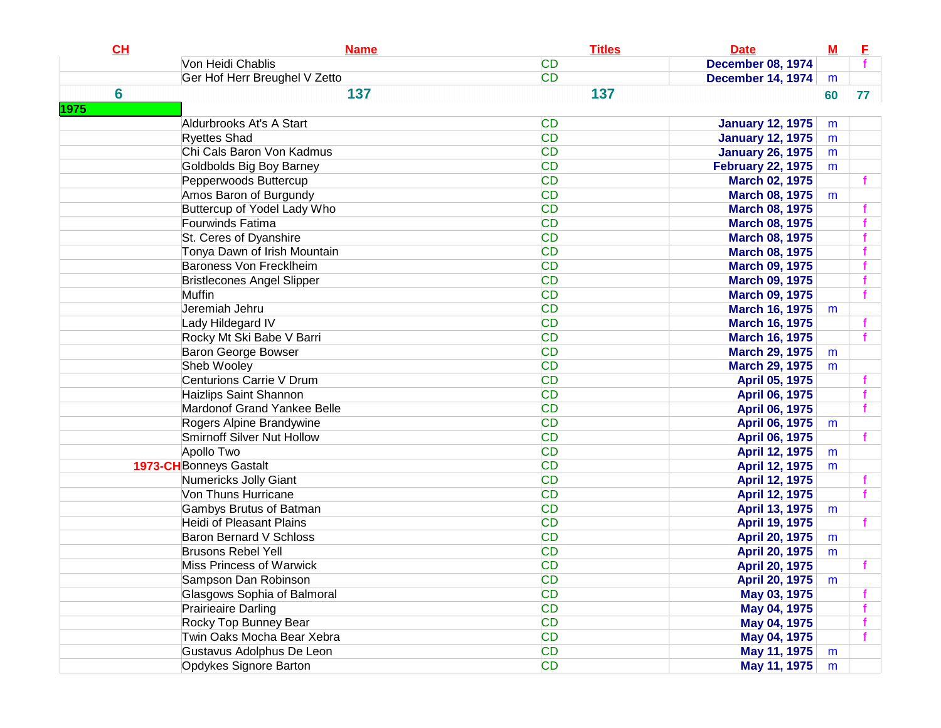| Von Heidi Chablis<br><b>CD</b><br><b>December 08, 1974</b><br><b>CD</b><br>Ger Hof Herr Breughel V Zetto<br><b>December 14, 1974</b><br>m<br>6<br>137<br>137<br>60<br>77 <sub>1</sub><br>1975<br><b>CD</b><br>Aldurbrooks At's A Start<br><b>January 12, 1975</b><br>m<br><b>CD</b><br><b>Ryettes Shad</b><br><b>January 12, 1975</b><br>m<br>Chi Cals Baron Von Kadmus<br><b>CD</b><br><b>January 26, 1975</b><br>m<br><b>CD</b><br>Goldbolds Big Boy Barney<br><b>February 22, 1975</b><br>m<br><b>CD</b><br>Pepperwoods Buttercup<br><b>March 02, 1975</b><br>Amos Baron of Burgundy<br><b>CD</b><br><b>March 08, 1975</b><br>m<br>Buttercup of Yodel Lady Who<br><b>CD</b><br><b>March 08, 1975</b><br>Fourwinds Fatima<br><b>CD</b><br><b>March 08, 1975</b><br><b>CD</b><br>St. Ceres of Dyanshire<br><b>March 08, 1975</b><br><b>CD</b><br>Tonya Dawn of Irish Mountain<br><b>March 08, 1975</b><br>Baroness Von Frecklheim<br><b>CD</b><br><b>March 09, 1975</b><br><b>CD</b><br><b>Bristlecones Angel Slipper</b><br><b>March 09, 1975</b><br><b>CD</b><br>Muffin<br><b>March 09, 1975</b><br>Jeremiah Jehru<br><b>CD</b><br><b>March 16, 1975</b><br>m<br><b>CD</b><br>Lady Hildegard IV<br><b>March 16, 1975</b><br><b>CD</b><br>Rocky Mt Ski Babe V Barri<br><b>March 16, 1975</b><br><b>CD</b><br>Baron George Bowser<br><b>March 29, 1975</b><br>m<br><b>CD</b><br>Sheb Wooley<br><b>March 29, 1975</b><br>m<br>Centurions Carrie V Drum<br><b>CD</b><br>April 05, 1975<br><b>CD</b><br>Haizlips Saint Shannon<br>April 06, 1975<br>Mardonof Grand Yankee Belle<br><b>CD</b><br>April 06, 1975<br><b>CD</b><br>Rogers Alpine Brandywine<br>April 06, 1975<br>m<br><b>CD</b><br>Smirnoff Silver Nut Hollow<br>April 06, 1975<br><b>CD</b><br>Apollo Two<br>April 12, 1975<br>m<br><b>CD</b><br><b>1973-CH</b> Bonneys Gastalt<br>April 12, 1975<br>m<br><b>CD</b><br>Numericks Jolly Giant<br>April 12, 1975<br><b>CD</b><br>Von Thuns Hurricane<br>April 12, 1975 |
|---------------------------------------------------------------------------------------------------------------------------------------------------------------------------------------------------------------------------------------------------------------------------------------------------------------------------------------------------------------------------------------------------------------------------------------------------------------------------------------------------------------------------------------------------------------------------------------------------------------------------------------------------------------------------------------------------------------------------------------------------------------------------------------------------------------------------------------------------------------------------------------------------------------------------------------------------------------------------------------------------------------------------------------------------------------------------------------------------------------------------------------------------------------------------------------------------------------------------------------------------------------------------------------------------------------------------------------------------------------------------------------------------------------------------------------------------------------------------------------------------------------------------------------------------------------------------------------------------------------------------------------------------------------------------------------------------------------------------------------------------------------------------------------------------------------------------------------------------------------------------------------------------------------------------------------------------------------------------------|
|                                                                                                                                                                                                                                                                                                                                                                                                                                                                                                                                                                                                                                                                                                                                                                                                                                                                                                                                                                                                                                                                                                                                                                                                                                                                                                                                                                                                                                                                                                                                                                                                                                                                                                                                                                                                                                                                                                                                                                                 |
|                                                                                                                                                                                                                                                                                                                                                                                                                                                                                                                                                                                                                                                                                                                                                                                                                                                                                                                                                                                                                                                                                                                                                                                                                                                                                                                                                                                                                                                                                                                                                                                                                                                                                                                                                                                                                                                                                                                                                                                 |
|                                                                                                                                                                                                                                                                                                                                                                                                                                                                                                                                                                                                                                                                                                                                                                                                                                                                                                                                                                                                                                                                                                                                                                                                                                                                                                                                                                                                                                                                                                                                                                                                                                                                                                                                                                                                                                                                                                                                                                                 |
|                                                                                                                                                                                                                                                                                                                                                                                                                                                                                                                                                                                                                                                                                                                                                                                                                                                                                                                                                                                                                                                                                                                                                                                                                                                                                                                                                                                                                                                                                                                                                                                                                                                                                                                                                                                                                                                                                                                                                                                 |
|                                                                                                                                                                                                                                                                                                                                                                                                                                                                                                                                                                                                                                                                                                                                                                                                                                                                                                                                                                                                                                                                                                                                                                                                                                                                                                                                                                                                                                                                                                                                                                                                                                                                                                                                                                                                                                                                                                                                                                                 |
|                                                                                                                                                                                                                                                                                                                                                                                                                                                                                                                                                                                                                                                                                                                                                                                                                                                                                                                                                                                                                                                                                                                                                                                                                                                                                                                                                                                                                                                                                                                                                                                                                                                                                                                                                                                                                                                                                                                                                                                 |
|                                                                                                                                                                                                                                                                                                                                                                                                                                                                                                                                                                                                                                                                                                                                                                                                                                                                                                                                                                                                                                                                                                                                                                                                                                                                                                                                                                                                                                                                                                                                                                                                                                                                                                                                                                                                                                                                                                                                                                                 |
|                                                                                                                                                                                                                                                                                                                                                                                                                                                                                                                                                                                                                                                                                                                                                                                                                                                                                                                                                                                                                                                                                                                                                                                                                                                                                                                                                                                                                                                                                                                                                                                                                                                                                                                                                                                                                                                                                                                                                                                 |
|                                                                                                                                                                                                                                                                                                                                                                                                                                                                                                                                                                                                                                                                                                                                                                                                                                                                                                                                                                                                                                                                                                                                                                                                                                                                                                                                                                                                                                                                                                                                                                                                                                                                                                                                                                                                                                                                                                                                                                                 |
|                                                                                                                                                                                                                                                                                                                                                                                                                                                                                                                                                                                                                                                                                                                                                                                                                                                                                                                                                                                                                                                                                                                                                                                                                                                                                                                                                                                                                                                                                                                                                                                                                                                                                                                                                                                                                                                                                                                                                                                 |
|                                                                                                                                                                                                                                                                                                                                                                                                                                                                                                                                                                                                                                                                                                                                                                                                                                                                                                                                                                                                                                                                                                                                                                                                                                                                                                                                                                                                                                                                                                                                                                                                                                                                                                                                                                                                                                                                                                                                                                                 |
|                                                                                                                                                                                                                                                                                                                                                                                                                                                                                                                                                                                                                                                                                                                                                                                                                                                                                                                                                                                                                                                                                                                                                                                                                                                                                                                                                                                                                                                                                                                                                                                                                                                                                                                                                                                                                                                                                                                                                                                 |
|                                                                                                                                                                                                                                                                                                                                                                                                                                                                                                                                                                                                                                                                                                                                                                                                                                                                                                                                                                                                                                                                                                                                                                                                                                                                                                                                                                                                                                                                                                                                                                                                                                                                                                                                                                                                                                                                                                                                                                                 |
|                                                                                                                                                                                                                                                                                                                                                                                                                                                                                                                                                                                                                                                                                                                                                                                                                                                                                                                                                                                                                                                                                                                                                                                                                                                                                                                                                                                                                                                                                                                                                                                                                                                                                                                                                                                                                                                                                                                                                                                 |
|                                                                                                                                                                                                                                                                                                                                                                                                                                                                                                                                                                                                                                                                                                                                                                                                                                                                                                                                                                                                                                                                                                                                                                                                                                                                                                                                                                                                                                                                                                                                                                                                                                                                                                                                                                                                                                                                                                                                                                                 |
|                                                                                                                                                                                                                                                                                                                                                                                                                                                                                                                                                                                                                                                                                                                                                                                                                                                                                                                                                                                                                                                                                                                                                                                                                                                                                                                                                                                                                                                                                                                                                                                                                                                                                                                                                                                                                                                                                                                                                                                 |
|                                                                                                                                                                                                                                                                                                                                                                                                                                                                                                                                                                                                                                                                                                                                                                                                                                                                                                                                                                                                                                                                                                                                                                                                                                                                                                                                                                                                                                                                                                                                                                                                                                                                                                                                                                                                                                                                                                                                                                                 |
|                                                                                                                                                                                                                                                                                                                                                                                                                                                                                                                                                                                                                                                                                                                                                                                                                                                                                                                                                                                                                                                                                                                                                                                                                                                                                                                                                                                                                                                                                                                                                                                                                                                                                                                                                                                                                                                                                                                                                                                 |
|                                                                                                                                                                                                                                                                                                                                                                                                                                                                                                                                                                                                                                                                                                                                                                                                                                                                                                                                                                                                                                                                                                                                                                                                                                                                                                                                                                                                                                                                                                                                                                                                                                                                                                                                                                                                                                                                                                                                                                                 |
|                                                                                                                                                                                                                                                                                                                                                                                                                                                                                                                                                                                                                                                                                                                                                                                                                                                                                                                                                                                                                                                                                                                                                                                                                                                                                                                                                                                                                                                                                                                                                                                                                                                                                                                                                                                                                                                                                                                                                                                 |
|                                                                                                                                                                                                                                                                                                                                                                                                                                                                                                                                                                                                                                                                                                                                                                                                                                                                                                                                                                                                                                                                                                                                                                                                                                                                                                                                                                                                                                                                                                                                                                                                                                                                                                                                                                                                                                                                                                                                                                                 |
|                                                                                                                                                                                                                                                                                                                                                                                                                                                                                                                                                                                                                                                                                                                                                                                                                                                                                                                                                                                                                                                                                                                                                                                                                                                                                                                                                                                                                                                                                                                                                                                                                                                                                                                                                                                                                                                                                                                                                                                 |
|                                                                                                                                                                                                                                                                                                                                                                                                                                                                                                                                                                                                                                                                                                                                                                                                                                                                                                                                                                                                                                                                                                                                                                                                                                                                                                                                                                                                                                                                                                                                                                                                                                                                                                                                                                                                                                                                                                                                                                                 |
|                                                                                                                                                                                                                                                                                                                                                                                                                                                                                                                                                                                                                                                                                                                                                                                                                                                                                                                                                                                                                                                                                                                                                                                                                                                                                                                                                                                                                                                                                                                                                                                                                                                                                                                                                                                                                                                                                                                                                                                 |
|                                                                                                                                                                                                                                                                                                                                                                                                                                                                                                                                                                                                                                                                                                                                                                                                                                                                                                                                                                                                                                                                                                                                                                                                                                                                                                                                                                                                                                                                                                                                                                                                                                                                                                                                                                                                                                                                                                                                                                                 |
|                                                                                                                                                                                                                                                                                                                                                                                                                                                                                                                                                                                                                                                                                                                                                                                                                                                                                                                                                                                                                                                                                                                                                                                                                                                                                                                                                                                                                                                                                                                                                                                                                                                                                                                                                                                                                                                                                                                                                                                 |
|                                                                                                                                                                                                                                                                                                                                                                                                                                                                                                                                                                                                                                                                                                                                                                                                                                                                                                                                                                                                                                                                                                                                                                                                                                                                                                                                                                                                                                                                                                                                                                                                                                                                                                                                                                                                                                                                                                                                                                                 |
|                                                                                                                                                                                                                                                                                                                                                                                                                                                                                                                                                                                                                                                                                                                                                                                                                                                                                                                                                                                                                                                                                                                                                                                                                                                                                                                                                                                                                                                                                                                                                                                                                                                                                                                                                                                                                                                                                                                                                                                 |
|                                                                                                                                                                                                                                                                                                                                                                                                                                                                                                                                                                                                                                                                                                                                                                                                                                                                                                                                                                                                                                                                                                                                                                                                                                                                                                                                                                                                                                                                                                                                                                                                                                                                                                                                                                                                                                                                                                                                                                                 |
|                                                                                                                                                                                                                                                                                                                                                                                                                                                                                                                                                                                                                                                                                                                                                                                                                                                                                                                                                                                                                                                                                                                                                                                                                                                                                                                                                                                                                                                                                                                                                                                                                                                                                                                                                                                                                                                                                                                                                                                 |
|                                                                                                                                                                                                                                                                                                                                                                                                                                                                                                                                                                                                                                                                                                                                                                                                                                                                                                                                                                                                                                                                                                                                                                                                                                                                                                                                                                                                                                                                                                                                                                                                                                                                                                                                                                                                                                                                                                                                                                                 |
| <b>CD</b><br>Gambys Brutus of Batman<br>April 13, 1975<br>m                                                                                                                                                                                                                                                                                                                                                                                                                                                                                                                                                                                                                                                                                                                                                                                                                                                                                                                                                                                                                                                                                                                                                                                                                                                                                                                                                                                                                                                                                                                                                                                                                                                                                                                                                                                                                                                                                                                     |
| <b>CD</b><br>Heidi of Pleasant Plains<br>April 19, 1975                                                                                                                                                                                                                                                                                                                                                                                                                                                                                                                                                                                                                                                                                                                                                                                                                                                                                                                                                                                                                                                                                                                                                                                                                                                                                                                                                                                                                                                                                                                                                                                                                                                                                                                                                                                                                                                                                                                         |
| <b>CD</b><br><b>Baron Bernard V Schloss</b><br>April 20, 1975<br>m                                                                                                                                                                                                                                                                                                                                                                                                                                                                                                                                                                                                                                                                                                                                                                                                                                                                                                                                                                                                                                                                                                                                                                                                                                                                                                                                                                                                                                                                                                                                                                                                                                                                                                                                                                                                                                                                                                              |
| <b>CD</b><br><b>Brusons Rebel Yell</b><br><b>April 20, 1975</b><br>m                                                                                                                                                                                                                                                                                                                                                                                                                                                                                                                                                                                                                                                                                                                                                                                                                                                                                                                                                                                                                                                                                                                                                                                                                                                                                                                                                                                                                                                                                                                                                                                                                                                                                                                                                                                                                                                                                                            |
| <b>CD</b><br><b>Miss Princess of Warwick</b><br>April 20, 1975                                                                                                                                                                                                                                                                                                                                                                                                                                                                                                                                                                                                                                                                                                                                                                                                                                                                                                                                                                                                                                                                                                                                                                                                                                                                                                                                                                                                                                                                                                                                                                                                                                                                                                                                                                                                                                                                                                                  |
| Sampson Dan Robinson<br><b>CD</b><br><b>April 20, 1975</b><br>m                                                                                                                                                                                                                                                                                                                                                                                                                                                                                                                                                                                                                                                                                                                                                                                                                                                                                                                                                                                                                                                                                                                                                                                                                                                                                                                                                                                                                                                                                                                                                                                                                                                                                                                                                                                                                                                                                                                 |
| <b>CD</b><br>Glasgows Sophia of Balmoral<br>May 03, 1975                                                                                                                                                                                                                                                                                                                                                                                                                                                                                                                                                                                                                                                                                                                                                                                                                                                                                                                                                                                                                                                                                                                                                                                                                                                                                                                                                                                                                                                                                                                                                                                                                                                                                                                                                                                                                                                                                                                        |
| <b>CD</b><br>Prairieaire Darling<br>May 04, 1975                                                                                                                                                                                                                                                                                                                                                                                                                                                                                                                                                                                                                                                                                                                                                                                                                                                                                                                                                                                                                                                                                                                                                                                                                                                                                                                                                                                                                                                                                                                                                                                                                                                                                                                                                                                                                                                                                                                                |
| <b>CD</b><br>Rocky Top Bunney Bear<br>May 04, 1975                                                                                                                                                                                                                                                                                                                                                                                                                                                                                                                                                                                                                                                                                                                                                                                                                                                                                                                                                                                                                                                                                                                                                                                                                                                                                                                                                                                                                                                                                                                                                                                                                                                                                                                                                                                                                                                                                                                              |
| Twin Oaks Mocha Bear Xebra<br><b>CD</b><br>May 04, 1975                                                                                                                                                                                                                                                                                                                                                                                                                                                                                                                                                                                                                                                                                                                                                                                                                                                                                                                                                                                                                                                                                                                                                                                                                                                                                                                                                                                                                                                                                                                                                                                                                                                                                                                                                                                                                                                                                                                         |
| Gustavus Adolphus De Leon<br><b>CD</b><br>May 11, 1975<br>m                                                                                                                                                                                                                                                                                                                                                                                                                                                                                                                                                                                                                                                                                                                                                                                                                                                                                                                                                                                                                                                                                                                                                                                                                                                                                                                                                                                                                                                                                                                                                                                                                                                                                                                                                                                                                                                                                                                     |
| Opdykes Signore Barton<br><b>CD</b><br>May 11, 1975<br>m                                                                                                                                                                                                                                                                                                                                                                                                                                                                                                                                                                                                                                                                                                                                                                                                                                                                                                                                                                                                                                                                                                                                                                                                                                                                                                                                                                                                                                                                                                                                                                                                                                                                                                                                                                                                                                                                                                                        |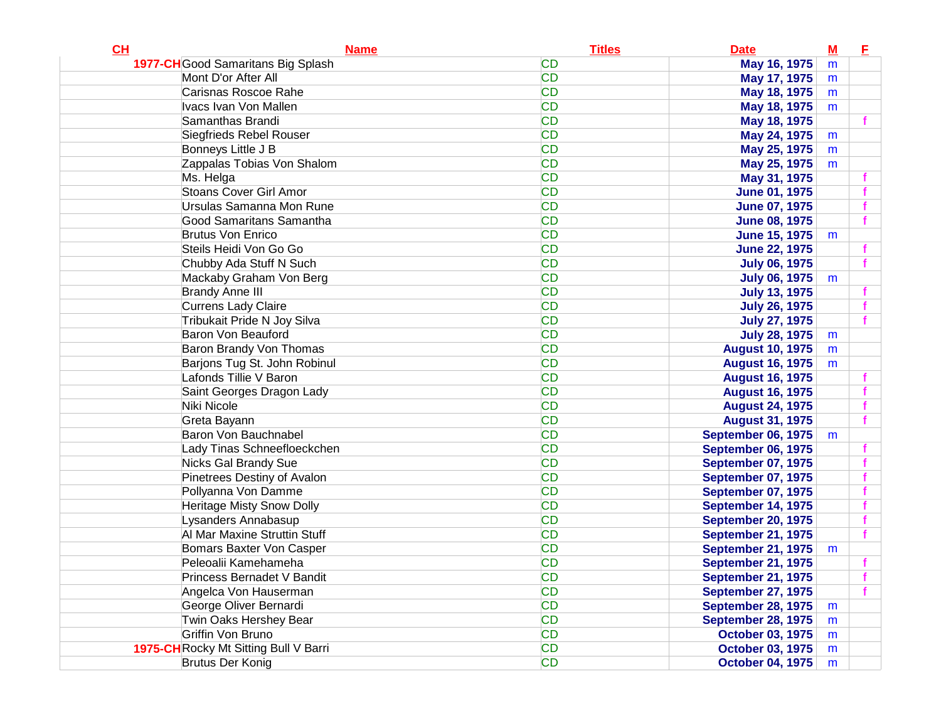| CL                                    | <b>Name</b> | <b>Titles</b> | <b>Date</b>               | $M$ | E |
|---------------------------------------|-------------|---------------|---------------------------|-----|---|
| 1977-CH Good Samaritans Big Splash    |             | <b>CD</b>     | May 16, 1975              | m   |   |
| Mont D'or After All                   |             | <b>CD</b>     | May 17, 1975              | m   |   |
| Carisnas Roscoe Rahe                  |             | <b>CD</b>     | May 18, 1975              | m   |   |
| Ivacs Ivan Von Mallen                 |             | <b>CD</b>     | May 18, 1975              | m   |   |
| Samanthas Brandi                      |             | <b>CD</b>     | May 18, 1975              |     |   |
| Siegfrieds Rebel Rouser               |             | <b>CD</b>     | May 24, 1975              | m   |   |
| Bonneys Little J B                    |             | <b>CD</b>     | May 25, 1975              | m   |   |
| Zappalas Tobias Von Shalom            |             | <b>CD</b>     | May 25, 1975              | m   |   |
| Ms. Helga                             |             | <b>CD</b>     | May 31, 1975              |     |   |
| Stoans Cover Girl Amor                |             | <b>CD</b>     | <b>June 01, 1975</b>      |     |   |
| Ursulas Samanna Mon Rune              |             | <b>CD</b>     | <b>June 07, 1975</b>      |     |   |
| Good Samaritans Samantha              |             | <b>CD</b>     | <b>June 08, 1975</b>      |     |   |
| <b>Brutus Von Enrico</b>              |             | <b>CD</b>     | <b>June 15, 1975</b>      | m   |   |
| Steils Heidi Von Go Go                |             | <b>CD</b>     | <b>June 22, 1975</b>      |     |   |
| Chubby Ada Stuff N Such               |             | <b>CD</b>     | <b>July 06, 1975</b>      |     |   |
| Mackaby Graham Von Berg               |             | <b>CD</b>     | <b>July 06, 1975</b>      | m   |   |
| <b>Brandy Anne III</b>                |             | <b>CD</b>     | <b>July 13, 1975</b>      |     |   |
| <b>Currens Lady Claire</b>            |             | <b>CD</b>     | <b>July 26, 1975</b>      |     |   |
| Tribukait Pride N Joy Silva           |             | <b>CD</b>     | <b>July 27, 1975</b>      |     |   |
| Baron Von Beauford                    |             | <b>CD</b>     | <b>July 28, 1975</b>      | m   |   |
| Baron Brandy Von Thomas               |             | <b>CD</b>     | <b>August 10, 1975</b>    | m   |   |
| Barjons Tug St. John Robinul          |             | <b>CD</b>     | <b>August 16, 1975</b>    | m   |   |
| Lafonds Tillie V Baron                |             | <b>CD</b>     | <b>August 16, 1975</b>    |     |   |
| Saint Georges Dragon Lady             |             | <b>CD</b>     | <b>August 16, 1975</b>    |     |   |
| Niki Nicole                           |             | <b>CD</b>     | <b>August 24, 1975</b>    |     |   |
| Greta Bayann                          |             | <b>CD</b>     | <b>August 31, 1975</b>    |     |   |
| Baron Von Bauchnabel                  |             | <b>CD</b>     | <b>September 06, 1975</b> | m   |   |
| Lady Tinas Schneefloeckchen           |             | <b>CD</b>     | <b>September 06, 1975</b> |     |   |
| Nicks Gal Brandy Sue                  |             | <b>CD</b>     | <b>September 07, 1975</b> |     |   |
| Pinetrees Destiny of Avalon           |             | <b>CD</b>     | <b>September 07, 1975</b> |     |   |
| Pollyanna Von Damme                   |             | <b>CD</b>     | <b>September 07, 1975</b> |     |   |
| <b>Heritage Misty Snow Dolly</b>      |             | <b>CD</b>     | September 14, 1975        |     |   |
| Lysanders Annabasup                   |             | <b>CD</b>     | <b>September 20, 1975</b> |     |   |
| Al Mar Maxine Struttin Stuff          |             | <b>CD</b>     | <b>September 21, 1975</b> |     |   |
| Bomars Baxter Von Casper              |             | <b>CD</b>     | <b>September 21, 1975</b> | m   |   |
| Peleoalii Kamehameha                  |             | <b>CD</b>     | <b>September 21, 1975</b> |     |   |
| Princess Bernadet V Bandit            |             | <b>CD</b>     | September 21, 1975        |     |   |
| Angelca Von Hauserman                 |             | <b>CD</b>     | <b>September 27, 1975</b> |     |   |
| George Oliver Bernardi                |             | <b>CD</b>     | <b>September 28, 1975</b> | m   |   |
| Twin Oaks Hershey Bear                |             | <b>CD</b>     | <b>September 28, 1975</b> | m   |   |
| Griffin Von Bruno                     |             | <b>CD</b>     | <b>October 03, 1975</b>   | m   |   |
| 1975-CH Rocky Mt Sitting Bull V Barri |             | <b>CD</b>     | <b>October 03, 1975</b>   | m   |   |
| Brutus Der Konig                      |             | <b>CD</b>     | <b>October 04, 1975</b>   | m   |   |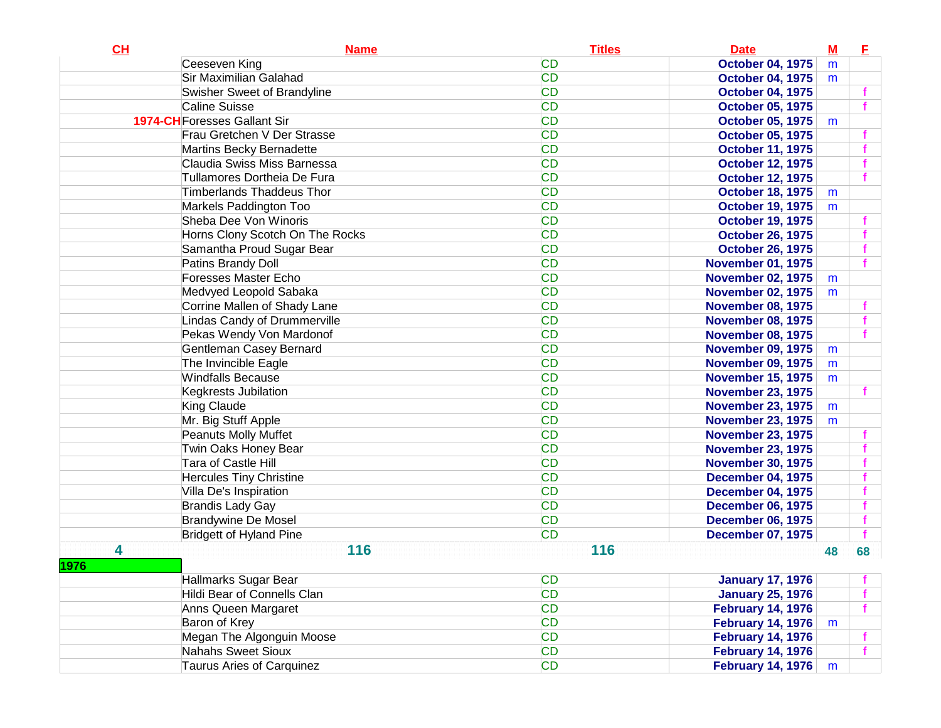| CL   | <b>Name</b>                         | <b>Titles</b> | <b>Date</b>              | $M$ | E  |
|------|-------------------------------------|---------------|--------------------------|-----|----|
|      | Ceeseven King                       | <b>CD</b>     | <b>October 04, 1975</b>  | m   |    |
|      | Sir Maximilian Galahad              | <b>CD</b>     | <b>October 04, 1975</b>  | m   |    |
|      | Swisher Sweet of Brandyline         | <b>CD</b>     | <b>October 04, 1975</b>  |     |    |
|      | <b>Caline Suisse</b>                | <b>CD</b>     | <b>October 05, 1975</b>  |     |    |
|      | <b>1974-CH</b> Foresses Gallant Sir | <b>CD</b>     | <b>October 05, 1975</b>  | m   |    |
|      | Frau Gretchen V Der Strasse         | <b>CD</b>     | <b>October 05, 1975</b>  |     |    |
|      | Martins Becky Bernadette            | <b>CD</b>     | <b>October 11, 1975</b>  |     |    |
|      | Claudia Swiss Miss Barnessa         | <b>CD</b>     | <b>October 12, 1975</b>  |     |    |
|      | Tullamores Dortheia De Fura         | <b>CD</b>     | <b>October 12, 1975</b>  |     |    |
|      | <b>Timberlands Thaddeus Thor</b>    | <b>CD</b>     | <b>October 18, 1975</b>  | m   |    |
|      | Markels Paddington Too              | <b>CD</b>     | <b>October 19, 1975</b>  | m   |    |
|      | Sheba Dee Von Winoris               | <b>CD</b>     | <b>October 19, 1975</b>  |     |    |
|      | Horns Clony Scotch On The Rocks     | <b>CD</b>     | <b>October 26, 1975</b>  |     |    |
|      | Samantha Proud Sugar Bear           | <b>CD</b>     | <b>October 26, 1975</b>  |     |    |
|      | Patins Brandy Doll                  | <b>CD</b>     | <b>November 01, 1975</b> |     |    |
|      | Foresses Master Echo                | <b>CD</b>     | <b>November 02, 1975</b> | m   |    |
|      | Medvyed Leopold Sabaka              | <b>CD</b>     | <b>November 02, 1975</b> | m   |    |
|      | Corrine Mallen of Shady Lane        | <b>CD</b>     | <b>November 08, 1975</b> |     |    |
|      | Lindas Candy of Drummerville        | <b>CD</b>     | <b>November 08, 1975</b> |     |    |
|      | Pekas Wendy Von Mardonof            | <b>CD</b>     | <b>November 08, 1975</b> |     |    |
|      | Gentleman Casey Bernard             | <b>CD</b>     | <b>November 09, 1975</b> | m   |    |
|      | The Invincible Eagle                | <b>CD</b>     | <b>November 09, 1975</b> | m   |    |
|      | <b>Windfalls Because</b>            | <b>CD</b>     | <b>November 15, 1975</b> | m   |    |
|      | Kegkrests Jubilation                | <b>CD</b>     | <b>November 23, 1975</b> |     |    |
|      | King Claude                         | <b>CD</b>     | <b>November 23, 1975</b> | m   |    |
|      | Mr. Big Stuff Apple                 | <b>CD</b>     | <b>November 23, 1975</b> | m   |    |
|      | Peanuts Molly Muffet                | <b>CD</b>     | <b>November 23, 1975</b> |     |    |
|      | Twin Oaks Honey Bear                | <b>CD</b>     | <b>November 23, 1975</b> |     |    |
|      | Tara of Castle Hill                 | <b>CD</b>     | <b>November 30, 1975</b> |     |    |
|      | <b>Hercules Tiny Christine</b>      | <b>CD</b>     | <b>December 04, 1975</b> |     |    |
|      | Villa De's Inspiration              | <b>CD</b>     | <b>December 04, 1975</b> |     |    |
|      | <b>Brandis Lady Gay</b>             | <b>CD</b>     | <b>December 06, 1975</b> |     |    |
|      | <b>Brandywine De Mosel</b>          | <b>CD</b>     | <b>December 06, 1975</b> |     |    |
|      | <b>Bridgett of Hyland Pine</b>      | <b>CD</b>     | <b>December 07, 1975</b> |     |    |
| 4    | 116                                 | 116           |                          | 48  | 68 |
| 1976 |                                     |               |                          |     |    |
|      | Hallmarks Sugar Bear                | <b>CD</b>     | <b>January 17, 1976</b>  |     |    |
|      | Hildi Bear of Connells Clan         | <b>CD</b>     | <b>January 25, 1976</b>  |     |    |
|      | Anns Queen Margaret                 | <b>CD</b>     | <b>February 14, 1976</b> |     |    |
|      | Baron of Krey                       | <b>CD</b>     | <b>February 14, 1976</b> | m   |    |
|      | Megan The Algonguin Moose           | <b>CD</b>     | <b>February 14, 1976</b> |     |    |
|      | <b>Nahahs Sweet Sioux</b>           | <b>CD</b>     | <b>February 14, 1976</b> |     |    |
|      | Taurus Aries of Carquinez           | <b>CD</b>     | <b>February 14, 1976</b> | m   |    |
|      |                                     |               |                          |     |    |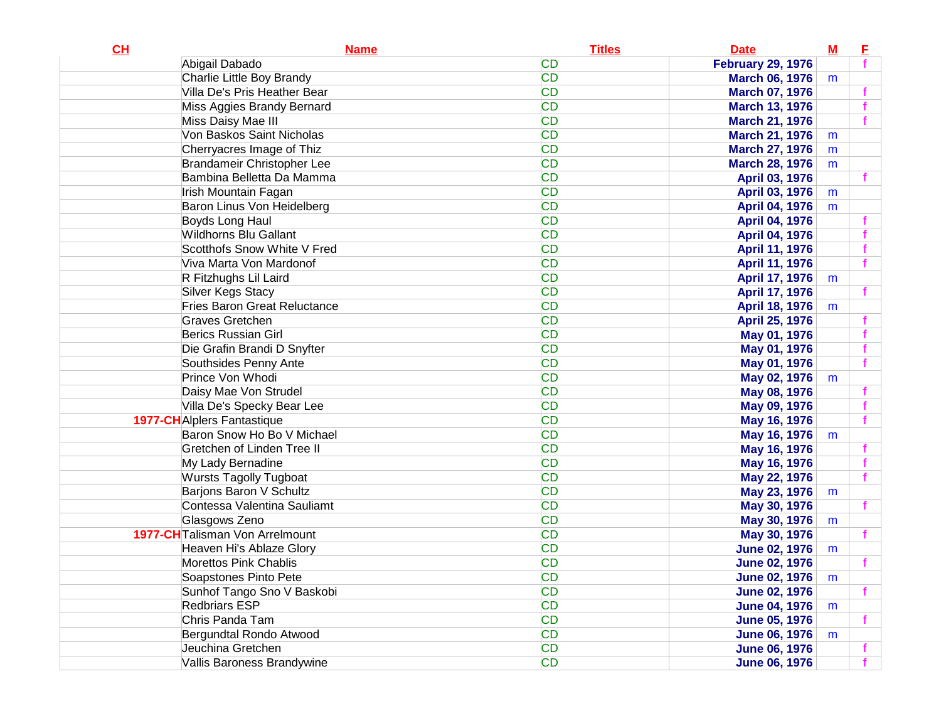| <b>CD</b><br>Abigail Dabado<br><b>February 29, 1976</b><br><b>CD</b><br>Charlie Little Boy Brandy<br><b>March 06, 1976</b><br>m<br><b>CD</b><br>Villa De's Pris Heather Bear<br><b>March 07, 1976</b><br><b>CD</b><br>Miss Aggies Brandy Bernard<br><b>March 13, 1976</b><br><b>CD</b><br>Miss Daisy Mae III<br><b>March 21, 1976</b><br>Von Baskos Saint Nicholas<br><b>CD</b><br><b>March 21, 1976</b><br>m<br><b>CD</b><br>Cherryacres Image of Thiz<br><b>March 27, 1976</b><br>m<br><b>CD</b><br>Brandameir Christopher Lee<br><b>March 28, 1976</b><br>m |    |
|----------------------------------------------------------------------------------------------------------------------------------------------------------------------------------------------------------------------------------------------------------------------------------------------------------------------------------------------------------------------------------------------------------------------------------------------------------------------------------------------------------------------------------------------------------------|----|
|                                                                                                                                                                                                                                                                                                                                                                                                                                                                                                                                                                |    |
|                                                                                                                                                                                                                                                                                                                                                                                                                                                                                                                                                                |    |
|                                                                                                                                                                                                                                                                                                                                                                                                                                                                                                                                                                |    |
|                                                                                                                                                                                                                                                                                                                                                                                                                                                                                                                                                                |    |
|                                                                                                                                                                                                                                                                                                                                                                                                                                                                                                                                                                |    |
|                                                                                                                                                                                                                                                                                                                                                                                                                                                                                                                                                                |    |
|                                                                                                                                                                                                                                                                                                                                                                                                                                                                                                                                                                |    |
|                                                                                                                                                                                                                                                                                                                                                                                                                                                                                                                                                                |    |
| <b>CD</b><br>Bambina Belletta Da Mamma<br>April 03, 1976                                                                                                                                                                                                                                                                                                                                                                                                                                                                                                       |    |
| <b>CD</b><br>Irish Mountain Fagan<br>April 03, 1976<br>m                                                                                                                                                                                                                                                                                                                                                                                                                                                                                                       |    |
| <b>CD</b><br>Baron Linus Von Heidelberg<br>April 04, 1976<br>m                                                                                                                                                                                                                                                                                                                                                                                                                                                                                                 |    |
| <b>CD</b><br>Boyds Long Haul<br>April 04, 1976                                                                                                                                                                                                                                                                                                                                                                                                                                                                                                                 |    |
| <b>CD</b><br><b>Wildhorns Blu Gallant</b><br>April 04, 1976                                                                                                                                                                                                                                                                                                                                                                                                                                                                                                    |    |
| <b>CD</b><br>Scotthofs Snow White V Fred<br>April 11, 1976                                                                                                                                                                                                                                                                                                                                                                                                                                                                                                     |    |
| <b>CD</b><br>Viva Marta Von Mardonof<br>April 11, 1976                                                                                                                                                                                                                                                                                                                                                                                                                                                                                                         |    |
| <b>CD</b><br>R Fitzhughs Lil Laird<br><b>April 17, 1976</b><br>m                                                                                                                                                                                                                                                                                                                                                                                                                                                                                               |    |
| <b>CD</b><br>Silver Kegs Stacy<br>April 17, 1976                                                                                                                                                                                                                                                                                                                                                                                                                                                                                                               |    |
| <b>CD</b><br><b>Fries Baron Great Reluctance</b><br>April 18, 1976<br>m                                                                                                                                                                                                                                                                                                                                                                                                                                                                                        |    |
| <b>CD</b><br><b>Graves Gretchen</b><br>April 25, 1976                                                                                                                                                                                                                                                                                                                                                                                                                                                                                                          |    |
| <b>CD</b><br><b>Berics Russian Girl</b><br>May 01, 1976                                                                                                                                                                                                                                                                                                                                                                                                                                                                                                        |    |
| <b>CD</b><br>Die Grafin Brandi D Snyfter<br>May 01, 1976                                                                                                                                                                                                                                                                                                                                                                                                                                                                                                       |    |
| <b>CD</b><br>Southsides Penny Ante<br>May 01, 1976                                                                                                                                                                                                                                                                                                                                                                                                                                                                                                             |    |
| Prince Von Whodi<br><b>CD</b><br>May 02, 1976<br>m                                                                                                                                                                                                                                                                                                                                                                                                                                                                                                             |    |
| <b>CD</b><br>Daisy Mae Von Strudel<br>May 08, 1976                                                                                                                                                                                                                                                                                                                                                                                                                                                                                                             |    |
| <b>CD</b><br>Villa De's Specky Bear Lee<br>May 09, 1976                                                                                                                                                                                                                                                                                                                                                                                                                                                                                                        |    |
| <b>CD</b><br><b>1977-CH</b> Alplers Fantastique<br>May 16, 1976                                                                                                                                                                                                                                                                                                                                                                                                                                                                                                |    |
| Baron Snow Ho Bo V Michael<br><b>CD</b><br>May 16, 1976<br>m                                                                                                                                                                                                                                                                                                                                                                                                                                                                                                   |    |
| <b>CD</b><br>Gretchen of Linden Tree II<br>May 16, 1976                                                                                                                                                                                                                                                                                                                                                                                                                                                                                                        |    |
| <b>CD</b><br>My Lady Bernadine<br>May 16, 1976                                                                                                                                                                                                                                                                                                                                                                                                                                                                                                                 |    |
| <b>CD</b><br><b>Wursts Tagolly Tugboat</b><br>May 22, 1976                                                                                                                                                                                                                                                                                                                                                                                                                                                                                                     |    |
| <b>CD</b><br>Barjons Baron V Schultz<br>May 23, 1976<br>m                                                                                                                                                                                                                                                                                                                                                                                                                                                                                                      |    |
| <b>CD</b><br>Contessa Valentina Sauliamt<br>May 30, 1976                                                                                                                                                                                                                                                                                                                                                                                                                                                                                                       |    |
| <b>CD</b><br>Glasgows Zeno<br>May 30, 1976<br>m                                                                                                                                                                                                                                                                                                                                                                                                                                                                                                                |    |
| <b>CD</b><br>1977-CH Talisman Von Arrelmount<br>May 30, 1976                                                                                                                                                                                                                                                                                                                                                                                                                                                                                                   |    |
| <b>CD</b><br>Heaven Hi's Ablaze Glory<br><b>June 02, 1976</b><br>m                                                                                                                                                                                                                                                                                                                                                                                                                                                                                             |    |
| Morettos Pink Chablis<br><b>CD</b><br><b>June 02, 1976</b>                                                                                                                                                                                                                                                                                                                                                                                                                                                                                                     |    |
| CD<br>Soapstones Pinto Pete<br><b>June 02, 1976</b><br>m                                                                                                                                                                                                                                                                                                                                                                                                                                                                                                       |    |
| <b>CD</b><br>Sunhof Tango Sno V Baskobi<br><b>June 02, 1976</b>                                                                                                                                                                                                                                                                                                                                                                                                                                                                                                | f. |
| <b>CD</b><br><b>Redbriars ESP</b><br><b>June 04, 1976</b><br>m                                                                                                                                                                                                                                                                                                                                                                                                                                                                                                 |    |
| <b>CD</b><br>Chris Panda Tam<br><b>June 05, 1976</b>                                                                                                                                                                                                                                                                                                                                                                                                                                                                                                           |    |
| <b>CD</b><br>Bergundtal Rondo Atwood<br><b>June 06, 1976</b><br>m                                                                                                                                                                                                                                                                                                                                                                                                                                                                                              |    |
| <b>CD</b><br>Jeuchina Gretchen<br><b>June 06, 1976</b>                                                                                                                                                                                                                                                                                                                                                                                                                                                                                                         |    |
| Vallis Baroness Brandywine<br><b>CD</b><br><b>June 06, 1976</b>                                                                                                                                                                                                                                                                                                                                                                                                                                                                                                |    |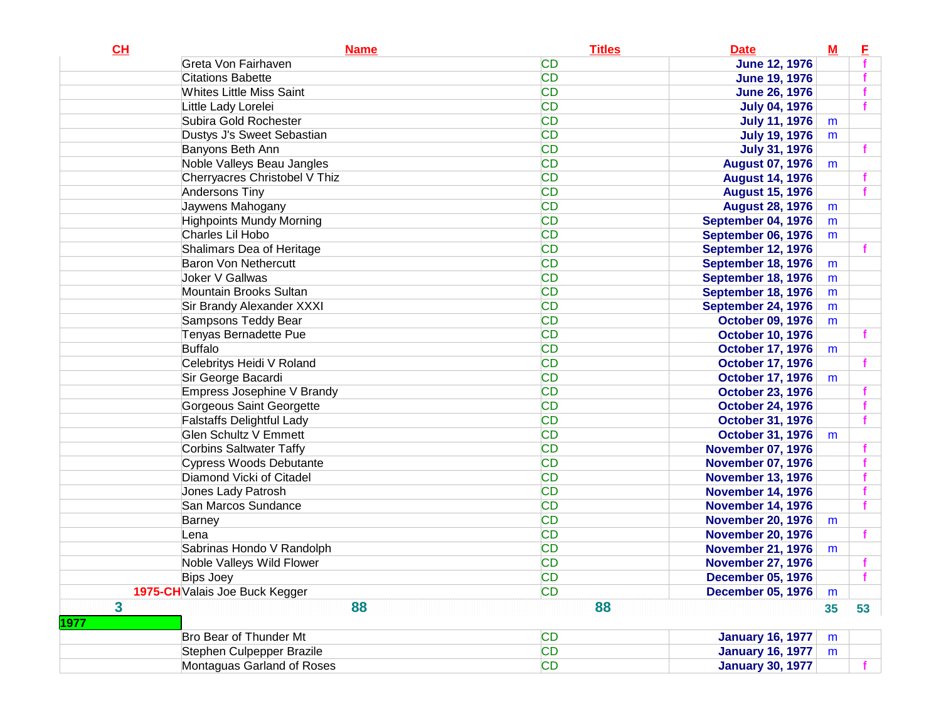| CL                      | <b>Name</b>                      | <b>Titles</b> | <b>Date</b>               | $M$ | E  |
|-------------------------|----------------------------------|---------------|---------------------------|-----|----|
|                         | Greta Von Fairhaven              | <b>CD</b>     | <b>June 12, 1976</b>      |     |    |
|                         | <b>Citations Babette</b>         | <b>CD</b>     | <b>June 19, 1976</b>      |     |    |
|                         | <b>Whites Little Miss Saint</b>  | <b>CD</b>     | <b>June 26, 1976</b>      |     |    |
|                         | Little Lady Lorelei              | <b>CD</b>     | <b>July 04, 1976</b>      |     |    |
|                         | Subira Gold Rochester            | <b>CD</b>     | <b>July 11, 1976</b>      | m   |    |
|                         | Dustys J's Sweet Sebastian       | <b>CD</b>     | <b>July 19, 1976</b>      | m   |    |
|                         | Banyons Beth Ann                 | <b>CD</b>     | <b>July 31, 1976</b>      |     |    |
|                         | Noble Valleys Beau Jangles       | <b>CD</b>     | <b>August 07, 1976</b>    | m   |    |
|                         | Cherryacres Christobel V Thiz    | <b>CD</b>     | <b>August 14, 1976</b>    |     |    |
|                         | Andersons Tiny                   | <b>CD</b>     | <b>August 15, 1976</b>    |     |    |
|                         | Jaywens Mahogany                 | <b>CD</b>     | <b>August 28, 1976</b>    | m   |    |
|                         | <b>Highpoints Mundy Morning</b>  | <b>CD</b>     | September 04, 1976        | m   |    |
|                         | Charles Lil Hobo                 | <b>CD</b>     | September 06, 1976        | m   |    |
|                         | Shalimars Dea of Heritage        | <b>CD</b>     | <b>September 12, 1976</b> |     |    |
|                         | <b>Baron Von Nethercutt</b>      | <b>CD</b>     | September 18, 1976        | m   |    |
|                         | Joker V Gallwas                  | <b>CD</b>     | September 18, 1976        | m   |    |
|                         | Mountain Brooks Sultan           | <b>CD</b>     | September 18, 1976        | m   |    |
|                         | Sir Brandy Alexander XXXI        | <b>CD</b>     | <b>September 24, 1976</b> | m   |    |
|                         | Sampsons Teddy Bear              | <b>CD</b>     | <b>October 09, 1976</b>   | m   |    |
|                         | Tenyas Bernadette Pue            | <b>CD</b>     | <b>October 10, 1976</b>   |     |    |
|                         | <b>Buffalo</b>                   | <b>CD</b>     | <b>October 17, 1976</b>   | m   |    |
|                         | Celebritys Heidi V Roland        | <b>CD</b>     | <b>October 17, 1976</b>   |     |    |
|                         | Sir George Bacardi               | <b>CD</b>     | <b>October 17, 1976</b>   | m   |    |
|                         | Empress Josephine V Brandy       | <b>CD</b>     | <b>October 23, 1976</b>   |     |    |
|                         | Gorgeous Saint Georgette         | <b>CD</b>     | <b>October 24, 1976</b>   |     |    |
|                         | <b>Falstaffs Delightful Lady</b> | <b>CD</b>     | <b>October 31, 1976</b>   |     |    |
|                         | <b>Glen Schultz V Emmett</b>     | <b>CD</b>     | <b>October 31, 1976</b>   | m   |    |
|                         | <b>Corbins Saltwater Taffy</b>   | <b>CD</b>     | <b>November 07, 1976</b>  |     |    |
|                         | Cypress Woods Debutante          | <b>CD</b>     | <b>November 07, 1976</b>  |     |    |
|                         | Diamond Vicki of Citadel         | <b>CD</b>     | <b>November 13, 1976</b>  |     |    |
|                         | Jones Lady Patrosh               | <b>CD</b>     | <b>November 14, 1976</b>  |     |    |
|                         | San Marcos Sundance              | <b>CD</b>     | <b>November 14, 1976</b>  |     |    |
|                         | Barney                           | <b>CD</b>     | <b>November 20, 1976</b>  | m   |    |
|                         | Lena                             | <b>CD</b>     | <b>November 20, 1976</b>  |     |    |
|                         | Sabrinas Hondo V Randolph        | <b>CD</b>     | <b>November 21, 1976</b>  | m   |    |
|                         | Noble Valleys Wild Flower        | <b>CD</b>     | <b>November 27, 1976</b>  |     |    |
|                         | Bips Joey                        | <b>CD</b>     | <b>December 05, 1976</b>  |     |    |
|                         | 1975-CH Valais Joe Buck Kegger   | <b>CD</b>     | <b>December 05, 1976</b>  | m   |    |
| $\overline{\mathbf{3}}$ | 88                               | 88            |                           | 35  | 53 |
| 1977                    |                                  |               |                           |     |    |
|                         | Bro Bear of Thunder Mt           | <b>CD</b>     | <b>January 16, 1977</b>   | m   |    |
|                         | Stephen Culpepper Brazile        | <b>CD</b>     | <b>January 16, 1977</b>   | m   |    |
|                         | Montaguas Garland of Roses       | <b>CD</b>     | <b>January 30, 1977</b>   |     |    |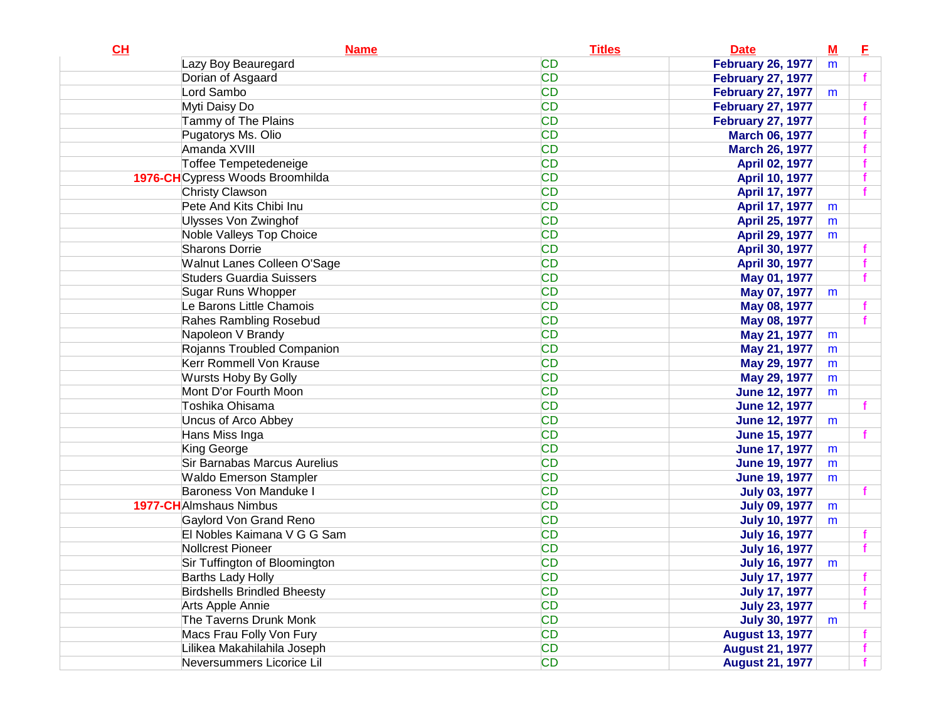| CL | <b>Name</b>                        | <b>Titles</b> | <b>Date</b>              | $M$ | Е |
|----|------------------------------------|---------------|--------------------------|-----|---|
|    | Lazy Boy Beauregard                | <b>CD</b>     | <b>February 26, 1977</b> | m   |   |
|    | Dorian of Asgaard                  | <b>CD</b>     | <b>February 27, 1977</b> |     | f |
|    | Lord Sambo                         | <b>CD</b>     | <b>February 27, 1977</b> | m   |   |
|    | Myti Daisy Do                      | <b>CD</b>     | <b>February 27, 1977</b> |     |   |
|    | Tammy of The Plains                | <b>CD</b>     | <b>February 27, 1977</b> |     |   |
|    | Pugatorys Ms. Olio                 | <b>CD</b>     | <b>March 06, 1977</b>    |     |   |
|    | Amanda XVIII                       | <b>CD</b>     | <b>March 26, 1977</b>    |     |   |
|    | <b>Toffee Tempetedeneige</b>       | <b>CD</b>     | <b>April 02, 1977</b>    |     |   |
|    | 1976-CHCypress Woods Broomhilda    | <b>CD</b>     | <b>April 10, 1977</b>    |     |   |
|    | <b>Christy Clawson</b>             | <b>CD</b>     | April 17, 1977           |     |   |
|    | Pete And Kits Chibi Inu            | <b>CD</b>     | <b>April 17, 1977</b>    | m   |   |
|    | <b>Ulysses Von Zwinghof</b>        | <b>CD</b>     | April 25, 1977           | m   |   |
|    | Noble Valleys Top Choice           | <b>CD</b>     | April 29, 1977           | m   |   |
|    | <b>Sharons Dorrie</b>              | <b>CD</b>     | <b>April 30, 1977</b>    |     |   |
|    | Walnut Lanes Colleen O'Sage        | <b>CD</b>     | April 30, 1977           |     |   |
|    | <b>Studers Guardia Suissers</b>    | <b>CD</b>     | May 01, 1977             |     |   |
|    | Sugar Runs Whopper                 | <b>CD</b>     | May 07, 1977             | m   |   |
|    | Le Barons Little Chamois           | <b>CD</b>     | May 08, 1977             |     |   |
|    | <b>Rahes Rambling Rosebud</b>      | <b>CD</b>     | May 08, 1977             |     |   |
|    | Napoleon V Brandy                  | <b>CD</b>     | May 21, 1977             | m   |   |
|    | Rojanns Troubled Companion         | <b>CD</b>     | May 21, 1977             | m   |   |
|    | Kerr Rommell Von Krause            | <b>CD</b>     | May 29, 1977             | m   |   |
|    | Wursts Hoby By Golly               | <b>CD</b>     | May 29, 1977             | m   |   |
|    | Mont D'or Fourth Moon              | <b>CD</b>     | <b>June 12, 1977</b>     | m   |   |
|    | Toshika Ohisama                    | <b>CD</b>     | <b>June 12, 1977</b>     |     |   |
|    | <b>Uncus of Arco Abbey</b>         | <b>CD</b>     | <b>June 12, 1977</b>     | m   |   |
|    | Hans Miss Inga                     | <b>CD</b>     | <b>June 15, 1977</b>     |     |   |
|    | King George                        | <b>CD</b>     | <b>June 17, 1977</b>     | m   |   |
|    | Sir Barnabas Marcus Aurelius       | <b>CD</b>     | <b>June 19, 1977</b>     | m   |   |
|    | <b>Waldo Emerson Stampler</b>      | <b>CD</b>     | <b>June 19, 1977</b>     | m   |   |
|    | Baroness Von Manduke I             | <b>CD</b>     | <b>July 03, 1977</b>     |     |   |
|    | <b>1977-CH</b> Almshaus Nimbus     | <b>CD</b>     | <b>July 09, 1977</b>     | m   |   |
|    | Gaylord Von Grand Reno             | <b>CD</b>     | <b>July 10, 1977</b>     | m   |   |
|    | El Nobles Kaimana V G G Sam        | <b>CD</b>     | <b>July 16, 1977</b>     |     |   |
|    | Nollcrest Pioneer                  | <b>CD</b>     | <b>July 16, 1977</b>     |     |   |
|    | Sir Tuffington of Bloomington      | <b>CD</b>     | <b>July 16, 1977</b>     | m   |   |
|    | <b>Barths Lady Holly</b>           | CD            | <b>July 17, 1977</b>     |     |   |
|    | <b>Birdshells Brindled Bheesty</b> | <b>CD</b>     | <b>July 17, 1977</b>     |     |   |
|    | Arts Apple Annie                   | <b>CD</b>     | <b>July 23, 1977</b>     |     |   |
|    | The Taverns Drunk Monk             | <b>CD</b>     | <b>July 30, 1977</b>     | m   |   |
|    | Macs Frau Folly Von Fury           | <b>CD</b>     | <b>August 13, 1977</b>   |     |   |
|    | Lilikea Makahilahila Joseph        | <b>CD</b>     | <b>August 21, 1977</b>   |     |   |
|    | Neversummers Licorice Lil          | <b>CD</b>     | <b>August 21, 1977</b>   |     |   |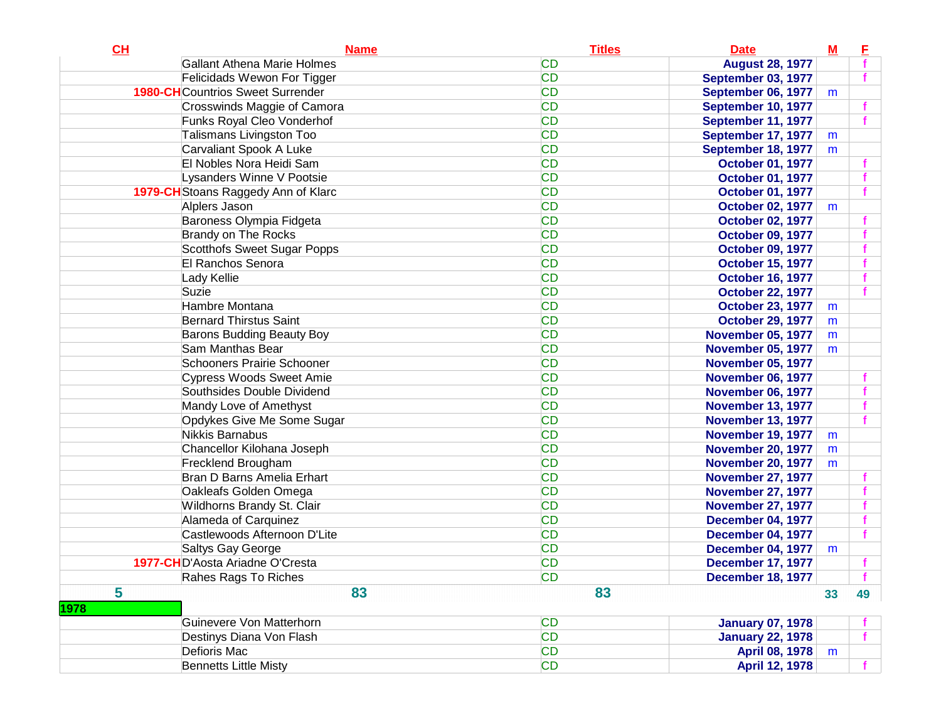|                                                                             |    | E  |
|-----------------------------------------------------------------------------|----|----|
| <b>Gallant Athena Marie Holmes</b><br><b>CD</b><br><b>August 28, 1977</b>   |    |    |
| <b>CD</b><br>Felicidads Wewon For Tigger<br><b>September 03, 1977</b>       |    |    |
| <b>CD</b><br><b>1980-CH</b> Countrios Sweet Surrender<br>September 06, 1977 | m  |    |
| <b>CD</b><br>Crosswinds Maggie of Camora<br>September 10, 1977              |    |    |
| <b>CD</b><br>Funks Royal Cleo Vonderhof<br>September 11, 1977               |    |    |
| <b>Talismans Livingston Too</b><br><b>CD</b><br>September 17, 1977          | m  |    |
| <b>CD</b><br>Carvaliant Spook A Luke<br>September 18, 1977                  | m  |    |
| <b>CD</b><br>El Nobles Nora Heidi Sam<br><b>October 01, 1977</b>            |    |    |
| <b>CD</b><br>Lysanders Winne V Pootsie<br><b>October 01, 1977</b>           |    |    |
| <b>CD</b><br>1979-CH Stoans Raggedy Ann of Klarc<br><b>October 01, 1977</b> |    |    |
| <b>CD</b><br>Alplers Jason<br><b>October 02, 1977</b>                       | m  |    |
| <b>CD</b><br>Baroness Olympia Fidgeta<br><b>October 02, 1977</b>            |    |    |
| <b>CD</b><br><b>Brandy on The Rocks</b><br><b>October 09, 1977</b>          |    |    |
| <b>CD</b><br>Scotthofs Sweet Sugar Popps<br><b>October 09, 1977</b>         |    |    |
| <b>CD</b><br>El Ranchos Senora<br><b>October 15, 1977</b>                   |    |    |
| <b>CD</b><br>Lady Kellie<br><b>October 16, 1977</b>                         |    |    |
| <b>CD</b><br>Suzie<br><b>October 22, 1977</b>                               |    |    |
| <b>CD</b><br>Hambre Montana<br><b>October 23, 1977</b>                      | m  |    |
| <b>CD</b><br><b>Bernard Thirstus Saint</b><br><b>October 29, 1977</b>       | m  |    |
| <b>CD</b><br>Barons Budding Beauty Boy<br><b>November 05, 1977</b>          | m  |    |
| <b>CD</b><br>Sam Manthas Bear<br><b>November 05, 1977</b>                   | m  |    |
| <b>CD</b><br>Schooners Prairie Schooner<br><b>November 05, 1977</b>         |    |    |
| <b>CD</b><br><b>Cypress Woods Sweet Amie</b><br><b>November 06, 1977</b>    |    |    |
| <b>CD</b><br>Southsides Double Dividend<br><b>November 06, 1977</b>         |    |    |
| <b>CD</b><br>Mandy Love of Amethyst<br><b>November 13, 1977</b>             |    |    |
| <b>CD</b><br>Opdykes Give Me Some Sugar<br><b>November 13, 1977</b>         |    |    |
| <b>CD</b><br><b>Nikkis Barnabus</b><br><b>November 19, 1977</b>             | m  |    |
| <b>CD</b><br>Chancellor Kilohana Joseph<br><b>November 20, 1977</b>         | m  |    |
| <b>CD</b><br>Frecklend Brougham<br><b>November 20, 1977</b>                 | m  |    |
| <b>CD</b><br>Bran D Barns Amelia Erhart<br><b>November 27, 1977</b>         |    |    |
| <b>CD</b><br>Oakleafs Golden Omega<br><b>November 27, 1977</b>              |    |    |
| <b>CD</b><br>Wildhorns Brandy St. Clair<br><b>November 27, 1977</b>         |    |    |
| <b>CD</b><br>Alameda of Carquinez<br><b>December 04, 1977</b>               |    |    |
| <b>CD</b><br>Castlewoods Afternoon D'Lite<br><b>December 04, 1977</b>       |    |    |
| <b>CD</b><br>Saltys Gay George<br><b>December 04, 1977</b>                  | m  |    |
| 1977-CHD'Aosta Ariadne O'Cresta<br><b>CD</b><br><b>December 17, 1977</b>    |    |    |
| CD<br>Rahes Rags To Riches<br><b>December 18, 1977</b>                      |    |    |
| 5<br>83<br>83<br>1978                                                       | 33 | 49 |
| Guinevere Von Matterhorn<br><b>CD</b><br><b>January 07, 1978</b>            |    |    |
| <b>CD</b><br>Destinys Diana Von Flash<br><b>January 22, 1978</b>            |    |    |
| <b>CD</b><br>Defioris Mac<br><b>April 08, 1978</b>                          | m  |    |
| <b>Bennetts Little Misty</b><br><b>CD</b><br>April 12, 1978                 |    |    |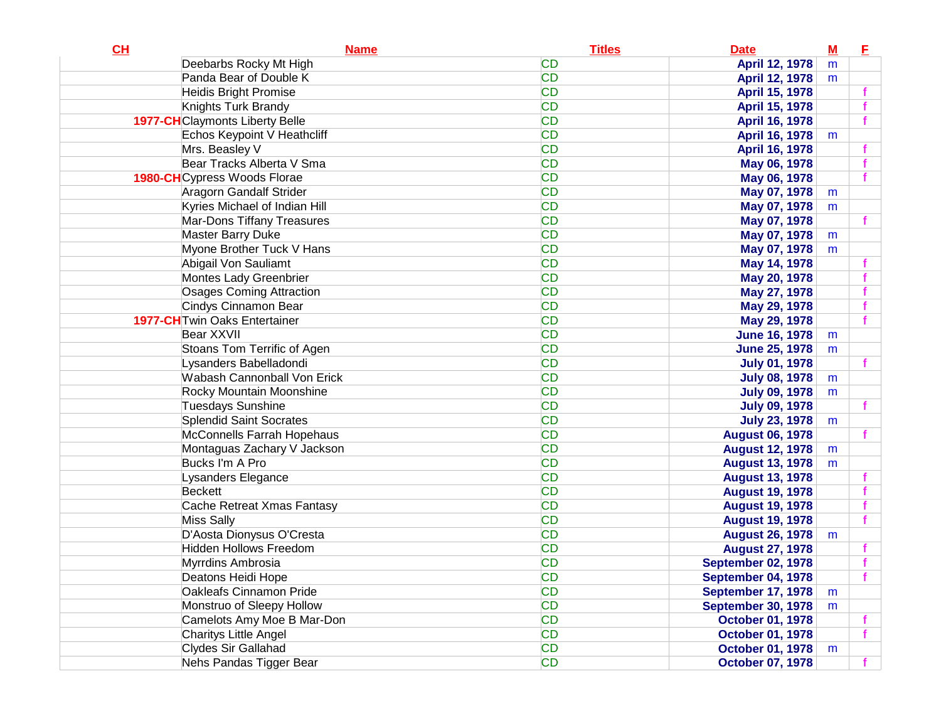| CL | <b>Name</b>                            | <b>Titles</b> | <b>Date</b>               | $\underline{\mathbf{M}}$ | Е |
|----|----------------------------------------|---------------|---------------------------|--------------------------|---|
|    | Deebarbs Rocky Mt High                 | <b>CD</b>     | April 12, 1978            | m                        |   |
|    | Panda Bear of Double K                 | <b>CD</b>     | April 12, 1978            | m                        |   |
|    | <b>Heidis Bright Promise</b>           | <b>CD</b>     | April 15, 1978            |                          |   |
|    | Knights Turk Brandy                    | <b>CD</b>     | April 15, 1978            |                          |   |
|    | <b>1977-CH</b> Claymonts Liberty Belle | <b>CD</b>     | April 16, 1978            |                          |   |
|    | Echos Keypoint V Heathcliff            | <b>CD</b>     | April 16, 1978            | m                        |   |
|    | Mrs. Beasley V                         | <b>CD</b>     | April 16, 1978            |                          |   |
|    | Bear Tracks Alberta V Sma              | <b>CD</b>     | May 06, 1978              |                          |   |
|    | <b>1980-CH</b> Cypress Woods Florae    | <b>CD</b>     | May 06, 1978              |                          |   |
|    | Aragorn Gandalf Strider                | <b>CD</b>     | May 07, 1978              | m                        |   |
|    | Kyries Michael of Indian Hill          | <b>CD</b>     | May 07, 1978              | m                        |   |
|    | Mar-Dons Tiffany Treasures             | <b>CD</b>     | May 07, 1978              |                          |   |
|    | <b>Master Barry Duke</b>               | <b>CD</b>     | May 07, 1978              | m                        |   |
|    | Myone Brother Tuck V Hans              | <b>CD</b>     | May 07, 1978              | m                        |   |
|    | Abigail Von Sauliamt                   | <b>CD</b>     | May 14, 1978              |                          |   |
|    | Montes Lady Greenbrier                 | <b>CD</b>     | May 20, 1978              |                          |   |
|    | <b>Osages Coming Attraction</b>        | <b>CD</b>     | May 27, 1978              |                          |   |
|    | Cindys Cinnamon Bear                   | <b>CD</b>     | May 29, 1978              |                          |   |
|    | 1977-CH Twin Oaks Entertainer          | <b>CD</b>     | May 29, 1978              |                          |   |
|    | Bear XXVII                             | <b>CD</b>     | <b>June 16, 1978</b>      | m                        |   |
|    | Stoans Tom Terrific of Agen            | <b>CD</b>     | <b>June 25, 1978</b>      | m                        |   |
|    | Lysanders Babelladondi                 | <b>CD</b>     | <b>July 01, 1978</b>      |                          |   |
|    | <b>Wabash Cannonball Von Erick</b>     | <b>CD</b>     | <b>July 08, 1978</b>      | m                        |   |
|    | Rocky Mountain Moonshine               | <b>CD</b>     | <b>July 09, 1978</b>      | m                        |   |
|    | Tuesdays Sunshine                      | <b>CD</b>     | <b>July 09, 1978</b>      |                          |   |
|    | <b>Splendid Saint Socrates</b>         | <b>CD</b>     | <b>July 23, 1978</b>      | m                        |   |
|    | McConnells Farrah Hopehaus             | <b>CD</b>     | <b>August 06, 1978</b>    |                          |   |
|    | Montaguas Zachary V Jackson            | <b>CD</b>     | <b>August 12, 1978</b>    | m                        |   |
|    | Bucks I'm A Pro                        | <b>CD</b>     | <b>August 13, 1978</b>    | m                        |   |
|    | Lysanders Elegance                     | <b>CD</b>     | <b>August 13, 1978</b>    |                          |   |
|    | Beckett                                | <b>CD</b>     | <b>August 19, 1978</b>    |                          |   |
|    | Cache Retreat Xmas Fantasy             | <b>CD</b>     | <b>August 19, 1978</b>    |                          |   |
|    | <b>Miss Sally</b>                      | <b>CD</b>     | <b>August 19, 1978</b>    |                          |   |
|    | D'Aosta Dionysus O'Cresta              | <b>CD</b>     | <b>August 26, 1978</b>    | m                        |   |
|    | <b>Hidden Hollows Freedom</b>          | <b>CD</b>     | <b>August 27, 1978</b>    |                          |   |
|    | Myrrdins Ambrosia                      | <b>CD</b>     | <b>September 02, 1978</b> |                          |   |
|    | Deatons Heidi Hope                     | <b>CD</b>     | September 04, 1978        |                          |   |
|    | <b>Oakleafs Cinnamon Pride</b>         | <b>CD</b>     | <b>September 17, 1978</b> | m                        |   |
|    | Monstruo of Sleepy Hollow              | <b>CD</b>     | <b>September 30, 1978</b> | m                        |   |
|    | Camelots Amy Moe B Mar-Don             | <b>CD</b>     | <b>October 01, 1978</b>   |                          |   |
|    | Charitys Little Angel                  | <b>CD</b>     | <b>October 01, 1978</b>   |                          | f |
|    | Clydes Sir Gallahad                    | <b>CD</b>     | <b>October 01, 1978</b>   | m                        |   |
|    | Nehs Pandas Tigger Bear                | <b>CD</b>     | <b>October 07, 1978</b>   |                          |   |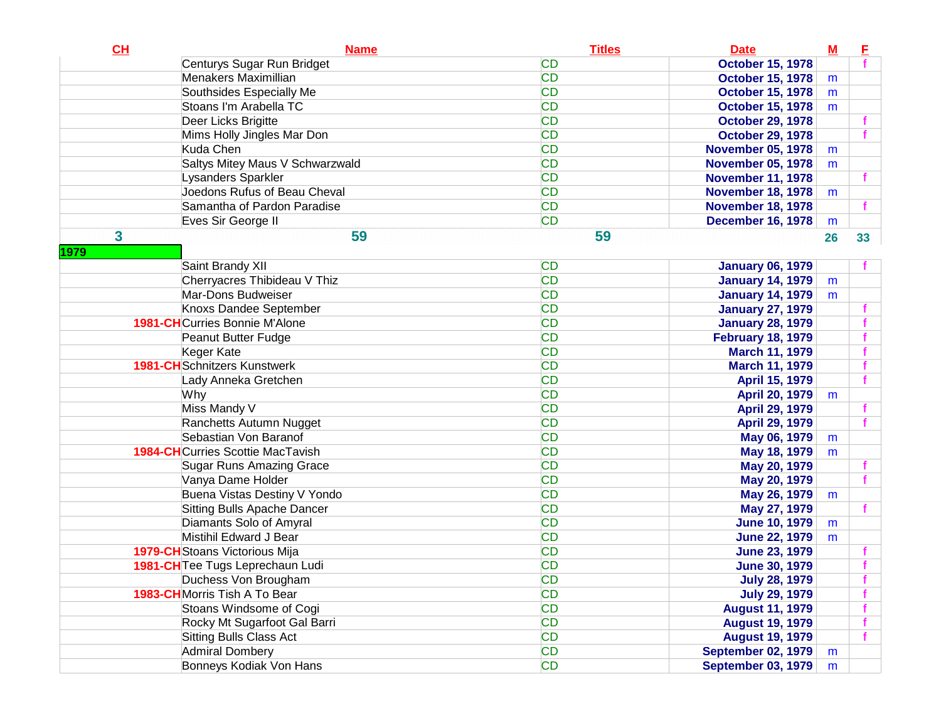| CH        | <b>Name</b>                              | <b>Titles</b> | <b>Date</b>               | $M$ | E  |
|-----------|------------------------------------------|---------------|---------------------------|-----|----|
|           | Centurys Sugar Run Bridget               | <b>CD</b>     | <b>October 15, 1978</b>   |     |    |
|           | Menakers Maximillian                     | <b>CD</b>     | <b>October 15, 1978</b>   | m   |    |
|           | Southsides Especially Me                 | <b>CD</b>     | <b>October 15, 1978</b>   | m   |    |
|           | Stoans I'm Arabella TC                   | <b>CD</b>     | <b>October 15, 1978</b>   | m   |    |
|           | Deer Licks Brigitte                      | <b>CD</b>     | <b>October 29, 1978</b>   |     |    |
|           | Mims Holly Jingles Mar Don               | <b>CD</b>     | <b>October 29, 1978</b>   |     |    |
|           | Kuda Chen                                | <b>CD</b>     | <b>November 05, 1978</b>  | m   |    |
|           | Saltys Mitey Maus V Schwarzwald          | <b>CD</b>     | <b>November 05, 1978</b>  | m   |    |
|           | Lysanders Sparkler                       | <b>CD</b>     | <b>November 11, 1978</b>  |     |    |
|           | Joedons Rufus of Beau Cheval             | <b>CD</b>     | <b>November 18, 1978</b>  | m   |    |
|           | Samantha of Pardon Paradise              | <b>CD</b>     | <b>November 18, 1978</b>  |     |    |
|           | Eves Sir George II                       | <b>CD</b>     | <b>December 16, 1978</b>  | m   |    |
| 3<br>1979 | 59                                       | 59            |                           | 26  | 33 |
|           | Saint Brandy XII                         | <b>CD</b>     | <b>January 06, 1979</b>   |     |    |
|           | Cherryacres Thibideau V Thiz             | <b>CD</b>     | <b>January 14, 1979</b>   | m   |    |
|           | Mar-Dons Budweiser                       | <b>CD</b>     | <b>January 14, 1979</b>   | m   |    |
|           | Knoxs Dandee September                   | <b>CD</b>     | <b>January 27, 1979</b>   |     |    |
|           | <b>1981-CH</b> Curries Bonnie M'Alone    | <b>CD</b>     | <b>January 28, 1979</b>   |     |    |
|           | Peanut Butter Fudge                      | <b>CD</b>     | <b>February 18, 1979</b>  |     |    |
|           | Keger Kate                               | <b>CD</b>     | <b>March 11, 1979</b>     |     |    |
|           | <b>1981-CH</b> Schnitzers Kunstwerk      | <b>CD</b>     | <b>March 11, 1979</b>     |     |    |
|           | Lady Anneka Gretchen                     | <b>CD</b>     | April 15, 1979            |     |    |
|           | Why                                      | <b>CD</b>     | <b>April 20, 1979</b>     | m   |    |
|           | Miss Mandy V                             | <b>CD</b>     | April 29, 1979            |     |    |
|           | Ranchetts Autumn Nugget                  | <b>CD</b>     | April 29, 1979            |     |    |
|           | Sebastian Von Baranof                    | <b>CD</b>     | May 06, 1979              | m   |    |
|           | <b>1984-CH</b> Curries Scottie MacTavish | <b>CD</b>     | May 18, 1979              | m   |    |
|           | <b>Sugar Runs Amazing Grace</b>          | <b>CD</b>     | May 20, 1979              |     |    |
|           | Vanya Dame Holder                        | <b>CD</b>     | May 20, 1979              |     |    |
|           | Buena Vistas Destiny V Yondo             | <b>CD</b>     | May 26, 1979              | m   |    |
|           | Sitting Bulls Apache Dancer              | <b>CD</b>     | May 27, 1979              |     |    |
|           | Diamants Solo of Amyral                  | <b>CD</b>     | <b>June 10, 1979</b>      | m   |    |
|           | Mistihil Edward J Bear                   | <b>CD</b>     | <b>June 22, 1979</b>      | m   |    |
|           | 1979-CH Stoans Victorious Mija           | <b>CD</b>     | <b>June 23, 1979</b>      |     |    |
|           | 1981-CH Tee Tugs Leprechaun Ludi         | <b>CD</b>     | <b>June 30, 1979</b>      |     |    |
|           | Duchess Von Brougham                     | CD            | <b>July 28, 1979</b>      |     |    |
|           | 1983-CHMorris Tish A To Bear             | <b>CD</b>     | <b>July 29, 1979</b>      |     |    |
|           | Stoans Windsome of Cogi                  | <b>CD</b>     | <b>August 11, 1979</b>    |     |    |
|           | Rocky Mt Sugarfoot Gal Barri             | <b>CD</b>     | <b>August 19, 1979</b>    |     |    |
|           | <b>Sitting Bulls Class Act</b>           | <b>CD</b>     | <b>August 19, 1979</b>    |     |    |
|           | <b>Admiral Dombery</b>                   | <b>CD</b>     | <b>September 02, 1979</b> | m   |    |
|           | Bonneys Kodiak Von Hans                  | <b>CD</b>     | <b>September 03, 1979</b> | m   |    |
|           |                                          |               |                           |     |    |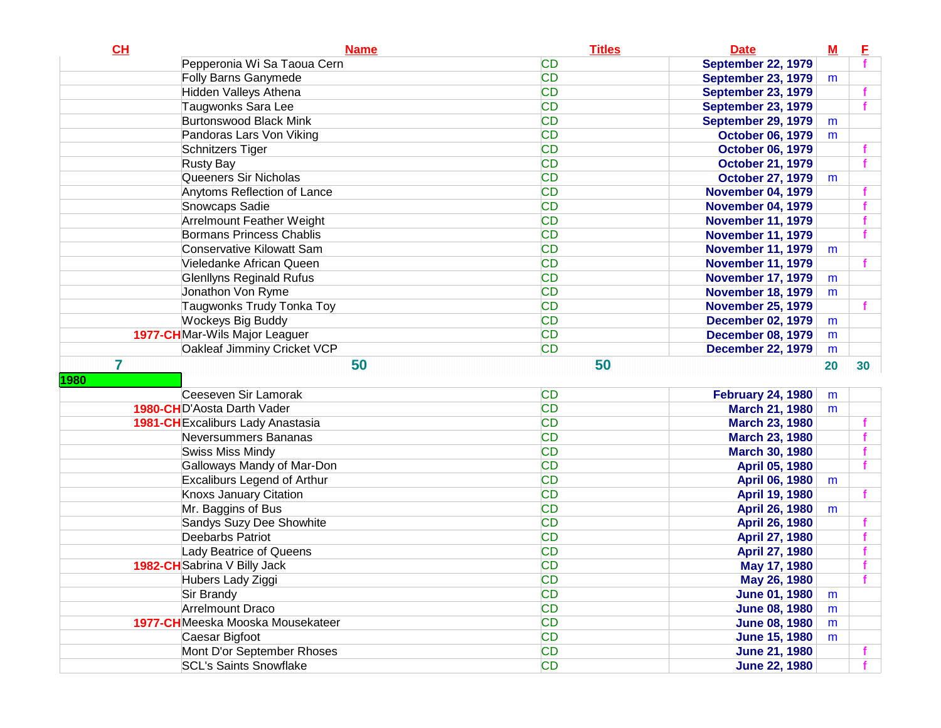| <b>CD</b><br>Pepperonia Wi Sa Taoua Cern<br><b>September 22, 1979</b><br><b>CD</b><br><b>Folly Barns Ganymede</b><br><b>September 23, 1979</b><br>m<br><b>CD</b><br>Hidden Valleys Athena<br><b>September 23, 1979</b><br>Taugwonks Sara Lee<br><b>CD</b><br>f<br><b>September 23, 1979</b><br><b>CD</b><br><b>Burtonswood Black Mink</b><br><b>September 29, 1979</b><br>m<br><b>CD</b><br>Pandoras Lars Von Viking<br><b>October 06, 1979</b><br>m<br><b>CD</b><br>Schnitzers Tiger<br><b>October 06, 1979</b><br><b>CD</b><br><b>Rusty Bay</b><br><b>October 21, 1979</b><br><b>CD</b><br>Queeners Sir Nicholas<br><b>October 27, 1979</b><br>m<br><b>CD</b><br>Anytoms Reflection of Lance<br><b>November 04, 1979</b><br><b>CD</b><br>Snowcaps Sadie<br><b>November 04, 1979</b><br><b>CD</b><br>Arrelmount Feather Weight<br>f<br><b>November 11, 1979</b><br><b>CD</b><br><b>Bormans Princess Chablis</b><br><b>November 11, 1979</b><br><b>CD</b><br><b>Conservative Kilowatt Sam</b><br><b>November 11, 1979</b><br>m<br><b>CD</b><br>Vieledanke African Queen<br><b>November 11, 1979</b><br><b>CD</b><br><b>Glenllyns Reginald Rufus</b><br><b>November 17, 1979</b><br>m<br><b>CD</b><br>Jonathon Von Ryme<br><b>November 18, 1979</b><br>m<br><b>CD</b><br>Taugwonks Trudy Tonka Toy<br><b>November 25, 1979</b><br><b>CD</b><br><b>Wockeys Big Buddy</b><br><b>December 02, 1979</b><br>m<br><b>CD</b><br>1977-CHMar-Wils Major Leaguer<br><b>December 08, 1979</b><br>m<br><b>CD</b><br>Oakleaf Jimminy Cricket VCP<br><b>December 22, 1979</b><br>m<br>7<br>50<br>50<br>30<br>20<br>Ceeseven Sir Lamorak<br><b>CD</b><br><b>February 24, 1980</b><br>m<br><b>CD</b><br><b>1980-CHD'Aosta Darth Vader</b><br><b>March 21, 1980</b><br>m<br><b>CD</b><br>1981-CH Excaliburs Lady Anastasia<br><b>March 23, 1980</b><br><b>CD</b><br>Neversummers Bananas<br><b>March 23, 1980</b><br><b>CD</b><br><b>Swiss Miss Mindy</b><br><b>March 30, 1980</b><br>Galloways Mandy of Mar-Don<br><b>CD</b><br><b>April 05, 1980</b><br>Excaliburs Legend of Arthur<br><b>CD</b><br>April 06, 1980<br>m<br><b>Knoxs January Citation</b><br><b>CD</b><br><b>April 19, 1980</b><br>Mr. Baggins of Bus<br><b>CD</b><br>April 26, 1980<br>m<br>Sandys Suzy Dee Showhite<br><b>CD</b><br>April 26, 1980<br>Deebarbs Patriot<br><b>CD</b><br><b>April 27, 1980</b><br><b>CD</b><br><b>Lady Beatrice of Queens</b><br>April 27, 1980<br><b>CD</b><br>1982-CH Sabrina V Billy Jack<br>May 17, 1980<br><b>CD</b><br>Hubers Lady Ziggi<br>May 26, 1980<br><b>CD</b><br>Sir Brandy<br><b>June 01, 1980</b><br>m<br><b>CD</b><br>Arrelmount Draco<br>June 08, 1980<br>m<br><b>CD</b><br>1977-CH Meeska Mooska Mousekateer<br>June 08, 1980<br>m<br><b>CD</b><br>Caesar Bigfoot<br><b>June 15, 1980</b><br>m<br>Mont D'or September Rhoses<br><b>CD</b><br><b>June 21, 1980</b> | CL   | <b>Name</b>                   | <b>Titles</b> | <b>Date</b>          | $\underline{\mathbf{M}}$ | E |
|---------------------------------------------------------------------------------------------------------------------------------------------------------------------------------------------------------------------------------------------------------------------------------------------------------------------------------------------------------------------------------------------------------------------------------------------------------------------------------------------------------------------------------------------------------------------------------------------------------------------------------------------------------------------------------------------------------------------------------------------------------------------------------------------------------------------------------------------------------------------------------------------------------------------------------------------------------------------------------------------------------------------------------------------------------------------------------------------------------------------------------------------------------------------------------------------------------------------------------------------------------------------------------------------------------------------------------------------------------------------------------------------------------------------------------------------------------------------------------------------------------------------------------------------------------------------------------------------------------------------------------------------------------------------------------------------------------------------------------------------------------------------------------------------------------------------------------------------------------------------------------------------------------------------------------------------------------------------------------------------------------------------------------------------------------------------------------------------------------------------------------------------------------------------------------------------------------------------------------------------------------------------------------------------------------------------------------------------------------------------------------------------------------------------------------------------------------------------------------------------------------------------------------------------------------------------------------------------------------------------------------------------------------------------------------------------------------------------------------------------------------------------------------------------------------------------------------------------------------------------|------|-------------------------------|---------------|----------------------|--------------------------|---|
|                                                                                                                                                                                                                                                                                                                                                                                                                                                                                                                                                                                                                                                                                                                                                                                                                                                                                                                                                                                                                                                                                                                                                                                                                                                                                                                                                                                                                                                                                                                                                                                                                                                                                                                                                                                                                                                                                                                                                                                                                                                                                                                                                                                                                                                                                                                                                                                                                                                                                                                                                                                                                                                                                                                                                                                                                                                                     |      |                               |               |                      |                          |   |
|                                                                                                                                                                                                                                                                                                                                                                                                                                                                                                                                                                                                                                                                                                                                                                                                                                                                                                                                                                                                                                                                                                                                                                                                                                                                                                                                                                                                                                                                                                                                                                                                                                                                                                                                                                                                                                                                                                                                                                                                                                                                                                                                                                                                                                                                                                                                                                                                                                                                                                                                                                                                                                                                                                                                                                                                                                                                     |      |                               |               |                      |                          |   |
|                                                                                                                                                                                                                                                                                                                                                                                                                                                                                                                                                                                                                                                                                                                                                                                                                                                                                                                                                                                                                                                                                                                                                                                                                                                                                                                                                                                                                                                                                                                                                                                                                                                                                                                                                                                                                                                                                                                                                                                                                                                                                                                                                                                                                                                                                                                                                                                                                                                                                                                                                                                                                                                                                                                                                                                                                                                                     |      |                               |               |                      |                          |   |
|                                                                                                                                                                                                                                                                                                                                                                                                                                                                                                                                                                                                                                                                                                                                                                                                                                                                                                                                                                                                                                                                                                                                                                                                                                                                                                                                                                                                                                                                                                                                                                                                                                                                                                                                                                                                                                                                                                                                                                                                                                                                                                                                                                                                                                                                                                                                                                                                                                                                                                                                                                                                                                                                                                                                                                                                                                                                     |      |                               |               |                      |                          |   |
|                                                                                                                                                                                                                                                                                                                                                                                                                                                                                                                                                                                                                                                                                                                                                                                                                                                                                                                                                                                                                                                                                                                                                                                                                                                                                                                                                                                                                                                                                                                                                                                                                                                                                                                                                                                                                                                                                                                                                                                                                                                                                                                                                                                                                                                                                                                                                                                                                                                                                                                                                                                                                                                                                                                                                                                                                                                                     |      |                               |               |                      |                          |   |
|                                                                                                                                                                                                                                                                                                                                                                                                                                                                                                                                                                                                                                                                                                                                                                                                                                                                                                                                                                                                                                                                                                                                                                                                                                                                                                                                                                                                                                                                                                                                                                                                                                                                                                                                                                                                                                                                                                                                                                                                                                                                                                                                                                                                                                                                                                                                                                                                                                                                                                                                                                                                                                                                                                                                                                                                                                                                     |      |                               |               |                      |                          |   |
|                                                                                                                                                                                                                                                                                                                                                                                                                                                                                                                                                                                                                                                                                                                                                                                                                                                                                                                                                                                                                                                                                                                                                                                                                                                                                                                                                                                                                                                                                                                                                                                                                                                                                                                                                                                                                                                                                                                                                                                                                                                                                                                                                                                                                                                                                                                                                                                                                                                                                                                                                                                                                                                                                                                                                                                                                                                                     |      |                               |               |                      |                          |   |
|                                                                                                                                                                                                                                                                                                                                                                                                                                                                                                                                                                                                                                                                                                                                                                                                                                                                                                                                                                                                                                                                                                                                                                                                                                                                                                                                                                                                                                                                                                                                                                                                                                                                                                                                                                                                                                                                                                                                                                                                                                                                                                                                                                                                                                                                                                                                                                                                                                                                                                                                                                                                                                                                                                                                                                                                                                                                     |      |                               |               |                      |                          |   |
|                                                                                                                                                                                                                                                                                                                                                                                                                                                                                                                                                                                                                                                                                                                                                                                                                                                                                                                                                                                                                                                                                                                                                                                                                                                                                                                                                                                                                                                                                                                                                                                                                                                                                                                                                                                                                                                                                                                                                                                                                                                                                                                                                                                                                                                                                                                                                                                                                                                                                                                                                                                                                                                                                                                                                                                                                                                                     |      |                               |               |                      |                          |   |
|                                                                                                                                                                                                                                                                                                                                                                                                                                                                                                                                                                                                                                                                                                                                                                                                                                                                                                                                                                                                                                                                                                                                                                                                                                                                                                                                                                                                                                                                                                                                                                                                                                                                                                                                                                                                                                                                                                                                                                                                                                                                                                                                                                                                                                                                                                                                                                                                                                                                                                                                                                                                                                                                                                                                                                                                                                                                     |      |                               |               |                      |                          |   |
|                                                                                                                                                                                                                                                                                                                                                                                                                                                                                                                                                                                                                                                                                                                                                                                                                                                                                                                                                                                                                                                                                                                                                                                                                                                                                                                                                                                                                                                                                                                                                                                                                                                                                                                                                                                                                                                                                                                                                                                                                                                                                                                                                                                                                                                                                                                                                                                                                                                                                                                                                                                                                                                                                                                                                                                                                                                                     |      |                               |               |                      |                          |   |
|                                                                                                                                                                                                                                                                                                                                                                                                                                                                                                                                                                                                                                                                                                                                                                                                                                                                                                                                                                                                                                                                                                                                                                                                                                                                                                                                                                                                                                                                                                                                                                                                                                                                                                                                                                                                                                                                                                                                                                                                                                                                                                                                                                                                                                                                                                                                                                                                                                                                                                                                                                                                                                                                                                                                                                                                                                                                     |      |                               |               |                      |                          |   |
|                                                                                                                                                                                                                                                                                                                                                                                                                                                                                                                                                                                                                                                                                                                                                                                                                                                                                                                                                                                                                                                                                                                                                                                                                                                                                                                                                                                                                                                                                                                                                                                                                                                                                                                                                                                                                                                                                                                                                                                                                                                                                                                                                                                                                                                                                                                                                                                                                                                                                                                                                                                                                                                                                                                                                                                                                                                                     |      |                               |               |                      |                          |   |
|                                                                                                                                                                                                                                                                                                                                                                                                                                                                                                                                                                                                                                                                                                                                                                                                                                                                                                                                                                                                                                                                                                                                                                                                                                                                                                                                                                                                                                                                                                                                                                                                                                                                                                                                                                                                                                                                                                                                                                                                                                                                                                                                                                                                                                                                                                                                                                                                                                                                                                                                                                                                                                                                                                                                                                                                                                                                     |      |                               |               |                      |                          |   |
|                                                                                                                                                                                                                                                                                                                                                                                                                                                                                                                                                                                                                                                                                                                                                                                                                                                                                                                                                                                                                                                                                                                                                                                                                                                                                                                                                                                                                                                                                                                                                                                                                                                                                                                                                                                                                                                                                                                                                                                                                                                                                                                                                                                                                                                                                                                                                                                                                                                                                                                                                                                                                                                                                                                                                                                                                                                                     |      |                               |               |                      |                          |   |
|                                                                                                                                                                                                                                                                                                                                                                                                                                                                                                                                                                                                                                                                                                                                                                                                                                                                                                                                                                                                                                                                                                                                                                                                                                                                                                                                                                                                                                                                                                                                                                                                                                                                                                                                                                                                                                                                                                                                                                                                                                                                                                                                                                                                                                                                                                                                                                                                                                                                                                                                                                                                                                                                                                                                                                                                                                                                     |      |                               |               |                      |                          |   |
|                                                                                                                                                                                                                                                                                                                                                                                                                                                                                                                                                                                                                                                                                                                                                                                                                                                                                                                                                                                                                                                                                                                                                                                                                                                                                                                                                                                                                                                                                                                                                                                                                                                                                                                                                                                                                                                                                                                                                                                                                                                                                                                                                                                                                                                                                                                                                                                                                                                                                                                                                                                                                                                                                                                                                                                                                                                                     |      |                               |               |                      |                          |   |
|                                                                                                                                                                                                                                                                                                                                                                                                                                                                                                                                                                                                                                                                                                                                                                                                                                                                                                                                                                                                                                                                                                                                                                                                                                                                                                                                                                                                                                                                                                                                                                                                                                                                                                                                                                                                                                                                                                                                                                                                                                                                                                                                                                                                                                                                                                                                                                                                                                                                                                                                                                                                                                                                                                                                                                                                                                                                     |      |                               |               |                      |                          |   |
|                                                                                                                                                                                                                                                                                                                                                                                                                                                                                                                                                                                                                                                                                                                                                                                                                                                                                                                                                                                                                                                                                                                                                                                                                                                                                                                                                                                                                                                                                                                                                                                                                                                                                                                                                                                                                                                                                                                                                                                                                                                                                                                                                                                                                                                                                                                                                                                                                                                                                                                                                                                                                                                                                                                                                                                                                                                                     |      |                               |               |                      |                          |   |
|                                                                                                                                                                                                                                                                                                                                                                                                                                                                                                                                                                                                                                                                                                                                                                                                                                                                                                                                                                                                                                                                                                                                                                                                                                                                                                                                                                                                                                                                                                                                                                                                                                                                                                                                                                                                                                                                                                                                                                                                                                                                                                                                                                                                                                                                                                                                                                                                                                                                                                                                                                                                                                                                                                                                                                                                                                                                     |      |                               |               |                      |                          |   |
|                                                                                                                                                                                                                                                                                                                                                                                                                                                                                                                                                                                                                                                                                                                                                                                                                                                                                                                                                                                                                                                                                                                                                                                                                                                                                                                                                                                                                                                                                                                                                                                                                                                                                                                                                                                                                                                                                                                                                                                                                                                                                                                                                                                                                                                                                                                                                                                                                                                                                                                                                                                                                                                                                                                                                                                                                                                                     |      |                               |               |                      |                          |   |
|                                                                                                                                                                                                                                                                                                                                                                                                                                                                                                                                                                                                                                                                                                                                                                                                                                                                                                                                                                                                                                                                                                                                                                                                                                                                                                                                                                                                                                                                                                                                                                                                                                                                                                                                                                                                                                                                                                                                                                                                                                                                                                                                                                                                                                                                                                                                                                                                                                                                                                                                                                                                                                                                                                                                                                                                                                                                     |      |                               |               |                      |                          |   |
|                                                                                                                                                                                                                                                                                                                                                                                                                                                                                                                                                                                                                                                                                                                                                                                                                                                                                                                                                                                                                                                                                                                                                                                                                                                                                                                                                                                                                                                                                                                                                                                                                                                                                                                                                                                                                                                                                                                                                                                                                                                                                                                                                                                                                                                                                                                                                                                                                                                                                                                                                                                                                                                                                                                                                                                                                                                                     | 1980 |                               |               |                      |                          |   |
|                                                                                                                                                                                                                                                                                                                                                                                                                                                                                                                                                                                                                                                                                                                                                                                                                                                                                                                                                                                                                                                                                                                                                                                                                                                                                                                                                                                                                                                                                                                                                                                                                                                                                                                                                                                                                                                                                                                                                                                                                                                                                                                                                                                                                                                                                                                                                                                                                                                                                                                                                                                                                                                                                                                                                                                                                                                                     |      |                               |               |                      |                          |   |
|                                                                                                                                                                                                                                                                                                                                                                                                                                                                                                                                                                                                                                                                                                                                                                                                                                                                                                                                                                                                                                                                                                                                                                                                                                                                                                                                                                                                                                                                                                                                                                                                                                                                                                                                                                                                                                                                                                                                                                                                                                                                                                                                                                                                                                                                                                                                                                                                                                                                                                                                                                                                                                                                                                                                                                                                                                                                     |      |                               |               |                      |                          |   |
|                                                                                                                                                                                                                                                                                                                                                                                                                                                                                                                                                                                                                                                                                                                                                                                                                                                                                                                                                                                                                                                                                                                                                                                                                                                                                                                                                                                                                                                                                                                                                                                                                                                                                                                                                                                                                                                                                                                                                                                                                                                                                                                                                                                                                                                                                                                                                                                                                                                                                                                                                                                                                                                                                                                                                                                                                                                                     |      |                               |               |                      |                          |   |
|                                                                                                                                                                                                                                                                                                                                                                                                                                                                                                                                                                                                                                                                                                                                                                                                                                                                                                                                                                                                                                                                                                                                                                                                                                                                                                                                                                                                                                                                                                                                                                                                                                                                                                                                                                                                                                                                                                                                                                                                                                                                                                                                                                                                                                                                                                                                                                                                                                                                                                                                                                                                                                                                                                                                                                                                                                                                     |      |                               |               |                      |                          |   |
|                                                                                                                                                                                                                                                                                                                                                                                                                                                                                                                                                                                                                                                                                                                                                                                                                                                                                                                                                                                                                                                                                                                                                                                                                                                                                                                                                                                                                                                                                                                                                                                                                                                                                                                                                                                                                                                                                                                                                                                                                                                                                                                                                                                                                                                                                                                                                                                                                                                                                                                                                                                                                                                                                                                                                                                                                                                                     |      |                               |               |                      |                          |   |
|                                                                                                                                                                                                                                                                                                                                                                                                                                                                                                                                                                                                                                                                                                                                                                                                                                                                                                                                                                                                                                                                                                                                                                                                                                                                                                                                                                                                                                                                                                                                                                                                                                                                                                                                                                                                                                                                                                                                                                                                                                                                                                                                                                                                                                                                                                                                                                                                                                                                                                                                                                                                                                                                                                                                                                                                                                                                     |      |                               |               |                      |                          |   |
|                                                                                                                                                                                                                                                                                                                                                                                                                                                                                                                                                                                                                                                                                                                                                                                                                                                                                                                                                                                                                                                                                                                                                                                                                                                                                                                                                                                                                                                                                                                                                                                                                                                                                                                                                                                                                                                                                                                                                                                                                                                                                                                                                                                                                                                                                                                                                                                                                                                                                                                                                                                                                                                                                                                                                                                                                                                                     |      |                               |               |                      |                          |   |
|                                                                                                                                                                                                                                                                                                                                                                                                                                                                                                                                                                                                                                                                                                                                                                                                                                                                                                                                                                                                                                                                                                                                                                                                                                                                                                                                                                                                                                                                                                                                                                                                                                                                                                                                                                                                                                                                                                                                                                                                                                                                                                                                                                                                                                                                                                                                                                                                                                                                                                                                                                                                                                                                                                                                                                                                                                                                     |      |                               |               |                      |                          |   |
|                                                                                                                                                                                                                                                                                                                                                                                                                                                                                                                                                                                                                                                                                                                                                                                                                                                                                                                                                                                                                                                                                                                                                                                                                                                                                                                                                                                                                                                                                                                                                                                                                                                                                                                                                                                                                                                                                                                                                                                                                                                                                                                                                                                                                                                                                                                                                                                                                                                                                                                                                                                                                                                                                                                                                                                                                                                                     |      |                               |               |                      |                          |   |
|                                                                                                                                                                                                                                                                                                                                                                                                                                                                                                                                                                                                                                                                                                                                                                                                                                                                                                                                                                                                                                                                                                                                                                                                                                                                                                                                                                                                                                                                                                                                                                                                                                                                                                                                                                                                                                                                                                                                                                                                                                                                                                                                                                                                                                                                                                                                                                                                                                                                                                                                                                                                                                                                                                                                                                                                                                                                     |      |                               |               |                      |                          |   |
|                                                                                                                                                                                                                                                                                                                                                                                                                                                                                                                                                                                                                                                                                                                                                                                                                                                                                                                                                                                                                                                                                                                                                                                                                                                                                                                                                                                                                                                                                                                                                                                                                                                                                                                                                                                                                                                                                                                                                                                                                                                                                                                                                                                                                                                                                                                                                                                                                                                                                                                                                                                                                                                                                                                                                                                                                                                                     |      |                               |               |                      |                          |   |
|                                                                                                                                                                                                                                                                                                                                                                                                                                                                                                                                                                                                                                                                                                                                                                                                                                                                                                                                                                                                                                                                                                                                                                                                                                                                                                                                                                                                                                                                                                                                                                                                                                                                                                                                                                                                                                                                                                                                                                                                                                                                                                                                                                                                                                                                                                                                                                                                                                                                                                                                                                                                                                                                                                                                                                                                                                                                     |      |                               |               |                      |                          |   |
|                                                                                                                                                                                                                                                                                                                                                                                                                                                                                                                                                                                                                                                                                                                                                                                                                                                                                                                                                                                                                                                                                                                                                                                                                                                                                                                                                                                                                                                                                                                                                                                                                                                                                                                                                                                                                                                                                                                                                                                                                                                                                                                                                                                                                                                                                                                                                                                                                                                                                                                                                                                                                                                                                                                                                                                                                                                                     |      |                               |               |                      |                          |   |
|                                                                                                                                                                                                                                                                                                                                                                                                                                                                                                                                                                                                                                                                                                                                                                                                                                                                                                                                                                                                                                                                                                                                                                                                                                                                                                                                                                                                                                                                                                                                                                                                                                                                                                                                                                                                                                                                                                                                                                                                                                                                                                                                                                                                                                                                                                                                                                                                                                                                                                                                                                                                                                                                                                                                                                                                                                                                     |      |                               |               |                      |                          |   |
|                                                                                                                                                                                                                                                                                                                                                                                                                                                                                                                                                                                                                                                                                                                                                                                                                                                                                                                                                                                                                                                                                                                                                                                                                                                                                                                                                                                                                                                                                                                                                                                                                                                                                                                                                                                                                                                                                                                                                                                                                                                                                                                                                                                                                                                                                                                                                                                                                                                                                                                                                                                                                                                                                                                                                                                                                                                                     |      |                               |               |                      |                          |   |
|                                                                                                                                                                                                                                                                                                                                                                                                                                                                                                                                                                                                                                                                                                                                                                                                                                                                                                                                                                                                                                                                                                                                                                                                                                                                                                                                                                                                                                                                                                                                                                                                                                                                                                                                                                                                                                                                                                                                                                                                                                                                                                                                                                                                                                                                                                                                                                                                                                                                                                                                                                                                                                                                                                                                                                                                                                                                     |      |                               |               |                      |                          |   |
|                                                                                                                                                                                                                                                                                                                                                                                                                                                                                                                                                                                                                                                                                                                                                                                                                                                                                                                                                                                                                                                                                                                                                                                                                                                                                                                                                                                                                                                                                                                                                                                                                                                                                                                                                                                                                                                                                                                                                                                                                                                                                                                                                                                                                                                                                                                                                                                                                                                                                                                                                                                                                                                                                                                                                                                                                                                                     |      |                               |               |                      |                          |   |
|                                                                                                                                                                                                                                                                                                                                                                                                                                                                                                                                                                                                                                                                                                                                                                                                                                                                                                                                                                                                                                                                                                                                                                                                                                                                                                                                                                                                                                                                                                                                                                                                                                                                                                                                                                                                                                                                                                                                                                                                                                                                                                                                                                                                                                                                                                                                                                                                                                                                                                                                                                                                                                                                                                                                                                                                                                                                     |      |                               |               |                      |                          |   |
|                                                                                                                                                                                                                                                                                                                                                                                                                                                                                                                                                                                                                                                                                                                                                                                                                                                                                                                                                                                                                                                                                                                                                                                                                                                                                                                                                                                                                                                                                                                                                                                                                                                                                                                                                                                                                                                                                                                                                                                                                                                                                                                                                                                                                                                                                                                                                                                                                                                                                                                                                                                                                                                                                                                                                                                                                                                                     |      |                               |               |                      |                          |   |
|                                                                                                                                                                                                                                                                                                                                                                                                                                                                                                                                                                                                                                                                                                                                                                                                                                                                                                                                                                                                                                                                                                                                                                                                                                                                                                                                                                                                                                                                                                                                                                                                                                                                                                                                                                                                                                                                                                                                                                                                                                                                                                                                                                                                                                                                                                                                                                                                                                                                                                                                                                                                                                                                                                                                                                                                                                                                     |      | <b>SCL's Saints Snowflake</b> | <b>CD</b>     | <b>June 22, 1980</b> |                          |   |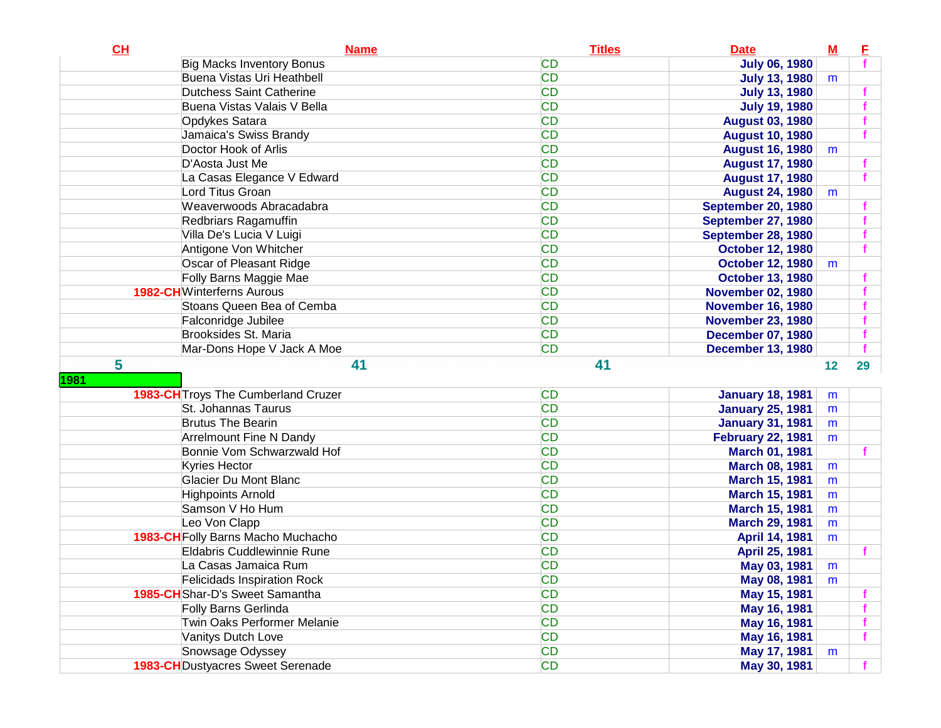| CH   | <b>Name</b>                              | <b>Titles</b> | <b>Date</b>               | $M$ | E  |
|------|------------------------------------------|---------------|---------------------------|-----|----|
|      | <b>Big Macks Inventory Bonus</b>         | <b>CD</b>     | <b>July 06, 1980</b>      |     |    |
|      | Buena Vistas Uri Heathbell               | <b>CD</b>     | <b>July 13, 1980</b>      | m   |    |
|      | Dutchess Saint Catherine                 | <b>CD</b>     | <b>July 13, 1980</b>      |     |    |
|      | Buena Vistas Valais V Bella              | <b>CD</b>     | <b>July 19, 1980</b>      |     |    |
|      | Opdykes Satara                           | <b>CD</b>     | <b>August 03, 1980</b>    |     |    |
|      | Jamaica's Swiss Brandy                   | <b>CD</b>     | <b>August 10, 1980</b>    |     |    |
|      | Doctor Hook of Arlis                     | <b>CD</b>     | <b>August 16, 1980</b>    | m   |    |
|      | D'Aosta Just Me                          | <b>CD</b>     | <b>August 17, 1980</b>    |     |    |
|      | La Casas Elegance V Edward               | <b>CD</b>     | <b>August 17, 1980</b>    |     |    |
|      | Lord Titus Groan                         | <b>CD</b>     | <b>August 24, 1980</b>    | m   |    |
|      | Weaverwoods Abracadabra                  | <b>CD</b>     | <b>September 20, 1980</b> |     |    |
|      | Redbriars Ragamuffin                     | <b>CD</b>     | <b>September 27, 1980</b> |     |    |
|      | Villa De's Lucia V Luigi                 | <b>CD</b>     | September 28, 1980        |     |    |
|      | Antigone Von Whitcher                    | <b>CD</b>     | <b>October 12, 1980</b>   |     |    |
|      | Oscar of Pleasant Ridge                  | <b>CD</b>     | <b>October 12, 1980</b>   | m   |    |
|      | Folly Barns Maggie Mae                   | <b>CD</b>     | <b>October 13, 1980</b>   |     |    |
|      | <b>1982-CH</b> Winterferns Aurous        | <b>CD</b>     | <b>November 02, 1980</b>  |     |    |
|      | Stoans Queen Bea of Cemba                | <b>CD</b>     | <b>November 16, 1980</b>  |     |    |
|      | Falconridge Jubilee                      | <b>CD</b>     | <b>November 23, 1980</b>  |     |    |
|      | Brooksides St. Maria                     | <b>CD</b>     | <b>December 07, 1980</b>  |     |    |
|      | Mar-Dons Hope V Jack A Moe               | <b>CD</b>     | <b>December 13, 1980</b>  |     |    |
| 5    | 41                                       | 41            |                           | 12  | 29 |
| 1981 |                                          |               |                           |     |    |
|      | 1983-CH Troys The Cumberland Cruzer      | <b>CD</b>     | <b>January 18, 1981</b>   | m   |    |
|      | St. Johannas Taurus                      | <b>CD</b>     | <b>January 25, 1981</b>   | m   |    |
|      | <b>Brutus The Bearin</b>                 | <b>CD</b>     | <b>January 31, 1981</b>   | m   |    |
|      | <b>Arrelmount Fine N Dandy</b>           | <b>CD</b>     | <b>February 22, 1981</b>  | m   |    |
|      | Bonnie Vom Schwarzwald Hof               | <b>CD</b>     | <b>March 01, 1981</b>     |     |    |
|      | <b>Kyries Hector</b>                     | <b>CD</b>     | <b>March 08, 1981</b>     | m   |    |
|      | <b>Glacier Du Mont Blanc</b>             | <b>CD</b>     | <b>March 15, 1981</b>     | m   |    |
|      | Highpoints Arnold                        | <b>CD</b>     | <b>March 15, 1981</b>     | m   |    |
|      | Samson V Ho Hum                          | <b>CD</b>     | <b>March 15, 1981</b>     | m   |    |
|      | Leo Von Clapp                            | <b>CD</b>     | <b>March 29, 1981</b>     | m   |    |
|      | 1983-CH Folly Barns Macho Muchacho       | <b>CD</b>     | <b>April 14, 1981</b>     | m   |    |
|      | Eldabris Cuddlewinnie Rune               | <b>CD</b>     | <b>April 25, 1981</b>     |     |    |
|      | La Casas Jamaica Rum                     | <b>CD</b>     | May 03, 1981              | m   |    |
|      | <b>Felicidads Inspiration Rock</b>       | <b>CD</b>     | May 08, 1981              | m   |    |
|      | 1985-CH Shar-D's Sweet Samantha          | <b>CD</b>     | May 15, 1981              |     |    |
|      | Folly Barns Gerlinda                     | <b>CD</b>     | May 16, 1981              |     |    |
|      | Twin Oaks Performer Melanie              | <b>CD</b>     | May 16, 1981              |     |    |
|      | Vanitys Dutch Love                       | <b>CD</b>     | May 16, 1981              |     |    |
|      | Snowsage Odyssey                         | <b>CD</b>     | May 17, 1981              | m   |    |
|      | <b>1983-CH</b> Dustyacres Sweet Serenade | <b>CD</b>     | May 30, 1981              |     |    |
|      |                                          |               |                           |     |    |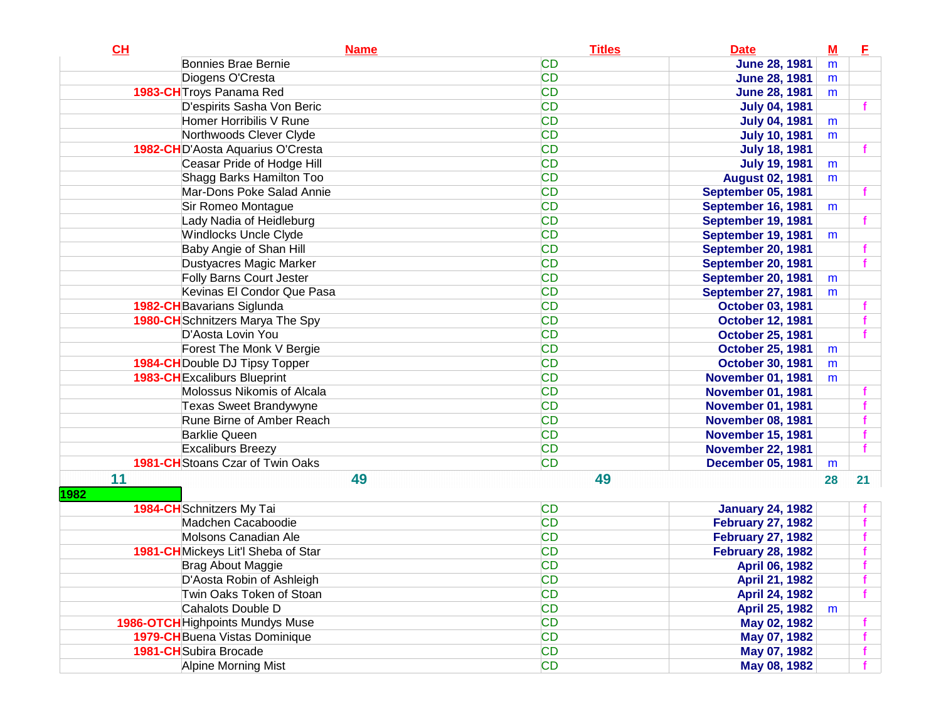| CH   | <b>Name</b>                             | <b>Titles</b> | <b>Date</b>              | $\underline{\mathbf{M}}$ | Е  |
|------|-----------------------------------------|---------------|--------------------------|--------------------------|----|
|      | Bonnies Brae Bernie                     | <b>CD</b>     | <b>June 28, 1981</b>     | m                        |    |
|      | Diogens O'Cresta                        | <b>CD</b>     | <b>June 28, 1981</b>     | m                        |    |
|      | 1983-CH Troys Panama Red                | <b>CD</b>     | <b>June 28, 1981</b>     | m                        |    |
|      | D'espirits Sasha Von Beric              | <b>CD</b>     | <b>July 04, 1981</b>     |                          |    |
|      | Homer Horribilis V Rune                 | <b>CD</b>     | <b>July 04, 1981</b>     | m                        |    |
|      | Northwoods Clever Clyde                 | <b>CD</b>     | <b>July 10, 1981</b>     | m                        |    |
|      | 1982-CHD'Aosta Aquarius O'Cresta        | <b>CD</b>     | <b>July 18, 1981</b>     |                          |    |
|      | Ceasar Pride of Hodge Hill              | <b>CD</b>     | <b>July 19, 1981</b>     | m                        |    |
|      | Shagg Barks Hamilton Too                | <b>CD</b>     | <b>August 02, 1981</b>   | m                        |    |
|      | Mar-Dons Poke Salad Annie               | <b>CD</b>     | September 05, 1981       |                          |    |
|      | Sir Romeo Montague                      | <b>CD</b>     | September 16, 1981       | m                        |    |
|      | Lady Nadia of Heidleburg                | <b>CD</b>     | September 19, 1981       |                          |    |
|      | <b>Windlocks Uncle Clyde</b>            | <b>CD</b>     | September 19, 1981       | m                        |    |
|      | Baby Angie of Shan Hill                 | <b>CD</b>     | September 20, 1981       |                          |    |
|      | Dustyacres Magic Marker                 | <b>CD</b>     | September 20, 1981       |                          |    |
|      | <b>Folly Barns Court Jester</b>         | <b>CD</b>     | September 20, 1981       | m                        |    |
|      | Kevinas El Condor Que Pasa              | <b>CD</b>     | September 27, 1981       | m                        |    |
|      | 1982-CH Bavarians Siglunda              | <b>CD</b>     | <b>October 03, 1981</b>  |                          |    |
|      | <b>1980-CH</b> Schnitzers Marya The Spy | <b>CD</b>     | <b>October 12, 1981</b>  |                          |    |
|      | D'Aosta Lovin You                       | <b>CD</b>     | <b>October 25, 1981</b>  |                          |    |
|      | Forest The Monk V Bergie                | <b>CD</b>     | <b>October 25, 1981</b>  | m                        |    |
|      | 1984-CH Double DJ Tipsy Topper          | <b>CD</b>     | <b>October 30, 1981</b>  | m                        |    |
|      | <b>1983-CH</b> Excaliburs Blueprint     | <b>CD</b>     | <b>November 01, 1981</b> | m                        |    |
|      | Molossus Nikomis of Alcala              | <b>CD</b>     | <b>November 01, 1981</b> |                          |    |
|      | <b>Texas Sweet Brandywyne</b>           | <b>CD</b>     | <b>November 01, 1981</b> |                          |    |
|      | Rune Birne of Amber Reach               | <b>CD</b>     | <b>November 08, 1981</b> |                          |    |
|      | <b>Barklie Queen</b>                    | <b>CD</b>     | <b>November 15, 1981</b> |                          |    |
|      | <b>Excaliburs Breezy</b>                | <b>CD</b>     | <b>November 22, 1981</b> |                          |    |
|      | 1981-CH Stoans Czar of Twin Oaks        | <b>CD</b>     | <b>December 05, 1981</b> | m                        |    |
| 11   | 49                                      | 49            |                          | 28                       | 21 |
| 1982 |                                         |               |                          |                          |    |
|      | 1984-CH Schnitzers My Tai               | <b>CD</b>     | <b>January 24, 1982</b>  |                          |    |
|      | Madchen Cacaboodie                      | <b>CD</b>     | <b>February 27, 1982</b> |                          |    |
|      | Molsons Canadian Ale                    | <b>CD</b>     | <b>February 27, 1982</b> |                          |    |
|      | 1981-CH Mickeys Lit'l Sheba of Star     | <b>CD</b>     | <b>February 28, 1982</b> |                          |    |
|      | Brag About Maggie                       | <b>CD</b>     | April 06, 1982           |                          |    |
|      | D'Aosta Robin of Ashleigh               | СD            | April 21, 1982           |                          |    |
|      | Twin Oaks Token of Stoan                | <b>CD</b>     | <b>April 24, 1982</b>    |                          |    |
|      | Cahalots Double D                       | <b>CD</b>     | April 25, 1982           | m                        |    |
|      | <b>1986-OTCH Highpoints Mundys Muse</b> | <b>CD</b>     | May 02, 1982             |                          |    |
|      | 1979-CH Buena Vistas Dominique          | <b>CD</b>     | May 07, 1982             |                          |    |
|      | 1981-CH Subira Brocade                  | <b>CD</b>     | May 07, 1982             |                          |    |
|      | Alpine Morning Mist                     | <b>CD</b>     | May 08, 1982             |                          |    |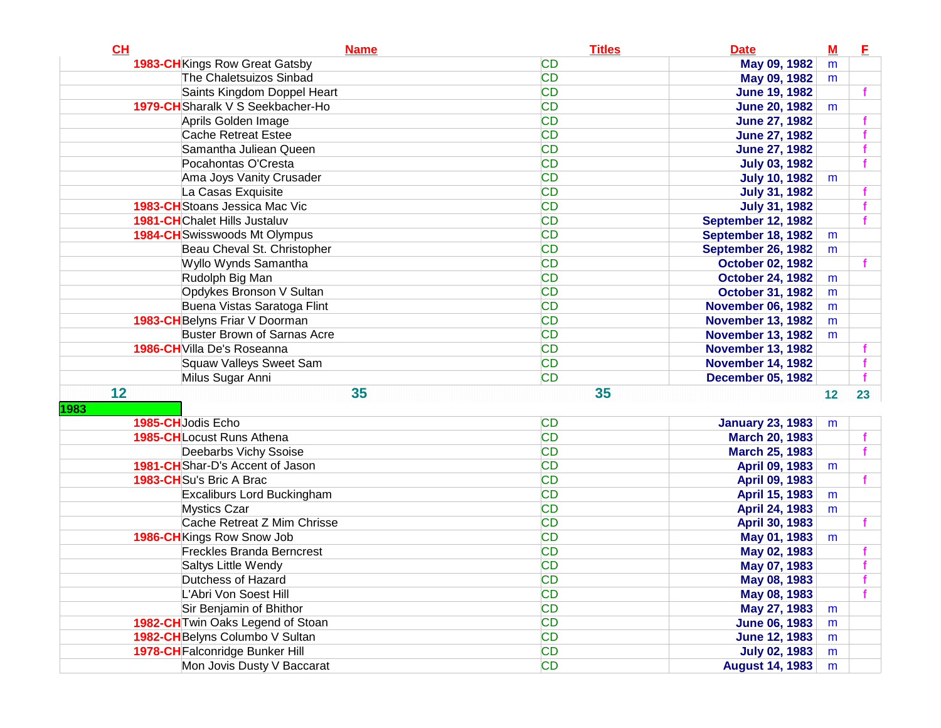| CH                                    | <b>Name</b> | <b>Titles</b> | <b>Date</b>              | $\underline{\mathbf{M}}$ | E  |
|---------------------------------------|-------------|---------------|--------------------------|--------------------------|----|
| <b>1983-CH</b> Kings Row Great Gatsby |             | <b>CD</b>     | May 09, 1982             | m                        |    |
| The Chaletsuizos Sinbad               |             | <b>CD</b>     | May 09, 1982             | m                        |    |
| Saints Kingdom Doppel Heart           |             | <b>CD</b>     | <b>June 19, 1982</b>     |                          |    |
| 1979-CH Sharalk V S Seekbacher-Ho     |             | <b>CD</b>     | <b>June 20, 1982</b>     | m                        |    |
| Aprils Golden Image                   |             | <b>CD</b>     | <b>June 27, 1982</b>     |                          |    |
| <b>Cache Retreat Estee</b>            |             | <b>CD</b>     | <b>June 27, 1982</b>     |                          |    |
| Samantha Juliean Queen                |             | <b>CD</b>     | <b>June 27, 1982</b>     |                          |    |
| Pocahontas O'Cresta                   |             | <b>CD</b>     | <b>July 03, 1982</b>     |                          |    |
| Ama Joys Vanity Crusader              |             | <b>CD</b>     | <b>July 10, 1982</b>     | m                        |    |
| La Casas Exquisite                    |             | <b>CD</b>     | <b>July 31, 1982</b>     |                          |    |
| 1983-CH Stoans Jessica Mac Vic        |             | <b>CD</b>     | <b>July 31, 1982</b>     |                          |    |
| <b>1981-CH</b> Chalet Hills Justaluv  |             | <b>CD</b>     | September 12, 1982       |                          |    |
| <b>1984-CH</b> Swisswoods Mt Olympus  |             | <b>CD</b>     | September 18, 1982       | m                        |    |
| Beau Cheval St. Christopher           |             | <b>CD</b>     | September 26, 1982       | m                        |    |
| Wyllo Wynds Samantha                  |             | <b>CD</b>     | <b>October 02, 1982</b>  |                          |    |
| Rudolph Big Man                       |             | <b>CD</b>     | <b>October 24, 1982</b>  | m                        |    |
| Opdykes Bronson V Sultan              |             | <b>CD</b>     | <b>October 31, 1982</b>  | m                        |    |
| Buena Vistas Saratoga Flint           |             | <b>CD</b>     | <b>November 06, 1982</b> | m                        |    |
| 1983-CH Belyns Friar V Doorman        |             | <b>CD</b>     | <b>November 13, 1982</b> | m                        |    |
| <b>Buster Brown of Sarnas Acre</b>    |             | <b>CD</b>     | <b>November 13, 1982</b> | m                        |    |
| 1986-CH Villa De's Roseanna           |             | <b>CD</b>     | <b>November 13, 1982</b> |                          |    |
| Squaw Valleys Sweet Sam               |             | <b>CD</b>     | <b>November 14, 1982</b> |                          |    |
| Milus Sugar Anni                      |             | <b>CD</b>     | <b>December 05, 1982</b> |                          |    |
| 12                                    | 35          | 35            |                          | 12                       | 23 |
| 1983                                  |             |               |                          |                          |    |
| 1985-CHJodis Echo                     |             | <b>CD</b>     | <b>January 23, 1983</b>  | m                        |    |
| <b>1985-CH</b> Locust Runs Athena     |             | <b>CD</b>     | <b>March 20, 1983</b>    |                          |    |
| Deebarbs Vichy Ssoise                 |             | <b>CD</b>     | <b>March 25, 1983</b>    |                          |    |
| 1981-CHShar-D's Accent of Jason       |             | <b>CD</b>     | April 09, 1983           | m                        |    |
| 1983-CHSu's Bric A Brac               |             | <b>CD</b>     | April 09, 1983           |                          |    |
| Excaliburs Lord Buckingham            |             | <b>CD</b>     | April 15, 1983           | m                        |    |
| <b>Mystics Czar</b>                   |             | <b>CD</b>     | April 24, 1983           | m                        |    |
| Cache Retreat Z Mim Chrisse           |             | <b>CD</b>     | April 30, 1983           |                          |    |
| <b>1986-CH</b> Kings Row Snow Job     |             | <b>CD</b>     | May 01, 1983             | m                        |    |
| <b>Freckles Branda Berncrest</b>      |             | <b>CD</b>     | May 02, 1983             |                          |    |
| Saltys Little Wendy                   |             | <b>CD</b>     | May 07, 1983             |                          |    |
| Dutchess of Hazard                    |             | <b>CD</b>     | May 08, 1983             |                          |    |
| L'Abri Von Soest Hill                 |             | <b>CD</b>     | May 08, 1983             |                          |    |
| Sir Benjamin of Bhithor               |             | <b>CD</b>     | May 27, 1983             | m                        |    |
| 1982-CH Twin Oaks Legend of Stoan     |             | <b>CD</b>     | <b>June 06, 1983</b>     | m                        |    |
| 1982-CH Belyns Columbo V Sultan       |             | <b>CD</b>     | <b>June 12, 1983</b>     | m                        |    |
| 1978-CH Falconridge Bunker Hill       |             | <b>CD</b>     | <b>July 02, 1983</b>     | m                        |    |
| Mon Jovis Dusty V Baccarat            |             | <b>CD</b>     | <b>August 14, 1983</b>   | m                        |    |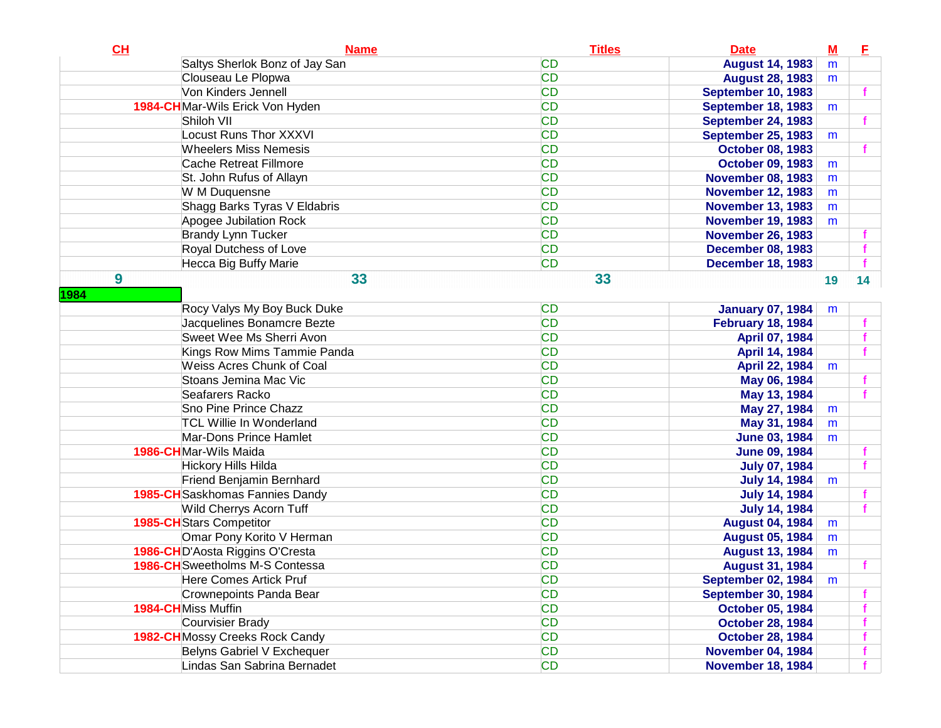| CL   | <b>Name</b>                            | <b>Titles</b> | <b>Date</b>               | $\underline{\mathbf{M}}$ | E               |
|------|----------------------------------------|---------------|---------------------------|--------------------------|-----------------|
|      | Saltys Sherlok Bonz of Jay San         | <b>CD</b>     | <b>August 14, 1983</b>    | m                        |                 |
|      | Clouseau Le Plopwa                     | <b>CD</b>     | <b>August 28, 1983</b>    | m                        |                 |
|      | Von Kinders Jennell                    | <b>CD</b>     | <b>September 10, 1983</b> |                          |                 |
|      | 1984-CHMar-Wils Erick Von Hyden        | <b>CD</b>     | <b>September 18, 1983</b> | m                        |                 |
|      | Shiloh VII                             | <b>CD</b>     | <b>September 24, 1983</b> |                          |                 |
|      | <b>Locust Runs Thor XXXVI</b>          | <b>CD</b>     | <b>September 25, 1983</b> | m                        |                 |
|      | <b>Wheelers Miss Nemesis</b>           | <b>CD</b>     | <b>October 08, 1983</b>   |                          |                 |
|      | <b>Cache Retreat Fillmore</b>          | <b>CD</b>     | <b>October 09, 1983</b>   | m                        |                 |
|      | St. John Rufus of Allayn               | <b>CD</b>     | <b>November 08, 1983</b>  | m                        |                 |
|      | W M Duquensne                          | <b>CD</b>     | <b>November 12, 1983</b>  | m                        |                 |
|      | Shagg Barks Tyras V Eldabris           | <b>CD</b>     | <b>November 13, 1983</b>  | m                        |                 |
|      | Apogee Jubilation Rock                 | <b>CD</b>     | <b>November 19, 1983</b>  | m                        |                 |
|      | <b>Brandy Lynn Tucker</b>              | <b>CD</b>     | <b>November 26, 1983</b>  |                          |                 |
|      | Royal Dutchess of Love                 | <b>CD</b>     | <b>December 08, 1983</b>  |                          |                 |
|      | Hecca Big Buffy Marie                  | <b>CD</b>     | <b>December 18, 1983</b>  |                          |                 |
| 9    | 33                                     | 33            |                           | 19                       | 14 <sup>°</sup> |
| 1984 |                                        |               |                           |                          |                 |
|      | Rocy Valys My Boy Buck Duke            | <b>CD</b>     | <b>January 07, 1984</b>   | m                        |                 |
|      | Jacquelines Bonamcre Bezte             | <b>CD</b>     | <b>February 18, 1984</b>  |                          |                 |
|      | Sweet Wee Ms Sherri Avon               | <b>CD</b>     | April 07, 1984            |                          |                 |
|      | Kings Row Mims Tammie Panda            | <b>CD</b>     | April 14, 1984            |                          |                 |
|      | <b>Weiss Acres Chunk of Coal</b>       | <b>CD</b>     | April 22, 1984            | m                        |                 |
|      | Stoans Jemina Mac Vic                  | <b>CD</b>     | May 06, 1984              |                          |                 |
|      | Seafarers Racko                        | <b>CD</b>     | May 13, 1984              |                          |                 |
|      | Sno Pine Prince Chazz                  | <b>CD</b>     | May 27, 1984              | m                        |                 |
|      | <b>TCL Willie In Wonderland</b>        | <b>CD</b>     | May 31, 1984              | m                        |                 |
|      | Mar-Dons Prince Hamlet                 | <b>CD</b>     | <b>June 03, 1984</b>      | m                        |                 |
|      | 1986-CHMar-Wils Maida                  | <b>CD</b>     | <b>June 09, 1984</b>      |                          |                 |
|      | Hickory Hills Hilda                    | <b>CD</b>     | <b>July 07, 1984</b>      |                          |                 |
|      | Friend Benjamin Bernhard               | <b>CD</b>     | <b>July 14, 1984</b>      | m                        |                 |
|      | 1985-CH Saskhomas Fannies Dandy        | <b>CD</b>     | <b>July 14, 1984</b>      |                          |                 |
|      | Wild Cherrys Acorn Tuff                | <b>CD</b>     | <b>July 14, 1984</b>      |                          |                 |
|      | <b>1985-CH</b> Stars Competitor        | <b>CD</b>     | <b>August 04, 1984</b>    | m                        |                 |
|      | Omar Pony Korito V Herman              | <b>CD</b>     | <b>August 05, 1984</b>    | m                        |                 |
|      | 1986-CHD'Aosta Riggins O'Cresta        | <b>CD</b>     | <b>August 13, 1984</b>    | m                        |                 |
|      | 1986-CH Sweetholms M-S Contessa        | <b>CD</b>     | <b>August 31, 1984</b>    |                          |                 |
|      | Here Comes Artick Pruf                 | <b>CD</b>     | <b>September 02, 1984</b> | m                        |                 |
|      | Crownepoints Panda Bear                | <b>CD</b>     | September 30, 1984        |                          |                 |
|      | 1984-CHMiss Muffin                     | <b>CD</b>     | <b>October 05, 1984</b>   |                          |                 |
|      | Courvisier Brady                       | <b>CD</b>     | <b>October 28, 1984</b>   |                          |                 |
|      | <b>1982-CH</b> Mossy Creeks Rock Candy | <b>CD</b>     | <b>October 28, 1984</b>   |                          |                 |
|      | Belyns Gabriel V Exchequer             | CD            | <b>November 04, 1984</b>  |                          |                 |
|      | Lindas San Sabrina Bernadet            | <b>CD</b>     | <b>November 18, 1984</b>  |                          |                 |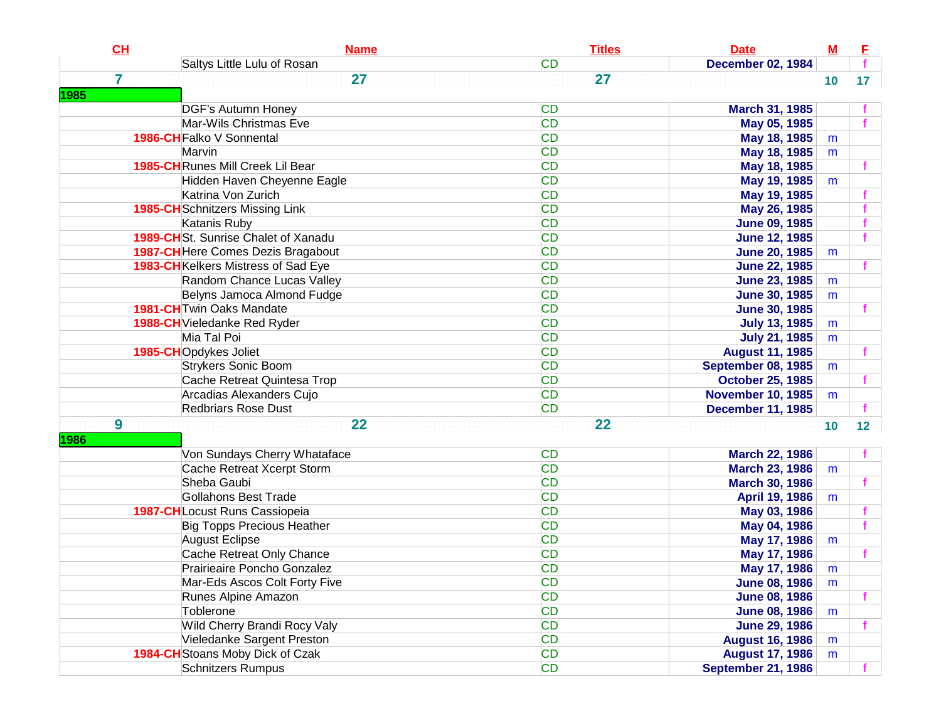| CL             | <b>Name</b>                            | <b>Titles</b> | <b>Date</b>               | $\underline{\mathbf{M}}$ | E               |
|----------------|----------------------------------------|---------------|---------------------------|--------------------------|-----------------|
|                | Saltys Little Lulu of Rosan            | <b>CD</b>     | <b>December 02, 1984</b>  |                          |                 |
| $\overline{7}$ | 27                                     | 27            |                           | 10                       | 17 <sup>2</sup> |
| 1985           |                                        |               |                           |                          |                 |
|                | <b>DGF's Autumn Honey</b>              | <b>CD</b>     | March 31, 1985            |                          |                 |
|                | Mar-Wils Christmas Eve                 | <b>CD</b>     | May 05, 1985              |                          |                 |
|                | 1986-CH Falko V Sonnental              | <b>CD</b>     | May 18, 1985              | m                        |                 |
|                | Marvin                                 | <b>CD</b>     | May 18, 1985              | m                        |                 |
|                | 1985-CH Runes Mill Creek Lil Bear      | <b>CD</b>     | May 18, 1985              |                          |                 |
|                | Hidden Haven Cheyenne Eagle            | <b>CD</b>     | May 19, 1985              | m                        |                 |
|                | Katrina Von Zurich                     | <b>CD</b>     | May 19, 1985              |                          |                 |
|                | <b>1985-CH</b> Schnitzers Missing Link | <b>CD</b>     | May 26, 1985              |                          |                 |
|                | Katanis Ruby                           | <b>CD</b>     | <b>June 09, 1985</b>      |                          |                 |
|                | 1989-CHSt. Sunrise Chalet of Xanadu    | <b>CD</b>     | <b>June 12, 1985</b>      |                          |                 |
|                | 1987-CH Here Comes Dezis Bragabout     | <b>CD</b>     | <b>June 20, 1985</b>      | m                        |                 |
|                | 1983-CH Kelkers Mistress of Sad Eye    | <b>CD</b>     | <b>June 22, 1985</b>      |                          |                 |
|                | Random Chance Lucas Valley             | <b>CD</b>     | <b>June 23, 1985</b>      | m                        |                 |
|                | Belyns Jamoca Almond Fudge             | <b>CD</b>     | <b>June 30, 1985</b>      | m                        |                 |
|                | <b>1981-CH</b> Twin Oaks Mandate       | <b>CD</b>     | <b>June 30, 1985</b>      |                          |                 |
|                | 1988-CH Vieledanke Red Ryder           | <b>CD</b>     | <b>July 13, 1985</b>      | m                        |                 |
|                | Mia Tal Poi                            | <b>CD</b>     | <b>July 21, 1985</b>      | m                        |                 |
|                | 1985-CHOpdykes Joliet                  | <b>CD</b>     | <b>August 11, 1985</b>    |                          |                 |
|                | <b>Strykers Sonic Boom</b>             | <b>CD</b>     | <b>September 08, 1985</b> | m                        |                 |
|                | Cache Retreat Quintesa Trop            | <b>CD</b>     | <b>October 25, 1985</b>   |                          |                 |
|                | Arcadias Alexanders Cujo               | <b>CD</b>     | <b>November 10, 1985</b>  | m                        |                 |
|                | <b>Redbriars Rose Dust</b>             | <b>CD</b>     | <b>December 11, 1985</b>  |                          |                 |
| 9              | 22                                     | 22            |                           | 10                       | 12              |
| 1986           |                                        |               |                           |                          |                 |
|                | Von Sundays Cherry Whataface           | <b>CD</b>     | <b>March 22, 1986</b>     |                          |                 |
|                | Cache Retreat Xcerpt Storm             | <b>CD</b>     | <b>March 23, 1986</b>     | m                        |                 |
|                | Sheba Gaubi                            | <b>CD</b>     | <b>March 30, 1986</b>     |                          |                 |
|                | <b>Gollahons Best Trade</b>            | <b>CD</b>     | April 19, 1986            | m                        |                 |
|                | 1987-CHLocust Runs Cassiopeia          | <b>CD</b>     | May 03, 1986              |                          |                 |
|                | <b>Big Topps Precious Heather</b>      | <b>CD</b>     | May 04, 1986              |                          |                 |
|                | August Eclipse                         | <b>CD</b>     | May 17, 1986              | m                        |                 |
|                | Cache Retreat Only Chance              | <b>CD</b>     | May 17, 1986              |                          |                 |
|                | Prairieaire Poncho Gonzalez            | <b>CD</b>     | May 17, 1986              | m                        |                 |
|                | Mar-Eds Ascos Colt Forty Five          | <b>CD</b>     | <b>June 08, 1986</b>      | m                        |                 |
|                | Runes Alpine Amazon                    | <b>CD</b>     | <b>June 08, 1986</b>      |                          |                 |
|                | Toblerone                              | <b>CD</b>     | <b>June 08, 1986</b>      | m                        |                 |
|                | Wild Cherry Brandi Rocy Valy           | <b>CD</b>     | <b>June 29, 1986</b>      |                          |                 |
|                | Vieledanke Sargent Preston             | <b>CD</b>     | <b>August 16, 1986</b>    | m                        |                 |
|                | 1984-CH Stoans Moby Dick of Czak       | CD            | <b>August 17, 1986</b>    | m                        |                 |
|                | <b>Schnitzers Rumpus</b>               | <b>CD</b>     | <b>September 21, 1986</b> |                          |                 |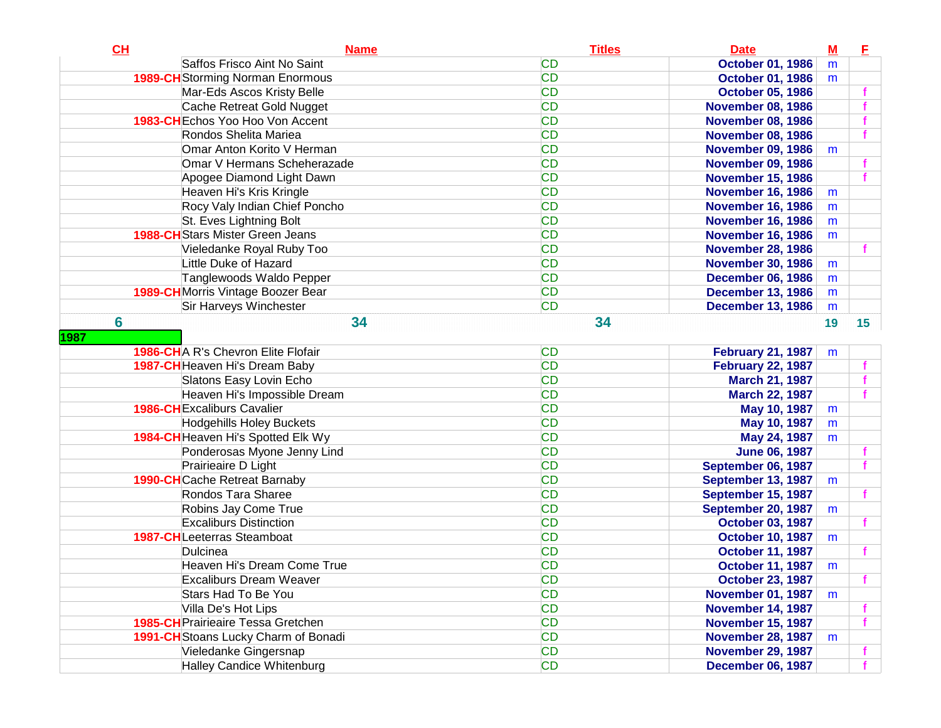| CH              | <b>Name</b>                               | <b>Titles</b> | <b>Date</b>              | $M$ | E               |
|-----------------|-------------------------------------------|---------------|--------------------------|-----|-----------------|
|                 | Saffos Frisco Aint No Saint               | <b>CD</b>     | <b>October 01, 1986</b>  | m   |                 |
|                 | <b>1989-CH</b> Storming Norman Enormous   | <b>CD</b>     | <b>October 01, 1986</b>  | m   |                 |
|                 | Mar-Eds Ascos Kristy Belle                | <b>CD</b>     | <b>October 05, 1986</b>  |     |                 |
|                 | Cache Retreat Gold Nugget                 | <b>CD</b>     | <b>November 08, 1986</b> |     |                 |
|                 | 1983-CH Echos Yoo Hoo Von Accent          | <b>CD</b>     | <b>November 08, 1986</b> |     |                 |
|                 | Rondos Shelita Mariea                     | <b>CD</b>     | <b>November 08, 1986</b> |     |                 |
|                 | Omar Anton Korito V Herman                | <b>CD</b>     | <b>November 09, 1986</b> | m   |                 |
|                 | Omar V Hermans Scheherazade               | <b>CD</b>     | <b>November 09, 1986</b> |     |                 |
|                 | Apogee Diamond Light Dawn                 | <b>CD</b>     | <b>November 15, 1986</b> |     |                 |
|                 | Heaven Hi's Kris Kringle                  | <b>CD</b>     | <b>November 16, 1986</b> | m   |                 |
|                 | Rocy Valy Indian Chief Poncho             | <b>CD</b>     | <b>November 16, 1986</b> | m   |                 |
|                 | St. Eves Lightning Bolt                   | <b>CD</b>     | <b>November 16, 1986</b> | m   |                 |
|                 | <b>1988-CH</b> Stars Mister Green Jeans   | <b>CD</b>     | <b>November 16, 1986</b> | m   |                 |
|                 | Vieledanke Royal Ruby Too                 | <b>CD</b>     | <b>November 28, 1986</b> |     |                 |
|                 | Little Duke of Hazard                     | <b>CD</b>     | <b>November 30, 1986</b> | m   |                 |
|                 | Tanglewoods Waldo Pepper                  | <b>CD</b>     | <b>December 06, 1986</b> | m   |                 |
|                 | 1989-CH Morris Vintage Boozer Bear        | <b>CD</b>     | <b>December 13, 1986</b> | m   |                 |
|                 | Sir Harveys Winchester                    | <b>CD</b>     | <b>December 13, 1986</b> | m   |                 |
| $6\phantom{1}6$ | 34                                        | 34            |                          | 19  | 15 <sup>7</sup> |
| 1987            |                                           |               |                          |     |                 |
|                 | <b>1986-CHA R's Chevron Elite Flofair</b> | <b>CD</b>     | <b>February 21, 1987</b> | m   |                 |
|                 | 1987-CH Heaven Hi's Dream Baby            | <b>CD</b>     | <b>February 22, 1987</b> |     |                 |
|                 | Slatons Easy Lovin Echo                   | <b>CD</b>     | <b>March 21, 1987</b>    |     |                 |
|                 | Heaven Hi's Impossible Dream              | <b>CD</b>     | <b>March 22, 1987</b>    |     |                 |
|                 | <b>1986-CH</b> Excaliburs Cavalier        | <b>CD</b>     | May 10, 1987             | m   |                 |
|                 | <b>Hodgehills Holey Buckets</b>           | <b>CD</b>     | May 10, 1987             | m   |                 |
|                 | 1984-CH Heaven Hi's Spotted Elk Wy        | <b>CD</b>     | May 24, 1987             | m   |                 |
|                 | Ponderosas Myone Jenny Lind               | <b>CD</b>     | <b>June 06, 1987</b>     |     |                 |
|                 | Prairieaire D Light                       | <b>CD</b>     | September 06, 1987       |     |                 |
|                 | <b>1990-CH</b> Cache Retreat Barnaby      | <b>CD</b>     | September 13, 1987       | m   |                 |
|                 | Rondos Tara Sharee                        | <b>CD</b>     | September 15, 1987       |     |                 |
|                 | Robins Jay Come True                      | <b>CD</b>     | September 20, 1987       | m   |                 |
|                 | <b>Excaliburs Distinction</b>             | <b>CD</b>     | <b>October 03, 1987</b>  |     |                 |
|                 | 1987-CHLeeterras Steamboat                | <b>CD</b>     | <b>October 10, 1987</b>  | m   |                 |
|                 | Dulcinea                                  | <b>CD</b>     | <b>October 11, 1987</b>  |     |                 |
|                 | Heaven Hi's Dream Come True               | <b>CD</b>     | <b>October 11, 1987</b>  | m   |                 |
|                 | <b>Excaliburs Dream Weaver</b>            | <b>CD</b>     | <b>October 23, 1987</b>  |     |                 |
|                 | Stars Had To Be You                       | <b>CD</b>     | <b>November 01, 1987</b> | m   |                 |
|                 | Villa De's Hot Lips                       | <b>CD</b>     | <b>November 14, 1987</b> |     |                 |
|                 | <b>1985-CH</b> Prairieaire Tessa Gretchen | <b>CD</b>     | <b>November 15, 1987</b> |     |                 |
|                 | 1991-CH Stoans Lucky Charm of Bonadi      | <b>CD</b>     | <b>November 28, 1987</b> | m   |                 |
|                 | Vieledanke Gingersnap                     | <b>CD</b>     | <b>November 29, 1987</b> |     |                 |
|                 | Halley Candice Whitenburg                 | <b>CD</b>     | <b>December 06, 1987</b> |     |                 |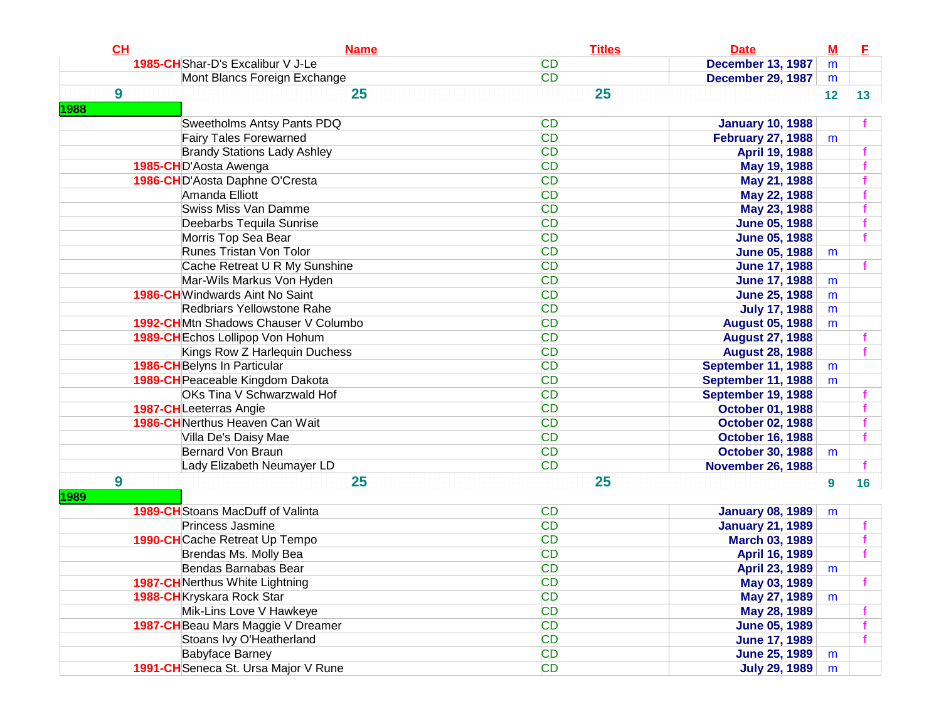| CL        | <b>Name</b>                              | <b>Titles</b> | <b>Date</b>              | $M$ | E               |
|-----------|------------------------------------------|---------------|--------------------------|-----|-----------------|
|           | 1985-CHShar-D's Excalibur V J-Le         | <b>CD</b>     | <b>December 13, 1987</b> | m   |                 |
|           | Mont Blancs Foreign Exchange             | <b>CD</b>     | <b>December 29, 1987</b> | m   |                 |
| 9<br>1988 | 25                                       | 25            |                          | 12  | 13 <sup>7</sup> |
|           | <b>Sweetholms Antsy Pants PDQ</b>        | <b>CD</b>     | <b>January 10, 1988</b>  |     |                 |
|           | <b>Fairy Tales Forewarned</b>            | <b>CD</b>     | <b>February 27, 1988</b> | m   |                 |
|           | <b>Brandy Stations Lady Ashley</b>       | <b>CD</b>     | April 19, 1988           |     |                 |
|           | 1985-CHD'Aosta Awenga                    | <b>CD</b>     | May 19, 1988             |     |                 |
|           | 1986-CHD'Aosta Daphne O'Cresta           | <b>CD</b>     | May 21, 1988             |     |                 |
|           | Amanda Elliott                           | <b>CD</b>     | May 22, 1988             |     |                 |
|           | <b>Swiss Miss Van Damme</b>              | <b>CD</b>     | May 23, 1988             |     |                 |
|           | Deebarbs Tequila Sunrise                 | <b>CD</b>     | <b>June 05, 1988</b>     |     |                 |
|           | Morris Top Sea Bear                      | <b>CD</b>     | <b>June 05, 1988</b>     |     |                 |
|           | <b>Runes Tristan Von Tolor</b>           | <b>CD</b>     | <b>June 05, 1988</b>     | m   |                 |
|           | Cache Retreat U R My Sunshine            | <b>CD</b>     | <b>June 17, 1988</b>     |     |                 |
|           | Mar-Wils Markus Von Hyden                | <b>CD</b>     | <b>June 17, 1988</b>     | m   |                 |
|           | <b>1986-CH</b> Windwards Aint No Saint   | <b>CD</b>     | <b>June 25, 1988</b>     | m   |                 |
|           | Redbriars Yellowstone Rahe               | <b>CD</b>     | <b>July 17, 1988</b>     | m   |                 |
|           | 1992-CHMtn Shadows Chauser V Columbo     | <b>CD</b>     | <b>August 05, 1988</b>   | m   |                 |
|           | <b>1989-CH</b> Echos Lollipop Von Hohum  | <b>CD</b>     | <b>August 27, 1988</b>   |     |                 |
|           | Kings Row Z Harlequin Duchess            | <b>CD</b>     | <b>August 28, 1988</b>   |     |                 |
|           | 1986-CH Belyns In Particular             | <b>CD</b>     | September 11, 1988       | m   |                 |
|           | 1989-CH Peaceable Kingdom Dakota         | <b>CD</b>     | September 11, 1988       | m   |                 |
|           | <b>OKs Tina V Schwarzwald Hof</b>        | <b>CD</b>     | September 19, 1988       |     |                 |
|           | 1987-CHLeeterras Angie                   | <b>CD</b>     | <b>October 01, 1988</b>  |     |                 |
|           | <b>1986-CH</b> Nerthus Heaven Can Wait   | <b>CD</b>     | <b>October 02, 1988</b>  |     |                 |
|           | Villa De's Daisy Mae                     | <b>CD</b>     | <b>October 16, 1988</b>  |     |                 |
|           | <b>Bernard Von Braun</b>                 | <b>CD</b>     | <b>October 30, 1988</b>  | m   |                 |
|           | Lady Elizabeth Neumayer LD               | <b>CD</b>     | <b>November 26, 1988</b> |     |                 |
| 9<br>1989 | 25                                       | 25            |                          | 9   | 16              |
|           | <b>1989-CH</b> Stoans MacDuff of Valinta | <b>CD</b>     | <b>January 08, 1989</b>  | m   |                 |
|           | Princess Jasmine                         | <b>CD</b>     | <b>January 21, 1989</b>  |     |                 |
|           | 1990-CHCache Retreat Up Tempo            | <b>CD</b>     | <b>March 03, 1989</b>    |     |                 |
|           | Brendas Ms. Molly Bea                    | <b>CD</b>     | April 16, 1989           |     |                 |
|           | Bendas Barnabas Bear                     | <b>CD</b>     | April 23, 1989           | m   |                 |
|           | <b>1987-CH</b> Nerthus White Lightning   | <b>CD</b>     | May 03, 1989             |     |                 |
|           | 1988-CH Kryskara Rock Star               | CD            | May 27, 1989             | m   |                 |
|           | Mik-Lins Love V Hawkeye                  | CD            | May 28, 1989             |     |                 |
|           | 1987-CH Beau Mars Maggie V Dreamer       | CD            | <b>June 05, 1989</b>     |     |                 |
|           | Stoans Ivy O'Heatherland                 | CD            | <b>June 17, 1989</b>     |     |                 |
|           | <b>Babyface Barney</b>                   | CD            | <b>June 25, 1989</b>     | m   |                 |
|           | 1991-CH Seneca St. Ursa Major V Rune     | <b>CD</b>     | <b>July 29, 1989</b>     | m   |                 |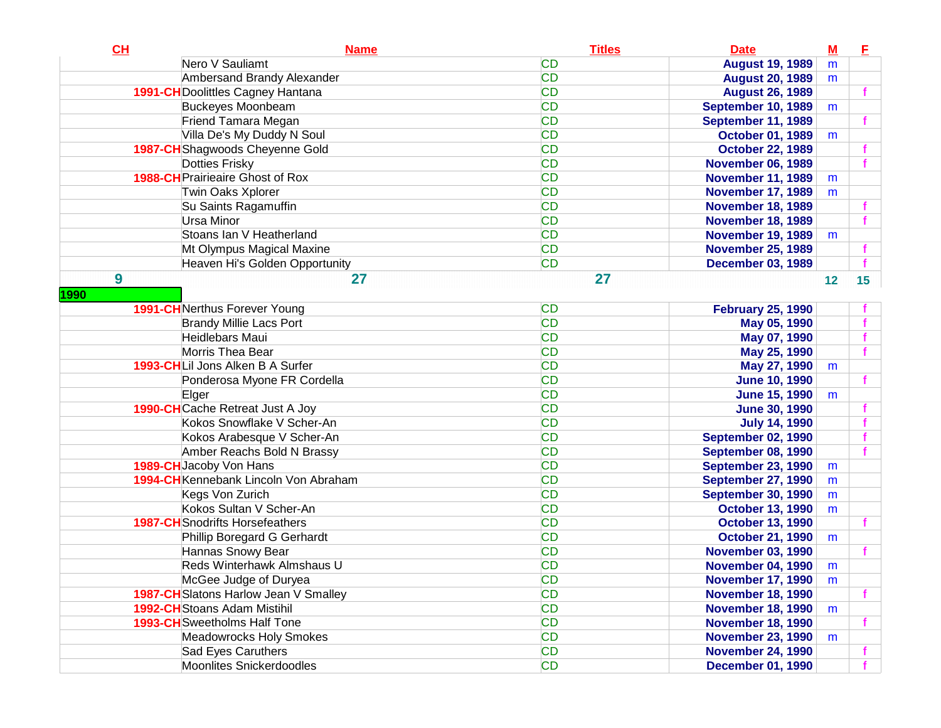| CH                                      | <b>Name</b> | <b>Titles</b> | <b>Date</b>               | ${\bf M}$ | E  |
|-----------------------------------------|-------------|---------------|---------------------------|-----------|----|
| Nero V Sauliamt                         |             | <b>CD</b>     | <b>August 19, 1989</b>    | m         |    |
| Ambersand Brandy Alexander              |             | <b>CD</b>     | <b>August 20, 1989</b>    | m         |    |
| 1991-CH Doolittles Cagney Hantana       |             | <b>CD</b>     | <b>August 26, 1989</b>    |           |    |
| <b>Buckeyes Moonbeam</b>                |             | <b>CD</b>     | <b>September 10, 1989</b> | m         |    |
| Friend Tamara Megan                     |             | <b>CD</b>     | September 11, 1989        |           |    |
| Villa De's My Duddy N Soul              |             | <b>CD</b>     | <b>October 01, 1989</b>   | m         |    |
| 1987-CH Shagwoods Cheyenne Gold         |             | <b>CD</b>     | <b>October 22, 1989</b>   |           |    |
| <b>Dotties Frisky</b>                   |             | <b>CD</b>     | <b>November 06, 1989</b>  |           |    |
| <b>1988-CH</b> Prairieaire Ghost of Rox |             | <b>CD</b>     | <b>November 11, 1989</b>  | m         |    |
| Twin Oaks Xplorer                       |             | <b>CD</b>     | <b>November 17, 1989</b>  | m         |    |
| Su Saints Ragamuffin                    |             | <b>CD</b>     | <b>November 18, 1989</b>  |           |    |
| Ursa Minor                              |             | <b>CD</b>     | <b>November 18, 1989</b>  |           |    |
| Stoans Ian V Heatherland                |             | <b>CD</b>     | <b>November 19, 1989</b>  | m         |    |
| Mt Olympus Magical Maxine               |             | <b>CD</b>     | <b>November 25, 1989</b>  |           |    |
| Heaven Hi's Golden Opportunity          |             | <b>CD</b>     | <b>December 03, 1989</b>  |           |    |
| 9                                       | 27          | 27            |                           | 12        | 15 |
| 1990                                    |             |               |                           |           |    |
| <b>1991-CH</b> Nerthus Forever Young    |             | <b>CD</b>     | <b>February 25, 1990</b>  |           |    |
| <b>Brandy Millie Lacs Port</b>          |             | <b>CD</b>     | May 05, 1990              |           |    |
| Heidlebars Maui                         |             | <b>CD</b>     | May 07, 1990              |           |    |
| Morris Thea Bear                        |             | <b>CD</b>     | May 25, 1990              |           |    |
| 1993-CHLil Jons Alken B A Surfer        |             | <b>CD</b>     | May 27, 1990              | m         |    |
| Ponderosa Myone FR Cordella             |             | <b>CD</b>     | <b>June 10, 1990</b>      |           |    |
| Elger                                   |             | <b>CD</b>     | <b>June 15, 1990</b>      | m         |    |
| <b>1990-CH</b> Cache Retreat Just A Joy |             | <b>CD</b>     | <b>June 30, 1990</b>      |           |    |
| Kokos Snowflake V Scher-An              |             | <b>CD</b>     | <b>July 14, 1990</b>      |           |    |
| Kokos Arabesque V Scher-An              |             | <b>CD</b>     | <b>September 02, 1990</b> |           |    |
| Amber Reachs Bold N Brassy              |             | <b>CD</b>     | September 08, 1990        |           |    |
| 1989-CH Jacoby Von Hans                 |             | <b>CD</b>     | <b>September 23, 1990</b> | m         |    |
| 1994-CH Kennebank Lincoln Von Abraham   |             | <b>CD</b>     | <b>September 27, 1990</b> | m         |    |
| Kegs Von Zurich                         |             | <b>CD</b>     | <b>September 30, 1990</b> | m         |    |
| Kokos Sultan V Scher-An                 |             | <b>CD</b>     | <b>October 13, 1990</b>   | m         |    |
| <b>1987-CH</b> Snodrifts Horsefeathers  |             | <b>CD</b>     | <b>October 13, 1990</b>   |           |    |
| Phillip Boregard G Gerhardt             |             | <b>CD</b>     | <b>October 21, 1990</b>   | m         |    |
| Hannas Snowy Bear                       |             | <b>CD</b>     | <b>November 03, 1990</b>  |           |    |
| Reds Winterhawk Almshaus U              |             | <b>CD</b>     | <b>November 04, 1990</b>  | m         |    |
| McGee Judge of Duryea                   |             | <b>CD</b>     | <b>November 17, 1990</b>  | m         |    |
| 1987-CH Slatons Harlow Jean V Smalley   |             | <b>CD</b>     | <b>November 18, 1990</b>  |           |    |
| <b>1992-CH</b> Stoans Adam Mistihil     |             | <b>CD</b>     | <b>November 18, 1990</b>  | m         |    |
| <b>1993-CH</b> Sweetholms Half Tone     |             | <b>CD</b>     | <b>November 18, 1990</b>  |           |    |
| <b>Meadowrocks Holy Smokes</b>          |             | <b>CD</b>     | <b>November 23, 1990</b>  | m         |    |
| Sad Eyes Caruthers                      |             | <b>CD</b>     | <b>November 24, 1990</b>  |           |    |
| Moonlites Snickerdoodles                |             | <b>CD</b>     | <b>December 01, 1990</b>  |           |    |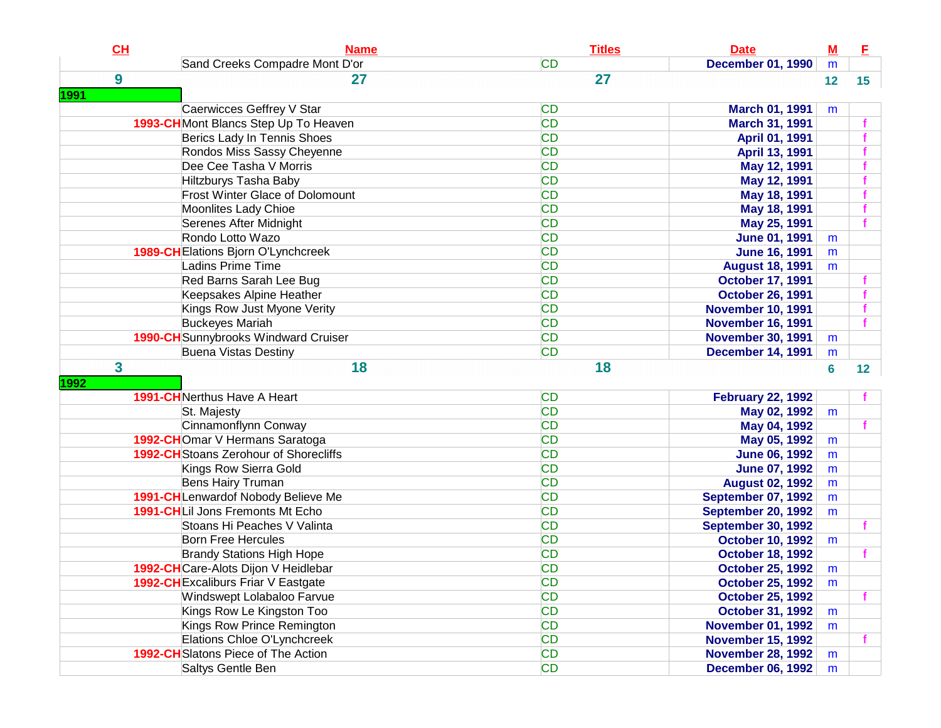| CH               | <b>Name</b>                                   | <b>Titles</b> | <b>Date</b>               | ${\bf M}$       | Е               |
|------------------|-----------------------------------------------|---------------|---------------------------|-----------------|-----------------|
|                  | Sand Creeks Compadre Mont D'or                | <b>CD</b>     | <b>December 01, 1990</b>  | m               |                 |
| $\boldsymbol{9}$ | 27                                            | 27            |                           | 12              | 15 <sub>1</sub> |
| <b>1991</b>      |                                               |               |                           |                 |                 |
|                  | Caerwicces Geffrey V Star                     | <b>CD</b>     | <b>March 01, 1991</b>     | m               |                 |
|                  | 1993-CH Mont Blancs Step Up To Heaven         | <b>CD</b>     | <b>March 31, 1991</b>     |                 |                 |
|                  | Berics Lady In Tennis Shoes                   | <b>CD</b>     | April 01, 1991            |                 |                 |
|                  | Rondos Miss Sassy Cheyenne                    | <b>CD</b>     | April 13, 1991            |                 |                 |
|                  | Dee Cee Tasha V Morris                        | <b>CD</b>     | May 12, 1991              |                 |                 |
|                  | Hiltzburys Tasha Baby                         | <b>CD</b>     | May 12, 1991              |                 |                 |
|                  | <b>Frost Winter Glace of Dolomount</b>        | <b>CD</b>     | May 18, 1991              |                 |                 |
|                  | Moonlites Lady Chioe                          | <b>CD</b>     | May 18, 1991              |                 |                 |
|                  | Serenes After Midnight                        | <b>CD</b>     | May 25, 1991              |                 |                 |
|                  | Rondo Lotto Wazo                              | <b>CD</b>     | <b>June 01, 1991</b>      | m               |                 |
|                  | 1989-CH Elations Bjorn O'Lynchcreek           | <b>CD</b>     | <b>June 16, 1991</b>      | m               |                 |
|                  | Ladins Prime Time                             | <b>CD</b>     | <b>August 18, 1991</b>    | m               |                 |
|                  | Red Barns Sarah Lee Bug                       | <b>CD</b>     | <b>October 17, 1991</b>   |                 |                 |
|                  | Keepsakes Alpine Heather                      | <b>CD</b>     | <b>October 26, 1991</b>   |                 |                 |
|                  | Kings Row Just Myone Verity                   | <b>CD</b>     | <b>November 10, 1991</b>  |                 |                 |
|                  | <b>Buckeyes Mariah</b>                        | <b>CD</b>     | <b>November 16, 1991</b>  |                 |                 |
|                  | 1990-CH Sunnybrooks Windward Cruiser          | <b>CD</b>     | <b>November 30, 1991</b>  | m               |                 |
|                  | <b>Buena Vistas Destiny</b>                   | <b>CD</b>     | <b>December 14, 1991</b>  | m               |                 |
| 3                | 18                                            | 18            |                           | $6\phantom{1}6$ | 12 <sub>2</sub> |
| 1992             |                                               |               |                           |                 |                 |
|                  | <b>1991-CH</b> Nerthus Have A Heart           | <b>CD</b>     | <b>February 22, 1992</b>  |                 |                 |
|                  | St. Majesty                                   | <b>CD</b>     | May 02, 1992              | m               |                 |
|                  | Cinnamonflynn Conway                          | <b>CD</b>     | May 04, 1992              |                 |                 |
|                  | 1992-CHOmar V Hermans Saratoga                | <b>CD</b>     | May 05, 1992              | m               |                 |
|                  | <b>1992-CH</b> Stoans Zerohour of Shorecliffs | <b>CD</b>     | <b>June 06, 1992</b>      | m               |                 |
|                  | Kings Row Sierra Gold                         | <b>CD</b>     | <b>June 07, 1992</b>      | m               |                 |
|                  | <b>Bens Hairy Truman</b>                      | <b>CD</b>     | <b>August 02, 1992</b>    | m               |                 |
|                  | 1991-CH Lenwardof Nobody Believe Me           | <b>CD</b>     | <b>September 07, 1992</b> | m               |                 |
|                  | 1991-CHLil Jons Fremonts Mt Echo              | <b>CD</b>     | <b>September 20, 1992</b> | m               |                 |
|                  | Stoans Hi Peaches V Valinta                   | <b>CD</b>     | <b>September 30, 1992</b> |                 |                 |
|                  | <b>Born Free Hercules</b>                     | <b>CD</b>     | <b>October 10, 1992</b>   | m               |                 |
|                  | <b>Brandy Stations High Hope</b>              | <b>CD</b>     | <b>October 18, 1992</b>   |                 |                 |
|                  | 1992-CHCare-Alots Dijon V Heidlebar           | <b>CD</b>     | <b>October 25, 1992</b>   | m               |                 |
|                  | 1992-CH Excaliburs Friar V Eastgate           | <b>CD</b>     | <b>October 25, 1992</b>   | m               |                 |
|                  | Windswept Lolabaloo Farvue                    | <b>CD</b>     | <b>October 25, 1992</b>   |                 | f               |
|                  | Kings Row Le Kingston Too                     | <b>CD</b>     | <b>October 31, 1992</b>   | m               |                 |
|                  | Kings Row Prince Remington                    | <b>CD</b>     | <b>November 01, 1992</b>  | m               |                 |
|                  | Elations Chloe O'Lynchcreek                   | <b>CD</b>     | <b>November 15, 1992</b>  |                 |                 |
|                  | 1992-CH Slatons Piece of The Action           | <b>CD</b>     | <b>November 28, 1992</b>  | m               |                 |
|                  | Saltys Gentle Ben                             | <b>CD</b>     | <b>December 06, 1992</b>  | m               |                 |
|                  |                                               |               |                           |                 |                 |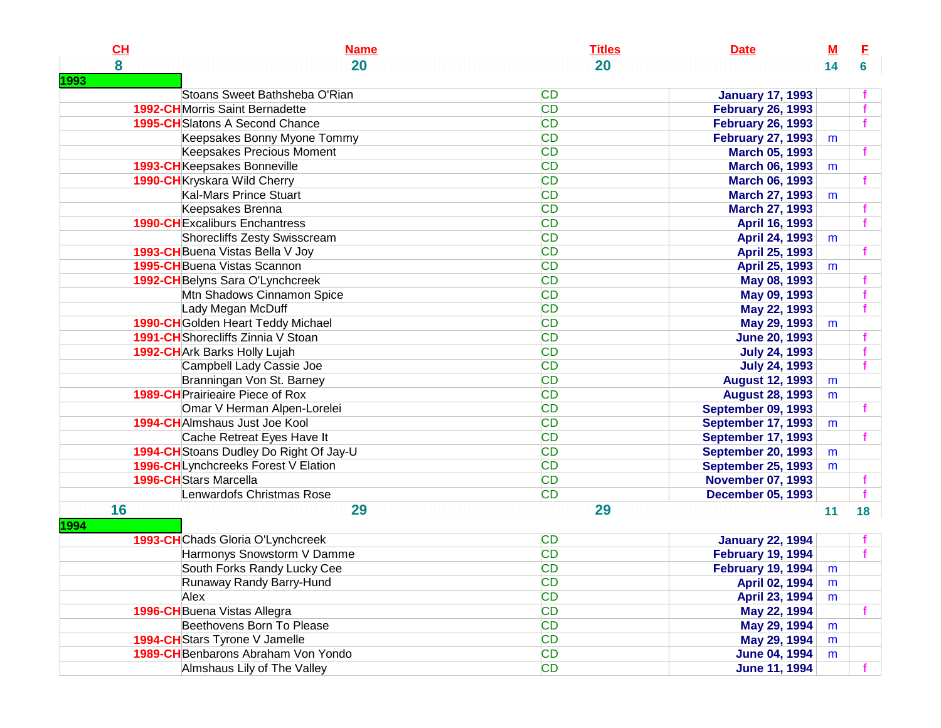| CL   | <b>Name</b>                             | <b>Titles</b> | <b>Date</b>               | M  | E  |
|------|-----------------------------------------|---------------|---------------------------|----|----|
| 8    | 20                                      | 20            |                           | 14 | 6  |
| 1993 |                                         |               |                           |    |    |
|      | Stoans Sweet Bathsheba O'Rian           | <b>CD</b>     | <b>January 17, 1993</b>   |    |    |
|      | <b>1992-CH</b> Morris Saint Bernadette  | <b>CD</b>     | <b>February 26, 1993</b>  |    |    |
|      | 1995-CH Slatons A Second Chance         | <b>CD</b>     | <b>February 26, 1993</b>  |    |    |
|      | Keepsakes Bonny Myone Tommy             | <b>CD</b>     | <b>February 27, 1993</b>  | m  |    |
|      | Keepsakes Precious Moment               | <b>CD</b>     | <b>March 05, 1993</b>     |    |    |
|      | 1993-CH Keepsakes Bonneville            | <b>CD</b>     | <b>March 06, 1993</b>     | m  |    |
|      | 1990-CH Kryskara Wild Cherry            | <b>CD</b>     | <b>March 06, 1993</b>     |    |    |
|      | Kal-Mars Prince Stuart                  | <b>CD</b>     | <b>March 27, 1993</b>     | m  |    |
|      | Keepsakes Brenna                        | <b>CD</b>     | <b>March 27, 1993</b>     |    |    |
|      | <b>1990-CHExcaliburs Enchantress</b>    | <b>CD</b>     | April 16, 1993            |    |    |
|      | Shorecliffs Zesty Swisscream            | <b>CD</b>     | <b>April 24, 1993</b>     | m  |    |
|      | 1993-CH Buena Vistas Bella V Joy        | <b>CD</b>     | April 25, 1993            |    |    |
|      | 1995-CHBuena Vistas Scannon             | <b>CD</b>     | <b>April 25, 1993</b>     | m  |    |
|      | 1992-CH Belyns Sara O'Lynchcreek        | <b>CD</b>     | May 08, 1993              |    |    |
|      | Mtn Shadows Cinnamon Spice              | <b>CD</b>     | May 09, 1993              |    |    |
|      | Lady Megan McDuff                       | <b>CD</b>     | May 22, 1993              |    |    |
|      | 1990-CHGolden Heart Teddy Michael       | <b>CD</b>     | May 29, 1993              | m  |    |
|      | 1991-CHShorecliffs Zinnia V Stoan       | <b>CD</b>     | <b>June 20, 1993</b>      |    |    |
|      | 1992-CH Ark Barks Holly Lujah           | <b>CD</b>     | <b>July 24, 1993</b>      |    |    |
|      | Campbell Lady Cassie Joe                | <b>CD</b>     | <b>July 24, 1993</b>      |    |    |
|      | Branningan Von St. Barney               | <b>CD</b>     | <b>August 12, 1993</b>    | m  |    |
|      | <b>1989-CH</b> Prairieaire Piece of Rox | <b>CD</b>     | <b>August 28, 1993</b>    | m  |    |
|      | Omar V Herman Alpen-Lorelei             | <b>CD</b>     | <b>September 09, 1993</b> |    |    |
|      | 1994-CHAImshaus Just Joe Kool           | <b>CD</b>     | <b>September 17, 1993</b> | m  |    |
|      | Cache Retreat Eyes Have It              | <b>CD</b>     | <b>September 17, 1993</b> |    |    |
|      | 1994-CH Stoans Dudley Do Right Of Jay-U | <b>CD</b>     | <b>September 20, 1993</b> | m  |    |
|      | 1996-CHLynchcreeks Forest V Elation     | <b>CD</b>     | <b>September 25, 1993</b> | m  |    |
|      | 1996-CH Stars Marcella                  | <b>CD</b>     | <b>November 07, 1993</b>  |    |    |
|      | Lenwardofs Christmas Rose               | <b>CD</b>     | <b>December 05, 1993</b>  |    |    |
| 16   | 29                                      | 29            |                           | 11 | 18 |
| 1994 |                                         |               |                           |    |    |
|      | 1993-CHChads Gloria O'Lynchcreek        | <b>CD</b>     | <b>January 22, 1994</b>   |    |    |
|      | Harmonys Snowstorm V Damme              | <b>CD</b>     | <b>February 19, 1994</b>  |    | f  |
|      | South Forks Randy Lucky Cee             | <b>CD</b>     | <b>February 19, 1994</b>  | m  |    |
|      | Runaway Randy Barry-Hund                | <b>CD</b>     | <b>April 02, 1994</b>     | m  |    |
|      | Alex                                    | <b>CD</b>     | April 23, 1994            | m  |    |
|      | 1996-CH Buena Vistas Allegra            | <b>CD</b>     | May 22, 1994              |    |    |
|      | Beethovens Born To Please               | <b>CD</b>     | May 29, 1994              | m  |    |
|      | 1994-CH Stars Tyrone V Jamelle          | <b>CD</b>     | May 29, 1994              | m  |    |
|      | 1989-CH Benbarons Abraham Von Yondo     | <b>CD</b>     | <b>June 04, 1994</b>      | m  |    |
|      | Almshaus Lily of The Valley             | CD            | <b>June 11, 1994</b>      |    |    |
|      |                                         |               |                           |    |    |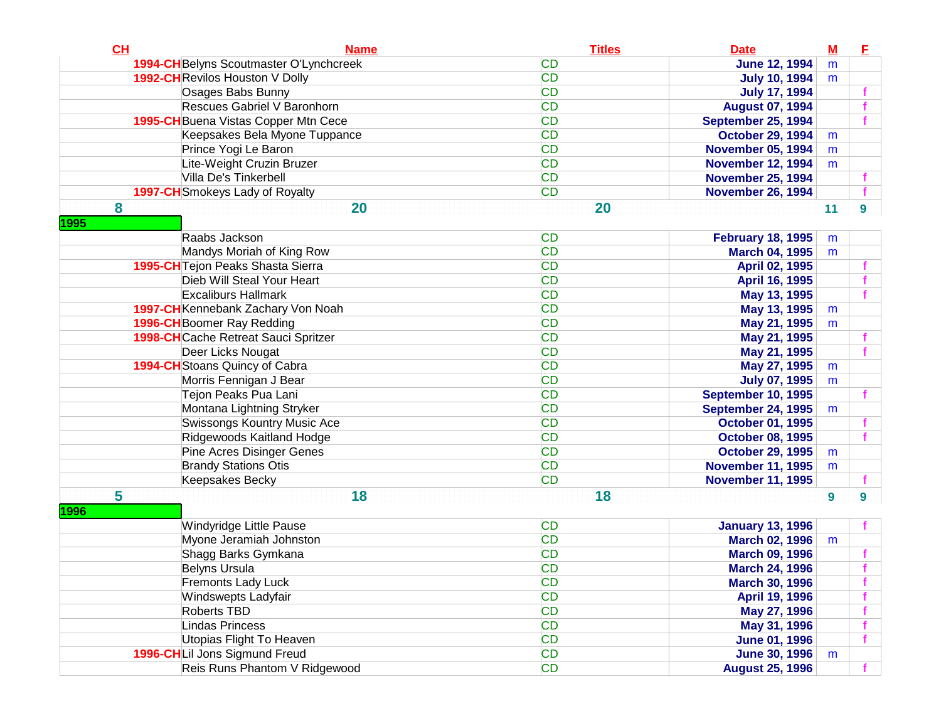| CH        | <b>Name</b>                             | <b>Titles</b> | <b>Date</b>               | $\underline{\mathbf{M}}$ | E  |
|-----------|-----------------------------------------|---------------|---------------------------|--------------------------|----|
|           | 1994-CH Belyns Scoutmaster O'Lynchcreek | <b>CD</b>     | <b>June 12, 1994</b>      | m                        |    |
|           | 1992-CH Revilos Houston V Dolly         | <b>CD</b>     | <b>July 10, 1994</b>      | m                        |    |
|           | Osages Babs Bunny                       | <b>CD</b>     | <b>July 17, 1994</b>      |                          |    |
|           | Rescues Gabriel V Baronhorn             | <b>CD</b>     | <b>August 07, 1994</b>    |                          |    |
|           | 1995-CH Buena Vistas Copper Mtn Cece    | <b>CD</b>     | <b>September 25, 1994</b> |                          |    |
|           | Keepsakes Bela Myone Tuppance           | <b>CD</b>     | <b>October 29, 1994</b>   | m                        |    |
|           | Prince Yogi Le Baron                    | <b>CD</b>     | <b>November 05, 1994</b>  | m                        |    |
|           | Lite-Weight Cruzin Bruzer               | <b>CD</b>     | <b>November 12, 1994</b>  | m                        |    |
|           | Villa De's Tinkerbell                   | <b>CD</b>     | <b>November 25, 1994</b>  |                          |    |
|           | <b>1997-CH</b> Smokeys Lady of Royalty  | <b>CD</b>     | <b>November 26, 1994</b>  |                          |    |
| 8         | 20                                      | 20            |                           | 11                       | 9  |
| 1995      | Raabs Jackson                           | <b>CD</b>     | <b>February 18, 1995</b>  | m                        |    |
|           | Mandys Moriah of King Row               | <b>CD</b>     | <b>March 04, 1995</b>     | m                        |    |
|           | 1995-CH Tejon Peaks Shasta Sierra       | <b>CD</b>     | April 02, 1995            |                          |    |
|           | Dieb Will Steal Your Heart              | <b>CD</b>     | April 16, 1995            |                          |    |
|           | <b>Excaliburs Hallmark</b>              | <b>CD</b>     | May 13, 1995              |                          |    |
|           | 1997-CH Kennebank Zachary Von Noah      | <b>CD</b>     | May 13, 1995              | m                        |    |
|           | 1996-CH Boomer Ray Redding              | <b>CD</b>     | May 21, 1995              | m                        |    |
|           | 1998-CH Cache Retreat Sauci Spritzer    | <b>CD</b>     | May 21, 1995              |                          |    |
|           | Deer Licks Nougat                       | <b>CD</b>     | May 21, 1995              |                          |    |
|           | 1994-CH Stoans Quincy of Cabra          | <b>CD</b>     | May 27, 1995              | m                        |    |
|           | Morris Fennigan J Bear                  | <b>CD</b>     | <b>July 07, 1995</b>      | m                        |    |
|           | Tejon Peaks Pua Lani                    | <b>CD</b>     | <b>September 10, 1995</b> |                          |    |
|           | Montana Lightning Stryker               | <b>CD</b>     | <b>September 24, 1995</b> | m                        |    |
|           | Swissongs Kountry Music Ace             | <b>CD</b>     | <b>October 01, 1995</b>   |                          |    |
|           | Ridgewoods Kaitland Hodge               | <b>CD</b>     | <b>October 08, 1995</b>   |                          |    |
|           | Pine Acres Disinger Genes               | <b>CD</b>     | <b>October 29, 1995</b>   | m                        |    |
|           | <b>Brandy Stations Otis</b>             | <b>CD</b>     | <b>November 11, 1995</b>  | m                        |    |
|           | Keepsakes Becky                         | <b>CD</b>     | <b>November 11, 1995</b>  |                          |    |
| 5<br>1996 | 18                                      | 18            |                           | $\boldsymbol{9}$         | 9  |
|           | Windyridge Little Pause                 | <b>CD</b>     | <b>January 13, 1996</b>   |                          |    |
|           | Myone Jeramiah Johnston                 | <b>CD</b>     | <b>March 02, 1996</b>     | m                        |    |
|           | Shagg Barks Gymkana                     | <b>CD</b>     | <b>March 09, 1996</b>     |                          |    |
|           | <b>Belyns Ursula</b>                    | <b>CD</b>     | <b>March 24, 1996</b>     |                          |    |
|           | <b>Fremonts Lady Luck</b>               | <b>CD</b>     | <b>March 30, 1996</b>     |                          |    |
|           | Windswepts Ladyfair                     | <b>CD</b>     | April 19, 1996            |                          |    |
|           | <b>Roberts TBD</b>                      | CD            | May 27, 1996              |                          |    |
|           | <b>Lindas Princess</b>                  | <b>CD</b>     | May 31, 1996              |                          |    |
|           | Utopias Flight To Heaven                | CD            | <b>June 01, 1996</b>      |                          | f  |
|           | 1996-CHLil Jons Sigmund Freud           | CD            | <b>June 30, 1996</b>      | m                        |    |
|           | Reis Runs Phantom V Ridgewood           | CD            | <b>August 25, 1996</b>    |                          | f. |
|           |                                         |               |                           |                          |    |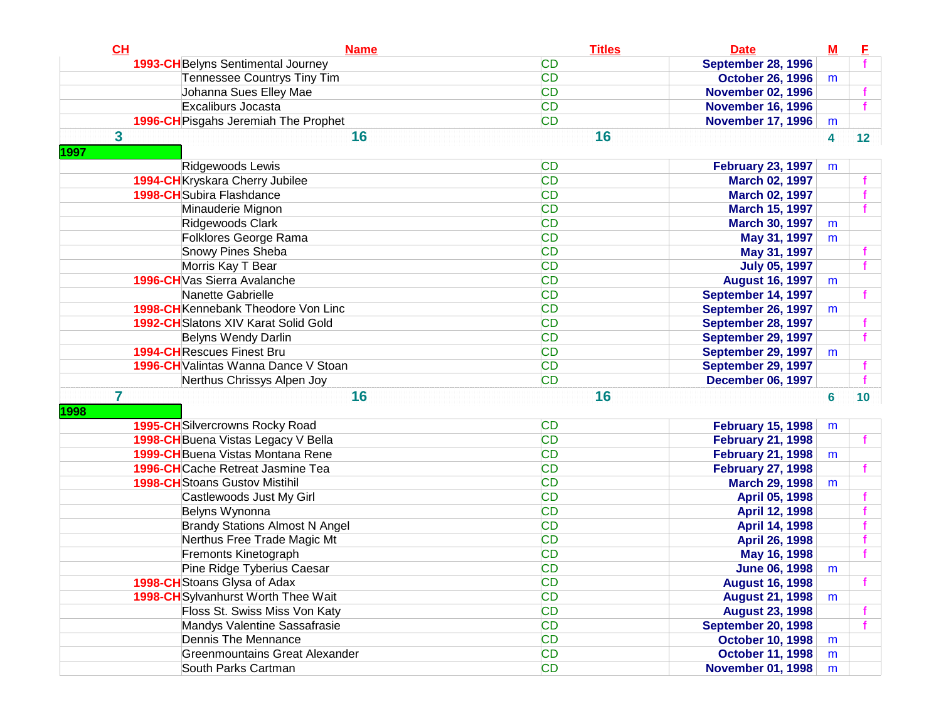| CL                                | <b>Name</b>                                 | <b>Titles</b> | <b>Date</b>               | $\underline{\mathbf{M}}$ | E               |
|-----------------------------------|---------------------------------------------|---------------|---------------------------|--------------------------|-----------------|
|                                   | 1993-CH Belyns Sentimental Journey          | <b>CD</b>     | <b>September 28, 1996</b> |                          |                 |
|                                   | Tennessee Countrys Tiny Tim                 | <b>CD</b>     | <b>October 26, 1996</b>   | m                        |                 |
|                                   | Johanna Sues Elley Mae                      | <b>CD</b>     | <b>November 02, 1996</b>  |                          |                 |
|                                   | Excaliburs Jocasta                          | <b>CD</b>     | <b>November 16, 1996</b>  |                          |                 |
|                                   | 1996-CH Pisgahs Jeremiah The Prophet        | <b>CD</b>     | <b>November 17, 1996</b>  | m                        |                 |
| 3                                 | 16                                          | 16            |                           | $\overline{\mathbf{4}}$  | 12 <sub>1</sub> |
| 1997                              |                                             |               |                           |                          |                 |
|                                   | Ridgewoods Lewis                            | <b>CD</b>     | <b>February 23, 1997</b>  | m                        |                 |
|                                   | 1994-CHKryskara Cherry Jubilee              | <b>CD</b>     | <b>March 02, 1997</b>     |                          |                 |
| <b>1998-CH</b> Subira Flashdance  |                                             | <b>CD</b>     | <b>March 02, 1997</b>     |                          |                 |
|                                   | Minauderie Mignon                           | <b>CD</b>     | <b>March 15, 1997</b>     |                          |                 |
|                                   | Ridgewoods Clark                            | <b>CD</b>     | <b>March 30, 1997</b>     | m                        |                 |
|                                   | Folklores George Rama                       | <b>CD</b>     | May 31, 1997              | m                        |                 |
|                                   | Snowy Pines Sheba                           | <b>CD</b>     | May 31, 1997              |                          |                 |
|                                   | Morris Kay T Bear                           | <b>CD</b>     | <b>July 05, 1997</b>      |                          |                 |
|                                   | 1996-CH Vas Sierra Avalanche                | <b>CD</b>     | <b>August 16, 1997</b>    | m                        |                 |
|                                   | Nanette Gabrielle                           | <b>CD</b>     | September 14, 1997        |                          |                 |
|                                   | 1998-CH Kennebank Theodore Von Linc         | <b>CD</b>     | September 26, 1997        | m                        |                 |
|                                   | <b>1992-CH</b> Slatons XIV Karat Solid Gold | <b>CD</b>     | <b>September 28, 1997</b> |                          |                 |
|                                   | Belyns Wendy Darlin                         | <b>CD</b>     | September 29, 1997        |                          |                 |
| <b>1994-CH</b> Rescues Finest Bru |                                             | <b>CD</b>     | September 29, 1997        | m                        |                 |
|                                   | 1996-CH Valintas Wanna Dance V Stoan        | <b>CD</b>     | September 29, 1997        |                          |                 |
|                                   | Nerthus Chrissys Alpen Joy                  | <b>CD</b>     | <b>December 06, 1997</b>  |                          |                 |
| $\overline{7}$                    | 16                                          | 16            |                           | $6\phantom{a}$           | 10 <sub>1</sub> |
| 1998                              |                                             |               |                           |                          |                 |
|                                   | <b>1995-CH</b> Silvercrowns Rocky Road      | <b>CD</b>     | <b>February 15, 1998</b>  | m                        |                 |
|                                   | 1998-CH Buena Vistas Legacy V Bella         | <b>CD</b>     | <b>February 21, 1998</b>  |                          |                 |
|                                   | <b>1999-CH</b> Buena Vistas Montana Rene    | <b>CD</b>     | <b>February 21, 1998</b>  | m                        |                 |
|                                   | <b>1996-CH</b> Cache Retreat Jasmine Tea    | <b>CD</b>     | <b>February 27, 1998</b>  |                          |                 |
|                                   | <b>1998-CH</b> Stoans Gustov Mistihil       | <b>CD</b>     | <b>March 29, 1998</b>     | m                        |                 |
|                                   | Castlewoods Just My Girl                    | <b>CD</b>     | April 05, 1998            |                          |                 |
|                                   | Belyns Wynonna                              | <b>CD</b>     | April 12, 1998            |                          |                 |
|                                   | <b>Brandy Stations Almost N Angel</b>       | <b>CD</b>     | April 14, 1998            |                          |                 |
|                                   | Nerthus Free Trade Magic Mt                 | <b>CD</b>     | April 26, 1998            |                          |                 |
|                                   | Fremonts Kinetograph                        | <b>CD</b>     | May 16, 1998              |                          |                 |
|                                   | Pine Ridge Tyberius Caesar                  | <b>CD</b>     | <b>June 06, 1998</b>      | m                        |                 |
|                                   | 1998-CH Stoans Glysa of Adax                | <b>CD</b>     | <b>August 16, 1998</b>    |                          |                 |
|                                   | 1998-CHSylvanhurst Worth Thee Wait          | <b>CD</b>     | <b>August 21, 1998</b>    | m                        |                 |
|                                   | Floss St. Swiss Miss Von Katy               | <b>CD</b>     | <b>August 23, 1998</b>    |                          |                 |
|                                   | Mandys Valentine Sassafrasie                | <b>CD</b>     | <b>September 20, 1998</b> |                          |                 |
|                                   | Dennis The Mennance                         | <b>CD</b>     | <b>October 10, 1998</b>   | m                        |                 |
|                                   | <b>Greenmountains Great Alexander</b>       | <b>CD</b>     | <b>October 11, 1998</b>   | m                        |                 |
|                                   | South Parks Cartman                         | <b>CD</b>     | <b>November 01, 1998</b>  | m                        |                 |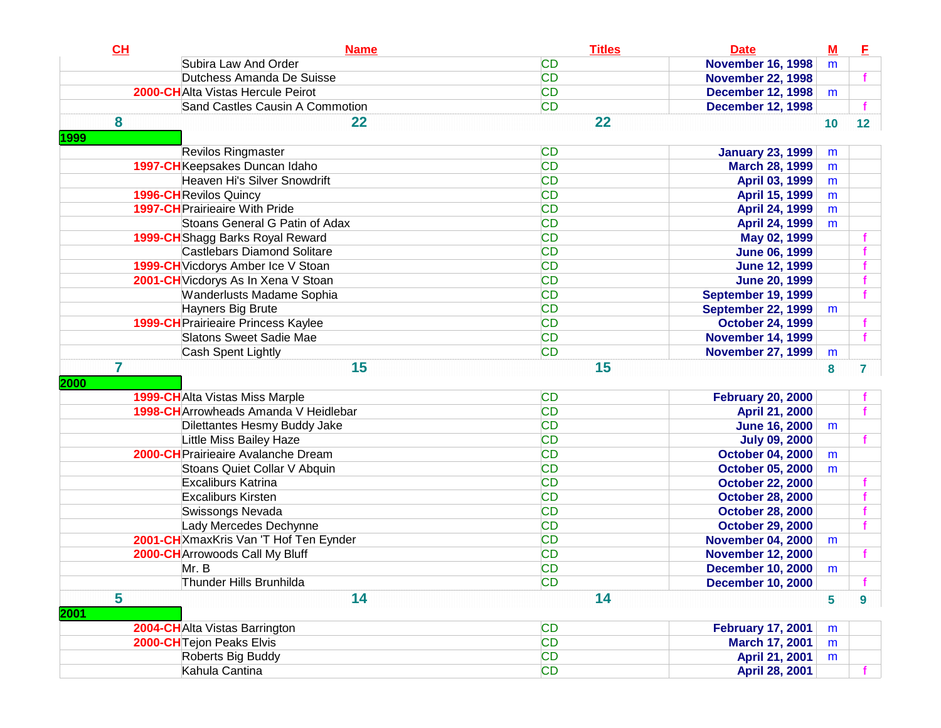| CH             | <b>Name</b>                                | <b>Titles</b> | <b>Date</b>               | $M$ | E  |
|----------------|--------------------------------------------|---------------|---------------------------|-----|----|
|                | Subira Law And Order                       | <b>CD</b>     | <b>November 16, 1998</b>  | m   |    |
|                | Dutchess Amanda De Suisse                  | <b>CD</b>     | <b>November 22, 1998</b>  |     |    |
|                | 2000-CHAIta Vistas Hercule Peirot          | <b>CD</b>     | <b>December 12, 1998</b>  | m   |    |
|                | Sand Castles Causin A Commotion            | <b>CD</b>     | <b>December 12, 1998</b>  |     |    |
| 8              | 22                                         | 22            |                           | 10  | 12 |
| 1999           |                                            |               |                           |     |    |
|                | <b>Revilos Ringmaster</b>                  | <b>CD</b>     | <b>January 23, 1999</b>   | m   |    |
|                | 1997-CHKeepsakes Duncan Idaho              | <b>CD</b>     | <b>March 28, 1999</b>     | m   |    |
|                | Heaven Hi's Silver Snowdrift               | <b>CD</b>     | April 03, 1999            | m   |    |
|                | <b>1996-CH</b> Revilos Quincy              | <b>CD</b>     | April 15, 1999            | m   |    |
|                | <b>1997-CH</b> Prairieaire With Pride      | <b>CD</b>     | <b>April 24, 1999</b>     | m   |    |
|                | Stoans General G Patin of Adax             | <b>CD</b>     | <b>April 24, 1999</b>     | m   |    |
|                | 1999-CH Shagg Barks Royal Reward           | <b>CD</b>     | May 02, 1999              |     |    |
|                | <b>Castlebars Diamond Solitare</b>         | <b>CD</b>     | <b>June 06, 1999</b>      |     |    |
|                | 1999-CH Vicdorys Amber Ice V Stoan         | <b>CD</b>     | <b>June 12, 1999</b>      |     |    |
|                | 2001-CH Vicdorys As In Xena V Stoan        | <b>CD</b>     | <b>June 20, 1999</b>      |     |    |
|                | Wanderlusts Madame Sophia                  | <b>CD</b>     | <b>September 19, 1999</b> |     |    |
|                | Hayners Big Brute                          | <b>CD</b>     | <b>September 22, 1999</b> | m   |    |
|                | <b>1999-CH</b> Prairieaire Princess Kaylee | <b>CD</b>     | <b>October 24, 1999</b>   |     |    |
|                | Slatons Sweet Sadie Mae                    | <b>CD</b>     | <b>November 14, 1999</b>  |     |    |
|                | Cash Spent Lightly                         | <b>CD</b>     | <b>November 27, 1999</b>  | m   |    |
| $\overline{7}$ | 15                                         | 15            |                           | 8   | 7  |
| 2000           |                                            |               |                           |     |    |
|                | <b>1999-CH</b> Alta Vistas Miss Marple     | <b>CD</b>     | <b>February 20, 2000</b>  |     |    |
|                | 1998-CH Arrowheads Amanda V Heidlebar      | <b>CD</b>     | April 21, 2000            |     |    |
|                | Dilettantes Hesmy Buddy Jake               | <b>CD</b>     | <b>June 16, 2000</b>      | m   |    |
|                | Little Miss Bailey Haze                    | <b>CD</b>     | <b>July 09, 2000</b>      |     |    |
|                | <b>2000-CH</b> Prairieaire Avalanche Dream | <b>CD</b>     | <b>October 04, 2000</b>   | m   |    |
|                | Stoans Quiet Collar V Abquin               | <b>CD</b>     | <b>October 05, 2000</b>   | m   |    |
|                | <b>Excaliburs Katrina</b>                  | <b>CD</b>     | <b>October 22, 2000</b>   |     |    |
|                | <b>Excaliburs Kirsten</b>                  | <b>CD</b>     | <b>October 28, 2000</b>   |     |    |
|                | Swissongs Nevada                           | <b>CD</b>     | <b>October 28, 2000</b>   |     |    |
|                | Lady Mercedes Dechynne                     | <b>CD</b>     | <b>October 29, 2000</b>   |     |    |
|                | 2001-CHXmaxKris Van 'T Hof Ten Eynder      | <b>CD</b>     | <b>November 04, 2000</b>  | m   |    |
|                | 2000-CH Arrowoods Call My Bluff            | <b>CD</b>     | <b>November 12, 2000</b>  |     |    |
|                | Mr. B                                      | <b>CD</b>     | <b>December 10, 2000</b>  | m   |    |
|                | Thunder Hills Brunhilda                    | <b>CD</b>     | <b>December 10, 2000</b>  |     |    |
| 5              | 14                                         | 14            |                           | 5   | 9  |
| 2001           |                                            |               |                           |     |    |
|                | 2004-CHAlta Vistas Barrington              | <b>CD</b>     | <b>February 17, 2001</b>  | m   |    |
|                | 2000-CH Tejon Peaks Elvis                  | <b>CD</b>     | March 17, 2001            | m   |    |
|                | Roberts Big Buddy                          | <b>CD</b>     | April 21, 2001            | m   |    |
|                | Kahula Cantina                             | <b>CD</b>     | April 28, 2001            |     |    |
|                |                                            |               |                           |     |    |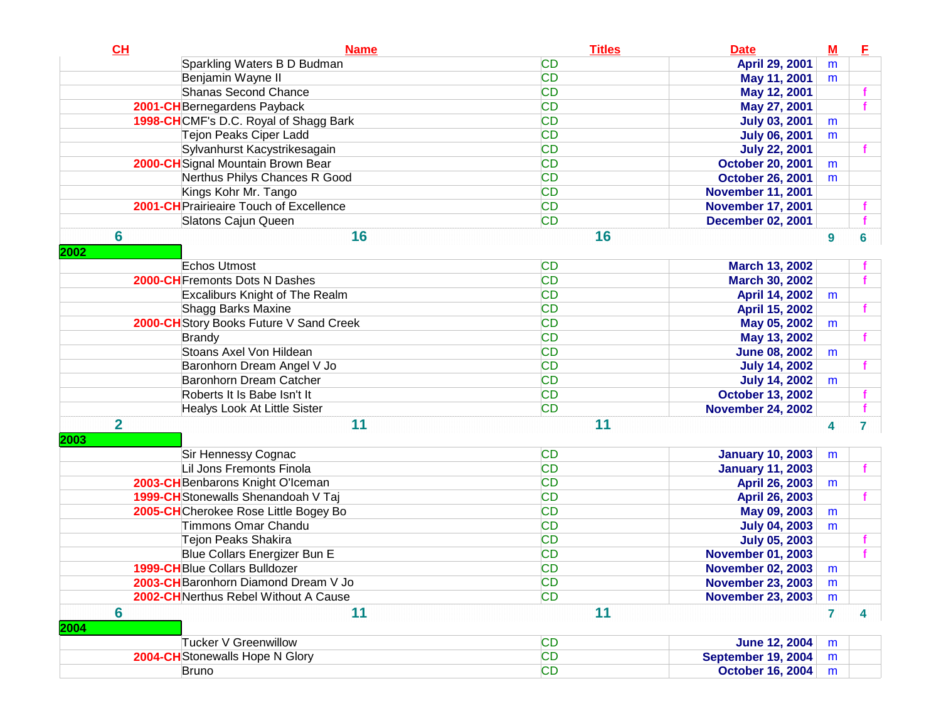| CL                      | <b>Name</b>                             | <b>Titles</b> | <b>Date</b>              | $\underline{\mathbf{M}}$ | E                       |
|-------------------------|-----------------------------------------|---------------|--------------------------|--------------------------|-------------------------|
|                         | Sparkling Waters B D Budman             | <b>CD</b>     | April 29, 2001           | m                        |                         |
|                         | Benjamin Wayne II                       | <b>CD</b>     | May 11, 2001             | m                        |                         |
|                         | Shanas Second Chance                    | <b>CD</b>     | May 12, 2001             |                          |                         |
|                         | 2001-CH Bernegardens Payback            | <b>CD</b>     | May 27, 2001             |                          |                         |
|                         | 1998-CHCMF's D.C. Royal of Shagg Bark   | <b>CD</b>     | <b>July 03, 2001</b>     | m                        |                         |
|                         | Tejon Peaks Ciper Ladd                  | <b>CD</b>     | <b>July 06, 2001</b>     | m                        |                         |
|                         | Sylvanhurst Kacystrikesagain            | <b>CD</b>     | <b>July 22, 2001</b>     |                          |                         |
|                         | 2000-CH Signal Mountain Brown Bear      | <b>CD</b>     | <b>October 20, 2001</b>  | m                        |                         |
|                         | Nerthus Philys Chances R Good           | <b>CD</b>     | <b>October 26, 2001</b>  | m                        |                         |
|                         | Kings Kohr Mr. Tango                    | <b>CD</b>     | <b>November 11, 2001</b> |                          |                         |
|                         | 2001-CH Prairieaire Touch of Excellence | <b>CD</b>     | <b>November 17, 2001</b> |                          |                         |
|                         | Slatons Cajun Queen                     | <b>CD</b>     | <b>December 02, 2001</b> |                          |                         |
| 6                       | 16                                      | 16            |                          | 9                        | 6                       |
| 2002                    |                                         |               |                          |                          |                         |
|                         | Echos Utmost                            | <b>CD</b>     | <b>March 13, 2002</b>    |                          |                         |
|                         | 2000-CH Fremonts Dots N Dashes          | <b>CD</b>     | <b>March 30, 2002</b>    |                          |                         |
|                         | Excaliburs Knight of The Realm          | <b>CD</b>     | April 14, 2002           | m                        |                         |
|                         | Shagg Barks Maxine                      | <b>CD</b>     | April 15, 2002           |                          |                         |
|                         | 2000-CH Story Books Future V Sand Creek | <b>CD</b>     | May 05, 2002             | m                        |                         |
|                         | <b>Brandy</b>                           | <b>CD</b>     | May 13, 2002             |                          |                         |
|                         | Stoans Axel Von Hildean                 | <b>CD</b>     | <b>June 08, 2002</b>     | m                        |                         |
|                         | Baronhorn Dream Angel V Jo              | <b>CD</b>     | <b>July 14, 2002</b>     |                          |                         |
|                         | Baronhorn Dream Catcher                 | <b>CD</b>     | <b>July 14, 2002</b>     | m                        |                         |
|                         | Roberts It Is Babe Isn't It             | <b>CD</b>     | <b>October 13, 2002</b>  |                          |                         |
|                         | Healys Look At Little Sister            | <b>CD</b>     | <b>November 24, 2002</b> |                          |                         |
| $\overline{\mathbf{2}}$ | 11                                      | 11            |                          | 4                        | $\overline{7}$          |
| 2003                    |                                         |               |                          |                          |                         |
|                         | Sir Hennessy Cognac                     | <b>CD</b>     | <b>January 10, 2003</b>  | m                        |                         |
|                         | Lil Jons Fremonts Finola                | <b>CD</b>     | <b>January 11, 2003</b>  |                          |                         |
|                         | 2003-CH Benbarons Knight O'Iceman       | <b>CD</b>     | April 26, 2003           | m                        |                         |
|                         | 1999-CH Stonewalls Shenandoah V Taj     | <b>CD</b>     | April 26, 2003           |                          |                         |
|                         | 2005-CHCherokee Rose Little Bogey Bo    | <b>CD</b>     | May 09, 2003             | m                        |                         |
|                         | <b>Timmons Omar Chandu</b>              | <b>CD</b>     | <b>July 04, 2003</b>     | m                        |                         |
|                         | <b>Tejon Peaks Shakira</b>              | <b>CD</b>     | <b>July 05, 2003</b>     |                          |                         |
|                         | Blue Collars Energizer Bun E            | <b>CD</b>     | <b>November 01, 2003</b> |                          |                         |
|                         | 1999-CH Blue Collars Bulldozer          | <b>CD</b>     | <b>November 02, 2003</b> | m                        |                         |
|                         | 2003-CH Baronhorn Diamond Dream V Jo    | <b>CD</b>     | <b>November 23, 2003</b> | m                        |                         |
|                         | 2002-CHNerthus Rebel Without A Cause    | CD            | <b>November 23, 2003</b> | m                        |                         |
| 6                       | 11                                      | 11            |                          | $\overline{7}$           | $\overline{\mathbf{4}}$ |
| 2004                    |                                         |               |                          |                          |                         |
|                         | Tucker V Greenwillow                    | <b>CD</b>     | <b>June 12, 2004</b>     | m                        |                         |
|                         | <b>2004-CH</b> Stonewalls Hope N Glory  | <b>CD</b>     | September 19, 2004       | m                        |                         |
|                         | Bruno                                   | <b>CD</b>     | <b>October 16, 2004</b>  |                          |                         |
|                         |                                         |               |                          | m                        |                         |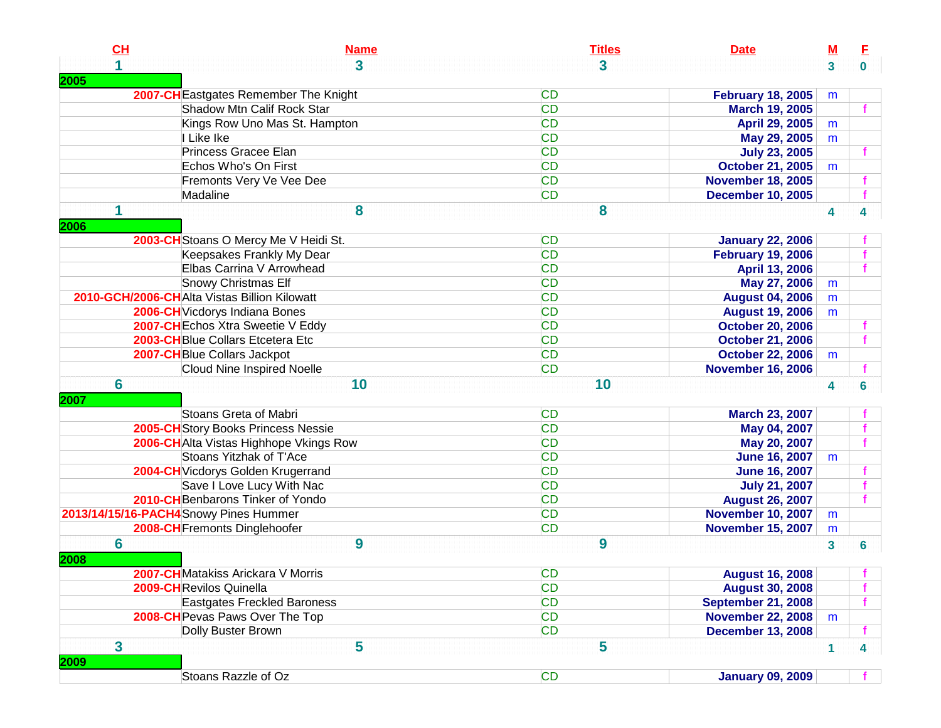| CL   | <b>Name</b>                                  | <b>Titles</b> | <b>Date</b>               | $\underline{\mathsf{M}}$ | E                       |
|------|----------------------------------------------|---------------|---------------------------|--------------------------|-------------------------|
|      | 3                                            | 3             |                           | $\overline{\mathbf{3}}$  | $\mathbf{0}$            |
| 2005 |                                              |               |                           |                          |                         |
|      | 2007-CH Eastgates Remember The Knight        | <b>CD</b>     | <b>February 18, 2005</b>  | m                        |                         |
|      | Shadow Mtn Calif Rock Star                   | <b>CD</b>     | <b>March 19, 2005</b>     |                          |                         |
|      | Kings Row Uno Mas St. Hampton                | <b>CD</b>     | April 29, 2005            | m                        |                         |
|      | I Like Ike                                   | <b>CD</b>     | May 29, 2005              | m                        |                         |
|      | Princess Gracee Elan                         | <b>CD</b>     | <b>July 23, 2005</b>      |                          |                         |
|      | Echos Who's On First                         | <b>CD</b>     | <b>October 21, 2005</b>   | m                        |                         |
|      | Fremonts Very Ve Vee Dee                     | <b>CD</b>     | <b>November 18, 2005</b>  |                          |                         |
|      | Madaline                                     | <b>CD</b>     | <b>December 10, 2005</b>  |                          |                         |
| 1    | 8                                            | 8             |                           | 4                        | 4                       |
| 2006 |                                              |               |                           |                          |                         |
|      | 2003-CH Stoans O Mercy Me V Heidi St.        | <b>CD</b>     | <b>January 22, 2006</b>   |                          |                         |
|      | Keepsakes Frankly My Dear                    | <b>CD</b>     | <b>February 19, 2006</b>  |                          |                         |
|      | Elbas Carrina V Arrowhead                    | <b>CD</b>     | April 13, 2006            |                          |                         |
|      | <b>Snowy Christmas Elf</b>                   | <b>CD</b>     | May 27, 2006              | m                        |                         |
|      | 2010-GCH/2006-CHAlta Vistas Billion Kilowatt | <b>CD</b>     | <b>August 04, 2006</b>    | m                        |                         |
|      | 2006-CH Vicdorys Indiana Bones               | <b>CD</b>     | <b>August 19, 2006</b>    | m                        |                         |
|      | 2007-CH Echos Xtra Sweetie V Eddy            | <b>CD</b>     | <b>October 20, 2006</b>   |                          |                         |
|      | 2003-CHBlue Collars Etcetera Etc             | <b>CD</b>     | <b>October 21, 2006</b>   |                          |                         |
|      | 2007-CH Blue Collars Jackpot                 | <b>CD</b>     | <b>October 22, 2006</b>   | m                        |                         |
|      | <b>Cloud Nine Inspired Noelle</b>            | <b>CD</b>     | <b>November 16, 2006</b>  |                          |                         |
| 6    | 10                                           | 10            |                           | 4                        | 6                       |
| 2007 |                                              |               |                           |                          |                         |
|      | Stoans Greta of Mabri                        | <b>CD</b>     | <b>March 23, 2007</b>     |                          |                         |
|      | 2005-CH Story Books Princess Nessie          | CD            | May 04, 2007              |                          |                         |
|      | 2006-CH Alta Vistas Highhope Vkings Row      | <b>CD</b>     | May 20, 2007              |                          |                         |
|      | Stoans Yitzhak of T'Ace                      | <b>CD</b>     | <b>June 16, 2007</b>      | m                        |                         |
|      | 2004-CH Vicdorys Golden Krugerrand           | <b>CD</b>     | <b>June 16, 2007</b>      |                          |                         |
|      | Save I Love Lucy With Nac                    | <b>CD</b>     | <b>July 21, 2007</b>      |                          |                         |
|      | 2010-CH Benbarons Tinker of Yondo            | CD            | <b>August 26, 2007</b>    |                          |                         |
|      | 2013/14/15/16-PACH4 Snowy Pines Hummer       | CD            | <b>November 10, 2007</b>  | m                        |                         |
|      | 2008-CH Fremonts Dinglehoofer                | <b>CD</b>     | <b>November 15, 2007</b>  | m                        |                         |
| 6    | 9                                            | 9             |                           | $\overline{\mathbf{3}}$  | 6                       |
| 2008 |                                              |               |                           |                          |                         |
|      | 2007-CH Matakiss Arickara V Morris           | <b>CD</b>     | <b>August 16, 2008</b>    |                          |                         |
|      | 2009-CHRevilos Quinella                      | <b>CD</b>     | <b>August 30, 2008</b>    |                          |                         |
|      | <b>Eastgates Freckled Baroness</b>           | <b>CD</b>     | <b>September 21, 2008</b> |                          |                         |
|      | 2008-CH Pevas Paws Over The Top              | <b>CD</b>     | <b>November 22, 2008</b>  | m                        |                         |
|      | Dolly Buster Brown                           | <b>CD</b>     | <b>December 13, 2008</b>  |                          |                         |
| 3    | 5                                            | 5             |                           | $\mathbf{1}$             | $\overline{\mathbf{4}}$ |
| 2009 |                                              |               |                           |                          |                         |
|      | Stoans Razzle of Oz                          | <b>CD</b>     | <b>January 09, 2009</b>   |                          |                         |
|      |                                              |               |                           |                          |                         |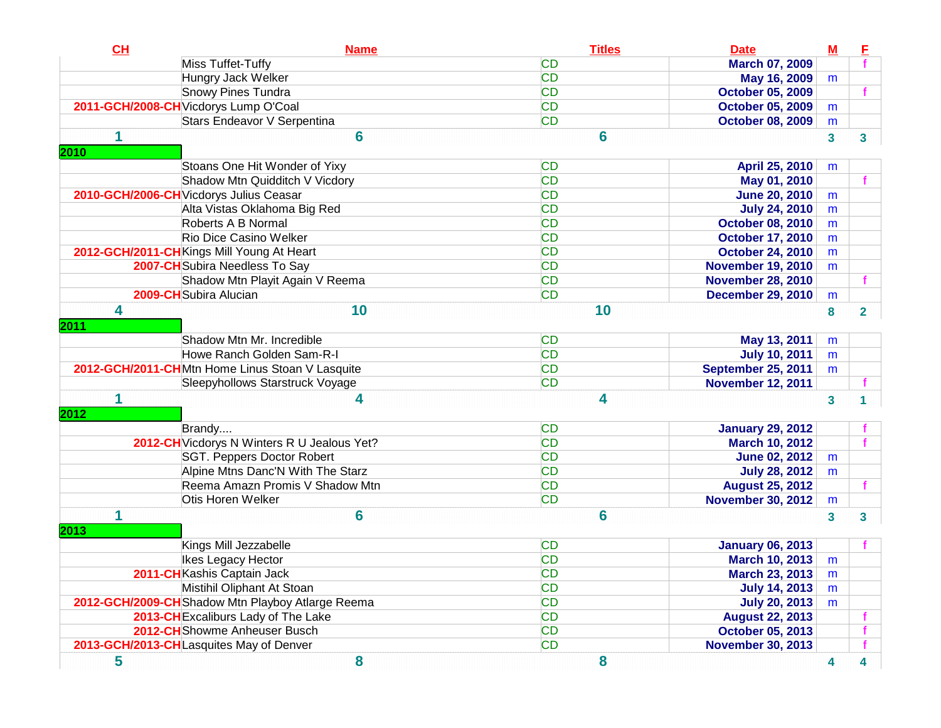| CH   | <b>Name</b>                                      | <b>Titles</b> | <b>Date</b>               | ${\bf M}$    | E |
|------|--------------------------------------------------|---------------|---------------------------|--------------|---|
|      | Miss Tuffet-Tuffy                                | <b>CD</b>     | <b>March 07, 2009</b>     |              |   |
|      | Hungry Jack Welker                               | <b>CD</b>     | May 16, 2009              | m            |   |
|      | Snowy Pines Tundra                               | <b>CD</b>     | <b>October 05, 2009</b>   |              |   |
|      | 2011-GCH/2008-CH Vicdorys Lump O'Coal            | <b>CD</b>     | <b>October 05, 2009</b>   | m            |   |
|      | Stars Endeavor V Serpentina                      | <b>CD</b>     | <b>October 08, 2009</b>   | m            |   |
| 1    | 6                                                | 6             |                           | $\mathbf{3}$ | 3 |
| 2010 |                                                  |               |                           |              |   |
|      | Stoans One Hit Wonder of Yixy                    | <b>CD</b>     | April 25, 2010            | m            |   |
|      | Shadow Mtn Quidditch V Vicdory                   | <b>CD</b>     | May 01, 2010              |              |   |
|      | 2010-GCH/2006-CH Vicdorys Julius Ceasar          | <b>CD</b>     | <b>June 20, 2010</b>      | m            |   |
|      | Alta Vistas Oklahoma Big Red                     | <b>CD</b>     | <b>July 24, 2010</b>      | m            |   |
|      | Roberts A B Normal                               | <b>CD</b>     | <b>October 08, 2010</b>   | m            |   |
|      | <b>Rio Dice Casino Welker</b>                    | <b>CD</b>     | <b>October 17, 2010</b>   | m            |   |
|      | 2012-GCH/2011-CH Kings Mill Young At Heart       | <b>CD</b>     | <b>October 24, 2010</b>   | m            |   |
|      | 2007-CH Subira Needless To Say                   | <b>CD</b>     | <b>November 19, 2010</b>  | m            |   |
|      | Shadow Mtn Playit Again V Reema                  | <b>CD</b>     | <b>November 28, 2010</b>  |              |   |
|      | 2009-CH Subira Alucian                           | <b>CD</b>     | <b>December 29, 2010</b>  | m            |   |
| 4    | 10                                               | 10            |                           | 8            | 2 |
| 2011 |                                                  |               |                           |              |   |
|      | Shadow Mtn Mr. Incredible                        | <b>CD</b>     | May 13, 2011              | m            |   |
|      | Howe Ranch Golden Sam-R-I                        | <b>CD</b>     | <b>July 10, 2011</b>      | m            |   |
|      | 2012-GCH/2011-CHMtn Home Linus Stoan V Lasquite  | <b>CD</b>     | <b>September 25, 2011</b> | m            |   |
|      | Sleepyhollows Starstruck Voyage                  | <b>CD</b>     | <b>November 12, 2011</b>  |              |   |
| 1    | 4                                                | 4             |                           | 3            |   |
| 2012 |                                                  |               |                           |              |   |
|      | Brandy                                           | <b>CD</b>     | <b>January 29, 2012</b>   |              |   |
|      | 2012-CH Vicdorys N Winters R U Jealous Yet?      | <b>CD</b>     | <b>March 10, 2012</b>     |              |   |
|      | SGT. Peppers Doctor Robert                       | <b>CD</b>     | <b>June 02, 2012</b>      | m            |   |
|      | Alpine Mtns Danc'N With The Starz                | <b>CD</b>     | <b>July 28, 2012</b>      | m            |   |
|      | Reema Amazn Promis V Shadow Mtn                  | <b>CD</b>     | <b>August 25, 2012</b>    |              |   |
|      | Otis Horen Welker                                | <b>CD</b>     | <b>November 30, 2012</b>  | m            |   |
| 1    | 6                                                | 6             |                           | $\mathbf{3}$ | 3 |
| 2013 |                                                  |               |                           |              |   |
|      | Kings Mill Jezzabelle                            | <b>CD</b>     | <b>January 06, 2013</b>   |              |   |
|      | Ikes Legacy Hector                               | <b>CD</b>     | <b>March 10, 2013</b>     | m            |   |
|      | 2011-CHKashis Captain Jack                       | <b>CD</b>     | <b>March 23, 2013</b>     | m            |   |
|      | Mistihil Oliphant At Stoan                       | <b>CD</b>     | <b>July 14, 2013</b>      | m            |   |
|      | 2012-GCH/2009-CHShadow Mtn Playboy Atlarge Reema | <b>CD</b>     | <b>July 20, 2013</b>      | m            |   |
|      | 2013-CH Excaliburs Lady of The Lake              | <b>CD</b>     | <b>August 22, 2013</b>    |              |   |
|      | 2012-CH Showme Anheuser Busch                    | <b>CD</b>     | <b>October 05, 2013</b>   |              |   |
|      | 2013-GCH/2013-CHLasquites May of Denver          | <b>CD</b>     | <b>November 30, 2013</b>  |              |   |
| 5    | 8                                                | 8             |                           | 4            | 4 |
|      |                                                  |               |                           |              |   |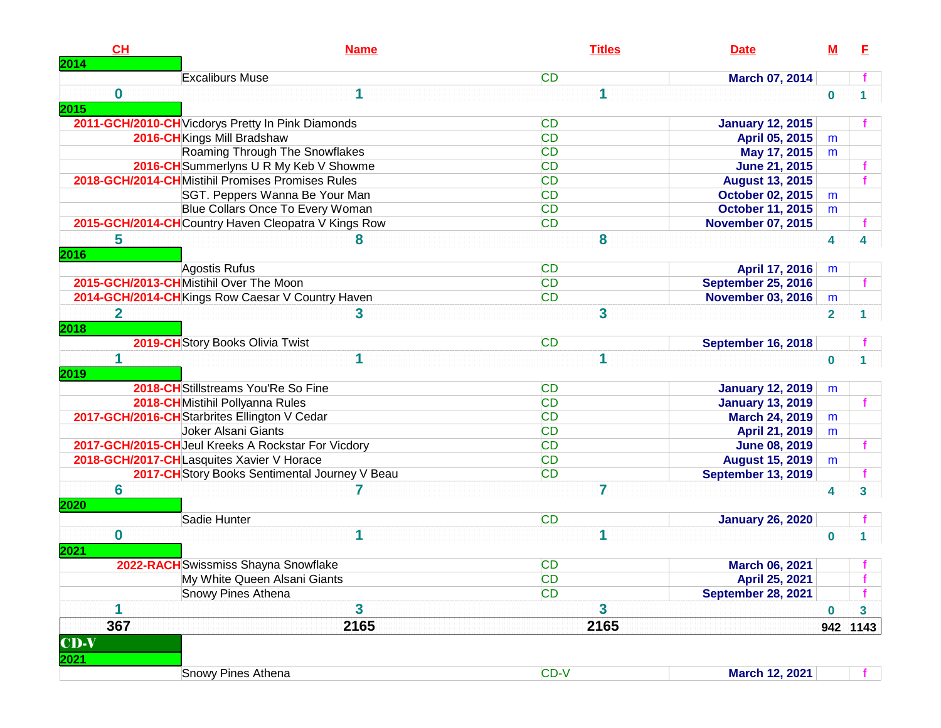| CH<br>2014          | <b>Name</b>                                         | <b>Titles</b> | <b>Date</b>               | М            | F            |
|---------------------|-----------------------------------------------------|---------------|---------------------------|--------------|--------------|
|                     | <b>Excaliburs Muse</b>                              | <b>CD</b>     | March 07, 2014            |              |              |
| 0<br>2015           | 1                                                   | 1             |                           | $\mathbf{0}$ |              |
|                     | 2011-GCH/2010-CH Vicdorys Pretty In Pink Diamonds   | <b>CD</b>     | <b>January 12, 2015</b>   |              |              |
|                     | 2016-CH Kings Mill Bradshaw                         | <b>CD</b>     | April 05, 2015            | m            |              |
|                     | Roaming Through The Snowflakes                      | <b>CD</b>     | May 17, 2015              | m            |              |
|                     | 2016-CH Summerlyns U R My Keb V Showme              | <b>CD</b>     | <b>June 21, 2015</b>      |              |              |
|                     | 2018-GCH/2014-CHMistihil Promises Promises Rules    | <b>CD</b>     | <b>August 13, 2015</b>    |              |              |
|                     | SGT. Peppers Wanna Be Your Man                      | <b>CD</b>     | October 02, 2015          | m            |              |
|                     | Blue Collars Once To Every Woman                    | <b>CD</b>     | <b>October 11, 2015</b>   | m            |              |
|                     | 2015-GCH/2014-CHCountry Haven Cleopatra V Kings Row | <b>CD</b>     | <b>November 07, 2015</b>  |              |              |
| 5<br>2016           | 8                                                   | 8             |                           | 4            |              |
|                     | <b>Agostis Rufus</b>                                | <b>CD</b>     | April 17, 2016            | m            |              |
|                     | 2015-GCH/2013-CHMistihil Over The Moon              | <b>CD</b>     | <b>September 25, 2016</b> |              | f.           |
|                     | 2014-GCH/2014-CHKings Row Caesar V Country Haven    | CD            | <b>November 03, 2016</b>  | m            |              |
| $\mathbf 2$<br>2018 | 3                                                   | 3             |                           | $\mathbf{2}$ |              |
|                     | 2019-CH Story Books Olivia Twist                    | <b>CD</b>     | <b>September 16, 2018</b> |              |              |
| 1<br>2019           | 1                                                   | 1             |                           | $\mathbf{0}$ |              |
|                     | 2018-CH Stillstreams You'Re So Fine                 | <b>CD</b>     | <b>January 12, 2019</b>   | m            |              |
|                     | 2018-CHMistihil Pollyanna Rules                     | <b>CD</b>     | <b>January 13, 2019</b>   |              |              |
|                     | 2017-GCH/2016-CH Starbrites Ellington V Cedar       | <b>CD</b>     | <b>March 24, 2019</b>     | m            |              |
|                     | Joker Alsani Giants                                 | <b>CD</b>     | April 21, 2019            |              |              |
|                     | 2017-GCH/2015-CH Jeul Kreeks A Rockstar For Vicdory | <b>CD</b>     | <b>June 08, 2019</b>      | m            |              |
|                     | 2018-GCH/2017-CHLasquites Xavier V Horace           | <b>CD</b>     | <b>August 15, 2019</b>    | m            |              |
|                     | 2017-CH Story Books Sentimental Journey V Beau      | <b>CD</b>     | <b>September 13, 2019</b> |              |              |
| 6                   |                                                     | 7             |                           |              |              |
| 2020                |                                                     |               |                           | 4            | 3            |
|                     | Sadie Hunter                                        | <b>CD</b>     | <b>January 26, 2020</b>   |              |              |
| 0<br>2021           | 1                                                   | 1             |                           | 0            |              |
|                     | 2022-RACH Swissmiss Shayna Snowflake                | <b>CD</b>     | <b>March 06, 2021</b>     |              |              |
|                     | My White Queen Alsani Giants                        | CD            | April 25, 2021            |              |              |
|                     | Snowy Pines Athena                                  | <b>CD</b>     | <b>September 28, 2021</b> |              |              |
| 1                   | 3                                                   | 3             |                           | $\mathbf 0$  | $\mathbf{3}$ |
| 367                 | 2165                                                | 2165          |                           | 942          | 1143         |
| $CD-V$<br>2021      |                                                     |               |                           |              |              |
|                     | Snowy Pines Athena                                  | CD-V          | March 12, 2021            |              |              |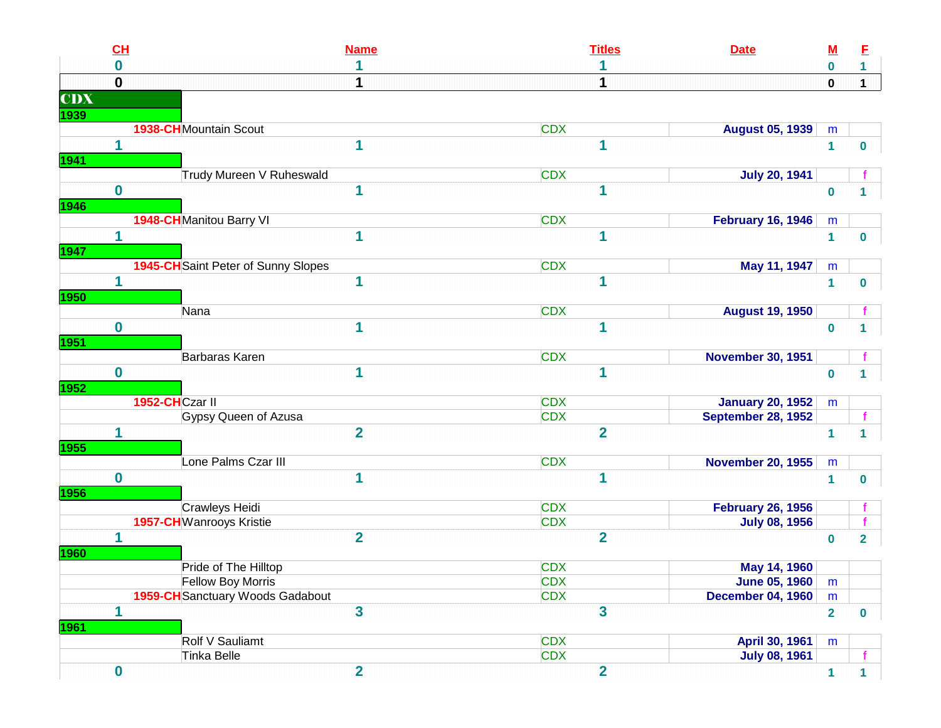| CL                      |                                         | <b>Name</b>             | <b>Titles</b>            | <b>Date</b>               | <u>M</u>       | E                       |
|-------------------------|-----------------------------------------|-------------------------|--------------------------|---------------------------|----------------|-------------------------|
| $\bf{0}$                |                                         | 1                       |                          |                           | $\bf{0}$       | $\mathbf 1$             |
| $\mathbf 0$             |                                         |                         |                          |                           | $\mathbf 0$    | $\mathbf 1$             |
| <b>CDX</b>              |                                         |                         |                          |                           |                |                         |
| 1939                    |                                         |                         |                          |                           |                |                         |
|                         | <b>1938-CH</b> Mountain Scout           |                         | <b>CDX</b>               | <b>August 05, 1939</b>    | m              |                         |
| 1                       |                                         | 1                       | 1                        |                           | $\mathbf{1}$   | 0                       |
| 1941                    |                                         |                         |                          |                           |                |                         |
|                         | Trudy Mureen V Ruheswald                |                         | <b>CDX</b>               | <b>July 20, 1941</b>      |                |                         |
| $\mathbf 0$             |                                         | 1                       | 1                        |                           | $\bf{0}$       |                         |
| 1946                    |                                         |                         |                          |                           |                |                         |
|                         | 1948-CH Manitou Barry VI                |                         | <b>CDX</b>               | <b>February 16, 1946</b>  | m              |                         |
| 1                       |                                         | 1                       |                          |                           | 1              | $\mathbf{0}$            |
| 1947                    |                                         |                         |                          |                           |                |                         |
|                         | 1945-CH Saint Peter of Sunny Slopes     |                         | <b>CDX</b>               | May 11, 1947              | m              |                         |
| 1                       |                                         | 1                       | 1                        |                           | $\mathbf{1}$   | 0                       |
| 1950                    |                                         |                         |                          |                           |                |                         |
|                         | Nana                                    |                         | <b>CDX</b>               | <b>August 19, 1950</b>    |                |                         |
| $\mathbf 0$             |                                         | 1                       | 1                        |                           | $\bf{0}$       |                         |
| 1951                    | Barbaras Karen                          |                         | <b>CDX</b>               | <b>November 30, 1951</b>  |                |                         |
| $\mathbf 0$             |                                         | 1                       | 1                        |                           | $\mathbf 0$    |                         |
| 1952                    |                                         |                         |                          |                           |                |                         |
|                         | 1952-CHCzar II                          |                         | <b>CDX</b>               | <b>January 20, 1952</b>   | m              |                         |
|                         | Gypsy Queen of Azusa                    |                         | <b>CDX</b>               | <b>September 28, 1952</b> |                |                         |
| 1                       |                                         | $\overline{2}$          | $\overline{2}$           |                           | $\overline{1}$ |                         |
| <b>1955</b>             |                                         |                         |                          |                           |                |                         |
|                         | Lone Palms Czar III                     |                         | <b>CDX</b>               | <b>November 20, 1955</b>  | m              |                         |
| $\bf{0}$                |                                         | 1                       | 1                        |                           | $\mathbf{1}$   | 0                       |
| 1956                    |                                         |                         |                          |                           |                |                         |
|                         | Crawleys Heidi                          |                         | <b>CDX</b>               | <b>February 26, 1956</b>  |                |                         |
|                         | <b>1957-CH</b> Wanrooys Kristie         |                         | <b>CDX</b>               | <b>July 08, 1956</b>      |                |                         |
| 1                       |                                         | $\overline{2}$          | $\overline{2}$           |                           | $\bf{0}$       | $\overline{\mathbf{2}}$ |
| <b>1960</b>             |                                         |                         |                          |                           |                |                         |
|                         | Pride of The Hilltop                    |                         | <b>CDX</b>               | May 14, 1960              |                |                         |
|                         | Fellow Boy Morris                       |                         | <b>CDX</b>               | <b>June 05, 1960</b>      | m              |                         |
|                         | <b>1959-CH</b> Sanctuary Woods Gadabout |                         | <b>CDX</b>               | <b>December 04, 1960</b>  | m              |                         |
| $\overline{\mathbf{1}}$ |                                         | $\overline{\mathbf{3}}$ | $\overline{\mathbf{3}}$  |                           | $\overline{2}$ | $\mathbf{0}$            |
| 1961                    |                                         |                         |                          |                           |                |                         |
|                         | Rolf V Sauliamt                         |                         | <b>CDX</b><br><b>CDX</b> | April 30, 1961            | m              |                         |
|                         | Tinka Belle                             |                         |                          | <b>July 08, 1961</b>      |                |                         |
| $\mathbf 0$             |                                         | $\overline{2}$          | $\overline{\mathbf{2}}$  |                           | $\mathbf{1}$   | 1                       |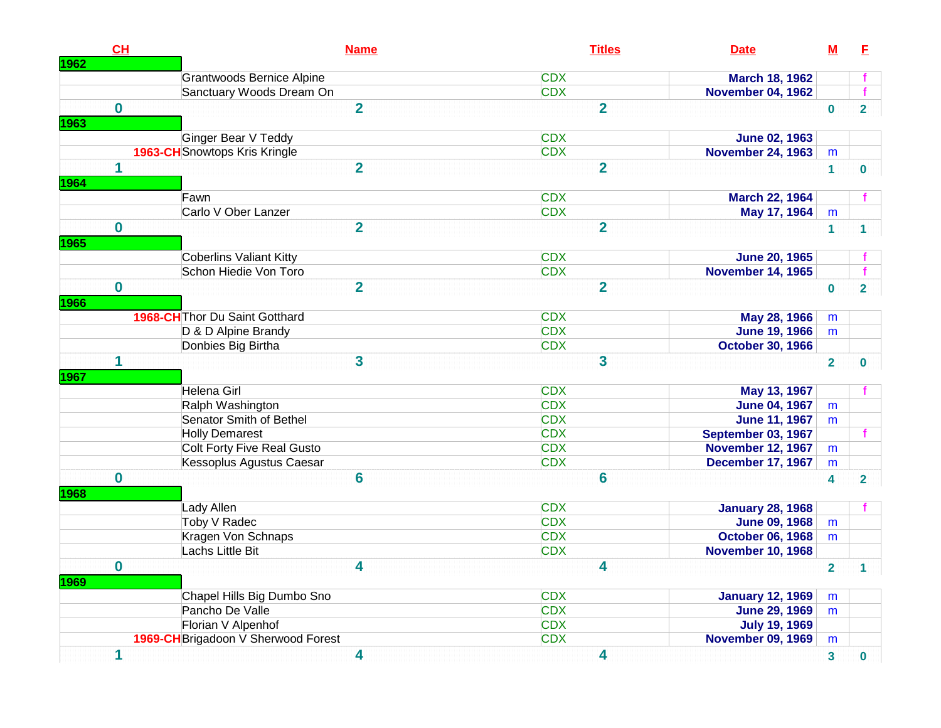|                      | CH          |                                       | <b>Titles</b><br><b>Name</b><br><b>Date</b>                   | ${\bf M}$               | E                       |
|----------------------|-------------|---------------------------------------|---------------------------------------------------------------|-------------------------|-------------------------|
| 1962                 |             |                                       |                                                               |                         |                         |
|                      |             | <b>Grantwoods Bernice Alpine</b>      | <b>CDX</b><br><b>March 18, 1962</b>                           |                         |                         |
|                      |             | Sanctuary Woods Dream On              | <b>CDX</b><br><b>November 04, 1962</b>                        |                         |                         |
|                      | $\mathbf 0$ |                                       | $\overline{\mathbf{2}}$<br>$\overline{2}$                     | $\bf{0}$                | $\overline{\mathbf{2}}$ |
| 1963                 |             |                                       |                                                               |                         |                         |
|                      |             | Ginger Bear V Teddy                   | <b>CDX</b><br><b>June 02, 1963</b>                            |                         |                         |
|                      |             | <b>1963-CH</b> Snowtops Kris Kringle  | <b>CDX</b><br><b>November 24, 1963</b>                        | m                       |                         |
|                      | 1           |                                       | $\overline{\mathbf{2}}$<br>$\overline{2}$                     | $\mathbf{1}$            | $\bf{0}$                |
| 1964                 |             |                                       |                                                               |                         |                         |
|                      |             | Fawn                                  | <b>CDX</b><br><b>March 22, 1964</b>                           |                         |                         |
|                      |             | Carlo V Ober Lanzer                   | <b>CDX</b><br>May 17, 1964                                    | m                       |                         |
|                      | $\bf{0}$    |                                       | $\overline{2}$<br>$\overline{\mathbf{2}}$                     | $\blacktriangleleft$    | 1                       |
| 1965                 |             |                                       |                                                               |                         |                         |
|                      |             | <b>Coberlins Valiant Kitty</b>        | <b>CDX</b><br><b>June 20, 1965</b>                            |                         |                         |
|                      |             | Schon Hiedie Von Toro                 | <b>CDX</b><br><b>November 14, 1965</b>                        |                         |                         |
|                      | $\bf{0}$    |                                       | $\overline{2}$<br>$\overline{2}$                              | $\bf{0}$                | $\overline{\mathbf{2}}$ |
| 1966                 |             |                                       |                                                               |                         |                         |
|                      |             | <b>1968-CH</b> Thor Du Saint Gotthard | <b>CDX</b><br>May 28, 1966                                    |                         |                         |
|                      |             | D & D Alpine Brandy                   | <b>CDX</b><br><b>June 19, 1966</b>                            | m<br>m                  |                         |
|                      |             | Donbies Big Birtha                    | <b>CDX</b>                                                    |                         |                         |
|                      | 1           |                                       | <b>October 30, 1966</b><br>3<br>3                             | $\overline{2}$          |                         |
|                      |             |                                       |                                                               |                         |                         |
|                      |             | Helena Girl                           | <b>CDX</b><br>May 13, 1967                                    |                         |                         |
|                      |             | Ralph Washington                      | <b>CDX</b><br><b>June 04, 1967</b>                            | m                       |                         |
|                      |             | Senator Smith of Bethel               | <b>CDX</b><br><b>June 11, 1967</b>                            | m                       |                         |
|                      |             | <b>Holly Demarest</b>                 | <b>CDX</b><br>September 03, 1967                              |                         |                         |
|                      |             | Colt Forty Five Real Gusto            | <b>CDX</b><br><b>November 12, 1967</b>                        | m                       |                         |
|                      |             | Kessoplus Agustus Caesar              | <b>December 17, 1967</b><br><b>CDX</b>                        | m                       | $\bf{0}$                |
|                      | $\bf{0}$    |                                       | $6\phantom{1}6$<br>6                                          | 4                       | $\overline{\mathbf{2}}$ |
|                      |             |                                       |                                                               |                         |                         |
|                      |             | Lady Allen                            | <b>CDX</b><br><b>January 28, 1968</b>                         |                         |                         |
|                      |             | Toby V Radec                          | <b>CDX</b><br><b>June 09, 1968</b>                            | m                       |                         |
|                      |             | Kragen Von Schnaps                    | <b>CDX</b><br><b>October 06, 1968</b>                         | m                       |                         |
|                      |             | Lachs Little Bit                      | <b>CDX</b><br><b>November 10, 1968</b>                        |                         |                         |
|                      | 0           |                                       | 4<br>4                                                        | $\overline{\mathbf{2}}$ |                         |
|                      |             | Chapel Hills Big Dumbo Sno            | <b>CDX</b>                                                    | m                       |                         |
| 1967<br>1968<br>1969 |             | Pancho De Valle                       | <b>January 12, 1969</b><br><b>CDX</b><br><b>June 29, 1969</b> | m                       | 1                       |
|                      |             | Florian V Alpenhof                    | <b>CDX</b><br><b>July 19, 1969</b>                            |                         |                         |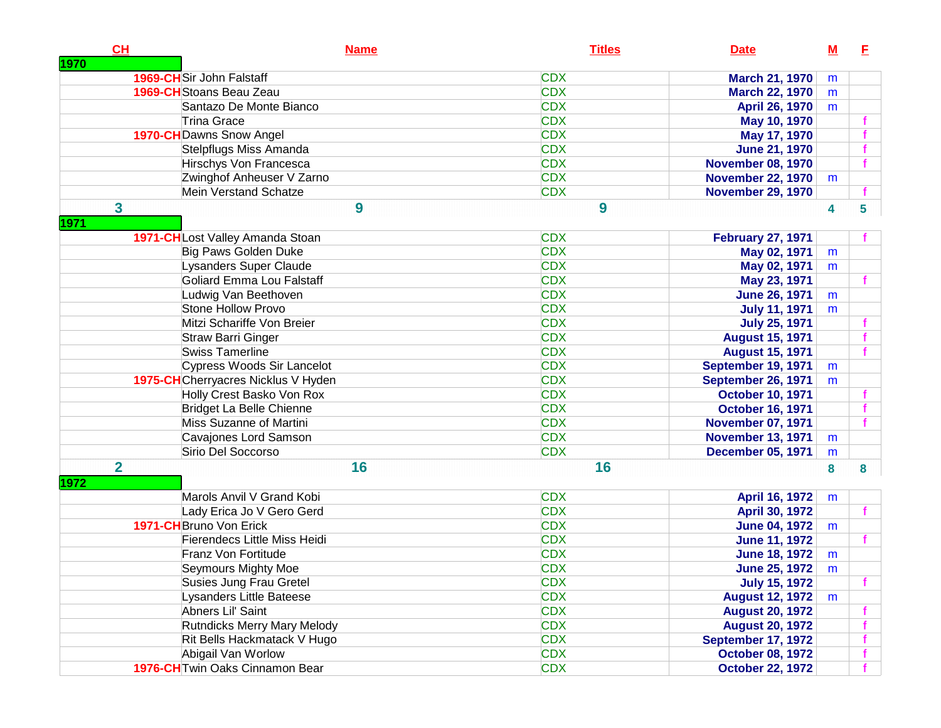|      | CH             | <b>Name</b>                            | <b>Titles</b> | <b>Date</b>               | $\underline{\mathbf{M}}$ | Е |
|------|----------------|----------------------------------------|---------------|---------------------------|--------------------------|---|
| 1970 |                | 1969-CHSir John Falstaff               | <b>CDX</b>    |                           |                          |   |
|      |                | 1969-CH Stoans Beau Zeau               | <b>CDX</b>    | <b>March 21, 1970</b>     | m                        |   |
|      |                |                                        | <b>CDX</b>    | <b>March 22, 1970</b>     | m                        |   |
|      |                | Santazo De Monte Bianco<br>Trina Grace | <b>CDX</b>    | <b>April 26, 1970</b>     | m                        |   |
|      |                |                                        | <b>CDX</b>    | May 10, 1970              |                          |   |
|      |                | 1970-CH Dawns Snow Angel               | <b>CDX</b>    | May 17, 1970              |                          |   |
|      |                | Stelpflugs Miss Amanda                 | <b>CDX</b>    | <b>June 21, 1970</b>      |                          |   |
|      |                | Hirschys Von Francesca                 | <b>CDX</b>    | <b>November 08, 1970</b>  |                          |   |
|      |                | Zwinghof Anheuser V Zarno              | <b>CDX</b>    | <b>November 22, 1970</b>  | m                        |   |
|      |                | <b>Mein Verstand Schatze</b>           |               | <b>November 29, 1970</b>  |                          |   |
|      | 3              | 9                                      | 9             |                           | 4                        | 5 |
| 1971 |                |                                        |               |                           |                          |   |
|      |                | 1971-CHLost Valley Amanda Stoan        | <b>CDX</b>    | <b>February 27, 1971</b>  |                          |   |
|      |                | Big Paws Golden Duke                   | <b>CDX</b>    | May 02, 1971              | m                        |   |
|      |                | Lysanders Super Claude                 | <b>CDX</b>    | May 02, 1971              | m                        |   |
|      |                | Goliard Emma Lou Falstaff              | <b>CDX</b>    | May 23, 1971              |                          |   |
|      |                | Ludwig Van Beethoven                   | <b>CDX</b>    | <b>June 26, 1971</b>      | m                        |   |
|      |                | <b>Stone Hollow Provo</b>              | <b>CDX</b>    | <b>July 11, 1971</b>      | m                        |   |
|      |                | Mitzi Schariffe Von Breier             | <b>CDX</b>    | <b>July 25, 1971</b>      |                          |   |
|      |                | <b>Straw Barri Ginger</b>              | <b>CDX</b>    | <b>August 15, 1971</b>    |                          |   |
|      |                | <b>Swiss Tamerline</b>                 | <b>CDX</b>    | <b>August 15, 1971</b>    |                          |   |
|      |                | Cypress Woods Sir Lancelot             | <b>CDX</b>    | September 19, 1971        | m                        |   |
|      |                | 1975-CHCherryacres Nicklus V Hyden     | <b>CDX</b>    | September 26, 1971        | m                        |   |
|      |                | Holly Crest Basko Von Rox              | <b>CDX</b>    | <b>October 10, 1971</b>   |                          |   |
|      |                | Bridget La Belle Chienne               | <b>CDX</b>    | <b>October 16, 1971</b>   |                          |   |
|      |                | Miss Suzanne of Martini                | <b>CDX</b>    | <b>November 07, 1971</b>  |                          |   |
|      |                | Cavajones Lord Samson                  | <b>CDX</b>    | <b>November 13, 1971</b>  | m                        |   |
|      |                | Sirio Del Soccorso                     | <b>CDX</b>    | <b>December 05, 1971</b>  | m                        |   |
|      | $\overline{2}$ | 16                                     | 16            |                           | 8                        | 8 |
| 1972 |                |                                        |               |                           |                          |   |
|      |                | Marols Anvil V Grand Kobi              | <b>CDX</b>    | April 16, 1972            | m                        |   |
|      |                | Lady Erica Jo V Gero Gerd              | <b>CDX</b>    | April 30, 1972            |                          |   |
|      |                | 1971-CH Bruno Von Erick                | <b>CDX</b>    | <b>June 04, 1972</b>      | m                        |   |
|      |                | <b>Fierendecs Little Miss Heidi</b>    | <b>CDX</b>    | <b>June 11, 1972</b>      |                          |   |
|      |                | Franz Von Fortitude                    | <b>CDX</b>    | <b>June 18, 1972</b>      | m                        |   |
|      |                | Seymours Mighty Moe                    | <b>CDX</b>    | <b>June 25, 1972</b>      | m                        |   |
|      |                | Susies Jung Frau Gretel                | <b>CDX</b>    | <b>July 15, 1972</b>      |                          |   |
|      |                | Lysanders Little Bateese               | <b>CDX</b>    | August 12, 1972           | m                        |   |
|      |                | Abners Lil' Saint                      | <b>CDX</b>    | <b>August 20, 1972</b>    |                          |   |
|      |                | <b>Rutndicks Merry Mary Melody</b>     | <b>CDX</b>    | <b>August 20, 1972</b>    |                          |   |
|      |                | Rit Bells Hackmatack V Hugo            | <b>CDX</b>    | <b>September 17, 1972</b> |                          |   |
|      |                | Abigail Van Worlow                     | <b>CDX</b>    | <b>October 08, 1972</b>   |                          |   |
|      |                | 1976-CH Twin Oaks Cinnamon Bear        | <b>CDX</b>    | <b>October 22, 1972</b>   |                          |   |
|      |                |                                        |               |                           |                          |   |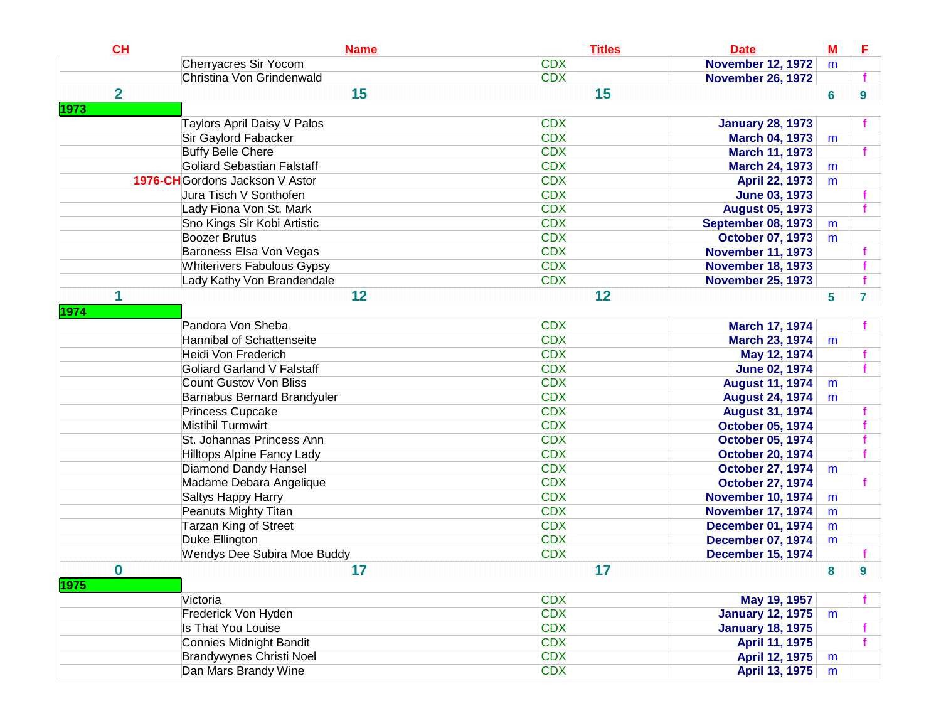| CL               | <b>Name</b>                       | <b>Titles</b> | <b>Date</b>               | $M$ | E |
|------------------|-----------------------------------|---------------|---------------------------|-----|---|
|                  | Cherryacres Sir Yocom             | <b>CDX</b>    | <b>November 12, 1972</b>  | m   |   |
|                  | Christina Von Grindenwald         | <b>CDX</b>    | <b>November 26, 1972</b>  |     |   |
| $\overline{2}$   | 15                                | 15            |                           | 6   | 9 |
| 1973             |                                   |               |                           |     |   |
|                  | Taylors April Daisy V Palos       | <b>CDX</b>    | <b>January 28, 1973</b>   |     |   |
|                  | Sir Gaylord Fabacker              | <b>CDX</b>    | <b>March 04, 1973</b>     | m   |   |
|                  | <b>Buffy Belle Chere</b>          | <b>CDX</b>    | <b>March 11, 1973</b>     |     |   |
|                  | Goliard Sebastian Falstaff        | <b>CDX</b>    | <b>March 24, 1973</b>     | m   |   |
|                  | 1976-CH Gordons Jackson V Astor   | <b>CDX</b>    | April 22, 1973            | m   |   |
|                  | Jura Tisch V Sonthofen            | <b>CDX</b>    | <b>June 03, 1973</b>      |     |   |
|                  | Lady Fiona Von St. Mark           | <b>CDX</b>    | <b>August 05, 1973</b>    |     |   |
|                  | Sno Kings Sir Kobi Artistic       | <b>CDX</b>    | <b>September 08, 1973</b> | m   |   |
|                  | <b>Boozer Brutus</b>              | <b>CDX</b>    | <b>October 07, 1973</b>   | m   |   |
|                  | Baroness Elsa Von Vegas           | <b>CDX</b>    | <b>November 11, 1973</b>  |     |   |
|                  | <b>Whiterivers Fabulous Gypsy</b> | <b>CDX</b>    | <b>November 18, 1973</b>  |     |   |
|                  | Lady Kathy Von Brandendale        | <b>CDX</b>    | <b>November 25, 1973</b>  |     |   |
| 1                | 12                                | 12            |                           | 5   | 7 |
| 1974             |                                   |               |                           |     |   |
|                  | Pandora Von Sheba                 | <b>CDX</b>    | March 17, 1974            |     |   |
|                  | Hannibal of Schattenseite         | <b>CDX</b>    | March 23, 1974            | m   |   |
|                  | Heidi Von Frederich               | <b>CDX</b>    | May 12, 1974              |     |   |
|                  | Goliard Garland V Falstaff        | <b>CDX</b>    | <b>June 02, 1974</b>      |     |   |
|                  | <b>Count Gustov Von Bliss</b>     | <b>CDX</b>    | <b>August 11, 1974</b>    | m   |   |
|                  | Barnabus Bernard Brandyuler       | <b>CDX</b>    | <b>August 24, 1974</b>    | m   |   |
|                  | Princess Cupcake                  | <b>CDX</b>    | <b>August 31, 1974</b>    |     |   |
|                  | <b>Mistihil Turmwirt</b>          | <b>CDX</b>    | <b>October 05, 1974</b>   |     |   |
|                  | St. Johannas Princess Ann         | <b>CDX</b>    | <b>October 05, 1974</b>   |     |   |
|                  | Hilltops Alpine Fancy Lady        | <b>CDX</b>    | <b>October 20, 1974</b>   |     |   |
|                  | <b>Diamond Dandy Hansel</b>       | <b>CDX</b>    | <b>October 27, 1974</b>   | m   |   |
|                  | Madame Debara Angelique           | <b>CDX</b>    | <b>October 27, 1974</b>   |     |   |
|                  | Saltys Happy Harry                | <b>CDX</b>    | <b>November 10, 1974</b>  | m   |   |
|                  | Peanuts Mighty Titan              | <b>CDX</b>    | <b>November 17, 1974</b>  | m   |   |
|                  | <b>Tarzan King of Street</b>      | <b>CDX</b>    | <b>December 01, 1974</b>  | m   |   |
|                  | Duke Ellington                    | <b>CDX</b>    | <b>December 07, 1974</b>  | m   |   |
|                  | Wendys Dee Subira Moe Buddy       | <b>CDX</b>    | <b>December 15, 1974</b>  |     |   |
| $\bf{0}$<br>1975 | 17                                | 17            |                           | 8   | 9 |
|                  | Victoria                          | <b>CDX</b>    | May 19, 1957              |     |   |
|                  | Frederick Von Hyden               | <b>CDX</b>    | <b>January 12, 1975</b>   | m   |   |
|                  | Is That You Louise                | <b>CDX</b>    | <b>January 18, 1975</b>   |     |   |
|                  | Connies Midnight Bandit           | <b>CDX</b>    | April 11, 1975            |     |   |
|                  | Brandywynes Christi Noel          | <b>CDX</b>    | April 12, 1975            | m   |   |
|                  | Dan Mars Brandy Wine              | <b>CDX</b>    | <b>April 13, 1975</b>     | m   |   |
|                  |                                   |               |                           |     |   |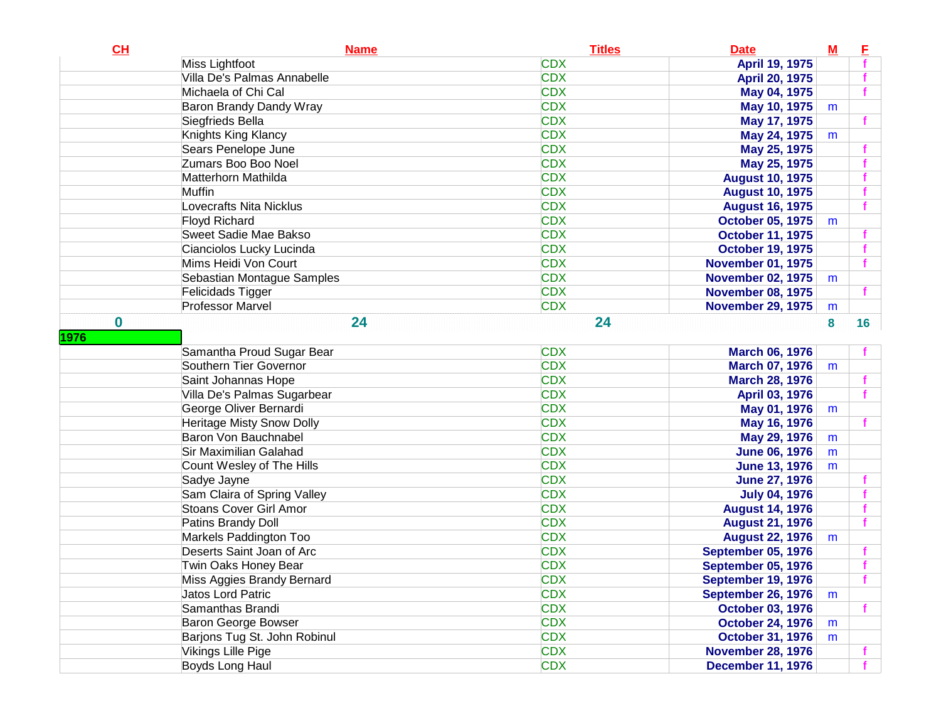| CH       | <b>Name</b>                      | <b>Titles</b> | <b>Date</b>               | M | Е               |
|----------|----------------------------------|---------------|---------------------------|---|-----------------|
|          | Miss Lightfoot                   | <b>CDX</b>    | April 19, 1975            |   |                 |
|          | Villa De's Palmas Annabelle      | <b>CDX</b>    | April 20, 1975            |   |                 |
|          | Michaela of Chi Cal              | <b>CDX</b>    | May 04, 1975              |   |                 |
|          | Baron Brandy Dandy Wray          | <b>CDX</b>    | May 10, 1975              | m |                 |
|          | Siegfrieds Bella                 | <b>CDX</b>    | May 17, 1975              |   |                 |
|          | Knights King Klancy              | <b>CDX</b>    | May 24, 1975              | m |                 |
|          | Sears Penelope June              | <b>CDX</b>    | May 25, 1975              |   |                 |
|          | Zumars Boo Boo Noel              | <b>CDX</b>    | May 25, 1975              |   |                 |
|          | Matterhorn Mathilda              | <b>CDX</b>    | <b>August 10, 1975</b>    |   |                 |
|          | Muffin                           | <b>CDX</b>    | <b>August 10, 1975</b>    |   |                 |
|          | Lovecrafts Nita Nicklus          | <b>CDX</b>    | <b>August 16, 1975</b>    |   |                 |
|          | <b>Floyd Richard</b>             | <b>CDX</b>    | <b>October 05, 1975</b>   | m |                 |
|          | Sweet Sadie Mae Bakso            | <b>CDX</b>    | <b>October 11, 1975</b>   |   |                 |
|          | Cianciolos Lucky Lucinda         | <b>CDX</b>    | <b>October 19, 1975</b>   |   |                 |
|          | Mims Heidi Von Court             | <b>CDX</b>    | <b>November 01, 1975</b>  |   |                 |
|          | Sebastian Montague Samples       | <b>CDX</b>    | <b>November 02, 1975</b>  | m |                 |
|          | Felicidads Tigger                | <b>CDX</b>    | <b>November 08, 1975</b>  |   |                 |
|          | <b>Professor Marvel</b>          | <b>CDX</b>    | <b>November 29, 1975</b>  | m |                 |
| $\bf{0}$ | 24                               | 24            |                           | 8 | 16 <sup>1</sup> |
| 1976     |                                  |               |                           |   |                 |
|          | Samantha Proud Sugar Bear        | <b>CDX</b>    | <b>March 06, 1976</b>     |   |                 |
|          | Southern Tier Governor           | <b>CDX</b>    | <b>March 07, 1976</b>     | m |                 |
|          | Saint Johannas Hope              | <b>CDX</b>    | <b>March 28, 1976</b>     |   |                 |
|          | Villa De's Palmas Sugarbear      | <b>CDX</b>    | April 03, 1976            |   |                 |
|          | George Oliver Bernardi           | <b>CDX</b>    | May 01, 1976              | m |                 |
|          | <b>Heritage Misty Snow Dolly</b> | <b>CDX</b>    | May 16, 1976              |   |                 |
|          | Baron Von Bauchnabel             | <b>CDX</b>    | May 29, 1976              | m |                 |
|          | Sir Maximilian Galahad           | <b>CDX</b>    | <b>June 06, 1976</b>      | m |                 |
|          | Count Wesley of The Hills        | <b>CDX</b>    | <b>June 13, 1976</b>      | m |                 |
|          | Sadye Jayne                      | <b>CDX</b>    | <b>June 27, 1976</b>      |   |                 |
|          | Sam Claira of Spring Valley      | <b>CDX</b>    | <b>July 04, 1976</b>      |   |                 |
|          | <b>Stoans Cover Girl Amor</b>    | <b>CDX</b>    | <b>August 14, 1976</b>    |   |                 |
|          | Patins Brandy Doll               | <b>CDX</b>    | <b>August 21, 1976</b>    |   |                 |
|          | Markels Paddington Too           | <b>CDX</b>    | <b>August 22, 1976</b>    | m |                 |
|          | Deserts Saint Joan of Arc        | <b>CDX</b>    | <b>September 05, 1976</b> |   |                 |
|          | Twin Oaks Honey Bear             | <b>CDX</b>    | <b>September 05, 1976</b> |   |                 |
|          | Miss Aggies Brandy Bernard       | <b>CDX</b>    | September 19, 1976        |   |                 |
|          | Jatos Lord Patric                | <b>CDX</b>    | <b>September 26, 1976</b> | m |                 |
|          | Samanthas Brandi                 | <b>CDX</b>    | <b>October 03, 1976</b>   |   |                 |
|          | Baron George Bowser              | <b>CDX</b>    | <b>October 24, 1976</b>   | m |                 |
|          | Barjons Tug St. John Robinul     | <b>CDX</b>    | <b>October 31, 1976</b>   | m |                 |
|          | Vikings Lille Pige               | <b>CDX</b>    | <b>November 28, 1976</b>  |   |                 |
|          | Boyds Long Haul                  | <b>CDX</b>    | <b>December 11, 1976</b>  |   |                 |
|          |                                  |               |                           |   |                 |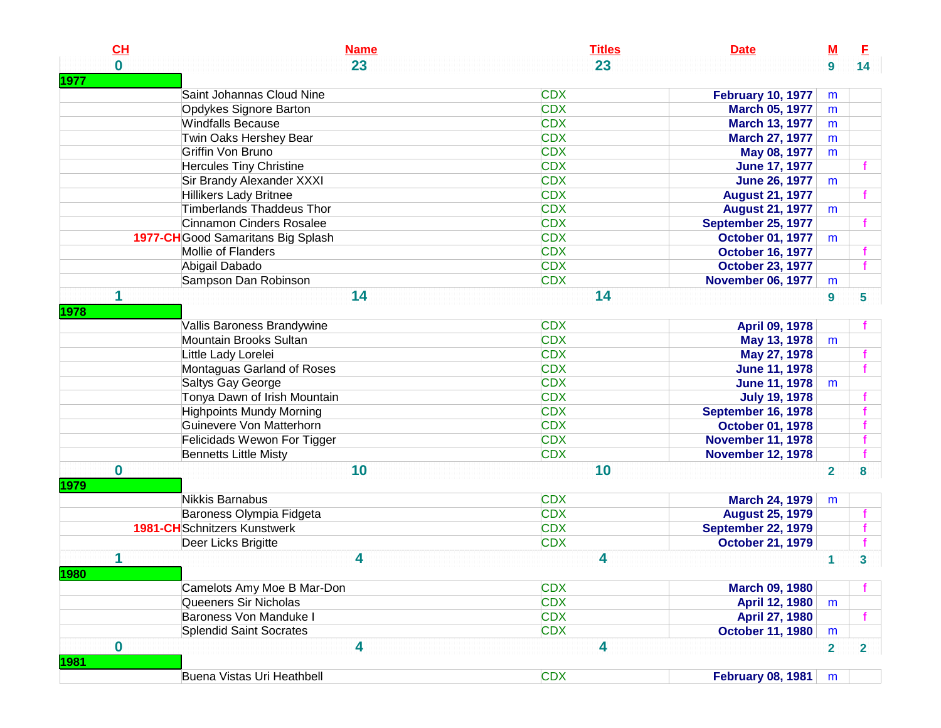| CL       | <b>Name</b>                         | <b>Titles</b> | <b>Date</b>               | $\underline{\mathbf{M}}$ | E               |
|----------|-------------------------------------|---------------|---------------------------|--------------------------|-----------------|
| $\bf{0}$ | 23                                  | 23            |                           | 9                        | 14 <sup>2</sup> |
| 1977     |                                     |               |                           |                          |                 |
|          | Saint Johannas Cloud Nine           | <b>CDX</b>    | <b>February 10, 1977</b>  | m                        |                 |
|          | Opdykes Signore Barton              | <b>CDX</b>    | <b>March 05, 1977</b>     | m                        |                 |
|          | <b>Windfalls Because</b>            | <b>CDX</b>    | <b>March 13, 1977</b>     | m                        |                 |
|          | Twin Oaks Hershey Bear              | <b>CDX</b>    | <b>March 27, 1977</b>     | m                        |                 |
|          | Griffin Von Bruno                   | <b>CDX</b>    | May 08, 1977              | m                        |                 |
|          | <b>Hercules Tiny Christine</b>      | <b>CDX</b>    | <b>June 17, 1977</b>      |                          |                 |
|          | Sir Brandy Alexander XXXI           | <b>CDX</b>    | <b>June 26, 1977</b>      | m                        |                 |
|          | <b>Hillikers Lady Britnee</b>       | <b>CDX</b>    | <b>August 21, 1977</b>    |                          |                 |
|          | <b>Timberlands Thaddeus Thor</b>    | <b>CDX</b>    | <b>August 21, 1977</b>    | m                        |                 |
|          | <b>Cinnamon Cinders Rosalee</b>     | <b>CDX</b>    | September 25, 1977        |                          |                 |
|          | 1977-CH Good Samaritans Big Splash  | <b>CDX</b>    | <b>October 01, 1977</b>   | m                        |                 |
|          | Mollie of Flanders                  | <b>CDX</b>    | <b>October 16, 1977</b>   |                          |                 |
|          | Abigail Dabado                      | <b>CDX</b>    | <b>October 23, 1977</b>   |                          |                 |
|          | Sampson Dan Robinson                | <b>CDX</b>    | <b>November 06, 1977</b>  | m                        |                 |
| 1        | 14                                  | 14            |                           | $\boldsymbol{9}$         | 5               |
| 1978     |                                     |               |                           |                          |                 |
|          | Vallis Baroness Brandywine          | <b>CDX</b>    | <b>April 09, 1978</b>     |                          |                 |
|          | Mountain Brooks Sultan              | <b>CDX</b>    | May 13, 1978              | m                        |                 |
|          | Little Lady Lorelei                 | <b>CDX</b>    | May 27, 1978              |                          |                 |
|          | Montaguas Garland of Roses          | <b>CDX</b>    | <b>June 11, 1978</b>      |                          |                 |
|          | Saltys Gay George                   | <b>CDX</b>    | <b>June 11, 1978</b>      | m                        |                 |
|          | Tonya Dawn of Irish Mountain        | <b>CDX</b>    | <b>July 19, 1978</b>      |                          |                 |
|          | <b>Highpoints Mundy Morning</b>     | <b>CDX</b>    | September 16, 1978        |                          |                 |
|          | Guinevere Von Matterhorn            | <b>CDX</b>    | <b>October 01, 1978</b>   |                          |                 |
|          | Felicidads Wewon For Tigger         | <b>CDX</b>    |                           |                          |                 |
|          |                                     | <b>CDX</b>    | <b>November 11, 1978</b>  |                          |                 |
|          | <b>Bennetts Little Misty</b>        |               | <b>November 12, 1978</b>  |                          |                 |
| $\bf{0}$ | 10                                  | 10            |                           | $\overline{2}$           | 8               |
| 1979     |                                     |               |                           |                          |                 |
|          | Nikkis Barnabus                     | <b>CDX</b>    | <b>March 24, 1979</b>     | m                        |                 |
|          | Baroness Olympia Fidgeta            | <b>CDX</b>    | <b>August 25, 1979</b>    |                          |                 |
|          | <b>1981-CH</b> Schnitzers Kunstwerk | <b>CDX</b>    | <b>September 22, 1979</b> |                          |                 |
|          | Deer Licks Brigitte                 | <b>CDX</b>    | <b>October 21, 1979</b>   |                          |                 |
|          | 4                                   | 4             |                           | 1                        | 3               |
| 1980     |                                     |               |                           |                          |                 |
|          | Camelots Amy Moe B Mar-Don          | <b>CDX</b>    | <b>March 09, 1980</b>     |                          | f.              |
|          | Queeners Sir Nicholas               | <b>CDX</b>    | April 12, 1980            | m                        |                 |
|          | Baroness Von Manduke I              | <b>CDX</b>    | April 27, 1980            |                          |                 |
|          | <b>Splendid Saint Socrates</b>      | <b>CDX</b>    | <b>October 11, 1980</b>   | m                        |                 |
| $\bf{0}$ | 4                                   | 4             |                           | $\overline{2}$           | $\overline{2}$  |
| 1981     |                                     |               |                           |                          |                 |
|          | Buena Vistas Uri Heathbell          | <b>CDX</b>    | <b>February 08, 1981</b>  | m                        |                 |
|          |                                     |               |                           |                          |                 |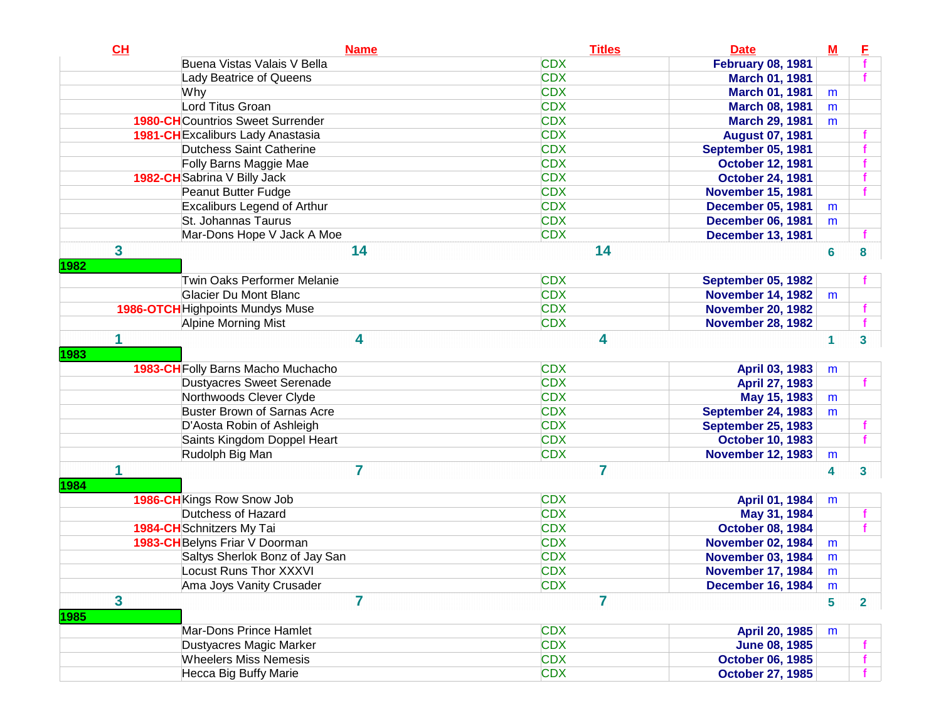| CL                      | <b>Name</b>                              | <b>Titles</b>  | <b>Date</b>               | $\underline{\mathsf{M}}$ | E              |
|-------------------------|------------------------------------------|----------------|---------------------------|--------------------------|----------------|
|                         | Buena Vistas Valais V Bella              | <b>CDX</b>     | <b>February 08, 1981</b>  |                          |                |
|                         | Lady Beatrice of Queens                  | <b>CDX</b>     | <b>March 01, 1981</b>     |                          |                |
|                         | Why                                      | <b>CDX</b>     | <b>March 01, 1981</b>     | m                        |                |
|                         | Lord Titus Groan                         | <b>CDX</b>     | <b>March 08, 1981</b>     | m                        |                |
|                         | <b>1980-CH</b> Countrios Sweet Surrender | <b>CDX</b>     | <b>March 29, 1981</b>     | m                        |                |
|                         | <b>1981-CH</b> Excaliburs Lady Anastasia | <b>CDX</b>     | <b>August 07, 1981</b>    |                          |                |
|                         | <b>Dutchess Saint Catherine</b>          | <b>CDX</b>     | September 05, 1981        |                          |                |
|                         | Folly Barns Maggie Mae                   | <b>CDX</b>     | <b>October 12, 1981</b>   |                          |                |
|                         | 1982-CH Sabrina V Billy Jack             | <b>CDX</b>     | <b>October 24, 1981</b>   |                          |                |
|                         | Peanut Butter Fudge                      | <b>CDX</b>     | <b>November 15, 1981</b>  |                          |                |
|                         | <b>Excaliburs Legend of Arthur</b>       | <b>CDX</b>     | <b>December 05, 1981</b>  | m                        |                |
|                         | St. Johannas Taurus                      | <b>CDX</b>     | <b>December 06, 1981</b>  | m                        |                |
|                         | Mar-Dons Hope V Jack A Moe               | <b>CDX</b>     | <b>December 13, 1981</b>  |                          |                |
| $\overline{\mathbf{3}}$ | 14                                       | 14             |                           | 6                        | 8              |
| 1982                    |                                          |                |                           |                          |                |
|                         | Twin Oaks Performer Melanie              | <b>CDX</b>     | <b>September 05, 1982</b> |                          |                |
|                         | Glacier Du Mont Blanc                    | <b>CDX</b>     | <b>November 14, 1982</b>  | m                        |                |
|                         | <b>1986-OTCH</b> Highpoints Mundys Muse  | <b>CDX</b>     | <b>November 20, 1982</b>  |                          |                |
|                         | Alpine Morning Mist                      | <b>CDX</b>     | <b>November 28, 1982</b>  |                          |                |
|                         | 4                                        | 4              |                           | 1                        | 3              |
| 1983                    |                                          |                |                           |                          |                |
|                         | 1983-CH Folly Barns Macho Muchacho       | <b>CDX</b>     | April 03, 1983            | m                        |                |
|                         | <b>Dustyacres Sweet Serenade</b>         | <b>CDX</b>     | April 27, 1983            |                          |                |
|                         | Northwoods Clever Clyde                  | <b>CDX</b>     | May 15, 1983              | m                        |                |
|                         | <b>Buster Brown of Sarnas Acre</b>       | <b>CDX</b>     | <b>September 24, 1983</b> | m                        |                |
|                         | D'Aosta Robin of Ashleigh                | <b>CDX</b>     | <b>September 25, 1983</b> |                          |                |
|                         | Saints Kingdom Doppel Heart              | <b>CDX</b>     | <b>October 10, 1983</b>   |                          |                |
|                         | Rudolph Big Man                          | <b>CDX</b>     | <b>November 12, 1983</b>  | m                        |                |
| 1                       | 7                                        | $\overline{7}$ |                           | 4                        | 3              |
| 1984                    |                                          |                |                           |                          |                |
|                         | 1986-CH Kings Row Snow Job               | <b>CDX</b>     | April 01, 1984            | m                        |                |
|                         | Dutchess of Hazard                       | <b>CDX</b>     | May 31, 1984              |                          |                |
|                         | 1984-CH Schnitzers My Tai                | <b>CDX</b>     | <b>October 08, 1984</b>   |                          |                |
|                         | 1983-CH Belyns Friar V Doorman           | <b>CDX</b>     | <b>November 02, 1984</b>  | m                        |                |
|                         | Saltys Sherlok Bonz of Jay San           | <b>CDX</b>     | <b>November 03, 1984</b>  | m                        |                |
|                         | <b>Locust Runs Thor XXXVI</b>            | <b>CDX</b>     | <b>November 17, 1984</b>  | m                        |                |
|                         | Ama Joys Vanity Crusader                 | <b>CDX</b>     | <b>December 16, 1984</b>  | m                        |                |
| $\overline{\mathbf{3}}$ | 7                                        | 7              |                           | 5                        | $\overline{2}$ |
| <b>1985</b>             |                                          |                |                           |                          |                |
|                         | Mar-Dons Prince Hamlet                   | <b>CDX</b>     | April 20, 1985            | m                        |                |
|                         | Dustyacres Magic Marker                  | <b>CDX</b>     | <b>June 08, 1985</b>      |                          |                |
|                         | <b>Wheelers Miss Nemesis</b>             | <b>CDX</b>     | <b>October 06, 1985</b>   |                          |                |
|                         | Hecca Big Buffy Marie                    | <b>CDX</b>     | <b>October 27, 1985</b>   |                          |                |
|                         |                                          |                |                           |                          |                |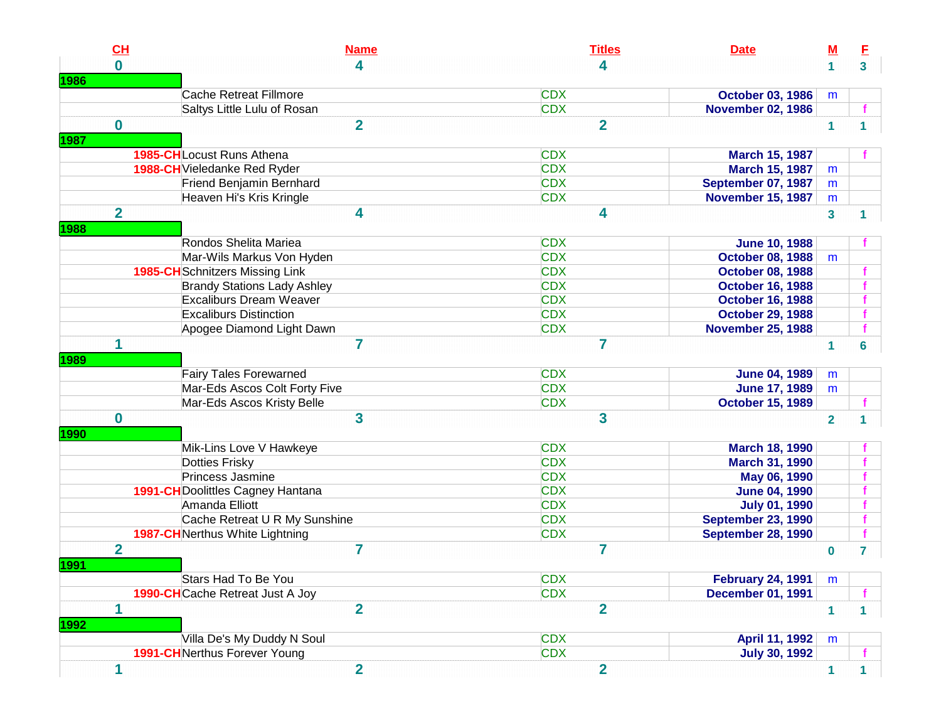| $\mathbf{0}$<br>4<br>4<br>3 <sup>1</sup><br>1<br><b>CDX</b><br>Cache Retreat Fillmore<br><b>October 03, 1986</b><br>m<br><b>CDX</b><br>Saltys Little Lulu of Rosan<br><b>November 02, 1986</b><br>$\overline{2}$<br>$\overline{2}$<br>$\mathbf 0$<br>$\mathbf{1}$<br>1<br>1987<br><b>1985-CH</b> Locust Runs Athena<br><b>CDX</b><br><b>March 15, 1987</b><br><b>CDX</b><br>1988-CH Vieledanke Red Ryder<br><b>March 15, 1987</b><br>m<br><b>CDX</b><br>Friend Benjamin Bernhard<br>September 07, 1987<br>m<br><b>CDX</b><br>Heaven Hi's Kris Kringle<br><b>November 15, 1987</b><br>m<br>$\overline{\mathbf{2}}$<br>4<br>4<br>$\overline{\mathbf{3}}$<br>1.<br>1988<br><b>CDX</b><br>Rondos Shelita Mariea<br><b>June 10, 1988</b><br><b>CDX</b><br>Mar-Wils Markus Von Hyden<br><b>October 08, 1988</b><br>m<br><b>CDX</b><br><b>1985-CH</b> Schnitzers Missing Link<br><b>October 08, 1988</b><br><b>CDX</b><br><b>Brandy Stations Lady Ashley</b><br><b>October 16, 1988</b><br><b>Excaliburs Dream Weaver</b><br><b>CDX</b><br><b>October 16, 1988</b><br><b>CDX</b><br><b>Excaliburs Distinction</b><br><b>October 29, 1988</b><br><b>CDX</b><br><b>November 25, 1988</b><br>Apogee Diamond Light Dawn<br>1<br>7<br>7<br>1<br>6<br>1989<br><b>CDX</b><br><b>Fairy Tales Forewarned</b><br><b>June 04, 1989</b><br>m<br><b>CDX</b><br>Mar-Eds Ascos Colt Forty Five<br><b>June 17, 1989</b><br>m<br>Mar-Eds Ascos Kristy Belle<br><b>CDX</b><br><b>October 15, 1989</b><br>$\mathbf 0$<br>3<br>3<br>$\overline{2}$<br>1990<br><b>CDX</b><br>Mik-Lins Love V Hawkeye<br><b>March 18, 1990</b><br><b>CDX</b><br><b>Dotties Frisky</b><br>March 31, 1990<br><b>CDX</b><br>Princess Jasmine<br>May 06, 1990<br><b>CDX</b><br><b>1991-CH</b> Doolittles Cagney Hantana<br><b>June 04, 1990</b><br><b>CDX</b><br>Amanda Elliott<br><b>July 01, 1990</b><br>Cache Retreat U R My Sunshine<br><b>CDX</b><br><b>September 23, 1990</b><br><b>CDX</b><br>September 28, 1990<br><b>1987-CH</b> Nerthus White Lightning<br>$\overline{2}$<br>7<br>7<br>$\bf{0}$<br>7.<br>Stars Had To Be You<br><b>CDX</b><br><b>February 24, 1991</b><br>m<br><b>1990-CH</b> Cache Retreat Just A Joy<br><b>CDX</b><br><b>December 01, 1991</b><br>$\overline{2}$<br>$\overline{2}$<br>1<br>$\mathbf{1}$<br>$\mathbf 1$<br>1992<br>Villa De's My Duddy N Soul<br><b>CDX</b><br>April 11, 1992<br>m | CL   |                                      | <b>Titles</b><br><b>Name</b><br><b>Date</b> | <u>M</u> | E |
|------------------------------------------------------------------------------------------------------------------------------------------------------------------------------------------------------------------------------------------------------------------------------------------------------------------------------------------------------------------------------------------------------------------------------------------------------------------------------------------------------------------------------------------------------------------------------------------------------------------------------------------------------------------------------------------------------------------------------------------------------------------------------------------------------------------------------------------------------------------------------------------------------------------------------------------------------------------------------------------------------------------------------------------------------------------------------------------------------------------------------------------------------------------------------------------------------------------------------------------------------------------------------------------------------------------------------------------------------------------------------------------------------------------------------------------------------------------------------------------------------------------------------------------------------------------------------------------------------------------------------------------------------------------------------------------------------------------------------------------------------------------------------------------------------------------------------------------------------------------------------------------------------------------------------------------------------------------------------------------------------------------------------------------------------------------------------------------------------------------------------------------------------------------------------------------------------------------------------------------------------------------------------------------------------------------------------------------------------------------------------|------|--------------------------------------|---------------------------------------------|----------|---|
|                                                                                                                                                                                                                                                                                                                                                                                                                                                                                                                                                                                                                                                                                                                                                                                                                                                                                                                                                                                                                                                                                                                                                                                                                                                                                                                                                                                                                                                                                                                                                                                                                                                                                                                                                                                                                                                                                                                                                                                                                                                                                                                                                                                                                                                                                                                                                                              |      |                                      |                                             |          |   |
|                                                                                                                                                                                                                                                                                                                                                                                                                                                                                                                                                                                                                                                                                                                                                                                                                                                                                                                                                                                                                                                                                                                                                                                                                                                                                                                                                                                                                                                                                                                                                                                                                                                                                                                                                                                                                                                                                                                                                                                                                                                                                                                                                                                                                                                                                                                                                                              | 1986 |                                      |                                             |          |   |
|                                                                                                                                                                                                                                                                                                                                                                                                                                                                                                                                                                                                                                                                                                                                                                                                                                                                                                                                                                                                                                                                                                                                                                                                                                                                                                                                                                                                                                                                                                                                                                                                                                                                                                                                                                                                                                                                                                                                                                                                                                                                                                                                                                                                                                                                                                                                                                              |      |                                      |                                             |          |   |
|                                                                                                                                                                                                                                                                                                                                                                                                                                                                                                                                                                                                                                                                                                                                                                                                                                                                                                                                                                                                                                                                                                                                                                                                                                                                                                                                                                                                                                                                                                                                                                                                                                                                                                                                                                                                                                                                                                                                                                                                                                                                                                                                                                                                                                                                                                                                                                              |      |                                      |                                             |          |   |
|                                                                                                                                                                                                                                                                                                                                                                                                                                                                                                                                                                                                                                                                                                                                                                                                                                                                                                                                                                                                                                                                                                                                                                                                                                                                                                                                                                                                                                                                                                                                                                                                                                                                                                                                                                                                                                                                                                                                                                                                                                                                                                                                                                                                                                                                                                                                                                              |      |                                      |                                             |          |   |
|                                                                                                                                                                                                                                                                                                                                                                                                                                                                                                                                                                                                                                                                                                                                                                                                                                                                                                                                                                                                                                                                                                                                                                                                                                                                                                                                                                                                                                                                                                                                                                                                                                                                                                                                                                                                                                                                                                                                                                                                                                                                                                                                                                                                                                                                                                                                                                              |      |                                      |                                             |          |   |
|                                                                                                                                                                                                                                                                                                                                                                                                                                                                                                                                                                                                                                                                                                                                                                                                                                                                                                                                                                                                                                                                                                                                                                                                                                                                                                                                                                                                                                                                                                                                                                                                                                                                                                                                                                                                                                                                                                                                                                                                                                                                                                                                                                                                                                                                                                                                                                              |      |                                      |                                             |          |   |
|                                                                                                                                                                                                                                                                                                                                                                                                                                                                                                                                                                                                                                                                                                                                                                                                                                                                                                                                                                                                                                                                                                                                                                                                                                                                                                                                                                                                                                                                                                                                                                                                                                                                                                                                                                                                                                                                                                                                                                                                                                                                                                                                                                                                                                                                                                                                                                              |      |                                      |                                             |          |   |
|                                                                                                                                                                                                                                                                                                                                                                                                                                                                                                                                                                                                                                                                                                                                                                                                                                                                                                                                                                                                                                                                                                                                                                                                                                                                                                                                                                                                                                                                                                                                                                                                                                                                                                                                                                                                                                                                                                                                                                                                                                                                                                                                                                                                                                                                                                                                                                              |      |                                      |                                             |          |   |
|                                                                                                                                                                                                                                                                                                                                                                                                                                                                                                                                                                                                                                                                                                                                                                                                                                                                                                                                                                                                                                                                                                                                                                                                                                                                                                                                                                                                                                                                                                                                                                                                                                                                                                                                                                                                                                                                                                                                                                                                                                                                                                                                                                                                                                                                                                                                                                              |      |                                      |                                             |          |   |
|                                                                                                                                                                                                                                                                                                                                                                                                                                                                                                                                                                                                                                                                                                                                                                                                                                                                                                                                                                                                                                                                                                                                                                                                                                                                                                                                                                                                                                                                                                                                                                                                                                                                                                                                                                                                                                                                                                                                                                                                                                                                                                                                                                                                                                                                                                                                                                              |      |                                      |                                             |          |   |
|                                                                                                                                                                                                                                                                                                                                                                                                                                                                                                                                                                                                                                                                                                                                                                                                                                                                                                                                                                                                                                                                                                                                                                                                                                                                                                                                                                                                                                                                                                                                                                                                                                                                                                                                                                                                                                                                                                                                                                                                                                                                                                                                                                                                                                                                                                                                                                              |      |                                      |                                             |          |   |
|                                                                                                                                                                                                                                                                                                                                                                                                                                                                                                                                                                                                                                                                                                                                                                                                                                                                                                                                                                                                                                                                                                                                                                                                                                                                                                                                                                                                                                                                                                                                                                                                                                                                                                                                                                                                                                                                                                                                                                                                                                                                                                                                                                                                                                                                                                                                                                              |      |                                      |                                             |          |   |
|                                                                                                                                                                                                                                                                                                                                                                                                                                                                                                                                                                                                                                                                                                                                                                                                                                                                                                                                                                                                                                                                                                                                                                                                                                                                                                                                                                                                                                                                                                                                                                                                                                                                                                                                                                                                                                                                                                                                                                                                                                                                                                                                                                                                                                                                                                                                                                              |      |                                      |                                             |          |   |
|                                                                                                                                                                                                                                                                                                                                                                                                                                                                                                                                                                                                                                                                                                                                                                                                                                                                                                                                                                                                                                                                                                                                                                                                                                                                                                                                                                                                                                                                                                                                                                                                                                                                                                                                                                                                                                                                                                                                                                                                                                                                                                                                                                                                                                                                                                                                                                              |      |                                      |                                             |          |   |
|                                                                                                                                                                                                                                                                                                                                                                                                                                                                                                                                                                                                                                                                                                                                                                                                                                                                                                                                                                                                                                                                                                                                                                                                                                                                                                                                                                                                                                                                                                                                                                                                                                                                                                                                                                                                                                                                                                                                                                                                                                                                                                                                                                                                                                                                                                                                                                              |      |                                      |                                             |          |   |
|                                                                                                                                                                                                                                                                                                                                                                                                                                                                                                                                                                                                                                                                                                                                                                                                                                                                                                                                                                                                                                                                                                                                                                                                                                                                                                                                                                                                                                                                                                                                                                                                                                                                                                                                                                                                                                                                                                                                                                                                                                                                                                                                                                                                                                                                                                                                                                              |      |                                      |                                             |          |   |
|                                                                                                                                                                                                                                                                                                                                                                                                                                                                                                                                                                                                                                                                                                                                                                                                                                                                                                                                                                                                                                                                                                                                                                                                                                                                                                                                                                                                                                                                                                                                                                                                                                                                                                                                                                                                                                                                                                                                                                                                                                                                                                                                                                                                                                                                                                                                                                              |      |                                      |                                             |          |   |
|                                                                                                                                                                                                                                                                                                                                                                                                                                                                                                                                                                                                                                                                                                                                                                                                                                                                                                                                                                                                                                                                                                                                                                                                                                                                                                                                                                                                                                                                                                                                                                                                                                                                                                                                                                                                                                                                                                                                                                                                                                                                                                                                                                                                                                                                                                                                                                              |      |                                      |                                             |          |   |
|                                                                                                                                                                                                                                                                                                                                                                                                                                                                                                                                                                                                                                                                                                                                                                                                                                                                                                                                                                                                                                                                                                                                                                                                                                                                                                                                                                                                                                                                                                                                                                                                                                                                                                                                                                                                                                                                                                                                                                                                                                                                                                                                                                                                                                                                                                                                                                              |      |                                      |                                             |          |   |
|                                                                                                                                                                                                                                                                                                                                                                                                                                                                                                                                                                                                                                                                                                                                                                                                                                                                                                                                                                                                                                                                                                                                                                                                                                                                                                                                                                                                                                                                                                                                                                                                                                                                                                                                                                                                                                                                                                                                                                                                                                                                                                                                                                                                                                                                                                                                                                              |      |                                      |                                             |          |   |
|                                                                                                                                                                                                                                                                                                                                                                                                                                                                                                                                                                                                                                                                                                                                                                                                                                                                                                                                                                                                                                                                                                                                                                                                                                                                                                                                                                                                                                                                                                                                                                                                                                                                                                                                                                                                                                                                                                                                                                                                                                                                                                                                                                                                                                                                                                                                                                              |      |                                      |                                             |          |   |
|                                                                                                                                                                                                                                                                                                                                                                                                                                                                                                                                                                                                                                                                                                                                                                                                                                                                                                                                                                                                                                                                                                                                                                                                                                                                                                                                                                                                                                                                                                                                                                                                                                                                                                                                                                                                                                                                                                                                                                                                                                                                                                                                                                                                                                                                                                                                                                              |      |                                      |                                             |          |   |
|                                                                                                                                                                                                                                                                                                                                                                                                                                                                                                                                                                                                                                                                                                                                                                                                                                                                                                                                                                                                                                                                                                                                                                                                                                                                                                                                                                                                                                                                                                                                                                                                                                                                                                                                                                                                                                                                                                                                                                                                                                                                                                                                                                                                                                                                                                                                                                              |      |                                      |                                             |          |   |
|                                                                                                                                                                                                                                                                                                                                                                                                                                                                                                                                                                                                                                                                                                                                                                                                                                                                                                                                                                                                                                                                                                                                                                                                                                                                                                                                                                                                                                                                                                                                                                                                                                                                                                                                                                                                                                                                                                                                                                                                                                                                                                                                                                                                                                                                                                                                                                              |      |                                      |                                             |          |   |
|                                                                                                                                                                                                                                                                                                                                                                                                                                                                                                                                                                                                                                                                                                                                                                                                                                                                                                                                                                                                                                                                                                                                                                                                                                                                                                                                                                                                                                                                                                                                                                                                                                                                                                                                                                                                                                                                                                                                                                                                                                                                                                                                                                                                                                                                                                                                                                              |      |                                      |                                             |          |   |
|                                                                                                                                                                                                                                                                                                                                                                                                                                                                                                                                                                                                                                                                                                                                                                                                                                                                                                                                                                                                                                                                                                                                                                                                                                                                                                                                                                                                                                                                                                                                                                                                                                                                                                                                                                                                                                                                                                                                                                                                                                                                                                                                                                                                                                                                                                                                                                              |      |                                      |                                             |          |   |
|                                                                                                                                                                                                                                                                                                                                                                                                                                                                                                                                                                                                                                                                                                                                                                                                                                                                                                                                                                                                                                                                                                                                                                                                                                                                                                                                                                                                                                                                                                                                                                                                                                                                                                                                                                                                                                                                                                                                                                                                                                                                                                                                                                                                                                                                                                                                                                              |      |                                      |                                             |          |   |
|                                                                                                                                                                                                                                                                                                                                                                                                                                                                                                                                                                                                                                                                                                                                                                                                                                                                                                                                                                                                                                                                                                                                                                                                                                                                                                                                                                                                                                                                                                                                                                                                                                                                                                                                                                                                                                                                                                                                                                                                                                                                                                                                                                                                                                                                                                                                                                              |      |                                      |                                             |          |   |
|                                                                                                                                                                                                                                                                                                                                                                                                                                                                                                                                                                                                                                                                                                                                                                                                                                                                                                                                                                                                                                                                                                                                                                                                                                                                                                                                                                                                                                                                                                                                                                                                                                                                                                                                                                                                                                                                                                                                                                                                                                                                                                                                                                                                                                                                                                                                                                              |      |                                      |                                             |          |   |
|                                                                                                                                                                                                                                                                                                                                                                                                                                                                                                                                                                                                                                                                                                                                                                                                                                                                                                                                                                                                                                                                                                                                                                                                                                                                                                                                                                                                                                                                                                                                                                                                                                                                                                                                                                                                                                                                                                                                                                                                                                                                                                                                                                                                                                                                                                                                                                              |      |                                      |                                             |          |   |
|                                                                                                                                                                                                                                                                                                                                                                                                                                                                                                                                                                                                                                                                                                                                                                                                                                                                                                                                                                                                                                                                                                                                                                                                                                                                                                                                                                                                                                                                                                                                                                                                                                                                                                                                                                                                                                                                                                                                                                                                                                                                                                                                                                                                                                                                                                                                                                              |      |                                      |                                             |          |   |
|                                                                                                                                                                                                                                                                                                                                                                                                                                                                                                                                                                                                                                                                                                                                                                                                                                                                                                                                                                                                                                                                                                                                                                                                                                                                                                                                                                                                                                                                                                                                                                                                                                                                                                                                                                                                                                                                                                                                                                                                                                                                                                                                                                                                                                                                                                                                                                              |      |                                      |                                             |          |   |
|                                                                                                                                                                                                                                                                                                                                                                                                                                                                                                                                                                                                                                                                                                                                                                                                                                                                                                                                                                                                                                                                                                                                                                                                                                                                                                                                                                                                                                                                                                                                                                                                                                                                                                                                                                                                                                                                                                                                                                                                                                                                                                                                                                                                                                                                                                                                                                              |      |                                      |                                             |          |   |
|                                                                                                                                                                                                                                                                                                                                                                                                                                                                                                                                                                                                                                                                                                                                                                                                                                                                                                                                                                                                                                                                                                                                                                                                                                                                                                                                                                                                                                                                                                                                                                                                                                                                                                                                                                                                                                                                                                                                                                                                                                                                                                                                                                                                                                                                                                                                                                              | 1991 |                                      |                                             |          |   |
|                                                                                                                                                                                                                                                                                                                                                                                                                                                                                                                                                                                                                                                                                                                                                                                                                                                                                                                                                                                                                                                                                                                                                                                                                                                                                                                                                                                                                                                                                                                                                                                                                                                                                                                                                                                                                                                                                                                                                                                                                                                                                                                                                                                                                                                                                                                                                                              |      |                                      |                                             |          |   |
|                                                                                                                                                                                                                                                                                                                                                                                                                                                                                                                                                                                                                                                                                                                                                                                                                                                                                                                                                                                                                                                                                                                                                                                                                                                                                                                                                                                                                                                                                                                                                                                                                                                                                                                                                                                                                                                                                                                                                                                                                                                                                                                                                                                                                                                                                                                                                                              |      |                                      |                                             |          |   |
|                                                                                                                                                                                                                                                                                                                                                                                                                                                                                                                                                                                                                                                                                                                                                                                                                                                                                                                                                                                                                                                                                                                                                                                                                                                                                                                                                                                                                                                                                                                                                                                                                                                                                                                                                                                                                                                                                                                                                                                                                                                                                                                                                                                                                                                                                                                                                                              |      |                                      |                                             |          |   |
|                                                                                                                                                                                                                                                                                                                                                                                                                                                                                                                                                                                                                                                                                                                                                                                                                                                                                                                                                                                                                                                                                                                                                                                                                                                                                                                                                                                                                                                                                                                                                                                                                                                                                                                                                                                                                                                                                                                                                                                                                                                                                                                                                                                                                                                                                                                                                                              |      |                                      |                                             |          |   |
|                                                                                                                                                                                                                                                                                                                                                                                                                                                                                                                                                                                                                                                                                                                                                                                                                                                                                                                                                                                                                                                                                                                                                                                                                                                                                                                                                                                                                                                                                                                                                                                                                                                                                                                                                                                                                                                                                                                                                                                                                                                                                                                                                                                                                                                                                                                                                                              |      |                                      |                                             |          |   |
|                                                                                                                                                                                                                                                                                                                                                                                                                                                                                                                                                                                                                                                                                                                                                                                                                                                                                                                                                                                                                                                                                                                                                                                                                                                                                                                                                                                                                                                                                                                                                                                                                                                                                                                                                                                                                                                                                                                                                                                                                                                                                                                                                                                                                                                                                                                                                                              |      | <b>1991-CH</b> Nerthus Forever Young | <b>CDX</b><br><b>July 30, 1992</b>          |          |   |
| $\overline{2}$<br>1<br>$\overline{2}$<br>1<br>$\mathbf{1}$                                                                                                                                                                                                                                                                                                                                                                                                                                                                                                                                                                                                                                                                                                                                                                                                                                                                                                                                                                                                                                                                                                                                                                                                                                                                                                                                                                                                                                                                                                                                                                                                                                                                                                                                                                                                                                                                                                                                                                                                                                                                                                                                                                                                                                                                                                                   |      |                                      |                                             |          |   |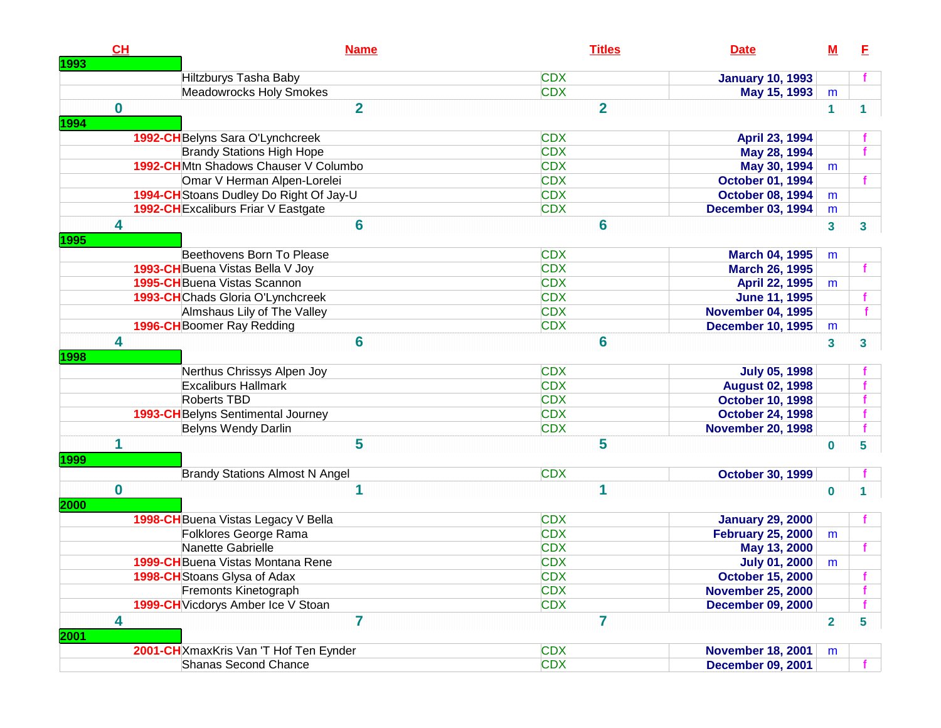| 1993 | CH       | <b>Name</b>                                | <b>Titles</b>  | <b>Date</b>              | $\underline{\mathbf{M}}$ | E            |
|------|----------|--------------------------------------------|----------------|--------------------------|--------------------------|--------------|
|      |          | Hiltzburys Tasha Baby                      | <b>CDX</b>     | <b>January 10, 1993</b>  |                          |              |
|      |          | Meadowrocks Holy Smokes                    | <b>CDX</b>     | May 15, 1993             | m                        |              |
| 1994 | $\bf{0}$ | $\overline{2}$                             | $\overline{2}$ |                          | $\mathbf{1}$             | $\mathbf{1}$ |
|      |          | 1992-CH Belyns Sara O'Lynchcreek           | <b>CDX</b>     | April 23, 1994           |                          |              |
|      |          | <b>Brandy Stations High Hope</b>           | <b>CDX</b>     | May 28, 1994             |                          |              |
|      |          | 1992-CHMtn Shadows Chauser V Columbo       | <b>CDX</b>     | May 30, 1994             | m                        |              |
|      |          | Omar V Herman Alpen-Lorelei                | <b>CDX</b>     | <b>October 01, 1994</b>  |                          |              |
|      |          | 1994-CH Stoans Dudley Do Right Of Jay-U    | <b>CDX</b>     | <b>October 08, 1994</b>  | m                        |              |
|      |          | <b>1992-CH</b> Excaliburs Friar V Eastgate | <b>CDX</b>     | <b>December 03, 1994</b> | m                        |              |
| 1995 | 4        | 6                                          | $6\phantom{a}$ |                          | $\mathbf{3}$             | 3            |
|      |          | Beethovens Born To Please                  | <b>CDX</b>     | March 04, 1995           | m                        |              |
|      |          | 1993-CH Buena Vistas Bella V Joy           | <b>CDX</b>     | <b>March 26, 1995</b>    |                          |              |
|      |          | <b>1995-CH</b> Buena Vistas Scannon        | <b>CDX</b>     | April 22, 1995           | m                        |              |
|      |          | 1993-CHChads Gloria O'Lynchcreek           | <b>CDX</b>     | <b>June 11, 1995</b>     |                          |              |
|      |          | Almshaus Lily of The Valley                | <b>CDX</b>     | <b>November 04, 1995</b> |                          |              |
|      |          | 1996-CH Boomer Ray Redding                 | <b>CDX</b>     | <b>December 10, 1995</b> | m                        |              |
| 1998 | 4        | 6                                          | $6\phantom{a}$ |                          | $\mathbf{3}$             | 3            |
|      |          | Nerthus Chrissys Alpen Joy                 | <b>CDX</b>     | <b>July 05, 1998</b>     |                          |              |
|      |          | <b>Excaliburs Hallmark</b>                 | <b>CDX</b>     | <b>August 02, 1998</b>   |                          |              |
|      |          | Roberts TBD                                | <b>CDX</b>     | <b>October 10, 1998</b>  |                          |              |
|      |          | 1993-CH Belyns Sentimental Journey         | <b>CDX</b>     | <b>October 24, 1998</b>  |                          |              |
|      |          | Belyns Wendy Darlin                        | <b>CDX</b>     | <b>November 20, 1998</b> |                          |              |
| 1999 | 1        | 5                                          | 5              |                          | $\bf{0}$                 | 5            |
|      |          | <b>Brandy Stations Almost N Angel</b>      | <b>CDX</b>     | <b>October 30, 1999</b>  |                          |              |
| 2000 | $\bf{0}$ |                                            |                |                          | $\bf{0}$                 |              |
|      |          | 1998-CH Buena Vistas Legacy V Bella        | <b>CDX</b>     | <b>January 29, 2000</b>  |                          |              |
|      |          | Folklores George Rama                      | <b>CDX</b>     | <b>February 25, 2000</b> | m                        |              |
|      |          | Nanette Gabrielle                          | <b>CDX</b>     | May 13, 2000             |                          |              |
|      |          | 1999-CH Buena Vistas Montana Rene          | <b>CDX</b>     | <b>July 01, 2000</b>     | m                        |              |
|      |          | 1998-CH Stoans Glysa of Adax               | <b>CDX</b>     | <b>October 15, 2000</b>  |                          |              |
|      |          | Fremonts Kinetograph                       | <b>CDX</b>     | <b>November 25, 2000</b> |                          |              |
|      |          | 1999-CH Vicdorys Amber Ice V Stoan         | <b>CDX</b>     | <b>December 09, 2000</b> |                          |              |
| 2001 | 4        | $\overline{7}$                             | 7              |                          | $\overline{2}$           | 5            |
|      |          | 2001-CH XmaxKris Van 'T Hof Ten Eynder     | <b>CDX</b>     | <b>November 18, 2001</b> | m                        |              |
|      |          | Shanas Second Chance                       | <b>CDX</b>     | <b>December 09, 2001</b> |                          |              |
|      |          |                                            |                |                          |                          |              |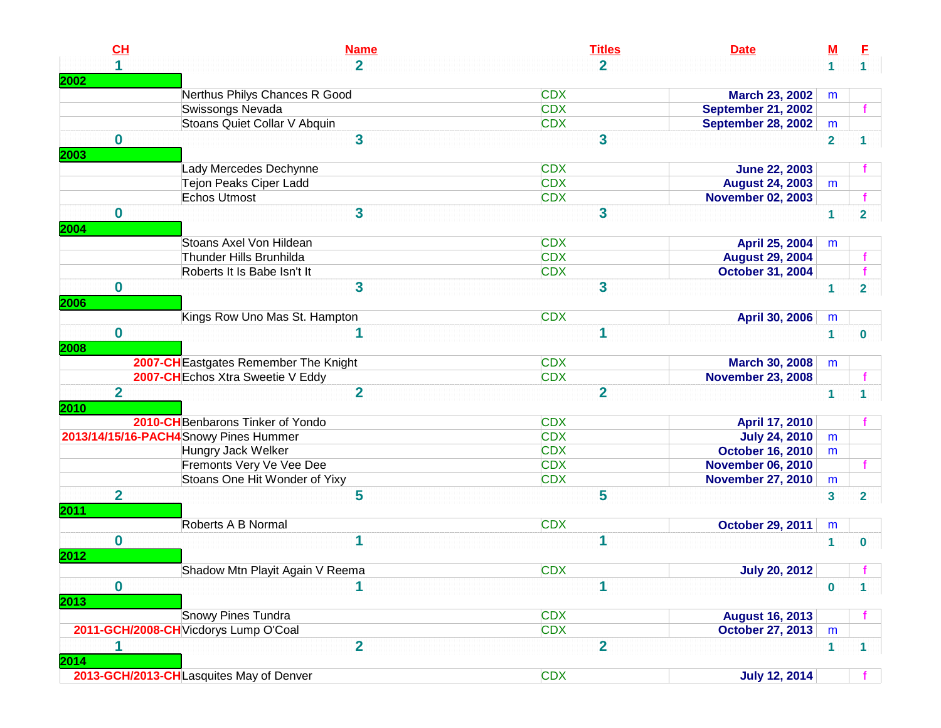| CH             | <b>Name</b>                             | <b>Titles</b>  | <b>Date</b>               | <u>M</u>                | E.             |
|----------------|-----------------------------------------|----------------|---------------------------|-------------------------|----------------|
| 1              | $\overline{2}$                          | $\overline{2}$ |                           | $\mathbf{1}$            | 1 <sup>1</sup> |
| 2002           |                                         |                |                           |                         |                |
|                | Nerthus Philys Chances R Good           | <b>CDX</b>     | <b>March 23, 2002</b>     | m                       |                |
|                | Swissongs Nevada                        | <b>CDX</b>     | <b>September 21, 2002</b> |                         |                |
|                | Stoans Quiet Collar V Abquin            | <b>CDX</b>     | <b>September 28, 2002</b> | m                       |                |
| $\bf{0}$       | 3                                       | 3              |                           | $\overline{\mathbf{2}}$ |                |
| 2003           |                                         |                |                           |                         |                |
|                | Lady Mercedes Dechynne                  | <b>CDX</b>     | <b>June 22, 2003</b>      |                         |                |
|                | Tejon Peaks Ciper Ladd                  | <b>CDX</b>     | <b>August 24, 2003</b>    | m                       |                |
|                | <b>Echos Utmost</b>                     | <b>CDX</b>     | <b>November 02, 2003</b>  |                         |                |
| $\bf{0}$       | $\overline{\mathbf{3}}$                 | 3              |                           | $\mathbf{1}$            | $\overline{2}$ |
| 2004           |                                         |                |                           |                         |                |
|                | Stoans Axel Von Hildean                 | <b>CDX</b>     | April 25, 2004            | m                       |                |
|                | Thunder Hills Brunhilda                 | <b>CDX</b>     | <b>August 29, 2004</b>    |                         |                |
|                | Roberts It Is Babe Isn't It             | <b>CDX</b>     | <b>October 31, 2004</b>   |                         |                |
| $\bf{0}$       | 3                                       | 3              |                           | 1                       | 2              |
| 2006           |                                         |                |                           |                         |                |
|                | Kings Row Uno Mas St. Hampton           | <b>CDX</b>     | April 30, 2006            | m                       |                |
| $\mathbf 0$    | 1                                       | 1              |                           | $\mathbf{1}$            | 0              |
| 2008           |                                         |                |                           |                         |                |
|                | 2007-CH Eastgates Remember The Knight   | <b>CDX</b>     | <b>March 30, 2008</b>     | m                       |                |
|                | 2007-CH Echos Xtra Sweetie V Eddy       | <b>CDX</b>     | <b>November 23, 2008</b>  |                         |                |
| $\overline{2}$ | $\overline{2}$                          | $\overline{2}$ |                           | $\mathbf{1}$            |                |
| 2010           |                                         |                |                           |                         |                |
|                | 2010-CH Benbarons Tinker of Yondo       | <b>CDX</b>     | April 17, 2010            |                         |                |
|                | 2013/14/15/16-PACH4Snowy Pines Hummer   | <b>CDX</b>     | <b>July 24, 2010</b>      | m                       |                |
|                | Hungry Jack Welker                      | <b>CDX</b>     | <b>October 16, 2010</b>   | m                       |                |
|                | Fremonts Very Ve Vee Dee                | <b>CDX</b>     | <b>November 06, 2010</b>  |                         |                |
|                | Stoans One Hit Wonder of Yixy           | <b>CDX</b>     | <b>November 27, 2010</b>  | m                       |                |
| $\overline{2}$ | 5                                       | 5              |                           | 3                       | $\overline{2}$ |
| <b>2011</b>    |                                         |                |                           |                         |                |
|                | Roberts A B Normal                      | <b>CDX</b>     | <b>October 29, 2011</b>   | m                       |                |
| $\bf{0}$       | 1                                       | 1              |                           | 1                       | 0              |
| 2012           |                                         |                |                           |                         |                |
|                | Shadow Mtn Playit Again V Reema         | <b>CDX</b>     | <b>July 20, 2012</b>      |                         |                |
| $\bf{0}$       | 1                                       | 1              |                           |                         |                |
| 2013           |                                         |                |                           | 0                       |                |
|                | <b>Snowy Pines Tundra</b>               | <b>CDX</b>     | <b>August 16, 2013</b>    |                         |                |
|                | 2011-GCH/2008-CH Vicdorys Lump O'Coal   | <b>CDX</b>     | <b>October 27, 2013</b>   | m                       |                |
| 1              | $\overline{2}$                          | $\overline{2}$ |                           |                         |                |
|                |                                         |                |                           | $\mathbf{1}$            | 1              |
| 2014           |                                         |                |                           |                         |                |
|                | 2013-GCH/2013-CHLasquites May of Denver | <b>CDX</b>     | <b>July 12, 2014</b>      |                         |                |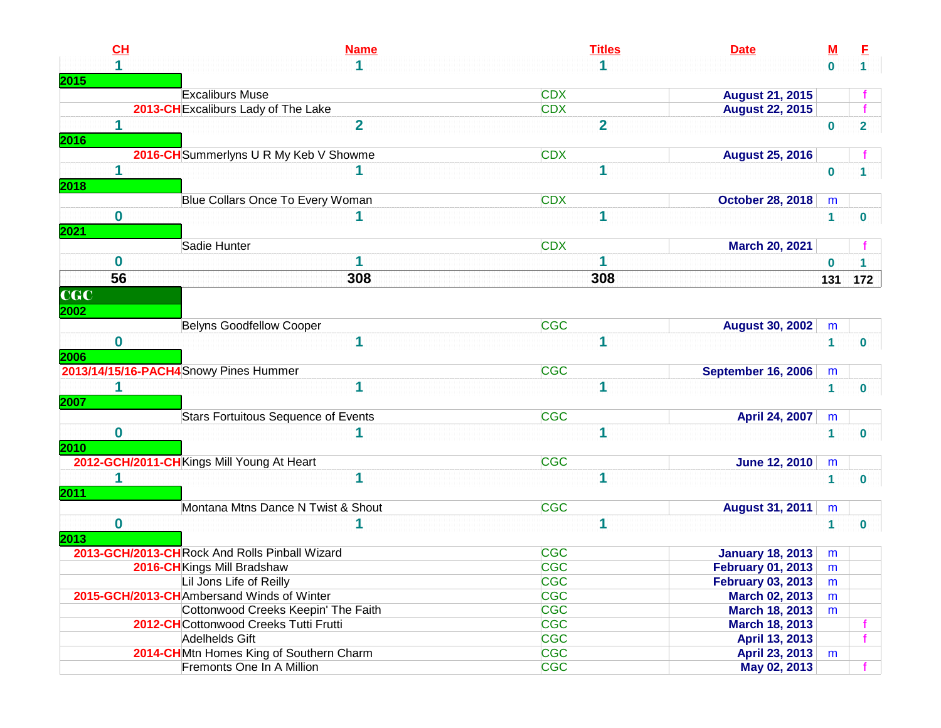| CL               | <b>Name</b>                                   | <b>Titles</b>           | <b>Date</b>               | <u>M</u>     | E                       |
|------------------|-----------------------------------------------|-------------------------|---------------------------|--------------|-------------------------|
|                  |                                               |                         |                           | $\bf{0}$     |                         |
| 2015             |                                               |                         |                           |              |                         |
|                  | <b>Excaliburs Muse</b>                        | <b>CDX</b>              | <b>August 21, 2015</b>    |              |                         |
|                  | 2013-CH Excaliburs Lady of The Lake           | <b>CDX</b>              | <b>August 22, 2015</b>    |              |                         |
| 1                | $\overline{2}$                                | $\overline{\mathbf{2}}$ |                           | $\bf{0}$     | $\overline{\mathbf{2}}$ |
| 2016             |                                               |                         |                           |              |                         |
|                  | 2016-CH Summerlyns U R My Keb V Showme        | <b>CDX</b>              | <b>August 25, 2016</b>    |              |                         |
|                  |                                               | 1                       |                           | $\bf{0}$     |                         |
| 2018             |                                               |                         |                           |              |                         |
|                  | Blue Collars Once To Every Woman              | <b>CDX</b>              | <b>October 28, 2018</b>   | m            |                         |
| $\bf{0}$         |                                               | 1                       |                           | $\mathbf{1}$ | 0                       |
| 2021             |                                               |                         |                           |              |                         |
|                  | Sadie Hunter                                  | <b>CDX</b>              | <b>March 20, 2021</b>     |              |                         |
| $\bf{0}$         | 1                                             |                         |                           | $\bf{0}$     |                         |
| 56               | 308                                           | 308                     |                           | 131          | 172                     |
| $_{\rm \bf CGC}$ |                                               |                         |                           |              |                         |
|                  |                                               |                         |                           |              |                         |
| 2002             |                                               |                         |                           |              |                         |
|                  | <b>Belyns Goodfellow Cooper</b>               | <b>CGC</b>              | <b>August 30, 2002</b>    | m            |                         |
| $\bf{0}$         | 1                                             | 1                       |                           | $\mathbf{1}$ | $\bf{0}$                |
| 2006             |                                               |                         |                           |              |                         |
|                  | 2013/14/15/16-PACH4 Snowy Pines Hummer        | <b>CGC</b>              | <b>September 16, 2006</b> | m            |                         |
| 1                | 1                                             | 1                       |                           | $\mathbf{1}$ | 0                       |
| 2007             |                                               |                         |                           |              |                         |
|                  | <b>Stars Fortuitous Sequence of Events</b>    | <b>CGC</b>              | April 24, 2007            | m            |                         |
| $\bf{0}$         |                                               | 1                       |                           | 1            | 0                       |
| 2010             |                                               |                         |                           |              |                         |
|                  | 2012-GCH/2011-CHKings Mill Young At Heart     | <b>CGC</b>              | <b>June 12, 2010</b>      | m            |                         |
|                  | 1                                             | 1                       |                           | $\mathbf{1}$ | 0                       |
| <b>2011</b>      |                                               |                         |                           |              |                         |
|                  | Montana Mtns Dance N Twist & Shout            | <b>CGC</b>              | <b>August 31, 2011</b>    | m            |                         |
| $\bf{0}$         |                                               | 1                       |                           | 1            | 0                       |
| 2013             |                                               |                         |                           |              |                         |
|                  | 2013-GCH/2013-CHRock And Rolls Pinball Wizard | <b>CGC</b>              | <b>January 18, 2013</b>   | m            |                         |
|                  | 2016-CH Kings Mill Bradshaw                   | <b>CGC</b>              | <b>February 01, 2013</b>  | m            |                         |
|                  | Lil Jons Life of Reilly                       | <b>CGC</b>              | <b>February 03, 2013</b>  | m            |                         |
|                  | 2015-GCH/2013-CHAmbersand Winds of Winter     | <b>CGC</b>              | <b>March 02, 2013</b>     | m            |                         |
|                  | Cottonwood Creeks Keepin' The Faith           | <b>CGC</b>              | <b>March 18, 2013</b>     | m            |                         |
|                  | 2012-CHCottonwood Creeks Tutti Frutti         | <b>CGC</b>              | <b>March 18, 2013</b>     |              |                         |
|                  | Adelhelds Gift                                | <b>CGC</b>              | April 13, 2013            |              |                         |
|                  | 2014-CHMtn Homes King of Southern Charm       | <b>CGC</b>              | April 23, 2013            | m            |                         |
|                  | Fremonts One In A Million                     | <b>CGC</b>              | May 02, 2013              |              |                         |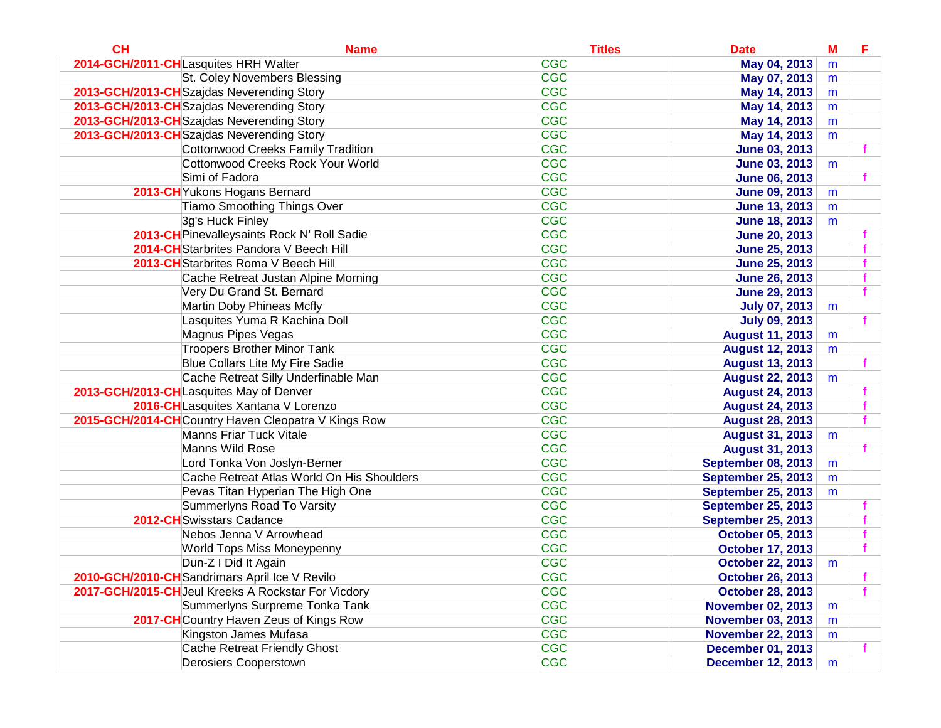| CL<br><b>Name</b>                                   | <b>Titles</b> | <b>Date</b>               | $\underline{\mathbf{M}}$ | Е |
|-----------------------------------------------------|---------------|---------------------------|--------------------------|---|
| 2014-GCH/2011-CHLasquites HRH Walter                | <b>CGC</b>    | May 04, 2013              | m                        |   |
| St. Coley Novembers Blessing                        | <b>CGC</b>    | May 07, 2013              | m                        |   |
| 2013-GCH/2013-CH Szajdas Neverending Story          | <b>CGC</b>    | May 14, 2013              | m                        |   |
| 2013-GCH/2013-CHSzajdas Neverending Story           | <b>CGC</b>    | May 14, 2013              | m                        |   |
| 2013-GCH/2013-CH Szajdas Neverending Story          | <b>CGC</b>    | May 14, 2013              | m                        |   |
| 2013-GCH/2013-CH Szajdas Neverending Story          | <b>CGC</b>    | May 14, 2013              | m                        |   |
| <b>Cottonwood Creeks Family Tradition</b>           | <b>CGC</b>    | <b>June 03, 2013</b>      |                          |   |
| Cottonwood Creeks Rock Your World                   | <b>CGC</b>    | <b>June 03, 2013</b>      | m                        |   |
| Simi of Fadora                                      | <b>CGC</b>    | <b>June 06, 2013</b>      |                          |   |
| 2013-CH Yukons Hogans Bernard                       | <b>CGC</b>    | <b>June 09, 2013</b>      | m                        |   |
| <b>Tiamo Smoothing Things Over</b>                  | <b>CGC</b>    | <b>June 13, 2013</b>      | m                        |   |
| 3g's Huck Finley                                    | <b>CGC</b>    | <b>June 18, 2013</b>      | m                        |   |
| 2013-CH Pinevalleysaints Rock N' Roll Sadie         | <b>CGC</b>    | <b>June 20, 2013</b>      |                          |   |
| 2014-CH Starbrites Pandora V Beech Hill             | <b>CGC</b>    | <b>June 25, 2013</b>      |                          |   |
| 2013-CH Starbrites Roma V Beech Hill                | <b>CGC</b>    | <b>June 25, 2013</b>      |                          |   |
| Cache Retreat Justan Alpine Morning                 | <b>CGC</b>    | <b>June 26, 2013</b>      |                          |   |
| Very Du Grand St. Bernard                           | <b>CGC</b>    | <b>June 29, 2013</b>      |                          |   |
| Martin Doby Phineas Mcfly                           | <b>CGC</b>    | <b>July 07, 2013</b>      | m                        |   |
| Lasquites Yuma R Kachina Doll                       | <b>CGC</b>    | <b>July 09, 2013</b>      |                          |   |
| Magnus Pipes Vegas                                  | <b>CGC</b>    | <b>August 11, 2013</b>    | m                        |   |
| <b>Troopers Brother Minor Tank</b>                  | <b>CGC</b>    | <b>August 12, 2013</b>    | m                        |   |
| <b>Blue Collars Lite My Fire Sadie</b>              | <b>CGC</b>    | <b>August 13, 2013</b>    |                          |   |
| Cache Retreat Silly Underfinable Man                | <b>CGC</b>    | <b>August 22, 2013</b>    | m                        |   |
| 2013-GCH/2013-CHLasquites May of Denver             | <b>CGC</b>    | <b>August 24, 2013</b>    |                          |   |
| 2016-CHLasquites Xantana V Lorenzo                  | <b>CGC</b>    | <b>August 24, 2013</b>    |                          |   |
| 2015-GCH/2014-CHCountry Haven Cleopatra V Kings Row | <b>CGC</b>    | <b>August 28, 2013</b>    |                          |   |
| <b>Manns Friar Tuck Vitale</b>                      | <b>CGC</b>    | <b>August 31, 2013</b>    | m                        |   |
| Manns Wild Rose                                     | <b>CGC</b>    | <b>August 31, 2013</b>    |                          |   |
| Lord Tonka Von Joslyn-Berner                        | <b>CGC</b>    | <b>September 08, 2013</b> | m                        |   |
| Cache Retreat Atlas World On His Shoulders          | <b>CGC</b>    | <b>September 25, 2013</b> | m                        |   |
| Pevas Titan Hyperian The High One                   | <b>CGC</b>    | <b>September 25, 2013</b> | m                        |   |
| Summerlyns Road To Varsity                          | <b>CGC</b>    | <b>September 25, 2013</b> |                          |   |
| 2012-CH Swisstars Cadance                           | <b>CGC</b>    | <b>September 25, 2013</b> |                          |   |
| Nebos Jenna V Arrowhead                             | <b>CGC</b>    | <b>October 05, 2013</b>   |                          |   |
| World Tops Miss Moneypenny                          | <b>CGC</b>    | <b>October 17, 2013</b>   |                          |   |
| Dun-Z I Did It Again                                | <b>CGC</b>    | <b>October 22, 2013</b>   | m                        |   |
| 2010-GCH/2010-CH Sandrimars April Ice V Revilo      | <b>CGC</b>    | <b>October 26, 2013</b>   |                          |   |
| 2017-GCH/2015-CH Jeul Kreeks A Rockstar For Vicdory | <b>CGC</b>    | <b>October 28, 2013</b>   |                          |   |
| Summerlyns Surpreme Tonka Tank                      | <b>CGC</b>    | <b>November 02, 2013</b>  | m                        |   |
| 2017-CH Country Haven Zeus of Kings Row             | <b>CGC</b>    | <b>November 03, 2013</b>  | m                        |   |
| Kingston James Mufasa                               | <b>CGC</b>    | <b>November 22, 2013</b>  | m                        |   |
| Cache Retreat Friendly Ghost                        | <b>CGC</b>    | <b>December 01, 2013</b>  |                          |   |
| <b>Derosiers Cooperstown</b>                        | <b>CGC</b>    | <b>December 12, 2013</b>  | m                        |   |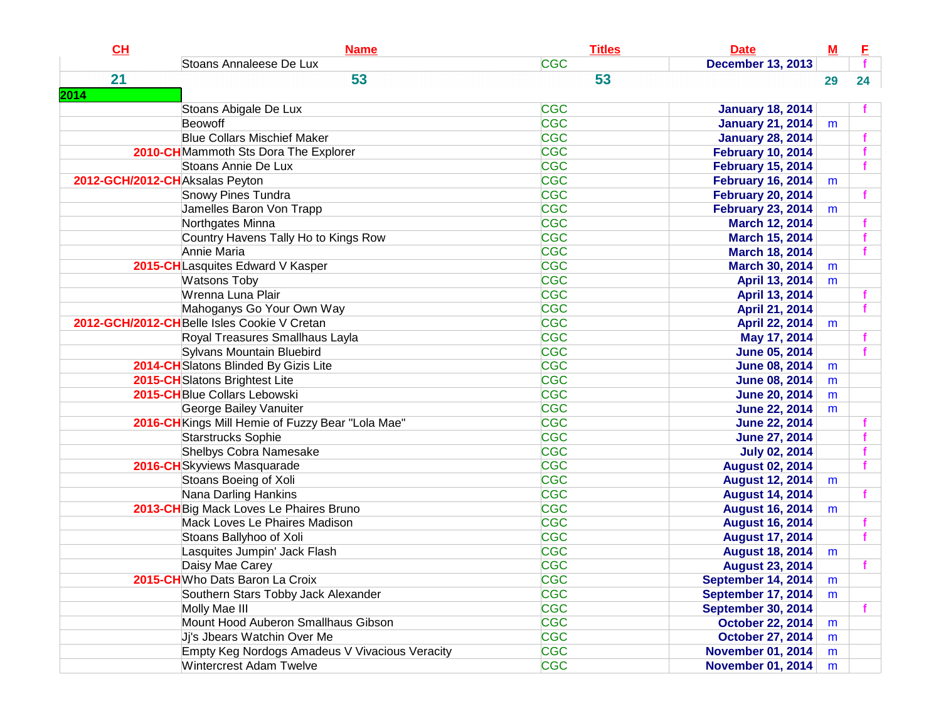| CH                             | <b>Name</b>                                       | <b>Titles</b> | <b>Date</b>               | $\underline{\mathbf{M}}$ | Е  |
|--------------------------------|---------------------------------------------------|---------------|---------------------------|--------------------------|----|
|                                | Stoans Annaleese De Lux                           | <b>CGC</b>    | <b>December 13, 2013</b>  |                          |    |
| 21                             | 53                                                | 53            |                           | 29                       | 24 |
| 2014                           |                                                   |               |                           |                          |    |
|                                | Stoans Abigale De Lux                             | <b>CGC</b>    | <b>January 18, 2014</b>   |                          |    |
|                                | Beowoff                                           | <b>CGC</b>    | <b>January 21, 2014</b>   | m                        |    |
|                                | <b>Blue Collars Mischief Maker</b>                | <b>CGC</b>    | <b>January 28, 2014</b>   |                          |    |
|                                | 2010-CHMammoth Sts Dora The Explorer              | <b>CGC</b>    | <b>February 10, 2014</b>  |                          |    |
|                                | Stoans Annie De Lux                               | <b>CGC</b>    | <b>February 15, 2014</b>  |                          |    |
| 2012-GCH/2012-CHAksalas Peyton |                                                   | <b>CGC</b>    | <b>February 16, 2014</b>  | m                        |    |
|                                | <b>Snowy Pines Tundra</b>                         | <b>CGC</b>    | <b>February 20, 2014</b>  |                          |    |
|                                | Jamelles Baron Von Trapp                          | <b>CGC</b>    | <b>February 23, 2014</b>  | m                        |    |
|                                | Northgates Minna                                  | <b>CGC</b>    | <b>March 12, 2014</b>     |                          |    |
|                                | Country Havens Tally Ho to Kings Row              | <b>CGC</b>    | <b>March 15, 2014</b>     |                          |    |
|                                | Annie Maria                                       | <b>CGC</b>    | <b>March 18, 2014</b>     |                          |    |
|                                | 2015-CHLasquites Edward V Kasper                  | <b>CGC</b>    | March 30, 2014            | m                        |    |
|                                | <b>Watsons Toby</b>                               | <b>CGC</b>    | April 13, 2014            | m                        |    |
|                                | Wrenna Luna Plair                                 | <b>CGC</b>    | April 13, 2014            |                          |    |
|                                | Mahoganys Go Your Own Way                         | <b>CGC</b>    | April 21, 2014            |                          |    |
|                                | 2012-GCH/2012-CH Belle Isles Cookie V Cretan      | <b>CGC</b>    | <b>April 22, 2014</b>     | m                        |    |
|                                | Royal Treasures Smallhaus Layla                   | <b>CGC</b>    | May 17, 2014              |                          |    |
|                                | Sylvans Mountain Bluebird                         | <b>CGC</b>    | <b>June 05, 2014</b>      |                          |    |
|                                | 2014-CHSlatons Blinded By Gizis Lite              | <b>CGC</b>    | <b>June 08, 2014</b>      | m                        |    |
|                                | 2015-CH Slatons Brightest Lite                    | <b>CGC</b>    | <b>June 08, 2014</b>      | m                        |    |
|                                | 2015-CHBlue Collars Lebowski                      | <b>CGC</b>    | <b>June 20, 2014</b>      | m                        |    |
|                                | George Bailey Vanuiter                            | <b>CGC</b>    | <b>June 22, 2014</b>      | m                        |    |
|                                | 2016-CH Kings Mill Hemie of Fuzzy Bear "Lola Mae" | <b>CGC</b>    | <b>June 22, 2014</b>      |                          |    |
|                                | Starstrucks Sophie                                | <b>CGC</b>    | <b>June 27, 2014</b>      |                          |    |
|                                | <b>Shelbys Cobra Namesake</b>                     | <b>CGC</b>    | <b>July 02, 2014</b>      |                          |    |
|                                | 2016-CHSkyviews Masquarade                        | <b>CGC</b>    | <b>August 02, 2014</b>    |                          |    |
|                                | Stoans Boeing of Xoli                             | <b>CGC</b>    | <b>August 12, 2014</b>    | m                        |    |
|                                | Nana Darling Hankins                              | <b>CGC</b>    | <b>August 14, 2014</b>    |                          |    |
|                                | 2013-CH Big Mack Loves Le Phaires Bruno           | <b>CGC</b>    | <b>August 16, 2014</b>    | m                        |    |
|                                | Mack Loves Le Phaires Madison                     | <b>CGC</b>    | <b>August 16, 2014</b>    |                          |    |
|                                | Stoans Ballyhoo of Xoli                           | <b>CGC</b>    | <b>August 17, 2014</b>    |                          |    |
|                                | Lasquites Jumpin' Jack Flash                      | <b>CGC</b>    | <b>August 18, 2014</b>    | m                        |    |
|                                | Daisy Mae Carey                                   | <b>CGC</b>    | <b>August 23, 2014</b>    |                          |    |
|                                | 2015-CHWho Dats Baron La Croix                    | <b>CGC</b>    | September 14, 2014        | m                        |    |
|                                | Southern Stars Tobby Jack Alexander               | <b>CGC</b>    | September 17, 2014        | m                        |    |
|                                | Molly Mae III                                     | <b>CGC</b>    | <b>September 30, 2014</b> |                          |    |
|                                | Mount Hood Auberon Smallhaus Gibson               | <b>CGC</b>    | <b>October 22, 2014</b>   | m                        |    |
|                                | Ji's Jbears Watchin Over Me                       | <b>CGC</b>    | <b>October 27, 2014</b>   | m                        |    |
|                                | Empty Keg Nordogs Amadeus V Vivacious Veracity    | <b>CGC</b>    | <b>November 01, 2014</b>  | m                        |    |
|                                | <b>Wintercrest Adam Twelve</b>                    | <b>CGC</b>    | <b>November 01, 2014</b>  | m                        |    |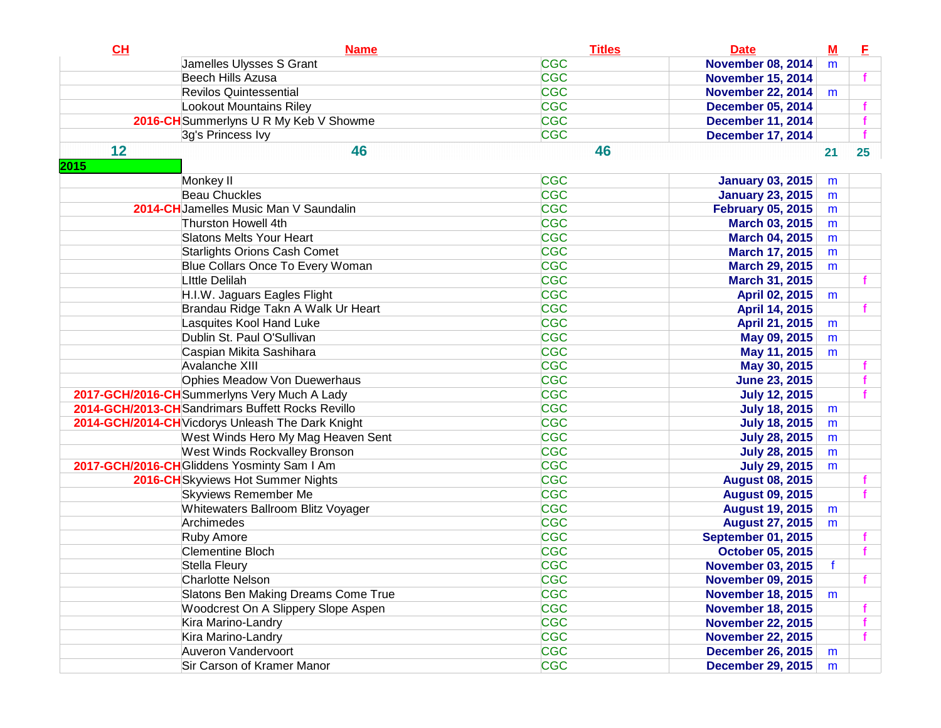| CH   | <b>Name</b>                                       | <b>Titles</b> | <b>Date</b>               | $\underline{\mathbf{M}}$ | E                |
|------|---------------------------------------------------|---------------|---------------------------|--------------------------|------------------|
|      | Jamelles Ulysses S Grant                          | <b>CGC</b>    | <b>November 08, 2014</b>  | m                        |                  |
|      | Beech Hills Azusa                                 | <b>CGC</b>    | <b>November 15, 2014</b>  |                          |                  |
|      | <b>Revilos Quintessential</b>                     | <b>CGC</b>    | <b>November 22, 2014</b>  | m                        |                  |
|      | Lookout Mountains Riley                           | <b>CGC</b>    | <b>December 05, 2014</b>  |                          |                  |
|      | 2016-CH Summerlyns U R My Keb V Showme            | <b>CGC</b>    | <b>December 11, 2014</b>  |                          |                  |
|      | 3g's Princess Ivy                                 | <b>CGC</b>    | <b>December 17, 2014</b>  |                          | f                |
| 12   | 46                                                | 46            |                           | 21                       | $25\phantom{.0}$ |
| 2015 |                                                   |               |                           |                          |                  |
|      | Monkey II                                         | <b>CGC</b>    | <b>January 03, 2015</b>   | m                        |                  |
|      | <b>Beau Chuckles</b>                              | <b>CGC</b>    | <b>January 23, 2015</b>   | m                        |                  |
|      | 2014-CHJamelles Music Man V Saundalin             | <b>CGC</b>    | <b>February 05, 2015</b>  | m                        |                  |
|      | Thurston Howell 4th                               | <b>CGC</b>    | March 03, 2015            | m                        |                  |
|      | <b>Slatons Melts Your Heart</b>                   | <b>CGC</b>    | <b>March 04, 2015</b>     | m                        |                  |
|      | <b>Starlights Orions Cash Comet</b>               | <b>CGC</b>    | March 17, 2015            | m                        |                  |
|      | Blue Collars Once To Every Woman                  | <b>CGC</b>    | <b>March 29, 2015</b>     | m                        |                  |
|      | <b>Little Delilah</b>                             | <b>CGC</b>    | March 31, 2015            |                          |                  |
|      | H.I.W. Jaguars Eagles Flight                      | <b>CGC</b>    | April 02, 2015            | m                        |                  |
|      | Brandau Ridge Takn A Walk Ur Heart                | <b>CGC</b>    | April 14, 2015            |                          |                  |
|      | Lasquites Kool Hand Luke                          | <b>CGC</b>    | April 21, 2015            | m                        |                  |
|      | Dublin St. Paul O'Sullivan                        | <b>CGC</b>    | May 09, 2015              | m                        |                  |
|      | Caspian Mikita Sashihara                          | <b>CGC</b>    | May 11, 2015              | m                        |                  |
|      | Avalanche XIII                                    | <b>CGC</b>    | May 30, 2015              |                          |                  |
|      | Ophies Meadow Von Duewerhaus                      | <b>CGC</b>    | <b>June 23, 2015</b>      |                          |                  |
|      | 2017-GCH/2016-CH Summerlyns Very Much A Lady      | <b>CGC</b>    | <b>July 12, 2015</b>      |                          |                  |
|      | 2014-GCH/2013-CHSandrimars Buffett Rocks Revillo  | <b>CGC</b>    | <b>July 18, 2015</b>      | m                        |                  |
|      | 2014-GCH/2014-CH Vicdorys Unleash The Dark Knight | <b>CGC</b>    | <b>July 18, 2015</b>      | m                        |                  |
|      | West Winds Hero My Mag Heaven Sent                | <b>CGC</b>    | <b>July 28, 2015</b>      | m                        |                  |
|      | <b>West Winds Rockvalley Bronson</b>              | <b>CGC</b>    | <b>July 28, 2015</b>      | m                        |                  |
|      | 2017-GCH/2016-CH Gliddens Yosminty Sam I Am       | <b>CGC</b>    | <b>July 29, 2015</b>      | m                        |                  |
|      | 2016-CH Skyviews Hot Summer Nights                | <b>CGC</b>    | <b>August 08, 2015</b>    |                          |                  |
|      | <b>Skyviews Remember Me</b>                       | <b>CGC</b>    | <b>August 09, 2015</b>    |                          |                  |
|      | Whitewaters Ballroom Blitz Voyager                | <b>CGC</b>    | <b>August 19, 2015</b>    | m                        |                  |
|      | Archimedes                                        | <b>CGC</b>    | <b>August 27, 2015</b>    | m                        |                  |
|      | <b>Ruby Amore</b>                                 | <b>CGC</b>    | <b>September 01, 2015</b> |                          |                  |
|      | <b>Clementine Bloch</b>                           | <b>CGC</b>    | <b>October 05, 2015</b>   |                          |                  |
|      | Stella Fleury                                     | <b>CGC</b>    | <b>November 03, 2015</b>  | f                        |                  |
|      | Charlotte Nelson                                  | <b>CGC</b>    | <b>November 09, 2015</b>  |                          |                  |
|      | Slatons Ben Making Dreams Come True               | <b>CGC</b>    | <b>November 18, 2015</b>  | m                        |                  |
|      | Woodcrest On A Slippery Slope Aspen               | <b>CGC</b>    | <b>November 18, 2015</b>  |                          |                  |
|      | Kira Marino-Landry                                | <b>CGC</b>    | <b>November 22, 2015</b>  |                          |                  |
|      | Kira Marino-Landry                                | <b>CGC</b>    | <b>November 22, 2015</b>  |                          |                  |
|      | Auveron Vandervoort                               | <b>CGC</b>    | <b>December 26, 2015</b>  | m                        |                  |
|      | Sir Carson of Kramer Manor                        | <b>CGC</b>    | <b>December 29, 2015</b>  | m                        |                  |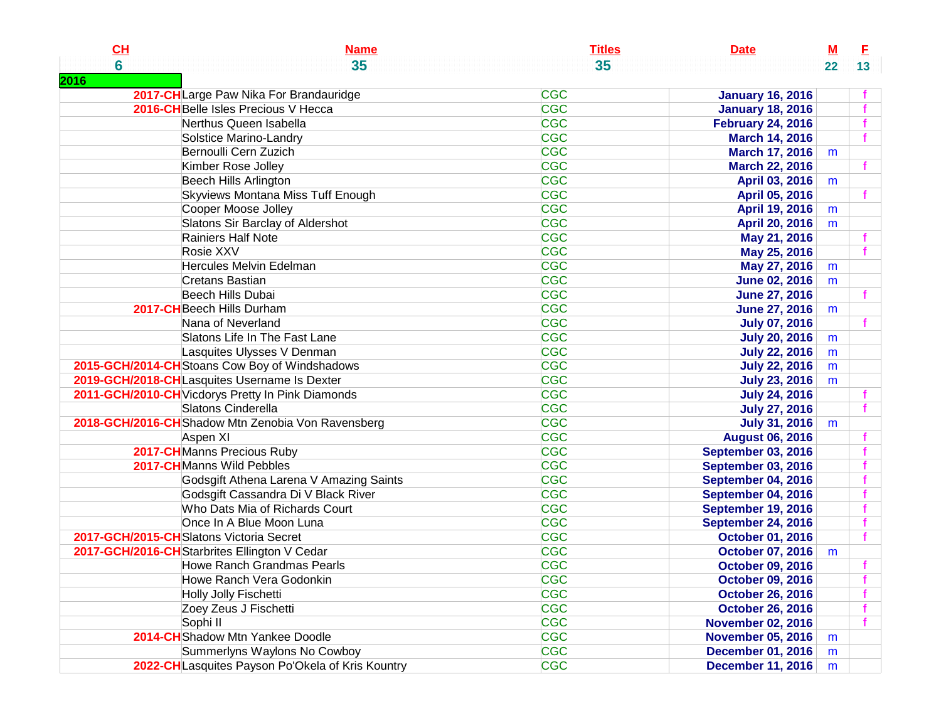| CL                                                | <b>Name</b> | <b>Titles</b><br><b>Date</b> | <u>M</u> | E. |
|---------------------------------------------------|-------------|------------------------------|----------|----|
| $6\phantom{a}$<br>35                              |             | 35                           | 22       | 13 |
| 2016                                              |             |                              |          |    |
| 2017-CHLarge Paw Nika For Brandauridge            | <b>CGC</b>  | <b>January 16, 2016</b>      |          |    |
| 2016-CH Belle Isles Precious V Hecca              | <b>CGC</b>  | <b>January 18, 2016</b>      |          |    |
| Nerthus Queen Isabella                            | <b>CGC</b>  | <b>February 24, 2016</b>     |          |    |
| Solstice Marino-Landry                            | <b>CGC</b>  | <b>March 14, 2016</b>        |          |    |
| Bernoulli Cern Zuzich                             | <b>CGC</b>  | <b>March 17, 2016</b>        | m        |    |
| Kimber Rose Jolley                                | <b>CGC</b>  | March 22, 2016               |          |    |
| Beech Hills Arlington                             | <b>CGC</b>  | April 03, 2016               | m        |    |
| Skyviews Montana Miss Tuff Enough                 | <b>CGC</b>  | April 05, 2016               |          |    |
| Cooper Moose Jolley                               | <b>CGC</b>  | April 19, 2016               | m        |    |
| Slatons Sir Barclay of Aldershot                  | <b>CGC</b>  | April 20, 2016               | m        |    |
| Rainiers Half Note                                | <b>CGC</b>  | May 21, 2016                 |          |    |
| Rosie XXV                                         | <b>CGC</b>  | May 25, 2016                 |          |    |
| Hercules Melvin Edelman                           | <b>CGC</b>  | May 27, 2016                 | m        |    |
| <b>Cretans Bastian</b>                            | <b>CGC</b>  | <b>June 02, 2016</b>         | m        |    |
| Beech Hills Dubai                                 | <b>CGC</b>  | <b>June 27, 2016</b>         |          |    |
| 2017-CH Beech Hills Durham                        | <b>CGC</b>  | <b>June 27, 2016</b>         | m        |    |
| Nana of Neverland                                 | <b>CGC</b>  | <b>July 07, 2016</b>         |          |    |
| Slatons Life In The Fast Lane                     | <b>CGC</b>  | <b>July 20, 2016</b>         | m        |    |
| Lasquites Ulysses V Denman                        | <b>CGC</b>  | <b>July 22, 2016</b>         | m        |    |
| 2015-GCH/2014-CHStoans Cow Boy of Windshadows     | <b>CGC</b>  | <b>July 22, 2016</b>         | m        |    |
| 2019-GCH/2018-CHLasquites Username Is Dexter      | <b>CGC</b>  | <b>July 23, 2016</b>         | m        |    |
| 2011-GCH/2010-CH Vicdorys Pretty In Pink Diamonds | <b>CGC</b>  | <b>July 24, 2016</b>         |          |    |
| Slatons Cinderella                                | <b>CGC</b>  | <b>July 27, 2016</b>         |          |    |
| 2018-GCH/2016-CHShadow Mtn Zenobia Von Ravensberg | <b>CGC</b>  | <b>July 31, 2016</b>         | m        |    |
| Aspen XI                                          | <b>CGC</b>  | <b>August 06, 2016</b>       |          |    |
| 2017-CHManns Precious Ruby                        | <b>CGC</b>  | <b>September 03, 2016</b>    |          |    |
| 2017-CHManns Wild Pebbles                         | <b>CGC</b>  | <b>September 03, 2016</b>    |          |    |
| Godsgift Athena Larena V Amazing Saints           | <b>CGC</b>  | September 04, 2016           |          |    |
| Godsgift Cassandra Di V Black River               | <b>CGC</b>  | September 04, 2016           |          |    |
| Who Dats Mia of Richards Court                    | <b>CGC</b>  | September 19, 2016           |          |    |
| Once In A Blue Moon Luna                          | <b>CGC</b>  | <b>September 24, 2016</b>    |          |    |
| 2017-GCH/2015-CHSlatons Victoria Secret           | <b>CGC</b>  | <b>October 01, 2016</b>      |          |    |
| 2017-GCH/2016-CH Starbrites Ellington V Cedar     | <b>CGC</b>  | <b>October 07, 2016</b>      | m        |    |
| <b>Howe Ranch Grandmas Pearls</b>                 | <b>CGC</b>  | <b>October 09, 2016</b>      |          |    |
| Howe Ranch Vera Godonkin                          | <b>CGC</b>  | <b>October 09, 2016</b>      |          |    |
| Holly Jolly Fischetti                             | <b>CGC</b>  | <b>October 26, 2016</b>      |          |    |
| Zoey Zeus J Fischetti                             | <b>CGC</b>  | <b>October 26, 2016</b>      |          |    |
| Sophi II                                          | <b>CGC</b>  | <b>November 02, 2016</b>     |          |    |
| 2014-CHShadow Mtn Yankee Doodle                   | <b>CGC</b>  | <b>November 05, 2016</b>     | m        |    |
| Summerlyns Waylons No Cowboy                      | <b>CGC</b>  | <b>December 01, 2016</b>     | m        |    |
| 2022-CH Lasquites Payson Po'Okela of Kris Kountry | <b>CGC</b>  | <b>December 11, 2016</b>     | m        |    |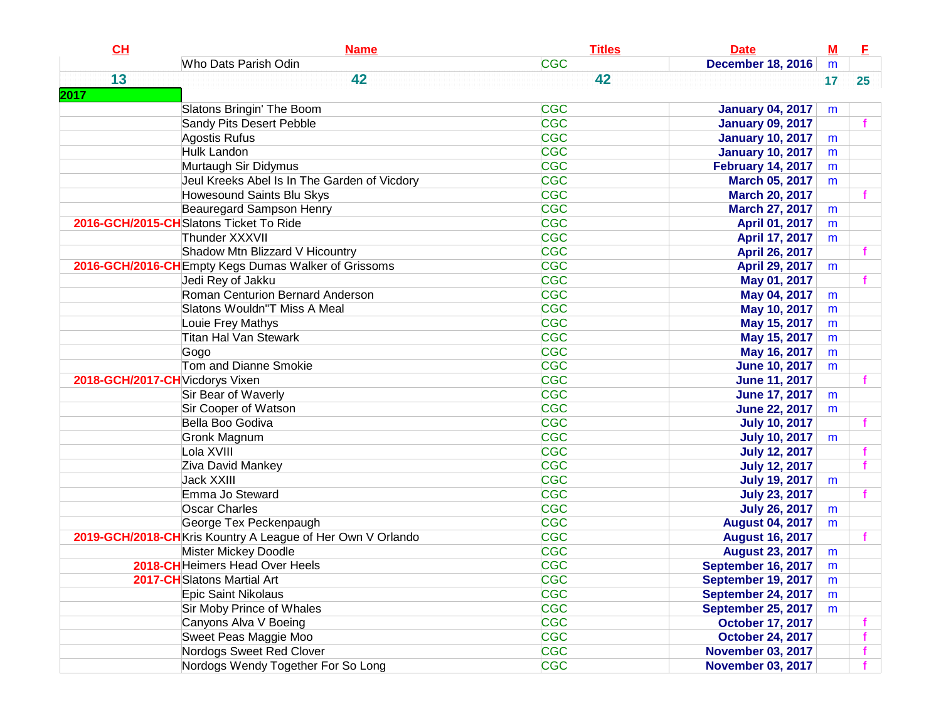| CH                              | <b>Name</b>                                                 | <b>Titles</b> | <b>Date</b>               | $M$ | E  |
|---------------------------------|-------------------------------------------------------------|---------------|---------------------------|-----|----|
|                                 | Who Dats Parish Odin                                        | <b>CGC</b>    | <b>December 18, 2016</b>  | m   |    |
| 13                              | 42                                                          | 42            |                           | 17  | 25 |
| 2017                            |                                                             |               |                           |     |    |
|                                 | Slatons Bringin' The Boom                                   | <b>CGC</b>    | <b>January 04, 2017</b>   | m   |    |
|                                 | Sandy Pits Desert Pebble                                    | <b>CGC</b>    | <b>January 09, 2017</b>   |     |    |
|                                 | Agostis Rufus                                               | <b>CGC</b>    | <b>January 10, 2017</b>   | m   |    |
|                                 | Hulk Landon                                                 | <b>CGC</b>    | <b>January 10, 2017</b>   | m   |    |
|                                 | Murtaugh Sir Didymus                                        | <b>CGC</b>    | <b>February 14, 2017</b>  | m   |    |
|                                 | Jeul Kreeks Abel Is In The Garden of Vicdory                | <b>CGC</b>    | March 05, 2017            | m   |    |
|                                 | <b>Howesound Saints Blu Skys</b>                            | <b>CGC</b>    | <b>March 20, 2017</b>     |     |    |
|                                 | Beauregard Sampson Henry                                    | <b>CGC</b>    | <b>March 27, 2017</b>     | m   |    |
|                                 | 2016-GCH/2015-CHSlatons Ticket To Ride                      | <b>CGC</b>    | April 01, 2017            | m   |    |
|                                 | Thunder XXXVII                                              | <b>CGC</b>    | April 17, 2017            | m   |    |
|                                 | Shadow Mtn Blizzard V Hicountry                             | <b>CGC</b>    | April 26, 2017            |     |    |
|                                 | 2016-GCH/2016-CH Empty Kegs Dumas Walker of Grissoms        | <b>CGC</b>    | April 29, 2017            | m   |    |
|                                 | Jedi Rey of Jakku                                           | <b>CGC</b>    | May 01, 2017              |     |    |
|                                 | Roman Centurion Bernard Anderson                            | <b>CGC</b>    | May 04, 2017              | m   |    |
|                                 | Slatons Wouldn"T Miss A Meal                                | <b>CGC</b>    | May 10, 2017              | m   |    |
|                                 | Louie Frey Mathys                                           | <b>CGC</b>    | May 15, 2017              | m   |    |
|                                 | <b>Titan Hal Van Stewark</b>                                | <b>CGC</b>    | May 15, 2017              | m   |    |
|                                 | Gogo                                                        | <b>CGC</b>    | May 16, 2017              | m   |    |
|                                 | Tom and Dianne Smokie                                       | <b>CGC</b>    | <b>June 10, 2017</b>      | m   |    |
| 2018-GCH/2017-CH Vicdorys Vixen |                                                             | <b>CGC</b>    | <b>June 11, 2017</b>      |     |    |
|                                 | Sir Bear of Waverly                                         | <b>CGC</b>    | <b>June 17, 2017</b>      | m   |    |
|                                 | Sir Cooper of Watson                                        | <b>CGC</b>    | <b>June 22, 2017</b>      | m   |    |
|                                 | Bella Boo Godiva                                            | <b>CGC</b>    | <b>July 10, 2017</b>      |     |    |
|                                 | Gronk Magnum                                                | <b>CGC</b>    | <b>July 10, 2017</b>      | m   |    |
|                                 | Lola XVIII                                                  | <b>CGC</b>    | <b>July 12, 2017</b>      |     |    |
|                                 | Ziva David Mankey                                           | <b>CGC</b>    | <b>July 12, 2017</b>      |     |    |
|                                 | <b>Jack XXIII</b>                                           | <b>CGC</b>    | <b>July 19, 2017</b>      | m   |    |
|                                 | Emma Jo Steward                                             | <b>CGC</b>    | <b>July 23, 2017</b>      |     |    |
|                                 | <b>Oscar Charles</b>                                        | <b>CGC</b>    | <b>July 26, 2017</b>      | m   |    |
|                                 | George Tex Peckenpaugh                                      | <b>CGC</b>    | <b>August 04, 2017</b>    | m   |    |
|                                 | 2019-GCH/2018-CH Kris Kountry A League of Her Own V Orlando | <b>CGC</b>    | <b>August 16, 2017</b>    |     |    |
|                                 | Mister Mickey Doodle                                        | <b>CGC</b>    | <b>August 23, 2017</b>    | m   |    |
|                                 | 2018-CH Heimers Head Over Heels                             | <b>CGC</b>    | September 16, 2017        | m   |    |
|                                 | 2017-CH Slatons Martial Art                                 | <b>CGC</b>    | <b>September 19, 2017</b> | m   |    |
|                                 | Epic Saint Nikolaus                                         | <b>CGC</b>    | September 24, 2017        | m   |    |
|                                 | Sir Moby Prince of Whales                                   | <b>CGC</b>    | <b>September 25, 2017</b> | m   |    |
|                                 | Canyons Alva V Boeing                                       | <b>CGC</b>    | <b>October 17, 2017</b>   |     |    |
|                                 | Sweet Peas Maggie Moo                                       | <b>CGC</b>    | <b>October 24, 2017</b>   |     |    |
|                                 | Nordogs Sweet Red Clover                                    | <b>CGC</b>    | <b>November 03, 2017</b>  |     |    |
|                                 | Nordogs Wendy Together For So Long                          | <b>CGC</b>    | <b>November 03, 2017</b>  |     |    |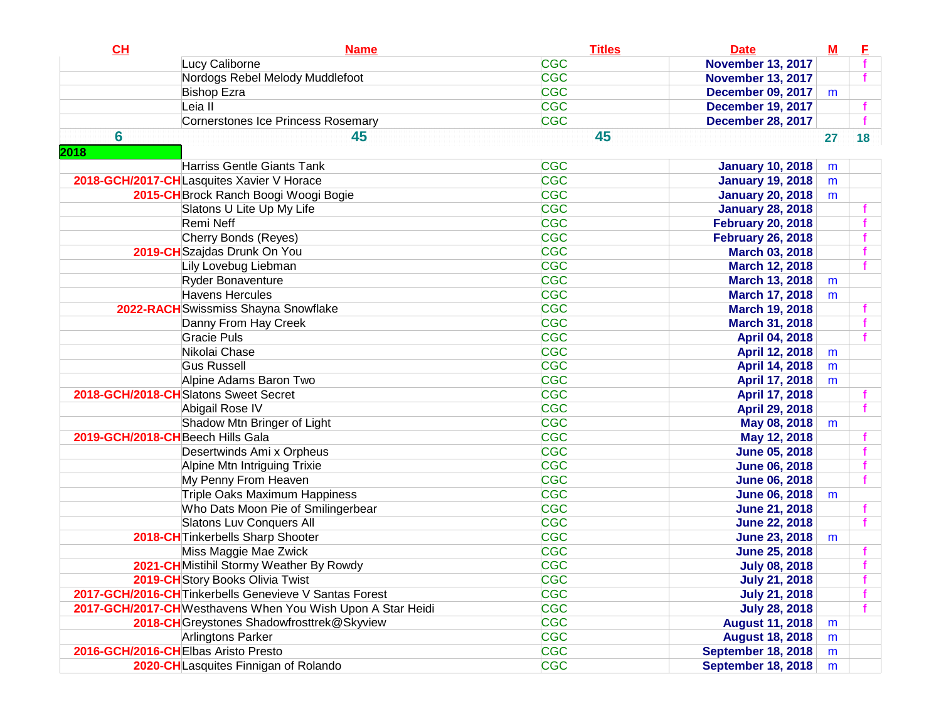| CH   | <b>Name</b>                                                 | <b>Titles</b> | <b>Date</b>               | $\underline{\mathbf{M}}$ | E  |
|------|-------------------------------------------------------------|---------------|---------------------------|--------------------------|----|
|      | Lucy Caliborne                                              | <b>CGC</b>    | <b>November 13, 2017</b>  |                          |    |
|      | Nordogs Rebel Melody Muddlefoot                             | <b>CGC</b>    | <b>November 13, 2017</b>  |                          |    |
|      | <b>Bishop Ezra</b>                                          | <b>CGC</b>    | <b>December 09, 2017</b>  | m                        |    |
|      | Leia II                                                     | <b>CGC</b>    | <b>December 19, 2017</b>  |                          |    |
|      | Cornerstones Ice Princess Rosemary                          | <b>CGC</b>    | <b>December 28, 2017</b>  |                          |    |
| 6    | 45                                                          | 45            |                           | 27                       | 18 |
| 2018 |                                                             |               |                           |                          |    |
|      | <b>Harriss Gentle Giants Tank</b>                           | <b>CGC</b>    | <b>January 10, 2018</b>   | m                        |    |
|      | 2018-GCH/2017-CHLasquites Xavier V Horace                   | <b>CGC</b>    | <b>January 19, 2018</b>   | m                        |    |
|      | 2015-CH Brock Ranch Boogi Woogi Bogie                       | <b>CGC</b>    | <b>January 20, 2018</b>   | m                        |    |
|      | Slatons U Lite Up My Life                                   | <b>CGC</b>    | <b>January 28, 2018</b>   |                          |    |
|      | Remi Neff                                                   | <b>CGC</b>    | <b>February 20, 2018</b>  |                          |    |
|      | Cherry Bonds (Reyes)                                        | <b>CGC</b>    | <b>February 26, 2018</b>  |                          |    |
|      | 2019-CH Szajdas Drunk On You                                | <b>CGC</b>    | <b>March 03, 2018</b>     |                          |    |
|      | Lily Lovebug Liebman                                        | <b>CGC</b>    | <b>March 12, 2018</b>     |                          |    |
|      | Ryder Bonaventure                                           | <b>CGC</b>    | <b>March 13, 2018</b>     | m                        |    |
|      | Havens Hercules                                             | <b>CGC</b>    | <b>March 17, 2018</b>     | m                        |    |
|      | 2022-RACH Swissmiss Shayna Snowflake                        | <b>CGC</b>    | <b>March 19, 2018</b>     |                          |    |
|      | Danny From Hay Creek                                        | <b>CGC</b>    | March 31, 2018            |                          |    |
|      | Gracie Puls                                                 | <b>CGC</b>    | April 04, 2018            |                          |    |
|      | Nikolai Chase                                               | <b>CGC</b>    | April 12, 2018            | m                        |    |
|      | <b>Gus Russell</b>                                          | <b>CGC</b>    | April 14, 2018            | m                        |    |
|      | Alpine Adams Baron Two                                      | <b>CGC</b>    | April 17, 2018            | m                        |    |
|      | 2018-GCH/2018-CHSlatons Sweet Secret                        | <b>CGC</b>    | April 17, 2018            |                          |    |
|      | Abigail Rose IV                                             | <b>CGC</b>    | April 29, 2018            |                          |    |
|      | Shadow Mtn Bringer of Light                                 | <b>CGC</b>    | May 08, 2018              | m                        |    |
|      | 2019-GCH/2018-CHBeech Hills Gala                            | <b>CGC</b>    | May 12, 2018              |                          |    |
|      | Desertwinds Ami x Orpheus                                   | <b>CGC</b>    | <b>June 05, 2018</b>      |                          |    |
|      | Alpine Mtn Intriguing Trixie                                | <b>CGC</b>    | <b>June 06, 2018</b>      |                          |    |
|      | My Penny From Heaven                                        | <b>CGC</b>    | <b>June 06, 2018</b>      |                          |    |
|      | Triple Oaks Maximum Happiness                               | <b>CGC</b>    | <b>June 06, 2018</b>      | m                        |    |
|      | Who Dats Moon Pie of Smilingerbear                          | <b>CGC</b>    | <b>June 21, 2018</b>      |                          |    |
|      | Slatons Luv Conquers All                                    | <b>CGC</b>    | <b>June 22, 2018</b>      |                          |    |
|      | 2018-CH Tinkerbells Sharp Shooter                           | <b>CGC</b>    | <b>June 23, 2018</b>      | m                        |    |
|      | Miss Maggie Mae Zwick                                       | <b>CGC</b>    | <b>June 25, 2018</b>      |                          |    |
|      | 2021-CH Mistihil Stormy Weather By Rowdy                    | <b>CGC</b>    | <b>July 08, 2018</b>      |                          |    |
|      | 2019-CH Story Books Olivia Twist                            | <b>CGC</b>    | <b>July 21, 2018</b>      |                          |    |
|      | 2017-GCH/2016-CH Tinkerbells Genevieve V Santas Forest      | <b>CGC</b>    | <b>July 21, 2018</b>      |                          |    |
|      | 2017-GCH/2017-CH Westhavens When You Wish Upon A Star Heidi | <b>CGC</b>    | <b>July 28, 2018</b>      |                          |    |
|      | 2018-CH Greystones Shadowfrosttrek@Skyview                  | <b>CGC</b>    | <b>August 11, 2018</b>    | m                        |    |
|      | Arlingtons Parker                                           | <b>CGC</b>    | <b>August 18, 2018</b>    | m                        |    |
|      | 2016-GCH/2016-CHElbas Aristo Presto                         | <b>CGC</b>    | <b>September 18, 2018</b> | m                        |    |
|      | 2020-CHLasquites Finnigan of Rolando                        | <b>CGC</b>    | <b>September 18, 2018</b> | m                        |    |
|      |                                                             |               |                           |                          |    |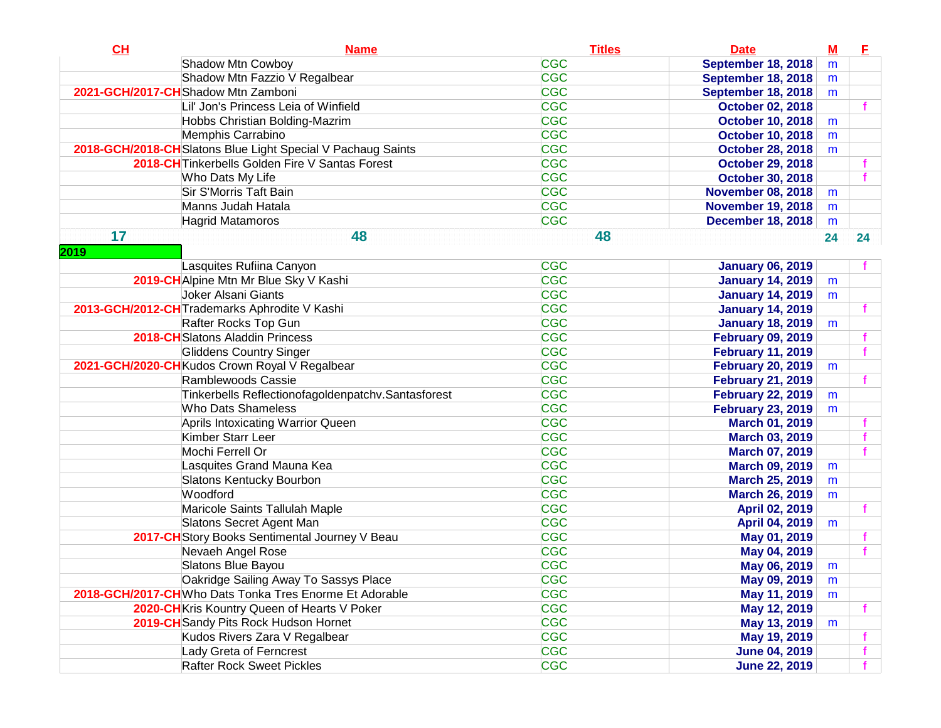| CH   | <b>Name</b>                                                  | <b>Titles</b> | <b>Date</b>               | $M$ | E  |
|------|--------------------------------------------------------------|---------------|---------------------------|-----|----|
|      | Shadow Mtn Cowboy                                            | <b>CGC</b>    | <b>September 18, 2018</b> | m   |    |
|      | Shadow Mtn Fazzio V Regalbear                                | <b>CGC</b>    | September 18, 2018        | m   |    |
|      | 2021-GCH/2017-CHShadow Mtn Zamboni                           | <b>CGC</b>    | September 18, 2018        | m   |    |
|      | Lil' Jon's Princess Leia of Winfield                         | <b>CGC</b>    | <b>October 02, 2018</b>   |     |    |
|      | Hobbs Christian Bolding-Mazrim                               | <b>CGC</b>    | <b>October 10, 2018</b>   | m   |    |
|      | Memphis Carrabino                                            | <b>CGC</b>    | <b>October 10, 2018</b>   | m   |    |
|      | 2018-GCH/2018-CH Slatons Blue Light Special V Pachaug Saints | <b>CGC</b>    | <b>October 28, 2018</b>   | m   |    |
|      | 2018-CH Tinkerbells Golden Fire V Santas Forest              | <b>CGC</b>    | <b>October 29, 2018</b>   |     |    |
|      | Who Dats My Life                                             | <b>CGC</b>    | <b>October 30, 2018</b>   |     |    |
|      | Sir S'Morris Taft Bain                                       | <b>CGC</b>    | <b>November 08, 2018</b>  | m   |    |
|      | Manns Judah Hatala                                           | <b>CGC</b>    | <b>November 19, 2018</b>  | m   |    |
|      | <b>Hagrid Matamoros</b>                                      | <b>CGC</b>    | <b>December 18, 2018</b>  | m   |    |
| 17   | 48                                                           | 48            |                           | 24  | 24 |
| 2019 |                                                              |               |                           |     |    |
|      | Lasquites Rufiina Canyon                                     | <b>CGC</b>    | <b>January 06, 2019</b>   |     |    |
|      | 2019-CH Alpine Mtn Mr Blue Sky V Kashi                       | <b>CGC</b>    | <b>January 14, 2019</b>   | m   |    |
|      | Joker Alsani Giants                                          | <b>CGC</b>    | <b>January 14, 2019</b>   | m   |    |
|      | 2013-GCH/2012-CH Trademarks Aphrodite V Kashi                | <b>CGC</b>    | <b>January 14, 2019</b>   |     |    |
|      | Rafter Rocks Top Gun                                         | <b>CGC</b>    | <b>January 18, 2019</b>   | m   |    |
|      | 2018-CHSlatons Aladdin Princess                              | <b>CGC</b>    | <b>February 09, 2019</b>  |     |    |
|      | <b>Gliddens Country Singer</b>                               | <b>CGC</b>    | <b>February 11, 2019</b>  |     |    |
|      | 2021-GCH/2020-CHKudos Crown Royal V Regalbear                | <b>CGC</b>    | <b>February 20, 2019</b>  | m   |    |
|      | Ramblewoods Cassie                                           | <b>CGC</b>    | <b>February 21, 2019</b>  |     |    |
|      | Tinkerbells Reflectionofagoldenpatchv.Santasforest           | <b>CGC</b>    | <b>February 22, 2019</b>  | m   |    |
|      | <b>Who Dats Shameless</b>                                    | <b>CGC</b>    | <b>February 23, 2019</b>  | m   |    |
|      | Aprils Intoxicating Warrior Queen                            | <b>CGC</b>    | March 01, 2019            |     |    |
|      | Kimber Starr Leer                                            | <b>CGC</b>    | <b>March 03, 2019</b>     |     |    |
|      | Mochi Ferrell Or                                             | <b>CGC</b>    | <b>March 07, 2019</b>     |     |    |
|      | Lasquites Grand Mauna Kea                                    | <b>CGC</b>    | <b>March 09, 2019</b>     | m   |    |
|      | Slatons Kentucky Bourbon                                     | <b>CGC</b>    | <b>March 25, 2019</b>     | m   |    |
|      | Woodford                                                     | <b>CGC</b>    | <b>March 26, 2019</b>     | m   |    |
|      | Maricole Saints Tallulah Maple                               | <b>CGC</b>    | April 02, 2019            |     |    |
|      | Slatons Secret Agent Man                                     | <b>CGC</b>    | April 04, 2019            | m   |    |
|      | 2017-CH Story Books Sentimental Journey V Beau               | <b>CGC</b>    | May 01, 2019              |     |    |
|      | Nevaeh Angel Rose                                            | <b>CGC</b>    | May 04, 2019              |     |    |
|      | Slatons Blue Bayou                                           | <b>CGC</b>    | May 06, 2019              | m   |    |
|      | Oakridge Sailing Away To Sassys Place                        | <b>CGC</b>    | May 09, 2019              | m   |    |
|      | 2018-GCH/2017-CHWho Dats Tonka Tres Enorme Et Adorable       | <b>CGC</b>    | May 11, 2019              | m   |    |
|      | 2020-CH Kris Kountry Queen of Hearts V Poker                 | <b>CGC</b>    | May 12, 2019              |     |    |
|      | 2019-CH Sandy Pits Rock Hudson Hornet                        | <b>CGC</b>    | May 13, 2019              | m   |    |
|      | Kudos Rivers Zara V Regalbear                                | <b>CGC</b>    | May 19, 2019              |     |    |
|      | Lady Greta of Ferncrest                                      | <b>CGC</b>    | <b>June 04, 2019</b>      |     |    |
|      | <b>Rafter Rock Sweet Pickles</b>                             | <b>CGC</b>    | <b>June 22, 2019</b>      |     |    |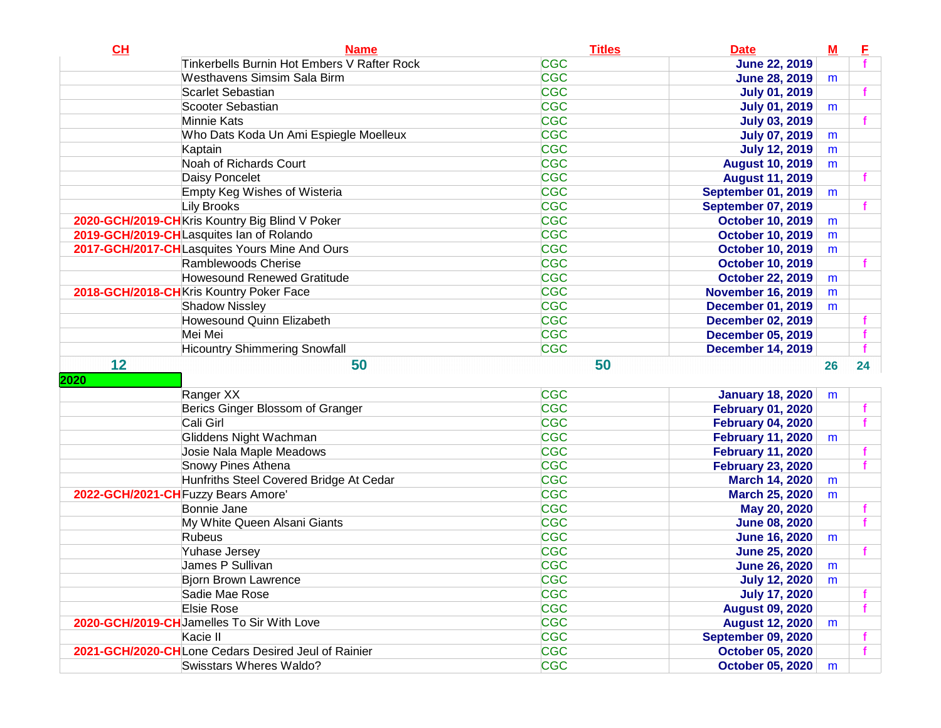| CL                                  | <b>Name</b>                                                                           | <b>Titles</b>            | <b>Date</b>                                 | $M$ | E  |
|-------------------------------------|---------------------------------------------------------------------------------------|--------------------------|---------------------------------------------|-----|----|
|                                     | Tinkerbells Burnin Hot Embers V Rafter Rock                                           | <b>CGC</b>               | <b>June 22, 2019</b>                        |     |    |
|                                     | <b>Westhavens Simsim Sala Birm</b>                                                    | <b>CGC</b>               | <b>June 28, 2019</b>                        | m   |    |
|                                     | <b>Scarlet Sebastian</b>                                                              | <b>CGC</b>               | <b>July 01, 2019</b>                        |     |    |
|                                     | Scooter Sebastian                                                                     | <b>CGC</b>               | <b>July 01, 2019</b>                        | m   |    |
|                                     | Minnie Kats                                                                           | <b>CGC</b>               | <b>July 03, 2019</b>                        |     |    |
|                                     | Who Dats Koda Un Ami Espiegle Moelleux                                                | <b>CGC</b>               | <b>July 07, 2019</b>                        | m   |    |
|                                     | Kaptain                                                                               | <b>CGC</b>               | <b>July 12, 2019</b>                        | m   |    |
|                                     | Noah of Richards Court                                                                | <b>CGC</b>               | <b>August 10, 2019</b>                      | m   |    |
|                                     | Daisy Poncelet                                                                        | <b>CGC</b>               | <b>August 11, 2019</b>                      |     |    |
|                                     | <b>Empty Keg Wishes of Wisteria</b>                                                   | <b>CGC</b>               | <b>September 01, 2019</b>                   | m   |    |
|                                     | <b>Lily Brooks</b>                                                                    | <b>CGC</b>               | <b>September 07, 2019</b>                   |     |    |
|                                     | 2020-GCH/2019-CHKris Kountry Big Blind V Poker                                        | <b>CGC</b>               | <b>October 10, 2019</b>                     | m   |    |
|                                     | 2019-GCH/2019-CHLasquites Ian of Rolando                                              | <b>CGC</b>               | <b>October 10, 2019</b>                     | m   |    |
|                                     | 2017-GCH/2017-CHLasquites Yours Mine And Ours                                         | <b>CGC</b>               | <b>October 10, 2019</b>                     | m   |    |
|                                     | Ramblewoods Cherise                                                                   | <b>CGC</b>               | <b>October 10, 2019</b>                     |     |    |
|                                     | <b>Howesound Renewed Gratitude</b>                                                    | <b>CGC</b>               | <b>October 22, 2019</b>                     | m   |    |
|                                     | 2018-GCH/2018-CHKris Kountry Poker Face                                               | <b>CGC</b>               | <b>November 16, 2019</b>                    | m   |    |
|                                     | <b>Shadow Nissley</b>                                                                 | <b>CGC</b>               | <b>December 01, 2019</b>                    | m   |    |
|                                     | Howesound Quinn Elizabeth                                                             | <b>CGC</b>               | <b>December 02, 2019</b>                    |     |    |
|                                     | Mei Mei                                                                               | <b>CGC</b>               | <b>December 05, 2019</b>                    |     |    |
|                                     | <b>Hicountry Shimmering Snowfall</b>                                                  | <b>CGC</b>               | <b>December 14, 2019</b>                    |     |    |
|                                     |                                                                                       |                          |                                             |     |    |
| 12                                  | 50                                                                                    | 50                       |                                             | 26  | 24 |
| 2020                                |                                                                                       |                          |                                             |     |    |
|                                     | Ranger XX                                                                             | <b>CGC</b>               | <b>January 18, 2020</b>                     | m   |    |
|                                     | Berics Ginger Blossom of Granger                                                      | <b>CGC</b>               | <b>February 01, 2020</b>                    |     |    |
|                                     | Cali Girl                                                                             | <b>CGC</b>               | <b>February 04, 2020</b>                    |     |    |
|                                     | Gliddens Night Wachman                                                                | <b>CGC</b>               | <b>February 11, 2020</b>                    | m   |    |
|                                     | Josie Nala Maple Meadows                                                              | <b>CGC</b>               | <b>February 11, 2020</b>                    |     |    |
|                                     | <b>Snowy Pines Athena</b>                                                             | <b>CGC</b>               | <b>February 23, 2020</b>                    |     |    |
|                                     | Hunfriths Steel Covered Bridge At Cedar                                               | <b>CGC</b>               | <b>March 14, 2020</b>                       | m   |    |
| 2022-GCH/2021-CH Fuzzy Bears Amore' |                                                                                       | <b>CGC</b>               | <b>March 25, 2020</b>                       | m   |    |
|                                     | Bonnie Jane                                                                           | <b>CGC</b>               | May 20, 2020                                |     |    |
|                                     | My White Queen Alsani Giants                                                          | <b>CGC</b>               | <b>June 08, 2020</b>                        |     |    |
|                                     | Rubeus                                                                                | <b>CGC</b>               | <b>June 16, 2020</b>                        | m   |    |
|                                     | Yuhase Jersey                                                                         | <b>CGC</b>               | <b>June 25, 2020</b>                        |     |    |
|                                     | James P Sullivan                                                                      | <b>CGC</b>               | <b>June 26, 2020</b>                        | m   |    |
|                                     | <b>Bjorn Brown Lawrence</b>                                                           | <b>CGC</b>               | <b>July 12, 2020</b>                        | m   |    |
|                                     | Sadie Mae Rose                                                                        | <b>CGC</b>               | <b>July 17, 2020</b>                        |     |    |
|                                     | Elsie Rose                                                                            | <b>CGC</b>               | <b>August 09, 2020</b>                      |     |    |
|                                     | 2020-GCH/2019-CHJamelles To Sir With Love                                             | <b>CGC</b>               | <b>August 12, 2020</b>                      | m   |    |
|                                     | Kacie II                                                                              | <b>CGC</b>               | <b>September 09, 2020</b>                   |     |    |
|                                     | 2021-GCH/2020-CHLone Cedars Desired Jeul of Rainier<br><b>Swisstars Wheres Waldo?</b> | <b>CGC</b><br><b>CGC</b> | <b>October 05, 2020</b><br>October 05, 2020 |     |    |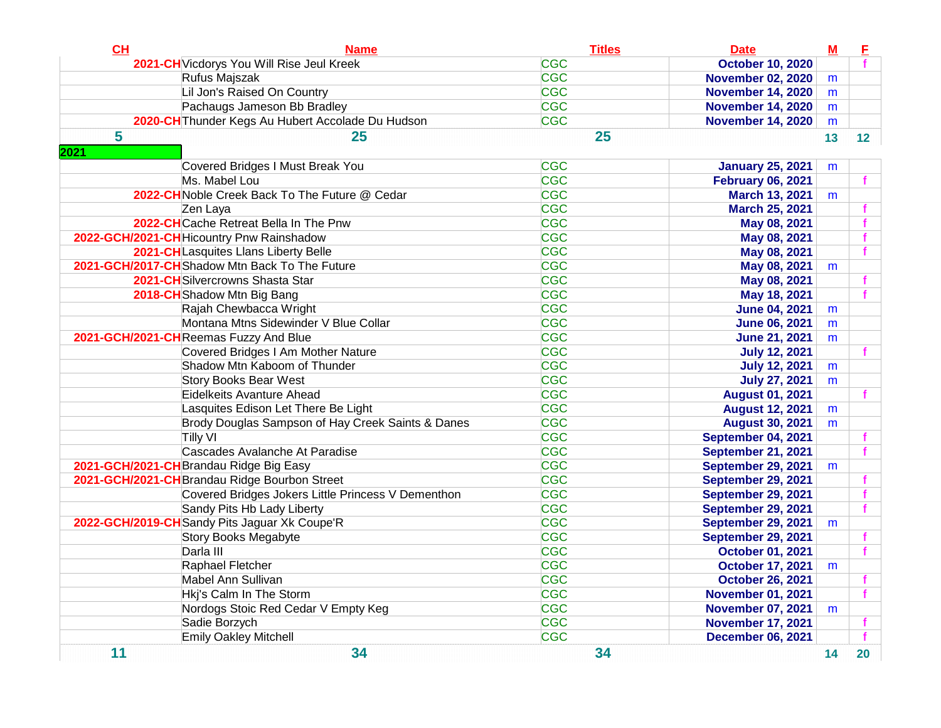| CH        | <b>Name</b>                                        | <b>Titles</b> | <b>Date</b>               | $\mathbf M$ | E  |
|-----------|----------------------------------------------------|---------------|---------------------------|-------------|----|
|           | 2021-CH Vicdorys You Will Rise Jeul Kreek          | <b>CGC</b>    | <b>October 10, 2020</b>   |             |    |
|           | Rufus Majszak                                      | <b>CGC</b>    | <b>November 02, 2020</b>  | m           |    |
|           | Lil Jon's Raised On Country                        | <b>CGC</b>    | <b>November 14, 2020</b>  | m           |    |
|           | Pachaugs Jameson Bb Bradley                        | <b>CGC</b>    | <b>November 14, 2020</b>  | m           |    |
|           | 2020-CH Thunder Kegs Au Hubert Accolade Du Hudson  | <b>CGC</b>    | <b>November 14, 2020</b>  | m           |    |
| 5<br>2021 | 25                                                 | 25            |                           | 13          | 12 |
|           | Covered Bridges I Must Break You                   | <b>CGC</b>    | <b>January 25, 2021</b>   | m           |    |
|           | Ms. Mabel Lou                                      | <b>CGC</b>    | <b>February 06, 2021</b>  |             |    |
|           | 2022-CH Noble Creek Back To The Future @ Cedar     | <b>CGC</b>    | <b>March 13, 2021</b>     | m           |    |
|           | Zen Laya                                           | <b>CGC</b>    | <b>March 25, 2021</b>     |             |    |
|           | 2022-CHCache Retreat Bella In The Pnw              | <b>CGC</b>    | May 08, 2021              |             |    |
|           | 2022-GCH/2021-CH Hicountry Pnw Rainshadow          | <b>CGC</b>    | May 08, 2021              |             |    |
|           | 2021-CHLasquites Llans Liberty Belle               | <b>CGC</b>    | May 08, 2021              |             |    |
|           | 2021-GCH/2017-CHShadow Mtn Back To The Future      | <b>CGC</b>    | May 08, 2021              | m           |    |
|           | 2021-CH Silvercrowns Shasta Star                   | <b>CGC</b>    | May 08, 2021              |             |    |
|           | 2018-CH Shadow Mtn Big Bang                        | <b>CGC</b>    | May 18, 2021              |             |    |
|           | Rajah Chewbacca Wright                             | <b>CGC</b>    | <b>June 04, 2021</b>      | m           |    |
|           | Montana Mtns Sidewinder V Blue Collar              | <b>CGC</b>    | <b>June 06, 2021</b>      | m           |    |
|           | 2021-GCH/2021-CHReemas Fuzzy And Blue              | <b>CGC</b>    | <b>June 21, 2021</b>      | m           |    |
|           | Covered Bridges I Am Mother Nature                 | <b>CGC</b>    | <b>July 12, 2021</b>      |             |    |
|           | Shadow Mtn Kaboom of Thunder                       | <b>CGC</b>    | <b>July 12, 2021</b>      | m           |    |
|           | <b>Story Books Bear West</b>                       | <b>CGC</b>    | <b>July 27, 2021</b>      | m           |    |
|           | Eidelkeits Avanture Ahead                          | <b>CGC</b>    | <b>August 01, 2021</b>    |             |    |
|           | Lasquites Edison Let There Be Light                | <b>CGC</b>    | <b>August 12, 2021</b>    | m           |    |
|           | Brody Douglas Sampson of Hay Creek Saints & Danes  | <b>CGC</b>    | <b>August 30, 2021</b>    | m           |    |
|           | <b>Tilly VI</b>                                    | <b>CGC</b>    | September 04, 2021        |             |    |
|           | Cascades Avalanche At Paradise                     | <b>CGC</b>    | <b>September 21, 2021</b> |             |    |
|           | 2021-GCH/2021-CH Brandau Ridge Big Easy            | <b>CGC</b>    | <b>September 29, 2021</b> | m           |    |
|           | 2021-GCH/2021-CH Brandau Ridge Bourbon Street      | <b>CGC</b>    | <b>September 29, 2021</b> |             |    |
|           | Covered Bridges Jokers Little Princess V Dementhon | <b>CGC</b>    | <b>September 29, 2021</b> |             |    |
|           | Sandy Pits Hb Lady Liberty                         | <b>CGC</b>    | <b>September 29, 2021</b> |             |    |
|           | 2022-GCH/2019-CH Sandy Pits Jaguar Xk Coupe'R      | <b>CGC</b>    | <b>September 29, 2021</b> | m           |    |
|           | Story Books Megabyte                               | <b>CGC</b>    | <b>September 29, 2021</b> |             |    |
|           | Darla III                                          | <b>CGC</b>    | <b>October 01, 2021</b>   |             |    |
|           | Raphael Fletcher                                   | <b>CGC</b>    | <b>October 17, 2021</b>   | m           |    |
|           | Mabel Ann Sullivan                                 | <b>CGC</b>    | <b>October 26, 2021</b>   |             |    |
|           | Hkj's Calm In The Storm                            | <b>CGC</b>    | <b>November 01, 2021</b>  |             |    |
|           | Nordogs Stoic Red Cedar V Empty Keg                | <b>CGC</b>    | <b>November 07, 2021</b>  | m           |    |
|           | Sadie Borzych                                      | <b>CGC</b>    | <b>November 17, 2021</b>  |             |    |
|           | <b>Emily Oakley Mitchell</b>                       | <b>CGC</b>    | <b>December 06, 2021</b>  |             |    |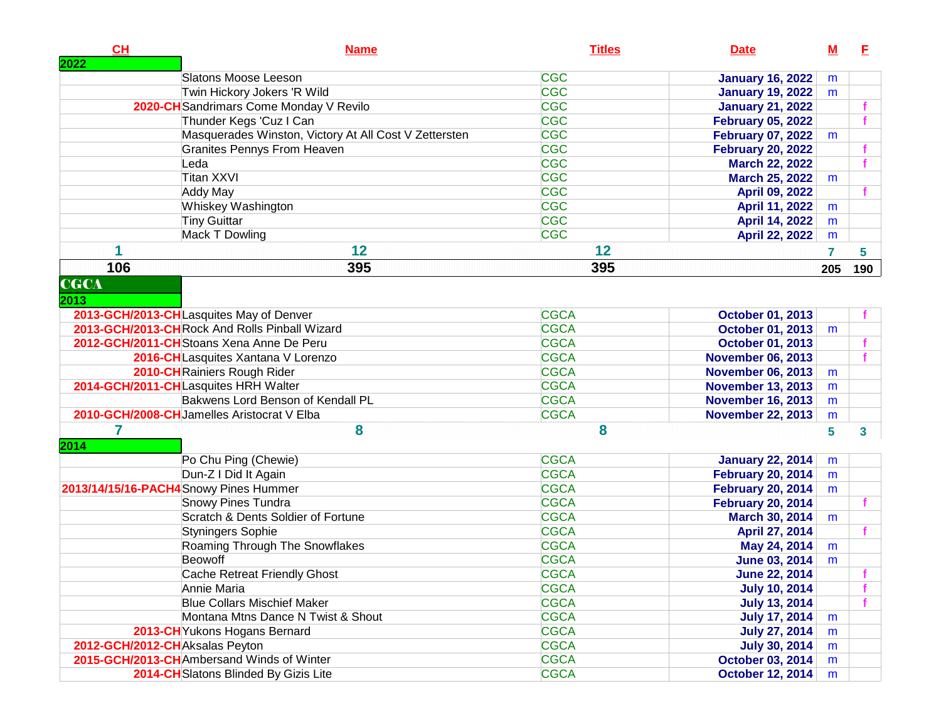| <b>CH</b><br>2022              | <b>Name</b>                                           | <b>Titles</b> | <b>Date</b>              | $\underline{\mathsf{M}}$ | E   |
|--------------------------------|-------------------------------------------------------|---------------|--------------------------|--------------------------|-----|
|                                | Slatons Moose Leeson                                  | <b>CGC</b>    | <b>January 16, 2022</b>  | m                        |     |
|                                | Twin Hickory Jokers 'R Wild                           | <b>CGC</b>    | <b>January 19, 2022</b>  | m                        |     |
|                                | 2020-CH Sandrimars Come Monday V Revilo               | <b>CGC</b>    | <b>January 21, 2022</b>  |                          |     |
|                                | Thunder Kegs 'Cuz I Can                               | <b>CGC</b>    | <b>February 05, 2022</b> |                          |     |
|                                | Masquerades Winston, Victory At All Cost V Zettersten | <b>CGC</b>    | <b>February 07, 2022</b> | m                        |     |
|                                | <b>Granites Pennys From Heaven</b>                    | <b>CGC</b>    | <b>February 20, 2022</b> |                          |     |
|                                | Leda                                                  | <b>CGC</b>    | <b>March 22, 2022</b>    |                          |     |
|                                | <b>Titan XXVI</b>                                     | <b>CGC</b>    | <b>March 25, 2022</b>    | m                        |     |
|                                | Addy May                                              | <b>CGC</b>    | April 09, 2022           |                          |     |
|                                | Whiskey Washington                                    | <b>CGC</b>    | April 11, 2022           | m                        |     |
|                                | <b>Tiny Guittar</b>                                   | <b>CGC</b>    | April 14, 2022           | m                        |     |
|                                | Mack T Dowling                                        | <b>CGC</b>    | <b>April 22, 2022</b>    | m                        |     |
|                                | 12                                                    | 12            |                          | 7                        | 5   |
| 106                            | 395                                                   | 395           |                          | 205                      | 190 |
| <b>CGCA</b>                    |                                                       |               |                          |                          |     |
| 2013                           | 2013-GCH/2013-CHLasquites May of Denver               | <b>CGCA</b>   | <b>October 01, 2013</b>  |                          |     |
|                                | 2013-GCH/2013-CHRock And Rolls Pinball Wizard         | <b>CGCA</b>   | <b>October 01, 2013</b>  | m                        |     |
|                                | 2012-GCH/2011-CH Stoans Xena Anne De Peru             | <b>CGCA</b>   | <b>October 01, 2013</b>  |                          |     |
|                                | 2016-CHLasquites Xantana V Lorenzo                    | <b>CGCA</b>   | <b>November 06, 2013</b> |                          |     |
|                                | 2010-CH Rainiers Rough Rider                          | <b>CGCA</b>   | <b>November 06, 2013</b> |                          |     |
|                                | 2014-GCH/2011-CHLasquites HRH Walter                  | <b>CGCA</b>   | <b>November 13, 2013</b> | m<br>m                   |     |
|                                | Bakwens Lord Benson of Kendall PL                     | <b>CGCA</b>   | <b>November 16, 2013</b> |                          |     |
|                                | 2010-GCH/2008-CHJamelles Aristocrat V Elba            | <b>CGCA</b>   | <b>November 22, 2013</b> | m                        |     |
|                                |                                                       |               |                          | m                        |     |
| 7<br>2014                      | 8                                                     | 8             |                          | 5                        | 3   |
|                                | Po Chu Ping (Chewie)                                  | <b>CGCA</b>   | <b>January 22, 2014</b>  | m                        |     |
|                                | Dun-Z I Did It Again                                  | <b>CGCA</b>   | <b>February 20, 2014</b> | m                        |     |
|                                | 2013/14/15/16-PACH4Snowy Pines Hummer                 | <b>CGCA</b>   | <b>February 20, 2014</b> | m                        |     |
|                                | <b>Snowy Pines Tundra</b>                             | <b>CGCA</b>   | <b>February 20, 2014</b> |                          | f   |
|                                | Scratch & Dents Soldier of Fortune                    | <b>CGCA</b>   | March 30, 2014           | m                        |     |
|                                | Styningers Sophie                                     | <b>CGCA</b>   | April 27, 2014           |                          | f   |
|                                | Roaming Through The Snowflakes                        | <b>CGCA</b>   | May 24, 2014             | m                        |     |
|                                | <b>Beowoff</b>                                        | <b>CGCA</b>   | <b>June 03, 2014</b>     | m                        |     |
|                                | Cache Retreat Friendly Ghost                          | <b>CGCA</b>   | <b>June 22, 2014</b>     |                          |     |
|                                | Annie Maria                                           | <b>CGCA</b>   | <b>July 10, 2014</b>     |                          | Ť.  |
|                                | <b>Blue Collars Mischief Maker</b>                    | <b>CGCA</b>   | <b>July 13, 2014</b>     |                          | f.  |
|                                | Montana Mtns Dance N Twist & Shout                    | <b>CGCA</b>   | <b>July 17, 2014</b>     | m                        |     |
|                                | 2013-CHYukons Hogans Bernard                          | <b>CGCA</b>   | <b>July 27, 2014</b>     | m                        |     |
| 2012-GCH/2012-CHAksalas Peyton |                                                       | <b>CGCA</b>   | <b>July 30, 2014</b>     | m                        |     |
|                                | 2015-GCH/2013-CHAmbersand Winds of Winter             | <b>CGCA</b>   | <b>October 03, 2014</b>  | m                        |     |
|                                | 2014-CHSlatons Blinded By Gizis Lite                  | <b>CGCA</b>   | <b>October 12, 2014</b>  | m                        |     |
|                                |                                                       |               |                          |                          |     |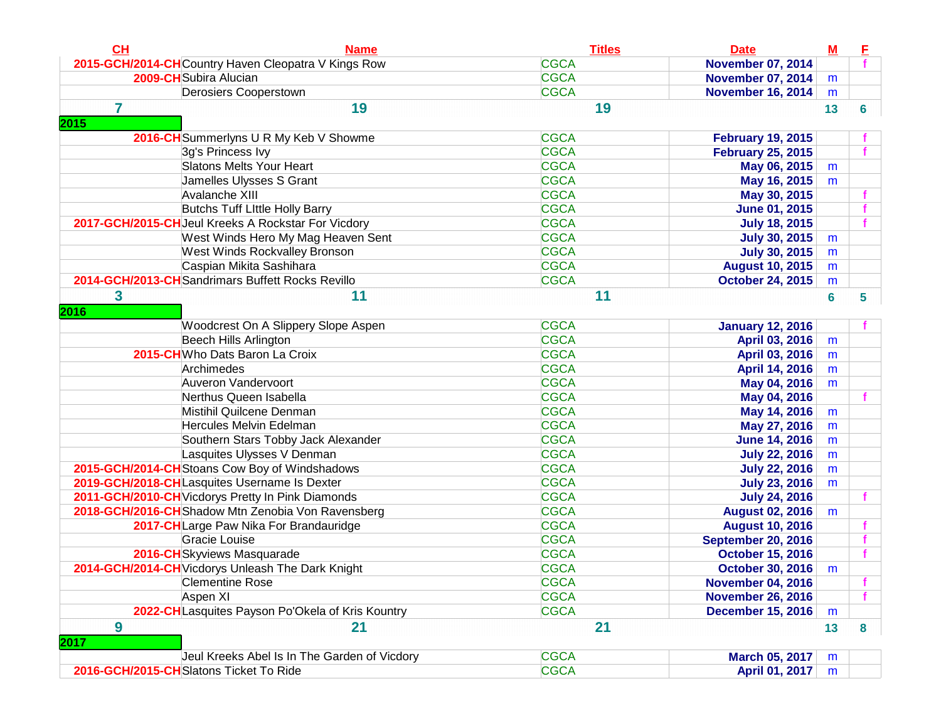| CL             | <b>Name</b>                                         | <b>Titles</b> | <b>Date</b>               | $\underline{\mathbf{M}}$ | E |
|----------------|-----------------------------------------------------|---------------|---------------------------|--------------------------|---|
|                | 2015-GCH/2014-CHCountry Haven Cleopatra V Kings Row | <b>CGCA</b>   | <b>November 07, 2014</b>  |                          |   |
|                | 2009-CH Subira Alucian                              | <b>CGCA</b>   | <b>November 07, 2014</b>  | m                        |   |
|                | Derosiers Cooperstown                               | <b>CGCA</b>   | <b>November 16, 2014</b>  | m                        |   |
| $\overline{7}$ | 19                                                  | 19            |                           | 13                       | 6 |
| 2015           |                                                     |               |                           |                          |   |
|                | 2016-CH Summerlyns U R My Keb V Showme              | <b>CGCA</b>   | <b>February 19, 2015</b>  |                          |   |
|                | 3g's Princess Ivy                                   | <b>CGCA</b>   | <b>February 25, 2015</b>  |                          |   |
|                | <b>Slatons Melts Your Heart</b>                     | <b>CGCA</b>   | May 06, 2015              | m                        |   |
|                | Jamelles Ulysses S Grant                            | <b>CGCA</b>   | May 16, 2015              | m                        |   |
|                | Avalanche XIII                                      | <b>CGCA</b>   | May 30, 2015              |                          |   |
|                | <b>Butchs Tuff Little Holly Barry</b>               | <b>CGCA</b>   | <b>June 01, 2015</b>      |                          |   |
|                | 2017-GCH/2015-CH Jeul Kreeks A Rockstar For Vicdory | <b>CGCA</b>   | <b>July 18, 2015</b>      |                          |   |
|                | West Winds Hero My Mag Heaven Sent                  | <b>CGCA</b>   | <b>July 30, 2015</b>      | m                        |   |
|                | West Winds Rockvalley Bronson                       | <b>CGCA</b>   | <b>July 30, 2015</b>      | m                        |   |
|                | Caspian Mikita Sashihara                            | <b>CGCA</b>   | <b>August 10, 2015</b>    | m                        |   |
|                | 2014-GCH/2013-CHSandrimars Buffett Rocks Revillo    | <b>CGCA</b>   | <b>October 24, 2015</b>   | m                        |   |
| 3              | 11                                                  | 11            |                           | $6\phantom{a}$           | 5 |
| 2016           |                                                     |               |                           |                          |   |
|                | Woodcrest On A Slippery Slope Aspen                 | <b>CGCA</b>   | <b>January 12, 2016</b>   |                          |   |
|                | <b>Beech Hills Arlington</b>                        | <b>CGCA</b>   | April 03, 2016            | m                        |   |
|                | 2015-CHWho Dats Baron La Croix                      | <b>CGCA</b>   | April 03, 2016            | m                        |   |
|                | Archimedes                                          | <b>CGCA</b>   | April 14, 2016            | m                        |   |
|                | Auveron Vandervoort                                 | <b>CGCA</b>   | May 04, 2016              | m                        |   |
|                | Nerthus Queen Isabella                              | <b>CGCA</b>   | May 04, 2016              |                          |   |
|                | Mistihil Quilcene Denman                            | <b>CGCA</b>   | May 14, 2016              | m                        |   |
|                | Hercules Melvin Edelman                             | <b>CGCA</b>   | May 27, 2016              | m                        |   |
|                | Southern Stars Tobby Jack Alexander                 | <b>CGCA</b>   | <b>June 14, 2016</b>      | m                        |   |
|                | Lasquites Ulysses V Denman                          | <b>CGCA</b>   | <b>July 22, 2016</b>      | m                        |   |
|                | 2015-GCH/2014-CHStoans Cow Boy of Windshadows       | <b>CGCA</b>   | <b>July 22, 2016</b>      | m                        |   |
|                | 2019-GCH/2018-CHLasquites Username Is Dexter        | <b>CGCA</b>   | <b>July 23, 2016</b>      | m                        |   |
|                | 2011-GCH/2010-CH Vicdorys Pretty In Pink Diamonds   | <b>CGCA</b>   | <b>July 24, 2016</b>      |                          |   |
|                | 2018-GCH/2016-CH Shadow Mtn Zenobia Von Ravensberg  | <b>CGCA</b>   | <b>August 02, 2016</b>    | m                        |   |
|                | 2017-CH Large Paw Nika For Brandauridge             | <b>CGCA</b>   | <b>August 10, 2016</b>    |                          |   |
|                | Gracie Louise                                       | <b>CGCA</b>   | <b>September 20, 2016</b> |                          |   |
|                | 2016-CHSkyviews Masquarade                          | <b>CGCA</b>   | <b>October 15, 2016</b>   |                          |   |
|                | 2014-GCH/2014-CH Vicdorys Unleash The Dark Knight   | <b>CGCA</b>   | <b>October 30, 2016</b>   | m                        |   |
|                | <b>Clementine Rose</b>                              | <b>CGCA</b>   | <b>November 04, 2016</b>  |                          |   |
|                | Aspen XI                                            | <b>CGCA</b>   | <b>November 26, 2016</b>  |                          |   |
|                | 2022-CHLasquites Payson Po'Okela of Kris Kountry    | <b>CGCA</b>   | <b>December 15, 2016</b>  | m                        |   |
| 9              | 21                                                  | 21            |                           | 13                       | 8 |
| 2017           |                                                     |               |                           |                          |   |
|                | Jeul Kreeks Abel Is In The Garden of Vicdory        | <b>CGCA</b>   | March 05, 2017            | m                        |   |
|                | 2016-GCH/2015-CHSlatons Ticket To Ride              | <b>CGCA</b>   | April 01, 2017            | m                        |   |
|                |                                                     |               |                           |                          |   |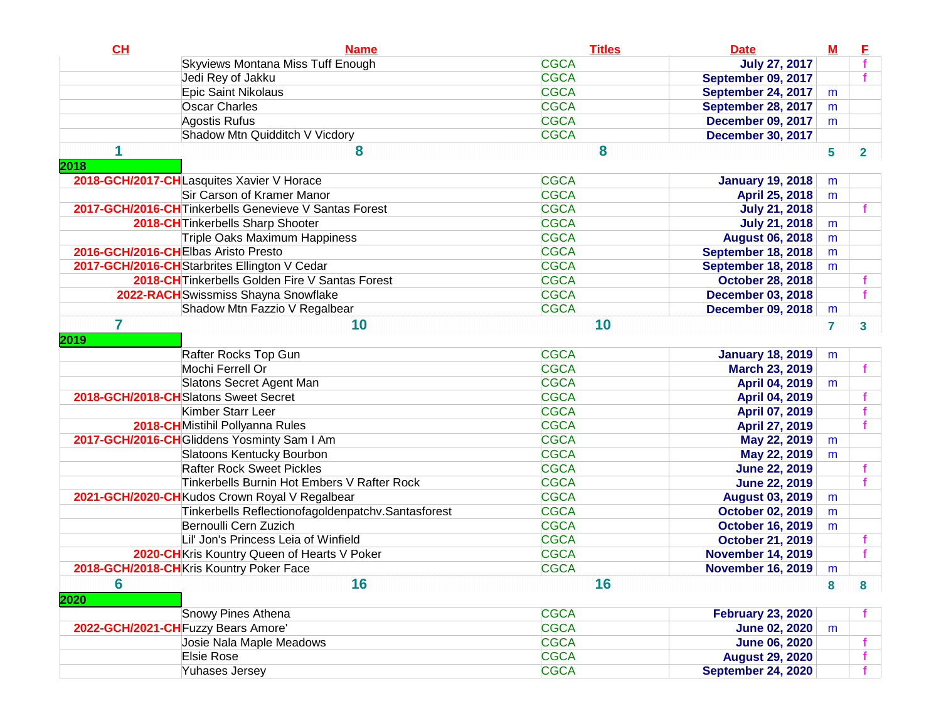| CL                                  | <b>Name</b>                                            | <b>Titles</b> | <b>Date</b>               | $\underline{\mathbf{M}}$ | E              |
|-------------------------------------|--------------------------------------------------------|---------------|---------------------------|--------------------------|----------------|
|                                     | Skyviews Montana Miss Tuff Enough                      | <b>CGCA</b>   | <b>July 27, 2017</b>      |                          |                |
|                                     | Jedi Rey of Jakku                                      | <b>CGCA</b>   | September 09, 2017        |                          |                |
|                                     | Epic Saint Nikolaus                                    | <b>CGCA</b>   | <b>September 24, 2017</b> | m                        |                |
|                                     | <b>Oscar Charles</b>                                   | <b>CGCA</b>   | September 28, 2017        | m                        |                |
|                                     | Agostis Rufus                                          | <b>CGCA</b>   | <b>December 09, 2017</b>  | m                        |                |
|                                     | Shadow Mtn Quidditch V Vicdory                         | <b>CGCA</b>   | <b>December 30, 2017</b>  |                          |                |
|                                     | 8                                                      | 8             |                           | 5                        | $\overline{2}$ |
| 2018                                |                                                        |               |                           |                          |                |
|                                     | 2018-GCH/2017-CHLasquites Xavier V Horace              | <b>CGCA</b>   | <b>January 19, 2018</b>   | m                        |                |
|                                     | Sir Carson of Kramer Manor                             | <b>CGCA</b>   | April 25, 2018            | m                        |                |
|                                     | 2017-GCH/2016-CH Tinkerbells Genevieve V Santas Forest | <b>CGCA</b>   | <b>July 21, 2018</b>      |                          |                |
|                                     | 2018-CH Tinkerbells Sharp Shooter                      | <b>CGCA</b>   | <b>July 21, 2018</b>      | m                        |                |
|                                     | Triple Oaks Maximum Happiness                          | <b>CGCA</b>   | <b>August 06, 2018</b>    | m                        |                |
| 2016-GCH/2016-CHElbas Aristo Presto |                                                        | <b>CGCA</b>   | September 18, 2018        | m                        |                |
|                                     | 2017-GCH/2016-CH Starbrites Ellington V Cedar          | <b>CGCA</b>   | <b>September 18, 2018</b> | m                        |                |
|                                     | 2018-CH Tinkerbells Golden Fire V Santas Forest        | <b>CGCA</b>   | <b>October 28, 2018</b>   |                          |                |
|                                     | 2022-RACH Swissmiss Shayna Snowflake                   | <b>CGCA</b>   | <b>December 03, 2018</b>  |                          |                |
|                                     | Shadow Mtn Fazzio V Regalbear                          | <b>CGCA</b>   | <b>December 09, 2018</b>  | m                        |                |
| 7                                   | 10                                                     | 10            |                           | 7                        | 3              |
| 2019                                |                                                        |               |                           |                          |                |
|                                     | Rafter Rocks Top Gun                                   | <b>CGCA</b>   | <b>January 18, 2019</b>   | m                        |                |
|                                     | Mochi Ferrell Or                                       | <b>CGCA</b>   | <b>March 23, 2019</b>     |                          |                |
|                                     | Slatons Secret Agent Man                               | <b>CGCA</b>   | April 04, 2019            | m                        |                |
|                                     | 2018-GCH/2018-CHSlatons Sweet Secret                   | <b>CGCA</b>   | <b>April 04, 2019</b>     |                          |                |
|                                     | Kimber Starr Leer                                      | <b>CGCA</b>   | April 07, 2019            |                          |                |
|                                     | 2018-CHMistihil Pollyanna Rules                        | <b>CGCA</b>   | April 27, 2019            |                          |                |
|                                     | 2017-GCH/2016-CH Gliddens Yosminty Sam I Am            | <b>CGCA</b>   | May 22, 2019              | m                        |                |
|                                     | Slatoons Kentucky Bourbon                              | <b>CGCA</b>   | May 22, 2019              | m                        |                |
|                                     | <b>Rafter Rock Sweet Pickles</b>                       | <b>CGCA</b>   | <b>June 22, 2019</b>      |                          |                |
|                                     | Tinkerbells Burnin Hot Embers V Rafter Rock            | <b>CGCA</b>   | <b>June 22, 2019</b>      |                          |                |
|                                     | 2021-GCH/2020-CH Kudos Crown Royal V Regalbear         | <b>CGCA</b>   | <b>August 03, 2019</b>    | m                        |                |
|                                     | Tinkerbells Reflectionofagoldenpatchv.Santasforest     | <b>CGCA</b>   | <b>October 02, 2019</b>   | m                        |                |
|                                     | Bernoulli Cern Zuzich                                  | <b>CGCA</b>   | <b>October 16, 2019</b>   | m                        |                |
|                                     | Lil' Jon's Princess Leia of Winfield                   | <b>CGCA</b>   | October 21, 2019          |                          |                |
|                                     | 2020-CHKris Kountry Queen of Hearts V Poker            | <b>CGCA</b>   | <b>November 14, 2019</b>  |                          |                |
|                                     | 2018-GCH/2018-CHKris Kountry Poker Face                | <b>CGCA</b>   | <b>November 16, 2019</b>  | m                        |                |
| $6\phantom{a}$                      | 16                                                     | 16            |                           | 8                        | 8              |
| 2020                                |                                                        |               |                           |                          |                |
|                                     | <b>Snowy Pines Athena</b>                              | <b>CGCA</b>   | <b>February 23, 2020</b>  |                          |                |
| 2022-GCH/2021-CH Fuzzy Bears Amore' |                                                        | <b>CGCA</b>   | <b>June 02, 2020</b>      | m                        |                |
|                                     | Josie Nala Maple Meadows                               | <b>CGCA</b>   | <b>June 06, 2020</b>      |                          |                |
|                                     | <b>Elsie Rose</b>                                      | <b>CGCA</b>   | <b>August 29, 2020</b>    |                          |                |
|                                     | Yuhases Jersey                                         | <b>CGCA</b>   | <b>September 24, 2020</b> |                          |                |
|                                     |                                                        |               |                           |                          |                |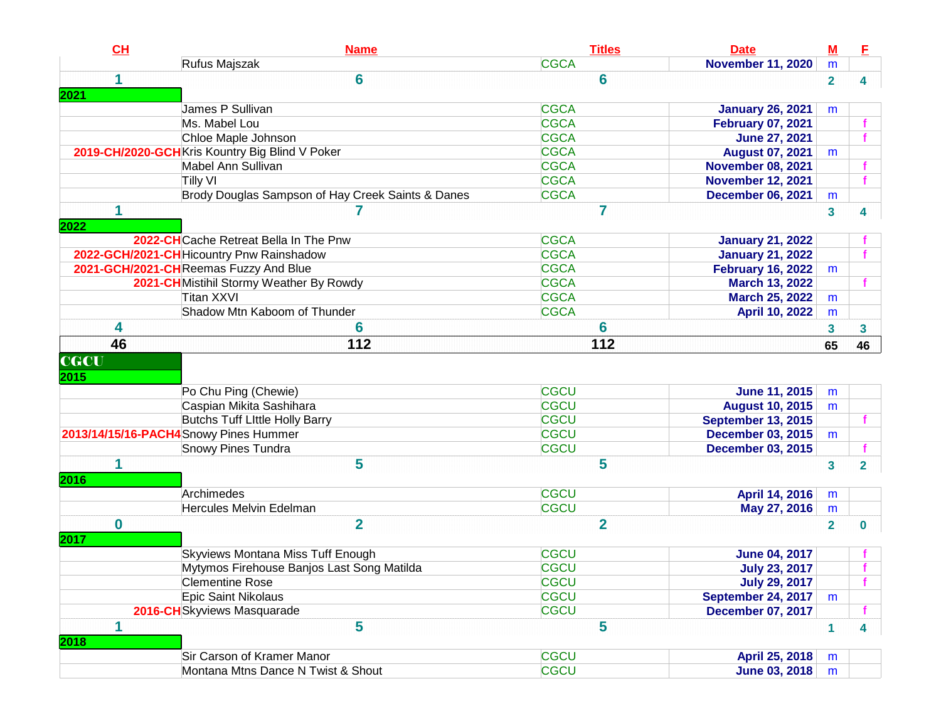| CL                  | <b>Name</b>                                       | <b>Titles</b>  | <b>Date</b>               | $M$            | E                       |
|---------------------|---------------------------------------------------|----------------|---------------------------|----------------|-------------------------|
|                     | Rufus Majszak                                     | <b>CGCA</b>    | <b>November 11, 2020</b>  | m              |                         |
| 1<br>2021           | 6                                                 | 6              |                           | $\overline{2}$ | 4                       |
|                     | James P Sullivan                                  | <b>CGCA</b>    | <b>January 26, 2021</b>   | m              |                         |
|                     | Ms. Mabel Lou                                     | <b>CGCA</b>    | <b>February 07, 2021</b>  |                |                         |
|                     | Chloe Maple Johnson                               | <b>CGCA</b>    | <b>June 27, 2021</b>      |                |                         |
|                     | 2019-CH/2020-GCH Kris Kountry Big Blind V Poker   | <b>CGCA</b>    | <b>August 07, 2021</b>    | m              |                         |
|                     | Mabel Ann Sullivan                                | <b>CGCA</b>    | <b>November 08, 2021</b>  |                |                         |
|                     | <b>Tilly VI</b>                                   | <b>CGCA</b>    | <b>November 12, 2021</b>  |                |                         |
|                     | Brody Douglas Sampson of Hay Creek Saints & Danes | <b>CGCA</b>    | <b>December 06, 2021</b>  | m              |                         |
| 1<br>2022           | 7                                                 | 7              |                           | 3              | 4                       |
|                     | 2022-CHCache Retreat Bella In The Pnw             | <b>CGCA</b>    | <b>January 21, 2022</b>   |                |                         |
|                     | 2022-GCH/2021-CH Hicountry Pnw Rainshadow         | <b>CGCA</b>    | <b>January 21, 2022</b>   |                |                         |
|                     | 2021-GCH/2021-CHReemas Fuzzy And Blue             | <b>CGCA</b>    | <b>February 16, 2022</b>  | m              |                         |
|                     | 2021-CHMistihil Stormy Weather By Rowdy           | <b>CGCA</b>    | March 13, 2022            |                |                         |
|                     | Titan XXVI                                        | <b>CGCA</b>    | <b>March 25, 2022</b>     | m              |                         |
|                     | Shadow Mtn Kaboom of Thunder                      | <b>CGCA</b>    | <b>April 10, 2022</b>     | m              |                         |
| 4                   | 6                                                 | 6              |                           | 3              | 3                       |
| 46                  | 112                                               | 112            |                           | 65             | 46                      |
| <b>CGCU</b><br>2015 | Po Chu Ping (Chewie)                              | <b>CGCU</b>    | <b>June 11, 2015</b>      | m              |                         |
|                     | Caspian Mikita Sashihara                          | <b>CGCU</b>    | <b>August 10, 2015</b>    | m              |                         |
|                     | Butchs Tuff Little Holly Barry                    | <b>CGCU</b>    | <b>September 13, 2015</b> |                |                         |
|                     | 2013/14/15/16-PACH4Snowy Pines Hummer             | <b>CGCU</b>    | <b>December 03, 2015</b>  | m              |                         |
|                     | <b>Snowy Pines Tundra</b>                         | <b>CGCU</b>    | <b>December 03, 2015</b>  |                |                         |
| 1<br>2016           | 5                                                 | 5              |                           | 3              | $\mathbf{2}$            |
|                     | Archimedes                                        | <b>CGCU</b>    | April 14, 2016            | m              |                         |
|                     | Hercules Melvin Edelman                           | <b>CGCU</b>    | May 27, 2016              | m              |                         |
| $\bf{0}$<br>2017    | $\overline{\mathbf{2}}$                           | $\overline{2}$ |                           | $\overline{2}$ | 0                       |
|                     | Skyviews Montana Miss Tuff Enough                 | <b>CGCU</b>    | <b>June 04, 2017</b>      |                |                         |
|                     | Mytymos Firehouse Banjos Last Song Matilda        | <b>CGCU</b>    | <b>July 23, 2017</b>      |                |                         |
|                     | <b>Clementine Rose</b>                            | CGCU           | <b>July 29, 2017</b>      |                |                         |
|                     | Epic Saint Nikolaus                               | <b>CGCU</b>    | September 24, 2017        | m              |                         |
|                     | 2016-CHSkyviews Masquarade                        | <b>CGCU</b>    | <b>December 07, 2017</b>  |                |                         |
| 1<br>2018           | 5                                                 | 5              |                           | $\mathbf{1}$   | $\overline{\mathbf{4}}$ |
|                     | Sir Carson of Kramer Manor                        | <b>CGCU</b>    | April 25, 2018            | m              |                         |
|                     | Montana Mtns Dance N Twist & Shout                | <b>CGCU</b>    | <b>June 03, 2018</b>      | m              |                         |
|                     |                                                   |                |                           |                |                         |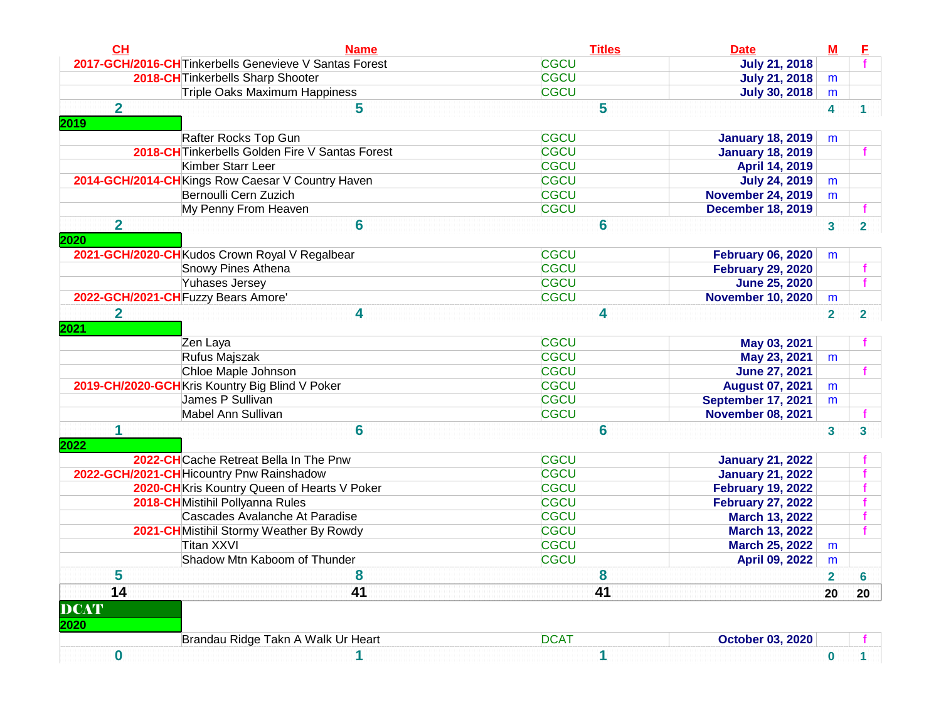| CH                              | <b>Name</b>                                            | <b>Titles</b>    | <b>Date</b>               | $M$                     |                         |
|---------------------------------|--------------------------------------------------------|------------------|---------------------------|-------------------------|-------------------------|
|                                 | 2017-GCH/2016-CH Tinkerbells Genevieve V Santas Forest | <b>CGCU</b>      | <b>July 21, 2018</b>      |                         |                         |
|                                 | 2018-CH Tinkerbells Sharp Shooter                      | <b>CGCU</b>      | <b>July 21, 2018</b>      | m                       |                         |
|                                 | Triple Oaks Maximum Happiness                          | <b>CGCU</b>      | <b>July 30, 2018</b>      | m                       |                         |
| $\overline{\mathbf{2}}$<br>2019 | 5                                                      | 5                |                           | 4                       |                         |
|                                 | Rafter Rocks Top Gun                                   | <b>CGCU</b>      | <b>January 18, 2019</b>   | m                       |                         |
|                                 | 2018-CH Tinkerbells Golden Fire V Santas Forest        | <b>CGCU</b>      | <b>January 18, 2019</b>   |                         |                         |
|                                 | <b>Kimber Starr Leer</b>                               | <b>CGCU</b>      | April 14, 2019            |                         |                         |
|                                 | 2014-GCH/2014-CH Kings Row Caesar V Country Haven      | <b>CGCU</b>      | <b>July 24, 2019</b>      | m                       |                         |
|                                 | Bernoulli Cern Zuzich                                  | <b>CGCU</b>      | <b>November 24, 2019</b>  | m                       |                         |
|                                 | My Penny From Heaven                                   | <b>CGCU</b>      | <b>December 18, 2019</b>  |                         |                         |
| $\overline{\mathbf{2}}$<br>2020 | 6                                                      | 6                |                           | $\overline{\mathbf{3}}$ | $\overline{\mathbf{2}}$ |
|                                 | 2021-GCH/2020-CHKudos Crown Royal V Regalbear          | <b>CGCU</b>      | <b>February 06, 2020</b>  | m                       |                         |
|                                 | <b>Snowy Pines Athena</b>                              | <b>CGCU</b>      | <b>February 29, 2020</b>  |                         |                         |
|                                 | <b>Yuhases Jersey</b>                                  | <b>CGCU</b>      | <b>June 25, 2020</b>      |                         | Ŧ                       |
|                                 | 2022-GCH/2021-CH Fuzzy Bears Amore'                    | <b>CGCU</b>      | <b>November 10, 2020</b>  | m                       |                         |
| $\overline{2}$<br>2021          | 4<br>Zen Laya                                          | 4<br><b>CGCU</b> | May 03, 2021              | $\overline{\mathbf{2}}$ | $\overline{\mathbf{2}}$ |
|                                 | Rufus Majszak                                          | <b>CGCU</b>      | May 23, 2021              | m                       |                         |
|                                 | Chloe Maple Johnson                                    | <b>CGCU</b>      | <b>June 27, 2021</b>      |                         |                         |
|                                 | 2019-CH/2020-GCH Kris Kountry Big Blind V Poker        | <b>CGCU</b>      | <b>August 07, 2021</b>    | m                       |                         |
|                                 | James P Sullivan                                       | <b>CGCU</b>      | <b>September 17, 2021</b> | m                       |                         |
|                                 | Mabel Ann Sullivan                                     | <b>CGCU</b>      | <b>November 08, 2021</b>  |                         |                         |
| 1<br>2022                       | 6                                                      | 6                |                           | $\mathbf{3}$            | 3                       |
|                                 | 2022-CHCache Retreat Bella In The Pnw                  | <b>CGCU</b>      | <b>January 21, 2022</b>   |                         |                         |
|                                 | 2022-GCH/2021-CH Hicountry Pnw Rainshadow              | <b>CGCU</b>      | <b>January 21, 2022</b>   |                         |                         |
|                                 | 2020-CH Kris Kountry Queen of Hearts V Poker           | <b>CGCU</b>      | <b>February 19, 2022</b>  |                         |                         |
|                                 | 2018-CH Mistihil Pollyanna Rules                       | <b>CGCU</b>      | <b>February 27, 2022</b>  |                         |                         |
|                                 | Cascades Avalanche At Paradise                         | <b>CGCU</b>      | <b>March 13, 2022</b>     |                         |                         |
|                                 | 2021-CHMistihil Stormy Weather By Rowdy                | <b>CGCU</b>      | <b>March 13, 2022</b>     |                         |                         |
|                                 | Titan XXVI                                             | <b>CGCU</b>      | <b>March 25, 2022</b>     | m                       |                         |
|                                 | Shadow Mtn Kaboom of Thunder                           | <b>CGCU</b>      | April 09, 2022            | m                       |                         |
| 5                               | 8                                                      | 8                |                           | 2                       | 6                       |
| 14                              | 41                                                     | 41               |                           | 20                      | 20                      |
| <b>DCAT</b><br>2020             |                                                        |                  |                           |                         |                         |
|                                 | Brandau Ridge Takn A Walk Ur Heart                     | <b>DCAT</b>      | <b>October 03, 2020</b>   |                         |                         |
|                                 |                                                        |                  |                           |                         |                         |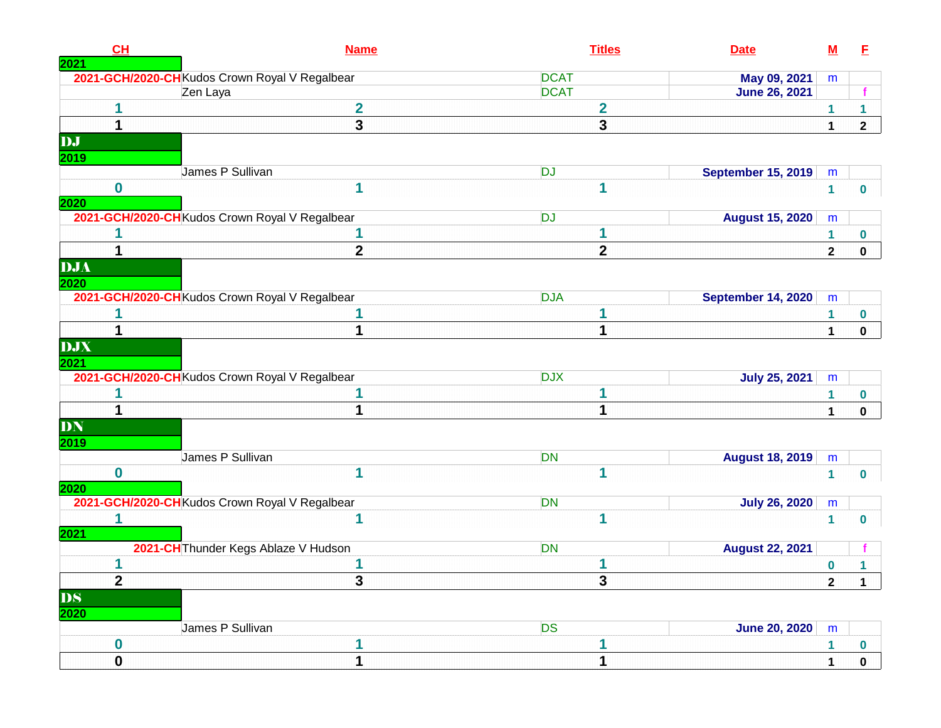| CH<br>2021       | <b>Name</b>                                    | <b>Titles</b>  | <b>Date</b>               | $\underline{\mathsf{M}}$ | E            |
|------------------|------------------------------------------------|----------------|---------------------------|--------------------------|--------------|
|                  | 2021-GCH/2020-CH Kudos Crown Royal V Regalbear | <b>DCAT</b>    | May 09, 2021              | m                        |              |
|                  | Zen Laya                                       | <b>DCAT</b>    | <b>June 26, 2021</b>      |                          |              |
|                  | $\overline{2}$                                 | $\mathbf{2}$   |                           | $\mathbf{1}$             | 1            |
| 1                | 3                                              | 3              |                           | $\mathbf{1}$             | $\mathbf{2}$ |
| DJ               |                                                |                |                           |                          |              |
| 2019             | James P Sullivan                               | <b>DJ</b>      | <b>September 15, 2019</b> | m                        |              |
| $\bf{0}$<br>2020 | 1                                              | 1              |                           | $\mathbf{1}$             | $\bf{0}$     |
|                  | 2021-GCH/2020-CH Kudos Crown Royal V Regalbear | <b>DJ</b>      | <b>August 15, 2020</b>    | m                        |              |
|                  |                                                | 1              |                           | 1                        | 0            |
|                  | $\mathbf{2}$                                   | $\overline{2}$ |                           | $\mathbf{2}$             | $\mathbf 0$  |
| DJA<br>2020      |                                                |                |                           |                          |              |
|                  | 2021-GCH/2020-CH Kudos Crown Royal V Regalbear | <b>DJA</b>     | <b>September 14, 2020</b> | m                        |              |
|                  |                                                |                |                           | 1                        | 0            |
| 1                | 1                                              | 1              |                           | $\mathbf{1}$             | 0            |
| DJX<br>2021      |                                                |                |                           |                          |              |
|                  | 2021-GCH/2020-CH Kudos Crown Royal V Regalbear | <b>DJX</b>     | <b>July 25, 2021</b>      | m                        |              |
|                  |                                                |                |                           | 1                        | 0            |
| 1                | 1                                              | 1              |                           | 1                        | 0            |
| DN<br>2019       |                                                |                |                           |                          |              |
|                  | James P Sullivan                               | <b>DN</b>      | <b>August 18, 2019</b>    | m                        |              |
| $\mathbf 0$      | 1                                              | 1              |                           | 1                        | 0            |
| 2020             |                                                |                |                           |                          |              |
|                  | 2021-GCH/2020-CH Kudos Crown Royal V Regalbear | <b>DN</b>      | <b>July 26, 2020</b>      | m                        |              |
| 1<br>2021        | 1                                              | 1              |                           | 1                        | 0            |
|                  | 2021-CH Thunder Kegs Ablaze V Hudson           | <b>DN</b>      | <b>August 22, 2021</b>    |                          |              |
| 1                | 1                                              |                |                           | 0                        | 1            |
| $\mathbf{2}$     | 3                                              | 3              |                           | $\mathbf{2}$             | 1            |
| DS<br>2020       |                                                |                |                           |                          |              |
|                  | James P Sullivan                               | <b>DS</b>      | <b>June 20, 2020</b>      | ${\sf m}$                |              |
| $\bf{0}$         | 1                                              |                |                           | $\mathbf 1$              | 0            |
| $\mathbf 0$      | 4                                              | 1              |                           |                          | $\Omega$     |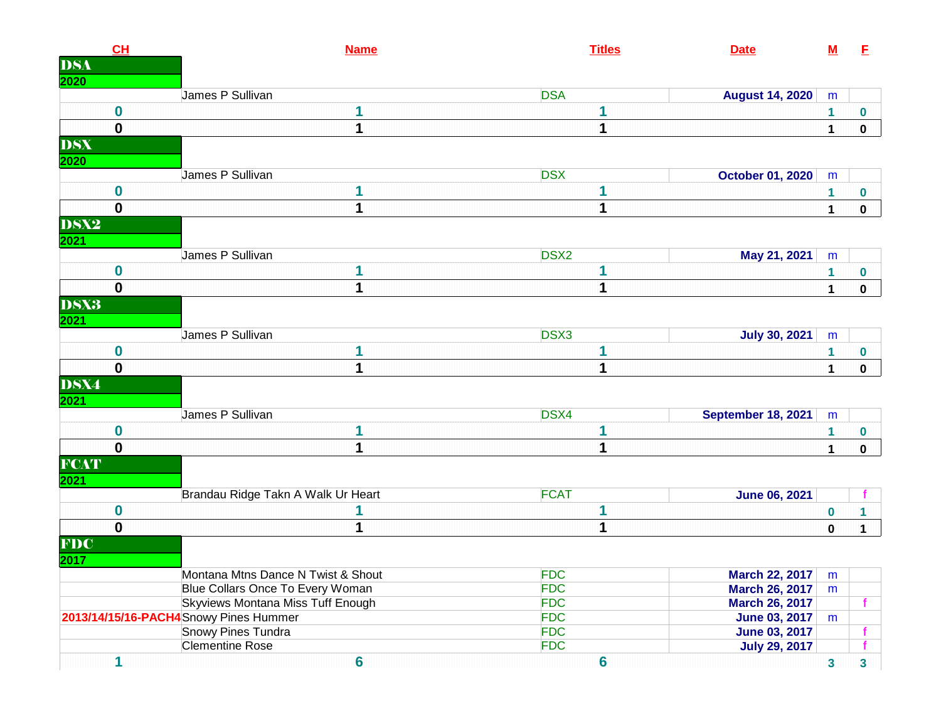| CH<br><b>DSA</b>                  | <b>Name</b>                                  | <b>Titles</b>            | <b>Date</b>                                    | ${\bf M}$    | E           |
|-----------------------------------|----------------------------------------------|--------------------------|------------------------------------------------|--------------|-------------|
| 2020                              | James P Sullivan                             | <b>DSA</b>               | <b>August 14, 2020</b>                         | m            |             |
| $\boldsymbol{0}$                  | 1                                            | 1                        |                                                | 1            | $\bf{0}$    |
| $\mathbf 0$                       | 1                                            | 1                        |                                                | $\mathbf 1$  | $\mathbf 0$ |
| <b>DSX</b>                        |                                              |                          |                                                |              |             |
| 2020                              | James P Sullivan                             | <b>DSX</b>               | <b>October 01, 2020</b>                        | m            |             |
| $\boldsymbol{0}$                  |                                              |                          |                                                | 1            | 0           |
| $\mathbf 0$                       | 1                                            | 1                        |                                                | $\mathbf{1}$ | $\mathbf 0$ |
| <b>DSX2</b><br>2021               |                                              |                          |                                                |              |             |
|                                   | James P Sullivan                             | DSX <sub>2</sub>         | May 21, 2021                                   | m            |             |
| $\boldsymbol{0}$                  | 1                                            |                          |                                                | 1            | $\bf{0}$    |
| $\mathbf 0$                       | 1                                            | 1                        |                                                | $\mathbf{1}$ | $\mathbf 0$ |
| <b>DSX3</b><br>2021               |                                              |                          |                                                |              |             |
|                                   | James P Sullivan                             | DSX3                     | <b>July 30, 2021</b>                           | m            |             |
| $\boldsymbol{0}$                  | 1                                            | 1                        |                                                | 1            | $\bf{0}$    |
| $\mathbf 0$                       | 1                                            | 1                        |                                                | 1            | $\mathbf 0$ |
| <b>DSX4</b>                       |                                              |                          |                                                |              |             |
| 2021                              | James P Sullivan                             | DSX4                     | September 18, 2021                             | m            |             |
| $\boldsymbol{0}$                  | 1                                            |                          |                                                | 1            | $\bf{0}$    |
| $\mathbf 0$                       | 1                                            | 1                        |                                                | 1            | $\mathbf 0$ |
| <b>FCAT</b><br>2021               |                                              |                          |                                                |              |             |
|                                   | Brandau Ridge Takn A Walk Ur Heart           | <b>FCAT</b>              | <b>June 06, 2021</b>                           |              |             |
| $\boldsymbol{0}$                  |                                              | 1                        |                                                | $\bf{0}$     | 1           |
|                                   | 1                                            | 1                        |                                                | $\pmb{0}$    | 1           |
|                                   |                                              |                          |                                                |              |             |
| $\mathbf 0$<br><b>FDC</b><br>2017 |                                              |                          |                                                |              |             |
|                                   | Montana Mtns Dance N Twist & Shout           | <b>FDC</b>               |                                                | m            |             |
|                                   | Blue Collars Once To Every Woman             | <b>FDC</b>               | <b>March 22, 2017</b><br><b>March 26, 2017</b> | m            |             |
|                                   | Skyviews Montana Miss Tuff Enough            | <b>FDC</b>               | <b>March 26, 2017</b>                          |              |             |
|                                   | 2013/14/15/16-PACH4 Snowy Pines Hummer       | <b>FDC</b>               | <b>June 03, 2017</b>                           | m            |             |
|                                   | Snowy Pines Tundra<br><b>Clementine Rose</b> | <b>FDC</b><br><b>FDC</b> | <b>June 03, 2017</b><br><b>July 29, 2017</b>   |              |             |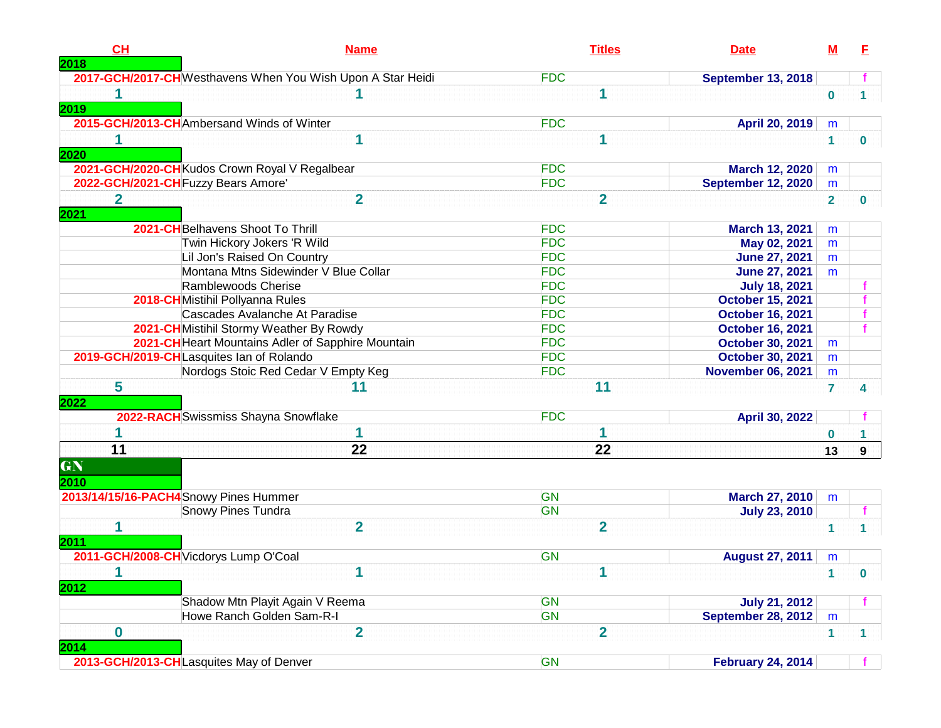| CH<br>2018             | <b>Name</b>                                                 | <b>Titles</b>  | <b>Date</b>               | M              | E            |
|------------------------|-------------------------------------------------------------|----------------|---------------------------|----------------|--------------|
|                        | 2017-GCH/2017-CH Westhavens When You Wish Upon A Star Heidi | <b>FDC</b>     | <b>September 13, 2018</b> |                |              |
| 2019                   |                                                             |                |                           | $\bf{0}$       |              |
|                        | 2015-GCH/2013-CHAmbersand Winds of Winter                   | <b>FDC</b>     | April 20, 2019            | m              |              |
| 2020                   | 1                                                           |                |                           | $\mathbf 1$    | 0            |
|                        | 2021-GCH/2020-CH Kudos Crown Royal V Regalbear              | <b>FDC</b>     | <b>March 12, 2020</b>     | m              |              |
|                        | 2022-GCH/2021-CH Fuzzy Bears Amore'                         | <b>FDC</b>     | <b>September 12, 2020</b> | m              |              |
| $\overline{2}$<br>2021 | $\overline{2}$                                              | $\overline{2}$ |                           | $\overline{2}$ | 0            |
|                        | 2021-CHBelhavens Shoot To Thrill                            | <b>FDC</b>     | March 13, 2021            | m              |              |
|                        | Twin Hickory Jokers 'R Wild                                 | <b>FDC</b>     | May 02, 2021              | m              |              |
|                        | Lil Jon's Raised On Country                                 | <b>FDC</b>     | <b>June 27, 2021</b>      | m              |              |
|                        | Montana Mtns Sidewinder V Blue Collar                       | <b>FDC</b>     | <b>June 27, 2021</b>      | m              |              |
|                        | Ramblewoods Cherise                                         | <b>FDC</b>     | <b>July 18, 2021</b>      |                |              |
|                        | 2018-CHMistihil Pollyanna Rules                             | <b>FDC</b>     | <b>October 15, 2021</b>   |                |              |
|                        | Cascades Avalanche At Paradise                              | <b>FDC</b>     | <b>October 16, 2021</b>   |                |              |
|                        | 2021-CHMistihil Stormy Weather By Rowdy                     | <b>FDC</b>     | <b>October 16, 2021</b>   |                |              |
|                        | 2021-CH Heart Mountains Adler of Sapphire Mountain          | <b>FDC</b>     | <b>October 30, 2021</b>   | m              |              |
|                        | 2019-GCH/2019-CHLasquites Ian of Rolando                    | <b>FDC</b>     | <b>October 30, 2021</b>   | m              |              |
|                        | Nordogs Stoic Red Cedar V Empty Keg                         | <b>FDC</b>     | <b>November 06, 2021</b>  | m              |              |
| 5<br>2022              | 11                                                          | 11             |                           | $\overline{7}$ |              |
|                        | 2022-RACH Swissmiss Shayna Snowflake                        | <b>FDC</b>     | April 30, 2022            |                |              |
|                        | 1                                                           |                |                           | $\bf{0}$       |              |
| 11                     | 22                                                          | 22             |                           | 13             | 9            |
| GN<br>2010             |                                                             |                |                           |                |              |
|                        | 2013/14/15/16-PACH4 Snowy Pines Hummer                      | GN             | <b>March 27, 2010</b>     | m              |              |
|                        | <b>Snowy Pines Tundra</b>                                   | GN             | <b>July 23, 2010</b>      |                |              |
| 2011                   | $\overline{2}$                                              | $\overline{2}$ |                           | 1              |              |
|                        | 2011-GCH/2008-CH Vicdorys Lump O'Coal                       | GN             | <b>August 27, 2011</b>    | m              |              |
| 1<br>2012              | 1                                                           | 1              |                           |                | $\bf{0}$     |
|                        | Shadow Mtn Playit Again V Reema                             | GN             | <b>July 21, 2012</b>      |                |              |
|                        | Howe Ranch Golden Sam-R-I                                   | <b>GN</b>      | <b>September 28, 2012</b> | m              |              |
| $\mathbf 0$<br>2014    | $\overline{\mathbf{2}}$                                     | $\overline{2}$ |                           | $\mathbf{1}$   | $\mathbf{1}$ |
|                        | 2013-GCH/2013-CHLasquites May of Denver                     | GN             | <b>February 24, 2014</b>  |                |              |
|                        |                                                             |                |                           |                |              |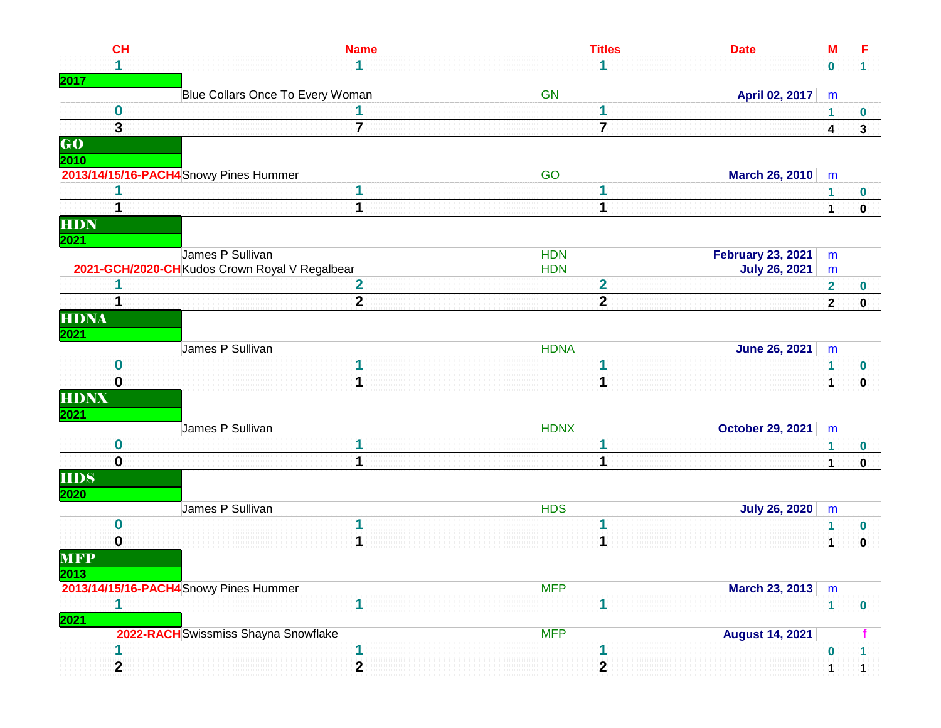| CL                                |                                                | <b>Name</b>    | <b>Titles</b>           | <b>Date</b>              | $\underline{\mathsf{M}}$ | E                    |
|-----------------------------------|------------------------------------------------|----------------|-------------------------|--------------------------|--------------------------|----------------------|
| 1                                 |                                                | 1              | 1                       |                          | $\mathbf 0$              | $\overline{1}$       |
| 2017                              |                                                |                |                         |                          |                          |                      |
|                                   | Blue Collars Once To Every Woman               |                | GN                      | April 02, 2017           | m                        |                      |
| $\boldsymbol{0}$                  |                                                |                | 1                       |                          | 1                        | $\boldsymbol{0}$     |
| $\overline{\mathbf{3}}$           |                                                | $\overline{7}$ | $\overline{\mathbf{7}}$ |                          | 4                        | $\mathbf{3}$         |
| $\overline{\mathbf{G}\mathbf{O}}$ |                                                |                |                         |                          |                          |                      |
| 2010                              |                                                |                |                         |                          |                          |                      |
|                                   | 2013/14/15/16-PACH4 Snowy Pines Hummer         |                | <b>GO</b>               | <b>March 26, 2010</b>    | m                        |                      |
|                                   |                                                |                | 1                       |                          | 1                        | $\boldsymbol{0}$     |
| 1                                 |                                                | 1              | 1                       |                          | 1                        | $\mathbf 0$          |
| <b>HDN</b>                        |                                                |                |                         |                          |                          |                      |
| 2021                              |                                                |                |                         |                          |                          |                      |
|                                   | James P Sullivan                               |                | <b>HDN</b>              | <b>February 23, 2021</b> | m                        |                      |
|                                   | 2021-GCH/2020-CH Kudos Crown Royal V Regalbear |                | <b>HDN</b>              | <b>July 26, 2021</b>     | m                        |                      |
| 1                                 |                                                | $\mathbf 2$    | $\overline{\mathbf{2}}$ |                          | $\overline{\mathbf{2}}$  | $\boldsymbol{0}$     |
| 1                                 |                                                | $\mathbf{2}$   | $\overline{\mathbf{2}}$ |                          | $\overline{2}$           | $\mathbf 0$          |
| <b>HDNA</b>                       |                                                |                |                         |                          |                          |                      |
| <b>2021</b>                       |                                                |                |                         |                          |                          |                      |
|                                   | James P Sullivan                               |                | <b>HDNA</b>             | <b>June 26, 2021</b>     | m                        |                      |
| $\mathbf 0$                       |                                                |                | 1                       |                          | 1                        | $\bf{0}$             |
| $\mathbf 0$                       |                                                | 1              | 1                       |                          |                          |                      |
|                                   |                                                |                |                         |                          | $\mathbf{1}$             | $\mathbf 0$          |
| <b>HDNX</b>                       |                                                |                |                         |                          |                          |                      |
| 2021                              |                                                |                |                         |                          |                          |                      |
|                                   | James P Sullivan                               |                | <b>HDNX</b>             | <b>October 29, 2021</b>  | m                        |                      |
| $\mathbf 0$                       |                                                | 1              | 1                       |                          | 1                        | $\boldsymbol{0}$     |
| $\mathbf 0$                       |                                                | 1              | 1                       |                          | $\mathbf{1}$             | $\mathbf 0$          |
| <b>HDS</b>                        |                                                |                |                         |                          |                          |                      |
| 2020                              |                                                |                |                         |                          |                          |                      |
|                                   | James P Sullivan                               |                | <b>HDS</b>              | <b>July 26, 2020</b>     | m                        |                      |
| $\mathbf 0$                       |                                                | 1              | 1                       |                          | 1                        | $\mathbf 0$          |
| $\mathbf 0$                       |                                                | 1              | 1                       |                          | 1                        | $\mathbf 0$          |
| <b>MFP</b>                        |                                                |                |                         |                          |                          |                      |
|                                   |                                                |                |                         |                          |                          |                      |
|                                   | 2013<br>2013/14/15/16-PACH4Snowy Pines Hummer  |                | <b>MFP</b>              | <b>March 23, 2013</b>    | m                        |                      |
| 1                                 |                                                | $\mathbf 1$    | 1                       |                          | $\mathbf{1}$             | $\mathbf{0}$         |
| 2021                              |                                                |                |                         |                          |                          |                      |
|                                   | 2022-RACH Swissmiss Shayna Snowflake           |                | <b>MFP</b>              | <b>August 14, 2021</b>   |                          |                      |
| 1                                 |                                                | 1              | 1                       |                          | 0                        | $\mathbf{1}$         |
| $\overline{2}$                    |                                                | $\overline{2}$ | $\overline{2}$          |                          |                          | $\blacktriangleleft$ |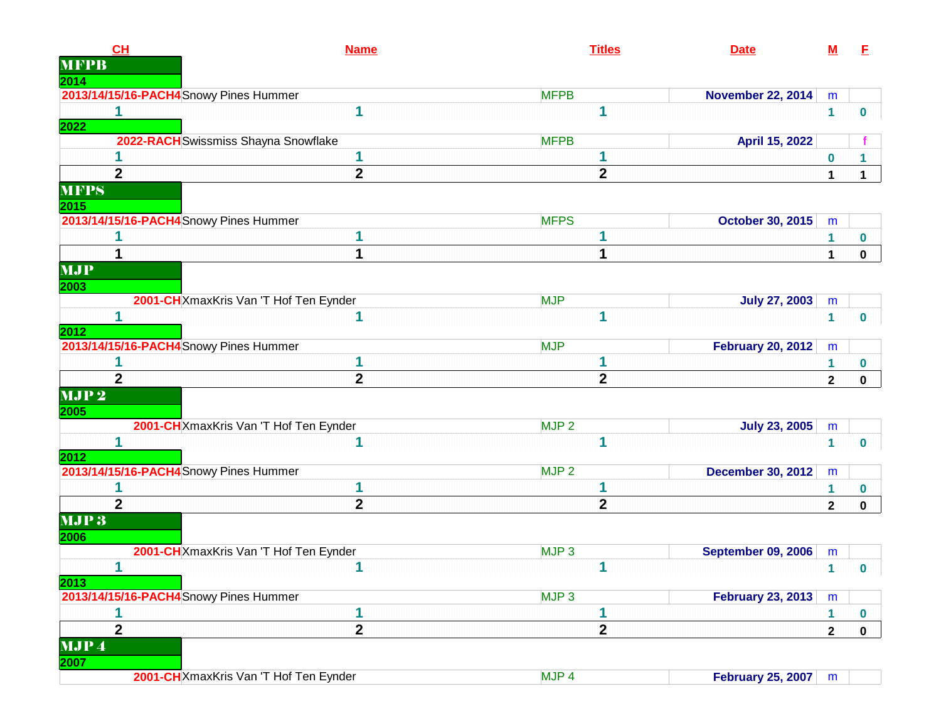| CH<br><b>MFPB</b>                      | <b>Name</b>                            | <b>Titles</b>    | <b>Date</b>               | $\underline{\mathsf{M}}$ | E            |
|----------------------------------------|----------------------------------------|------------------|---------------------------|--------------------------|--------------|
| 2014                                   |                                        |                  |                           |                          |              |
| 2013/14/15/16-PACH4 Snowy Pines Hummer |                                        | <b>MFPB</b>      | <b>November 22, 2014</b>  | m                        |              |
| 1                                      | 1                                      | 1                |                           | $\mathbf{1}$             | 0            |
| 2022                                   | 2022-RACH Swissmiss Shayna Snowflake   | <b>MFPB</b>      | April 15, 2022            |                          |              |
|                                        | 1                                      | 1                |                           |                          |              |
| $\overline{2}$                         | $\mathbf{2}$                           | $\mathbf{2}$     |                           | $\bf{0}$<br>1            | $\mathbf 1$  |
| <b>MFPS</b>                            |                                        |                  |                           |                          |              |
| 2015                                   |                                        |                  |                           |                          |              |
| 2013/14/15/16-PACH4 Snowy Pines Hummer |                                        | <b>MFPS</b>      | <b>October 30, 2015</b>   | m                        |              |
|                                        | 1                                      |                  |                           | 1                        | 0            |
|                                        | 1                                      | 1                |                           | 1                        | $\mathbf 0$  |
| <b>MJP</b>                             |                                        |                  |                           |                          |              |
| 2003                                   |                                        |                  |                           |                          |              |
|                                        | 2001-CH XmaxKris Van 'T Hof Ten Eynder | <b>MJP</b>       | <b>July 27, 2003</b>      | m                        |              |
| 2012                                   | 1                                      | 1                |                           | $\mathbf{1}$             | $\mathbf{0}$ |
| 2013/14/15/16-PACH4 Snowy Pines Hummer |                                        | <b>MJP</b>       | <b>February 20, 2012</b>  | m                        |              |
|                                        | 1                                      | 1                |                           | 1                        | 0            |
| $\overline{2}$                         | $\overline{2}$                         | $\overline{2}$   |                           | $\mathbf 2$              | $\pmb{0}$    |
| MJP <sub>2</sub>                       |                                        |                  |                           |                          |              |
| 2005                                   | 2001-CH XmaxKris Van 'T Hof Ten Eynder | MJP <sub>2</sub> | <b>July 23, 2005</b>      | m                        |              |
| 1                                      | 1                                      | 1                |                           | 1                        | 0            |
| 2012                                   |                                        |                  |                           |                          |              |
| 2013/14/15/16-PACH4 Snowy Pines Hummer |                                        | MJP <sub>2</sub> | <b>December 30, 2012</b>  | m                        |              |
|                                        |                                        |                  |                           | 1                        | 0            |
| $\overline{2}$                         | $\overline{2}$                         | $\mathbf{2}$     |                           | $\mathbf{2}$             | $\mathbf 0$  |
| MJP3<br>2006                           |                                        |                  |                           |                          |              |
|                                        | 2001-CH XmaxKris Van 'T Hof Ten Eynder | MJP <sub>3</sub> | <b>September 09, 2006</b> | m                        |              |
| $\mathbf{1}$                           | 1                                      | 1                |                           |                          | $1 \quad 0$  |
| 2013                                   |                                        |                  |                           |                          |              |
| 2013/14/15/16-PACH4 Snowy Pines Hummer |                                        | MJP <sub>3</sub> | <b>February 23, 2013</b>  | m                        |              |
|                                        | 1                                      | 1                |                           | $\mathbf{1}$             | 0            |
| $\overline{2}$                         | $\overline{2}$                         | $\mathbf{2}$     |                           | $\mathbf 2$              | $\mathbf 0$  |
| MJP4<br>2007                           |                                        |                  |                           |                          |              |
|                                        | 2001-CH XmaxKris Van 'T Hof Ten Eynder | MJP <sub>4</sub> | <b>February 25, 2007</b>  | ${\sf m}$                |              |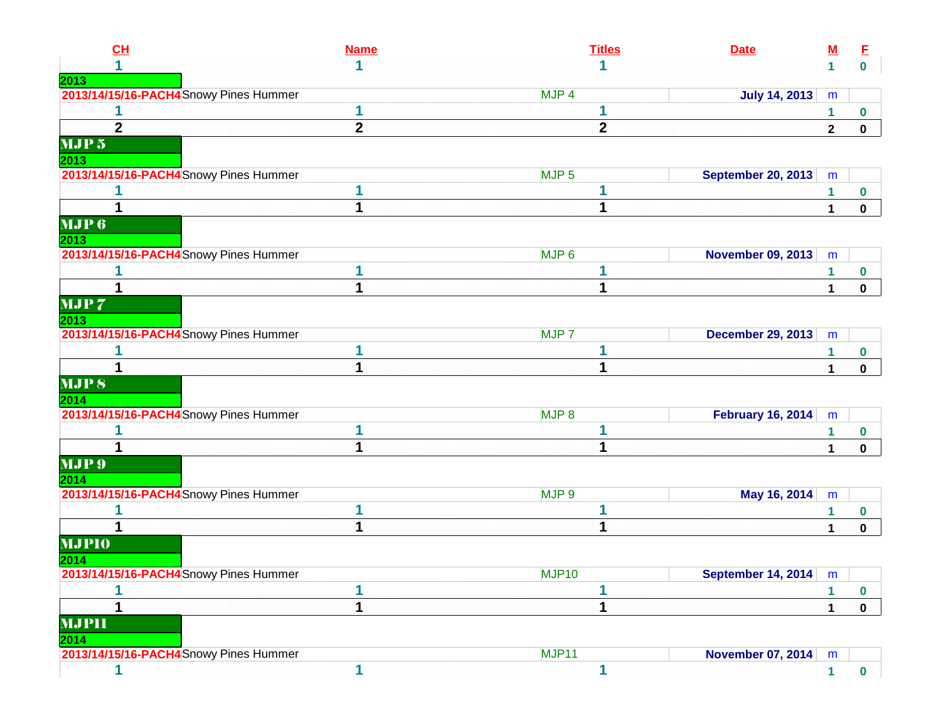| CL                                             | <b>Name</b>  | <b>Titles</b>    | <b>Date</b>                      | $\underline{\mathbf{M}}$ | E                |
|------------------------------------------------|--------------|------------------|----------------------------------|--------------------------|------------------|
|                                                | 1            |                  |                                  | $\mathbf 1$              | $\mathbf{0}$     |
| 2013                                           |              |                  |                                  |                          |                  |
| 2013/14/15/16-PACH4 Snowy Pines Hummer         |              | MJP <sub>4</sub> | <b>July 14, 2013</b>             | m                        |                  |
|                                                | 1            | 1                |                                  | 1                        | $\bf{0}$         |
| $\mathbf{2}$                                   | $\mathbf{2}$ | $\mathbf{2}$     |                                  | $\mathbf 2$              | $\mathbf 0$      |
| MJP <sub>5</sub>                               |              |                  |                                  |                          |                  |
| 2013<br>2013/14/15/16-PACH4 Snowy Pines Hummer |              | MJP <sub>5</sub> | <b>September 20, 2013</b>        | m                        |                  |
|                                                |              | 1                |                                  | 1                        | $\bf{0}$         |
|                                                | 1            | 1                |                                  | 1                        | $\mathbf 0$      |
| MJP6                                           |              |                  |                                  |                          |                  |
| 2013                                           |              |                  |                                  |                          |                  |
| 2013/14/15/16-PACH4 Snowy Pines Hummer         |              | MJP <sub>6</sub> | <b>November 09, 2013</b>         | m                        |                  |
|                                                | 1            |                  |                                  | 1                        | $\bf{0}$         |
|                                                | 1            | 1                |                                  | 1                        | $\mathbf 0$      |
| MJP <sub>7</sub>                               |              |                  |                                  |                          |                  |
| 2013                                           |              |                  |                                  |                          |                  |
| 2013/14/15/16-PACH4 Snowy Pines Hummer         |              | MJP <sub>7</sub> | <b>December 29, 2013</b>         | m                        |                  |
|                                                |              |                  |                                  | 1.                       | $\bf{0}$         |
|                                                | 1            | 1                |                                  | $\mathbf{1}$             | $\mathbf 0$      |
| <b>MJPS</b>                                    |              |                  |                                  |                          |                  |
| 2014                                           |              |                  |                                  |                          |                  |
| 2013/14/15/16-PACH4 Snowy Pines Hummer         |              | MJP <sub>8</sub> | <b>February 16, 2014</b>         | m                        |                  |
|                                                | 1            | 1                |                                  | 1                        | $\bf{0}$         |
|                                                |              |                  |                                  | 1                        | $\mathbf 0$      |
| MJP <sub>9</sub><br>2014                       |              |                  |                                  |                          |                  |
| 2013/14/15/16-PACH4 Snowy Pines Hummer         |              | MJP 9            | May 16, 2014                     | m                        |                  |
|                                                | 1            |                  |                                  | 1                        | $\bf{0}$         |
| 1                                              | 1            | 1                |                                  | 1                        | $\mathbf 0$      |
| <b>MJPIO</b>                                   |              |                  |                                  |                          |                  |
| 2014                                           |              |                  |                                  |                          |                  |
| 2013/14/15/16-PACH4 Snowy Pines Hummer         |              | MJP10            | September 14, 2014 $\mid m \mid$ |                          |                  |
|                                                | 1            | 1                |                                  | 1                        | $\boldsymbol{0}$ |
|                                                | 1            | 1                |                                  | 1                        | $\mathbf 0$      |
| <b>MJPII</b>                                   |              |                  |                                  |                          |                  |
| 2014                                           |              |                  |                                  |                          |                  |
| 2013/14/15/16-PACH4 Snowy Pines Hummer         |              | MJP11            | <b>November 07, 2014</b>         | ${\sf m}$                |                  |
| 1                                              | 1            | 1                |                                  | $\mathbf 1$              | $\mathbf{0}$     |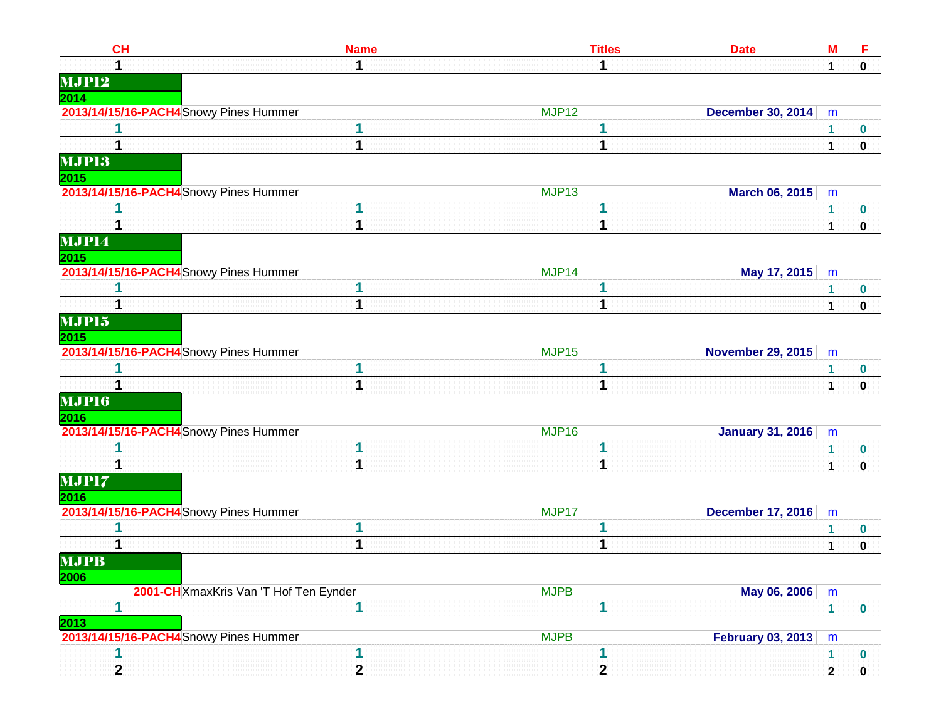| CL                                     | <b>Name</b>    |                   | <b>Titles</b>  | <b>Date</b>              | $\underline{\mathsf{M}}$ | E            |
|----------------------------------------|----------------|-------------------|----------------|--------------------------|--------------------------|--------------|
|                                        | 1              |                   |                |                          | 1                        | $\mathbf 0$  |
| <b>MJP12</b>                           |                |                   |                |                          |                          |              |
| 2014                                   |                |                   |                |                          |                          |              |
| 2013/14/15/16-PACH4 Snowy Pines Hummer |                | MJP <sub>12</sub> |                | <b>December 30, 2014</b> | m                        |              |
|                                        | 1              |                   |                |                          |                          | 0            |
|                                        | 1              |                   | 1              |                          | 1                        | $\mathbf 0$  |
| <b>MJPI3</b>                           |                |                   |                |                          |                          |              |
| 2015                                   |                |                   |                |                          |                          |              |
| 2013/14/15/16-PACH4 Snowy Pines Hummer |                | MJP <sub>13</sub> |                | March 06, 2015           | m                        |              |
|                                        |                |                   |                |                          |                          | 0            |
|                                        | 1              |                   | 1              |                          | 1                        | $\mathbf 0$  |
| MJP14                                  |                |                   |                |                          |                          |              |
| 2015                                   |                |                   |                |                          |                          |              |
| 2013/14/15/16-PACH4 Snowy Pines Hummer |                | MJP14             |                | May 17, 2015             | m                        |              |
|                                        | 1              |                   |                |                          | 1                        | 0            |
|                                        | 1              |                   | 1              |                          | 1                        | $\mathbf 0$  |
| MJP15                                  |                |                   |                |                          |                          |              |
| 2015                                   |                |                   |                |                          |                          |              |
| 2013/14/15/16-PACH4 Snowy Pines Hummer |                | MJP <sub>15</sub> |                | <b>November 29, 2015</b> | m                        |              |
|                                        |                |                   |                |                          | 1                        | 0            |
|                                        | 1              |                   | 1              |                          | 1                        | 0            |
| <b>MJP16</b>                           |                |                   |                |                          |                          |              |
| 2016                                   |                |                   |                |                          |                          |              |
| 2013/14/15/16-PACH4 Snowy Pines Hummer |                | MJP16             |                | <b>January 31, 2016</b>  | m                        |              |
|                                        | 1              |                   |                |                          |                          | 0            |
|                                        | 1              |                   | 1              |                          | 1                        | $\mathbf 0$  |
| MJP17                                  |                |                   |                |                          |                          |              |
| 2016                                   |                |                   |                |                          |                          |              |
| 2013/14/15/16-PACH4 Snowy Pines Hummer |                | MJP17             |                | <b>December 17, 2016</b> | m                        |              |
|                                        | 1              |                   |                |                          |                          | 0            |
|                                        | 1              |                   | 1              |                          | 1                        | 0            |
| <b>MJPB</b>                            |                |                   |                |                          |                          |              |
| 2006                                   |                |                   |                |                          |                          |              |
| 2001-CH XmaxKris Van 'T Hof Ten Eynder |                | <b>MJPB</b>       |                | May 06, 2006             | m                        |              |
| 1                                      | 1              |                   | 1              |                          | $\mathbf{1}$             | $\mathbf 0$  |
| 2013                                   |                |                   |                |                          |                          |              |
| 2013/14/15/16-PACH4 Snowy Pines Hummer |                | <b>MJPB</b>       |                | <b>February 03, 2013</b> | m                        |              |
| 1                                      | 1              |                   | 1              |                          | 1.                       | $\bf{0}$     |
| $\overline{2}$                         | $\overline{2}$ |                   | $\overline{2}$ |                          | $\overline{2}$           | $\mathbf{0}$ |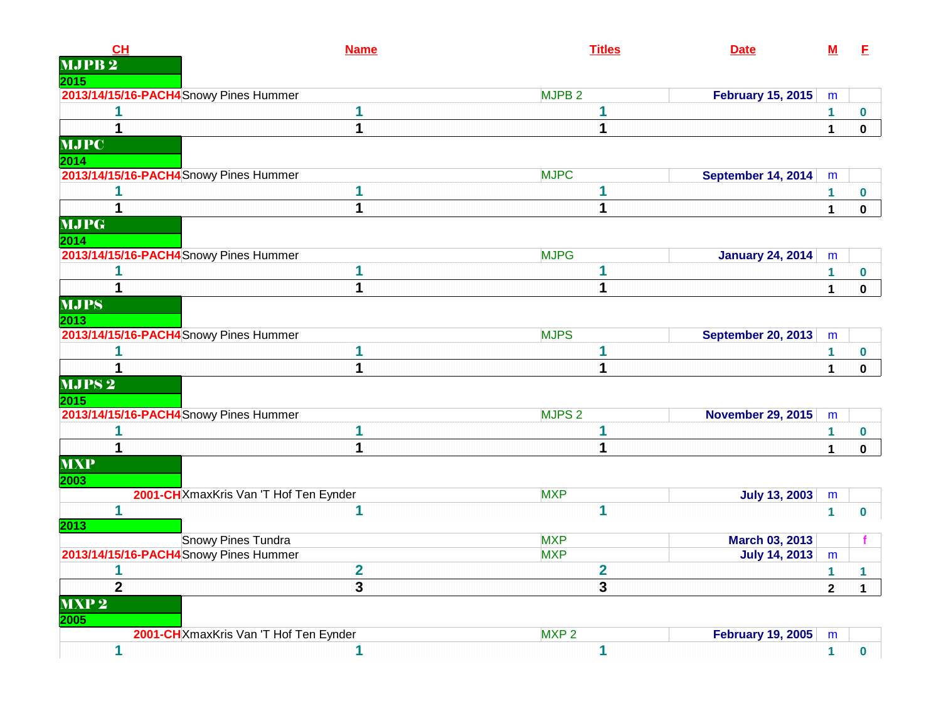| <b>CH</b><br><b>MJPB2</b>              | <b>Name</b>                            |                   | <b>Titles</b>           | <b>Date</b>               | <u>M</u>     | E           |
|----------------------------------------|----------------------------------------|-------------------|-------------------------|---------------------------|--------------|-------------|
| 2015                                   |                                        |                   |                         |                           |              |             |
| 2013/14/15/16-PACH4 Snowy Pines Hummer |                                        | MJPB <sub>2</sub> |                         | <b>February 15, 2015</b>  | m            |             |
|                                        | 1                                      |                   | 1                       |                           | $\mathbf{1}$ | 0           |
| 1                                      | 1                                      |                   | $\mathbf 1$             |                           | $\mathbf 1$  | 0           |
| <b>MJPC</b><br>2014                    |                                        |                   |                         |                           |              |             |
| 2013/14/15/16-PACH4 Snowy Pines Hummer |                                        | <b>MJPC</b>       |                         | September 14, 2014        | m            |             |
|                                        | 1                                      |                   | 1                       |                           | $\mathbf{1}$ | $\bf{0}$    |
| 1                                      | 1                                      |                   | $\mathbf 1$             |                           | $\mathbf{1}$ | $\mathbf 0$ |
| <b>MJPG</b><br>2014                    |                                        |                   |                         |                           |              |             |
| 2013/14/15/16-PACH4 Snowy Pines Hummer |                                        | <b>MJPG</b>       |                         | <b>January 24, 2014</b>   | m            |             |
| 1                                      | 1                                      |                   | 1                       |                           | 1            | 0           |
|                                        | 1                                      |                   | $\mathbf 1$             |                           | $\mathbf 1$  | $\mathbf 0$ |
| <b>MJPS</b><br>2013                    |                                        |                   |                         |                           |              |             |
| 2013/14/15/16-PACH4 Snowy Pines Hummer |                                        | <b>MJPS</b>       |                         | <b>September 20, 2013</b> | m            |             |
| 1                                      | 1                                      |                   | 1                       |                           | $\mathbf{1}$ | 0           |
|                                        | 1                                      |                   | $\mathbf 1$             |                           | $\mathbf{1}$ | 0           |
| <b>MJPS2</b><br>2015                   |                                        |                   |                         |                           |              |             |
| 2013/14/15/16-PACH4 Snowy Pines Hummer |                                        | MJPS <sub>2</sub> |                         | <b>November 29, 2015</b>  | m            |             |
| 1                                      | 1                                      |                   | 1                       |                           | $\mathbf{1}$ | 0           |
| $\mathbf 1$                            | $\overline{\mathbf{1}}$                |                   | 1                       |                           | $\mathbf{1}$ | $\mathbf 0$ |
| <b>MXP</b><br>2003                     |                                        |                   |                         |                           |              |             |
|                                        | 2001-CHXmaxKris Van 'T Hof Ten Eynder  | <b>MXP</b>        |                         | <b>July 13, 2003</b>      | m            |             |
| 1<br>2013                              | 1                                      |                   | $\mathbf{1}$            |                           | $\mathbf{1}$ | $\bf{0}$    |
|                                        | Snowy Pines Tundra                     | <b>MXP</b>        |                         | <b>March 03, 2013</b>     |              |             |
| 2013/14/15/16-PACH4 Snowy Pines Hummer |                                        | <b>MXP</b>        |                         | <b>July 14, 2013</b>      | m            |             |
| 1                                      | $\overline{\mathbf{2}}$                |                   | $\overline{\mathbf{2}}$ |                           | $\mathbf{1}$ | 1           |
| $\overline{2}$                         | 3                                      |                   | 3                       |                           | $\mathbf{2}$ | $\mathbf 1$ |
| MXP <sub>2</sub><br>2005               |                                        |                   |                         |                           |              |             |
|                                        | 2001-CH XmaxKris Van 'T Hof Ten Eynder | MXP <sub>2</sub>  |                         | <b>February 19, 2005</b>  | m            |             |
| 1                                      | 1                                      |                   | 1                       |                           | $\mathbf{1}$ | $\bf{0}$    |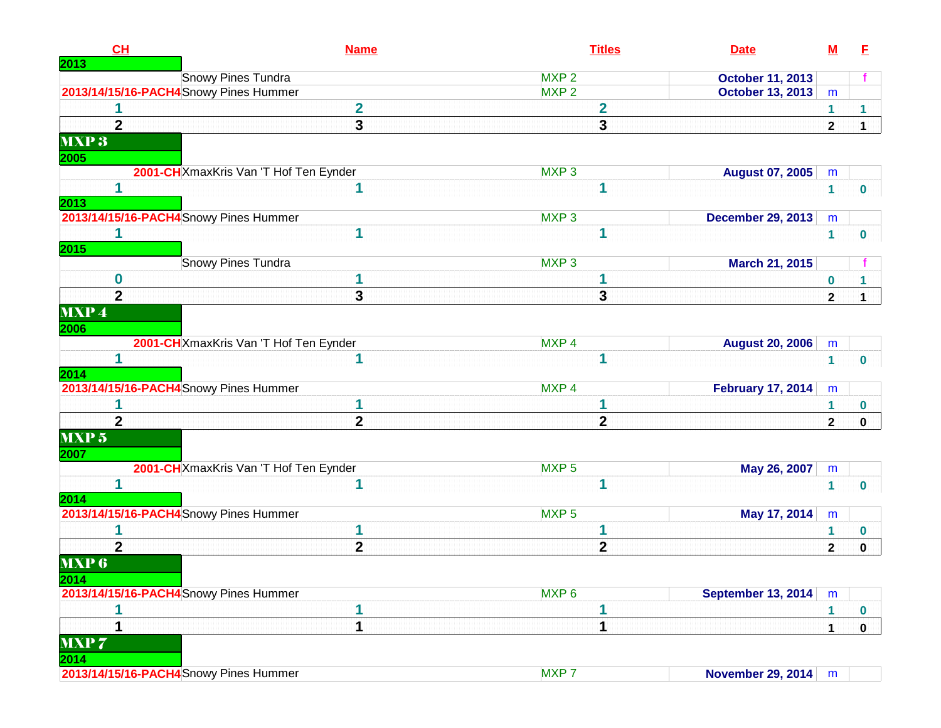| CH<br>2013               | <b>Name</b>                            |                  | <b>Titles</b>  | <b>Date</b>               | $\underline{\mathsf{M}}$ | Е                |
|--------------------------|----------------------------------------|------------------|----------------|---------------------------|--------------------------|------------------|
|                          | <b>Snowy Pines Tundra</b>              | MXP <sub>2</sub> |                | <b>October 11, 2013</b>   |                          |                  |
|                          | 2013/14/15/16-PACH4 Snowy Pines Hummer | MXP <sub>2</sub> |                | <b>October 13, 2013</b>   | m                        |                  |
|                          | $\mathbf 2$                            |                  | $\mathbf{2}$   |                           | 1                        | 1                |
| $\mathbf{2}$             | $\overline{\mathbf{3}}$                |                  | 3              |                           | $\mathbf{2}$             | $\mathbf 1$      |
| MXP <sub>3</sub>         |                                        |                  |                |                           |                          |                  |
| 2005                     |                                        |                  |                |                           |                          |                  |
|                          | 2001-CH XmaxKris Van 'T Hof Ten Eynder | MXP <sub>3</sub> |                | <b>August 07, 2005</b>    | m                        |                  |
| 1                        | 1                                      |                  | 1              |                           | $\mathbf{1}$             | $\bf{0}$         |
| 2013                     |                                        |                  |                |                           |                          |                  |
|                          | 2013/14/15/16-PACH4 Snowy Pines Hummer | MXP <sub>3</sub> |                | <b>December 29, 2013</b>  | m                        |                  |
| <b>2015</b>              | 1                                      |                  | 1              |                           | 1                        | 0                |
|                          | <b>Snowy Pines Tundra</b>              | MXP <sub>3</sub> |                | <b>March 21, 2015</b>     |                          |                  |
| 0                        |                                        |                  |                |                           | 0                        | 1                |
| $\overline{2}$           | $\overline{3}$                         |                  | 3              |                           | $\mathbf{2}$             | 1                |
| <b>MXP4</b>              |                                        |                  |                |                           |                          |                  |
| 2006                     |                                        |                  |                |                           |                          |                  |
|                          | 2001-CHXmaxKris Van 'T Hof Ten Eynder  | MXP <sub>4</sub> |                | <b>August 20, 2006</b>    | m                        |                  |
| 1                        | 1                                      |                  | 1              |                           | $\mathbf 1$              | $\bf{0}$         |
| 2014                     |                                        |                  |                |                           |                          |                  |
|                          | 2013/14/15/16-PACH4 Snowy Pines Hummer | MXP <sub>4</sub> |                | <b>February 17, 2014</b>  | m                        |                  |
|                          | 1                                      |                  | 1              |                           | 1                        | $\bf{0}$         |
| $\overline{2}$           | $\mathbf{2}$                           |                  | $\overline{2}$ |                           | $\overline{2}$           | $\mathbf 0$      |
| MXP <sub>5</sub><br>2007 |                                        |                  |                |                           |                          |                  |
|                          | 2001-CH XmaxKris Van 'T Hof Ten Eynder | MXP <sub>5</sub> |                | May 26, 2007              | m                        |                  |
| 1                        | 1                                      |                  | 1              |                           | 1                        | $\bf{0}$         |
| 2014                     |                                        |                  |                |                           |                          |                  |
|                          | 2013/14/15/16-PACH4 Snowy Pines Hummer | MXP <sub>5</sub> |                | May 17, 2014              | m                        |                  |
|                          | 1                                      |                  | 1              |                           | 1                        | $\bf{0}$         |
| $\overline{2}$           | $\mathbf{2}$                           |                  | $\mathbf{2}$   |                           | $\mathbf{2}$             | $\mathbf 0$      |
| <b>MXP 6</b>             |                                        |                  |                |                           |                          |                  |
| 2014                     |                                        |                  |                |                           |                          |                  |
|                          | 2013/14/15/16-PACH4 Snowy Pines Hummer | MXP <sub>6</sub> |                | <b>September 13, 2014</b> | m                        |                  |
|                          | 1                                      |                  |                |                           | 1                        | $\boldsymbol{0}$ |
| 1                        | 1                                      |                  | 1              |                           | 1                        | $\mathbf 0$      |
| <b>MXP7</b>              |                                        |                  |                |                           |                          |                  |
| 2014                     |                                        | MXP <sub>7</sub> |                |                           |                          |                  |
|                          | 2013/14/15/16-PACH4 Snowy Pines Hummer |                  |                | <b>November 29, 2014</b>  | m                        |                  |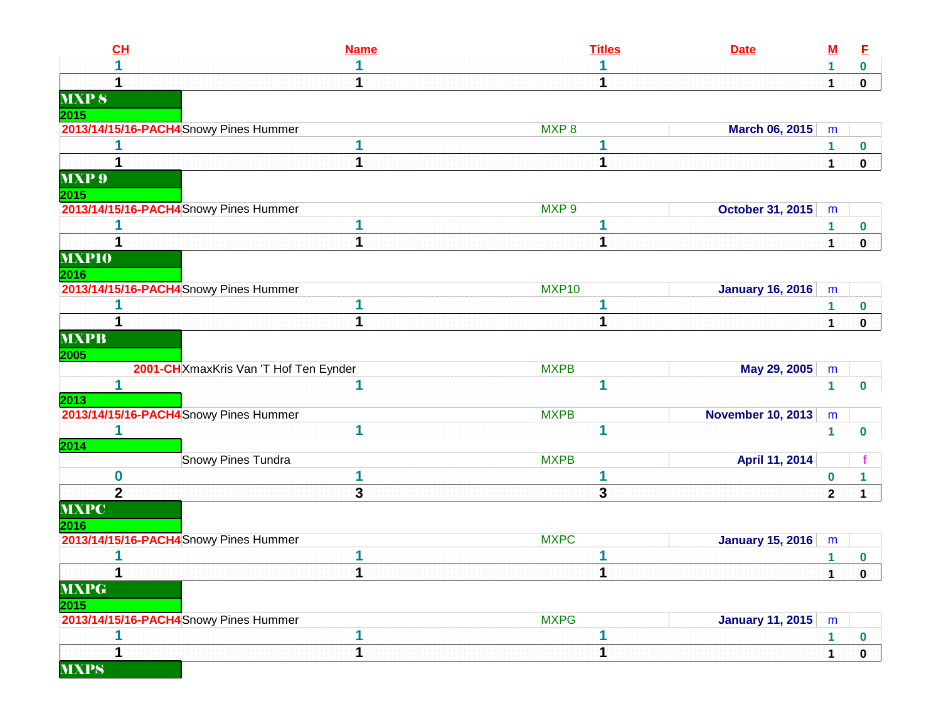| CL                                     | <b>Name</b> | <b>Titles</b>    | <b>Date</b>              | $\underline{\mathsf{M}}$ | E           |
|----------------------------------------|-------------|------------------|--------------------------|--------------------------|-------------|
|                                        |             |                  |                          | 1                        | 0           |
|                                        |             |                  |                          | $\mathbf{1}$             | $\mathbf 0$ |
| <b>MXPS</b>                            |             |                  |                          |                          |             |
| <u> 2015 </u>                          |             |                  |                          |                          |             |
| 2013/14/15/16-PACH4 Snowy Pines Hummer |             | MXP <sub>8</sub> | <b>March 06, 2015</b>    | m                        |             |
|                                        |             |                  |                          | 1                        | 0           |
| 1                                      | 1           | 1                |                          | $\mathbf{1}$             | $\mathbf 0$ |
| <b>MXP</b> <sup>9</sup>                |             |                  |                          |                          |             |
| 2015                                   |             |                  |                          |                          |             |
| 2013/14/15/16-PACH4 Snowy Pines Hummer |             | MXP <sub>9</sub> | <b>October 31, 2015</b>  | m                        |             |
|                                        |             |                  |                          | 1                        | 0           |
| 1                                      | 1           | 1                |                          | $\mathbf 1$              | $\mathbf 0$ |
| <b>MXPIO</b>                           |             |                  |                          |                          |             |
| 2016                                   |             |                  |                          |                          |             |
| 2013/14/15/16-PACH4 Snowy Pines Hummer |             | MXP10            | <b>January 16, 2016</b>  | m                        |             |
|                                        | 1           |                  |                          | 1                        | 0           |
| 1                                      | 1           | 1                |                          | 1                        | 0           |
| <b>MXPB</b>                            |             |                  |                          |                          |             |
| 2005                                   |             |                  |                          |                          |             |
| 2001-CH XmaxKris Van 'T Hof Ten Eynder |             | <b>MXPB</b>      | May 29, 2005             | m                        |             |
| 1                                      | 1           | 1                |                          | $\mathbf{1}$             | $\mathbf 0$ |
| 2013                                   |             |                  |                          |                          |             |
| 2013/14/15/16-PACH4 Snowy Pines Hummer |             | <b>MXPB</b>      | <b>November 10, 2013</b> | ${\sf m}$                |             |
| 1                                      | 1           | 1                |                          | $\mathbf{1}$             | $\mathbf 0$ |
| 2014                                   |             |                  |                          |                          |             |
| Snowy Pines Tundra                     |             | <b>MXPB</b>      | April 11, 2014           |                          |             |
| $\bf{0}$                               | 1           | 1                |                          | 0                        |             |
| $\overline{2}$                         | 3           | 3                |                          | $\mathbf 2$              | $\mathbf 1$ |
| <b>MXPC</b>                            |             |                  |                          |                          |             |
| 2016                                   |             |                  |                          |                          |             |
| 2013/14/15/16-PACH4 Snowy Pines Hummer |             | <b>MXPC</b>      | <b>January 15, 2016</b>  | m                        |             |
|                                        | 1           |                  |                          | 1                        | 0           |
|                                        |             |                  |                          | 1                        | 0           |
| <b>MXPG</b>                            |             |                  |                          |                          |             |
| 2015                                   |             |                  |                          |                          |             |
| 2013/14/15/16-PACH4 Snowy Pines Hummer |             | <b>MXPG</b>      | <b>January 11, 2015</b>  | m                        |             |
| 1                                      | 1           | 1                |                          | 1                        | 0           |
| 1                                      | 1           | 1                |                          | $\mathbf{1}$             | $\mathbf 0$ |
| <b>MXPS</b>                            |             |                  |                          |                          |             |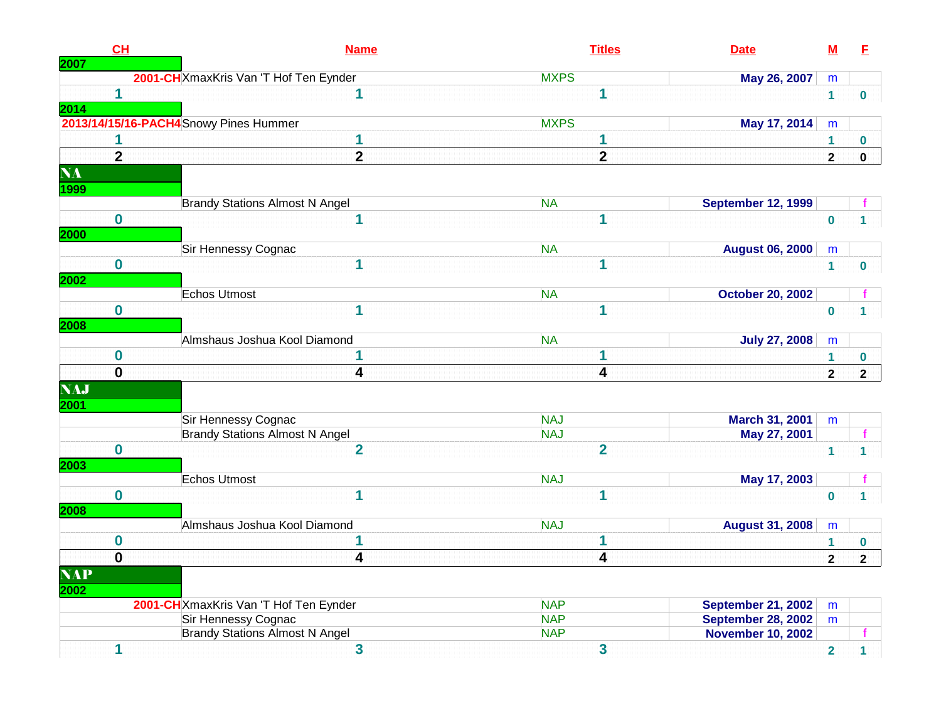| CL             | <b>Name</b>                            | <b>Titles</b><br><b>Date</b>            | $\underline{\mathsf{M}}$     | E            |
|----------------|----------------------------------------|-----------------------------------------|------------------------------|--------------|
| 2007           | 2001-CH XmaxKris Van 'T Hof Ten Eynder | <b>MXPS</b><br>May 26, 2007             | m                            |              |
| $\mathbf{1}$   | 1                                      | 1                                       | $\mathbf 1$                  | $\bf{0}$     |
| 2014           |                                        |                                         |                              |              |
|                | 2013/14/15/16-PACH4 Snowy Pines Hummer | <b>MXPS</b><br>May 17, 2014             | m                            |              |
|                | 1                                      | 1                                       | 1                            | $\mathbf 0$  |
| $\overline{2}$ | $\overline{\mathbf{2}}$                | $\overline{2}$                          | $\overline{2}$               | $\mathbf 0$  |
| <b>NA</b>      |                                        |                                         |                              |              |
| 1999           |                                        |                                         |                              |              |
|                | <b>Brandy Stations Almost N Angel</b>  | <b>NA</b><br><b>September 12, 1999</b>  |                              |              |
| $\mathbf{0}$   | 1                                      | 1                                       | $\bf{0}$                     |              |
| 2000           |                                        |                                         |                              |              |
|                | Sir Hennessy Cognac                    | <b>NA</b><br><b>August 06, 2000</b>     | m                            |              |
| $\bf{0}$       | 1                                      | 1                                       | $\mathbf{1}$                 | 0            |
| 2002           |                                        |                                         |                              |              |
|                | <b>Echos Utmost</b>                    | <b>NA</b><br><b>October 20, 2002</b>    |                              |              |
| $\mathbf 0$    | 1                                      | 1                                       | $\mathbf 0$                  | 1            |
| 2008           |                                        |                                         |                              |              |
|                | Almshaus Joshua Kool Diamond           | <b>NA</b><br><b>July 27, 2008</b>       | m                            |              |
| 0              |                                        | 1                                       | $\mathbf{1}$                 | $\mathbf 0$  |
| $\mathbf 0$    | 4                                      | 4                                       | $\mathbf{2}$                 | $\mathbf{2}$ |
| <b>NAJ</b>     |                                        |                                         |                              |              |
| 2001           |                                        |                                         |                              |              |
|                | Sir Hennessy Cognac                    | <b>NAJ</b><br>March 31, 2001            | m                            |              |
|                | <b>Brandy Stations Almost N Angel</b>  | <b>NAJ</b><br>May 27, 2001              |                              | f            |
| $\bf{0}$       | $\overline{2}$                         | $\overline{2}$                          | $\mathbf{1}$                 | 1            |
| 2003           | Echos Utmost                           | <b>NAJ</b>                              |                              |              |
| $\mathbf 0$    | 1                                      | May 17, 2003<br>1                       |                              |              |
|                |                                        |                                         | $\mathbf 0$                  | 1            |
| 2008           | Almshaus Joshua Kool Diamond           | <b>NAJ</b><br><b>August 31, 2008</b>    | m                            |              |
| $\mathbf 0$    | 1                                      | 1                                       |                              | $\bf{0}$     |
| $\mathbf 0$    | 4                                      | $\overline{\mathbf{4}}$                 | $\mathbf{1}$<br>$\mathbf{2}$ | $\mathbf{2}$ |
| <b>NAP</b>     |                                        |                                         |                              |              |
|                |                                        |                                         |                              |              |
| 2002           | 2001-CH XmaxKris Van 'T Hof Ten Eynder | <b>NAP</b><br><b>September 21, 2002</b> |                              |              |
|                | Sir Hennessy Cognac                    | <b>NAP</b><br><b>September 28, 2002</b> | m<br>m                       |              |
|                | <b>Brandy Stations Almost N Angel</b>  | <b>NAP</b><br><b>November 10, 2002</b>  |                              |              |
| 1              | 3                                      | 3                                       | $\overline{2}$               | $\mathbf{1}$ |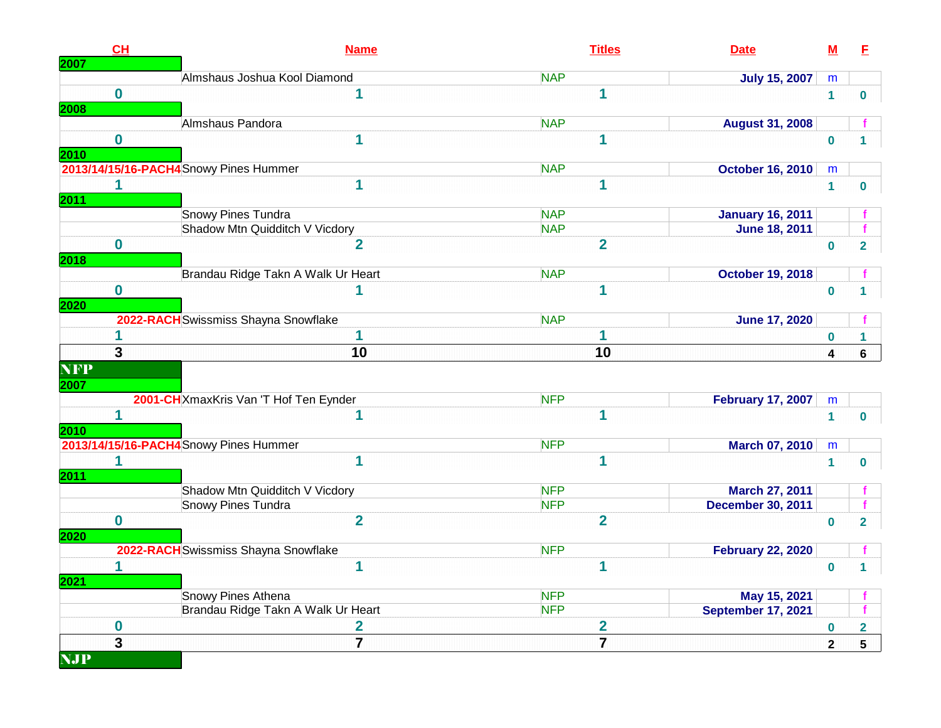| CH<br>2007              | <b>Name</b>                            | <b>Titles</b>           | <b>Date</b>               | <u>M</u>          | E                       |
|-------------------------|----------------------------------------|-------------------------|---------------------------|-------------------|-------------------------|
|                         | Almshaus Joshua Kool Diamond           | <b>NAP</b>              | <b>July 15, 2007</b>      | m                 |                         |
| $\bf{0}$                | 1                                      | 1                       |                           | $\mathbf{1}$      | $\bf{0}$                |
| <b>2008</b>             |                                        |                         |                           |                   |                         |
|                         | Almshaus Pandora                       | <b>NAP</b>              | <b>August 31, 2008</b>    |                   |                         |
| $\bf{0}$                | 1                                      | 1                       |                           | $\bf{0}$          |                         |
| <b>2010</b>             | 2013/14/15/16-PACH4 Snowy Pines Hummer | <b>NAP</b>              | <b>October 16, 2010</b>   | m                 |                         |
| 1                       | 1                                      | 1                       |                           | $\mathbf{1}$      | $\bf{0}$                |
| <b>2011</b>             |                                        |                         |                           |                   |                         |
|                         | Snowy Pines Tundra                     | <b>NAP</b>              | <b>January 16, 2011</b>   |                   |                         |
|                         | Shadow Mtn Quidditch V Vicdory         | <b>NAP</b>              | <b>June 18, 2011</b>      |                   |                         |
| $\mathbf 0$             | $\overline{2}$                         | $\overline{2}$          |                           | $\mathbf 0$       | $\overline{2}$          |
| <b>2018</b>             |                                        |                         |                           |                   |                         |
|                         | Brandau Ridge Takn A Walk Ur Heart     | <b>NAP</b>              | <b>October 19, 2018</b>   |                   |                         |
| $\mathbf 0$             |                                        | 1                       |                           | $\bf{0}$          |                         |
| 2020                    |                                        |                         |                           |                   |                         |
|                         | 2022-RACH Swissmiss Shayna Snowflake   | <b>NAP</b>              | <b>June 17, 2020</b>      |                   |                         |
|                         | 1                                      |                         |                           | $\bf{0}$          | 1                       |
| 3                       | 10                                     | 10                      |                           | $\boldsymbol{4}$  | 6                       |
| <b>NFP</b>              |                                        |                         |                           |                   |                         |
| 2007                    | 2001-CH XmaxKris Van 'T Hof Ten Eynder | <b>NFP</b>              | <b>February 17, 2007</b>  |                   |                         |
| 1                       | 1                                      | 1                       |                           | m<br>$\mathbf{1}$ | $\bf{0}$                |
| 2010                    |                                        |                         |                           |                   |                         |
|                         | 2013/14/15/16-PACH4 Snowy Pines Hummer | <b>NFP</b>              | <b>March 07, 2010</b>     | m                 |                         |
|                         | 1                                      | 1                       |                           | $\mathbf 1$       | $\bf{0}$                |
| <b>2011</b>             |                                        |                         |                           |                   |                         |
|                         | Shadow Mtn Quidditch V Vicdory         | <b>NFP</b>              | March 27, 2011            |                   |                         |
|                         | Snowy Pines Tundra                     | <b>NFP</b>              | <b>December 30, 2011</b>  |                   |                         |
| $\mathbf 0$             | $\overline{2}$                         | $\overline{2}$          |                           | $\bf{0}$          | $\overline{2}$          |
| 2020                    |                                        |                         |                           |                   |                         |
|                         | 2022-RACH Swissmiss Shayna Snowflake   | <b>NFP</b>              | <b>February 22, 2020</b>  |                   |                         |
| 1<br>2021               | 1                                      | 1                       |                           | $\mathbf 0$       | 1                       |
|                         | Snowy Pines Athena                     | <b>NFP</b>              | May 15, 2021              |                   |                         |
|                         | Brandau Ridge Takn A Walk Ur Heart     | <b>NFP</b>              | <b>September 17, 2021</b> |                   |                         |
| $\boldsymbol{0}$        | $\mathbf{2}$                           | $\overline{\mathbf{2}}$ |                           | $\bf{0}$          | $\overline{\mathbf{2}}$ |
| $\overline{\mathbf{3}}$ | $\overline{7}$                         | $\overline{7}$          |                           | $\mathbf{2}$      | $5\phantom{a}$          |
| <b>NJP</b>              |                                        |                         |                           |                   |                         |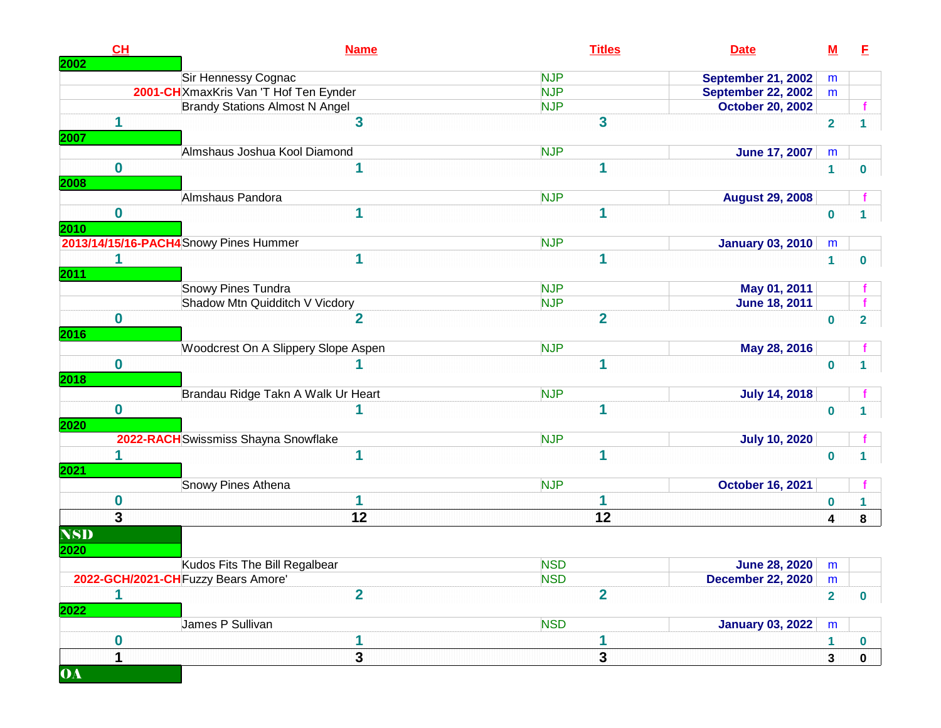| 2002               | CH               | <b>Name</b>                            | <b>Titles</b>  | <b>Date</b>               | $\underline{\mathsf{M}}$ | E            |
|--------------------|------------------|----------------------------------------|----------------|---------------------------|--------------------------|--------------|
|                    |                  | Sir Hennessy Cognac                    | <b>NJP</b>     | <b>September 21, 2002</b> | m                        |              |
|                    |                  | 2001-CH XmaxKris Van 'T Hof Ten Eynder | <b>NJP</b>     | <b>September 22, 2002</b> | m                        |              |
|                    |                  | <b>Brandy Stations Almost N Angel</b>  | <b>NJP</b>     | <b>October 20, 2002</b>   |                          |              |
| 2007               | 1                | 3                                      | 3              |                           | $\overline{2}$           |              |
|                    |                  | Almshaus Joshua Kool Diamond           | <b>NJP</b>     | <b>June 17, 2007</b>      | m                        |              |
| 2008               | $\bf{0}$         | 1                                      | 1              |                           | $\mathbf{1}$             | 0            |
|                    |                  | Almshaus Pandora                       | <b>NJP</b>     | <b>August 29, 2008</b>    |                          |              |
| 2010               | $\bf{0}$         | 1                                      | 1              |                           | $\bf{0}$                 |              |
|                    |                  | 2013/14/15/16-PACH4 Snowy Pines Hummer | <b>NJP</b>     | <b>January 03, 2010</b>   | m                        |              |
| <b>2011</b>        | 1                | 1                                      | 1              |                           | $\mathbf{1}$             | 0            |
|                    |                  | <b>Snowy Pines Tundra</b>              | <b>NJP</b>     | May 01, 2011              |                          |              |
|                    |                  | Shadow Mtn Quidditch V Vicdory         | <b>NJP</b>     | <b>June 18, 2011</b>      |                          |              |
| 2016               | $\bf{0}$         | $\overline{2}$                         | $\overline{2}$ |                           | $\bf{0}$                 | $\mathbf{2}$ |
|                    |                  | Woodcrest On A Slippery Slope Aspen    | <b>NJP</b>     | May 28, 2016              |                          |              |
| 2018               | $\bf{0}$         |                                        | 1              |                           | $\bf{0}$                 | 1            |
|                    |                  | Brandau Ridge Takn A Walk Ur Heart     | <b>NJP</b>     | <b>July 14, 2018</b>      |                          |              |
| 2020               | $\mathbf 0$      | 1                                      | 1              |                           | $\bf{0}$                 |              |
|                    |                  | 2022-RACH Swissmiss Shayna Snowflake   | <b>NJP</b>     | <b>July 10, 2020</b>      |                          |              |
| 2021               | 1                | 1                                      | 1              |                           | $\bf{0}$                 |              |
|                    |                  | Snowy Pines Athena                     | <b>NJP</b>     | <b>October 16, 2021</b>   |                          |              |
|                    | $\boldsymbol{0}$ | 1                                      | 1              |                           | $\bf{0}$                 |              |
|                    | $\overline{3}$   | 12                                     | 12             |                           | $\overline{\mathbf{4}}$  | 8            |
| <b>NSD</b><br>2020 |                  |                                        |                |                           |                          |              |
|                    |                  | Kudos Fits The Bill Regalbear          | <b>NSD</b>     | <b>June 28, 2020</b>      | m                        |              |
|                    |                  | 2022-GCH/2021-CH Fuzzy Bears Amore'    | <b>NSD</b>     | <b>December 22, 2020</b>  | m                        |              |
| 2022               | 1                | $\overline{2}$                         | $\overline{2}$ |                           | $\overline{2}$           | $\mathbf 0$  |
|                    |                  | James P Sullivan                       | <b>NSD</b>     | <b>January 03, 2022</b>   | ${\sf m}$                |              |
|                    | $\bf{0}$         |                                        | 1              |                           | $\mathbf{1}$             | 0            |
| <b>OA</b>          | 1                | 3                                      | 3              |                           | $\mathbf{3}$             | $\mathbf 0$  |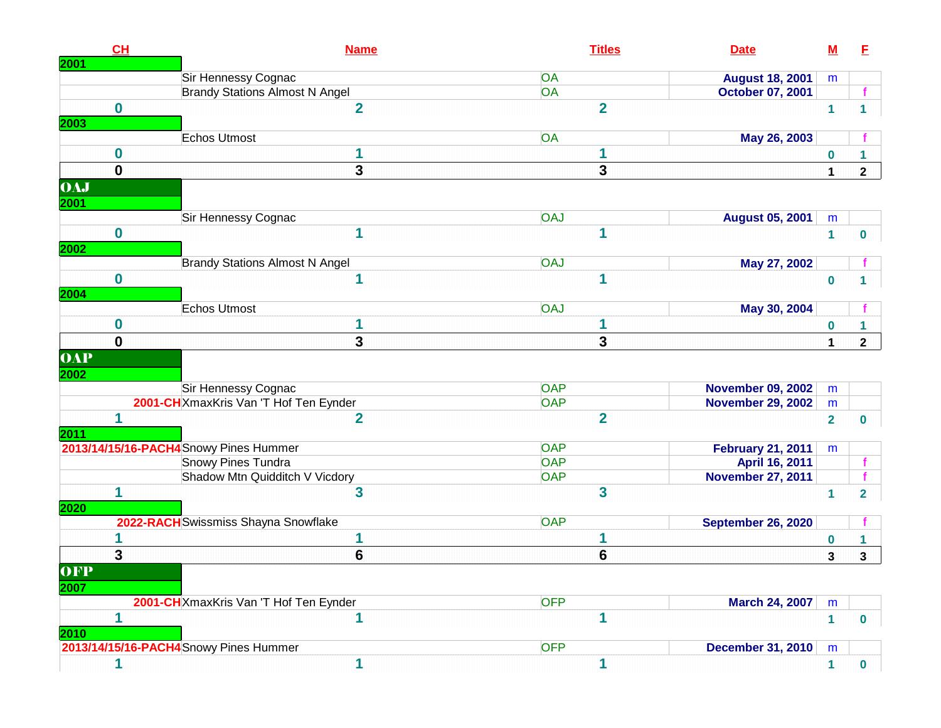| CH<br>2001       | <b>Name</b>                            | <b>Titles</b>  | <b>Date</b>               | $\underline{\mathsf{M}}$ | E              |
|------------------|----------------------------------------|----------------|---------------------------|--------------------------|----------------|
|                  | Sir Hennessy Cognac                    | OA             | <b>August 18, 2001</b>    | m                        |                |
|                  | <b>Brandy Stations Almost N Angel</b>  | <b>OA</b>      | October 07, 2001          |                          |                |
| $\bf{0}$         | $\overline{2}$                         | $\overline{2}$ |                           | $\mathbf{1}$             | 1              |
| 2003             |                                        |                |                           |                          |                |
|                  | Echos Utmost                           | OA             | May 26, 2003              |                          |                |
| $\boldsymbol{0}$ | 1                                      | 1              |                           | $\mathbf 0$              | 1              |
| $\mathbf 0$      | 3                                      | 3              |                           | $\mathbf{1}$             | $\mathbf{2}$   |
| <b>OAJ</b>       |                                        |                |                           |                          |                |
| 2001             |                                        |                |                           |                          |                |
|                  | Sir Hennessy Cognac                    | <b>OAJ</b>     | <b>August 05, 2001</b>    | ${\sf m}$                |                |
| $\bf{0}$<br>2002 | 1                                      | 1              |                           | $\mathbf{1}$             | $\bf{0}$       |
|                  | <b>Brandy Stations Almost N Angel</b>  | <b>OAJ</b>     | May 27, 2002              |                          |                |
| $\bf{0}$         | 1                                      | 1              |                           | $\bf{0}$                 |                |
| 2004             |                                        |                |                           |                          |                |
|                  | Echos Utmost                           | <b>OAJ</b>     | May 30, 2004              |                          |                |
| 0                | 1                                      | 1              |                           | $\bf{0}$                 |                |
| $\mathbf{0}$     | 3                                      | 3              |                           | 1                        | $\mathbf{2}$   |
| <b>OAP</b>       |                                        |                |                           |                          |                |
| 2002             | Sir Hennessy Cognac                    | <b>OAP</b>     | <b>November 09, 2002</b>  | m                        |                |
|                  | 2001-CHXmaxKris Van 'T Hof Ten Eynder  | <b>OAP</b>     | <b>November 29, 2002</b>  | m                        |                |
| 1                | $\overline{2}$                         | $\overline{2}$ |                           | $\overline{2}$           | $\bf{0}$       |
| 2011             |                                        |                |                           |                          |                |
|                  | 2013/14/15/16-PACH4 Snowy Pines Hummer | <b>OAP</b>     | <b>February 21, 2011</b>  | m                        |                |
|                  | <b>Snowy Pines Tundra</b>              | <b>OAP</b>     | April 16, 2011            |                          |                |
|                  | Shadow Mtn Quidditch V Vicdory         | <b>OAP</b>     | <b>November 27, 2011</b>  |                          |                |
| 1                | 3                                      | 3              |                           | 1                        | $\overline{2}$ |
| 2020             |                                        |                |                           |                          |                |
|                  | 2022-RACH Swissmiss Shayna Snowflake   | <b>OAP</b>     | <b>September 26, 2020</b> |                          |                |
|                  | 1                                      | 1              |                           | $\bf{0}$                 |                |
| 3                | $6\phantom{1}$                         | $6\phantom{1}$ |                           | 3                        | $\mathbf{3}$   |
| OFP              |                                        |                |                           |                          |                |
| 2007             | 2001-CH XmaxKris Van 'T Hof Ten Eynder | <b>OFP</b>     | <b>March 24, 2007</b>     | m                        |                |
| 1                | 1                                      | 1              |                           | $\blacktriangleleft$     | $\mathbf{0}$   |
| 2010             |                                        |                |                           |                          |                |
|                  | 2013/14/15/16-PACH4 Snowy Pines Hummer | <b>OFP</b>     | <b>December 31, 2010</b>  | m                        |                |
| 1                | 1                                      | 1              |                           | $\mathbf{1}$             | $\mathbf{0}$   |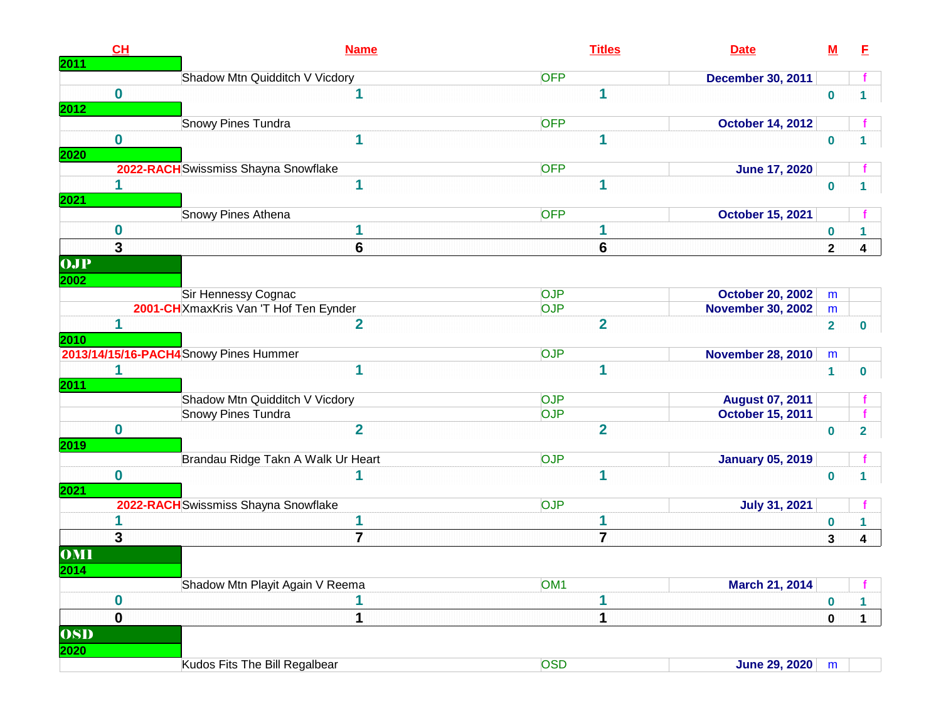| CH<br>2011                      | <b>Name</b>                            | <b>Titles</b>   | <b>Date</b>              | $\underline{\mathsf{M}}$ | E                       |
|---------------------------------|----------------------------------------|-----------------|--------------------------|--------------------------|-------------------------|
|                                 | Shadow Mtn Quidditch V Vicdory         | <b>OFP</b>      | <b>December 30, 2011</b> |                          |                         |
| $\mathbf 0$<br>2012             | 1                                      | 1               |                          | $\mathbf 0$              |                         |
|                                 | Snowy Pines Tundra                     | <b>OFP</b>      | <b>October 14, 2012</b>  |                          |                         |
| 0<br>2020                       | 1                                      | 1               |                          | $\mathbf 0$              |                         |
|                                 | 2022-RACH Swissmiss Shayna Snowflake   | <b>OFP</b>      | <b>June 17, 2020</b>     |                          |                         |
| 1<br>2021                       | 1                                      |                 |                          | $\mathbf{0}$             |                         |
|                                 | Snowy Pines Athena                     | <b>OFP</b>      | <b>October 15, 2021</b>  |                          |                         |
| 0                               | 1                                      | 1               |                          | $\bf{0}$                 |                         |
| 3                               | 6                                      | 6               |                          | $\overline{2}$           | 4                       |
| <b>OJP</b><br>$\overline{2002}$ |                                        |                 |                          |                          |                         |
|                                 | Sir Hennessy Cognac                    | <b>OJP</b>      | <b>October 20, 2002</b>  | m                        |                         |
|                                 | 2001-CHXmaxKris Van 'T Hof Ten Eynder  | <b>OJP</b>      | <b>November 30, 2002</b> | m                        |                         |
| 1<br>2010                       | $\overline{2}$                         | $\overline{2}$  |                          | $\overline{2}$           | $\bf{0}$                |
|                                 | 2013/14/15/16-PACH4 Snowy Pines Hummer | <b>OJP</b>      | <b>November 28, 2010</b> | m                        |                         |
| 1<br>2011                       | 1                                      | 1               |                          | $\mathbf{1}$             | $\mathbf 0$             |
|                                 | Shadow Mtn Quidditch V Vicdory         | <b>OJP</b>      | <b>August 07, 2011</b>   |                          |                         |
|                                 | Snowy Pines Tundra                     | <b>OJP</b>      | October 15, 2011         |                          |                         |
| $\bf{0}$<br>2019                | $\overline{2}$                         | $\overline{2}$  |                          | $\bf{0}$                 | $\overline{2}$          |
|                                 | Brandau Ridge Takn A Walk Ur Heart     | <b>OJP</b>      | <b>January 05, 2019</b>  |                          |                         |
| $\bf{0}$<br>2021                |                                        | 1               |                          | $\bf{0}$                 |                         |
|                                 | 2022-RACH Swissmiss Shayna Snowflake   | <b>OJP</b>      | <b>July 31, 2021</b>     |                          |                         |
|                                 |                                        |                 |                          | $\bf{0}$                 | 1                       |
| 3                               | $\overline{7}$                         | $\overline{7}$  |                          | $\mathbf{3}$             | $\overline{\mathbf{4}}$ |
| OMI<br>2014                     |                                        |                 |                          |                          |                         |
|                                 | Shadow Mtn Playit Again V Reema        | OM <sub>1</sub> | March 21, 2014           |                          |                         |
| 0                               | 1                                      |                 |                          | $\boldsymbol{0}$         | 1                       |
| $\mathbf 0$                     | 1                                      | 1               |                          | $\pmb{0}$                | $\mathbf 1$             |
| <b>OSD</b><br>2020              |                                        |                 |                          |                          |                         |
|                                 | Kudos Fits The Bill Regalbear          | <b>OSD</b>      | <b>June 29, 2020</b>     | m                        |                         |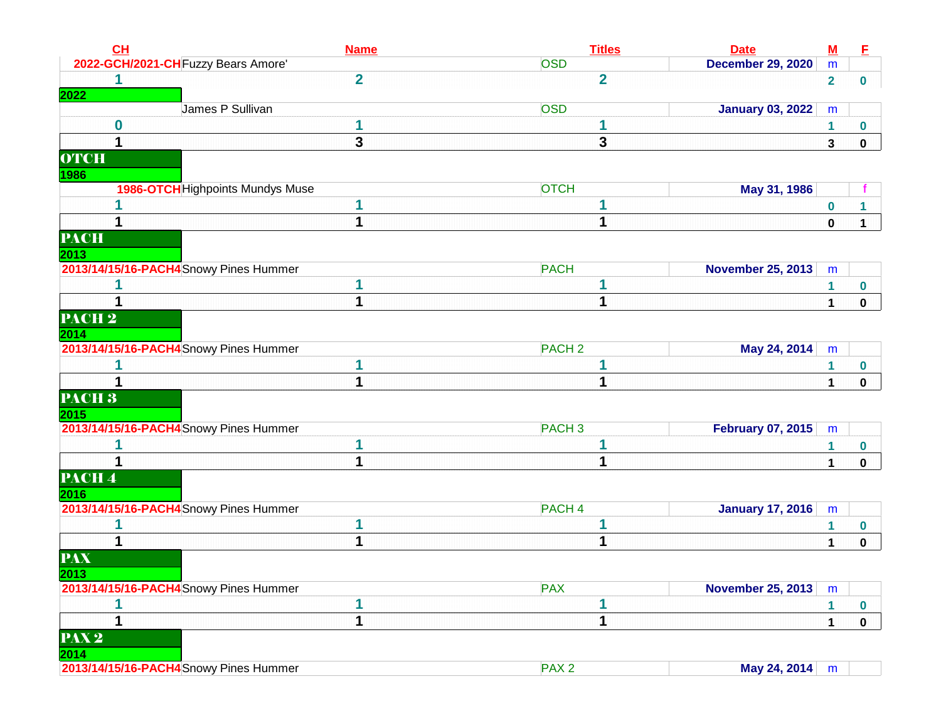| CL                           | <b>Name</b>                             | <b>Titles</b>     | <b>Date</b>              | $\underline{\mathbf{M}}$ | E            |
|------------------------------|-----------------------------------------|-------------------|--------------------------|--------------------------|--------------|
|                              | 2022-GCH/2021-CH Fuzzy Bears Amore'     | <b>OSD</b>        | <b>December 29, 2020</b> | m                        |              |
|                              | $\overline{\mathbf{2}}$                 | $\overline{2}$    |                          | $\overline{2}$           | $\mathbf 0$  |
| 2022                         |                                         |                   |                          |                          |              |
|                              | James P Sullivan                        | <b>OSD</b>        | <b>January 03, 2022</b>  | m                        |              |
| $\bf{0}$                     | 1                                       | 1                 |                          | $\mathbf 1$              | 0            |
| 1                            | 3                                       | 3                 |                          | 3                        | $\mathbf 0$  |
| <b>OTCH</b><br>1986          |                                         |                   |                          |                          |              |
|                              | <b>1986-OTCH</b> Highpoints Mundys Muse | <b>OTCH</b>       | May 31, 1986             |                          |              |
|                              |                                         |                   |                          | 0                        |              |
|                              | 1                                       | 1                 |                          | $\pmb{0}$                | $\mathbf{1}$ |
| <b>PACH</b>                  |                                         |                   |                          |                          |              |
| 2013                         |                                         |                   |                          |                          |              |
|                              | 2013/14/15/16-PACH4 Snowy Pines Hummer  | <b>PACH</b>       | <b>November 25, 2013</b> | m                        |              |
|                              | 1                                       |                   |                          | $\mathbf{1}$             | 0            |
|                              | 1                                       |                   |                          | 1                        | $\mathbf 0$  |
| $\overline{\textbf{PACH}}$ 2 |                                         |                   |                          |                          |              |
| 2014                         |                                         |                   |                          |                          |              |
|                              | 2013/14/15/16-PACH4 Snowy Pines Hummer  | PACH <sub>2</sub> | May 24, 2014             | m                        |              |
|                              |                                         |                   |                          | 1                        | 0            |
|                              | 1                                       | 1                 |                          | 1                        | $\mathbf 0$  |
| PACH <sub>3</sub>            |                                         |                   |                          |                          |              |
| 2015                         |                                         |                   |                          |                          |              |
|                              | 2013/14/15/16-PACH4 Snowy Pines Hummer  | PACH <sub>3</sub> | <b>February 07, 2015</b> | m                        |              |
|                              |                                         |                   |                          | 1                        | 0            |
|                              | 1                                       | 1                 |                          | $\mathbf{1}$             | 0            |
| PACH <sup>4</sup>            |                                         |                   |                          |                          |              |
| 2016                         | 2013/14/15/16-PACH4Snowy Pines Hummer   | PACH <sub>4</sub> | <b>January 17, 2016</b>  | m                        |              |
|                              | 1                                       |                   |                          | 1                        | 0            |
|                              | 1                                       | 1                 |                          | 1                        | $\mathbf 0$  |
| <b>PAX</b>                   |                                         |                   |                          |                          |              |
| 2013                         |                                         |                   |                          |                          |              |
|                              | 2013/14/15/16-PACH4 Snowy Pines Hummer  | <b>PAX</b>        | <b>November 25, 2013</b> | m                        |              |
|                              |                                         |                   |                          | 1                        | 0            |
| 1                            | 1                                       | 1                 |                          | $\mathbf 1$              | $\mathbf 0$  |
| PAX <sub>2</sub><br>2014     |                                         |                   |                          |                          |              |
|                              | 2013/14/15/16-PACH4 Snowy Pines Hummer  | PAX <sub>2</sub>  | May 24, 2014             | m                        |              |
|                              |                                         |                   |                          |                          |              |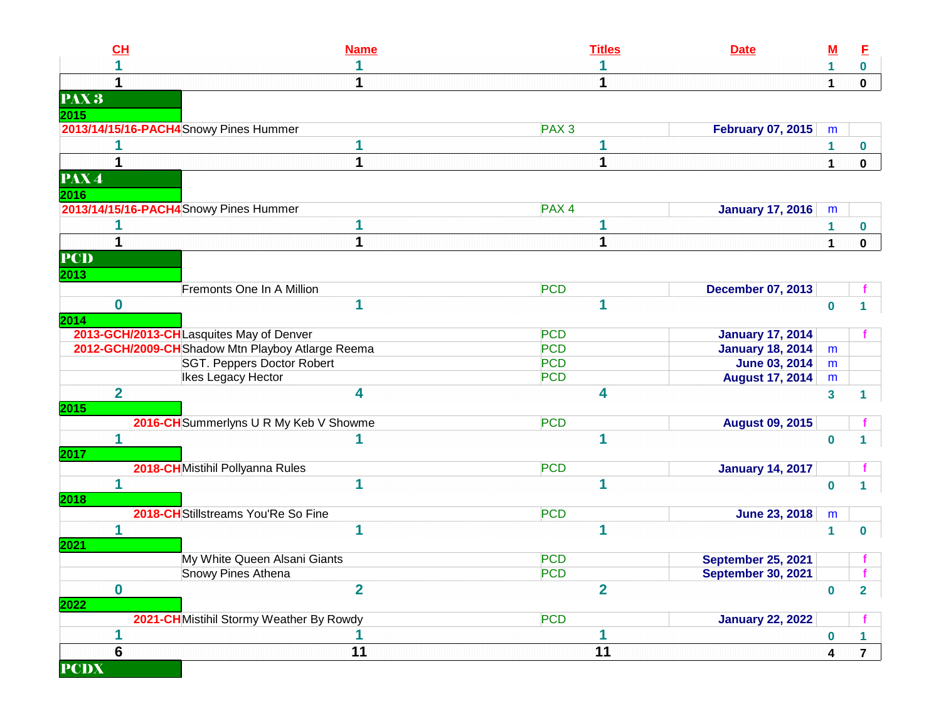| CL                         | <b>Name</b>                                       | <b>Titles</b>    | <b>Date</b>               | <u>M</u>                | E              |
|----------------------------|---------------------------------------------------|------------------|---------------------------|-------------------------|----------------|
|                            |                                                   |                  |                           |                         | $\mathbf 0$    |
| 1                          |                                                   | 1                |                           | 1                       | $\mathbf 0$    |
| PAX <sup>3</sup>           |                                                   |                  |                           |                         |                |
| 2015                       |                                                   |                  |                           |                         |                |
|                            | 2013/14/15/16-PACH4 Snowy Pines Hummer            | PAX <sub>3</sub> | <b>February 07, 2015</b>  | m                       |                |
|                            |                                                   |                  |                           | 1                       | 0              |
| 1                          | 1                                                 | 1                |                           | $\mathbf{1}$            | 0              |
| $\overline{\textbf{PAX4}}$ |                                                   |                  |                           |                         |                |
| 2016                       |                                                   |                  |                           |                         |                |
|                            | 2013/14/15/16-PACH4 Snowy Pines Hummer            | PAX <sub>4</sub> | <b>January 17, 2016</b>   | m                       |                |
|                            |                                                   | 1                |                           | 1                       | 0              |
| $\mathbf 1$                | 1                                                 | 1                |                           | $\mathbf 1$             | $\mathbf 0$    |
| <b>PCD</b>                 |                                                   |                  |                           |                         |                |
| 2013                       |                                                   |                  |                           |                         |                |
|                            | Fremonts One In A Million                         | <b>PCD</b>       | <b>December 07, 2013</b>  |                         |                |
| $\bf{0}$                   | 1                                                 | 1                |                           | $\mathbf 0$             |                |
| 2014                       |                                                   |                  |                           |                         |                |
|                            | 2013-GCH/2013-CHLasquites May of Denver           | <b>PCD</b>       | <b>January 17, 2014</b>   |                         |                |
|                            | 2012-GCH/2009-CH Shadow Mtn Playboy Atlarge Reema | <b>PCD</b>       | <b>January 18, 2014</b>   | m                       |                |
|                            | SGT. Peppers Doctor Robert                        | <b>PCD</b>       | <b>June 03, 2014</b>      | m                       |                |
|                            | Ikes Legacy Hector                                | <b>PCD</b>       | <b>August 17, 2014</b>    | m                       |                |
| $\overline{2}$             | 4                                                 | 4                |                           | $\mathbf{3}$            | 1.             |
| 2015                       | 2016-CH Summerlyns U R My Keb V Showme            | <b>PCD</b>       | <b>August 09, 2015</b>    |                         |                |
| 1                          |                                                   | 1                |                           | $\bf{0}$                |                |
| 2017                       |                                                   |                  |                           |                         |                |
|                            | 2018-CHMistihil Pollyanna Rules                   | <b>PCD</b>       | <b>January 14, 2017</b>   |                         |                |
| 1                          | 1                                                 | 1                |                           | $\bf{0}$                |                |
| 2018                       |                                                   |                  |                           |                         |                |
|                            | 2018-CH Stillstreams You'Re So Fine               | <b>PCD</b>       | <b>June 23, 2018</b>      | m                       |                |
| 1                          | 1                                                 | 1                |                           | $\blacktriangleleft$    | $\mathbf 0$    |
| 2021                       |                                                   |                  |                           |                         |                |
|                            | My White Queen Alsani Giants                      | <b>PCD</b>       | <b>September 25, 2021</b> |                         |                |
|                            | Snowy Pines Athena                                | <b>PCD</b>       | <b>September 30, 2021</b> |                         |                |
| $\boldsymbol{0}$           | $\overline{2}$                                    | $\overline{2}$   |                           | $\mathbf 0$             | $\overline{2}$ |
| 2022                       |                                                   |                  |                           |                         |                |
|                            | 2021-CH Mistihil Stormy Weather By Rowdy          | <b>PCD</b>       | <b>January 22, 2022</b>   |                         |                |
| 1<br>$6\phantom{1}6$       |                                                   | 1                |                           | $\bf{0}$                | 1.             |
|                            | 11                                                | 11               |                           | $\overline{\mathbf{4}}$ | $\overline{7}$ |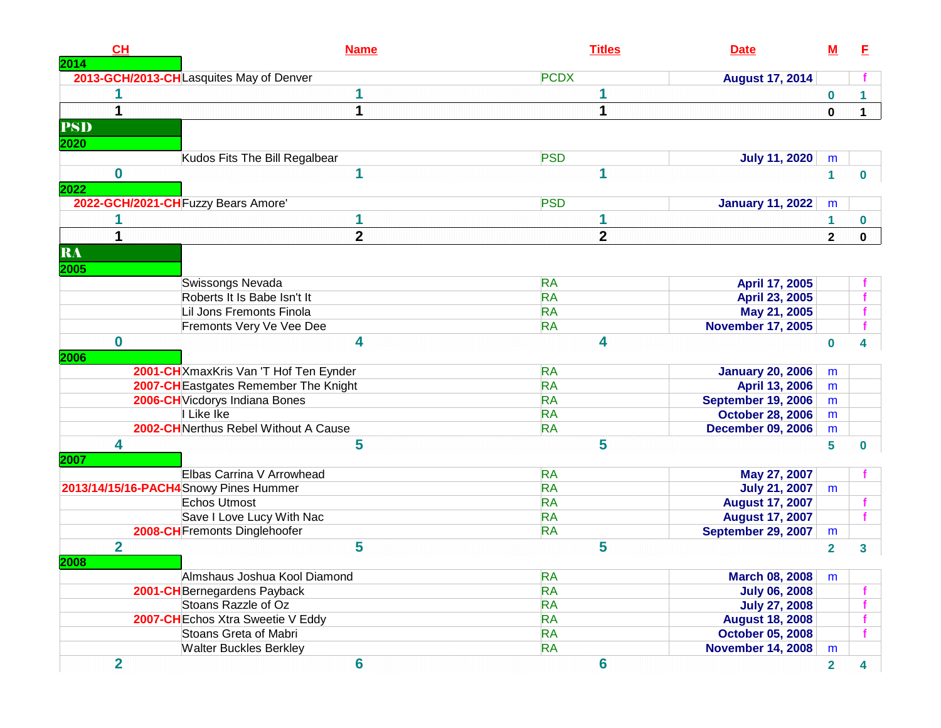| CH<br>2014              | <b>Name</b>                             | <b>Titles</b>           | <b>Date</b>              | <u>M</u>       | E              |
|-------------------------|-----------------------------------------|-------------------------|--------------------------|----------------|----------------|
|                         | 2013-GCH/2013-CHLasquites May of Denver | <b>PCDX</b>             | <b>August 17, 2014</b>   |                |                |
|                         |                                         |                         |                          | $\mathbf 0$    | 1              |
|                         | 1                                       | 1                       |                          | $\mathbf 0$    | $\mathbf{1}$   |
| <b>PSD</b>              |                                         |                         |                          |                |                |
| 2020                    |                                         |                         |                          |                |                |
|                         | Kudos Fits The Bill Regalbear           | <b>PSD</b>              | <b>July 11, 2020</b>     | m              |                |
| $\bf{0}$                | 1                                       | 1                       |                          | $\mathbf{1}$   | $\mathbf{0}$   |
| 2022                    |                                         |                         |                          |                |                |
|                         | 2022-GCH/2021-CH Fuzzy Bears Amore'     | <b>PSD</b>              | <b>January 11, 2022</b>  | m              |                |
|                         | 1                                       | 1                       |                          | 1              | 0              |
|                         | $\overline{2}$                          | $\overline{\mathbf{2}}$ |                          | $\mathbf{2}$   | $\mathbf 0$    |
| RA                      |                                         |                         |                          |                |                |
| 2005                    |                                         |                         |                          |                |                |
|                         | Swissongs Nevada                        | <b>RA</b>               | April 17, 2005           |                |                |
|                         | Roberts It Is Babe Isn't It             | <b>RA</b>               | April 23, 2005           |                |                |
|                         | Lil Jons Fremonts Finola                | <b>RA</b>               | May 21, 2005             |                |                |
|                         | Fremonts Very Ve Vee Dee                | <b>RA</b>               | <b>November 17, 2005</b> |                |                |
| $\bf{0}$                | 4                                       | 4                       |                          | $\bf{0}$       |                |
| 2006                    |                                         |                         |                          |                |                |
|                         | 2001-CH XmaxKris Van 'T Hof Ten Eynder  | <b>RA</b>               | <b>January 20, 2006</b>  | m              |                |
|                         | 2007-CH Eastgates Remember The Knight   | <b>RA</b>               | April 13, 2006           | m              |                |
|                         | 2006-CH Vicdorys Indiana Bones          | <b>RA</b>               | September 19, 2006       | m              |                |
|                         | I Like Ike                              | <b>RA</b>               | <b>October 28, 2006</b>  | m              |                |
|                         | 2002-CHNerthus Rebel Without A Cause    | <b>RA</b>               | <b>December 09, 2006</b> | m              |                |
| 4                       | 5                                       | 5                       |                          | 5              | $\mathbf{0}$   |
| 2007                    |                                         |                         |                          |                |                |
|                         | Elbas Carrina V Arrowhead               | <b>RA</b>               | May 27, 2007             |                |                |
|                         | 2013/14/15/16-PACH4Snowy Pines Hummer   | <b>RA</b>               | <b>July 21, 2007</b>     | m              |                |
|                         | Echos Utmost                            | <b>RA</b>               | <b>August 17, 2007</b>   |                |                |
|                         | Save I Love Lucy With Nac               | <b>RA</b>               | <b>August 17, 2007</b>   |                |                |
|                         | 2008-CH Fremonts Dinglehoofer           | <b>RA</b>               | September 29, 2007       | m              |                |
| $\overline{2}$          | 5                                       | 5                       |                          | $\mathbf{2}$   | 3              |
| 2008                    |                                         |                         |                          |                |                |
|                         | Almshaus Joshua Kool Diamond            | <b>RA</b>               | <b>March 08, 2008</b>    | m              |                |
|                         | 2001-CH Bernegardens Payback            | <b>RA</b>               | <b>July 06, 2008</b>     |                |                |
|                         | Stoans Razzle of Oz                     | <b>RA</b>               | <b>July 27, 2008</b>     |                |                |
|                         | 2007-CH Echos Xtra Sweetie V Eddy       | <b>RA</b>               | <b>August 18, 2008</b>   |                |                |
|                         | Stoans Greta of Mabri                   | <b>RA</b>               | <b>October 05, 2008</b>  |                |                |
|                         | <b>Walter Buckles Berkley</b>           | <b>RA</b>               | <b>November 14, 2008</b> | m              |                |
| $\overline{\mathbf{2}}$ | $6\phantom{1}$                          | $6\phantom{a}$          |                          | $\overline{2}$ | $\overline{4}$ |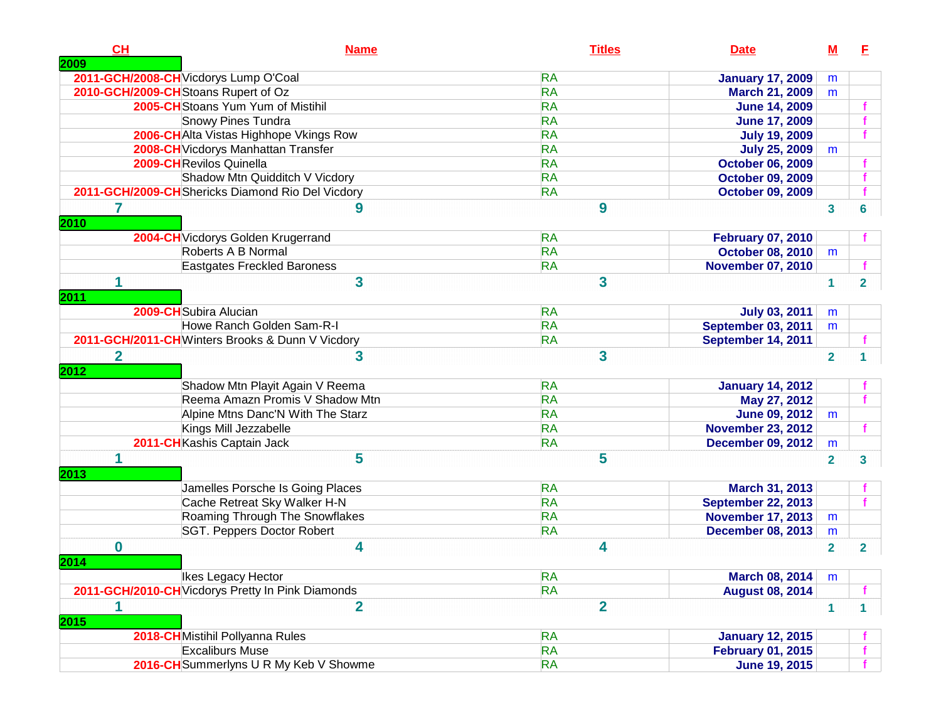| CH<br>2009          | <b>Name</b>                                       | <b>Titles</b>                        | <b>Date</b>               | <u>M</u>             | E              |
|---------------------|---------------------------------------------------|--------------------------------------|---------------------------|----------------------|----------------|
|                     | 2011-GCH/2008-CH Vicdorys Lump O'Coal             | <b>RA</b>                            | <b>January 17, 2009</b>   | m                    |                |
|                     | 2010-GCH/2009-CH Stoans Rupert of Oz              | <b>RA</b>                            | <b>March 21, 2009</b>     | m                    |                |
|                     | 2005-CH Stoans Yum Yum of Mistihil                | <b>RA</b>                            | <b>June 14, 2009</b>      |                      |                |
|                     | <b>Snowy Pines Tundra</b>                         | <b>RA</b>                            | <b>June 17, 2009</b>      |                      |                |
|                     | 2006-CHAlta Vistas Highhope Vkings Row            | <b>RA</b>                            | <b>July 19, 2009</b>      |                      |                |
|                     | 2008-CH Vicdorys Manhattan Transfer               | <b>RA</b>                            | <b>July 25, 2009</b>      | m                    |                |
|                     | 2009-CHRevilos Quinella                           | <b>RA</b>                            | <b>October 06, 2009</b>   |                      |                |
|                     | Shadow Mtn Quidditch V Vicdory                    | <b>RA</b>                            | <b>October 09, 2009</b>   |                      |                |
|                     | 2011-GCH/2009-CH Shericks Diamond Rio Del Vicdory | <b>RA</b>                            | <b>October 09, 2009</b>   |                      |                |
| 2010                | 9                                                 | 9                                    |                           | 3                    | 6              |
|                     | 2004-CH Vicdorys Golden Krugerrand                | <b>RA</b>                            | <b>February 07, 2010</b>  |                      |                |
|                     | Roberts A B Normal                                | <b>RA</b>                            | <b>October 08, 2010</b>   | m                    |                |
|                     | Eastgates Freckled Baroness                       | <b>RA</b>                            | <b>November 07, 2010</b>  |                      |                |
| 1<br>2011           | 3                                                 | 3                                    |                           | 1                    | $\overline{2}$ |
|                     | 2009-CH Subira Alucian                            | <b>RA</b>                            | <b>July 03, 2011</b>      | m                    |                |
|                     | Howe Ranch Golden Sam-R-I                         | <b>RA</b>                            | <b>September 03, 2011</b> | m                    |                |
|                     | 2011-GCH/2011-CHWinters Brooks & Dunn V Vicdory   | <b>RA</b>                            | September 14, 2011        |                      |                |
| $\mathbf 2$<br>2012 | 3<br>Shadow Mtn Playit Again V Reema              | $\overline{\mathbf{3}}$<br><b>RA</b> | <b>January 14, 2012</b>   | $\overline{2}$       |                |
|                     | Reema Amazn Promis V Shadow Mtn                   | <b>RA</b>                            | May 27, 2012              |                      |                |
|                     | Alpine Mtns Danc'N With The Starz                 | <b>RA</b>                            | <b>June 09, 2012</b>      | m                    |                |
|                     | Kings Mill Jezzabelle                             | <b>RA</b>                            | <b>November 23, 2012</b>  |                      |                |
|                     | 2011-CH Kashis Captain Jack                       | <b>RA</b>                            | <b>December 09, 2012</b>  | m                    |                |
|                     | 5                                                 | 5                                    |                           | $\overline{2}$       | 3              |
| 2013                |                                                   |                                      |                           |                      |                |
|                     | Jamelles Porsche Is Going Places                  | <b>RA</b>                            | March 31, 2013            |                      |                |
|                     | Cache Retreat Sky Walker H-N                      | <b>RA</b>                            | <b>September 22, 2013</b> |                      |                |
|                     | Roaming Through The Snowflakes                    | <b>RA</b>                            | <b>November 17, 2013</b>  | m                    |                |
|                     | SGT. Peppers Doctor Robert                        | <b>RA</b>                            | <b>December 08, 2013</b>  | m                    |                |
| $\bf{0}$<br>2014    | 4                                                 | 4                                    |                           | $\overline{2}$       | $\mathbf{2}$   |
|                     | Ikes Legacy Hector                                | <b>RA</b>                            | March 08, 2014            | m                    |                |
|                     | 2011-GCH/2010-CH Vicdorys Pretty In Pink Diamonds | <b>RA</b>                            | <b>August 08, 2014</b>    |                      |                |
| 1<br>2015           | $\overline{2}$                                    | $\overline{2}$                       |                           | $\blacktriangleleft$ | 1.             |
|                     | 2018-CH Mistihil Pollyanna Rules                  | <b>RA</b>                            | <b>January 12, 2015</b>   |                      |                |
|                     | <b>Excaliburs Muse</b>                            | <b>RA</b>                            | <b>February 01, 2015</b>  |                      |                |
|                     | 2016-CH Summerlyns U R My Keb V Showme            | <b>RA</b>                            | <b>June 19, 2015</b>      |                      |                |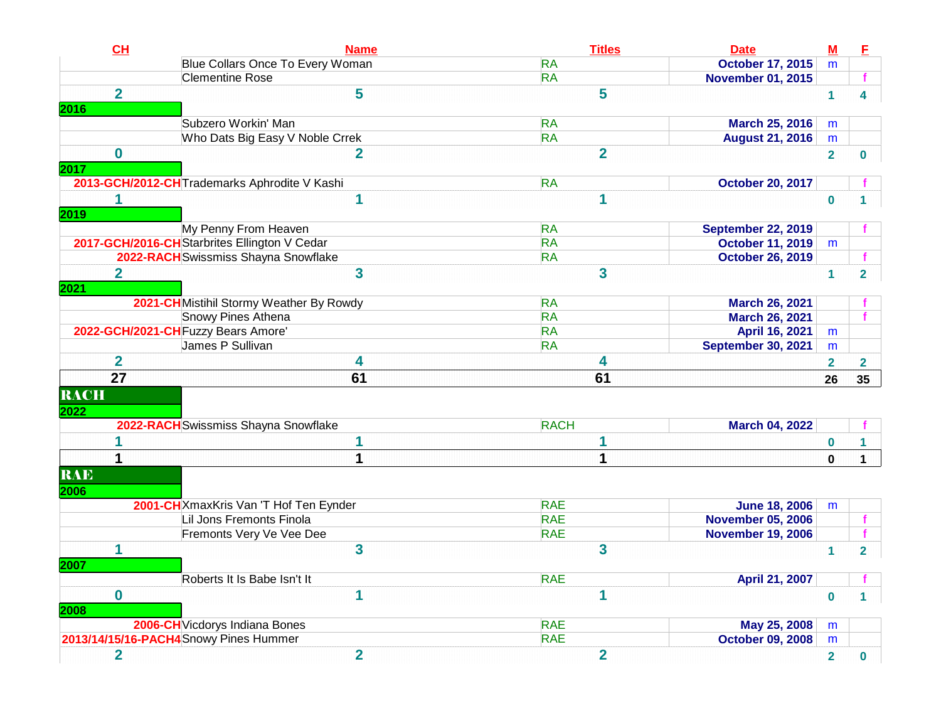| CH                      | <b>Name</b>                                                                                          | <b>Titles</b>                                   | <b>Date</b>                              | $\underline{\mathsf{M}}$ | E                       |
|-------------------------|------------------------------------------------------------------------------------------------------|-------------------------------------------------|------------------------------------------|--------------------------|-------------------------|
|                         | <b>Blue Collars Once To Every Woman</b>                                                              | <b>RA</b>                                       | <b>October 17, 2015</b>                  | m                        |                         |
|                         | <b>Clementine Rose</b>                                                                               | <b>RA</b>                                       | <b>November 01, 2015</b>                 |                          |                         |
| $\overline{\mathbf{2}}$ | 5                                                                                                    | 5                                               |                                          | $\mathbf{1}$             | 4                       |
|                         |                                                                                                      |                                                 |                                          |                          |                         |
|                         | Subzero Workin' Man                                                                                  | <b>RA</b>                                       | <b>March 25, 2016</b>                    | m                        |                         |
|                         | Who Dats Big Easy V Noble Crrek                                                                      | <b>RA</b>                                       | <b>August 21, 2016</b>                   | m                        |                         |
| $\bf{0}$                | $\overline{2}$                                                                                       | $\overline{2}$                                  |                                          | $\overline{2}$           | 0                       |
|                         |                                                                                                      |                                                 |                                          |                          |                         |
|                         | 2013-GCH/2012-CH Trademarks Aphrodite V Kashi                                                        | <b>RA</b>                                       | <b>October 20, 2017</b>                  |                          |                         |
| 1                       | 1                                                                                                    | 1                                               |                                          | $\mathbf 0$              |                         |
|                         |                                                                                                      |                                                 |                                          |                          |                         |
|                         | My Penny From Heaven                                                                                 | <b>RA</b>                                       | <b>September 22, 2019</b>                |                          |                         |
|                         | 2017-GCH/2016-CH Starbrites Ellington V Cedar                                                        | <b>RA</b>                                       | <b>October 11, 2019</b>                  | m                        |                         |
|                         | 2022-RACH Swissmiss Shayna Snowflake                                                                 | <b>RA</b>                                       | <b>October 26, 2019</b>                  |                          |                         |
| $\overline{2}$          | $\overline{\mathbf{3}}$                                                                              | 3                                               |                                          | $\mathbf{1}$             | $\overline{2}$          |
|                         |                                                                                                      |                                                 |                                          |                          |                         |
|                         | 2021-CH Mistihil Stormy Weather By Rowdy                                                             | <b>RA</b>                                       | March 26, 2021                           |                          |                         |
|                         | Snowy Pines Athena                                                                                   | <b>RA</b>                                       | <b>March 26, 2021</b>                    |                          | f.                      |
|                         | 2022-GCH/2021-CH Fuzzy Bears Amore'                                                                  | <b>RA</b>                                       | April 16, 2021                           | m                        |                         |
|                         | James P Sullivan                                                                                     | <b>RA</b>                                       | <b>September 30, 2021</b>                | m                        |                         |
| $\overline{2}$          | 4                                                                                                    | 4                                               |                                          | $\overline{\mathbf{2}}$  | $\overline{\mathbf{2}}$ |
| $\overline{27}$         | 61                                                                                                   | 61                                              |                                          | 26                       | 35                      |
| <b>RACH</b>             |                                                                                                      |                                                 |                                          |                          |                         |
|                         |                                                                                                      |                                                 |                                          |                          |                         |
|                         | 2022-RACH Swissmiss Shayna Snowflake                                                                 | <b>RACH</b>                                     | <b>March 04, 2022</b>                    |                          |                         |
|                         | 1                                                                                                    | 1                                               |                                          |                          |                         |
|                         |                                                                                                      |                                                 |                                          | $\bf{0}$                 | $\mathbf 1$             |
| 1                       | 1                                                                                                    | 1                                               |                                          | $\bf{0}$                 | $\mathbf{1}$            |
| <b>RAE</b>              |                                                                                                      |                                                 |                                          |                          |                         |
|                         |                                                                                                      |                                                 |                                          |                          |                         |
|                         | 2001-CH XmaxKris Van 'T Hof Ten Eynder                                                               | <b>RAE</b>                                      | <b>June 18, 2006</b>                     | m                        |                         |
|                         | Lil Jons Fremonts Finola                                                                             | <b>RAE</b>                                      | <b>November 05, 2006</b>                 |                          | $\mathbf{f}$            |
|                         |                                                                                                      |                                                 |                                          |                          | $\mathbf{f}$            |
|                         |                                                                                                      |                                                 |                                          | $\overline{1}$           | $\overline{2}$          |
|                         |                                                                                                      |                                                 |                                          |                          |                         |
|                         |                                                                                                      |                                                 | April 21, 2007                           |                          |                         |
| $\mathbf{0}$            | $\overline{\mathbf{1}}$                                                                              | 1                                               |                                          | $\bf{0}$                 |                         |
|                         |                                                                                                      |                                                 |                                          |                          |                         |
|                         | 2006-CH Vicdorys Indiana Bones                                                                       | <b>RAE</b>                                      |                                          | m                        |                         |
|                         | 2013/14/15/16-PACH4Snowy Pines Hummer                                                                | <b>RAE</b>                                      | <b>October 09, 2008</b>                  | m                        |                         |
|                         |                                                                                                      |                                                 |                                          |                          | 0                       |
| 1<br>$\overline{2}$     | Fremonts Very Ve Vee Dee<br>$\overline{\mathbf{3}}$<br>Roberts It Is Babe Isn't It<br>$\overline{2}$ | <b>RAE</b><br>3<br><b>RAE</b><br>$\overline{2}$ | <b>November 19, 2006</b><br>May 25, 2008 | $\overline{2}$           |                         |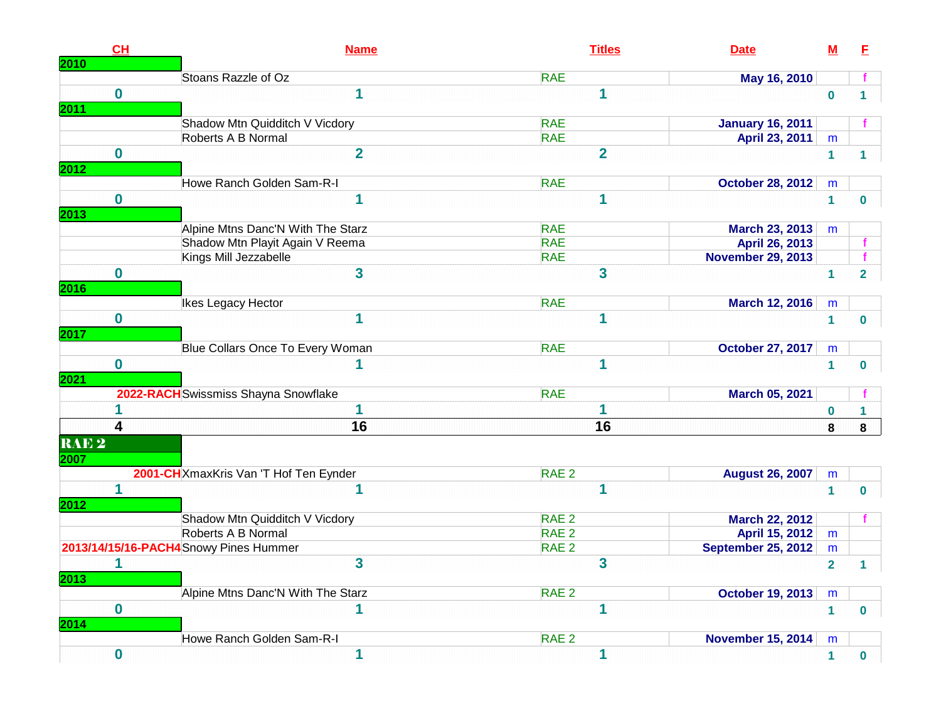| CH<br>2010                                               | <b>Name</b>                            | <b>Titles</b>           | <b>Date</b>               | $M$                     | E              |
|----------------------------------------------------------|----------------------------------------|-------------------------|---------------------------|-------------------------|----------------|
|                                                          | Stoans Razzle of Oz                    | <b>RAE</b>              | May 16, 2010              |                         |                |
| $\bf{0}$                                                 |                                        |                         |                           | $\bf{0}$                |                |
| 2011                                                     | Shadow Mtn Quidditch V Vicdory         | <b>RAE</b>              | <b>January 16, 2011</b>   |                         |                |
|                                                          | Roberts A B Normal                     | <b>RAE</b>              | April 23, 2011            | m                       |                |
| $\bf{0}$<br>2012                                         | $\overline{2}$                         | $\overline{\mathbf{2}}$ |                           | 1                       | 1              |
|                                                          | Howe Ranch Golden Sam-R-I              | <b>RAE</b>              | <b>October 28, 2012</b>   | m                       |                |
| $\bf{0}$<br>2013                                         |                                        |                         |                           | 1                       | $\mathbf 0$    |
|                                                          | Alpine Mtns Danc'N With The Starz      | <b>RAE</b>              | March 23, 2013            | m                       |                |
|                                                          | Shadow Mtn Playit Again V Reema        | <b>RAE</b>              | April 26, 2013            |                         | -f             |
|                                                          | Kings Mill Jezzabelle                  | <b>RAE</b>              | <b>November 29, 2013</b>  |                         | $\mathbf{f}$   |
| $\bf{0}$<br>2016                                         | 3                                      | 3                       |                           | 1                       | $\overline{2}$ |
|                                                          | Ikes Legacy Hector                     | <b>RAE</b>              | March 12, 2016            | m                       |                |
| $\bf{0}$<br>2017                                         |                                        |                         |                           | 1                       | $\bf{0}$       |
|                                                          | Blue Collars Once To Every Woman       | <b>RAE</b>              | <b>October 27, 2017</b>   | m                       |                |
| $\bf{0}$<br>2021                                         |                                        |                         |                           | 1                       | $\bf{0}$       |
|                                                          | 2022-RACH Swissmiss Shayna Snowflake   | <b>RAE</b>              | March 05, 2021            |                         |                |
|                                                          |                                        |                         |                           | 0                       | 1              |
| $\overline{\mathbf{4}}$                                  | 16                                     | 16                      |                           | 8                       | 8              |
| $\overline{\textbf{RAE}\ \overline{\textbf{2}}}$<br>2007 |                                        |                         |                           |                         |                |
|                                                          | 2001-CH XmaxKris Van 'T Hof Ten Eynder | RAE <sub>2</sub>        | <b>August 26, 2007</b>    | m                       |                |
| 1<br>2012                                                |                                        |                         |                           | 1                       | $\mathbf 0$    |
|                                                          | Shadow Mtn Quidditch V Vicdory         | RAE 2                   | <b>March 22, 2012</b>     |                         |                |
|                                                          | Roberts A B Normal                     | RAE <sub>2</sub>        | April 15, 2012            | m                       |                |
|                                                          | 2013/14/15/16-PACH4 Snowy Pines Hummer | RAE <sub>2</sub>        | <b>September 25, 2012</b> | m                       |                |
| 1<br>2013                                                | 3                                      | 3                       |                           | $\overline{\mathbf{2}}$ | 1              |
|                                                          | Alpine Mtns Danc'N With The Starz      | RAE <sub>2</sub>        | <b>October 19, 2013</b>   | m                       |                |
| $\bf{0}$<br>2014                                         |                                        |                         |                           | $\mathbf{1}$            | $\bf{0}$       |
|                                                          | Howe Ranch Golden Sam-R-I              | RAE <sub>2</sub>        | <b>November 15, 2014</b>  | m                       |                |
|                                                          | 1                                      |                         |                           |                         |                |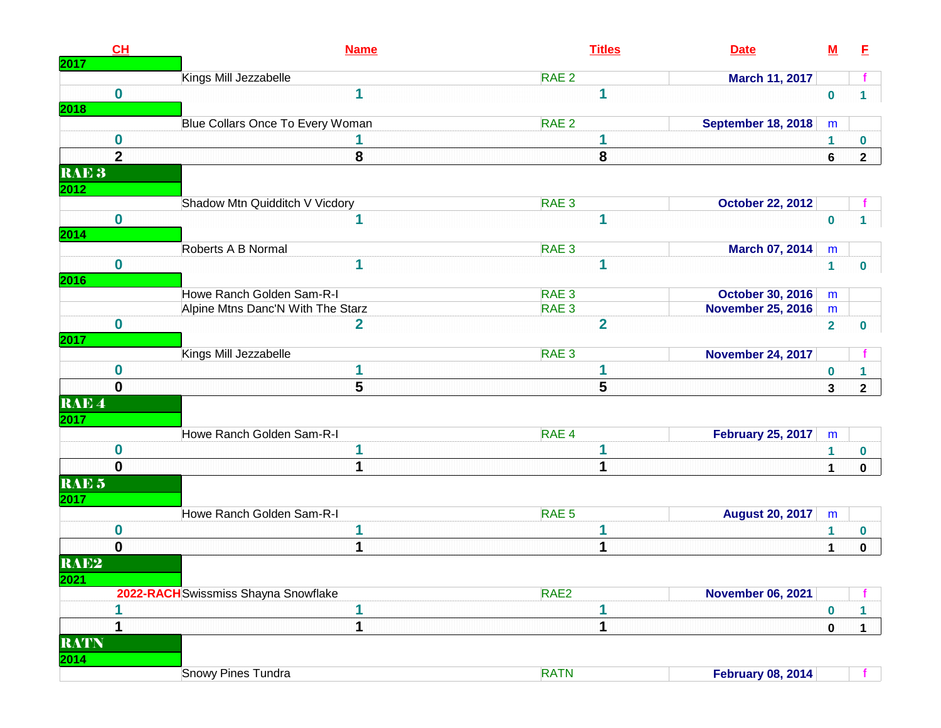| <b>2017</b>              | CL                      | <b>Name</b>                          | <b>Titles</b>    | <b>Date</b>               | $\underline{\mathsf{M}}$ | E            |
|--------------------------|-------------------------|--------------------------------------|------------------|---------------------------|--------------------------|--------------|
|                          |                         | Kings Mill Jezzabelle                | RAE <sub>2</sub> | March 11, 2017            |                          |              |
| 2018                     | $\bf{0}$                | 1                                    | 1                |                           | $\mathbf 0$              | $\mathbf{1}$ |
|                          |                         | Blue Collars Once To Every Woman     | RAE <sub>2</sub> | <b>September 18, 2018</b> | m                        |              |
|                          | $\bf{0}$                |                                      | 1                |                           | 1                        | $\mathbf 0$  |
|                          | $\overline{\mathbf{2}}$ | 8                                    | 8                |                           | 6                        | $\mathbf{2}$ |
| RAE <sub>3</sub>         |                         |                                      |                  |                           |                          |              |
| 2012                     |                         |                                      |                  |                           |                          |              |
|                          |                         | Shadow Mtn Quidditch V Vicdory       | RAE <sub>3</sub> | <b>October 22, 2012</b>   |                          |              |
| <b>2014</b>              | $\bf{0}$                | 1                                    | 1                |                           | $\bf{0}$                 |              |
|                          |                         | Roberts A B Normal                   | RAE <sub>3</sub> | <b>March 07, 2014</b>     | m                        |              |
| 2016                     | $\bf{0}$                | 1                                    | 1                |                           | 1                        | $\mathbf 0$  |
|                          |                         | Howe Ranch Golden Sam-R-I            | RAE <sub>3</sub> | <b>October 30, 2016</b>   | m                        |              |
|                          |                         | Alpine Mtns Danc'N With The Starz    | RAE <sub>3</sub> | <b>November 25, 2016</b>  | m                        |              |
| <b>2017</b>              | $\mathbf 0$             | $\overline{2}$                       | $\overline{2}$   |                           | $\overline{\mathbf{2}}$  | $\mathbf 0$  |
|                          |                         | Kings Mill Jezzabelle                | RAE <sub>3</sub> | <b>November 24, 2017</b>  |                          |              |
|                          | $\bf{0}$                | 1                                    |                  |                           | $\bf{0}$                 | 1            |
|                          | $\mathbf 0$             | 5                                    | 5                |                           | 3                        | $\mathbf{2}$ |
| RAE <sup>4</sup><br>2017 |                         |                                      |                  |                           |                          |              |
|                          |                         | Howe Ranch Golden Sam-R-I            | RAE <sub>4</sub> | <b>February 25, 2017</b>  | m                        |              |
|                          | $\bf{0}$                |                                      |                  |                           | 1                        | $\mathbf 0$  |
|                          | $\mathbf{0}$            | 1                                    | 1                |                           | 1                        | $\mathbf 0$  |
| RAE <sub>5</sub><br>2017 |                         |                                      |                  |                           |                          |              |
|                          |                         | Howe Ranch Golden Sam-R-I            | RAE <sub>5</sub> | <b>August 20, 2017</b>    | m                        |              |
|                          | $\bf{0}$                | 1                                    |                  |                           | 1                        | 0            |
|                          | $\boldsymbol{0}$        | 1                                    | 1                |                           | 1                        | $\mathbf 0$  |
| RAE <sub>2</sub><br>2021 |                         |                                      |                  |                           |                          |              |
|                          |                         | 2022-RACH Swissmiss Shayna Snowflake | RAE <sub>2</sub> | <b>November 06, 2021</b>  |                          |              |
|                          |                         | 1                                    |                  |                           | $\boldsymbol{0}$         | 1            |
|                          | $\mathbf 1$             | 1                                    | 1                |                           | $\pmb{0}$                | $\mathbf 1$  |
| <b>RATN</b><br>2014      |                         |                                      |                  |                           |                          |              |
|                          |                         | <b>Snowy Pines Tundra</b>            | <b>RATN</b>      | <b>February 08, 2014</b>  |                          |              |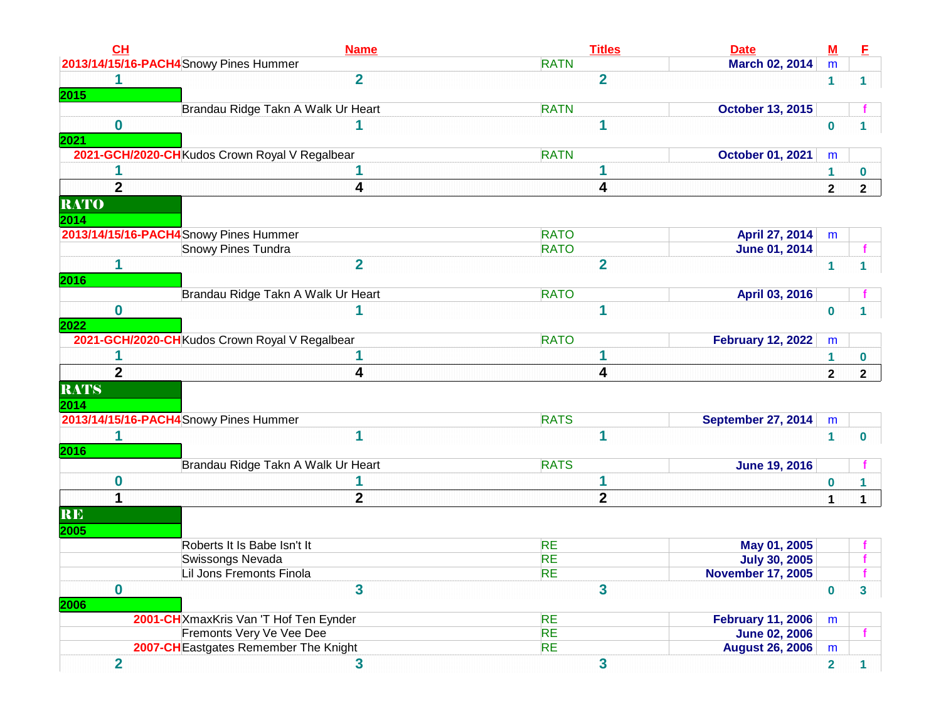| CL                                | <b>Name</b>                                                       | <b>Titles</b>          | <b>Date</b>                                    | $\underline{\mathbf{M}}$ | E                             |
|-----------------------------------|-------------------------------------------------------------------|------------------------|------------------------------------------------|--------------------------|-------------------------------|
|                                   | 2013/14/15/16-PACH4 Snowy Pines Hummer                            | <b>RATN</b>            | March 02, 2014                                 | m                        |                               |
|                                   | $\overline{2}$                                                    | $\overline{2}$         |                                                | 1                        | 1                             |
| 2015                              |                                                                   |                        |                                                |                          |                               |
|                                   | Brandau Ridge Takn A Walk Ur Heart                                | <b>RATN</b>            | <b>October 13, 2015</b>                        |                          |                               |
| $\bf{0}$                          |                                                                   | 1                      |                                                | $\bf{0}$                 | 1                             |
| 2021                              |                                                                   |                        |                                                |                          |                               |
|                                   | 2021-GCH/2020-CH Kudos Crown Royal V Regalbear                    | <b>RATN</b>            | <b>October 01, 2021</b>                        | m                        |                               |
|                                   |                                                                   |                        |                                                | 1                        | $\bf{0}$                      |
| $\overline{2}$                    | 4                                                                 | 4                      |                                                | $\mathbf{2}$             | $\overline{2}$                |
| <b>RATO</b>                       |                                                                   |                        |                                                |                          |                               |
| 2014                              |                                                                   |                        |                                                |                          |                               |
|                                   | 2013/14/15/16-PACH4 Snowy Pines Hummer                            | <b>RATO</b>            | April 27, 2014                                 | m                        |                               |
|                                   | Snowy Pines Tundra                                                | <b>RATO</b>            | <b>June 01, 2014</b>                           |                          |                               |
| 1                                 | $\overline{2}$                                                    | $\overline{2}$         |                                                | 1                        |                               |
| 2016                              |                                                                   |                        |                                                |                          |                               |
|                                   | Brandau Ridge Takn A Walk Ur Heart                                | <b>RATO</b>            | April 03, 2016                                 |                          |                               |
| $\bf{0}$                          |                                                                   | и                      |                                                | $\bf{0}$                 | 1                             |
| 2022                              |                                                                   |                        |                                                |                          |                               |
|                                   | 2021-GCH/2020-CH Kudos Crown Royal V Regalbear                    | <b>RATO</b>            | <b>February 12, 2022</b>                       | m                        |                               |
|                                   |                                                                   |                        |                                                | 1                        | $\bf{0}$                      |
| $\overline{2}$                    | 4                                                                 | 4                      |                                                | $\mathbf{2}$             | $\overline{2}$                |
| <b>RATS</b>                       |                                                                   |                        |                                                |                          |                               |
| 2014                              |                                                                   |                        |                                                |                          |                               |
|                                   | 2013/14/15/16-PACH4Snowy Pines Hummer                             | <b>RATS</b>            | <b>September 27, 2014</b>                      | m                        |                               |
|                                   |                                                                   |                        |                                                |                          |                               |
|                                   |                                                                   |                        |                                                |                          |                               |
|                                   |                                                                   | 1                      |                                                | 1                        |                               |
|                                   |                                                                   |                        |                                                |                          |                               |
|                                   | Brandau Ridge Takn A Walk Ur Heart                                | <b>RATS</b>            | <b>June 19, 2016</b>                           |                          |                               |
| 0                                 |                                                                   |                        |                                                | $\bf{0}$                 |                               |
|                                   | $\overline{\mathbf{2}}$                                           | $\mathbf{2}$           |                                                | $\mathbf 1$              |                               |
|                                   |                                                                   |                        |                                                |                          |                               |
|                                   |                                                                   |                        |                                                |                          |                               |
|                                   | Roberts It Is Babe Isn't It                                       | <b>RE</b>              | May 01, 2005                                   |                          |                               |
|                                   | Swissongs Nevada                                                  | <b>RE</b>              | <b>July 30, 2005</b>                           |                          |                               |
|                                   | Lil Jons Fremonts Finola                                          | <b>RE</b>              | <b>November 17, 2005</b>                       |                          |                               |
| 0                                 | 3                                                                 | 3                      |                                                | $\bf{0}$                 |                               |
|                                   |                                                                   |                        |                                                |                          |                               |
|                                   | 2001-CHXmaxKris Van 'T Hof Ten Eynder                             | <b>RE</b>              | <b>February 11, 2006</b>                       | m                        |                               |
| 2016<br><b>RE</b><br>2005<br>2006 | Fremonts Very Ve Vee Dee<br>2007-CH Eastgates Remember The Knight | <b>RE</b><br><b>RE</b> | <b>June 02, 2006</b><br><b>August 26, 2006</b> | m                        | $\bf{0}$<br>1<br>f<br>3<br>f. |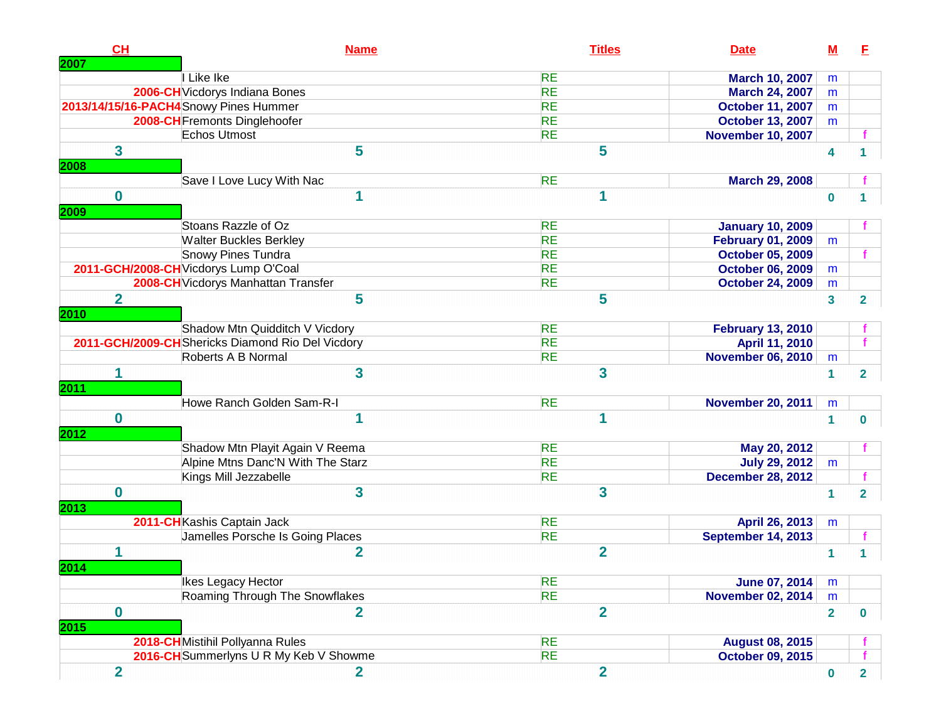| CH<br>2007       | <b>Name</b>                                       | <b>Titles</b>           | <b>Date</b>              | $\underline{\mathsf{M}}$ | Е              |
|------------------|---------------------------------------------------|-------------------------|--------------------------|--------------------------|----------------|
|                  | I Like Ike                                        | <b>RE</b>               | <b>March 10, 2007</b>    | m                        |                |
|                  | 2006-CH Vicdorys Indiana Bones                    | <b>RE</b>               | <b>March 24, 2007</b>    | m                        |                |
|                  | 2013/14/15/16-PACH4 Snowy Pines Hummer            | <b>RE</b>               | <b>October 11, 2007</b>  | m                        |                |
|                  | 2008-CH Fremonts Dinglehoofer                     | <b>RE</b>               | <b>October 13, 2007</b>  | m                        |                |
|                  | Echos Utmost                                      | <b>RE</b>               | <b>November 10, 2007</b> |                          |                |
| $\mathbf{3}$     | 5                                                 | 5                       |                          |                          |                |
| 2008             |                                                   |                         |                          | 4                        |                |
|                  | Save I Love Lucy With Nac                         | <b>RE</b>               | <b>March 29, 2008</b>    |                          |                |
| $\bf{0}$<br>2009 | 1                                                 | 1                       |                          | $\mathbf 0$              | 1              |
|                  | Stoans Razzle of Oz                               | <b>RE</b>               | <b>January 10, 2009</b>  |                          |                |
|                  | <b>Walter Buckles Berkley</b>                     | <b>RE</b>               | <b>February 01, 2009</b> | m                        |                |
|                  | Snowy Pines Tundra                                | <b>RE</b>               | <b>October 05, 2009</b>  |                          |                |
|                  | 2011-GCH/2008-CH Vicdorys Lump O'Coal             | <b>RE</b>               | <b>October 06, 2009</b>  | m                        |                |
|                  | 2008-CH Vicdorys Manhattan Transfer               | <b>RE</b>               | <b>October 24, 2009</b>  | m                        |                |
| $\overline{2}$   | 5                                                 | 5                       |                          |                          |                |
| 2010             |                                                   |                         |                          | $\overline{\mathbf{3}}$  | $\overline{2}$ |
|                  | Shadow Mtn Quidditch V Vicdory                    | <b>RE</b>               | <b>February 13, 2010</b> |                          |                |
|                  | 2011-GCH/2009-CH Shericks Diamond Rio Del Vicdory | <b>RE</b>               | April 11, 2010           |                          |                |
|                  | Roberts A B Normal                                | <b>RE</b>               | <b>November 06, 2010</b> | m                        |                |
| 1<br><b>2011</b> | 3                                                 | 3                       |                          | 1                        | $\overline{2}$ |
|                  | Howe Ranch Golden Sam-R-I                         | <b>RE</b>               | <b>November 20, 2011</b> | m                        |                |
| $\bf{0}$<br>2012 | 1                                                 | 1                       |                          | 1                        | $\bf{0}$       |
|                  | Shadow Mtn Playit Again V Reema                   | <b>RE</b>               | May 20, 2012             |                          |                |
|                  | Alpine Mtns Danc'N With The Starz                 | <b>RE</b>               | <b>July 29, 2012</b>     | m                        |                |
|                  | Kings Mill Jezzabelle                             | <b>RE</b>               | <b>December 28, 2012</b> |                          |                |
| $\bf{0}$         | 3                                                 | $\overline{\mathbf{3}}$ |                          | 1                        | $\overline{2}$ |
| 2013             |                                                   |                         |                          |                          |                |
|                  | 2011-CHKashis Captain Jack                        | <b>RE</b>               | April 26, 2013           | m                        |                |
|                  | Jamelles Porsche Is Going Places                  | <b>RE</b>               | September 14, 2013       |                          |                |
| 1<br>2014        | $\overline{2}$                                    | $\overline{2}$          |                          | 1                        |                |
|                  | Ikes Legacy Hector                                | <b>RE</b>               | <b>June 07, 2014</b>     | m                        |                |
|                  | Roaming Through The Snowflakes                    | <b>RE</b>               | <b>November 02, 2014</b> | m                        |                |
| $\mathbf 0$      | $\overline{\mathbf{2}}$                           | $\overline{2}$          |                          | $\overline{2}$           | $\bf{0}$       |
| 2015             |                                                   |                         |                          |                          |                |
|                  | 2018-CHMistihil Pollyanna Rules                   | <b>RE</b>               | <b>August 08, 2015</b>   |                          |                |
|                  | 2016-CH Summerlyns U R My Keb V Showme            | <b>RE</b>               | <b>October 09, 2015</b>  |                          |                |
| $\overline{2}$   | $\mathbf{2}$                                      | $\overline{2}$          |                          | $\bf{0}$                 | $\mathbf{2}$   |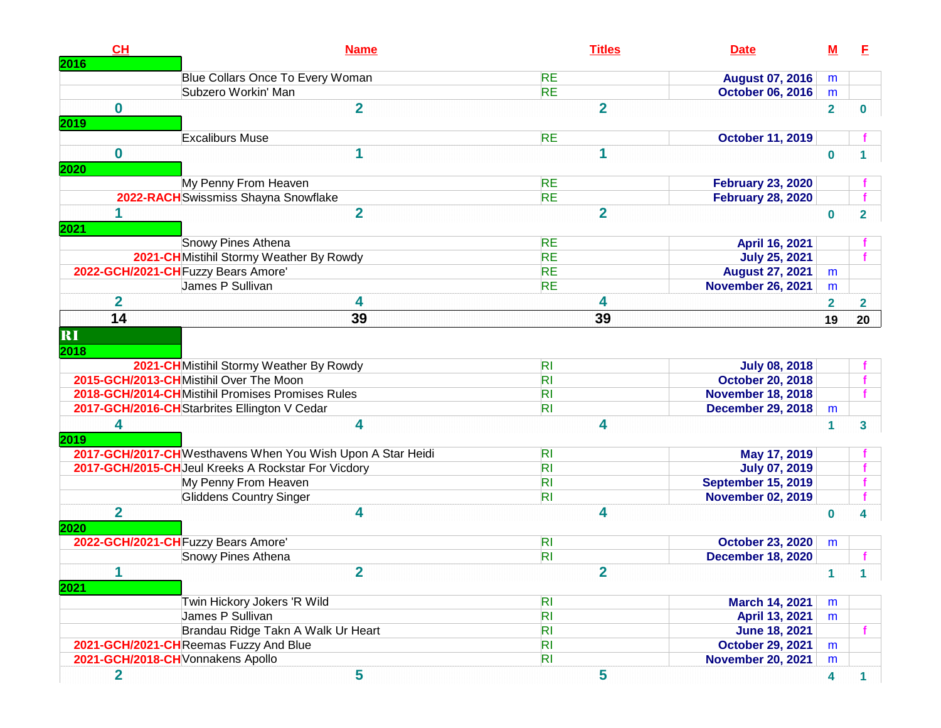| CH                      | <b>Name</b>                                                 | <b>Titles</b>  | <b>Date</b>               | <u>M</u>                | E                       |
|-------------------------|-------------------------------------------------------------|----------------|---------------------------|-------------------------|-------------------------|
| 2016                    | Blue Collars Once To Every Woman                            | <b>RE</b>      | <b>August 07, 2016</b>    | m                       |                         |
|                         | Subzero Workin' Man                                         | <b>RE</b>      | <b>October 06, 2016</b>   | m                       |                         |
| $\mathbf 0$             | $\overline{2}$                                              | $\overline{2}$ |                           | $\overline{2}$          |                         |
| 2019                    |                                                             |                |                           |                         | 0                       |
|                         | <b>Excaliburs Muse</b>                                      | <b>RE</b>      | <b>October 11, 2019</b>   |                         |                         |
| $\mathbf 0$             | 1                                                           | 1              |                           | $\bf{0}$                |                         |
| 2020                    |                                                             |                |                           |                         |                         |
|                         | My Penny From Heaven                                        | <b>RE</b>      | <b>February 23, 2020</b>  |                         |                         |
|                         | 2022-RACH Swissmiss Shayna Snowflake                        | <b>RE</b>      | <b>February 28, 2020</b>  |                         |                         |
|                         | $\overline{2}$                                              | $\overline{2}$ |                           | $\bf{0}$                | $\overline{\mathbf{2}}$ |
| 2021                    |                                                             |                |                           |                         |                         |
|                         | Snowy Pines Athena                                          | <b>RE</b>      | April 16, 2021            |                         |                         |
|                         | 2021-CHMistihil Stormy Weather By Rowdy                     | <b>RE</b>      | <b>July 25, 2021</b>      |                         |                         |
|                         | 2022-GCH/2021-CH Fuzzy Bears Amore'                         | <b>RE</b>      | <b>August 27, 2021</b>    | m                       |                         |
|                         | James P Sullivan                                            | <b>RE</b>      | <b>November 26, 2021</b>  | m                       |                         |
| $\overline{\mathbf{2}}$ | 4                                                           | 4              |                           | $\overline{2}$          | $\mathbf{2}$            |
| 14                      | 39                                                          | 39             |                           | 19                      | 20                      |
| RI                      |                                                             |                |                           |                         |                         |
| 2018                    |                                                             |                |                           |                         |                         |
|                         | 2021-CH Mistihil Stormy Weather By Rowdy                    | R <sub>l</sub> | <b>July 08, 2018</b>      |                         |                         |
|                         | 2015-GCH/2013-CHMistihil Over The Moon                      | R <sub>l</sub> | <b>October 20, 2018</b>   |                         |                         |
|                         | 2018-GCH/2014-CHMistihil Promises Promises Rules            | R <sub>l</sub> | <b>November 18, 2018</b>  |                         |                         |
|                         | 2017-GCH/2016-CH Starbrites Ellington V Cedar               | R <sub>l</sub> | <b>December 29, 2018</b>  | m                       |                         |
| 4                       | 4                                                           | 4              |                           | 1                       | 3                       |
| 2019                    |                                                             |                |                           |                         |                         |
|                         | 2017-GCH/2017-CH Westhavens When You Wish Upon A Star Heidi | R <sub>l</sub> | May 17, 2019              |                         |                         |
|                         | 2017-GCH/2015-CH Jeul Kreeks A Rockstar For Vicdory         | R <sub>l</sub> | <b>July 07, 2019</b>      |                         |                         |
|                         | My Penny From Heaven                                        | R <sub>l</sub> | <b>September 15, 2019</b> |                         |                         |
|                         | <b>Gliddens Country Singer</b>                              | R <sub>l</sub> | <b>November 02, 2019</b>  |                         |                         |
| $\overline{2}$          | 4                                                           | 4              |                           | $\bf{0}$                |                         |
| 2020                    |                                                             |                |                           |                         |                         |
|                         | 2022-GCH/2021-CH Fuzzy Bears Amore'                         | R <sub>l</sub> | <b>October 23, 2020</b>   | m                       |                         |
|                         | Snowy Pines Athena                                          | R <sub>l</sub> | <b>December 18, 2020</b>  |                         |                         |
| 1                       | $\overline{2}$                                              | $\overline{2}$ |                           | 1.                      |                         |
| 2021                    |                                                             |                |                           |                         |                         |
|                         | Twin Hickory Jokers 'R Wild                                 | R <sub>l</sub> | March 14, 2021            | m                       |                         |
|                         | James P Sullivan                                            | R <sub>l</sub> | April 13, 2021            | m                       |                         |
|                         | Brandau Ridge Takn A Walk Ur Heart                          | R <sub>l</sub> | <b>June 18, 2021</b>      |                         |                         |
|                         | 2021-GCH/2021-CHReemas Fuzzy And Blue                       | R <sub>l</sub> | <b>October 29, 2021</b>   | m                       |                         |
|                         | 2021-GCH/2018-CH Vonnakens Apollo                           | R <sub>l</sub> | <b>November 20, 2021</b>  | m                       |                         |
| $\overline{\mathbf{2}}$ | 5                                                           | 5              |                           | $\overline{\mathbf{4}}$ |                         |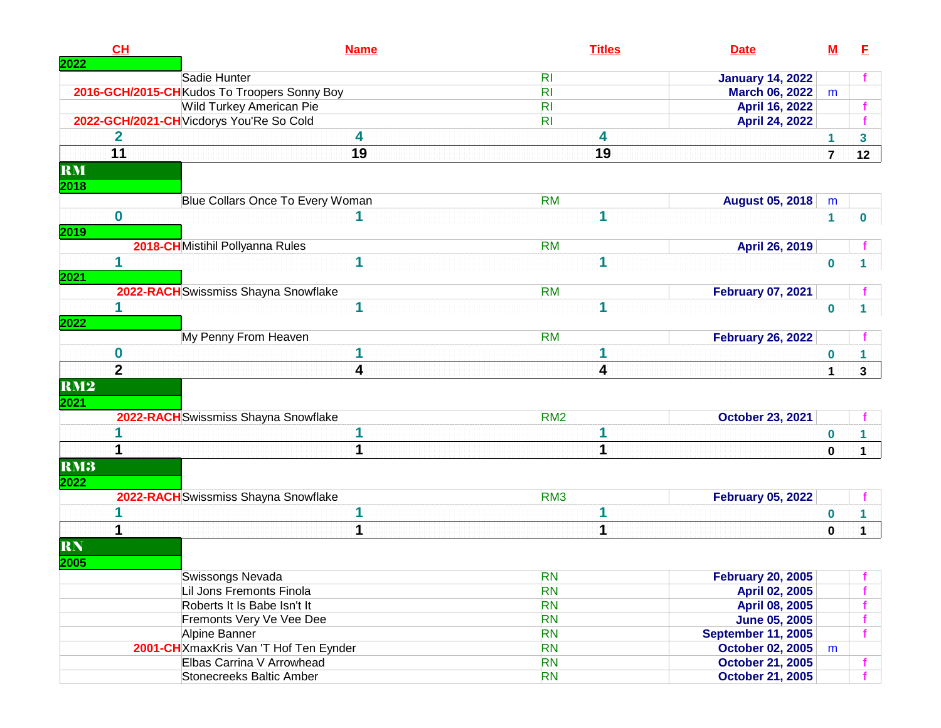|             | CH             | <b>Name</b>                                  | <b>Titles</b>   | <b>Date</b>                                | ${\bf M}$            | E               |
|-------------|----------------|----------------------------------------------|-----------------|--------------------------------------------|----------------------|-----------------|
| 2022        |                | Sadie Hunter                                 | R <sub>l</sub>  | <b>January 14, 2022</b>                    |                      |                 |
|             |                | 2016-GCH/2015-CH Kudos To Troopers Sonny Boy | R <sub>l</sub>  | <b>March 06, 2022</b>                      | m                    |                 |
|             |                | <b>Wild Turkey American Pie</b>              | R <sub>l</sub>  | <b>April 16, 2022</b>                      |                      |                 |
|             |                | 2022-GCH/2021-CH Vicdorys You'Re So Cold     | R <sub>l</sub>  | <b>April 24, 2022</b>                      |                      |                 |
|             | 2              | 4                                            | 4               |                                            | 1                    | $\mathbf{3}$    |
|             | 11             | 19                                           | 19              |                                            | $\overline{7}$       | 12 <sub>2</sub> |
| RM          |                |                                              |                 |                                            |                      |                 |
| 2018        |                |                                              |                 |                                            |                      |                 |
|             |                | Blue Collars Once To Every Woman             | <b>RM</b>       | <b>August 05, 2018</b>                     | m                    |                 |
|             | $\mathbf 0$    |                                              | 1               |                                            | $\blacktriangleleft$ | 0               |
| <b>2019</b> |                |                                              |                 |                                            |                      |                 |
|             |                | 2018-CHMistihil Pollyanna Rules              | <b>RM</b>       | April 26, 2019                             |                      |                 |
|             | 1              | 1                                            |                 |                                            | $\bf{0}$             |                 |
| 2021        |                |                                              |                 |                                            |                      |                 |
|             |                | 2022-RACH Swissmiss Shayna Snowflake         | <b>RM</b>       | <b>February 07, 2021</b>                   |                      |                 |
|             |                | 1                                            | 1               |                                            | $\bf{0}$             |                 |
| 2022        |                |                                              |                 |                                            |                      |                 |
|             |                | My Penny From Heaven                         | <b>RM</b>       | <b>February 26, 2022</b>                   |                      |                 |
|             | $\bf{0}$       | 1                                            |                 |                                            | $\bf{0}$             |                 |
|             | $\overline{2}$ | 4                                            | 4               |                                            | $\mathbf{1}$         | $\mathbf{3}$    |
| RM2         |                |                                              |                 |                                            |                      |                 |
| 2021        |                |                                              |                 |                                            |                      |                 |
|             |                | 2022-RACH Swissmiss Shayna Snowflake         | RM <sub>2</sub> | <b>October 23, 2021</b>                    |                      |                 |
|             |                | 1                                            |                 |                                            | $\bf{0}$             |                 |
|             | 1              |                                              |                 |                                            | 0                    | $\mathbf 1$     |
| RM3         |                |                                              |                 |                                            |                      |                 |
| 2022        |                |                                              |                 |                                            |                      |                 |
|             |                | 2022-RACH Swissmiss Shayna Snowflake         | RM <sub>3</sub> | <b>February 05, 2022</b>                   |                      |                 |
|             |                |                                              |                 |                                            | $\boldsymbol{0}$     |                 |
|             |                | 1                                            |                 |                                            | $\bf{0}$             | $\mathbf 1$     |
|             |                |                                              |                 |                                            |                      |                 |
| <b>RN</b>   |                |                                              |                 |                                            |                      |                 |
| 2005        |                |                                              | <b>RN</b>       |                                            |                      |                 |
|             |                | Swissongs Nevada<br>Lil Jons Fremonts Finola | <b>RN</b>       | <b>February 20, 2005</b><br>April 02, 2005 |                      |                 |
|             |                | Roberts It Is Babe Isn't It                  | <b>RN</b>       | April 08, 2005                             |                      |                 |
|             |                | Fremonts Very Ve Vee Dee                     | <b>RN</b>       | <b>June 05, 2005</b>                       |                      |                 |
|             |                | Alpine Banner                                | <b>RN</b>       | <b>September 11, 2005</b>                  |                      |                 |
|             |                | 2001-CHXmaxKris Van 'T Hof Ten Eynder        | <b>RN</b>       | <b>October 02, 2005</b>                    | m                    |                 |
|             |                | Elbas Carrina V Arrowhead                    | <b>RN</b>       | <b>October 21, 2005</b>                    |                      |                 |
|             |                | Stonecreeks Baltic Amber                     | <b>RN</b>       | <b>October 21, 2005</b>                    |                      |                 |
|             |                |                                              |                 |                                            |                      |                 |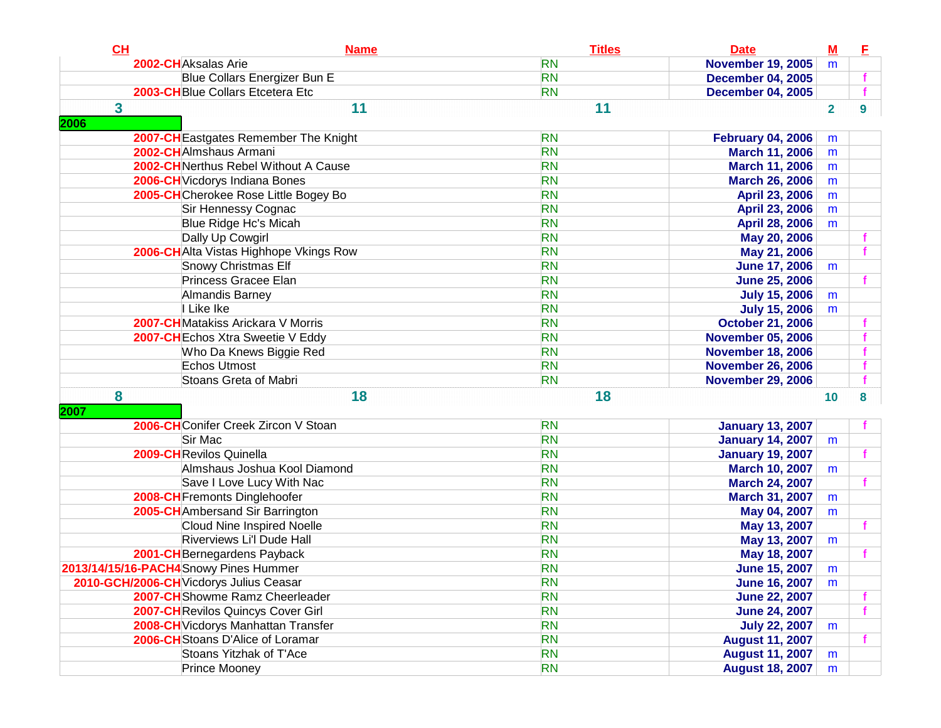| CH        | <b>Name</b>                             | <b>Titles</b> | <b>Date</b>              | $M$            | E |
|-----------|-----------------------------------------|---------------|--------------------------|----------------|---|
|           | 2002-CHAksalas Arie                     | <b>RN</b>     | <b>November 19, 2005</b> | m              |   |
|           | Blue Collars Energizer Bun E            | <b>RN</b>     | <b>December 04, 2005</b> |                |   |
|           | 2003-CH Blue Collars Etcetera Etc       | <b>RN</b>     | <b>December 04, 2005</b> |                |   |
| 3<br>2006 | 11                                      | 11            |                          | $\overline{2}$ | 9 |
|           | 2007-CH Eastgates Remember The Knight   | <b>RN</b>     | <b>February 04, 2006</b> | m              |   |
|           | 2002-CHAlmshaus Armani                  | <b>RN</b>     | <b>March 11, 2006</b>    | m              |   |
|           | 2002-CHNerthus Rebel Without A Cause    | <b>RN</b>     | <b>March 11, 2006</b>    | m              |   |
|           | 2006-CH Vicdorys Indiana Bones          | <b>RN</b>     | <b>March 26, 2006</b>    | m              |   |
|           | 2005-CHCherokee Rose Little Bogey Bo    | <b>RN</b>     | April 23, 2006           | m              |   |
|           | Sir Hennessy Cognac                     | <b>RN</b>     | April 23, 2006           | m              |   |
|           | Blue Ridge Hc's Micah                   | <b>RN</b>     | April 28, 2006           | m              |   |
|           | Dally Up Cowgirl                        | <b>RN</b>     | May 20, 2006             |                |   |
|           | 2006-CH Alta Vistas Highhope Vkings Row | <b>RN</b>     | May 21, 2006             |                |   |
|           | <b>Snowy Christmas Elf</b>              | <b>RN</b>     | <b>June 17, 2006</b>     | m              |   |
|           | Princess Gracee Elan                    | <b>RN</b>     | <b>June 25, 2006</b>     |                |   |
|           | Almandis Barney                         | <b>RN</b>     | <b>July 15, 2006</b>     | m              |   |
|           | I Like Ike                              | <b>RN</b>     | <b>July 15, 2006</b>     | m              |   |
|           | 2007-CH Matakiss Arickara V Morris      | <b>RN</b>     | <b>October 21, 2006</b>  |                |   |
|           | 2007-CH Echos Xtra Sweetie V Eddy       | <b>RN</b>     | <b>November 05, 2006</b> |                |   |
|           | Who Da Knews Biggie Red                 | <b>RN</b>     | <b>November 18, 2006</b> |                |   |
|           | Echos Utmost                            | <b>RN</b>     | <b>November 26, 2006</b> |                |   |
|           | Stoans Greta of Mabri                   | <b>RN</b>     | <b>November 29, 2006</b> |                |   |
| 8<br>2007 | 18                                      | 18            |                          | 10             | 8 |
|           | 2006-CHConifer Creek Zircon V Stoan     | <b>RN</b>     | <b>January 13, 2007</b>  |                |   |
|           | Sir Mac                                 | <b>RN</b>     | <b>January 14, 2007</b>  | m              |   |
|           | 2009-CHRevilos Quinella                 | <b>RN</b>     | <b>January 19, 2007</b>  |                |   |
|           | Almshaus Joshua Kool Diamond            | <b>RN</b>     | <b>March 10, 2007</b>    | m              |   |
|           | Save I Love Lucy With Nac               | <b>RN</b>     | <b>March 24, 2007</b>    |                |   |
|           | 2008-CH Fremonts Dinglehoofer           | <b>RN</b>     | March 31, 2007           | m              |   |
|           | 2005-CH Ambersand Sir Barrington        | <b>RN</b>     | May 04, 2007             | m              |   |
|           | <b>Cloud Nine Inspired Noelle</b>       | <b>RN</b>     | May 13, 2007             |                |   |
|           | Riverviews Li'l Dude Hall               | <b>RN</b>     | May 13, 2007             | m              |   |
|           | 2001-CH Bernegardens Payback            | <b>RN</b>     | May 18, 2007             |                |   |
|           | 2013/14/15/16-PACH4Snowy Pines Hummer   | <b>RN</b>     | <b>June 15, 2007</b>     | m              |   |
|           | 2010-GCH/2006-CH Vicdorys Julius Ceasar | <b>RN</b>     | <b>June 16, 2007</b>     | m              |   |
|           | 2007-CHShowme Ramz Cheerleader          | <b>RN</b>     | <b>June 22, 2007</b>     |                |   |
|           | 2007-CH Revilos Quincys Cover Girl      | <b>RN</b>     | <b>June 24, 2007</b>     |                |   |
|           | 2008-CH Vicdorys Manhattan Transfer     | <b>RN</b>     | <b>July 22, 2007</b>     | m              |   |
|           | 2006-CH Stoans D'Alice of Loramar       | <b>RN</b>     | <b>August 11, 2007</b>   |                |   |
|           | Stoans Yitzhak of T'Ace                 | <b>RN</b>     | <b>August 11, 2007</b>   | m              |   |
|           | <b>Prince Mooney</b>                    | <b>RN</b>     | <b>August 18, 2007</b>   | m              |   |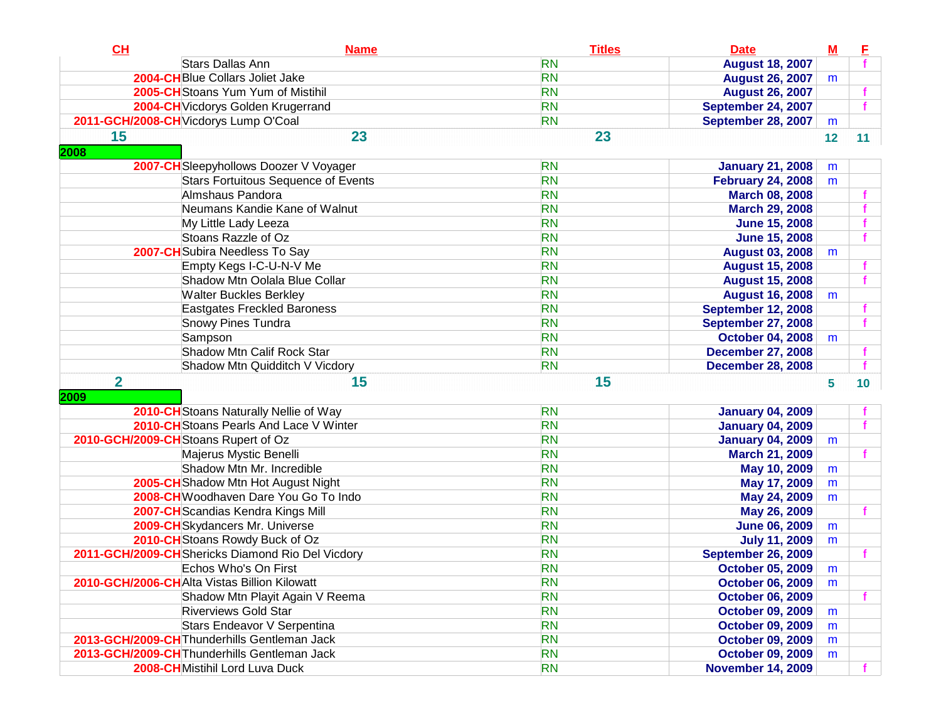| CL             | <b>Name</b>                                       | <b>Titles</b> | <b>Date</b>               | $\underline{\mathbf{M}}$ | E  |
|----------------|---------------------------------------------------|---------------|---------------------------|--------------------------|----|
|                | <b>Stars Dallas Ann</b>                           | <b>RN</b>     | <b>August 18, 2007</b>    |                          |    |
|                | 2004-CH Blue Collars Joliet Jake                  | <b>RN</b>     | <b>August 26, 2007</b>    | m                        |    |
|                | 2005-CHStoans Yum Yum of Mistihil                 | <b>RN</b>     | <b>August 26, 2007</b>    |                          |    |
|                | 2004-CH Vicdorys Golden Krugerrand                | <b>RN</b>     | September 24, 2007        |                          |    |
|                | 2011-GCH/2008-CH Vicdorys Lump O'Coal             | <b>RN</b>     | September 28, 2007        | m                        |    |
| 15             | 23                                                | 23            |                           | 12                       | 11 |
| 2008           |                                                   |               |                           |                          |    |
|                | 2007-CH Sleepyhollows Doozer V Voyager            | <b>RN</b>     | <b>January 21, 2008</b>   | m                        |    |
|                | <b>Stars Fortuitous Sequence of Events</b>        | <b>RN</b>     | <b>February 24, 2008</b>  | m                        |    |
|                | Almshaus Pandora                                  | <b>RN</b>     | <b>March 08, 2008</b>     |                          |    |
|                | Neumans Kandie Kane of Walnut                     | <b>RN</b>     | <b>March 29, 2008</b>     |                          |    |
|                | My Little Lady Leeza                              | <b>RN</b>     | <b>June 15, 2008</b>      |                          |    |
|                | Stoans Razzle of Oz                               | <b>RN</b>     | <b>June 15, 2008</b>      |                          |    |
|                | 2007-CH Subira Needless To Say                    | <b>RN</b>     | <b>August 03, 2008</b>    | m                        |    |
|                | Empty Kegs I-C-U-N-V Me                           | <b>RN</b>     | <b>August 15, 2008</b>    |                          |    |
|                | Shadow Mtn Oolala Blue Collar                     | <b>RN</b>     | <b>August 15, 2008</b>    |                          |    |
|                | <b>Walter Buckles Berkley</b>                     | <b>RN</b>     | <b>August 16, 2008</b>    | m                        |    |
|                | Eastgates Freckled Baroness                       | <b>RN</b>     | <b>September 12, 2008</b> |                          |    |
|                | <b>Snowy Pines Tundra</b>                         | <b>RN</b>     | <b>September 27, 2008</b> |                          |    |
|                | Sampson                                           | <b>RN</b>     | <b>October 04, 2008</b>   | m                        |    |
|                | Shadow Mtn Calif Rock Star                        | <b>RN</b>     | <b>December 27, 2008</b>  |                          |    |
|                | Shadow Mtn Quidditch V Vicdory                    | <b>RN</b>     | <b>December 28, 2008</b>  |                          |    |
| $\overline{2}$ | 15                                                | 15            |                           | 5                        | 10 |
| 2009           |                                                   |               |                           |                          |    |
|                | 2010-CH Stoans Naturally Nellie of Way            | <b>RN</b>     | <b>January 04, 2009</b>   |                          |    |
|                | 2010-CH Stoans Pearls And Lace V Winter           | <b>RN</b>     | <b>January 04, 2009</b>   |                          |    |
|                | 2010-GCH/2009-CHStoans Rupert of Oz               | <b>RN</b>     | <b>January 04, 2009</b>   | m                        |    |
|                | Majerus Mystic Benelli                            | <b>RN</b>     | <b>March 21, 2009</b>     |                          |    |
|                | Shadow Mtn Mr. Incredible                         | <b>RN</b>     | May 10, 2009              | m                        |    |
|                | 2005-CH Shadow Mtn Hot August Night               | <b>RN</b>     | May 17, 2009              | m                        |    |
|                | 2008-CH Woodhaven Dare You Go To Indo             | <b>RN</b>     | May 24, 2009              | m                        |    |
|                | 2007-CH Scandias Kendra Kings Mill                | <b>RN</b>     | May 26, 2009              |                          |    |
|                | 2009-CH Skydancers Mr. Universe                   | <b>RN</b>     | <b>June 06, 2009</b>      | m                        |    |
|                | 2010-CH Stoans Rowdy Buck of Oz                   | <b>RN</b>     | <b>July 11, 2009</b>      | m                        |    |
|                | 2011-GCH/2009-CH Shericks Diamond Rio Del Vicdory | <b>RN</b>     | <b>September 26, 2009</b> |                          |    |
|                | Echos Who's On First                              | <b>RN</b>     | <b>October 05, 2009</b>   | m                        |    |
|                | 2010-GCH/2006-CHAlta Vistas Billion Kilowatt      | <b>RN</b>     | <b>October 06, 2009</b>   | m                        |    |
|                | Shadow Mtn Playit Again V Reema                   | <b>RN</b>     | <b>October 06, 2009</b>   |                          |    |
|                | <b>Riverviews Gold Star</b>                       | <b>RN</b>     | <b>October 09, 2009</b>   | m                        |    |
|                | Stars Endeavor V Serpentina                       | <b>RN</b>     | <b>October 09, 2009</b>   | m                        |    |
|                | 2013-GCH/2009-CH Thunderhills Gentleman Jack      | <b>RN</b>     | <b>October 09, 2009</b>   | m                        |    |
|                | 2013-GCH/2009-CH Thunderhills Gentleman Jack      | <b>RN</b>     | <b>October 09, 2009</b>   | m                        |    |
|                | 2008-CHMistihil Lord Luva Duck                    | <b>RN</b>     | <b>November 14, 2009</b>  |                          |    |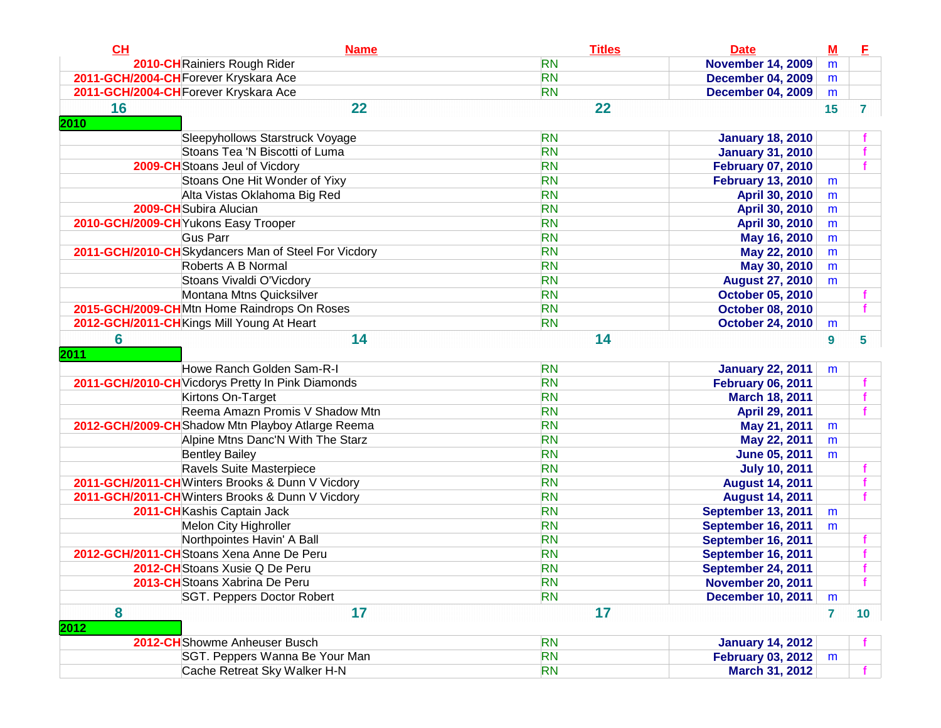| CH         | <b>Name</b>                                         | <b>Titles</b> | <b>Date</b>               | $M$              | E               |
|------------|-----------------------------------------------------|---------------|---------------------------|------------------|-----------------|
|            | 2010-CH Rainiers Rough Rider                        | <b>RN</b>     | <b>November 14, 2009</b>  | m                |                 |
|            | 2011-GCH/2004-CH Forever Kryskara Ace               | <b>RN</b>     | <b>December 04, 2009</b>  | m                |                 |
|            | 2011-GCH/2004-CH Forever Kryskara Ace               | <b>RN</b>     | <b>December 04, 2009</b>  | m                |                 |
| 16<br>2010 | 22                                                  | 22            |                           | 15               | $\mathbf{7}$    |
|            | Sleepyhollows Starstruck Voyage                     | <b>RN</b>     | <b>January 18, 2010</b>   |                  |                 |
|            | Stoans Tea 'N Biscotti of Luma                      | <b>RN</b>     | <b>January 31, 2010</b>   |                  |                 |
|            | 2009-CH Stoans Jeul of Vicdory                      | <b>RN</b>     | <b>February 07, 2010</b>  |                  |                 |
|            | Stoans One Hit Wonder of Yixy                       | <b>RN</b>     | <b>February 13, 2010</b>  | m                |                 |
|            | Alta Vistas Oklahoma Big Red                        | <b>RN</b>     | April 30, 2010            | m                |                 |
|            | 2009-CH Subira Alucian                              | <b>RN</b>     | April 30, 2010            | m                |                 |
|            | 2010-GCH/2009-CH Yukons Easy Trooper                | <b>RN</b>     | April 30, 2010            | m                |                 |
|            | <b>Gus Parr</b>                                     | <b>RN</b>     | May 16, 2010              | m                |                 |
|            | 2011-GCH/2010-CHSkydancers Man of Steel For Vicdory | <b>RN</b>     | May 22, 2010              | m                |                 |
|            | Roberts A B Normal                                  | <b>RN</b>     | May 30, 2010              | m                |                 |
|            | Stoans Vivaldi O'Vicdory                            | <b>RN</b>     | <b>August 27, 2010</b>    | m                |                 |
|            | Montana Mtns Quicksilver                            | <b>RN</b>     | <b>October 05, 2010</b>   |                  |                 |
|            | 2015-GCH/2009-CHMtn Home Raindrops On Roses         | <b>RN</b>     | <b>October 08, 2010</b>   |                  |                 |
|            | 2012-GCH/2011-CH Kings Mill Young At Heart          | <b>RN</b>     | <b>October 24, 2010</b>   | m                |                 |
| 6          | 14                                                  | 14            |                           | $\boldsymbol{9}$ | 5               |
| 2011       |                                                     |               |                           |                  |                 |
|            | Howe Ranch Golden Sam-R-I                           | <b>RN</b>     | <b>January 22, 2011</b>   | m                |                 |
|            | 2011-GCH/2010-CH Vicdorys Pretty In Pink Diamonds   | <b>RN</b>     | <b>February 06, 2011</b>  |                  |                 |
|            | Kirtons On-Target                                   | <b>RN</b>     | March 18, 2011            |                  |                 |
|            | Reema Amazn Promis V Shadow Mtn                     | <b>RN</b>     | April 29, 2011            |                  |                 |
|            | 2012-GCH/2009-CH Shadow Mtn Playboy Atlarge Reema   | <b>RN</b>     | May 21, 2011              | m                |                 |
|            | Alpine Mtns Danc'N With The Starz                   | <b>RN</b>     | May 22, 2011              | m                |                 |
|            | <b>Bentley Bailey</b>                               | <b>RN</b>     | <b>June 05, 2011</b>      | m                |                 |
|            | Ravels Suite Masterpiece                            | <b>RN</b>     | <b>July 10, 2011</b>      |                  |                 |
|            | 2011-GCH/2011-CHWinters Brooks & Dunn V Vicdory     | <b>RN</b>     | <b>August 14, 2011</b>    |                  |                 |
|            | 2011-GCH/2011-CH Winters Brooks & Dunn V Vicdory    | <b>RN</b>     | <b>August 14, 2011</b>    |                  |                 |
|            | 2011-CH Kashis Captain Jack                         | <b>RN</b>     | <b>September 13, 2011</b> | m                |                 |
|            | Melon City Highroller                               | <b>RN</b>     | <b>September 16, 2011</b> | m                |                 |
|            | Northpointes Havin' A Ball                          | <b>RN</b>     | <b>September 16, 2011</b> |                  |                 |
|            | 2012-GCH/2011-CHStoans Xena Anne De Peru            | <b>RN</b>     | <b>September 16, 2011</b> |                  |                 |
|            | 2012-CH Stoans Xusie Q De Peru                      | <b>RN</b>     | September 24, 2011        |                  |                 |
|            | 2013-CH Stoans Xabrina De Peru                      | <b>RN</b>     | <b>November 20, 2011</b>  |                  |                 |
|            | SGT. Peppers Doctor Robert                          | <b>RN</b>     | <b>December 10, 2011</b>  | m                |                 |
| 8          | 17                                                  | 17            |                           | $\overline{7}$   | 10 <sub>1</sub> |
| 2012       |                                                     |               |                           |                  |                 |
|            | 2012-CHShowme Anheuser Busch                        | <b>RN</b>     | <b>January 14, 2012</b>   |                  |                 |
|            | SGT. Peppers Wanna Be Your Man                      | <b>RN</b>     | <b>February 03, 2012</b>  | m                |                 |
|            | Cache Retreat Sky Walker H-N                        | <b>RN</b>     | March 31, 2012            |                  |                 |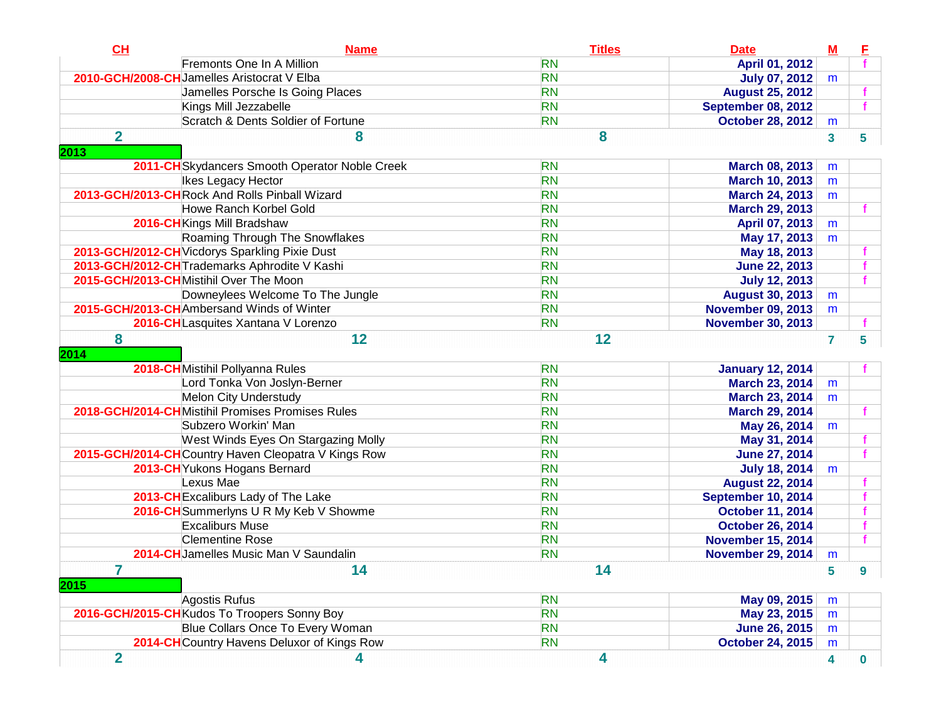| CL             | <b>Name</b>                                         | <b>Titles</b> | <b>Date</b>               | $M$                     | E                |
|----------------|-----------------------------------------------------|---------------|---------------------------|-------------------------|------------------|
|                | Fremonts One In A Million                           | <b>RN</b>     | April 01, 2012            |                         |                  |
|                | 2010-GCH/2008-CH Jamelles Aristocrat V Elba         | <b>RN</b>     | <b>July 07, 2012</b>      | m                       |                  |
|                | Jamelles Porsche Is Going Places                    | <b>RN</b>     | <b>August 25, 2012</b>    |                         |                  |
|                | Kings Mill Jezzabelle                               | <b>RN</b>     | <b>September 08, 2012</b> |                         | $\mathbf f$      |
|                | Scratch & Dents Soldier of Fortune                  | <b>RN</b>     | <b>October 28, 2012</b>   | m                       |                  |
| $\overline{2}$ | 8                                                   | 8             |                           | $\overline{\mathbf{3}}$ | 5                |
| 2013           |                                                     |               |                           |                         |                  |
|                | 2011-CH Skydancers Smooth Operator Noble Creek      | <b>RN</b>     | <b>March 08, 2013</b>     | m                       |                  |
|                | Ikes Legacy Hector                                  | <b>RN</b>     | <b>March 10, 2013</b>     | m                       |                  |
|                | 2013-GCH/2013-CHRock And Rolls Pinball Wizard       | <b>RN</b>     | <b>March 24, 2013</b>     | m                       |                  |
|                | Howe Ranch Korbel Gold                              | <b>RN</b>     | <b>March 29, 2013</b>     |                         |                  |
|                | 2016-CH Kings Mill Bradshaw                         | <b>RN</b>     | April 07, 2013            | m                       |                  |
|                | Roaming Through The Snowflakes                      | <b>RN</b>     | May 17, 2013              | m                       |                  |
|                | 2013-GCH/2012-CH Vicdorys Sparkling Pixie Dust      | <b>RN</b>     | May 18, 2013              |                         |                  |
|                | 2013-GCH/2012-CH Trademarks Aphrodite V Kashi       | <b>RN</b>     | <b>June 22, 2013</b>      |                         | f                |
|                | 2015-GCH/2013-CHMistihil Over The Moon              | <b>RN</b>     | <b>July 12, 2013</b>      |                         | f.               |
|                | Downeylees Welcome To The Jungle                    | <b>RN</b>     | <b>August 30, 2013</b>    | m                       |                  |
|                | 2015-GCH/2013-CHAmbersand Winds of Winter           | <b>RN</b>     | <b>November 09, 2013</b>  | m                       |                  |
|                | 2016-CH Lasquites Xantana V Lorenzo                 | <b>RN</b>     | <b>November 30, 2013</b>  |                         |                  |
| 8              | 12                                                  | 12            |                           | $\overline{7}$          | 5                |
| 2014           |                                                     |               |                           |                         |                  |
|                | 2018-CHMistihil Pollyanna Rules                     | <b>RN</b>     | <b>January 12, 2014</b>   |                         |                  |
|                | Lord Tonka Von Joslyn-Berner                        | <b>RN</b>     | <b>March 23, 2014</b>     | m                       |                  |
|                | <b>Melon City Understudy</b>                        | <b>RN</b>     | <b>March 23, 2014</b>     | m                       |                  |
|                | 2018-GCH/2014-CHMistihil Promises Promises Rules    | <b>RN</b>     | March 29, 2014            |                         |                  |
|                | Subzero Workin' Man                                 | <b>RN</b>     | May 26, 2014              | m                       |                  |
|                | West Winds Eyes On Stargazing Molly                 | <b>RN</b>     | May 31, 2014              |                         |                  |
|                | 2015-GCH/2014-CHCountry Haven Cleopatra V Kings Row | <b>RN</b>     | <b>June 27, 2014</b>      |                         |                  |
|                | 2013-CH Yukons Hogans Bernard                       | <b>RN</b>     | <b>July 18, 2014</b>      | m                       |                  |
|                | Lexus Mae                                           | <b>RN</b>     | <b>August 22, 2014</b>    |                         |                  |
|                | 2013-CH Excaliburs Lady of The Lake                 | <b>RN</b>     | September 10, 2014        |                         |                  |
|                | 2016-CH Summerlyns U R My Keb V Showme              | <b>RN</b>     | <b>October 11, 2014</b>   |                         |                  |
|                | <b>Excaliburs Muse</b>                              | <b>RN</b>     | <b>October 26, 2014</b>   |                         |                  |
|                | <b>Clementine Rose</b>                              | <b>RN</b>     | <b>November 15, 2014</b>  |                         | f                |
|                | 2014-CH Jamelles Music Man V Saundalin              | <b>RN</b>     | <b>November 29, 2014</b>  | m                       |                  |
| $\overline{7}$ | 14                                                  | 14            |                           | 5                       | $\boldsymbol{9}$ |
| 2015           |                                                     |               |                           |                         |                  |
|                | Agostis Rufus                                       | <b>RN</b>     | May 09, 2015              | m                       |                  |
|                | 2016-GCH/2015-CHKudos To Troopers Sonny Boy         | <b>RN</b>     | May 23, 2015              | m                       |                  |
|                | Blue Collars Once To Every Woman                    | <b>RN</b>     | <b>June 26, 2015</b>      | m                       |                  |
|                | 2014-CH Country Havens Deluxor of Kings Row         | <b>RN</b>     | <b>October 24, 2015</b>   | m                       |                  |
| $\overline{2}$ | 4                                                   | 4             |                           | 4                       | $\bf{0}$         |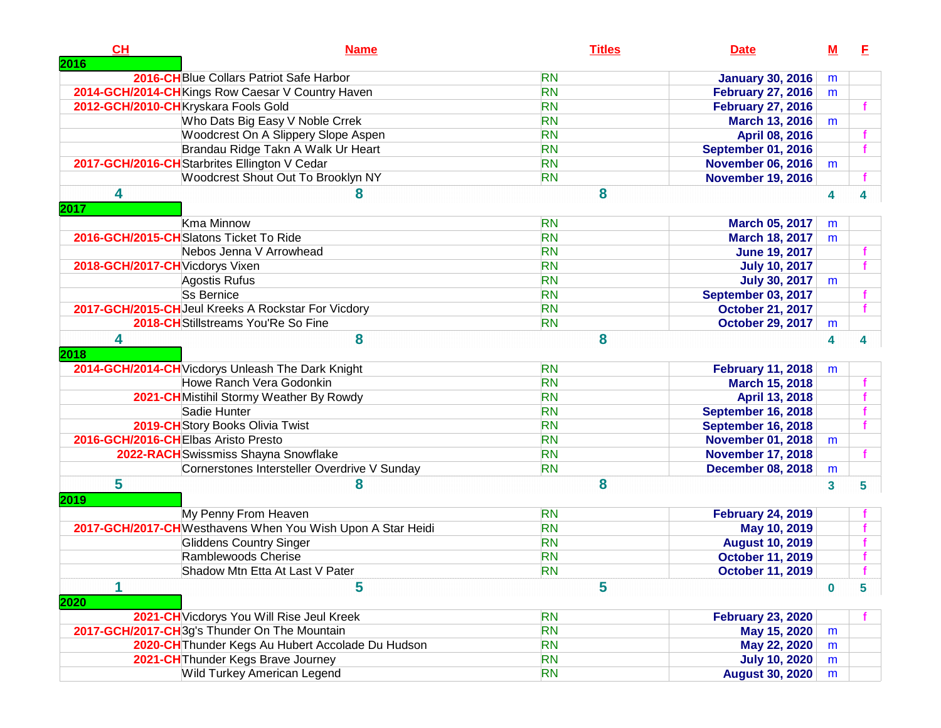| CH<br>2016                      | <b>Name</b>                                                | <b>Titles</b> | <b>Date</b>               | $\underline{\mathbf{M}}$ | E |
|---------------------------------|------------------------------------------------------------|---------------|---------------------------|--------------------------|---|
|                                 | 2016-CH Blue Collars Patriot Safe Harbor                   | <b>RN</b>     | <b>January 30, 2016</b>   | m                        |   |
|                                 | 2014-GCH/2014-CHKings Row Caesar V Country Haven           | <b>RN</b>     | <b>February 27, 2016</b>  | m                        |   |
|                                 | 2012-GCH/2010-CHKryskara Fools Gold                        | <b>RN</b>     | <b>February 27, 2016</b>  |                          |   |
|                                 | Who Dats Big Easy V Noble Crrek                            | <b>RN</b>     | March 13, 2016            | m                        |   |
|                                 | Woodcrest On A Slippery Slope Aspen                        | <b>RN</b>     | April 08, 2016            |                          |   |
|                                 | Brandau Ridge Takn A Walk Ur Heart                         | <b>RN</b>     | <b>September 01, 2016</b> |                          |   |
|                                 | 2017-GCH/2016-CH Starbrites Ellington V Cedar              | <b>RN</b>     | <b>November 06, 2016</b>  | m                        |   |
|                                 | Woodcrest Shout Out To Brooklyn NY                         | <b>RN</b>     | <b>November 19, 2016</b>  |                          |   |
| 4                               | 8                                                          | 8             |                           | 4                        | 4 |
| 2017                            |                                                            |               |                           |                          |   |
|                                 | Kma Minnow                                                 | <b>RN</b>     | <b>March 05, 2017</b>     | m                        |   |
|                                 | 2016-GCH/2015-CH Slatons Ticket To Ride                    | <b>RN</b>     | <b>March 18, 2017</b>     | m                        |   |
|                                 | Nebos Jenna V Arrowhead                                    | <b>RN</b>     | <b>June 19, 2017</b>      |                          |   |
| 2018-GCH/2017-CH Vicdorys Vixen |                                                            | <b>RN</b>     | <b>July 10, 2017</b>      |                          |   |
|                                 | Agostis Rufus                                              | <b>RN</b>     | <b>July 30, 2017</b>      | m                        |   |
|                                 | Ss Bernice                                                 | <b>RN</b>     | September 03, 2017        |                          |   |
|                                 | 2017-GCH/2015-CH Jeul Kreeks A Rockstar For Vicdory        | <b>RN</b>     | <b>October 21, 2017</b>   |                          |   |
|                                 | 2018-CH Stillstreams You'Re So Fine                        | <b>RN</b>     | <b>October 29, 2017</b>   | m                        |   |
| 4<br>2018                       | 8                                                          | 8             |                           | 4                        | 4 |
|                                 | 2014-GCH/2014-CH Vicdorys Unleash The Dark Knight          | <b>RN</b>     | <b>February 11, 2018</b>  | m                        |   |
|                                 | Howe Ranch Vera Godonkin                                   | <b>RN</b>     | <b>March 15, 2018</b>     |                          |   |
|                                 | 2021-CH Mistihil Stormy Weather By Rowdy                   | <b>RN</b>     | April 13, 2018            |                          |   |
|                                 | Sadie Hunter                                               | <b>RN</b>     | September 16, 2018        |                          |   |
|                                 | 2019-CH Story Books Olivia Twist                           | <b>RN</b>     | September 16, 2018        |                          |   |
|                                 | 2016-GCH/2016-CHElbas Aristo Presto                        | <b>RN</b>     | <b>November 01, 2018</b>  | m                        |   |
|                                 | 2022-RACH Swissmiss Shayna Snowflake                       | <b>RN</b>     | <b>November 17, 2018</b>  |                          |   |
|                                 | Cornerstones Intersteller Overdrive V Sunday               | <b>RN</b>     | <b>December 08, 2018</b>  | m                        |   |
| 5<br>2019                       | 8                                                          | 8             |                           | 3                        | 5 |
|                                 | My Penny From Heaven                                       | <b>RN</b>     | <b>February 24, 2019</b>  |                          |   |
|                                 | 2017-GCH/2017-CHWesthavens When You Wish Upon A Star Heidi | <b>RN</b>     | May 10, 2019              |                          |   |
|                                 | <b>Gliddens Country Singer</b>                             | <b>RN</b>     | <b>August 10, 2019</b>    |                          |   |
|                                 | Ramblewoods Cherise                                        | <b>RN</b>     | <b>October 11, 2019</b>   |                          |   |
|                                 | Shadow Mtn Etta At Last V Pater                            | <b>RN</b>     | <b>October 11, 2019</b>   |                          |   |
| 2020                            | 5                                                          | 5             |                           | $\bf{0}$                 | 5 |
|                                 | 2021-CH Vicdorys You Will Rise Jeul Kreek                  | <b>RN</b>     | <b>February 23, 2020</b>  |                          |   |
|                                 | 2017-GCH/2017-CH3g's Thunder On The Mountain               | <b>RN</b>     | May 15, 2020              | m                        |   |
|                                 | 2020-CH Thunder Kegs Au Hubert Accolade Du Hudson          | <b>RN</b>     | May 22, 2020              | m                        |   |
|                                 | 2021-CH Thunder Kegs Brave Journey                         | <b>RN</b>     | <b>July 10, 2020</b>      | m                        |   |
|                                 | Wild Turkey American Legend                                | <b>RN</b>     | <b>August 30, 2020</b>    | m                        |   |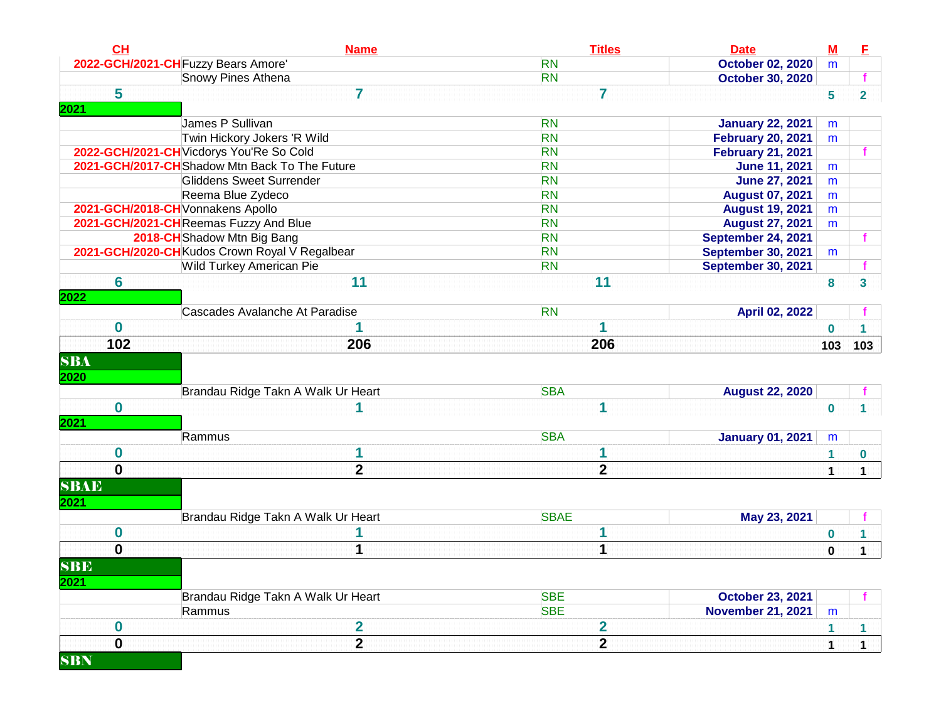| CL                                | <b>Name</b>                                    | <b>Titles</b>  | <b>Date</b>               | $M$            | E              |
|-----------------------------------|------------------------------------------------|----------------|---------------------------|----------------|----------------|
|                                   | 2022-GCH/2021-CH Fuzzy Bears Amore'            | <b>RN</b>      | <b>October 02, 2020</b>   | m              |                |
|                                   | <b>Snowy Pines Athena</b>                      | <b>RN</b>      | <b>October 30, 2020</b>   |                |                |
| 5                                 | 7                                              | $\overline{7}$ |                           | $5\phantom{a}$ | $\overline{2}$ |
| 2021                              |                                                |                |                           |                |                |
|                                   | James P Sullivan                               | <b>RN</b>      | <b>January 22, 2021</b>   | m              |                |
|                                   | Twin Hickory Jokers 'R Wild                    | <b>RN</b>      | <b>February 20, 2021</b>  | m              |                |
|                                   | 2022-GCH/2021-CH Vicdorys You'Re So Cold       | <b>RN</b>      | <b>February 21, 2021</b>  |                |                |
|                                   | 2021-GCH/2017-CHShadow Mtn Back To The Future  | <b>RN</b>      | <b>June 11, 2021</b>      | m              |                |
|                                   | Gliddens Sweet Surrender                       | <b>RN</b>      | <b>June 27, 2021</b>      | m              |                |
|                                   | Reema Blue Zydeco                              | <b>RN</b>      | <b>August 07, 2021</b>    | m              |                |
| 2021-GCH/2018-CH Vonnakens Apollo |                                                | <b>RN</b>      | <b>August 19, 2021</b>    | m              |                |
|                                   | 2021-GCH/2021-CH Reemas Fuzzy And Blue         | <b>RN</b>      | <b>August 27, 2021</b>    | m              |                |
|                                   | 2018-CH Shadow Mtn Big Bang                    | <b>RN</b>      | September 24, 2021        |                |                |
|                                   | 2021-GCH/2020-CH Kudos Crown Royal V Regalbear | <b>RN</b>      | <b>September 30, 2021</b> | m              |                |
|                                   | Wild Turkey American Pie                       | <b>RN</b>      | <b>September 30, 2021</b> |                |                |
| $6\phantom{1}6$                   | 11                                             | 11             |                           | $\bf{8}$       | $\overline{3}$ |
| 2022                              |                                                |                |                           |                |                |
|                                   | Cascades Avalanche At Paradise                 | <b>RN</b>      | April 02, 2022            |                |                |
| $\bf{0}$                          | 1                                              |                |                           | $\bf{0}$       |                |
| 102                               | 206                                            | 206            |                           | 103            | 103            |
| <b>SBA</b>                        |                                                |                |                           |                |                |
|                                   |                                                |                |                           |                |                |
| 2020                              |                                                |                |                           |                |                |
|                                   | Brandau Ridge Takn A Walk Ur Heart             | <b>SBA</b>     | <b>August 22, 2020</b>    |                |                |
| $\mathbf 0$                       | 1                                              | 1              |                           | $\mathbf{0}$   |                |
| 2021                              |                                                |                |                           |                |                |
|                                   | Rammus                                         | <b>SBA</b>     | <b>January 01, 2021</b>   | m              |                |
| $\bf{0}$                          | 1                                              | 1              |                           | $\mathbf{1}$   | 0              |
| $\mathbf{0}$                      | $\overline{2}$                                 | $\overline{2}$ |                           | $\mathbf 1$    | $\mathbf{1}$   |
| <b>SBAE</b>                       |                                                |                |                           |                |                |
| 2021                              |                                                |                |                           |                |                |
|                                   | Brandau Ridge Takn A Walk Ur Heart             | <b>SBAE</b>    | May 23, 2021              |                |                |
| $\mathbf 0$                       |                                                | 1              |                           | $\bf{0}$       | 1              |
| $\mathbf{0}$                      | 1                                              | 1              |                           |                |                |
|                                   |                                                |                |                           | $\mathbf{0}$   | $\mathbf 1$    |
| <b>SBE</b>                        |                                                |                |                           |                |                |
| 2021                              |                                                |                |                           |                |                |
|                                   | Brandau Ridge Takn A Walk Ur Heart             | <b>SBE</b>     | <b>October 23, 2021</b>   |                |                |
|                                   | Rammus                                         | <b>SBE</b>     | <b>November 21, 2021</b>  | m              |                |
| $\bf{0}$                          | 2                                              | $\mathbf{2}$   |                           | $\mathbf{1}$   | $\mathbf{1}$   |
| $\mathbf 0$                       | $\overline{\mathbf{2}}$                        | $\overline{2}$ |                           | $\mathbf{1}$   | $\mathbf{1}$   |
| <b>SBN</b>                        |                                                |                |                           |                |                |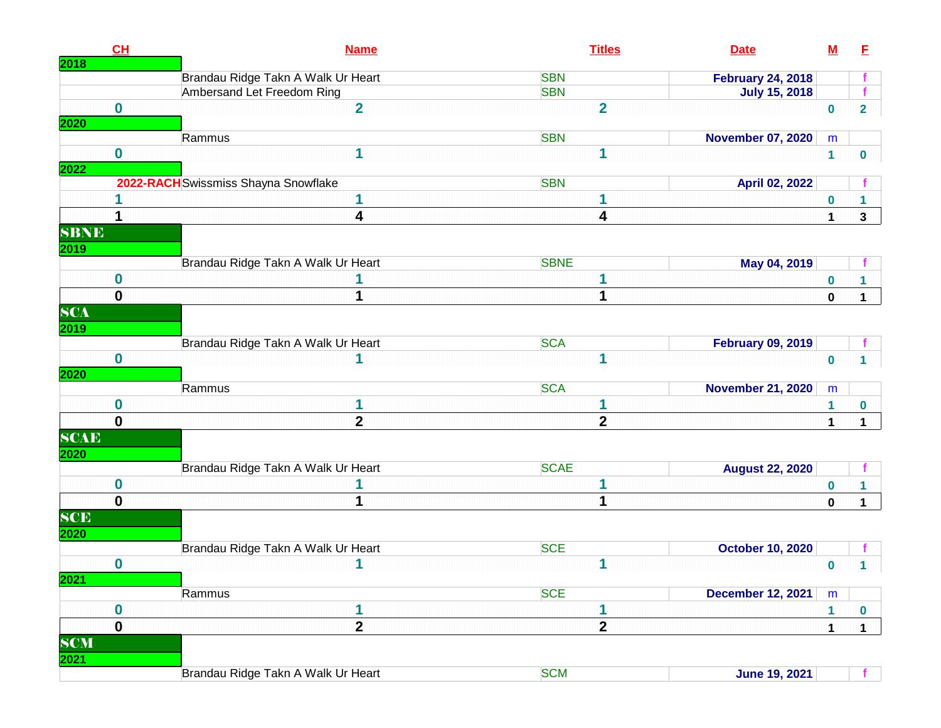|             | CL          |                                      | <b>Name</b>             |             | <b>Titles</b>           | <b>Date</b>              | <u>M</u>         | E                |
|-------------|-------------|--------------------------------------|-------------------------|-------------|-------------------------|--------------------------|------------------|------------------|
| 2018        |             | Brandau Ridge Takn A Walk Ur Heart   |                         | <b>SBN</b>  |                         | <b>February 24, 2018</b> |                  |                  |
|             |             | Ambersand Let Freedom Ring           |                         | <b>SBN</b>  |                         | <b>July 15, 2018</b>     |                  |                  |
|             | $\bf{0}$    |                                      | $\overline{2}$          |             | $\overline{2}$          |                          | $\mathbf 0$      | $\overline{2}$   |
| 2020        |             |                                      |                         |             |                         |                          |                  |                  |
|             |             | Rammus                               |                         | <b>SBN</b>  |                         | <b>November 07, 2020</b> | m                |                  |
|             | $\mathbf 0$ |                                      | 1                       |             | 1                       |                          | $\mathbf{1}$     | 0                |
| 2022        |             | 2022-RACH Swissmiss Shayna Snowflake |                         | <b>SBN</b>  |                         | April 02, 2022           |                  |                  |
|             |             |                                      | 1                       |             |                         |                          | $\boldsymbol{0}$ |                  |
|             | 1           |                                      | 4                       |             | 4                       |                          | $\mathbf{1}$     | $\mathbf{3}$     |
| <b>SBNE</b> |             |                                      |                         |             |                         |                          |                  |                  |
| 2019        |             |                                      |                         |             |                         |                          |                  |                  |
|             |             | Brandau Ridge Takn A Walk Ur Heart   |                         | <b>SBNE</b> |                         | May 04, 2019             |                  |                  |
|             | $\bf{0}$    |                                      |                         |             |                         |                          | $\bf{0}$         | $\mathbf{1}$     |
|             | $\mathbf 0$ |                                      | 1                       |             | 1                       |                          | $\pmb{0}$        | $\mathbf{1}$     |
| <b>SCA</b>  |             |                                      |                         |             |                         |                          |                  |                  |
| 2019        |             |                                      |                         |             |                         |                          |                  |                  |
|             |             | Brandau Ridge Takn A Walk Ur Heart   |                         | <b>SCA</b>  |                         | <b>February 09, 2019</b> |                  |                  |
|             | $\bf{0}$    |                                      |                         |             | 1                       |                          | $\bf{0}$         |                  |
| <b>2020</b> |             | Rammus                               |                         | <b>SCA</b>  |                         | <b>November 21, 2020</b> | m                |                  |
|             | $\bf{0}$    |                                      | 1                       |             | 1                       |                          | 1                |                  |
|             | $\bf{0}$    |                                      | $\mathbf{2}$            |             | $\mathbf{2}$            |                          | $\mathbf{1}$     | 0<br>$\mathbf 1$ |
| <b>SCAE</b> |             |                                      |                         |             |                         |                          |                  |                  |
| 2020        |             |                                      |                         |             |                         |                          |                  |                  |
|             |             | Brandau Ridge Takn A Walk Ur Heart   |                         | <b>SCAE</b> |                         | <b>August 22, 2020</b>   |                  |                  |
|             | $\bf{0}$    |                                      |                         |             |                         |                          | $\bf{0}$         |                  |
|             | $\mathbf 0$ |                                      | 1                       |             | 1                       |                          | $\pmb{0}$        | $\mathbf{1}$     |
| SCE         |             |                                      |                         |             |                         |                          |                  |                  |
| 2020        |             |                                      |                         |             |                         |                          |                  |                  |
|             |             | Brandau Ridge Takn A Walk Ur Heart   |                         | <b>SCE</b>  |                         | <b>October 10, 2020</b>  |                  |                  |
|             | $\bf{0}$    |                                      | 1                       |             | 1                       |                          | $\pmb{0}$        | 1                |
| 2021        |             | Rammus                               |                         | <b>SCE</b>  |                         | <b>December 12, 2021</b> | m                |                  |
|             | $\mathbf 0$ |                                      | 1                       |             | 1                       |                          | $\mathbf{1}$     | $\bf{0}$         |
|             | $\mathbf 0$ |                                      | $\overline{\mathbf{2}}$ |             | $\overline{\mathbf{2}}$ |                          | 1                | $\mathbf 1$      |
| <b>SCM</b>  |             |                                      |                         |             |                         |                          |                  |                  |
| <b>2021</b> |             |                                      |                         |             |                         |                          |                  |                  |
|             |             | Brandau Ridge Takn A Walk Ur Heart   |                         | <b>SCM</b>  |                         | <b>June 19, 2021</b>     |                  |                  |
|             |             |                                      |                         |             |                         |                          |                  |                  |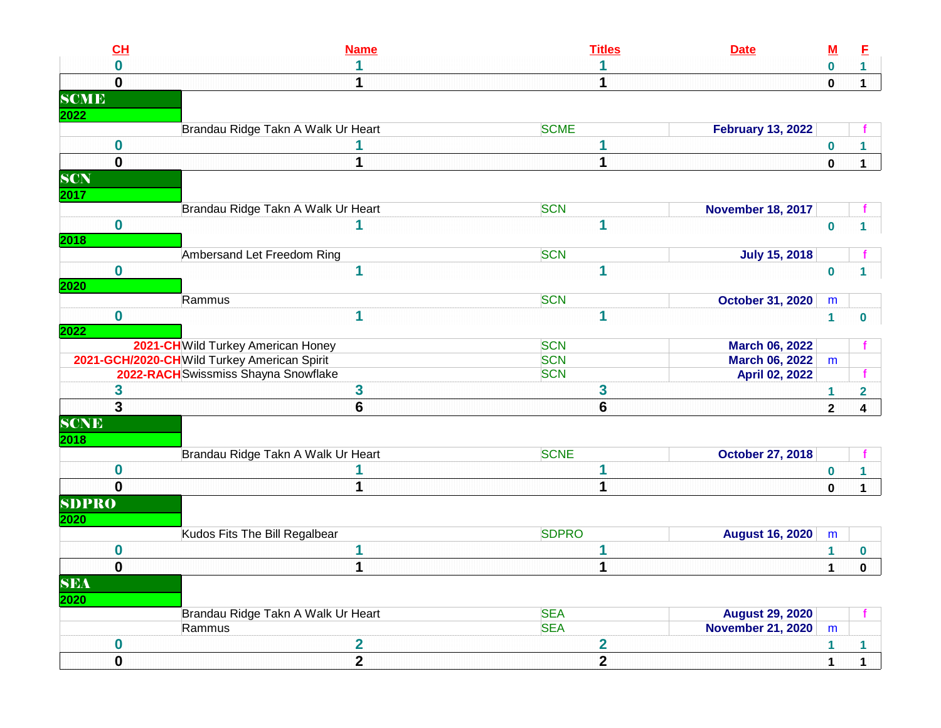|              | CL               | <b>Name</b>                                 | <b>Titles</b>           | <b>Date</b>              | <u>M</u>     | E            |
|--------------|------------------|---------------------------------------------|-------------------------|--------------------------|--------------|--------------|
|              | 0                |                                             |                         |                          | $\bf{0}$     | $\mathbf{1}$ |
|              | $\mathbf{0}$     |                                             |                         |                          | $\mathbf 0$  | $\mathbf 1$  |
| <b>SCME</b>  |                  |                                             |                         |                          |              |              |
| 2022         |                  |                                             |                         |                          |              |              |
|              |                  | Brandau Ridge Takn A Walk Ur Heart          | <b>SCME</b>             | <b>February 13, 2022</b> |              |              |
|              | $\bf{0}$         |                                             |                         |                          | $\bf{0}$     |              |
|              | $\mathbf 0$      |                                             | 1                       |                          | $\mathbf 0$  | $\mathbf{1}$ |
| <b>SCN</b>   |                  |                                             |                         |                          |              |              |
| 2017         |                  |                                             |                         |                          |              |              |
|              |                  | Brandau Ridge Takn A Walk Ur Heart          | <b>SCN</b>              | <b>November 18, 2017</b> |              |              |
|              | $\mathbf 0$      |                                             | 1                       |                          | $\bf{0}$     |              |
| 2018         |                  |                                             |                         |                          |              |              |
|              |                  | Ambersand Let Freedom Ring                  | <b>SCN</b>              | <b>July 15, 2018</b>     |              |              |
|              | $\bf{0}$         | 1                                           | 1                       |                          | $\bf{0}$     |              |
| 2020         |                  |                                             |                         |                          |              |              |
|              |                  | Rammus                                      | <b>SCN</b>              | <b>October 31, 2020</b>  | m            |              |
|              | $\bf{0}$         |                                             | 1                       |                          | $\mathbf{1}$ | 0            |
| 2022         |                  |                                             |                         |                          |              |              |
|              |                  | 2021-CHWild Turkey American Honey           | <b>SCN</b>              | <b>March 06, 2022</b>    |              |              |
|              |                  | 2021-GCH/2020-CHWild Turkey American Spirit | <b>SCN</b>              | <b>March 06, 2022</b>    | m            |              |
|              |                  | 2022-RACH Swissmiss Shayna Snowflake        | <b>SCN</b>              | April 02, 2022           |              |              |
|              | 3                | 3                                           | 3                       |                          | 1            | 2            |
|              | 3                | 6                                           | $6\phantom{1}$          |                          | $\mathbf{2}$ | 4            |
| <b>SCNE</b>  |                  |                                             |                         |                          |              |              |
| 2018         |                  |                                             |                         |                          |              |              |
|              |                  | Brandau Ridge Takn A Walk Ur Heart          | <b>SCNE</b>             | <b>October 27, 2018</b>  |              |              |
|              | 0                |                                             |                         |                          | $\bf{0}$     |              |
|              | 0                |                                             |                         |                          | $\pmb{0}$    | $\mathbf 1$  |
| <b>SDPRO</b> |                  |                                             |                         |                          |              |              |
| 2020         |                  |                                             |                         |                          |              |              |
|              |                  | Kudos Fits The Bill Regalbear               | <b>SDPRO</b>            | <b>August 16, 2020</b>   | m            |              |
|              | 0                |                                             |                         |                          | 1            | 0            |
|              | $\mathbf 0$      | 1                                           | 1                       |                          | 1            | $\pmb{0}$    |
| <b>SEA</b>   |                  |                                             |                         |                          |              |              |
| 2020         |                  |                                             |                         |                          |              |              |
|              |                  | Brandau Ridge Takn A Walk Ur Heart          | <b>SEA</b>              | <b>August 29, 2020</b>   |              |              |
|              |                  | Rammus                                      | <b>SEA</b>              | <b>November 21, 2020</b> | m            |              |
|              | $\boldsymbol{0}$ | $\overline{\mathbf{2}}$                     | $\overline{\mathbf{2}}$ |                          | 1            | $\mathbf{1}$ |
|              | $\mathbf 0$      | $\overline{2}$                              | $\overline{2}$          |                          |              |              |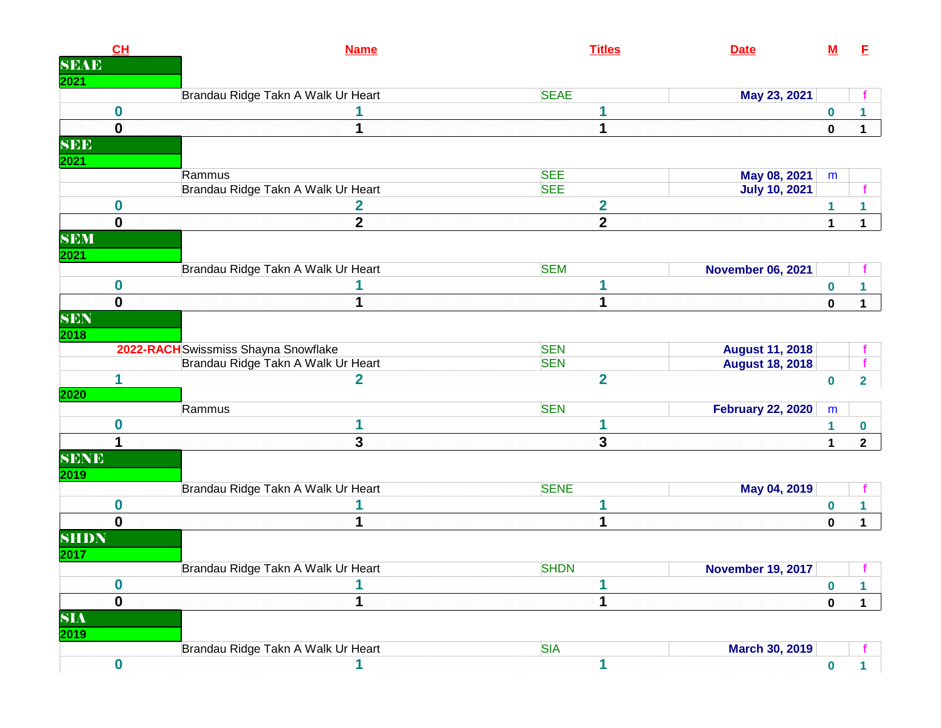|             | CL               | <b>Name</b>                          | <b>Titles</b>           | <b>Date</b>              | <u>M</u>         | E                       |
|-------------|------------------|--------------------------------------|-------------------------|--------------------------|------------------|-------------------------|
| <b>SEAE</b> |                  |                                      |                         |                          |                  |                         |
| 2021        |                  |                                      |                         |                          |                  |                         |
|             |                  | Brandau Ridge Takn A Walk Ur Heart   | <b>SEAE</b>             | May 23, 2021             |                  |                         |
|             | $\boldsymbol{0}$ |                                      | 1                       |                          | $\boldsymbol{0}$ |                         |
|             | $\mathbf 0$      | 1                                    | 1                       |                          | 0                | $\mathbf 1$             |
| <b>SEE</b>  |                  |                                      |                         |                          |                  |                         |
| <b>2021</b> |                  |                                      |                         |                          |                  |                         |
|             |                  | Rammus                               | <b>SEE</b>              | May 08, 2021             | ${\sf m}$        |                         |
|             |                  | Brandau Ridge Takn A Walk Ur Heart   | <b>SEE</b>              | <b>July 10, 2021</b>     |                  | f                       |
|             | $\boldsymbol{0}$ | 2                                    | $\overline{\mathbf{2}}$ |                          | 1                | 1.                      |
|             | $\mathbf 0$      | $\mathbf{2}$                         | $\mathbf{2}$            |                          | 1                | $\mathbf 1$             |
| <b>SEM</b>  |                  |                                      |                         |                          |                  |                         |
| 2021        |                  |                                      |                         |                          |                  |                         |
|             |                  | Brandau Ridge Takn A Walk Ur Heart   | <b>SEM</b>              | <b>November 06, 2021</b> |                  |                         |
|             | $\bf{0}$         |                                      | 1                       |                          | $\bf{0}$         | 1                       |
|             | $\mathbf 0$      | 1                                    | 1                       |                          | $\mathbf 0$      | $\mathbf 1$             |
| SEN         |                  |                                      |                         |                          |                  |                         |
| 2018        |                  |                                      |                         |                          |                  |                         |
|             |                  | 2022-RACH Swissmiss Shayna Snowflake | <b>SEN</b>              | <b>August 11, 2018</b>   |                  |                         |
|             |                  | Brandau Ridge Takn A Walk Ur Heart   | <b>SEN</b>              | <b>August 18, 2018</b>   |                  |                         |
|             | 1                | $\overline{\mathbf{2}}$              | $\overline{2}$          |                          | $\bf{0}$         | $\overline{\mathbf{2}}$ |
| 2020        |                  |                                      |                         |                          |                  |                         |
|             |                  | Rammus                               | <b>SEN</b>              | <b>February 22, 2020</b> | ${\sf m}$        |                         |
|             | $\bf{0}$         | 1                                    | 1                       |                          | 1                | $\bf{0}$                |
|             |                  | 3                                    | 3                       |                          | $\mathbf 1$      | $\mathbf{2}$            |
| <b>SENE</b> |                  |                                      |                         |                          |                  |                         |
| 2019        |                  |                                      |                         |                          |                  |                         |
|             |                  | Brandau Ridge Takn A Walk Ur Heart   | <b>SENE</b>             | May 04, 2019             |                  |                         |
|             | $\boldsymbol{0}$ |                                      | 1                       |                          | 0                | 1.                      |
|             | $\mathbf 0$      | 1                                    | 1                       |                          | $\bf{0}$         | $\mathbf 1$             |
| <b>SHDN</b> |                  |                                      |                         |                          |                  |                         |
| 2017        |                  |                                      |                         |                          |                  |                         |
|             |                  | Brandau Ridge Takn A Walk Ur Heart   | <b>SHDN</b>             | <b>November 19, 2017</b> |                  |                         |
|             | $\boldsymbol{0}$ | 1                                    | 1                       |                          | $\boldsymbol{0}$ | 1                       |
|             | $\bf{0}$         | 1                                    | 1                       |                          | $\pmb{0}$        | $\mathbf 1$             |
| <b>SIA</b>  |                  |                                      |                         |                          |                  |                         |
| <b>2019</b> |                  |                                      |                         |                          |                  |                         |
|             |                  | Brandau Ridge Takn A Walk Ur Heart   | <b>SIA</b>              | <b>March 30, 2019</b>    |                  |                         |
|             | $\boldsymbol{0}$ | 1                                    | 1                       |                          | $\mathbf 0$      | $\mathbf{1}$            |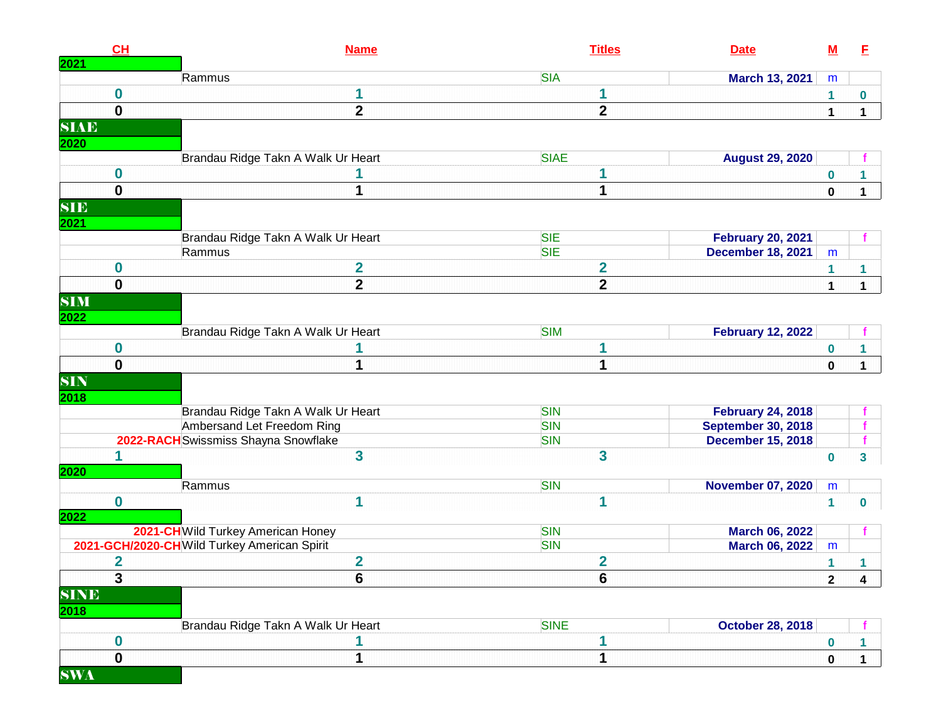| 2021        | CH               | <b>Name</b>                                 | <b>Titles</b>            | <b>Date</b>               | $\underline{\mathsf{M}}$ | E                       |
|-------------|------------------|---------------------------------------------|--------------------------|---------------------------|--------------------------|-------------------------|
|             |                  | Rammus                                      | <b>SIA</b>               | March 13, 2021            | m                        |                         |
|             | 0                |                                             | 1                        |                           | 1                        | $\bf{0}$                |
|             | $\mathbf{0}$     | $\overline{2}$                              | $\overline{2}$           |                           | $\mathbf{1}$             | $\mathbf 1$             |
| <b>SIAE</b> |                  |                                             |                          |                           |                          |                         |
| 2020        |                  |                                             |                          |                           |                          |                         |
|             |                  | Brandau Ridge Takn A Walk Ur Heart          | <b>SIAE</b>              | <b>August 29, 2020</b>    |                          |                         |
|             | $\bf{0}$         |                                             | 1                        |                           | $\boldsymbol{0}$         |                         |
|             | $\mathbf 0$      | 1                                           | 1                        |                           | $\mathbf 0$              | $\mathbf{1}$            |
| <b>SIE</b>  |                  |                                             |                          |                           |                          |                         |
| 2021        |                  |                                             |                          |                           |                          |                         |
|             |                  | Brandau Ridge Takn A Walk Ur Heart          | <b>SIE</b>               | <b>February 20, 2021</b>  |                          |                         |
|             |                  | Rammus                                      | <b>SIE</b>               | <b>December 18, 2021</b>  | m                        |                         |
|             | 0                | $\overline{\mathbf{2}}$                     | $\overline{2}$           |                           | 1                        | 1                       |
|             | $\mathbf 0$      | $\overline{2}$                              | $\mathbf{2}$             |                           | $\mathbf{1}$             | $\mathbf 1$             |
| <b>SIM</b>  |                  |                                             |                          |                           |                          |                         |
| 2022        |                  |                                             |                          |                           |                          |                         |
|             |                  | Brandau Ridge Takn A Walk Ur Heart          | <b>SIM</b>               | <b>February 12, 2022</b>  |                          |                         |
|             | $\bf{0}$         |                                             | 1                        |                           | $\pmb{0}$                |                         |
|             | $\mathbf 0$      |                                             | 1                        |                           | $\pmb{0}$                | $\mathbf 1$             |
| <b>SIN</b>  |                  |                                             |                          |                           |                          |                         |
| 2018        |                  |                                             |                          |                           |                          |                         |
|             |                  | Brandau Ridge Takn A Walk Ur Heart          | <b>SIN</b>               | <b>February 24, 2018</b>  |                          |                         |
|             |                  | Ambersand Let Freedom Ring                  | <b>SIN</b>               | <b>September 30, 2018</b> |                          |                         |
|             |                  | 2022-RACH Swissmiss Shayna Snowflake        | <b>SIN</b>               | <b>December 15, 2018</b>  |                          |                         |
|             | 1                | 3                                           | $\overline{\mathbf{3}}$  |                           | $\bf{0}$                 | 3                       |
| 2020        |                  |                                             |                          |                           |                          |                         |
|             |                  | Rammus                                      | <b>SIN</b>               | <b>November 07, 2020</b>  | m                        |                         |
|             | $\bf{0}$         | 1                                           | 1                        |                           | $\mathbf{1}$             | $\mathbf 0$             |
| 2022        |                  |                                             |                          |                           |                          |                         |
|             |                  | 2021-CH Wild Turkey American Honey          | <b>SIN</b><br><b>SIN</b> | <b>March 06, 2022</b>     |                          |                         |
|             |                  | 2021-GCH/2020-CHWild Turkey American Spirit |                          | <b>March 06, 2022</b>     | m                        |                         |
|             | 2                | $\overline{\mathbf{2}}$<br>$\overline{ }$   | $\overline{\mathbf{2}}$  |                           | 1                        |                         |
|             | $\mathbf{3}$     | O                                           | 6                        |                           | $\mathbf{2}$             | $\overline{\mathbf{4}}$ |
| <b>SINE</b> |                  |                                             |                          |                           |                          |                         |
| 2018        |                  |                                             |                          |                           |                          |                         |
|             |                  | Brandau Ridge Takn A Walk Ur Heart          | <b>SINE</b>              | <b>October 28, 2018</b>   |                          |                         |
|             | $\boldsymbol{0}$ | 1                                           | 1                        |                           | $\boldsymbol{0}$         | 1                       |
|             | $\mathbf 0$      | 1                                           | 1                        |                           | $\bf{0}$                 | $\mathbf 1$             |
| <b>SWA</b>  |                  |                                             |                          |                           |                          |                         |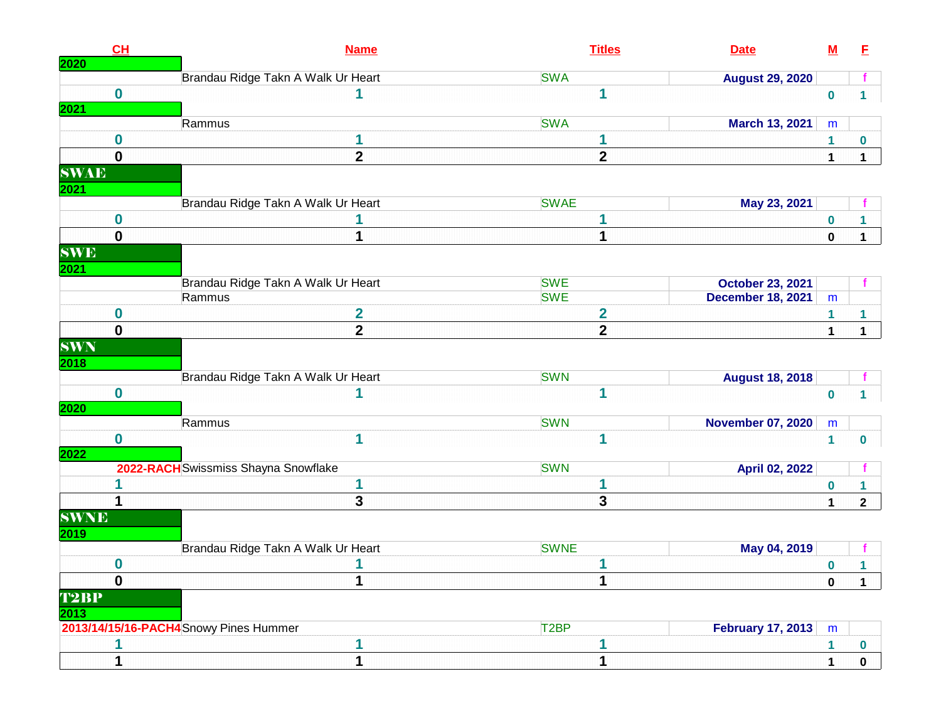|                                   | CH               | <b>Name</b>                            | <b>Titles</b>           | <b>Date</b>              | $\underline{\mathsf{M}}$ | E            |
|-----------------------------------|------------------|----------------------------------------|-------------------------|--------------------------|--------------------------|--------------|
| 2020                              |                  | Brandau Ridge Takn A Walk Ur Heart     | <b>SWA</b>              | <b>August 29, 2020</b>   |                          |              |
| 2021                              | $\bf{0}$         |                                        | 1                       |                          | $\bf{0}$                 | 1.           |
|                                   |                  | Rammus                                 | <b>SWA</b>              | <b>March 13, 2021</b>    | m                        |              |
|                                   | 0                | 1                                      | 1                       |                          | 1                        | 0            |
|                                   | $\mathbf 0$      | $\overline{\mathbf{2}}$                | $\mathbf{2}$            |                          | $\mathbf{1}$             | $\mathbf 1$  |
| <b>SWAE</b>                       |                  |                                        |                         |                          |                          |              |
| 2021                              |                  |                                        |                         |                          |                          |              |
|                                   |                  | Brandau Ridge Takn A Walk Ur Heart     | <b>SWAE</b>             | May 23, 2021             |                          |              |
|                                   | $\boldsymbol{0}$ |                                        | 1                       |                          | 0                        | 1            |
|                                   | $\mathbf 0$      | 1                                      | 1                       |                          | $\mathbf 0$              | $\mathbf{1}$ |
| <b>SWE</b><br>2021                |                  |                                        |                         |                          |                          |              |
|                                   |                  | Brandau Ridge Takn A Walk Ur Heart     | <b>SWE</b>              | <b>October 23, 2021</b>  |                          |              |
|                                   |                  | Rammus                                 | <b>SWE</b>              | <b>December 18, 2021</b> | m                        |              |
|                                   | 0                | $\overline{\mathbf{2}}$                | $\overline{\mathbf{2}}$ |                          | 1                        | 1            |
|                                   | $\mathbf 0$      | $\overline{2}$                         | $\overline{2}$          |                          | $\mathbf{1}$             | $\mathbf{1}$ |
| $\overline{\textbf{SWN}}$<br>2018 |                  |                                        |                         |                          |                          |              |
|                                   |                  | Brandau Ridge Takn A Walk Ur Heart     | <b>SWN</b>              | <b>August 18, 2018</b>   |                          |              |
| 2020                              | $\bf{0}$         | 1                                      | 1                       |                          | $\bf{0}$                 | 1.           |
|                                   |                  | Rammus                                 | <b>SWN</b>              | <b>November 07, 2020</b> | m                        |              |
| 2022                              | $\boldsymbol{0}$ | 1                                      | 1                       |                          | $\mathbf{1}$             | 0            |
|                                   |                  | 2022-RACH Swissmiss Shayna Snowflake   | <b>SWN</b>              | <b>April 02, 2022</b>    |                          |              |
|                                   |                  | 1                                      | 1                       |                          | 0                        |              |
|                                   |                  | 3                                      | 3                       |                          | $\mathbf{1}$             | $\mathbf{2}$ |
| <b>SWNE</b><br>2019               |                  |                                        |                         |                          |                          |              |
|                                   |                  | Brandau Ridge Takn A Walk Ur Heart     | <b>SWNE</b>             | May 04, 2019             |                          |              |
|                                   | $\bf{0}$         | 1                                      | 1                       |                          | 0                        | 1            |
|                                   | $\bf{0}$         | 1                                      | 1                       |                          | $\pmb{0}$                | $\mathbf 1$  |
| T2BP<br>2013                      |                  |                                        |                         |                          |                          |              |
|                                   |                  | 2013/14/15/16-PACH4 Snowy Pines Hummer | T <sub>2</sub> BP       | <b>February 17, 2013</b> | m                        |              |
|                                   |                  | 1                                      |                         |                          | 1                        | 0            |
|                                   |                  | 1                                      | 1                       |                          |                          | $\mathbf{0}$ |
|                                   |                  |                                        |                         |                          |                          |              |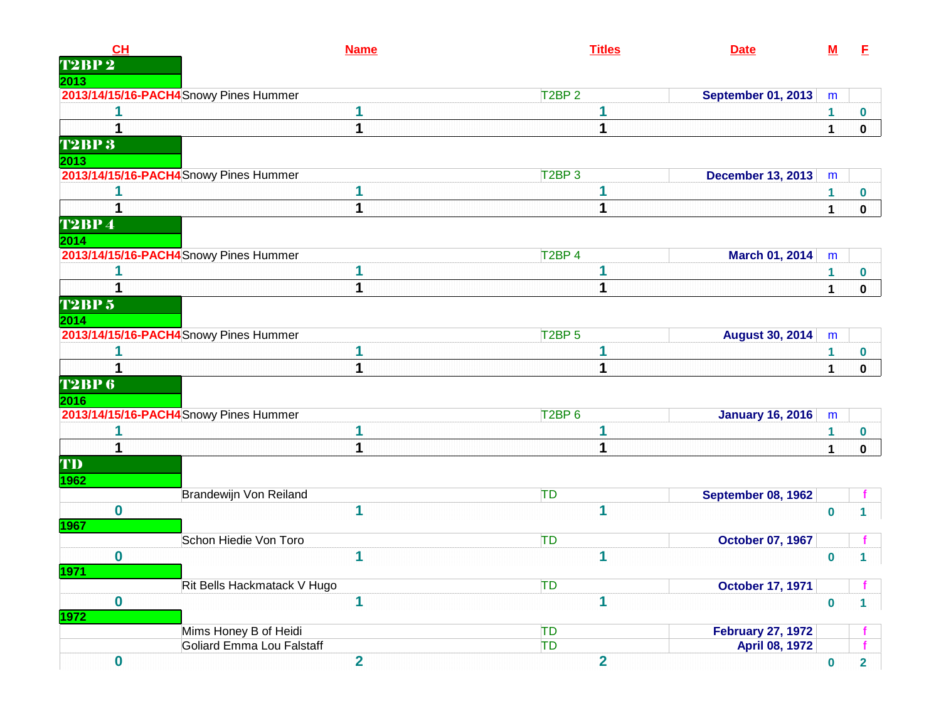| CH                       |                                        | <b>Name</b>             |                                | <b>Titles</b>           | <b>Date</b>               | $\underline{\mathsf{M}}$ | E              |
|--------------------------|----------------------------------------|-------------------------|--------------------------------|-------------------------|---------------------------|--------------------------|----------------|
| <b>T2BP</b> <sub>2</sub> |                                        |                         |                                |                         |                           |                          |                |
| 2013                     |                                        |                         |                                |                         |                           |                          |                |
|                          | 2013/14/15/16-PACH4 Snowy Pines Hummer |                         | T <sub>2</sub> BP <sub>2</sub> |                         | <b>September 01, 2013</b> | m                        |                |
|                          |                                        |                         |                                |                         |                           | 1                        | 0              |
| 1                        |                                        | 1                       |                                | 1                       |                           | $\overline{1}$           | $\mathbf 0$    |
| <b>T2BP3</b><br>2013     |                                        |                         |                                |                         |                           |                          |                |
|                          | 2013/14/15/16-PACH4 Snowy Pines Hummer |                         | T <sub>2</sub> BP <sub>3</sub> |                         | <b>December 13, 2013</b>  | m                        |                |
|                          |                                        |                         |                                |                         |                           | 1                        | 0              |
| 1                        |                                        | 1                       |                                | 1                       |                           | $\mathbf 1$              |                |
| <b>T2BP4</b><br>2014     |                                        |                         |                                |                         |                           |                          | $\mathbf 0$    |
|                          | 2013/14/15/16-PACH4 Snowy Pines Hummer |                         | T <sub>2</sub> BP <sub>4</sub> |                         | March 01, 2014            | m                        |                |
| 1                        |                                        |                         |                                | 1                       |                           | 1                        | 0              |
| 1                        |                                        | 1                       |                                | 1                       |                           | 1                        | $\mathbf 0$    |
| <b>T2BP 5</b><br>2014    |                                        |                         |                                |                         |                           |                          |                |
|                          | 2013/14/15/16-PACH4 Snowy Pines Hummer |                         | T <sub>2</sub> BP <sub>5</sub> |                         | <b>August 30, 2014</b>    | m                        |                |
|                          |                                        | 1                       |                                | 1                       |                           | 1                        | 0              |
|                          |                                        |                         |                                | 1                       |                           | 1                        | $\mathbf 0$    |
| <b>T2BP6</b><br>2016     |                                        |                         |                                |                         |                           |                          |                |
|                          | 2013/14/15/16-PACH4 Snowy Pines Hummer |                         | T2BP <sub>6</sub>              |                         | <b>January 16, 2016</b>   | m                        |                |
|                          |                                        |                         |                                |                         |                           | 1                        | 0              |
| 1                        |                                        | 1                       |                                | 1                       |                           | $\mathbf 1$              | $\mathbf 0$    |
| TD<br>1962               |                                        |                         |                                |                         |                           |                          |                |
|                          | Brandewijn Von Reiland                 |                         | TD                             |                         | September 08, 1962        |                          |                |
| $\bf{0}$<br>1967         |                                        | 1                       |                                | 1                       |                           | $\bf{0}$                 | $\mathbf 1$    |
|                          | Schon Hiedie Von Toro                  |                         | <b>TD</b>                      |                         | <b>October 07, 1967</b>   |                          |                |
| 0<br><mark>1971</mark>   |                                        | 1                       |                                | 1                       |                           | $\bf{0}$                 | $\mathbf 1$    |
|                          | Rit Bells Hackmatack V Hugo            |                         | TD                             |                         | <b>October 17, 1971</b>   |                          |                |
| $\mathbf 0$<br>1972      |                                        | 1                       |                                | 1                       |                           | $\bf{0}$                 | $\mathbf 1$    |
|                          | Mims Honey B of Heidi                  |                         | TD                             |                         | <b>February 27, 1972</b>  |                          |                |
|                          | <b>Goliard Emma Lou Falstaff</b>       |                         | TD                             |                         | <b>April 08, 1972</b>     |                          |                |
| $\mathbf 0$              |                                        | $\overline{\mathbf{2}}$ |                                | $\overline{\mathbf{2}}$ |                           | $\mathbf 0$              | $\overline{2}$ |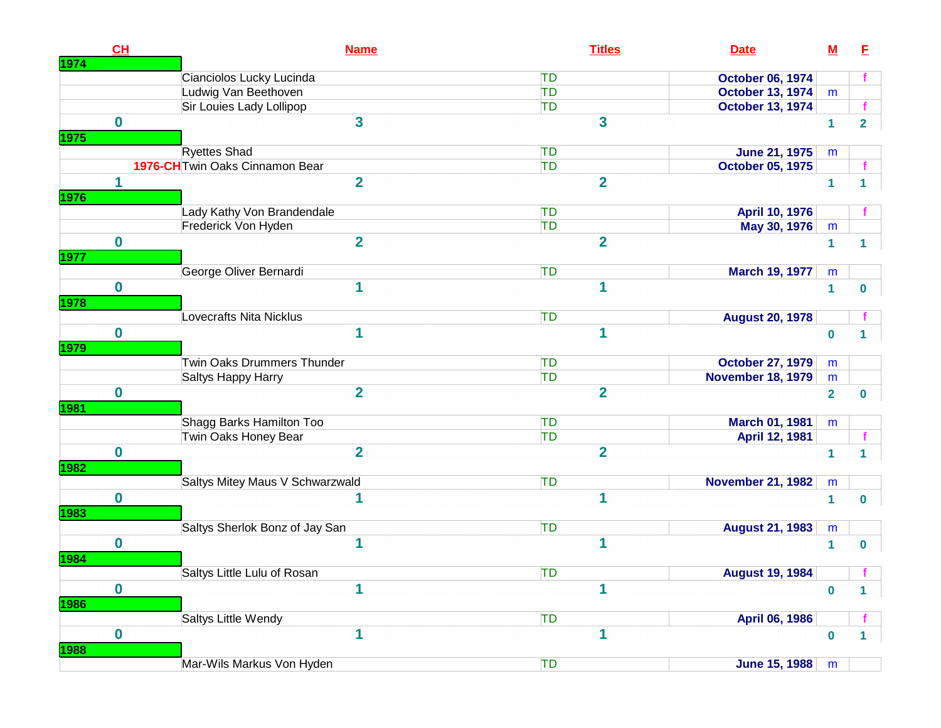| CH                         | <b>Name</b>                     | <b>Titles</b>          | <b>Date</b>                                         | $\underline{\mathsf{M}}$     | E                       |
|----------------------------|---------------------------------|------------------------|-----------------------------------------------------|------------------------------|-------------------------|
| 1974                       | Cianciolos Lucky Lucinda        | <b>TD</b>              | <b>October 06, 1974</b>                             |                              |                         |
|                            | Ludwig Van Beethoven            | TD                     | <b>October 13, 1974</b>                             | m                            |                         |
|                            | Sir Louies Lady Lollipop        | <b>TD</b>              | <b>October 13, 1974</b>                             |                              |                         |
| $\mathbf 0$<br>1975        | 3                               | 3                      |                                                     | 1                            | $\overline{\mathbf{2}}$ |
|                            | <b>Ryettes Shad</b>             | TD                     | <b>June 21, 1975</b>                                | m                            |                         |
|                            | 1976-CH Twin Oaks Cinnamon Bear | TD                     | <b>October 05, 1975</b>                             |                              |                         |
| 1<br>1976                  | $\overline{2}$                  | $\overline{2}$         |                                                     | $\mathbf{1}$                 | 1                       |
|                            | Lady Kathy Von Brandendale      | <b>TD</b>              | April 10, 1976                                      |                              |                         |
|                            | Frederick Von Hyden             | TD                     | May 30, 1976                                        | m                            |                         |
| $\mathbf 0$                | $\overline{\mathbf{2}}$         | $\overline{2}$         |                                                     | $\mathbf{1}$                 | 1                       |
| 1977                       |                                 |                        |                                                     |                              |                         |
|                            | George Oliver Bernardi          | <b>TD</b>              | <b>March 19, 1977</b>                               | m                            |                         |
| $\mathbf 0$<br><b>1978</b> | 1                               | 1                      |                                                     | $\mathbf{1}$                 | 0                       |
|                            | <b>Lovecrafts Nita Nicklus</b>  | TD                     | <b>August 20, 1978</b>                              |                              |                         |
| $\mathbf 0$                | 1                               | 1                      |                                                     | $\bf{0}$                     | 1                       |
| 1979                       | Twin Oaks Drummers Thunder      |                        |                                                     |                              |                         |
|                            | Saltys Happy Harry              | <b>TD</b><br><b>TD</b> | <b>October 27, 1979</b><br><b>November 18, 1979</b> | m                            |                         |
| $\mathbf 0$                | $\overline{2}$                  | $\overline{2}$         |                                                     | m<br>$\overline{\mathbf{2}}$ | $\bf{0}$                |
| 1981                       |                                 |                        |                                                     |                              |                         |
|                            | Shagg Barks Hamilton Too        | TD                     | March 01, 1981                                      | m                            |                         |
|                            | Twin Oaks Honey Bear            | <b>TD</b>              | April 12, 1981                                      |                              |                         |
| $\mathbf 0$<br>1982        | $\overline{2}$                  | $\overline{2}$         |                                                     | 1                            | 1                       |
|                            | Saltys Mitey Maus V Schwarzwald | TD                     | <b>November 21, 1982</b>                            | m                            |                         |
| $\mathbf 0$<br>1983        |                                 | 1                      |                                                     | 1                            | $\bf{0}$                |
|                            | Saltys Sherlok Bonz of Jay San  | <b>TD</b>              | <b>August 21, 1983</b>                              | m                            |                         |
| $\bf{0}$<br>1984           | 1                               | 1                      |                                                     | 1                            | $\bf{0}$                |
|                            | Saltys Little Lulu of Rosan     | TD                     | <b>August 19, 1984</b>                              |                              |                         |
| $\bf{0}$<br>1986           | 1                               | 1                      |                                                     | $\bf{0}$                     | 1                       |
|                            | Saltys Little Wendy             | <b>TD</b>              | April 06, 1986                                      |                              |                         |
| $\bf{0}$                   | 1                               | 1                      |                                                     | $\pmb{0}$                    | 1                       |
| <b>1988</b>                | Mar-Wils Markus Von Hyden       | TD                     | <b>June 15, 1988</b>                                | m                            |                         |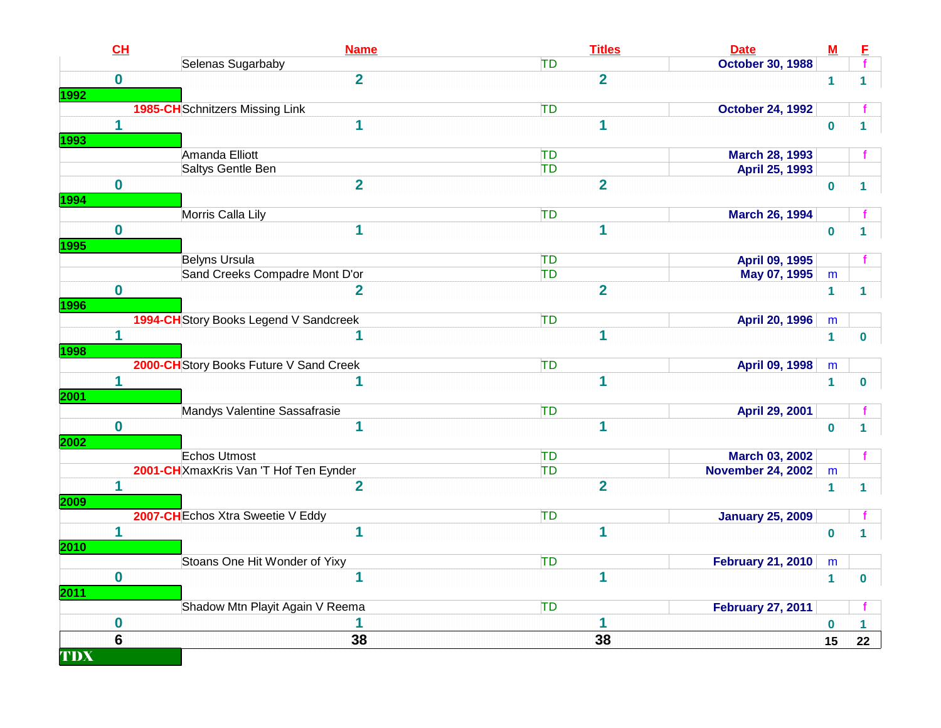|             | CH               | <b>Name</b>                             | <b>Titles</b>  | <b>Date</b>              | M              | E            |
|-------------|------------------|-----------------------------------------|----------------|--------------------------|----------------|--------------|
|             |                  | Selenas Sugarbaby                       | TD             | <b>October 30, 1988</b>  |                |              |
|             | $\mathbf{0}$     | $\overline{2}$                          | $\overline{2}$ |                          | $\mathbf{1}$   | $\mathbf 1$  |
| <b>1992</b> |                  |                                         |                |                          |                |              |
|             |                  | <b>1985-CH</b> Schnitzers Missing Link  | TD             | <b>October 24, 1992</b>  |                |              |
|             | 1                | 1                                       | 1              |                          | $\bf{0}$       |              |
| 1993        |                  |                                         |                |                          |                |              |
|             |                  | Amanda Elliott                          | TD             | <b>March 28, 1993</b>    |                |              |
|             |                  | Saltys Gentle Ben                       | TD             | <b>April 25, 1993</b>    |                |              |
|             | $\mathbf 0$      | $\overline{2}$                          | $\overline{2}$ |                          | $\mathbf 0$    | $\mathbf 1$  |
| 1994        |                  |                                         |                |                          |                |              |
|             |                  | Morris Calla Lily                       | TD             | <b>March 26, 1994</b>    |                |              |
|             | $\bf{0}$         | 1                                       | $\mathbf 1$    |                          | $\mathbf 0$    | 1            |
| 1995        |                  |                                         |                |                          |                |              |
|             |                  | <b>Belyns Ursula</b>                    | TD             | April 09, 1995           |                |              |
|             |                  | Sand Creeks Compadre Mont D'or          | TD             | May 07, 1995             | m              |              |
|             | $\mathbf 0$      | $\overline{2}$                          | $\overline{2}$ |                          | $\mathbf{1}$   | 1            |
| <b>1996</b> |                  |                                         |                |                          |                |              |
|             |                  | 1994-CH Story Books Legend V Sandcreek  | TD             | <b>April 20, 1996</b>    | m              |              |
|             | 1                |                                         | $\mathbf{1}$   |                          | $\mathbf{1}$   | 0            |
| <b>1998</b> |                  |                                         |                |                          |                |              |
|             |                  | 2000-CH Story Books Future V Sand Creek | TD             | April 09, 1998           | ${\sf m}$      |              |
|             | 1                | 1                                       | $\overline{1}$ |                          | $\overline{1}$ | $\mathbf{0}$ |
| 2001        |                  |                                         |                |                          |                |              |
|             |                  | Mandys Valentine Sassafrasie            | TD             | April 29, 2001           |                |              |
|             | $\mathbf 0$      | $\mathbf{1}$                            | $\mathbf{1}$   |                          | $\mathbf 0$    | 1            |
| 2002        |                  |                                         |                |                          |                |              |
|             |                  | <b>Echos Utmost</b>                     | TD             | March 03, 2002           |                |              |
|             |                  | 2001-CH XmaxKris Van 'T Hof Ten Eynder  | <b>TD</b>      | <b>November 24, 2002</b> | ${\sf m}$      |              |
|             | $\mathbf 1$      | $\overline{2}$                          | $\overline{2}$ |                          | $\mathbf{1}$   | $\mathbf 1$  |
| 2009        |                  |                                         |                |                          |                |              |
|             |                  | 2007-CH Echos Xtra Sweetie V Eddy       | TD             | <b>January 25, 2009</b>  |                |              |
|             | 1                | $\overline{\mathbf{1}}$                 | $\mathbf 1$    |                          | $\bf{0}$       |              |
| 2010        |                  |                                         |                |                          |                |              |
|             |                  | Stoans One Hit Wonder of Yixy           | <b>TD</b>      | <b>February 21, 2010</b> | m              |              |
|             | $\bf{0}$         | 1                                       | $\mathbf{1}$   |                          | $\mathbf{1}$   | $\mathbf 0$  |
| <b>2011</b> |                  |                                         |                |                          |                |              |
|             |                  | Shadow Mtn Playit Again V Reema         | TD             | <b>February 27, 2011</b> |                |              |
|             | $\boldsymbol{0}$ |                                         | 1              |                          | $\bf{0}$       |              |
|             | 6                | 38                                      | 38             |                          | 15             | 22           |
| TDX         |                  |                                         |                |                          |                |              |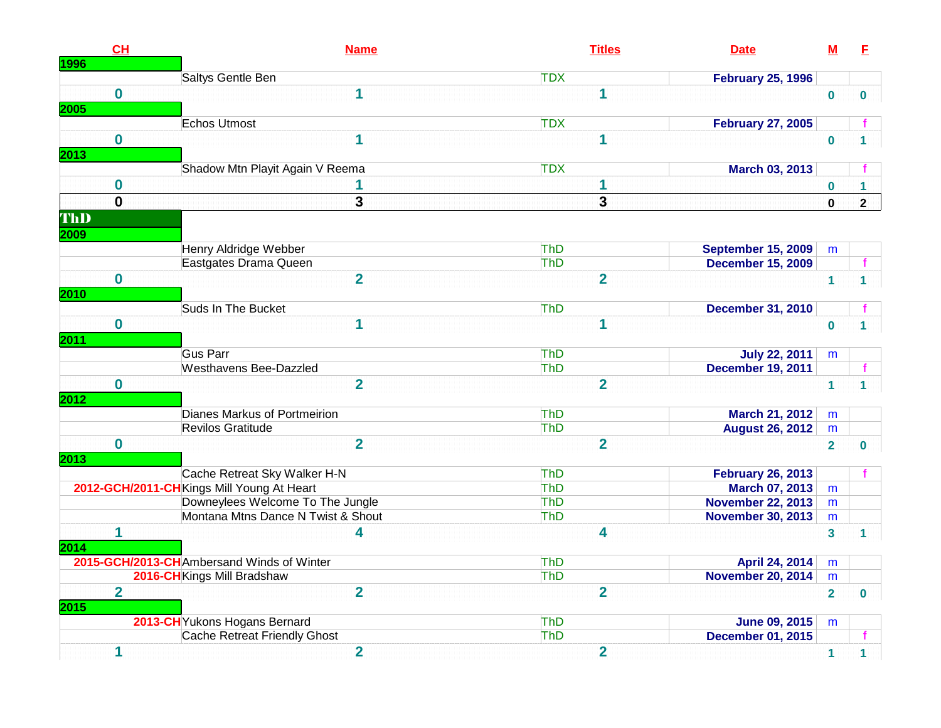| CH<br><b>1996</b>      | <b>Name</b>                               | <b>Titles</b>           | <b>Date</b>               | <u>M</u>                | E              |
|------------------------|-------------------------------------------|-------------------------|---------------------------|-------------------------|----------------|
|                        | Saltys Gentle Ben                         | <b>TDX</b>              | <b>February 25, 1996</b>  |                         |                |
| $\bf{0}$               | 1                                         | 1                       |                           | $\bf{0}$                | 0              |
| 2005                   | Echos Utmost                              | <b>TDX</b>              | <b>February 27, 2005</b>  |                         |                |
| $\mathbf{0}$           | 1                                         | 1                       |                           | $\bf{0}$                |                |
| 2013                   |                                           |                         |                           |                         |                |
|                        | Shadow Mtn Playit Again V Reema           | <b>TDX</b>              | March 03, 2013            |                         |                |
| $\bf{0}$               |                                           | 1                       |                           | $\mathbf 0$             | 1.             |
| $\mathbf{0}$           | 3                                         | $\overline{\mathbf{3}}$ |                           | $\mathbf{0}$            | $\overline{2}$ |
| ThD                    |                                           |                         |                           |                         |                |
| 2009                   |                                           |                         |                           |                         |                |
|                        | Henry Aldridge Webber                     | ThD                     | <b>September 15, 2009</b> | m                       |                |
|                        | Eastgates Drama Queen                     | ThD                     | <b>December 15, 2009</b>  |                         |                |
| $\mathbf{0}$           | $\overline{2}$                            | $\overline{2}$          |                           | $\overline{1}$          |                |
| 2010                   |                                           |                         |                           |                         |                |
|                        | Suds In The Bucket                        | <b>ThD</b>              | <b>December 31, 2010</b>  |                         |                |
| $\mathbf 0$            | 1                                         | 1                       |                           | $\mathbf 0$             |                |
| 2011                   |                                           |                         |                           |                         |                |
|                        | <b>Gus Parr</b>                           | ThD                     | <b>July 22, 2011</b>      | m                       |                |
|                        | <b>Westhavens Bee-Dazzled</b>             | ThD                     | <b>December 19, 2011</b>  |                         |                |
| $\mathbf 0$<br>2012    | $\overline{2}$                            | $\overline{2}$          |                           | $\mathbf{1}$            | $\mathbf{1}$   |
|                        | Dianes Markus of Portmeirion              | ThD                     | <b>March 21, 2012</b>     | m                       |                |
|                        | Revilos Gratitude                         | ThD                     | <b>August 26, 2012</b>    | ${\sf m}$               |                |
| $\mathbf{0}$           | $\overline{2}$                            | $\overline{2}$          |                           | $\overline{2}$          | $\bf{0}$       |
| 2013                   |                                           |                         |                           |                         |                |
|                        | Cache Retreat Sky Walker H-N              | ThD                     | <b>February 26, 2013</b>  |                         |                |
|                        | 2012-GCH/2011-CHKings Mill Young At Heart | ThD                     | <b>March 07, 2013</b>     | m                       |                |
|                        | Downeylees Welcome To The Jungle          | ThD                     | <b>November 22, 2013</b>  | m                       |                |
|                        | Montana Mtns Dance N Twist & Shout        | ThD                     | <b>November 30, 2013</b>  | m                       |                |
| 1                      | 4                                         | 4                       |                           | $\overline{\mathbf{3}}$ | 1              |
| 2014                   |                                           |                         |                           |                         |                |
|                        | 2015-GCH/2013-CHAmbersand Winds of Winter | <b>ThD</b>              | April 24, 2014            | m                       |                |
|                        | 2016-CH Kings Mill Bradshaw               | <b>ThD</b>              | <b>November 20, 2014</b>  | ${\sf m}$               |                |
| $\overline{2}$<br>2015 | $\overline{2}$                            | $\overline{2}$          |                           | $\overline{2}$          | $\mathbf{0}$   |
|                        | 2013-CH Yukons Hogans Bernard             | <b>ThD</b>              | <b>June 09, 2015</b>      | m                       |                |
|                        | Cache Retreat Friendly Ghost              | ThD                     | <b>December 01, 2015</b>  |                         |                |
| 1                      | $\overline{2}$                            | $\overline{2}$          |                           | $\mathbf{1}$            | 1              |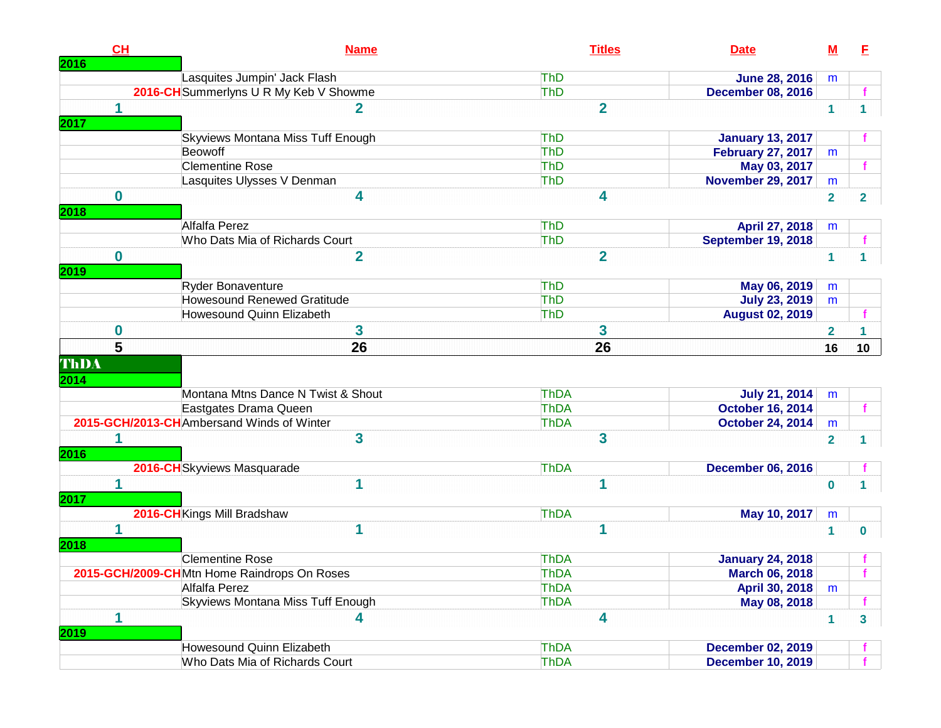| CH<br>2016   | <b>Name</b>                                 | <b>Titles</b>  | <b>Date</b>               | $\underline{\mathsf{M}}$ | E              |
|--------------|---------------------------------------------|----------------|---------------------------|--------------------------|----------------|
|              | Lasquites Jumpin' Jack Flash                | <b>ThD</b>     | <b>June 28, 2016</b>      | m                        |                |
|              | 2016-CH Summerlyns U R My Keb V Showme      | <b>ThD</b>     | <b>December 08, 2016</b>  |                          |                |
|              | 2                                           | $\overline{2}$ |                           | $\mathbf{1}$             | $\mathbf 1$    |
| 2017         |                                             |                |                           |                          |                |
|              | Skyviews Montana Miss Tuff Enough           | <b>ThD</b>     | <b>January 13, 2017</b>   |                          |                |
|              | Beowoff                                     | <b>ThD</b>     | <b>February 27, 2017</b>  | m                        |                |
|              | <b>Clementine Rose</b>                      | <b>ThD</b>     | May 03, 2017              |                          |                |
|              | Lasquites Ulysses V Denman                  | <b>ThD</b>     | <b>November 29, 2017</b>  | m                        |                |
| $\bf{0}$     | 4                                           | 4              |                           | $\overline{2}$           | $\overline{2}$ |
| 2018         |                                             |                |                           |                          |                |
|              | Alfalfa Perez                               | <b>ThD</b>     | April 27, 2018            | m                        |                |
|              | Who Dats Mia of Richards Court              | <b>ThD</b>     | <b>September 19, 2018</b> |                          |                |
| $\mathbf 0$  | $\overline{2}$                              | $\overline{2}$ |                           | $\mathbf{1}$             |                |
| 2019         |                                             |                |                           |                          |                |
|              | <b>Ryder Bonaventure</b>                    | <b>ThD</b>     | May 06, 2019              | m                        |                |
|              | <b>Howesound Renewed Gratitude</b>          | <b>ThD</b>     | <b>July 23, 2019</b>      | m                        |                |
|              | Howesound Quinn Elizabeth                   | <b>ThD</b>     | <b>August 02, 2019</b>    |                          |                |
| $\bf{0}$     | 3                                           | 3              |                           | $\overline{\mathbf{2}}$  |                |
| 5            | 26                                          | 26             |                           | 16                       | 10             |
| ThDA<br>2014 | Montana Mtns Dance N Twist & Shout          | <b>ThDA</b>    | <b>July 21, 2014</b>      | m                        |                |
|              | Eastgates Drama Queen                       | <b>ThDA</b>    | <b>October 16, 2014</b>   |                          |                |
|              | 2015-GCH/2013-CHAmbersand Winds of Winter   | <b>ThDA</b>    | <b>October 24, 2014</b>   | m                        |                |
|              | 3                                           | 3              |                           | $\overline{2}$           |                |
| 2016         |                                             |                |                           |                          |                |
|              | 2016-CH Skyviews Masquarade                 | <b>ThDA</b>    | <b>December 06, 2016</b>  |                          |                |
| 1            | 1                                           | 1              |                           | $\bf{0}$                 |                |
| 2017         |                                             |                |                           |                          |                |
|              | 2016-CH Kings Mill Bradshaw                 | <b>ThDA</b>    | May 10, 2017              | m                        |                |
| 1            | 1                                           | 1              |                           | 1                        | 0              |
| 2018         |                                             |                |                           |                          |                |
|              | <b>Clementine Rose</b>                      | <b>ThDA</b>    | <b>January 24, 2018</b>   |                          |                |
|              | 2015-GCH/2009-CHMtn Home Raindrops On Roses | ThDA           | <b>March 06, 2018</b>     |                          |                |
|              | Alfalfa Perez                               | ThDA           | April 30, 2018            | m                        |                |
|              | <b>Skyviews Montana Miss Tuff Enough</b>    | ThDA           | May 08, 2018              |                          |                |
| 1            | 4                                           | 4              |                           | $\mathbf{1}$             | 3 <sup>1</sup> |
| 2019         |                                             |                |                           |                          |                |
|              | Howesound Quinn Elizabeth                   | ThDA           | <b>December 02, 2019</b>  |                          |                |
|              | Who Dats Mia of Richards Court              | ThDA           | <b>December 10, 2019</b>  |                          |                |
|              |                                             |                |                           |                          |                |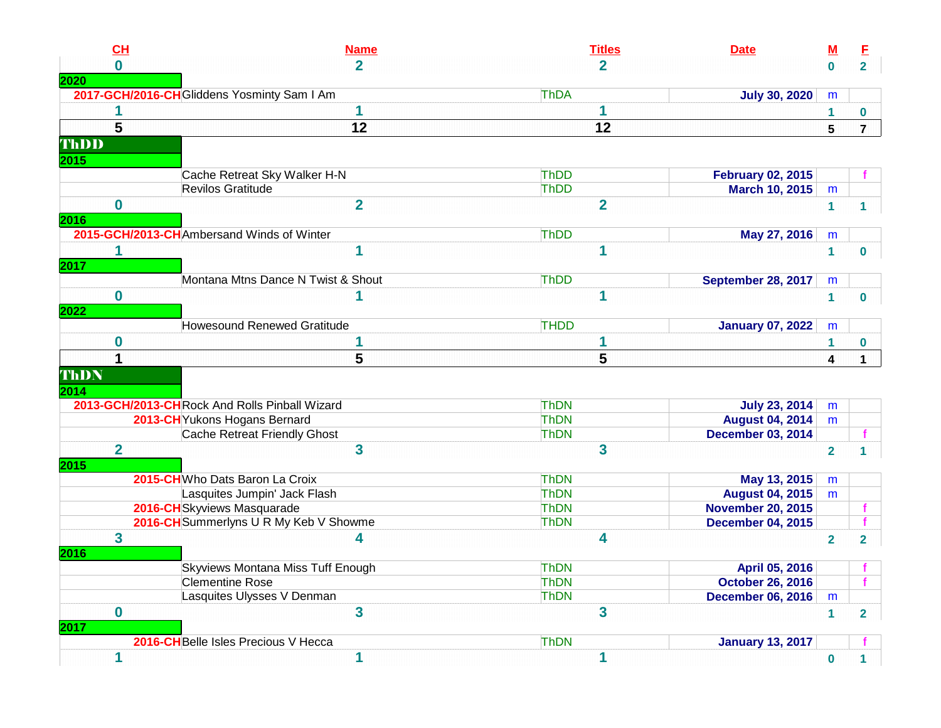| CL               | <b>Name</b>                                   | <b>Titles</b>  | <b>Date</b>              | <u>M</u>        | E                                                                |
|------------------|-----------------------------------------------|----------------|--------------------------|-----------------|------------------------------------------------------------------|
| $\bf{0}$         | $\overline{2}$                                | $\overline{2}$ |                          | $\mathbf 0$     | $2^{\circ}$                                                      |
|                  |                                               |                |                          |                 |                                                                  |
|                  | 2017-GCH/2016-CH Gliddens Yosminty Sam I Am   | ThDA           | <b>July 30, 2020</b>     | m               |                                                                  |
|                  | 1                                             | 1              |                          | 1               | 0                                                                |
| 5                | 12                                            | 12             |                          | $5\phantom{.0}$ | $\overline{7}$                                                   |
| ThDD             |                                               |                |                          |                 |                                                                  |
| 2015             |                                               |                |                          |                 |                                                                  |
|                  | Cache Retreat Sky Walker H-N                  | ThDD           | <b>February 02, 2015</b> |                 |                                                                  |
|                  | Revilos Gratitude                             | ThDD           | March 10, 2015           | m               |                                                                  |
| $\boldsymbol{0}$ | $\overline{2}$                                | $\overline{2}$ |                          | $\mathbf{1}$    | 1.                                                               |
|                  |                                               |                |                          |                 |                                                                  |
|                  | 2015-GCH/2013-CHAmbersand Winds of Winter     | ThDD           | May 27, 2016             | m               |                                                                  |
| 1                | 1                                             | 1              |                          | $\mathbf{1}$    | 0                                                                |
|                  |                                               |                |                          |                 |                                                                  |
|                  | Montana Mtns Dance N Twist & Shout            | ThDD           | September 28, 2017       | m               |                                                                  |
| $\bf{0}$         |                                               | 1              |                          | $\mathbf{1}$    | $\bf{0}$                                                         |
| 2022             |                                               |                |                          |                 |                                                                  |
|                  | <b>Howesound Renewed Gratitude</b>            | <b>THDD</b>    | <b>January 07, 2022</b>  | m               |                                                                  |
|                  |                                               |                |                          |                 |                                                                  |
|                  |                                               |                |                          |                 |                                                                  |
| 0                |                                               | 1              |                          | 1               |                                                                  |
| 1                | 5                                             | 5              |                          | 4               |                                                                  |
| ThDN             |                                               |                |                          |                 |                                                                  |
|                  |                                               |                |                          |                 |                                                                  |
|                  | 2013-GCH/2013-CHRock And Rolls Pinball Wizard | <b>ThDN</b>    | <b>July 23, 2014</b>     | m               |                                                                  |
|                  | 2013-CH Yukons Hogans Bernard                 | <b>ThDN</b>    | <b>August 04, 2014</b>   | m               |                                                                  |
|                  | Cache Retreat Friendly Ghost                  | <b>ThDN</b>    | <b>December 03, 2014</b> |                 |                                                                  |
| $\mathbf 2$      | $\overline{\mathbf{3}}$                       | 3              |                          | $\overline{2}$  |                                                                  |
| 2015             |                                               |                |                          |                 |                                                                  |
|                  | 2015-CH Who Dats Baron La Croix               | <b>ThDN</b>    | May 13, 2015             | m               |                                                                  |
|                  | Lasquites Jumpin' Jack Flash                  | <b>ThDN</b>    | <b>August 04, 2015</b>   | m               |                                                                  |
|                  | 2016-CHSkyviews Masquarade                    | <b>ThDN</b>    | <b>November 20, 2015</b> |                 |                                                                  |
|                  | 2016-CH Summerlyns U R My Keb V Showme        | <b>ThDN</b>    | <b>December 04, 2015</b> |                 |                                                                  |
| 3                | 4                                             | 4              |                          | $\overline{2}$  |                                                                  |
|                  |                                               |                |                          |                 |                                                                  |
| 2016             | <b>Skyviews Montana Miss Tuff Enough</b>      | <b>ThDN</b>    | April 05, 2016           |                 |                                                                  |
|                  | <b>Clementine Rose</b>                        | <b>ThDN</b>    | <b>October 26, 2016</b>  |                 |                                                                  |
|                  | Lasquites Ulysses V Denman                    | <b>ThDN</b>    | <b>December 06, 2016</b> | m               |                                                                  |
| $\bf{0}$         | $\mathbf{3}$                                  | 3              |                          |                 |                                                                  |
|                  |                                               |                |                          | $\mathbf{1}$    |                                                                  |
|                  | 2016-CHBelle Isles Precious V Hecca           | <b>ThDN</b>    | <b>January 13, 2017</b>  |                 | 0<br>$\mathbf 1$<br>1.<br>$\overline{2}$<br>f.<br>$\overline{2}$ |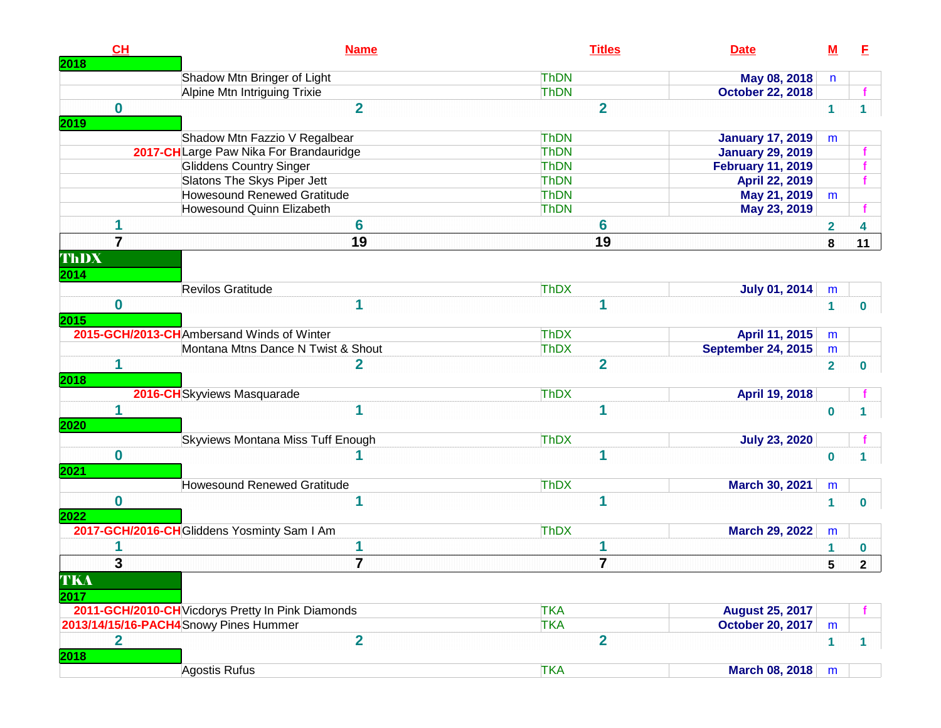| CH<br>2018              |                                                   | <b>Name</b>    |             | <b>Titles</b>  | <b>Date</b>               | $\underline{\mathsf{M}}$ | E            |
|-------------------------|---------------------------------------------------|----------------|-------------|----------------|---------------------------|--------------------------|--------------|
|                         | Shadow Mtn Bringer of Light                       |                | <b>ThDN</b> |                | May 08, 2018              | n                        |              |
|                         | Alpine Mtn Intriguing Trixie                      |                | <b>ThDN</b> |                | <b>October 22, 2018</b>   |                          |              |
| $\mathbf{0}$            |                                                   | $\overline{2}$ |             | $\overline{2}$ |                           | $\mathbf{1}$             | 1            |
| 2019                    |                                                   |                |             |                |                           |                          |              |
|                         | Shadow Mtn Fazzio V Regalbear                     |                | <b>ThDN</b> |                | <b>January 17, 2019</b>   | m                        |              |
|                         | 2017-CHLarge Paw Nika For Brandauridge            |                | ThDN        |                | <b>January 29, 2019</b>   |                          |              |
|                         | <b>Gliddens Country Singer</b>                    |                | ThDN        |                | <b>February 11, 2019</b>  |                          |              |
|                         | Slatons The Skys Piper Jett                       |                | <b>ThDN</b> |                | April 22, 2019            |                          |              |
|                         | <b>Howesound Renewed Gratitude</b>                |                | <b>ThDN</b> |                | May 21, 2019              | m                        |              |
|                         | Howesound Quinn Elizabeth                         |                | <b>ThDN</b> |                | May 23, 2019              |                          |              |
|                         |                                                   | 6              |             | 6              |                           | 2                        |              |
| $\overline{\mathbf{7}}$ |                                                   | 19             |             | 19             |                           | 8                        | 11           |
| ThDX                    |                                                   |                |             |                |                           |                          |              |
| 2014                    |                                                   |                |             |                |                           |                          |              |
|                         | Revilos Gratitude                                 |                | <b>ThDX</b> |                | <b>July 01, 2014</b>      | m                        |              |
| $\bf{0}$                |                                                   |                |             | 1              |                           | 1                        |              |
| 2015                    |                                                   |                |             |                |                           |                          | 0            |
|                         | 2015-GCH/2013-CHAmbersand Winds of Winter         |                | <b>ThDX</b> |                | April 11, 2015            | m                        |              |
|                         | Montana Mtns Dance N Twist & Shout                |                | <b>ThDX</b> |                | <b>September 24, 2015</b> | m                        |              |
| 1                       |                                                   | $\mathbf{2}$   |             | $\overline{2}$ |                           | $\overline{2}$           |              |
| 2018                    |                                                   |                |             |                |                           |                          | 0            |
|                         | 2016-CHSkyviews Masquarade                        |                | <b>ThDX</b> |                | April 19, 2018            |                          |              |
| 1                       |                                                   | 1              |             | 1              |                           | $\bf{0}$                 |              |
| 2020                    |                                                   |                |             |                |                           |                          |              |
|                         | Skyviews Montana Miss Tuff Enough                 |                | <b>ThDX</b> |                | <b>July 23, 2020</b>      |                          |              |
| $\bf{0}$                |                                                   |                |             | 1              |                           |                          |              |
| 2021                    |                                                   |                |             |                |                           | $\bf{0}$                 |              |
|                         | <b>Howesound Renewed Gratitude</b>                |                | <b>ThDX</b> |                | March 30, 2021            | m                        |              |
| $\bf{0}$                |                                                   |                |             | 1              |                           |                          |              |
| 2022                    |                                                   |                |             |                |                           | 1                        | $\mathbf{0}$ |
|                         | 2017-GCH/2016-CH Gliddens Yosminty Sam I Am       |                | <b>ThDX</b> |                | <b>March 29, 2022</b>     | m                        |              |
|                         |                                                   |                |             | 1              |                           |                          |              |
|                         |                                                   |                |             |                |                           |                          | 0            |
| $\mathbf{3}$            |                                                   | 7              |             | $\overline{7}$ |                           | 5                        | $\mathbf{2}$ |
| TKA                     |                                                   |                |             |                |                           |                          |              |
| 2017                    |                                                   |                |             |                |                           |                          |              |
|                         | 2011-GCH/2010-CH Vicdorys Pretty In Pink Diamonds |                | <b>TKA</b>  |                | <b>August 25, 2017</b>    |                          |              |
|                         | 2013/14/15/16-PACH4Snowy Pines Hummer             |                | <b>TKA</b>  |                | <b>October 20, 2017</b>   | ${\sf m}$                |              |
| $\overline{\mathbf{2}}$ |                                                   | $\overline{2}$ |             | $\overline{2}$ |                           | $\mathbf{1}$             | $\mathbf 1$  |
| 2018                    |                                                   |                |             |                |                           |                          |              |
|                         | Agostis Rufus                                     |                | <b>TKA</b>  |                | March 08, 2018            | m                        |              |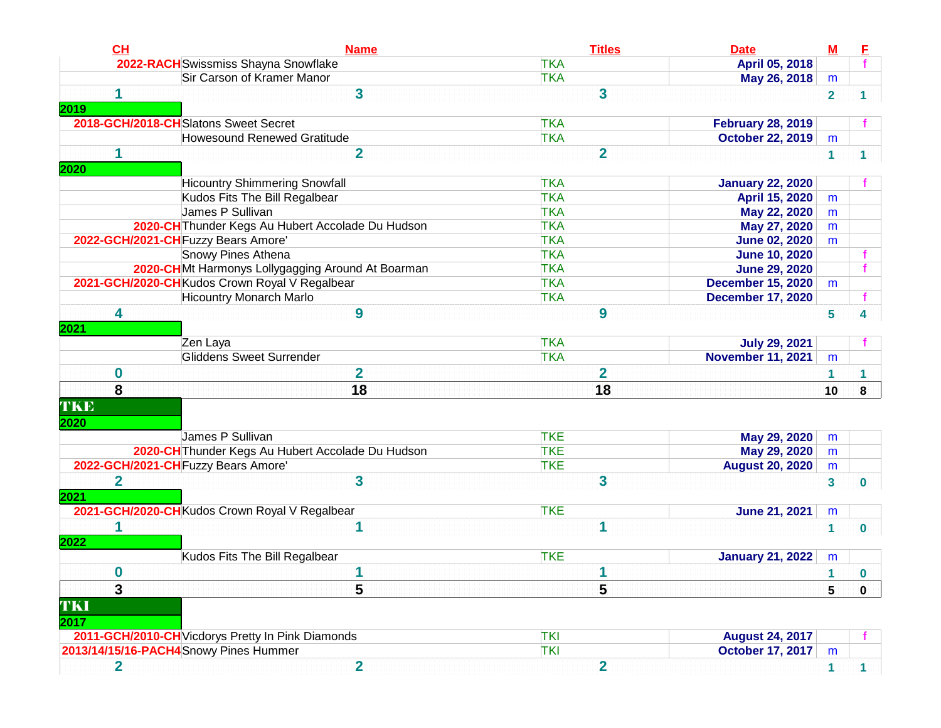| CL                     | <b>Name</b>                                       | <b>Titles</b>           | <b>Date</b>              | $\underline{\mathbf{M}}$ | E            |
|------------------------|---------------------------------------------------|-------------------------|--------------------------|--------------------------|--------------|
|                        | 2022-RACH Swissmiss Shayna Snowflake              | <b>TKA</b>              | April 05, 2018           |                          |              |
|                        | Sir Carson of Kramer Manor                        | <b>TKA</b>              | May 26, 2018             | m                        |              |
|                        | $\overline{\mathbf{3}}$                           | 3                       |                          | $\mathbf{2}$             |              |
| 2019                   | 2018-GCH/2018-CHSlatons Sweet Secret              | <b>TKA</b>              | <b>February 28, 2019</b> |                          |              |
|                        | <b>Howesound Renewed Gratitude</b>                | <b>TKA</b>              | <b>October 22, 2019</b>  | m                        |              |
| 1                      | $\overline{2}$                                    | $\overline{2}$          |                          | $\mathbf{1}$             |              |
| 2020                   | <b>Hicountry Shimmering Snowfall</b>              | <b>TKA</b>              | <b>January 22, 2020</b>  |                          |              |
|                        | Kudos Fits The Bill Regalbear                     | <b>TKA</b>              | April 15, 2020           | m                        |              |
|                        | James P Sullivan                                  | <b>TKA</b>              | May 22, 2020             | m                        |              |
|                        | 2020-CH Thunder Kegs Au Hubert Accolade Du Hudson | <b>TKA</b>              | May 27, 2020             | m                        |              |
|                        | 2022-GCH/2021-CH Fuzzy Bears Amore'               | <b>TKA</b>              | <b>June 02, 2020</b>     | m                        |              |
|                        | Snowy Pines Athena                                | <b>TKA</b>              | <b>June 10, 2020</b>     |                          |              |
|                        | 2020-CHMt Harmonys Lollygagging Around At Boarman | <b>TKA</b>              | <b>June 29, 2020</b>     |                          |              |
|                        | 2021-GCH/2020-CHKudos Crown Royal V Regalbear     | <b>TKA</b>              | <b>December 15, 2020</b> | m                        |              |
|                        | <b>Hicountry Monarch Marlo</b>                    | <b>TKA</b>              | <b>December 17, 2020</b> |                          |              |
| 4                      | 9                                                 | 9                       |                          | 5                        |              |
| 2021                   | Zen Laya                                          | <b>TKA</b>              | <b>July 29, 2021</b>     |                          |              |
|                        | Gliddens Sweet Surrender                          | <b>TKA</b>              | <b>November 11, 2021</b> | m                        |              |
| $\boldsymbol{0}$       | $\overline{2}$                                    | $\overline{\mathbf{2}}$ |                          |                          |              |
| 8                      | 18                                                | 18                      |                          | 1                        |              |
| TKE                    |                                                   |                         |                          | 10                       | 8            |
| 2020                   |                                                   |                         |                          |                          |              |
|                        | James P Sullivan                                  | <b>TKE</b>              | May 29, 2020             | m                        |              |
|                        | 2020-CH Thunder Kegs Au Hubert Accolade Du Hudson | <b>TKE</b>              | May 29, 2020             | m                        |              |
|                        | 2022-GCH/2021-CH Fuzzy Bears Amore'               | <b>TKE</b>              | <b>August 20, 2020</b>   | m                        |              |
| $\overline{2}$<br>2021 | 3                                                 | 3                       |                          | 3                        | $\bf{0}$     |
|                        | 2021-GCH/2020-CH Kudos Crown Royal V Regalbear    | <b>TKE</b>              | <b>June 21, 2021</b>     | m                        |              |
| 1                      | 1                                                 | 1                       |                          | 1                        | $\mathbf{0}$ |
| 2022                   | Kudos Fits The Bill Regalbear                     | <b>TKE</b>              | <b>January 21, 2022</b>  | m                        |              |
| $\bf{0}$               | 1                                                 | 1                       |                          |                          | $\bf{0}$     |
| 3                      | 5                                                 | 5                       |                          | 5                        | $\mathbf 0$  |
| TKI                    |                                                   |                         |                          |                          |              |
| 2017                   | 2011-GCH/2010-CH Vicdorys Pretty In Pink Diamonds | <b>TKI</b>              | <b>August 24, 2017</b>   |                          |              |
|                        | 2013/14/15/16-PACH4 Snowy Pines Hummer            | <b>TKI</b>              | <b>October 17, 2017</b>  | m                        |              |
| $\mathbf 2$            | $\overline{2}$                                    | $\overline{2}$          |                          | $\mathbf{1}$             | 1            |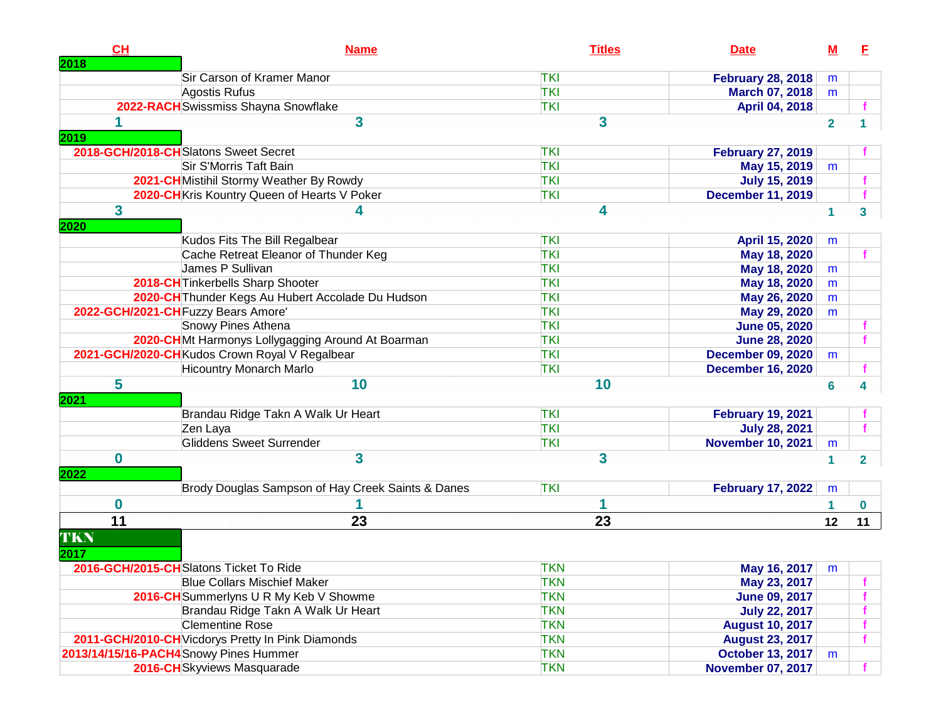| Sir Carson of Kramer Manor<br><b>TKI</b><br><b>February 28, 2018</b><br>m<br><b>TKI</b><br>Agostis Rufus<br><b>March 07, 2018</b><br>m<br>2022-RACH Swissmiss Shayna Snowflake<br><b>TKI</b><br>April 04, 2018<br>3<br>3<br>$\overline{2}$<br>2019<br>2018-GCH/2018-CHSlatons Sweet Secret<br><b>TKI</b><br><b>February 27, 2019</b><br>Sir S'Morris Taft Bain<br><b>TKI</b><br>May 15, 2019<br>m<br>2021-CH Mistihil Stormy Weather By Rowdy<br><b>TKI</b><br><b>July 15, 2019</b><br>2020-CH Kris Kountry Queen of Hearts V Poker<br><b>TKI</b><br><b>December 11, 2019</b><br>f<br>$\mathbf{3}$<br>4<br>4<br>1<br>$\overline{\mathbf{3}}$<br>2020<br>Kudos Fits The Bill Regalbear<br><b>TKI</b><br>April 15, 2020<br>m<br>Cache Retreat Eleanor of Thunder Keg<br><b>TKI</b><br>May 18, 2020<br>James P Sullivan<br><b>TKI</b><br>May 18, 2020<br>m<br>2018-CH Tinkerbells Sharp Shooter<br><b>TKI</b><br>May 18, 2020<br>m<br>2020-CH Thunder Kegs Au Hubert Accolade Du Hudson<br><b>TKI</b><br>May 26, 2020<br>m<br>2022-GCH/2021-CH Fuzzy Bears Amore'<br><b>TKI</b><br>May 29, 2020<br>m<br>Snowy Pines Athena<br><b>TKI</b><br><b>June 05, 2020</b><br>2020-CHMt Harmonys Lollygagging Around At Boarman<br><b>TKI</b><br><b>June 28, 2020</b><br>2021-GCH/2020-CHKudos Crown Royal V Regalbear<br><b>TKI</b><br><b>December 09, 2020</b><br>m<br><b>Hicountry Monarch Marlo</b><br><b>TKI</b><br><b>December 16, 2020</b><br>5<br>10<br>10<br>6<br>4<br>2021<br>Brandau Ridge Takn A Walk Ur Heart<br><b>TKI</b><br><b>February 19, 2021</b><br><b>TKI</b><br>Zen Laya<br><b>July 28, 2021</b><br><b>Gliddens Sweet Surrender</b><br><b>TKI</b><br><b>November 10, 2021</b><br>m<br>$\overline{\mathbf{3}}$<br>$\mathbf 0$<br>3<br>1<br>$\overline{2}$<br>2022<br>Brody Douglas Sampson of Hay Creek Saints & Danes<br><b>TKI</b><br><b>February 17, 2022</b><br>m<br>$\bf{0}$<br>1<br>$\mathbf 0$<br>1<br>$\overline{11}$<br>23<br>23<br>12<br>TKN<br>2017<br>2016-GCH/2015-CHSlatons Ticket To Ride<br><b>TKN</b><br>May 16, 2017<br>m<br><b>Blue Collars Mischief Maker</b><br><b>TKN</b><br>May 23, 2017<br><b>TKN</b><br>2016-CH Summerlyns U R My Keb V Showme<br><b>June 09, 2017</b><br>Brandau Ridge Takn A Walk Ur Heart<br><b>TKN</b><br><b>July 22, 2017</b><br><b>Clementine Rose</b><br><b>TKN</b><br><b>August 10, 2017</b> | CH<br>2018 | <b>Name</b> | <b>Titles</b> | <b>Date</b> | <u>M</u> | E  |
|-------------------------------------------------------------------------------------------------------------------------------------------------------------------------------------------------------------------------------------------------------------------------------------------------------------------------------------------------------------------------------------------------------------------------------------------------------------------------------------------------------------------------------------------------------------------------------------------------------------------------------------------------------------------------------------------------------------------------------------------------------------------------------------------------------------------------------------------------------------------------------------------------------------------------------------------------------------------------------------------------------------------------------------------------------------------------------------------------------------------------------------------------------------------------------------------------------------------------------------------------------------------------------------------------------------------------------------------------------------------------------------------------------------------------------------------------------------------------------------------------------------------------------------------------------------------------------------------------------------------------------------------------------------------------------------------------------------------------------------------------------------------------------------------------------------------------------------------------------------------------------------------------------------------------------------------------------------------------------------------------------------------------------------------------------------------------------------------------------------------------------------------------------------------------------------------------------------------------------------------------------------------------------------------------------------------------------------------------------|------------|-------------|---------------|-------------|----------|----|
|                                                                                                                                                                                                                                                                                                                                                                                                                                                                                                                                                                                                                                                                                                                                                                                                                                                                                                                                                                                                                                                                                                                                                                                                                                                                                                                                                                                                                                                                                                                                                                                                                                                                                                                                                                                                                                                                                                                                                                                                                                                                                                                                                                                                                                                                                                                                                       |            |             |               |             |          |    |
|                                                                                                                                                                                                                                                                                                                                                                                                                                                                                                                                                                                                                                                                                                                                                                                                                                                                                                                                                                                                                                                                                                                                                                                                                                                                                                                                                                                                                                                                                                                                                                                                                                                                                                                                                                                                                                                                                                                                                                                                                                                                                                                                                                                                                                                                                                                                                       |            |             |               |             |          |    |
|                                                                                                                                                                                                                                                                                                                                                                                                                                                                                                                                                                                                                                                                                                                                                                                                                                                                                                                                                                                                                                                                                                                                                                                                                                                                                                                                                                                                                                                                                                                                                                                                                                                                                                                                                                                                                                                                                                                                                                                                                                                                                                                                                                                                                                                                                                                                                       |            |             |               |             |          |    |
|                                                                                                                                                                                                                                                                                                                                                                                                                                                                                                                                                                                                                                                                                                                                                                                                                                                                                                                                                                                                                                                                                                                                                                                                                                                                                                                                                                                                                                                                                                                                                                                                                                                                                                                                                                                                                                                                                                                                                                                                                                                                                                                                                                                                                                                                                                                                                       |            |             |               |             |          |    |
|                                                                                                                                                                                                                                                                                                                                                                                                                                                                                                                                                                                                                                                                                                                                                                                                                                                                                                                                                                                                                                                                                                                                                                                                                                                                                                                                                                                                                                                                                                                                                                                                                                                                                                                                                                                                                                                                                                                                                                                                                                                                                                                                                                                                                                                                                                                                                       |            |             |               |             |          |    |
|                                                                                                                                                                                                                                                                                                                                                                                                                                                                                                                                                                                                                                                                                                                                                                                                                                                                                                                                                                                                                                                                                                                                                                                                                                                                                                                                                                                                                                                                                                                                                                                                                                                                                                                                                                                                                                                                                                                                                                                                                                                                                                                                                                                                                                                                                                                                                       |            |             |               |             |          |    |
|                                                                                                                                                                                                                                                                                                                                                                                                                                                                                                                                                                                                                                                                                                                                                                                                                                                                                                                                                                                                                                                                                                                                                                                                                                                                                                                                                                                                                                                                                                                                                                                                                                                                                                                                                                                                                                                                                                                                                                                                                                                                                                                                                                                                                                                                                                                                                       |            |             |               |             |          |    |
|                                                                                                                                                                                                                                                                                                                                                                                                                                                                                                                                                                                                                                                                                                                                                                                                                                                                                                                                                                                                                                                                                                                                                                                                                                                                                                                                                                                                                                                                                                                                                                                                                                                                                                                                                                                                                                                                                                                                                                                                                                                                                                                                                                                                                                                                                                                                                       |            |             |               |             |          |    |
|                                                                                                                                                                                                                                                                                                                                                                                                                                                                                                                                                                                                                                                                                                                                                                                                                                                                                                                                                                                                                                                                                                                                                                                                                                                                                                                                                                                                                                                                                                                                                                                                                                                                                                                                                                                                                                                                                                                                                                                                                                                                                                                                                                                                                                                                                                                                                       |            |             |               |             |          |    |
|                                                                                                                                                                                                                                                                                                                                                                                                                                                                                                                                                                                                                                                                                                                                                                                                                                                                                                                                                                                                                                                                                                                                                                                                                                                                                                                                                                                                                                                                                                                                                                                                                                                                                                                                                                                                                                                                                                                                                                                                                                                                                                                                                                                                                                                                                                                                                       |            |             |               |             |          |    |
|                                                                                                                                                                                                                                                                                                                                                                                                                                                                                                                                                                                                                                                                                                                                                                                                                                                                                                                                                                                                                                                                                                                                                                                                                                                                                                                                                                                                                                                                                                                                                                                                                                                                                                                                                                                                                                                                                                                                                                                                                                                                                                                                                                                                                                                                                                                                                       |            |             |               |             |          |    |
|                                                                                                                                                                                                                                                                                                                                                                                                                                                                                                                                                                                                                                                                                                                                                                                                                                                                                                                                                                                                                                                                                                                                                                                                                                                                                                                                                                                                                                                                                                                                                                                                                                                                                                                                                                                                                                                                                                                                                                                                                                                                                                                                                                                                                                                                                                                                                       |            |             |               |             |          |    |
|                                                                                                                                                                                                                                                                                                                                                                                                                                                                                                                                                                                                                                                                                                                                                                                                                                                                                                                                                                                                                                                                                                                                                                                                                                                                                                                                                                                                                                                                                                                                                                                                                                                                                                                                                                                                                                                                                                                                                                                                                                                                                                                                                                                                                                                                                                                                                       |            |             |               |             |          |    |
|                                                                                                                                                                                                                                                                                                                                                                                                                                                                                                                                                                                                                                                                                                                                                                                                                                                                                                                                                                                                                                                                                                                                                                                                                                                                                                                                                                                                                                                                                                                                                                                                                                                                                                                                                                                                                                                                                                                                                                                                                                                                                                                                                                                                                                                                                                                                                       |            |             |               |             |          |    |
|                                                                                                                                                                                                                                                                                                                                                                                                                                                                                                                                                                                                                                                                                                                                                                                                                                                                                                                                                                                                                                                                                                                                                                                                                                                                                                                                                                                                                                                                                                                                                                                                                                                                                                                                                                                                                                                                                                                                                                                                                                                                                                                                                                                                                                                                                                                                                       |            |             |               |             |          |    |
|                                                                                                                                                                                                                                                                                                                                                                                                                                                                                                                                                                                                                                                                                                                                                                                                                                                                                                                                                                                                                                                                                                                                                                                                                                                                                                                                                                                                                                                                                                                                                                                                                                                                                                                                                                                                                                                                                                                                                                                                                                                                                                                                                                                                                                                                                                                                                       |            |             |               |             |          |    |
|                                                                                                                                                                                                                                                                                                                                                                                                                                                                                                                                                                                                                                                                                                                                                                                                                                                                                                                                                                                                                                                                                                                                                                                                                                                                                                                                                                                                                                                                                                                                                                                                                                                                                                                                                                                                                                                                                                                                                                                                                                                                                                                                                                                                                                                                                                                                                       |            |             |               |             |          |    |
|                                                                                                                                                                                                                                                                                                                                                                                                                                                                                                                                                                                                                                                                                                                                                                                                                                                                                                                                                                                                                                                                                                                                                                                                                                                                                                                                                                                                                                                                                                                                                                                                                                                                                                                                                                                                                                                                                                                                                                                                                                                                                                                                                                                                                                                                                                                                                       |            |             |               |             |          |    |
|                                                                                                                                                                                                                                                                                                                                                                                                                                                                                                                                                                                                                                                                                                                                                                                                                                                                                                                                                                                                                                                                                                                                                                                                                                                                                                                                                                                                                                                                                                                                                                                                                                                                                                                                                                                                                                                                                                                                                                                                                                                                                                                                                                                                                                                                                                                                                       |            |             |               |             |          |    |
|                                                                                                                                                                                                                                                                                                                                                                                                                                                                                                                                                                                                                                                                                                                                                                                                                                                                                                                                                                                                                                                                                                                                                                                                                                                                                                                                                                                                                                                                                                                                                                                                                                                                                                                                                                                                                                                                                                                                                                                                                                                                                                                                                                                                                                                                                                                                                       |            |             |               |             |          |    |
|                                                                                                                                                                                                                                                                                                                                                                                                                                                                                                                                                                                                                                                                                                                                                                                                                                                                                                                                                                                                                                                                                                                                                                                                                                                                                                                                                                                                                                                                                                                                                                                                                                                                                                                                                                                                                                                                                                                                                                                                                                                                                                                                                                                                                                                                                                                                                       |            |             |               |             |          |    |
|                                                                                                                                                                                                                                                                                                                                                                                                                                                                                                                                                                                                                                                                                                                                                                                                                                                                                                                                                                                                                                                                                                                                                                                                                                                                                                                                                                                                                                                                                                                                                                                                                                                                                                                                                                                                                                                                                                                                                                                                                                                                                                                                                                                                                                                                                                                                                       |            |             |               |             |          |    |
|                                                                                                                                                                                                                                                                                                                                                                                                                                                                                                                                                                                                                                                                                                                                                                                                                                                                                                                                                                                                                                                                                                                                                                                                                                                                                                                                                                                                                                                                                                                                                                                                                                                                                                                                                                                                                                                                                                                                                                                                                                                                                                                                                                                                                                                                                                                                                       |            |             |               |             |          |    |
|                                                                                                                                                                                                                                                                                                                                                                                                                                                                                                                                                                                                                                                                                                                                                                                                                                                                                                                                                                                                                                                                                                                                                                                                                                                                                                                                                                                                                                                                                                                                                                                                                                                                                                                                                                                                                                                                                                                                                                                                                                                                                                                                                                                                                                                                                                                                                       |            |             |               |             |          |    |
|                                                                                                                                                                                                                                                                                                                                                                                                                                                                                                                                                                                                                                                                                                                                                                                                                                                                                                                                                                                                                                                                                                                                                                                                                                                                                                                                                                                                                                                                                                                                                                                                                                                                                                                                                                                                                                                                                                                                                                                                                                                                                                                                                                                                                                                                                                                                                       |            |             |               |             |          |    |
|                                                                                                                                                                                                                                                                                                                                                                                                                                                                                                                                                                                                                                                                                                                                                                                                                                                                                                                                                                                                                                                                                                                                                                                                                                                                                                                                                                                                                                                                                                                                                                                                                                                                                                                                                                                                                                                                                                                                                                                                                                                                                                                                                                                                                                                                                                                                                       |            |             |               |             |          |    |
|                                                                                                                                                                                                                                                                                                                                                                                                                                                                                                                                                                                                                                                                                                                                                                                                                                                                                                                                                                                                                                                                                                                                                                                                                                                                                                                                                                                                                                                                                                                                                                                                                                                                                                                                                                                                                                                                                                                                                                                                                                                                                                                                                                                                                                                                                                                                                       |            |             |               |             |          |    |
|                                                                                                                                                                                                                                                                                                                                                                                                                                                                                                                                                                                                                                                                                                                                                                                                                                                                                                                                                                                                                                                                                                                                                                                                                                                                                                                                                                                                                                                                                                                                                                                                                                                                                                                                                                                                                                                                                                                                                                                                                                                                                                                                                                                                                                                                                                                                                       |            |             |               |             |          | 11 |
|                                                                                                                                                                                                                                                                                                                                                                                                                                                                                                                                                                                                                                                                                                                                                                                                                                                                                                                                                                                                                                                                                                                                                                                                                                                                                                                                                                                                                                                                                                                                                                                                                                                                                                                                                                                                                                                                                                                                                                                                                                                                                                                                                                                                                                                                                                                                                       |            |             |               |             |          |    |
|                                                                                                                                                                                                                                                                                                                                                                                                                                                                                                                                                                                                                                                                                                                                                                                                                                                                                                                                                                                                                                                                                                                                                                                                                                                                                                                                                                                                                                                                                                                                                                                                                                                                                                                                                                                                                                                                                                                                                                                                                                                                                                                                                                                                                                                                                                                                                       |            |             |               |             |          |    |
|                                                                                                                                                                                                                                                                                                                                                                                                                                                                                                                                                                                                                                                                                                                                                                                                                                                                                                                                                                                                                                                                                                                                                                                                                                                                                                                                                                                                                                                                                                                                                                                                                                                                                                                                                                                                                                                                                                                                                                                                                                                                                                                                                                                                                                                                                                                                                       |            |             |               |             |          |    |
|                                                                                                                                                                                                                                                                                                                                                                                                                                                                                                                                                                                                                                                                                                                                                                                                                                                                                                                                                                                                                                                                                                                                                                                                                                                                                                                                                                                                                                                                                                                                                                                                                                                                                                                                                                                                                                                                                                                                                                                                                                                                                                                                                                                                                                                                                                                                                       |            |             |               |             |          |    |
|                                                                                                                                                                                                                                                                                                                                                                                                                                                                                                                                                                                                                                                                                                                                                                                                                                                                                                                                                                                                                                                                                                                                                                                                                                                                                                                                                                                                                                                                                                                                                                                                                                                                                                                                                                                                                                                                                                                                                                                                                                                                                                                                                                                                                                                                                                                                                       |            |             |               |             |          |    |
|                                                                                                                                                                                                                                                                                                                                                                                                                                                                                                                                                                                                                                                                                                                                                                                                                                                                                                                                                                                                                                                                                                                                                                                                                                                                                                                                                                                                                                                                                                                                                                                                                                                                                                                                                                                                                                                                                                                                                                                                                                                                                                                                                                                                                                                                                                                                                       |            |             |               |             |          |    |
| 2011-GCH/2010-CH Vicdorys Pretty In Pink Diamonds<br><b>TKN</b><br><b>August 23, 2017</b>                                                                                                                                                                                                                                                                                                                                                                                                                                                                                                                                                                                                                                                                                                                                                                                                                                                                                                                                                                                                                                                                                                                                                                                                                                                                                                                                                                                                                                                                                                                                                                                                                                                                                                                                                                                                                                                                                                                                                                                                                                                                                                                                                                                                                                                             |            |             |               |             |          |    |
| 2013/14/15/16-PACH4Snowy Pines Hummer<br><b>TKN</b><br>October 13, 2017<br>m                                                                                                                                                                                                                                                                                                                                                                                                                                                                                                                                                                                                                                                                                                                                                                                                                                                                                                                                                                                                                                                                                                                                                                                                                                                                                                                                                                                                                                                                                                                                                                                                                                                                                                                                                                                                                                                                                                                                                                                                                                                                                                                                                                                                                                                                          |            |             |               |             |          |    |
| 2016-CH Skyviews Masquarade<br><b>TKN</b><br><b>November 07, 2017</b>                                                                                                                                                                                                                                                                                                                                                                                                                                                                                                                                                                                                                                                                                                                                                                                                                                                                                                                                                                                                                                                                                                                                                                                                                                                                                                                                                                                                                                                                                                                                                                                                                                                                                                                                                                                                                                                                                                                                                                                                                                                                                                                                                                                                                                                                                 |            |             |               |             |          | f. |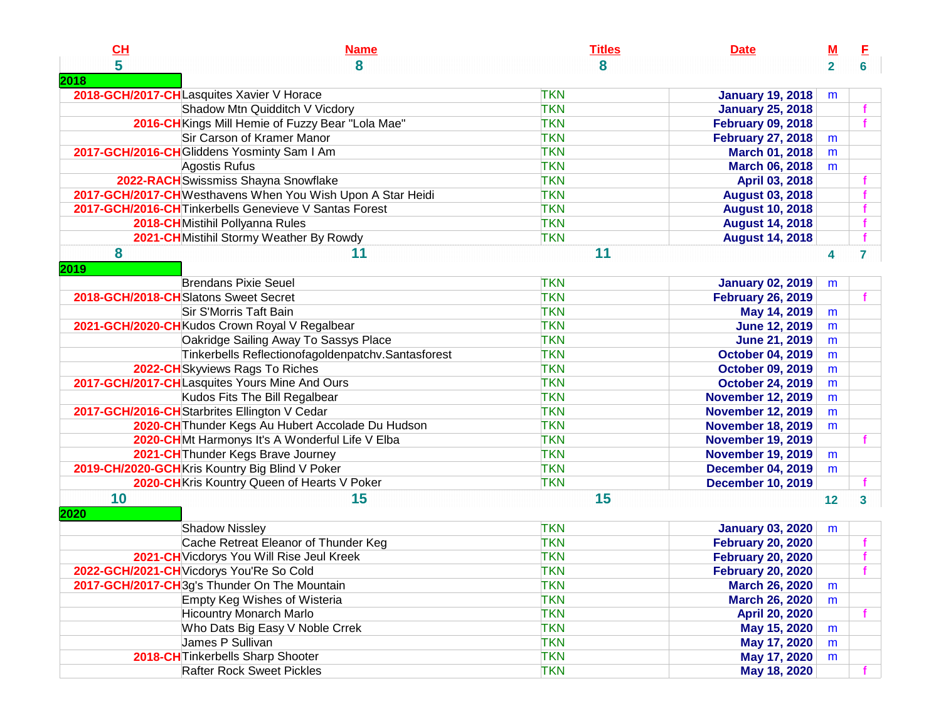| CL                                   | <b>Name</b>                                                 | <b>Titles</b> | <b>Date</b>              | $M$          | E                       |
|--------------------------------------|-------------------------------------------------------------|---------------|--------------------------|--------------|-------------------------|
| 5                                    | 8                                                           | 8             |                          | $\mathbf{2}$ | 6                       |
| 2018                                 |                                                             |               |                          |              |                         |
|                                      | 2018-GCH/2017-CHLasquites Xavier V Horace                   | <b>TKN</b>    | <b>January 19, 2018</b>  | m            |                         |
|                                      | Shadow Mtn Quidditch V Vicdory                              | <b>TKN</b>    | <b>January 25, 2018</b>  |              |                         |
|                                      | 2016-CH Kings Mill Hemie of Fuzzy Bear "Lola Mae"           | <b>TKN</b>    | <b>February 09, 2018</b> |              |                         |
|                                      | Sir Carson of Kramer Manor                                  | <b>TKN</b>    | <b>February 27, 2018</b> | m            |                         |
|                                      | 2017-GCH/2016-CH Gliddens Yosminty Sam I Am                 | <b>TKN</b>    | <b>March 01, 2018</b>    | m            |                         |
|                                      | Agostis Rufus                                               | <b>TKN</b>    | <b>March 06, 2018</b>    | m            |                         |
|                                      | 2022-RACH Swissmiss Shayna Snowflake                        | <b>TKN</b>    | April 03, 2018           |              |                         |
|                                      | 2017-GCH/2017-CH Westhavens When You Wish Upon A Star Heidi | <b>TKN</b>    | <b>August 03, 2018</b>   |              |                         |
|                                      | 2017-GCH/2016-CH Tinkerbells Genevieve V Santas Forest      | <b>TKN</b>    | <b>August 10, 2018</b>   |              |                         |
|                                      | 2018-CHMistihil Pollyanna Rules                             | <b>TKN</b>    | <b>August 14, 2018</b>   |              |                         |
|                                      | 2021-CH Mistihil Stormy Weather By Rowdy                    | <b>TKN</b>    | <b>August 14, 2018</b>   |              |                         |
| 8                                    | 11                                                          | 11            |                          | 4            | $\overline{7}$          |
| 2019                                 |                                                             |               |                          |              |                         |
|                                      | <b>Brendans Pixie Seuel</b>                                 | <b>TKN</b>    | <b>January 02, 2019</b>  | m            |                         |
| 2018-GCH/2018-CHSlatons Sweet Secret |                                                             | <b>TKN</b>    | <b>February 26, 2019</b> |              |                         |
|                                      | Sir S'Morris Taft Bain                                      | <b>TKN</b>    | May 14, 2019             | m            |                         |
|                                      | 2021-GCH/2020-CHKudos Crown Royal V Regalbear               | <b>TKN</b>    | <b>June 12, 2019</b>     | m            |                         |
|                                      | Oakridge Sailing Away To Sassys Place                       | <b>TKN</b>    | <b>June 21, 2019</b>     | m            |                         |
|                                      | Tinkerbells Reflectionofagoldenpatchv.Santasforest          | <b>TKN</b>    | <b>October 04, 2019</b>  | m            |                         |
|                                      | 2022-CH Skyviews Rags To Riches                             | <b>TKN</b>    | <b>October 09, 2019</b>  | m            |                         |
|                                      | 2017-GCH/2017-CHLasquites Yours Mine And Ours               | <b>TKN</b>    | <b>October 24, 2019</b>  | m            |                         |
|                                      | Kudos Fits The Bill Regalbear                               | <b>TKN</b>    | <b>November 12, 2019</b> | m            |                         |
|                                      | 2017-GCH/2016-CH Starbrites Ellington V Cedar               | <b>TKN</b>    | <b>November 12, 2019</b> | m            |                         |
|                                      | 2020-CH Thunder Kegs Au Hubert Accolade Du Hudson           | <b>TKN</b>    | <b>November 18, 2019</b> | m            |                         |
|                                      | 2020-CHMt Harmonys It's A Wonderful Life V Elba             | <b>TKN</b>    | <b>November 19, 2019</b> |              |                         |
|                                      | 2021-CH Thunder Kegs Brave Journey                          | <b>TKN</b>    | <b>November 19, 2019</b> | m            |                         |
|                                      | 2019-CH/2020-GCH Kris Kountry Big Blind V Poker             | <b>TKN</b>    | <b>December 04, 2019</b> | m            |                         |
|                                      | 2020-CH Kris Kountry Queen of Hearts V Poker                | <b>TKN</b>    | <b>December 10, 2019</b> |              |                         |
| 10                                   | 15                                                          | 15            |                          |              |                         |
|                                      |                                                             |               |                          | 12           | $\overline{\mathbf{3}}$ |
| 2020                                 |                                                             |               |                          |              |                         |
|                                      | <b>Shadow Nissley</b>                                       | <b>TKN</b>    | <b>January 03, 2020</b>  | m            |                         |
|                                      | Cache Retreat Eleanor of Thunder Keg                        | <b>TKN</b>    | <b>February 20, 2020</b> |              |                         |
|                                      | 2021-CH Vicdorys You Will Rise Jeul Kreek                   | <b>TKN</b>    | <b>February 20, 2020</b> |              |                         |
|                                      | 2022-GCH/2021-CH Vicdorys You'Re So Cold                    | <b>TKN</b>    | <b>February 20, 2020</b> |              |                         |
|                                      | 2017-GCH/2017-CH 3g's Thunder On The Mountain               | <b>TKN</b>    | <b>March 26, 2020</b>    | m            |                         |
|                                      | Empty Keg Wishes of Wisteria                                | <b>TKN</b>    | <b>March 26, 2020</b>    | m            |                         |
|                                      | <b>Hicountry Monarch Marlo</b>                              | <b>TKN</b>    | <b>April 20, 2020</b>    |              | f.                      |
|                                      | Who Dats Big Easy V Noble Crrek                             | <b>TKN</b>    | May 15, 2020             | m            |                         |
|                                      | James P Sullivan                                            | <b>TKN</b>    | May 17, 2020             | m            |                         |
|                                      | 2018-CH Tinkerbells Sharp Shooter                           | <b>TKN</b>    | May 17, 2020             | m            |                         |
|                                      | <b>Rafter Rock Sweet Pickles</b>                            | <b>TKN</b>    | May 18, 2020             |              |                         |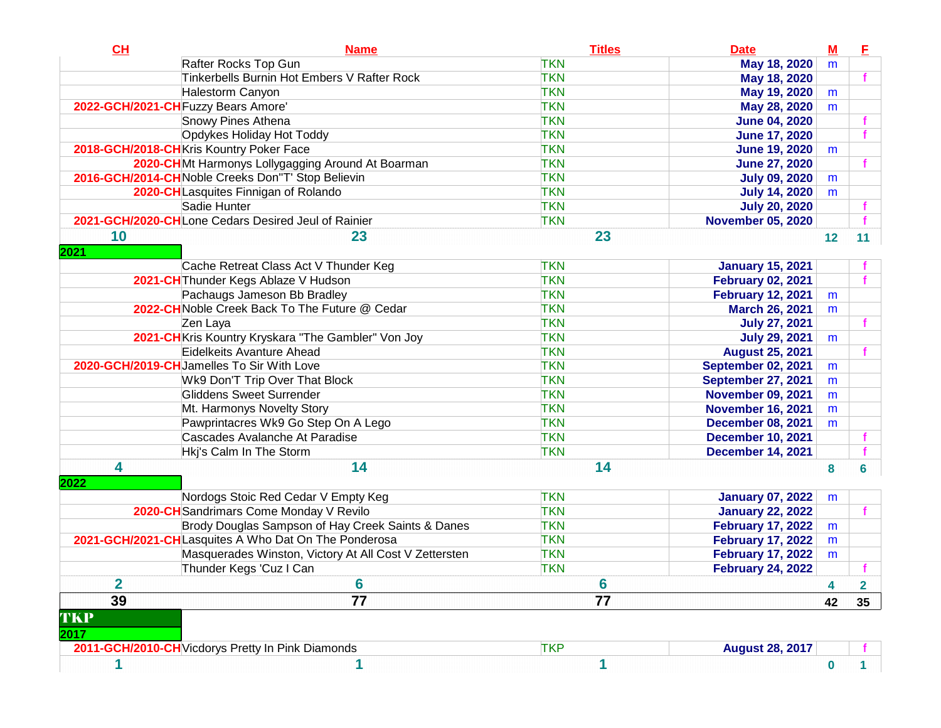| CL                      | <b>Name</b>                                           | <b>Titles</b>   | <b>Date</b>               | $\underline{\mathbf{M}}$ | E                       |
|-------------------------|-------------------------------------------------------|-----------------|---------------------------|--------------------------|-------------------------|
|                         | Rafter Rocks Top Gun                                  | <b>TKN</b>      | May 18, 2020              | m                        |                         |
|                         | Tinkerbells Burnin Hot Embers V Rafter Rock           | <b>TKN</b>      | May 18, 2020              |                          |                         |
|                         | <b>Halestorm Canyon</b>                               | <b>TKN</b>      | May 19, 2020              | m                        |                         |
|                         | 2022-GCH/2021-CH Fuzzy Bears Amore'                   | <b>TKN</b>      | May 28, 2020              | m                        |                         |
|                         | Snowy Pines Athena                                    | <b>TKN</b>      | <b>June 04, 2020</b>      |                          |                         |
|                         | Opdykes Holiday Hot Toddy                             | <b>TKN</b>      | <b>June 17, 2020</b>      |                          |                         |
|                         | 2018-GCH/2018-CHKris Kountry Poker Face               | <b>TKN</b>      | <b>June 19, 2020</b>      | m                        |                         |
|                         | 2020-CHMt Harmonys Lollygagging Around At Boarman     | <b>TKN</b>      | <b>June 27, 2020</b>      |                          |                         |
|                         | 2016-GCH/2014-CHNoble Creeks Don"T' Stop Believin     | <b>TKN</b>      | <b>July 09, 2020</b>      | m                        |                         |
|                         | 2020-CHLasquites Finnigan of Rolando                  | <b>TKN</b>      | <b>July 14, 2020</b>      | m                        |                         |
|                         | Sadie Hunter                                          | <b>TKN</b>      | <b>July 20, 2020</b>      |                          |                         |
|                         | 2021-GCH/2020-CHLone Cedars Desired Jeul of Rainier   | <b>TKN</b>      | <b>November 05, 2020</b>  |                          | $\mathbf{f}$            |
| 10<br>2021              | 23                                                    | 23              |                           | 12                       | 11                      |
|                         | Cache Retreat Class Act V Thunder Keg                 | <b>TKN</b>      | <b>January 15, 2021</b>   |                          |                         |
|                         | 2021-CH Thunder Kegs Ablaze V Hudson                  | <b>TKN</b>      | <b>February 02, 2021</b>  |                          |                         |
|                         | Pachaugs Jameson Bb Bradley                           | <b>TKN</b>      | <b>February 12, 2021</b>  | m                        |                         |
|                         | 2022-CH Noble Creek Back To The Future @ Cedar        | <b>TKN</b>      | <b>March 26, 2021</b>     | m                        |                         |
|                         | Zen Laya                                              | <b>TKN</b>      | <b>July 27, 2021</b>      |                          |                         |
|                         | 2021-CH Kris Kountry Kryskara "The Gambler" Von Joy   | <b>TKN</b>      | <b>July 29, 2021</b>      | m                        |                         |
|                         | Eidelkeits Avanture Ahead                             | <b>TKN</b>      | <b>August 25, 2021</b>    |                          |                         |
|                         | 2020-GCH/2019-CHJamelles To Sir With Love             | <b>TKN</b>      | <b>September 02, 2021</b> | m                        |                         |
|                         | Wk9 Don'T Trip Over That Block                        | <b>TKN</b>      | <b>September 27, 2021</b> | m                        |                         |
|                         | Gliddens Sweet Surrender                              | <b>TKN</b>      | <b>November 09, 2021</b>  | m                        |                         |
|                         | Mt. Harmonys Novelty Story                            | <b>TKN</b>      | <b>November 16, 2021</b>  | m                        |                         |
|                         | Pawprintacres Wk9 Go Step On A Lego                   | <b>TKN</b>      | <b>December 08, 2021</b>  | m                        |                         |
|                         | Cascades Avalanche At Paradise                        | <b>TKN</b>      | <b>December 10, 2021</b>  |                          |                         |
|                         | Hkj's Calm In The Storm                               | <b>TKN</b>      | <b>December 14, 2021</b>  |                          |                         |
| 4<br>2022               | 14                                                    | 14              |                           | 8                        | 6                       |
|                         | Nordogs Stoic Red Cedar V Empty Keg                   | <b>TKN</b>      | <b>January 07, 2022</b>   | m                        |                         |
|                         | 2020-CH Sandrimars Come Monday V Revilo               | <b>TKN</b>      | <b>January 22, 2022</b>   |                          |                         |
|                         | Brody Douglas Sampson of Hay Creek Saints & Danes     | <b>TKN</b>      | <b>February 17, 2022</b>  | m                        |                         |
|                         | 2021-GCH/2021-CHLasquites A Who Dat On The Ponderosa  | <b>TKN</b>      | <b>February 17, 2022</b>  | m                        |                         |
|                         | Masquerades Winston, Victory At All Cost V Zettersten | <b>TKN</b>      | <b>February 17, 2022</b>  | m                        |                         |
|                         | Thunder Kegs 'Cuz I Can                               | <b>TKN</b>      | <b>February 24, 2022</b>  |                          |                         |
| $\overline{\mathbf{2}}$ | $6\phantom{1}6$                                       | 6               |                           | 4                        | $\overline{\mathbf{2}}$ |
| 39<br>TKP               | $\overline{77}$                                       | $\overline{77}$ |                           | 42                       | 35 <sub>5</sub>         |
| 2017                    | 2011-GCH/2010-CH Vicdorys Pretty In Pink Diamonds     | <b>TKP</b>      | <b>August 28, 2017</b>    |                          |                         |
|                         |                                                       |                 |                           |                          |                         |
| 1                       | 1                                                     | 1               |                           | 0                        | 1                       |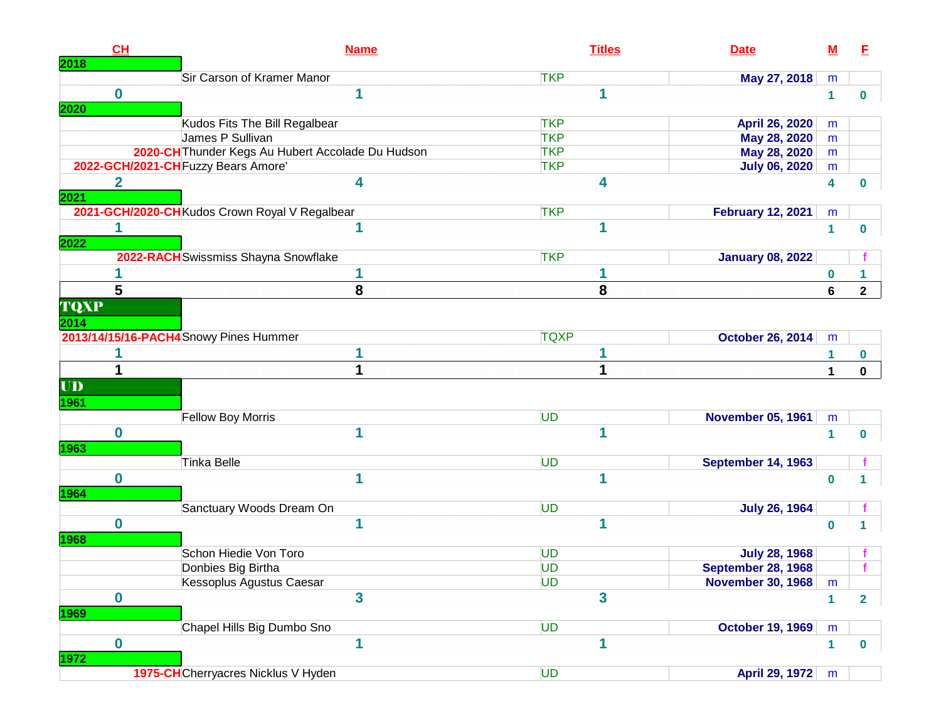| 2018                | CL                      | <b>Name</b>                                       | <b>Titles</b> | <b>Date</b>               | <u>M</u>     | E              |
|---------------------|-------------------------|---------------------------------------------------|---------------|---------------------------|--------------|----------------|
|                     |                         | Sir Carson of Kramer Manor                        | <b>TKP</b>    | May 27, 2018              | m            |                |
| 2020                | $\bf{0}$                | 1                                                 | 1             |                           | $\mathbf{1}$ | 0              |
|                     |                         | Kudos Fits The Bill Regalbear                     | <b>TKP</b>    | April 26, 2020            | m            |                |
|                     |                         | James P Sullivan                                  | <b>TKP</b>    | May 28, 2020              | m            |                |
|                     |                         | 2020-CH Thunder Kegs Au Hubert Accolade Du Hudson | <b>TKP</b>    | May 28, 2020              | m            |                |
|                     |                         | 2022-GCH/2021-CH Fuzzy Bears Amore'               | <b>TKP</b>    | <b>July 06, 2020</b>      | m            |                |
| 2021                | $\overline{\mathbf{2}}$ | 4                                                 | 4             |                           | 4            | 0              |
|                     |                         | 2021-GCH/2020-CH Kudos Crown Royal V Regalbear    | <b>TKP</b>    | <b>February 12, 2021</b>  | m            |                |
| 2022                | 1                       | 1                                                 | 1             |                           | $\mathbf{1}$ | 0              |
|                     |                         | 2022-RACH Swissmiss Shayna Snowflake              | <b>TKP</b>    | <b>January 08, 2022</b>   |              |                |
|                     |                         | 1                                                 | 1             |                           | 0            |                |
|                     | 5                       | 8                                                 | 8             |                           | 6            | $\mathbf{2}$   |
| <b>TQXP</b><br>2014 |                         |                                                   |               |                           |              |                |
|                     |                         | 2013/14/15/16-PACH4 Snowy Pines Hummer            | <b>TQXP</b>   | <b>October 26, 2014</b>   | m            |                |
|                     |                         | 1                                                 |               |                           | 1            | 0              |
|                     | 1                       | 1                                                 |               |                           | $\mathbf{1}$ | $\mathbf 0$    |
| UD<br>1961          |                         |                                                   |               |                           |              |                |
|                     |                         | Fellow Boy Morris                                 | <b>UD</b>     | <b>November 05, 1961</b>  | ${\sf m}$    |                |
| 1963                | $\bf{0}$                | 1                                                 | 1             |                           | $\mathbf{1}$ | 0              |
|                     |                         | <b>Tinka Belle</b>                                | <b>UD</b>     | <b>September 14, 1963</b> |              |                |
| 1964                | $\mathbf 0$             | 1                                                 | 1             |                           | $\mathbf 0$  | 1              |
|                     |                         | Sanctuary Woods Dream On                          | <b>UD</b>     | <b>July 26, 1964</b>      |              |                |
| 1968                | $\mathbf 0$             | 1                                                 | 1             |                           | $\mathbf 0$  | 1              |
|                     |                         | Schon Hiedie Von Toro                             | <b>UD</b>     | <b>July 28, 1968</b>      |              |                |
|                     |                         | Donbies Big Birtha                                | <b>UD</b>     | <b>September 28, 1968</b> |              |                |
|                     |                         | <b>Kessoplus Agustus Caesar</b>                   | <b>UD</b>     | <b>November 30, 1968</b>  | m            |                |
| <b>1969</b>         | $\mathbf 0$             | 3                                                 | 3             |                           | 1            | $\overline{2}$ |
|                     |                         | Chapel Hills Big Dumbo Sno                        | <b>UD</b>     | <b>October 19, 1969</b>   | m            |                |
| <b>1972</b>         | $\mathbf 0$             | 1                                                 | 1             |                           | 1            | $\mathbf 0$    |
|                     |                         | 1975-CHCherryacres Nicklus V Hyden                | <b>UD</b>     | <b>April 29, 1972</b>     | m            |                |
|                     |                         |                                                   |               |                           |              |                |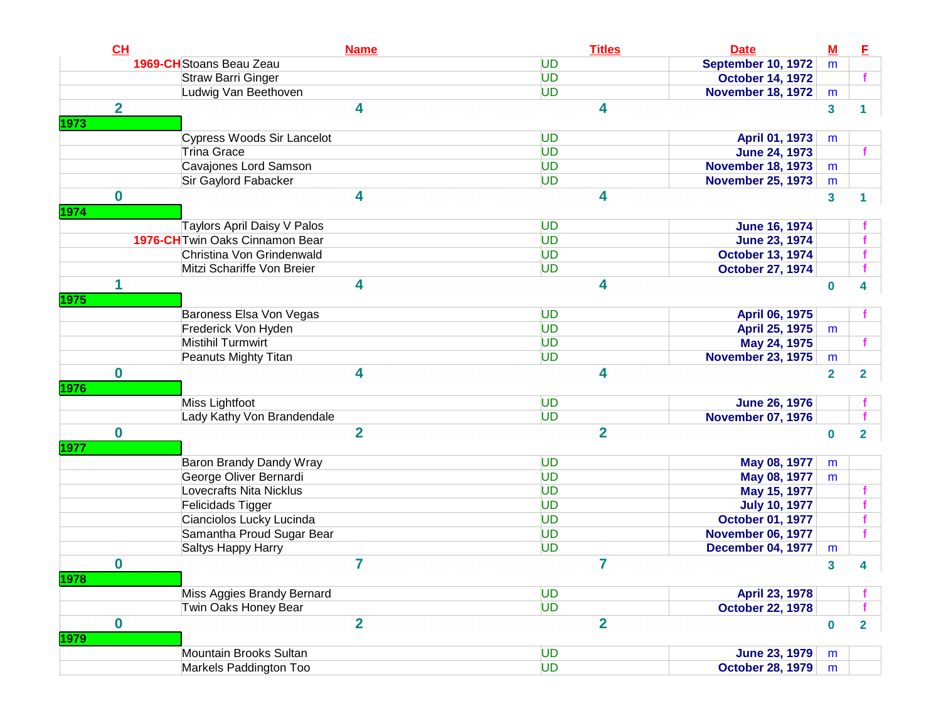| CL                      |                                 | <b>Name</b>    | <b>Titles</b><br><b>Date</b> | $M$                     | E              |
|-------------------------|---------------------------------|----------------|------------------------------|-------------------------|----------------|
|                         | 1969-CH Stoans Beau Zeau        | UD             | <b>September 10, 1972</b>    | m                       |                |
|                         | <b>Straw Barri Ginger</b>       | UD             | <b>October 14, 1972</b>      |                         | f              |
|                         | Ludwig Van Beethoven            | <b>UD</b>      | <b>November 18, 1972</b>     | m                       |                |
| $\overline{\mathbf{2}}$ |                                 | 4              | 4                            | $\mathbf{3}$            | 1.             |
| 1973                    |                                 |                |                              |                         |                |
|                         | Cypress Woods Sir Lancelot      | UD             | April 01, 1973               | m                       |                |
|                         | <b>Trina Grace</b>              | UD             | <b>June 24, 1973</b>         |                         |                |
|                         | Cavajones Lord Samson           | UD             | <b>November 18, 1973</b>     | m                       |                |
|                         | Sir Gaylord Fabacker            | UD             | <b>November 25, 1973</b>     | m                       |                |
| $\bf{0}$                |                                 | 4              | 4                            | $\mathbf{3}$            |                |
| 1974                    |                                 |                |                              |                         |                |
|                         | Taylors April Daisy V Palos     | UD             | <b>June 16, 1974</b>         |                         |                |
|                         | 1976-CH Twin Oaks Cinnamon Bear | <b>UD</b>      | <b>June 23, 1974</b>         |                         |                |
|                         | Christina Von Grindenwald       | <b>UD</b>      | <b>October 13, 1974</b>      |                         |                |
|                         | Mitzi Schariffe Von Breier      | <b>UD</b>      | <b>October 27, 1974</b>      |                         |                |
| 1                       |                                 | 4              | 4                            | $\bf{0}$                | 4              |
| 1975                    |                                 |                |                              |                         |                |
|                         | Baroness Elsa Von Vegas         | UD             | April 06, 1975               |                         |                |
|                         | Frederick Von Hyden             | UD             | April 25, 1975               | m                       |                |
|                         | Mistihil Turmwirt               | UD             | May 24, 1975                 |                         |                |
|                         | Peanuts Mighty Titan            | UD             | <b>November 23, 1975</b>     | m                       |                |
| $\mathbf 0$             |                                 | 4              | 4                            | $\overline{2}$          | $\overline{2}$ |
| 1976                    |                                 |                |                              |                         |                |
|                         | Miss Lightfoot                  | UD             | <b>June 26, 1976</b>         |                         |                |
|                         | Lady Kathy Von Brandendale      | UD             | <b>November 07, 1976</b>     |                         |                |
| $\bf{0}$                |                                 | $\overline{2}$ | $\overline{2}$               | $\bf{0}$                | $\overline{2}$ |
| 1977                    |                                 |                |                              |                         |                |
|                         | Baron Brandy Dandy Wray         | UD             | May 08, 1977                 | m                       |                |
|                         | George Oliver Bernardi          | UD             | May 08, 1977                 | m                       |                |
|                         | Lovecrafts Nita Nicklus         | UD             | May 15, 1977                 |                         |                |
|                         | Felicidads Tigger               | UD             | <b>July 10, 1977</b>         |                         |                |
|                         | Cianciolos Lucky Lucinda        | UD             | <b>October 01, 1977</b>      |                         |                |
|                         | Samantha Proud Sugar Bear       | UD             | <b>November 06, 1977</b>     |                         |                |
|                         | Saltys Happy Harry              | UD             | <b>December 04, 1977</b>     | m                       |                |
| $\boldsymbol{0}$        |                                 | 7              | 7                            | $\overline{\mathbf{3}}$ | 4              |
| 1978                    |                                 |                |                              |                         |                |
|                         | Miss Aggies Brandy Bernard      | UD             | April 23, 1978               |                         |                |
|                         | Twin Oaks Honey Bear            | UD             | <b>October 22, 1978</b>      |                         |                |
| $\bf{0}$                |                                 | $\overline{2}$ | $\overline{2}$               | $\bf{0}$                | $\overline{2}$ |
| 1979                    |                                 |                |                              |                         |                |
|                         | Mountain Brooks Sultan          | UD             | <b>June 23, 1979</b>         | m                       |                |
|                         | Markels Paddington Too          | <b>UD</b>      | <b>October 28, 1979</b>      | m                       |                |
|                         |                                 |                |                              |                         |                |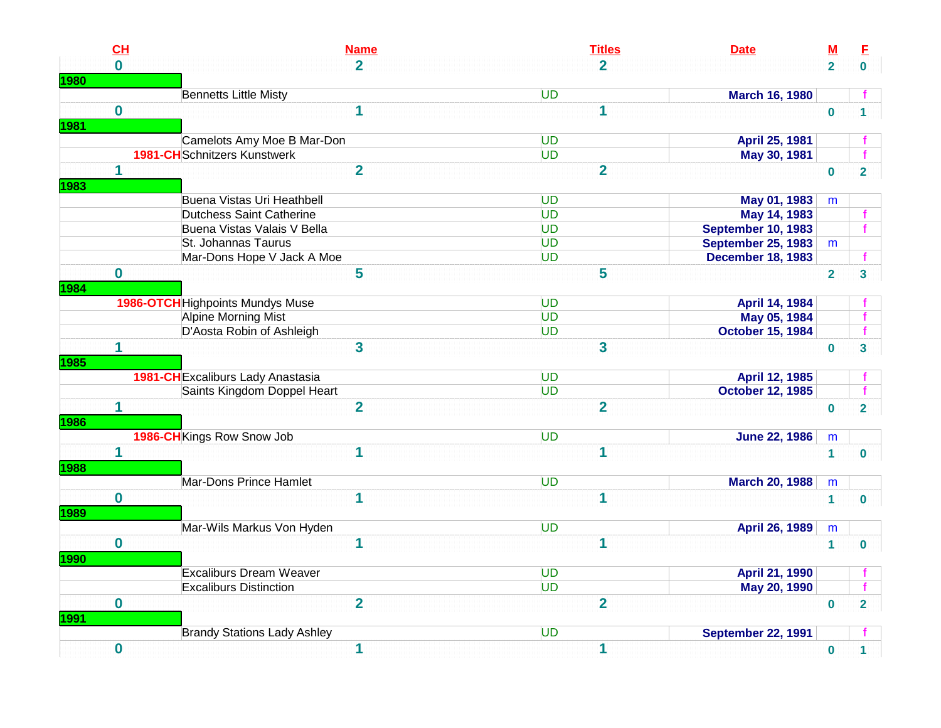| CL           | <b>Name</b>                         | <b>Titles</b><br><b>Date</b>           | <u>M</u>       |  |
|--------------|-------------------------------------|----------------------------------------|----------------|--|
| $\mathbf{0}$ | $\overline{2}$                      | $\overline{2}$                         | $\overline{2}$ |  |
|              |                                     |                                        |                |  |
|              | <b>Bennetts Little Misty</b>        | <b>UD</b><br>March 16, 1980            |                |  |
| $\mathbf 0$  | $\mathbf 1$                         | $\mathbf{1}$                           | $\bf{0}$       |  |
|              |                                     |                                        |                |  |
|              | Camelots Amy Moe B Mar-Don          | UD<br>April 25, 1981                   |                |  |
|              | <b>1981-CH</b> Schnitzers Kunstwerk | <b>UD</b><br>May 30, 1981              |                |  |
| $\mathbf 1$  | $\overline{2}$                      | $\overline{2}$                         | $\pmb{0}$      |  |
|              | Buena Vistas Uri Heathbell          | <b>UD</b><br>May 01, 1983              | m              |  |
|              | <b>Dutchess Saint Catherine</b>     | UD<br>May 14, 1983                     |                |  |
|              | Buena Vistas Valais V Bella         | <b>UD</b><br><b>September 10, 1983</b> |                |  |
|              | St. Johannas Taurus                 | UD<br>September 25, 1983               | m              |  |
|              | Mar-Dons Hope V Jack A Moe          | <b>UD</b><br><b>December 18, 1983</b>  |                |  |
| $\bf{0}$     | 5                                   | 5                                      | $\overline{2}$ |  |
|              |                                     |                                        |                |  |
|              | 1986-OTCH Highpoints Mundys Muse    | <b>UD</b><br>April 14, 1984            |                |  |
|              | Alpine Morning Mist                 | <b>UD</b><br>May 05, 1984              |                |  |
|              | D'Aosta Robin of Ashleigh           | <b>October 15, 1984</b><br><b>UD</b>   |                |  |
| 1            | $\overline{\mathbf{3}}$             | 3                                      | $\bf{0}$       |  |
|              | 1981-CH Excaliburs Lady Anastasia   | <b>UD</b><br>April 12, 1985            |                |  |
|              | Saints Kingdom Doppel Heart         | <b>UD</b><br><b>October 12, 1985</b>   |                |  |
| 1            | $\overline{2}$                      | $\overline{2}$                         | $\mathbf 0$    |  |
|              | 1986-CH Kings Row Snow Job          | <b>UD</b><br><b>June 22, 1986</b>      | m              |  |
| 1            | 1                                   | $\mathbf{1}$                           | $\mathbf{1}$   |  |
|              |                                     |                                        |                |  |
|              | Mar-Dons Prince Hamlet              | <b>UD</b><br><b>March 20, 1988</b>     | m              |  |
| $\mathbf 0$  | 1                                   | $\mathbf{1}$                           | $\mathbf{1}$   |  |
|              | Mar-Wils Markus Von Hyden           | UD<br>April 26, 1989                   | m              |  |
| $\mathbf 0$  | 1                                   | $\mathbf{1}$                           | $\mathbf{1}$   |  |
|              |                                     |                                        |                |  |
|              | <b>Excaliburs Dream Weaver</b>      | <b>UD</b><br><b>April 21, 1990</b>     |                |  |
|              | <b>Excaliburs Distinction</b>       | UD<br>May 20, 1990                     |                |  |
| $\bf{0}$     | $\overline{2}$                      | $\overline{2}$                         | $\mathbf 0$    |  |
|              | <b>Brandy Stations Lady Ashley</b>  | <b>UD</b><br><b>September 22, 1991</b> |                |  |
|              |                                     |                                        |                |  |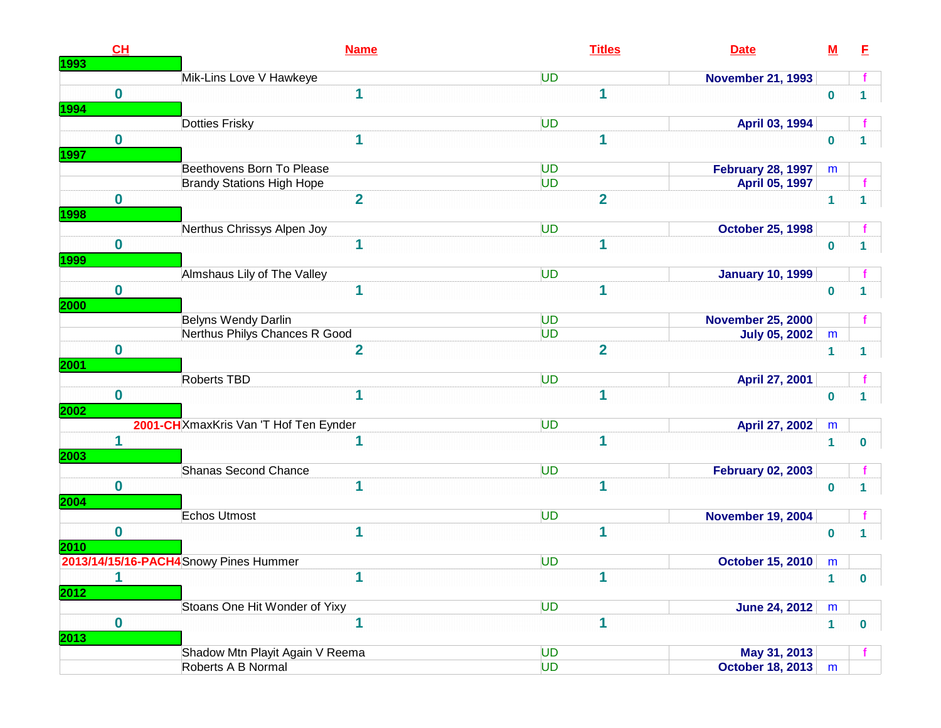|               | CH          | <b>Name</b>                            | <b>Titles</b><br><b>Date</b>         | $\underline{\mathsf{M}}$ | E            |
|---------------|-------------|----------------------------------------|--------------------------------------|--------------------------|--------------|
| <u> 1993 </u> |             | Mik-Lins Love V Hawkeye                | UD<br><b>November 21, 1993</b>       |                          |              |
| <b>1994</b>   | $\mathbf 0$ | 1                                      | 1                                    | $\mathbf 0$              |              |
|               |             | Dotties Frisky                         | UD<br>April 03, 1994                 |                          |              |
| <b>1997</b>   | $\mathbf 0$ | 1                                      | 1                                    | $\bf{0}$                 |              |
|               |             | Beethovens Born To Please              | UD<br><b>February 28, 1997</b>       | m                        |              |
|               |             | <b>Brandy Stations High Hope</b>       | <b>UD</b><br>April 05, 1997          |                          |              |
| <b>1998</b>   | $\bf{0}$    | $\overline{2}$                         | $\overline{2}$                       | $\mathbf{1}$             | 1            |
|               |             | Nerthus Chrissys Alpen Joy             | UD<br><b>October 25, 1998</b>        |                          |              |
| <u> 1999 </u> | $\bf{0}$    | 1                                      | 1                                    | $\bf{0}$                 |              |
|               |             | Almshaus Lily of The Valley            | UD<br><b>January 10, 1999</b>        |                          |              |
| 2000          | $\bf{0}$    | $\overline{\mathbf{1}}$                | $\overline{\mathbf{1}}$              | $\bf{0}$                 |              |
|               |             | Belyns Wendy Darlin                    | UD<br><b>November 25, 2000</b>       |                          |              |
|               |             | Nerthus Philys Chances R Good          | UD<br><b>July 05, 2002</b>           | m                        |              |
| <b>2001</b>   | $\bf{0}$    | $\overline{2}$                         | $\overline{2}$                       | 1                        | 1            |
|               |             | Roberts TBD                            | UD<br>April 27, 2001                 |                          |              |
| 2002          | $\bf{0}$    | 1                                      | 1                                    | $\bf{0}$                 |              |
|               |             | 2001-CH XmaxKris Van 'T Hof Ten Eynder | UD<br>April 27, 2002                 | m                        |              |
| 2003          | 1           | 1                                      | 1                                    | $\mathbf{1}$             | $\mathbf 0$  |
|               |             | Shanas Second Chance                   | UD<br><b>February 02, 2003</b>       |                          |              |
| <b>2004</b>   | $\mathbf 0$ | 1                                      | 1                                    | $\bf{0}$                 |              |
|               |             | <b>Echos Utmost</b>                    | UD<br><b>November 19, 2004</b>       |                          |              |
| <b>2010</b>   | $\bf{0}$    | 1                                      | $\mathbf 1$                          | $\bf{0}$                 |              |
|               |             | 2013/14/15/16-PACH4 Snowy Pines Hummer | UD<br><b>October 15, 2010</b>        | m                        |              |
| 2012          |             | 1                                      | 1                                    | $\mathbf{1}$             | $\mathbf{0}$ |
|               |             | Stoans One Hit Wonder of Yixy          | <b>UD</b><br><b>June 24, 2012</b>    | m                        |              |
| 2013          | $\mathbf 0$ | 1                                      | 1                                    | $\mathbf{1}$             | $\bf{0}$     |
|               |             | Shadow Mtn Playit Again V Reema        | <b>UD</b><br>May 31, 2013            |                          |              |
|               |             | Roberts A B Normal                     | <b>UD</b><br><b>October 18, 2013</b> | m                        |              |
|               |             |                                        |                                      |                          |              |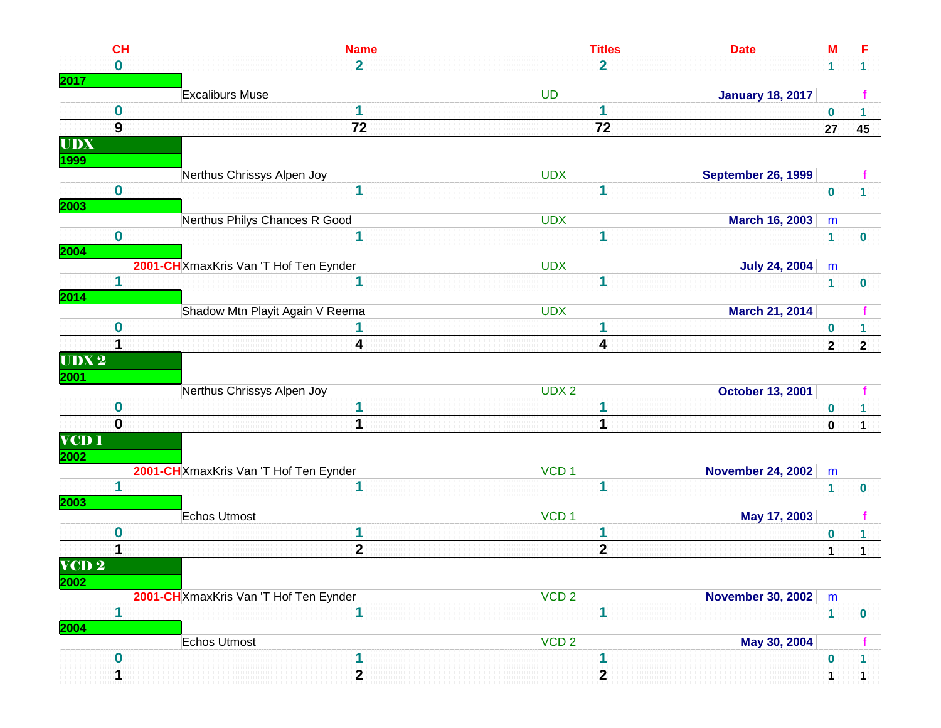| CL               | <b>Name</b>                            | <b>Titles</b>    | <b>Date</b>               | <u>M</u>       | E              |
|------------------|----------------------------------------|------------------|---------------------------|----------------|----------------|
| $\bf{0}$         | $\overline{2}$                         | $\overline{2}$   |                           | $\mathbf{1}$   | 1 <sup>1</sup> |
|                  |                                        |                  |                           |                |                |
|                  | <b>Excaliburs Muse</b>                 | UD               | <b>January 18, 2017</b>   |                |                |
| $\boldsymbol{0}$ | 1                                      | 1                |                           | $\pmb{0}$      | 1              |
| 9                | 72                                     | 72               |                           | 27             | 45             |
| <b>UDX</b>       |                                        |                  |                           |                |                |
|                  |                                        |                  |                           |                |                |
|                  | Nerthus Chrissys Alpen Joy             | <b>UDX</b>       | <b>September 26, 1999</b> |                |                |
| $\bf{0}$         | 1                                      | 1                |                           | $\bf{0}$       |                |
|                  | Nerthus Philys Chances R Good          | <b>UDX</b>       | March 16, 2003            | m              |                |
| $\mathbf 0$      | 1                                      | 1                |                           | $\mathbf{1}$   |                |
|                  |                                        |                  |                           |                | 0              |
|                  | 2001-CH XmaxKris Van 'T Hof Ten Eynder | <b>UDX</b>       | <b>July 24, 2004</b>      | m              |                |
| 1                | 1                                      | 1                |                           | $\mathbf{1}$   | 0              |
|                  |                                        |                  |                           |                |                |
|                  | Shadow Mtn Playit Again V Reema        | <b>UDX</b>       | March 21, 2014            |                |                |
| 0                | 1                                      |                  |                           | $\bf{0}$       | 1.             |
| 1                | 4                                      | 4                |                           | $\overline{2}$ | $\mathbf{2}$   |
| UDX2             |                                        |                  |                           |                |                |
|                  |                                        |                  |                           |                |                |
|                  | Nerthus Chrissys Alpen Joy             | UDX <sub>2</sub> | <b>October 13, 2001</b>   |                |                |
| 0                |                                        |                  |                           | $\pmb{0}$      | 1              |
| $\mathbf{0}$     | 1                                      | 1                |                           | $\mathbf 0$    | $\mathbf 1$    |
| <b>VCD 1</b>     |                                        |                  |                           |                |                |
|                  |                                        |                  |                           |                |                |
|                  | 2001-CH XmaxKris Van 'T Hof Ten Eynder | VCD <sub>1</sub> | <b>November 24, 2002</b>  | m              |                |
| 1                | 1                                      | 1                |                           | $\mathbf{1}$   | $\bf{0}$       |
|                  | Echos Utmost                           | VCD <sub>1</sub> | May 17, 2003              |                |                |
| $\bf{0}$         | 1                                      |                  |                           |                |                |
|                  | $\mathbf{2}$                           | $\mathbf{2}$     |                           | $\bf{0}$       | 1              |
|                  |                                        |                  |                           | $\mathbf{1}$   | $\mathbf 1$    |
| VCD <sub>2</sub> |                                        |                  |                           |                |                |
|                  | 2001-CH XmaxKris Van 'T Hof Ten Eynder | VCD <sub>2</sub> | <b>November 30, 2002</b>  | m              |                |
| 1                | 1                                      |                  |                           | $\mathbf{1}$   | $\mathbf 0$    |
|                  |                                        |                  |                           |                |                |
|                  | <b>Echos Utmost</b>                    | VCD <sub>2</sub> | May 30, 2004              |                |                |
| $\boldsymbol{0}$ | 1                                      |                  |                           | $\bf{0}$       | 1              |
|                  | $\overline{2}$                         | $\mathbf{2}$     |                           |                |                |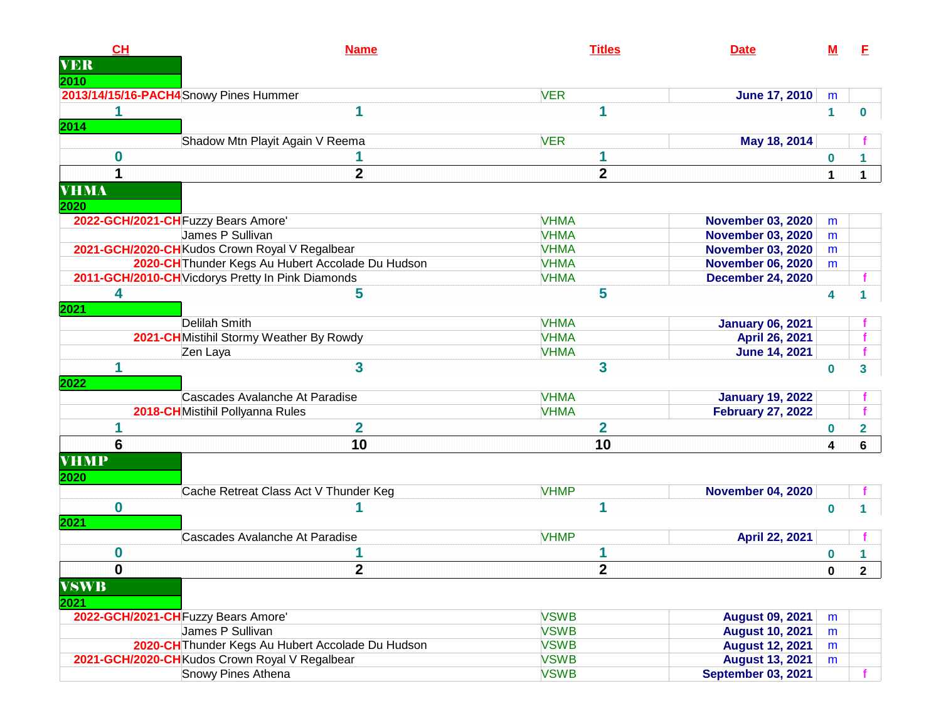| CH                      | <b>Name</b>                                       | <b>Titles</b>  | <b>Date</b>               | M            | E            |
|-------------------------|---------------------------------------------------|----------------|---------------------------|--------------|--------------|
| <b>VER</b>              |                                                   |                |                           |              |              |
| 2010                    |                                                   |                |                           |              |              |
|                         | 2013/14/15/16-PACH4Snowy Pines Hummer             | <b>VER</b>     | <b>June 17, 2010</b>      | m            |              |
| 1                       | 1                                                 | 1              |                           | $\mathbf{1}$ | 0            |
| 2014                    |                                                   |                |                           |              |              |
|                         | Shadow Mtn Playit Again V Reema                   | <b>VER</b>     | May 18, 2014              |              |              |
| $\bf{0}$                |                                                   |                |                           | 0            |              |
| $\overline{\mathbf{1}}$ | $\overline{2}$                                    | $\overline{2}$ |                           | 1            | 1.           |
| <b>VHMA</b>             |                                                   |                |                           |              |              |
| 2020                    |                                                   |                |                           |              |              |
|                         | 2022-GCH/2021-CH Fuzzy Bears Amore'               | <b>VHMA</b>    | <b>November 03, 2020</b>  | m            |              |
|                         | James P Sullivan                                  | <b>VHMA</b>    | <b>November 03, 2020</b>  | m            |              |
|                         | 2021-GCH/2020-CH Kudos Crown Royal V Regalbear    | <b>VHMA</b>    | <b>November 03, 2020</b>  | m            |              |
|                         | 2020-CH Thunder Kegs Au Hubert Accolade Du Hudson | <b>VHMA</b>    | <b>November 06, 2020</b>  | m            |              |
|                         | 2011-GCH/2010-CH Vicdorys Pretty In Pink Diamonds | <b>VHMA</b>    | <b>December 24, 2020</b>  |              |              |
| 4                       | 5                                                 | 5              |                           | 4            |              |
| 2021                    |                                                   |                |                           |              |              |
|                         | Delilah Smith                                     | <b>VHMA</b>    | <b>January 06, 2021</b>   |              |              |
|                         | 2021-CH Mistihil Stormy Weather By Rowdy          | <b>VHMA</b>    | April 26, 2021            |              |              |
|                         | Zen Laya                                          | <b>VHMA</b>    | <b>June 14, 2021</b>      |              |              |
| 1                       | 3                                                 | 3              |                           | 0            | 3            |
| 2022                    |                                                   |                |                           |              |              |
|                         | Cascades Avalanche At Paradise                    | <b>VHMA</b>    | <b>January 19, 2022</b>   |              |              |
|                         | 2018-CHMistihil Pollyanna Rules                   | <b>VHMA</b>    | <b>February 27, 2022</b>  |              |              |
| 1                       | $\overline{2}$                                    | $\overline{2}$ |                           | 0            | $\mathbf{2}$ |
| 6                       | 10                                                | 10             |                           | 4            |              |
|                         |                                                   |                |                           |              | 6            |
| <b>VHMP</b>             |                                                   |                |                           |              |              |
| 2020                    |                                                   |                |                           |              |              |
|                         | Cache Retreat Class Act V Thunder Keg             | <b>VHMP</b>    | <b>November 04, 2020</b>  |              |              |
| $\mathbf 0$             |                                                   | 1              |                           | $\bf{0}$     | 1            |
| 2021                    |                                                   |                |                           |              |              |
|                         | Cascades Avalanche At Paradise                    | <b>VHMP</b>    | April 22, 2021            |              |              |
| 0                       |                                                   |                |                           | 0            |              |
| $\pmb{0}$               | $\mathbf 2$                                       | $\mathbf 2$    |                           | 0            | $\mathbf{2}$ |
| <b>VSWB</b>             |                                                   |                |                           |              |              |
| 2021                    |                                                   |                |                           |              |              |
|                         | 2022-GCH/2021-CH Fuzzy Bears Amore'               | <b>VSWB</b>    | <b>August 09, 2021</b>    | m            |              |
|                         | James P Sullivan                                  | <b>VSWB</b>    | <b>August 10, 2021</b>    | m            |              |
|                         | 2020-CH Thunder Kegs Au Hubert Accolade Du Hudson | <b>VSWB</b>    | <b>August 12, 2021</b>    | m            |              |
|                         | 2021-GCH/2020-CH Kudos Crown Royal V Regalbear    | <b>VSWB</b>    | <b>August 13, 2021</b>    | m            |              |
|                         | Snowy Pines Athena                                | <b>VSWB</b>    | <b>September 03, 2021</b> |              |              |